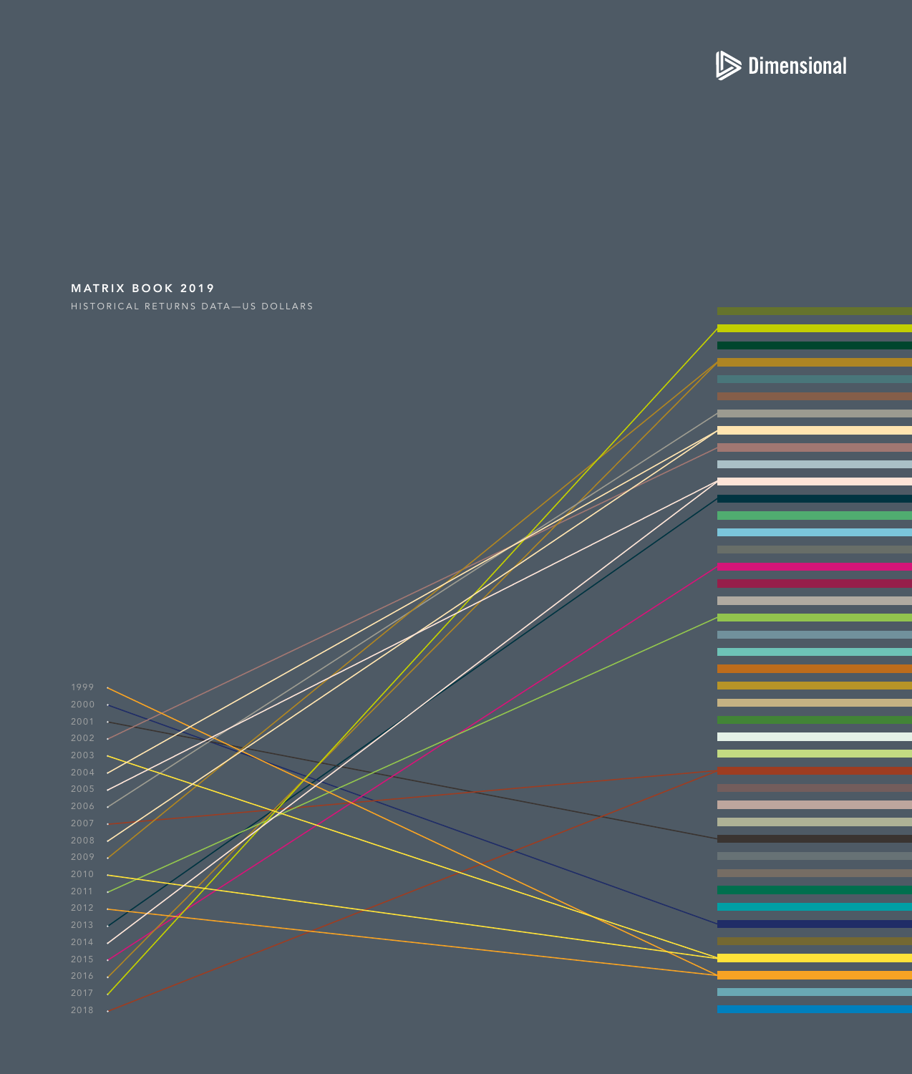

## <span id="page-0-0"></span>MATRIX BOOK 2019 HISTORICAL RETURNS DATA—US DOLLARS



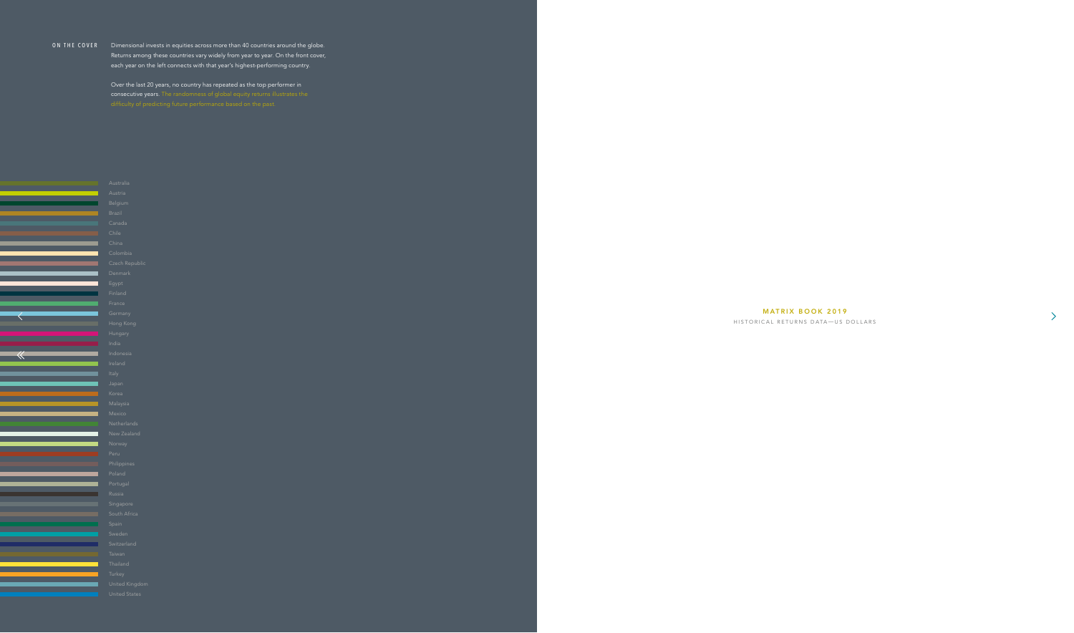## ON THE COVER Dimensional invests in equities across more than 40 countries around the globe. Returns among these countries vary widely from year to year. On the front cover, each year on the left connects with that year's highest-performing country.

Over the last 20 years, no country has repeated as the top performer in consecutive years. The randomness of global equity returns illustrates the



## MATRIX BOOK 2019

 $\left\langle \right\rangle$ 

HISTORICAL RETURNS DATA — US DOLLARS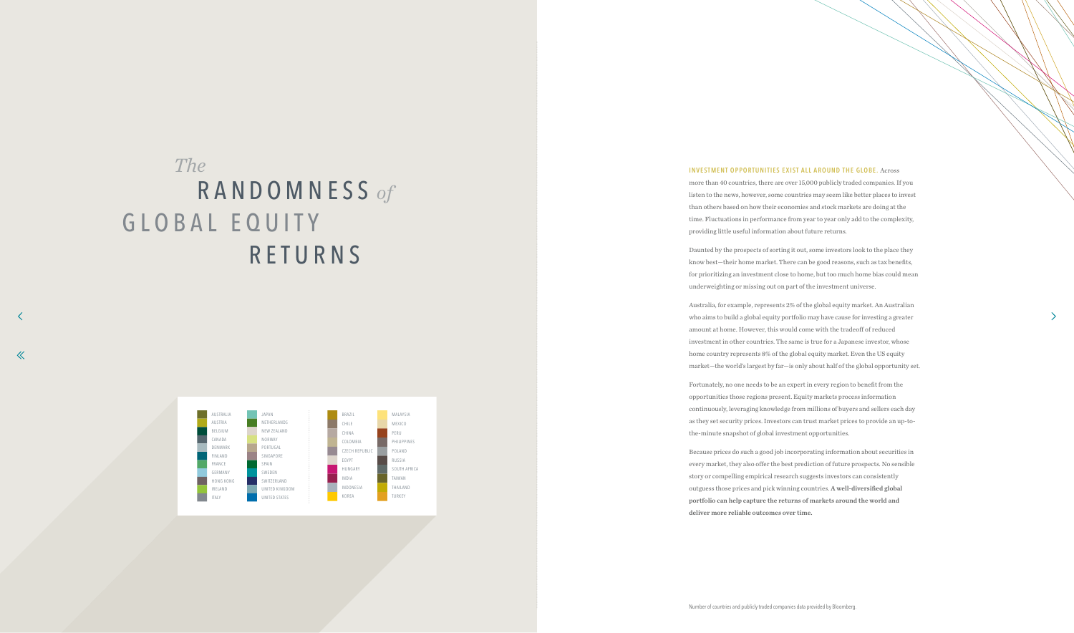# <span id="page-2-0"></span>GLOBAL EQUITY RETURNS RANDOMNESS *of The*

 $\ll$ 



## **INVESTMENT OPPORTUNITIES EXIST ALL AROUND THE GLOBE.** Across

more than 40 countries, there are over 15,000 publicly traded companies. If you listen to the news, however, some countries may seem like better places to invest than others based on how their economies and stock markets are doing at the time. Fluctuations in performance from year to year only add to the complexity, providing little useful information about future returns.

Daunted by the prospects of sorting it out, some investors look to the place they know best—their home market. There can be good reasons, such as tax benefits, for prioritizing an investment close to home, but too much home bias could mean underweighting or missing out on part of the investment universe.

Australia, for example, represents 2% of the global equity market. An Australian who aims to build a global equity portfolio may have cause for investing a greater amount at home. However, this would come with the tradeoff of reduced investment in other countries. The same is true for a Japanese investor, whose home country represents 8% of the global equity market. Even the US equity market—the world's largest by far—is only about half of the global opportunity set.

Fortunately, no one needs to be an expert in every region to benefit from the opportunities those regions present. Equity markets process information continuously, leveraging knowledge from millions of buyers and sellers each day as they set security prices. Investors can trust market prices to provide an up-tothe-minute snapshot of global investment opportunities.

Because prices do such a good job incorporating information about securities in every market, they also offer the best prediction of future prospects. No sensible story or compelling empirical research suggests investors can consistently outguess those prices and pick winning countries. **A well-diversified global portfolio can help capture the returns of markets around the world and deliver more reliable outcomes over time.**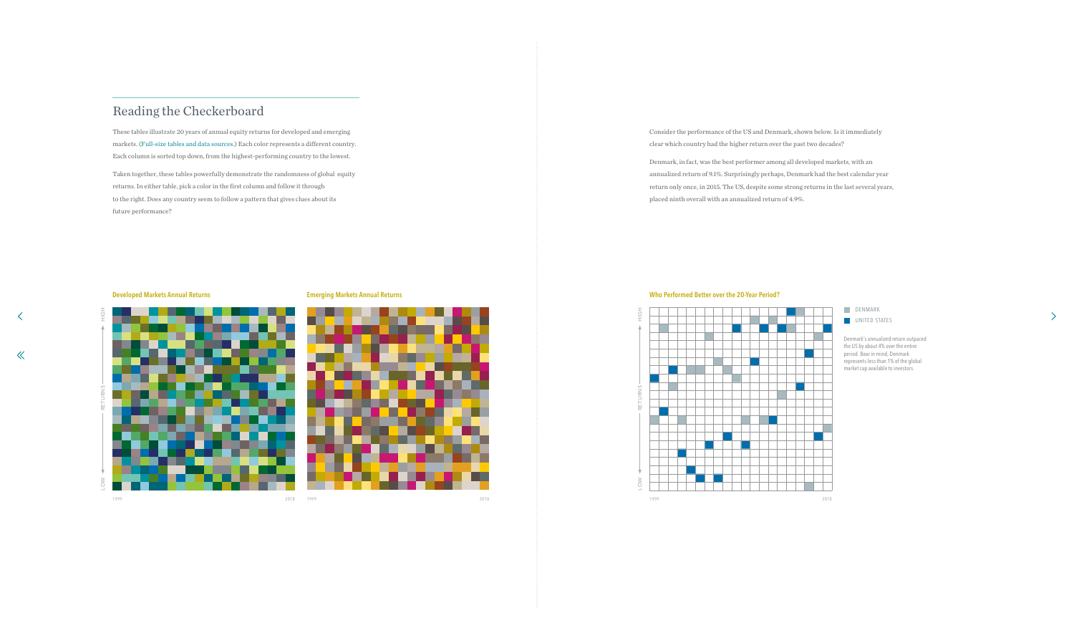# Reading the Checkerboard

These tables illustrate 20 years of annual equity returns for developed and emerging markets. [\(Full-size tables and data sources.\)](#page-44-0) Each color represents a different country. Each column is sorted top down, from the highest-performing country to the lowest.

Taken together, these tables powerfully demonstrate the randomness of global equity returns. In either table, pick a color in the first column and follow it through to the right. Does any country seem to follow a pattern that gives clues about its future performance?

> Denmark's annualized return outpaced the US by about 4% over the entire period. Bear in mind, Denmark represents less than 1% of the global market cap available to investors.

 $\sum$ 

Consider the performance of the US and Denmark, shown below. Is it immediately clear which country had the higher return over the past two decades?

Denmark, in fact, was the best performer among all developed markets, with an annualized return of 9.1%. Surprisingly perhaps, Denmark had the best calendar year return only once, in 2015. The US, despite some strong returns in the last several years, placed ninth overall with an annualized return of 4.9%.









 $\checkmark$ 

 $\ll$ 

![](_page_3_Figure_5.jpeg)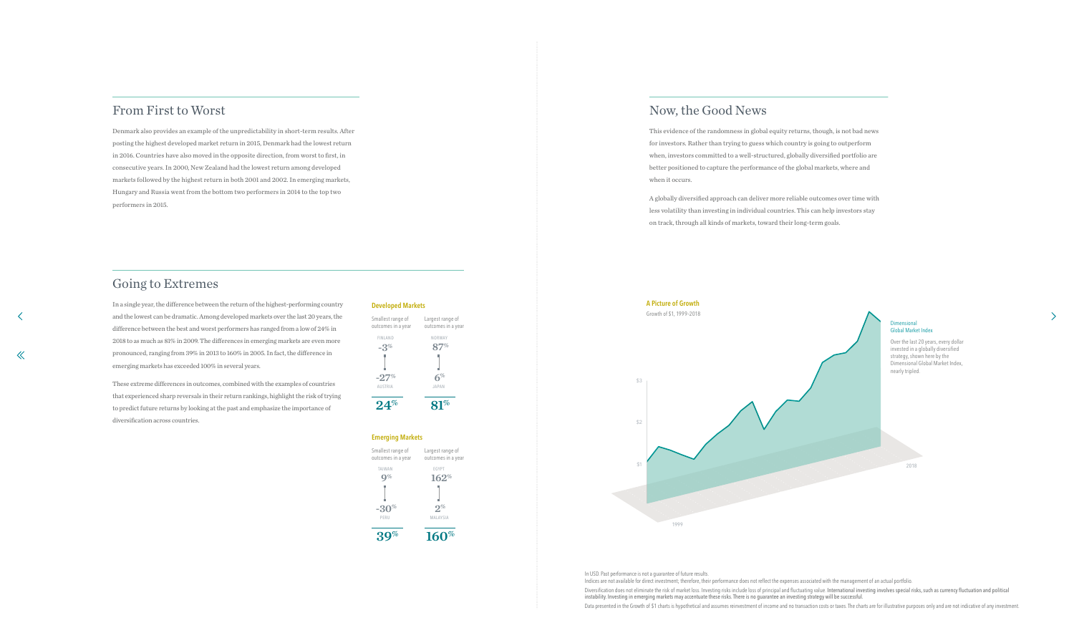# From First to Worst

Denmark also provides an example of the unpredictability in short-term results. After posting the highest developed market return in 2015, Denmark had the lowest return in 2016. Countries have also moved in the opposite direction, from worst to first, in consecutive years. In 2000, New Zealand had the lowest return among developed markets followed by the highest return in both 2001 and 2002. In emerging markets, Hungary and Russia went from the bottom two performers in 2014 to the top two performers in 2015.

# Going to Extremes

 $\ll$ 

In a single year, the difference between the return of the highest-performing country and the lowest can be dramatic. Among developed markets over the last 20 years, the difference between the best and worst performers has ranged from a low of 24% in 2018 to as much as 81% in 2009. The differences in emerging markets are even more pronounced, ranging from 39% in 2013 to 160% in 2005. In fact, the difference in emerging markets has exceeded 100% in several years.

These extreme differences in outcomes, combined with the examples of countries that experienced sharp reversals in their return rankings, highlight the risk of trying to predict future returns by looking at the past and emphasize the importance of diversification across countries.

#### **Developed Markets**

![](_page_4_Figure_6.jpeg)

Diversification does not eliminate the risk of market loss. Investing risks include loss of principal and fluctuating value. International investing involves special risks, such as currency fluctuation and political instability. Investing in emerging markets may accentuate these risks. There is no guarantee an investing strategy will be successful.

Data presented in the Growth of \$1 charts is hypothetical and assumes reinvestment of income and no transaction costs or taxes. The charts are for illustrative purposes only and are not indicative of any investment.

Smallest range of outcomes in a year Largest range of outcomes in a year **162% -30% 2%** TAIWAN EGYPT PERU MALAYSIA **9%**

**160%**

## **Emerging Markets**

**39%**

# Now, the Good News

This evidence of the randomness in global equity returns, though, is not bad news for investors. Rather than trying to guess which country is going to outperform when, investors committed to a well-structured, globally diversified portfolio are better positioned to capture the performance of the global markets, where and when it occurs.

A globally diversified approach can deliver more reliable outcomes over time with less volatility than investing in individual countries. This can help investors stay on track, through all kinds of markets, toward their long-term goals.

![](_page_4_Figure_15.jpeg)

 $\Delta$ 

In USD. Past performance is not a guarantee of future results.

Indices are not available for direct investment; therefore, their performance does not reflect the expenses associated with the management of an actual portfolio.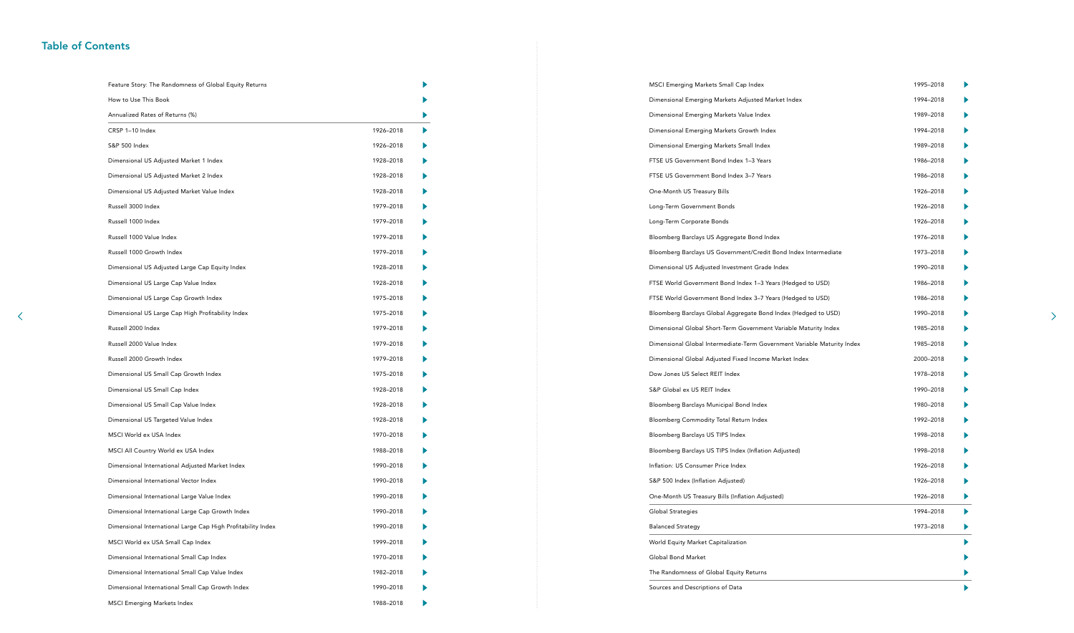| Feature Story: The Randomness of Global Equity Returns       |           |  |
|--------------------------------------------------------------|-----------|--|
| How to Use This Book                                         |           |  |
| Annualized Rates of Returns (%)                              |           |  |
| CRSP 1-10 Index                                              | 1926-2018 |  |
| S&P 500 Index                                                | 1926-2018 |  |
| Dimensional US Adjusted Market 1 Index                       | 1928-2018 |  |
| Dimensional US Adjusted Market 2 Index                       | 1928-2018 |  |
| Dimensional US Adjusted Market Value Index                   | 1928-2018 |  |
| Russell 3000 Index                                           | 1979-2018 |  |
| Russell 1000 Index                                           | 1979-2018 |  |
| Russell 1000 Value Index                                     | 1979-2018 |  |
| Russell 1000 Growth Index                                    | 1979-2018 |  |
| Dimensional US Adjusted Large Cap Equity Index               | 1928-2018 |  |
| Dimensional US Large Cap Value Index                         | 1928-2018 |  |
| Dimensional US Large Cap Growth Index                        | 1975-2018 |  |
| Dimensional US Large Cap High Profitability Index            | 1975-2018 |  |
| Russell 2000 Index                                           | 1979-2018 |  |
| Russell 2000 Value Index                                     | 1979-2018 |  |
| Russell 2000 Growth Index                                    | 1979-2018 |  |
| Dimensional US Small Cap Growth Index                        | 1975-2018 |  |
| Dimensional US Small Cap Index                               | 1928-2018 |  |
| Dimensional US Small Cap Value Index                         | 1928-2018 |  |
| Dimensional US Targeted Value Index                          | 1928-2018 |  |
| MSCI World ex USA Index                                      | 1970-2018 |  |
| MSCI All Country World ex USA Index                          | 1988-2018 |  |
| Dimensional International Adjusted Market Index              | 1990-2018 |  |
| Dimensional International Vector Index                       | 1990-2018 |  |
| Dimensional International Large Value Index                  | 1990-2018 |  |
| Dimensional International Large Cap Growth Index             | 1990-2018 |  |
| Dimensional International Large Cap High Profitability Index | 1990-2018 |  |
| MSCI World ex USA Small Cap Index                            | 1999-2018 |  |
| Dimensional International Small Cap Index                    | 1970-2018 |  |
| Dimensional International Small Cap Value Index              | 1982-2018 |  |
| Dimensional International Small Cap Growth Index             | 1990-2018 |  |
| <b>MSCI Emerging Markets Index</b>                           | 1988-2018 |  |

# <span id="page-5-0"></span>Table of Contents

| MSCI Emerging Markets Small Cap Index                                   | 1995-2018 |  |
|-------------------------------------------------------------------------|-----------|--|
| Dimensional Emerging Markets Adjusted Market Index                      | 1994-2018 |  |
| Dimensional Emerging Markets Value Index                                | 1989-2018 |  |
| Dimensional Emerging Markets Growth Index                               | 1994-2018 |  |
| Dimensional Emerging Markets Small Index                                | 1989-2018 |  |
| FTSE US Government Bond Index 1-3 Years                                 | 1986-2018 |  |
| FTSE US Government Bond Index 3-7 Years                                 | 1986-2018 |  |
| One-Month US Treasury Bills                                             | 1926-2018 |  |
| Long-Term Government Bonds                                              | 1926-2018 |  |
| Long-Term Corporate Bonds                                               | 1926-2018 |  |
| Bloomberg Barclays US Aggregate Bond Index                              | 1976-2018 |  |
| Bloomberg Barclays US Government/Credit Bond Index Intermediate         | 1973-2018 |  |
| Dimensional US Adjusted Investment Grade Index                          | 1990-2018 |  |
| FTSE World Government Bond Index 1-3 Years (Hedged to USD)              | 1986-2018 |  |
| FTSE World Government Bond Index 3-7 Years (Hedged to USD)              | 1986-2018 |  |
| Bloomberg Barclays Global Aggregate Bond Index (Hedged to USD)          | 1990-2018 |  |
| Dimensional Global Short-Term Government Variable Maturity Index        | 1985-2018 |  |
| Dimensional Global Intermediate-Term Government Variable Maturity Index | 1985-2018 |  |
| Dimensional Global Adjusted Fixed Income Market Index                   | 2000-2018 |  |
| Dow Jones US Select REIT Index                                          | 1978-2018 |  |
| S&P Global ex US REIT Index                                             | 1990-2018 |  |
| Bloomberg Barclays Municipal Bond Index                                 | 1980-2018 |  |
| Bloomberg Commodity Total Return Index                                  | 1992-2018 |  |
| Bloomberg Barclays US TIPS Index                                        | 1998-2018 |  |
| Bloomberg Barclays US TIPS Index (Inflation Adjusted)                   | 1998-2018 |  |
| Inflation: US Consumer Price Index                                      | 1926-2018 |  |
| S&P 500 Index (Inflation Adjusted)                                      | 1926-2018 |  |
| One-Month US Treasury Bills (Inflation Adjusted)                        | 1926-2018 |  |
| Global Strategies                                                       | 1994-2018 |  |
| <b>Balanced Strategy</b>                                                | 1973-2018 |  |
| World Equity Market Capitalization                                      |           |  |
| Global Bond Market                                                      |           |  |
| The Randomness of Global Equity Returns                                 |           |  |
| Sources and Descriptions of Data                                        |           |  |

 $\left\langle \right\rangle$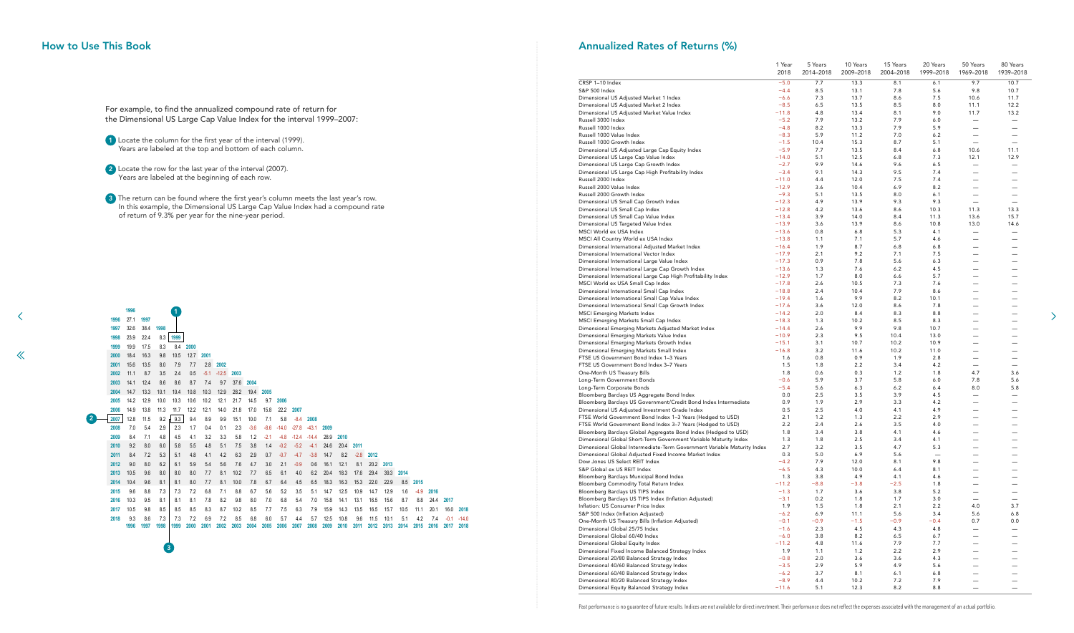2 Locate the row for the last year of the interval (2007). Years are labeled at the beginning of each row.

<sup>3</sup> The return can be found where the first year's column meets the last year's row. In this example, the Dimensional US Large Cap Value Index had a compound rate of return of 9.3% per year for the nine-year period.

![](_page_6_Figure_7.jpeg)

## <span id="page-6-0"></span>How to Use This Book

For example, to find the annualized compound rate of return for the Dimensional US Large Cap Value Index for the interval 1999–2007:

1 Locate the column for the first year of the interval (1999). Years are labeled at the top and bottom of each column.

≺

 $\ll$ 

# Annualized Rates of Returns (%)

|                                                                                                                   | 1 Year<br>2018     | 5 Years<br>2014-2018 | 10 Years<br>2009-2018 | 15 Years<br>2004-2018 | 20 Years<br>1999-2018 | 50 Years<br>1969-2018    | 80 Years<br>1939-2018            |
|-------------------------------------------------------------------------------------------------------------------|--------------------|----------------------|-----------------------|-----------------------|-----------------------|--------------------------|----------------------------------|
| CRSP 1-10 Index                                                                                                   | $-5.0$             | 7.7                  | 13.3                  | 8.1                   | 6.1                   | 9.7                      | 10.7                             |
| S&P 500 Index                                                                                                     | $-4.4$             | 8.5                  | 13.1                  | 7.8                   | 5.6                   | 9.8                      | 10.7                             |
| Dimensional US Adjusted Market 1 Index                                                                            | $-6.6$             | 7.3                  | 13.7                  | 8.6                   | 7.5                   | 10.6                     | 11.7                             |
| Dimensional US Adjusted Market 2 Index<br>Dimensional US Adjusted Market Value Index                              | $-8.5$<br>$-11.8$  | 6.5<br>4.8           | 13.5<br>13.4          | 8.5<br>8.1            | 8.0<br>9.0            | 11.1<br>11.7             | 12.2<br>13.2                     |
| Russell 3000 Index                                                                                                | $-5.2$             | 7.9                  | 13.2                  | 7.9                   | 6.0                   |                          |                                  |
| Russell 1000 Index                                                                                                | $-4.8$             | 8.2                  | 13.3                  | 7.9                   | 5.9                   |                          |                                  |
| Russell 1000 Value Index                                                                                          | $-8.3$             | 5.9                  | 11.2                  | 7.0                   | 6.2                   |                          |                                  |
| Russell 1000 Growth Index                                                                                         | $-1.5$             | 10.4                 | 15.3                  | 8.7                   | 5.1                   | $\overline{\phantom{0}}$ |                                  |
| Dimensional US Adjusted Large Cap Equity Index                                                                    | $-5.9$             | 7.7                  | 13.5                  | 8.4                   | 6.8                   | 10.6                     | 11.1                             |
| Dimensional US Large Cap Value Index                                                                              | $-14.0$            | 5.1                  | 12.5                  | 6.8                   | 7.3                   | 12.1                     | 12.9                             |
| Dimensional US Large Cap Growth Index<br>Dimensional US Large Cap High Profitability Index                        | $-2.7$<br>$-3.4$   | 9.9<br>9.1           | 14.6<br>14.3          | 9.6<br>9.5            | 6.5<br>7.4            | —                        |                                  |
| Russell 2000 Index                                                                                                | $-11.0$            | 4.4                  | 12.0                  | 7.5                   | 7.4                   |                          |                                  |
| Russell 2000 Value Index                                                                                          | $-12.9$            | 3.6                  | 10.4                  | 6.9                   | 8.2                   | —                        |                                  |
| Russell 2000 Growth Index                                                                                         | $-9.3$             | 5.1                  | 13.5                  | 8.0                   | 6.1                   |                          |                                  |
| Dimensional US Small Cap Growth Index                                                                             | $-12.3$            | 4.9                  | 13.9                  | 9.3                   | 9.3                   |                          |                                  |
| Dimensional US Small Cap Index                                                                                    | $-12.8$            | 4.2                  | 13.6                  | 8.6                   | 10.3                  | 11.3                     | 13.3                             |
| Dimensional US Small Cap Value Index                                                                              | $-13.4$            | 3.9                  | 14.0                  | 8.4                   | 11.3                  | 13.6                     | 15.7                             |
| Dimensional US Targeted Value Index<br>MSCI World ex USA Index                                                    | $-13.9$<br>$-13.6$ | 3.6<br>0.8           | 13.9<br>6.8           | 8.6<br>5.3            | 10.8<br>4.1           | 13.0                     | 14.6                             |
| MSCI All Country World ex USA Index                                                                               | $-13.8$            | 1.1                  | 7.1                   | 5.7                   | 4.6                   | $\overline{\phantom{0}}$ |                                  |
| Dimensional International Adjusted Market Index                                                                   | $-16.4$            | 1.9                  | 8.7                   | 6.8                   | 6.8                   | —                        |                                  |
| Dimensional International Vector Index                                                                            | $-17.9$            | 2.1                  | 9.2                   | 7.1                   | 7.5                   | —                        |                                  |
| Dimensional International Large Value Index                                                                       | $-17.3$            | 0.9                  | 7.8                   | 5.6                   | 6.3                   | --                       |                                  |
| Dimensional International Large Cap Growth Index                                                                  | $-13.6$            | 1.3                  | 7.6                   | 6.2                   | 4.5                   | —                        |                                  |
| Dimensional International Large Cap High Profitability Index                                                      | $-12.9$            | 1.7                  | 8.0                   | 6.6                   | 5.7                   | —                        |                                  |
| MSCI World ex USA Small Cap Index<br>Dimensional International Small Cap Index                                    | $-17.8$<br>$-18.8$ | 2.6<br>2.4           | 10.5<br>10.4          | 7.3<br>7.9            | 7.6<br>8.6            | —                        |                                  |
| Dimensional International Small Cap Value Index                                                                   | $-19.4$            | 1.6                  | 9.9                   | 8.2                   | 10.1                  | -                        |                                  |
| Dimensional International Small Cap Growth Index                                                                  | $-17.6$            | $3.6$                | 12.0                  | 8.6                   | 7.8                   |                          |                                  |
| <b>MSCI Emerging Markets Index</b>                                                                                | $-14.2$            | 2.0                  | 8.4                   | 8.3                   | 8.8                   | —                        |                                  |
| MSCI Emerging Markets Small Cap Index                                                                             | $-18.3$            | 1.3                  | 10.2                  | 8.5                   | 8.3                   | —                        |                                  |
| Dimensional Emerging Markets Adjusted Market Index                                                                | $-14.4$            | 2.6                  | 9.9                   | 9.8                   | 10.7                  | —                        |                                  |
| Dimensional Emerging Markets Value Index                                                                          | $-10.9$            | 2.3                  | 9.5                   | 10.4                  | 13.0                  |                          |                                  |
| Dimensional Emerging Markets Growth Index<br>Dimensional Emerging Markets Small Index                             | $-15.1$<br>$-16.8$ | 3.1<br>3.2           | 10.7<br>11.6          | 10.2<br>10.2          | 10.9<br>11.0          |                          |                                  |
| FTSE US Government Bond Index 1-3 Years                                                                           | 1.6                | $0.8\,$              | 0.9                   | 1.9                   | 2.8                   | —                        | —                                |
| FTSE US Government Bond Index 3-7 Years                                                                           | 1.5                | 1.8                  | $2.2\,$               | 3.4                   | 4.2                   | $\overline{\phantom{m}}$ | $\overbrace{\phantom{12322111}}$ |
| One-Month US Treasury Bills                                                                                       | 1.8                | 0.6                  | 0.3                   | 1.2                   | 1.8                   | 4.7                      | 3.6                              |
| Long-Term Government Bonds                                                                                        | $-0.6$             | 5.9                  | 3.7                   | 5.8                   | 6.0                   | 7.8                      | 5.6                              |
| Long-Term Corporate Bonds                                                                                         | $-5.4$             | 5.6                  | 6.3                   | 6.2                   | 6.4                   | 8.0                      | 5.8                              |
| Bloomberg Barclays US Aggregate Bond Index                                                                        | 0.0                | $2.5\,$              | $3.5\,$               | 3.9                   | 4.5                   | —                        |                                  |
| Bloomberg Barclays US Government/Credit Bond Index Intermediate<br>Dimensional US Adjusted Investment Grade Index | 0.9<br>0.5         | 1.9<br>2.5           | 2.9<br>$4.0$          | 3.3<br>4.1            | 4.2<br>4.9            |                          |                                  |
| FTSE World Government Bond Index 1-3 Years (Hedged to USD)                                                        | 2.1                | 1.2                  | 1.3                   | 2.2                   | 2.9                   |                          |                                  |
| FTSE World Government Bond Index 3-7 Years (Hedged to USD)                                                        | 2.2                | 2.4                  | 2.6                   | 3.5                   | 4.0                   |                          |                                  |
| Bloomberg Barclays Global Aggregate Bond Index (Hedged to USD)                                                    | 1.8                | 3.4                  | $3.8\,$               | 4.1                   | 4.6                   | --                       |                                  |
| Dimensional Global Short-Term Government Variable Maturity Index                                                  | 1.3                | 1.8                  | $2.5\,$               | 3.4                   | 4.1                   |                          |                                  |
| Dimensional Global Intermediate-Term Government Variable Maturity Index                                           | 2.7                | 3.2                  | $3.5\,$               | 4.7                   | 5.3                   | —                        |                                  |
| Dimensional Global Adjusted Fixed Income Market Index                                                             | 0.3                | 5.0                  | 6.9                   | 5.6                   |                       | $\overline{\phantom{0}}$ |                                  |
| Dow Jones US Select REIT Index<br>S&P Global ex US REIT Index                                                     | $-4.2$<br>$-6.5$   | 7.9<br>4.3           | 12.0<br>10.0          | 8.1<br>6.4            | 9.8<br>8.1            | —<br>—                   |                                  |
| Bloomberg Barclays Municipal Bond Index                                                                           | 1.3                | 3.8                  | 4.9                   | 4.1                   | 4.6                   | —                        |                                  |
| Bloomberg Commodity Total Return Index                                                                            | $-11.2$            | $-8.8$               | $-3.8$                | $-2.5$                | 1.8                   | —                        |                                  |
| Bloomberg Barclays US TIPS Index                                                                                  | $-1.3$             | 1.7                  | 3.6                   | 3.8                   | 5.2                   | —                        | $\overbrace{\phantom{12322111}}$ |
| Bloomberg Barclays US TIPS Index (Inflation Adjusted)                                                             | $-3.1$             | 0.2                  | 1.8                   | 1.7                   | 3.0                   | —                        |                                  |
| Inflation: US Consumer Price Index                                                                                | 1.9                | 1.5                  | 1.8                   | 2.1                   | 2.2                   | 4.0                      | 3.7                              |
| S&P 500 Index (Inflation Adjusted)                                                                                | $-6.2$             | 6.9                  | 11.1                  | 5.6                   | 3.4                   | 5.6                      | 6.8                              |
| One-Month US Treasury Bills (Inflation Adjusted)<br>Dimensional Global 25/75 Index                                | $-0.1$<br>$-1.6$   | $-0.9$<br>2.3        | $-1.5$<br>$4.5\,$     | $-0.9$<br>4.3         | $-0.4$<br>4.8         | 0.7<br>—                 | 0.0                              |
| Dimensional Global 60/40 Index                                                                                    | $-6.0$             | 3.8                  | 8.2                   | 6.5                   | 6.7                   |                          |                                  |
| Dimensional Global Equity Index                                                                                   | $-11.2$            | 4.8                  | 11.6                  | 7.9                   | 7.7                   | —                        |                                  |
| Dimensional Fixed Income Balanced Strategy Index                                                                  | 1.9                | 1.1                  | 1.2                   | 2.2                   | 2.9                   | —                        |                                  |
| Dimensional 20/80 Balanced Strategy Index                                                                         | $-0.8$             | 2.0                  | 3.6                   | 3.6                   | 4.3                   |                          |                                  |
| Dimensional 40/60 Balanced Strategy Index                                                                         | $-3.5$             | 2.9                  | 5.9                   | 4.9                   | 5.6                   | —                        |                                  |
| Dimensional 60/40 Balanced Strategy Index                                                                         | $-6.2$             | 3.7                  | 8.1                   | 6.1                   | 6.8                   |                          |                                  |
| Dimensional 80/20 Balanced Strategy Index                                                                         | $-8.9$             | 4.4                  | 10.2                  | 7.2                   | 7.9                   |                          |                                  |
| Dimensional Equity Balanced Strategy Index                                                                        | $-11.6$            | 5.1                  | 12.3                  | 8.2                   | 8.8                   | —                        | $\hspace{0.05cm}$                |

 $\rightarrow$ 

Past performance is no guarantee of future results. Indices are not available for direct investment. Their performance does not reflect the expenses associated with the management of an actual portfolio.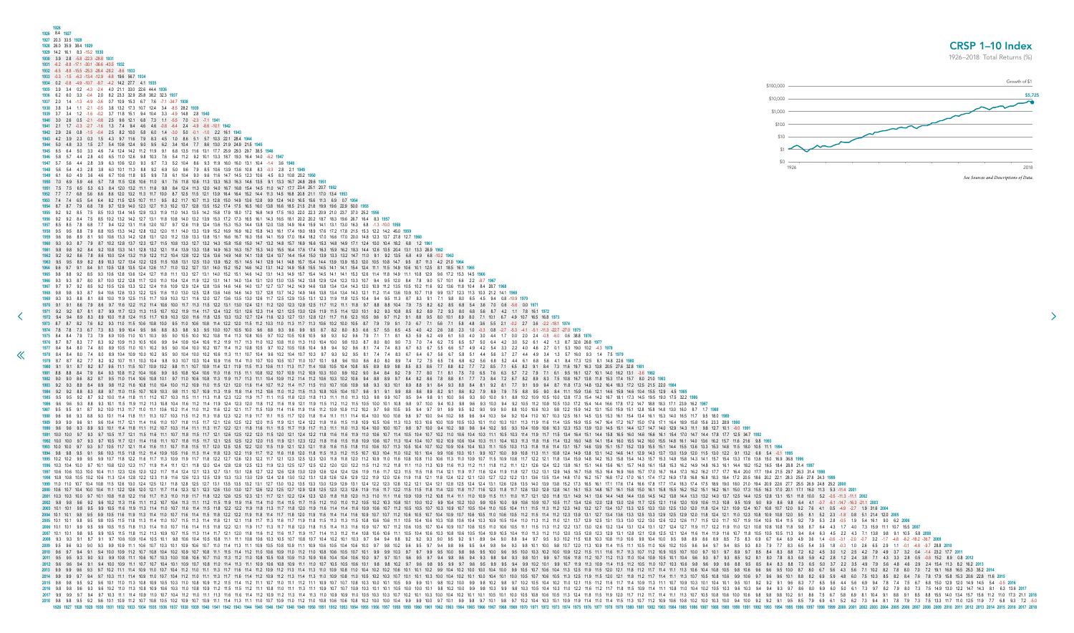<span id="page-7-0"></span>

| 1926<br>1926 8.4 1927                                                                                                                                                                                                                                                                                                                                                                                                                                              |             |  |                 |
|--------------------------------------------------------------------------------------------------------------------------------------------------------------------------------------------------------------------------------------------------------------------------------------------------------------------------------------------------------------------------------------------------------------------------------------------------------------------|-------------|--|-----------------|
| 1927 20.3 33.5 1928<br>1928 26.0 35.9 38.4 1929                                                                                                                                                                                                                                                                                                                                                                                                                    |             |  | <b>CRSP 1-1</b> |
| 1929 14.2 16.1 8.3 -15.2 1930<br>1930 3.9 2.8 -5.8 -22.3 -28.8 1931                                                                                                                                                                                                                                                                                                                                                                                                |             |  | 1926-2018: Tota |
| 1931   -6.2   -8.8   -17.1   -30.1   -36.6   -43.5   1932                                                                                                                                                                                                                                                                                                                                                                                                          |             |  |                 |
| 1932 -6.5 -8.8 -15.5 -25.3 -28.4 -28.2 -8.6 1933                                                                                                                                                                                                                                                                                                                                                                                                                   |             |  |                 |
| 1934 0.2 -0.8 -4.9 -10.7 -9.7 -4.2 14.2 27.7 4.1 1935<br>1935 3.9 3.4 0.2 -4.3 -2.4 4.0 21.1 33.0 22.6 44.4 1936                                                                                                                                                                                                                                                                                                                                                   | \$100,000   |  |                 |
| 3.3 -0.4 2.0 8.2 23.3 32.9 25.8 38.2 32.3 1937<br>1936 6.2 6.0<br>1937  2.0  1.4  -1.3  -4.9  -3.6  0.7  10.9  15.3  6.7  7.6  -7.1  -34.7  1938                                                                                                                                                                                                                                                                                                                   | \$10,000    |  |                 |
| -0.5 3.8 13.2 17.3 10.7 12.4 3.4 -8.5 28.2 1939<br>-0.2 3.7 11.8 15.1 9.4 10.4 3.3 -4.9 14.8 2.8 1940<br>1939 3.7 3.4 1.2 -1.6                                                                                                                                                                                                                                                                                                                                     | \$1,000     |  |                 |
| 68 73<br>121                                                                                                                                                                                                                                                                                                                                                                                                                                                       | \$100       |  |                 |
| 1.3 7.4 9.4 4.6 4.6 -0.8 -6.4 2.4 -4.9 -8.6 -10.1 1942                                                                                                                                                                                                                                                                                                                                                                                                             | \$10        |  |                 |
| 1.5 4.3 9.7 11.6 7.9 8.3 4.5 1.0 8.6 5.1 5.7 10.3 22.1 28.4 1944<br>3.4 10.4 7.7 8.6 13.0 21.9                                                                                                                                                                                                                                                                                                                                                                     |             |  |                 |
| 4.6 7.4 12.4 14.2 11.2 11.9 9.1 6.8 13.5 11.6 13.1 17.7 25.9 29.3 29.7 38.5<br>7.6 5.4 11.2 9.2 10.1 13.3 18.7                                                                                                                                                                                                                                                                                                                                                     |             |  |                 |
| 7.3 5.2 10.4 8.6 9.3 11.9 16.0<br>6.9 5.0 9.6 7.9 8.5 10.6 13.9 13.6 10.8 8.3                                                                                                                                                                                                                                                                                                                                                                                      | \$0<br>1926 |  |                 |
| 16.3<br>16.3 14.6 13.5 9.1 13.3<br>10 R                                                                                                                                                                                                                                                                                                                                                                                                                            |             |  | See Sources and |
|                                                                                                                                                                                                                                                                                                                                                                                                                                                                    |             |  |                 |
|                                                                                                                                                                                                                                                                                                                                                                                                                                                                    |             |  |                 |
| 12.3 12.7 11.3 10.2 13.7 12.8 13.5 15.2 17.4 17.5 16.5                                                                                                                                                                                                                                                                                                                                                                                                             |             |  |                 |
| 11.9 12.4 13.6 15.3<br>15.3 14.4 13.8                                                                                                                                                                                                                                                                                                                                                                                                                              |             |  |                 |
| 11 2 13 9 13 3<br>138 151                                                                                                                                                                                                                                                                                                                                                                                                                                          |             |  |                 |
|                                                                                                                                                                                                                                                                                                                                                                                                                                                                    |             |  |                 |
|                                                                                                                                                                                                                                                                                                                                                                                                                                                                    |             |  |                 |
| 11.5 10.8 13.1 12.5 13.0 13.9<br>152<br>13.9 13.9 15.3<br>12.0 10.5                                                                                                                                                                                                                                                                                                                                                                                                |             |  |                 |
| 11.1 13.3 12.7<br>14.1 14.1 15.3<br>12.6 11.4 11.8<br>15.1 14.6 14.2<br>13.1 14.3 14.9<br>15.7 15.4 14.5                                                                                                                                                                                                                                                                                                                                                           |             |  |                 |
| 12.8 13.7                                                                                                                                                                                                                                                                                                                                                                                                                                                          |             |  |                 |
|                                                                                                                                                                                                                                                                                                                                                                                                                                                                    |             |  |                 |
|                                                                                                                                                                                                                                                                                                                                                                                                                                                                    |             |  |                 |
| 1972 94 94 89 83 89 100 118 124 115 117 109 103 120 116 118 125 133 132 127 124 116 123 127 131 128 121 117 116 123 105 96 97 112 91 88 95 80 101 89 80 71 101 67 49 107 165 168 1973<br>10.0 9.5 11.0 10.6 10.8 11.4 12.2 12.0 11.5 11.2 10.3 11.0 11.3 11.7 11.3 10.6 10.2 10.0 10.5 8.7 7.9 7.9 9.1 7.0 6.7 7.1 5.6 7.1 5.8 4.8 3.6 5.5 2.1 -0.2 2.7 3.6 -2.2 -18.1 1974                                                                                        |             |  |                 |
| 1974 7.8 7.8 7.3 6.7 7.3 8.3 9.9 10.4 9.5 9.6 8.8 8.3 9.8 9.3 9.5 10.0 10.7 10.5 10.0 9.6 8.8 9.3 9.6 9.9 9.5 8.7 8.2 8.0 8.3 6.6 5.7 5.5 6.5 4.5 4.0 4.2 2.6 3.8 2.3 1.0 -0.3 0.8 -2.7 -5.3 -4.1 -5.1 -11.3 -22.7 -27.0 1975<br>1975 8.4 8.4 7.9 7.3 7.9 8.9 10.5 11.0 10.1 10.3 9.5 9.0 10.5 10.0 10.2 10.8 11.4 11.3 10.8 10.5 9.7 10.2 10.5 10.8 10.5 9.8 9.3 9.2 9.6 7.9 7.1 7.1 8.1 6.3 5.9 6.2 4.9 6.1 5.0 4.0 3.0 4.4 1.7 0.0 2.0 2.4 0.8 -6.0 0.6 38.8    |             |  |                 |
| 1976 8.7 8.7 8.3 7.7 8.3 9.2 10.9 11.3 10.5 10.6 9.9 9.4 10.9 10.4 10.6 11.2 11.9 11.7 11.3 11.0 10.2 10.8 11.0 11.0 11.0 11.0 10.4 10.0 9.8 10.3 8.7 8.0 8.0 9.0 7.3 7.0 7.4 6.2 7.5 6.5 5.7 5.0 6.4 4.2 3.0 5.2 6.1 4.2 1.3 8<br>1977 8.4 8.4 8.0 7.4 8.0 8.9 10.5 11.0 10.1 10.2 9.5 9.0 10.4 10.0 10.2 10.7 11.4 11.2 10.8 10.5 9.7 10.2 10.5 10.8 10.4 9.8 9.4 9.2 9.6 8.1 7.4 7.4 8.3 6.7 6.3 6.7 5.5 6.6 5.7 4.9 4.2 5.4 3.3 2.2 4.0 4.6 2.7 0.1 5.3 19.0 1 |             |  |                 |
| 1978 84 84 80 74 80 89 104 109 100 102 95 90 104 100 102 106 11.3 11.1 10.7 104 96 102 104 10.7 10.3 9.7 9.3 9.2 9.5 8.1 7.4 7.4 8.3 6.7 6.4 6.7 5.6 6.7 5.8 5.1 4.4 5.6 3.7 2.7 4.4 4.9 3.4 1.3 5.7 160 9.3 1.4 7.5 1979<br>1979 8.7 8.7 8.2 7.7 8.2 9.2 10.7 11.1 10.3 10.4 9.8 9.3 10.7 10.3 10.4 10.9 11.6 11.4 11.0 10.7 10.0 10.5 10.7 10.0 10.7 10.1 9.9 9.6 10.0 8.6 8.0 8.0 8.9 7.4 7.2 7.5 6.5 7.6 6.8 6.2 5.6 6.8 5.2 4.4 6.1 6.8 5.6 4.1 8.4 17.       |             |  |                 |
| 1980 9.1 9.1 8.7 8.2 8.7 9.6 11.1 11.5 10.7 10.9 10.2 9.8 11.1 10.7 10.9 11.4 12.1 11.9 11.5 11.3 10.6 11.1 11.3 11.7 11.4 10.8 10.5 10.4 10.8 9.5 8.9 9.8 8.5 8.3 8.6 7.7 8.8 8.2 7.7 7.2 8.5 7.1 6.5 8.2 9.1 8.4 7.3 11.6 19.                                                                                                                                                                                                                                    |             |  |                 |
| 1981 8.8 8.8 8.4 7.9 8.4 9.3 10.8 11.2 10.4 10.6 9.9 9.5 10.8 10.4 10.6 11.0 11.6 11.1 10.8 10.2 10.7 10.9 11.2 10.9 10.3 10.0 9.9 10.2 9.0 8.4 8.4 9.2 7.9 7.7 8.0 7.1 8.1 7.5 7.0 6.5 7.6 6.3 5.7 7.2 7.9 7.1 6.1 9.5 16.1 12<br>1982 9.0 9.0 8.6 8.2 8.7 9.5 11.0 11.4 10.6 10.8 10.1 9.7 11.0 10.6 10.8 11.3 11.9 11.7 11.3 11.1 10.4 10.4 10.9 11.2 11.4 11.2 10.6 10.3 10.2 10.6 9.4 8.0 8.9 9.7 8.4 8.2 8.6 7.8 8.8 8.1 7.7 7.3 8.4 7.2 6.7 8.2 8.9 8.3 7.5 |             |  |                 |
| 1983 9.2 9.3 8.9 8.4 8.9 9.8 11.2 11.6 10.8 11.0 10.4 10.0 11.2 10.9 11.0 11.5 12.1 12.0 11.6 11.4 10.7 11.5 11.4 10.7 11.5 11.0 10.7 10.6 10.9 9.8 9.3 9.3 10.1 8.9 8.8 9.1 84 9.3 8.8 84 8.1 9.2 8.1 7.7 9.1 9.9 9.4 8.7 11.8<br>1984 92 92 88 83 88 97 11.0 11.5 10.7 10.9 10.3 98 11.1 10.7 10.9 11.3 11.9 11.8 11.4 11.2 10.6 11.0 11.2 11.5 11.3 10.8 10.5 10.4 10.7 9.6 9.1 9.9 8.8 8.6 8.9 8.2 9.1 8.6 8.2 7.9 8.9 7.9 7.5 8.8 9.5 9.0 8.4 11.1 15.9 13.6  |             |  |                 |
| 1986 9.6 9.6 9.3 8.8 9.3 10.1 11.5 11.9 11.2 11.3 10.8 10.4 11.6 11.2 11.4 11.9 12.4 12.3 12.0 11.8 11.2 11.6 11.9 11.9 11.9 11.1 11.9 11.1 11.9 11.1 11.9 12.1 11.9 11.1 11.9 11.1 11.9 11.1 11.9 11.1 11.9 11.1 11.9 11.1 11.                                                                                                                                                                                                                                    |             |  |                 |
| 1987 9.5 9.5 9.1 8.7 9.2 10.0 11.3 11.7 11.0 11.1 10.6 10.2 11.4 11.0 11.2 11.6 12.2 12.1 11.7 11.5 10.9 11.4 11.6 11.9 11.6 11.2 10.9 10.9 11.2 10.9 10.9 10.1 0.9 10.5 9.5 9.4 9.7 9.4 9.7 9.1 9.9 9.5 9.4 9.7 9.0 9.9 9.0 8.<br>1988 9.6 9.6 9.3 8.8 9.3 10.1 11.4 11.8 11.1 11.3 10.7 10.3 11.5 11.2 11.3 11.8 12.3 12.2 11.9 11.7 11.1 11.5 11.7 12.0 11.8 11.4 11.1 11.1 11.4 10.4 10.0 10.0 10.8 9.8 9.7 10.0 9.4 10.2 9.8 9.6 9.4 10.3 10.4 11.0 10.7 10.3 |             |  |                 |
|                                                                                                                                                                                                                                                                                                                                                                                                                                                                    |             |  |                 |
| 1991 100 100 9.7 9.3 9.7 105 11.7 12.1 11.5 11.6 11.1 10.7 11.8 11.5 11.7 12.1 12.6 12.5 12.2 12.0 11.5 12.0 12.1 12.4 12.2 11.8 11.6 11.9 11.0 10.6 10.7 11.4 10.5 10.4 10.7 10.1 10.5 10.4 10.3 11.1 10.5 10.4 10.3 11.1 10.5                                                                                                                                                                                                                                    |             |  |                 |
|                                                                                                                                                                                                                                                                                                                                                                                                                                                                    |             |  |                 |
| 1994 9.8 9.8 9.5 9.1 9.6 10.3 11.5 11.8 11.2 11.4 10.9 10.5 11.6 11.3 11.4 11.8 12.3 12.2 11.9 11.7 11.2 11.6 11.8 12.0 11.8 11.3 11.4 11.8 12.0 11.5 11.3 11.4 11.8 12.0 11.8 11.9 11.5 11.1 11.8 12.11.5 10.7 10.3 10.4 11.0<br>1995 10.2 10.2 10.2 10.3 11.3 11.4 11.3 11.6 11.7 11.3 10.9 11.9 11.7 11.8 12.2 12.7 12.6 12.3 12.2 11.7 12.6 12.3 12.0 11.7 12.3 12.0 11.8 12.2 12.1 12.1 12.3 12.0 11.8 11.7 12.1 1.8 12.0 11.8 11.0 11.0 11.0 11.0 10.9 10.1  |             |  |                 |
| 1997 10.6 10.6 10.6 10.0 10.4 11.1 12.3 12.6 12.0 12.2 11.7 11.4 12.4 12.1 12.3 12.7 13.1 12.8 12.7 13.1 12.8 12.7 12.2 12.6 12.8 12.7 13.1 12.8 12.7 12.2 12.6 12.8 13.0 12.9 12.6 12.4 12.1 12.9 12.6 12.9 12.8 13.0 12.9 12.                                                                                                                                                                                                                                    |             |  |                 |
| 1998 10.8 10.8 10.5 10.2 10.6 11.3 12.4 12.8 12.2 12.3 11.9 11.6 12.6 12.3 12.5 12.9 13.3 13.0 13.9 13.3 13.0 12.9 12.4 12.8 13.0 12.9 12.4 12.8 13.0 13.2 13.1 12.8 12.6 12.9 12.1 1.8 12.6 12.9 12.1 1.8 12.1 1.9 12.0 12.1 1<br>1999 11.0 10.7 10.4 10.8 11.5 12.6 13.0 12.4 12.5 12.1 11.8 12.8 12.5 12.7 13.1 13.5 13.2 13.1 13.5 13.2 13.1 12.7 13.0 13.2 13.3 13.0 12.9 13.1 12.4 12.1 12.8 12.5 12.4 13.1 12.6 12.6 13.5 14.0 13.9 13.8 15.2 12.4 13.1 12. |             |  |                 |
| 2000 10.6 10.7 10.4 10.0 10.4 11.1 12.2 12.6 12.0 12.1 11.7 11.4 12.3 12.1 12.3 12.6 13.0 13.0 12.7 12.6 12.2 12.5 12.7 12.6 12.2 12.5 12.7 12.6 12.2 12.5 12.7 12.9 12.8 12.5 12.7 12.9 12.8 12.5 12.1 1.9 11.8 11.4 12.0 11.5<br>2001 103 103 100 97 101 108 118 122 116 117 113 110 119 117 118 122 126 125 123 121 117 121 122 124 123 121 117 121 122 124 123 120 118 118 120 118 118 120 118 118 120 118 118 120 118 118 120 118 118 120 118 118 120 118 12  |             |  |                 |
|                                                                                                                                                                                                                                                                                                                                                                                                                                                                    |             |  |                 |
| 2003 10.1 10.1 9.8 9.5 9.9 10.5 11.6 11.9 11.3 11.4 11.0 10.7 11.6 11.4 11.5 11.8 12.2 12.2 11.9 11.8 11.8 11.8 11.8 11.8 11.7 11.8 12.0 11.9 11.6 11.1 11.8 12.0 11.9 11.6 11.1 11.1 11.6 10.9 10.6 10.7 10.5 10.4 11.0 10.5 1<br>2004 10.1 10.1 20.2 10.5 11.6 11.9 11.3 11.4 11.0 10.7 11.6 11.4 11.5 11.8 12.2 12.2 11.9 11.8 12.4 12.2 12.2 11.9 11.8 11.4 11.4 11.1 1.8 12.0 11.9 11.6 11.4 11.6 10.9 1.07 10.6 10.7 10.6 10.7 10.1 10.9 10.7 10.6 10.9 10.1 |             |  |                 |
| 2005 10.1 10.1 9.8 9.5 9.8 10.5 11.5 11.3 11.4 11.0 10.7 11.5 11.3 11.4 11.0 12.1 11.3 11.4 11.8 12.1 1.14 11.8 12.1 1.1 1.8 12.1 1.1.8 11.7 11.3 11.6 11.7 11.9 11.8 11.5 11.3 11.5 10.8 10.10 10.5 10.4 10.5 10.4 10.0 10.5 1<br>2006 10.1 10.5 11.5 11.8 11.3 11.4 11.0 10.7 11.6 11.4 11.5 11.8 12.2 12.1 11.9 11.7 11.3 11.7 11.3 11.7 11.8 12.0 11.8 11.5 11.8 12.0 11.8 11.5 11.8 12.0 11.8 11.5 11.8 12.0 11.8 11.5 11.8 12.0 11.8 11.9 11.8 11.9 11.8 11. |             |  |                 |
| 2008 93 94 87 94 105 109 104 105 104 105 104 105 106 104 105 106 111 111 108 106 103 105 107 108 100 107 108 107 108 107 104 102 101 103 97 94 94 98 92 92 93 90 95 92 94 98 94 97 95 93 102 115 108 103 108 110 106 99 104 100                                                                                                                                                                                                                                    |             |  |                 |
| 2009 9.5 9.6 9.3 9.9 10.9 11.1 10.6 10.7 10.3 10.1 10.9 10.6 10.7 11.0 11.4 11.3 11.1 10.9 10.5 10.4 11.3 11.1 10.9 10.5 10.8 10.9 11.1 10.9 10.5 10.8 10.9 11.1 10.9 10.5 10.4 10.9 10.5 10.4 10.6 10.7 9.8 10.1 10.9 10.6 10.                                                                                                                                                                                                                                    |             |  |                 |
|                                                                                                                                                                                                                                                                                                                                                                                                                                                                    |             |  |                 |
| a 154 154 154 162 2012 18 12 12 11 10.7 10.4 10.1 10.7 10.4 10.1 10.9 10.7 10.8 11.0 11.4 11.3 11.1 10.9 10.7 10.8 11.0 11.1 11.1 10.9 10.6 10.8 10.9 11.1 11.0 10.5 10.5 10.5 10.5 10.1 0.9 10.7 10.5 10.1 10.9 10.7 10.5 10.<br>3.2013 9.3 9.7 10.2 11.1 11.4 10.9 11.0 10.7 10.4 11.2 11.0 11.1 11.3 11.7 11.6 11.4 11.2 11.0 11.1 11.3 11.7 11.6 11.4 11.2 10.9 11.2 11.3 11.4 11.3 11.0 10.9 10.8 11.0 10.9 10.8 11.0 10.1 10.1 10.4 10.2 10.5 11.0 11.0 11   |             |  |                 |
|                                                                                                                                                                                                                                                                                                                                                                                                                                                                    |             |  |                 |
|                                                                                                                                                                                                                                                                                                                                                                                                                                                                    |             |  |                 |
|                                                                                                                                                                                                                                                                                                                                                                                                                                                                    |             |  |                 |

8 15.3 17.4 15.7 8.0 21.0 1983 2 16.4 18.3 17.2 12.5 21.5 22.0 1984 1 14.6 15.9 14.6 10.4 15.5 12.9 4.5 1985 2 16.7 18.1 17.3 14.5 19.5 19.0 17.5 32.2 1986 4 16.6 17.8 17.2 14.7 18.8 18.3 17.1 23.9 16.2 1987  $1\,15.0\,15.9\,15.1\,12.8\,15.8\,14.8\,13.0\,16.0\,8.7\,1.7\,1988$ 5 15.3 16.1 15.4 13.4 16.1 15.3 14.0 16.5 11.7 9.5 18.0 1989 16.4 17.2 16.7 15.0 17.6 17.1 16.4 18.9 15.8 15.6 23.3 28.9 1990 0 14.5 15.1 14.4 12.7 14.7 14.0 12.9 14.3 11.1 9.8 12.7 10.1 -6.0 1991 4 15.8 16.5 16.0 14.6 16.6 16.1 15.4 17.0 14.7 14.4 17.8 17.7 12.5 34.7 1992 15.4 16.0 15.5 14.2 16.0 15.5 14.8 16.1 14.0 13.6 16.2 15.7 11.6 21.6 9.8 1993 9 15.1 15.7 15.2 13.9 15.5 15.1 14.4 15.5 13.6 13.3 15.3 14.8 11.5 18.0 10.5 11.1 1994 1 14.2 14.6 14.1 12.9 14.3 13.7 13.0 13.9 12.0 11.5 13.0 12.2 9.1 13.2 6.8 5.4 -0.1 1995 2 15.3 15.8 15.4 14.3 15.7 15.3 14.8 15.8 14.3 14.1 15.7 15.4 13.3 17.6 13.6 15.0 16.9 36.8 1996 6 15.6 16.1 15.7 14.8 16.1 15.8 15.3 16.2 14.9 14.8 16.3 16.1 14.4 18.2 15.2 16.5 18.4 28.8 21.4 1997 3 164 169 166 157 170 167 164 173 162 162 177 177 164 200 177 194 215 297 263 314 1998 16.8 17.2 17.0 16.1 17.4 17.2 16.9 17.8 16.8 16.8 18.3 18.4 17.2 20.5 18.6 20.2 22.1 28.3 25.6 27.8 24.3 1999 1 17.1 17.6 17.4 16.6 17.8 17.7 17.4 18.3 17.4 17.5 18.9 19.0 18.0 21.0 19.4 20.9 22.6 27.7 25.5 26.9 24.8 25.2 2000 8 15.7 16.1 15.8 15.0 16.1 15.8 15.5 16.2 15.2 15.1 16.2 16.1 15.0 17.3 15.5 16.3 17.0 20.1 17.1 16.0 11.3 5.3 -11.4 2001 6 14.4 14.8 14.4 13.6 14.5 14.2 13.8 14.4 13.3 13.2 14.0 13.7 12.5 14.4 12.5 12.8 13.1 15.1 11.8 10.0 5.2 -0.5 -11.3 -11.1 2002 0 128 130 126 11.7 125 121 11.6 120 10.9 10.6 11.3 10.8 9.5 10.9 9.0 8.9 8.6 9.8 6.4 4.1 -0.7 -6.1 -14.7 -16.3 -21.1 2003 13.4 13.7 13.3 12.5 13.3 13.0 12.5 13.0 12.0 11.8 12.4 12.1 10.9 12.4 10.7 10.8 10.7 12.0 9.2 7.6 4.1 0.5 4.9 -2.7 1.9 31.6 2004 7 134 136 133 125 133 129 125 129 120 11.8 124 121 11.0 123 10.8 10.9 10.8 12.0 9.5 8.1 5.2 2.3 -1.8 0.8 5.1 21.4 12.0 2005 5 13.1 13.3 13.0 12.2 13.0 12.6 12.2 12.6 11.7 11.5 12.0 11.7 10.7 11.9 10.4 10.5 10.4 11.5 9.2 7.9 5.3 2.8 -0.5 1.9 5.4 16.1 9.0 6.2 2006 6 13.2 13.4 13.1 12.4 13.1 12.7 12.4 12.7 11.9 11.7 12.2 11.9 11.0 12.1 10.8 10.8 10.8 11.8 9.8 8.7 6.4 4.3 1.7 4.0 7.3 15.9 11.1 10.7 15.5 2007 3 12.9 13.1 12.8 12.1 12.8 12.5 12.1 12.4 11.6 11.4 11.9 11.6 10.7 11.8 10.5 10.5 10.5 11.3 9.4 8.4 6.3 4.5 2.2 4.3 7.1 13.8 9.8 9.1 10.5 5.8 2008 3 10.8 11.0 10.6 9.9 10.4 10.0 9.5 9.8 8.9 8.6 8.9 8.5 7.5 8.3 6.9 6.7 6.4 6.9 4.9 3.6 1.4 -0.6 -3.1 -2.0 -0.7 3.2 -1.7 -4.8 -8.2 -18.2 -36.7 2009 9 11.4 11.5 11.1 10.5 11.0 10.6 10.2 10.5 9.6 9.4 9.7 9.4 8.5 9.3 8.0 7.9 7.7 8.3 6.5 5.4 3.5 1.8 0.3 1.0 2.6 6.5 2.9 1.1 0.1 4.8 9.7 28.8 2010 5 120 121 11.8 11.2 11.7 11.4 11.1 11.3 10.7 10.5 10.8 10.6 9.9 10.6 9.7 9.6 9.6 10.1 8.8 8.2 6.9 5.9 4.8 6.0 7.5 10.3 8.5 8.2 8.4 7.6 7.8 17.9 15.8 15.3 20.6 22.8 11.6 2015 2 11.6 11.7 11.4 10.9 11.3 11.1 10.7 10.9 10.3 10.1 10.4 10.1 9.5 10.1 9.2 9.2 9.1 9.6 8.3 7.7 6.5 5.6 4.4 5.6 6.9 9.4 7.8 7.4 7.5 6.7 6.8 15.0 12.9 12.0 14.9 14.5 5.4 -0.5 2016 2 11.7 11.8 11.5 10.9 11.4 11.1 10.8 11.0 10.4 10.2 10.5 10.3 9.6 10.3 9.4 9.4 9.3 9.7 8.6 8.0 6.9 6.0 5.0 6.1 7.3 9.7 8.2 7.9 8.0 7.3 7.5 14.9 13.0 12.2 14.7 14.3 8.1 6.3 13.6 2017 11.9 12.0 11.7 11.2 11.7 11.4 11.1 11.3 10.7 10.5 10.8 10.6 10.0 10.6 9.8 9.8 9.8 10.2 9.1 8.6 7.5 6.7 5.8 6.9 8.1 10.4 9.1 8.8 9.1 8.5 8.8 15.5 14.0 13.4 15.7 15.6 11.2 11.0 17.3 21.1 2018 0 11.4 11.5 11.3 10.7 11.2 10.9 10.6 10.8 10.2 10.0 10.3 10.0 9.4 10.0 9.2 9.2 9.1 9.5 8.5 7.9 6.9 6.1 5.2 6.2 7.3 9.4 8.1 7.8 7.9 7.3 7.5 13.3 11.7 11.0 12.5 11.9 7.7 6.8 9.3 7.2 -5.0 **1926 1927 1928 1929 1930 1931 1932 1933 1934 1935 1936 1937 1938 1939 1940 1941 1942 1943 1944 1945 1946 1947 1948 1949 1950 1951 1952 1953 1954 1955 1956 1957 1958 1959 1960 1961 1962 1963 1964 1965 1966 1967 1968 1969 1970 1971 1972 1973 1974 1975 1976 1977 1978 1979 1980 1981 1982 1983 1984 1985 1986 1987 1988 1989 1990 1991 1992 1993 1994 1995 1996 1997 1998 1999 2000 2001 2002 2003 2004 2005 2006 2007 2008 2009 2010 2011 2012 2013 2014 2015 2016 2017 2018**

## CRSP 1–10 Index

1926–2018: Total Returns (%)

![](_page_7_Figure_3.jpeg)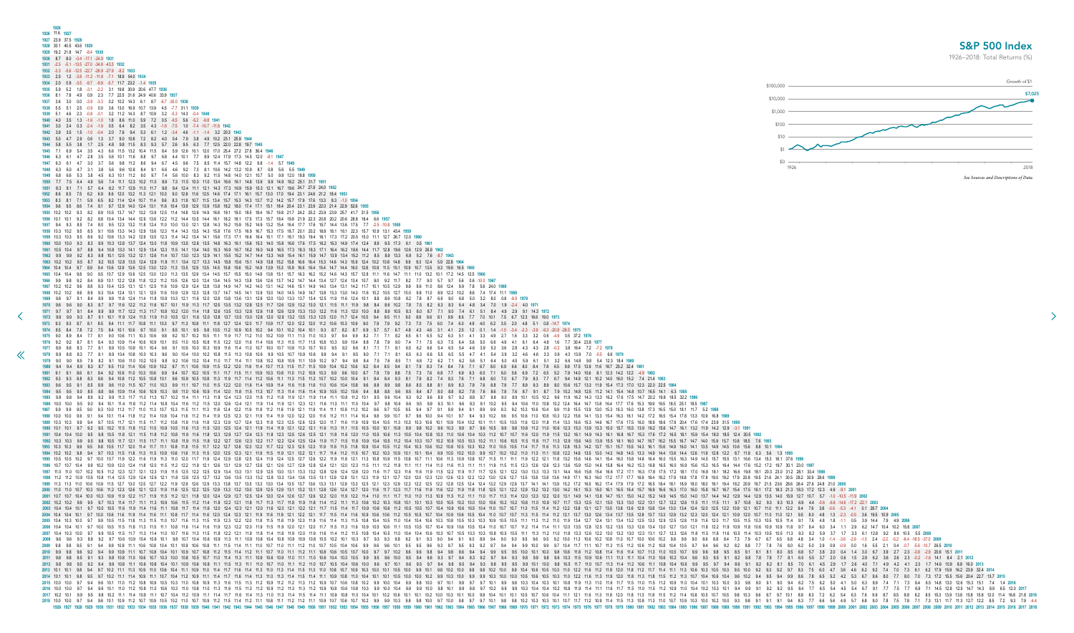<span id="page-8-0"></span>

| 1926<br>1926 11.6 1927<br>1927 23.9 37.5 1928<br>1928 30.1 40.5 43.6 1929<br>1929 19.2 21.8 14.7 -8.4 1930<br>1930  8.7  8.0  -0.4  -17.1  -24.9  1931<br>1932 -3.3 -5.6 -12.5 -22.7 -26.9 -27.9 -8.2<br>1933    2.5    1.2    -3.8    -11.2    -11.9    -7.1    18.9<br>1934  2.0  0.9  -3.5  -9.7  -9.9  -5.7  11.7  23.2  -1.4  1935<br>-3.1 -2.2 3.1 19.8 30.9 20.6 47.7 193<br>0.9 2.3 7.7 22.5 31.6 24.9 40.6 33.9 1937<br>$-3.9$ $-3.3$ 0.2 10.2 14.3 6.1<br>36 130 169 107<br>139 45<br>11.2 14.3 8.7 10.9 3.2<br>$-0.1$ 3.2<br>8.2 3.5 4.3 -1.6 -7.5 1.0 -7.4 -10.7 -11.6 1942<br>9.0 10.8 7.2 8.2 4.0 0.4 7.9 3.8 4.9 10.2 23.1 25.9<br>11.5 13.2 10.4 11.5 8.4 5.9 12.6 10.1 12.0 17.0 25.4 27.2 27.8 36.4 1946<br>9.7 6.8<br>4.4 10.1 7.7 8.9 12.4 17.9 17.3 14.5                                                                                                                                                                                                                                                                                                                                                                                                                                                                                                                                                                                                                                                                                                                                                                                                                                                                                                                                                                                                                                                                                                                                                                                                                                                                                                                                                                                                                                                                                                                                                                                                                                                                                                                                                                                                                                                                                                                                                                                                                                                                                                                                                                                                                                                                                                                                                                                                                                                                                                                                                                                                                                                                                                                                                                                                                                                                                                                                                                                                                                                                                                                                                                                                                                                                                                                                                                                                                                                                                                                                                                                                                                                                                                                                                                                                                                                                                                                                                                                                                                                                                                                                                                                                                                                                                                                                                                                                                                                                                                                                                                                                                                                                                                                                                                                                                                                                                                                                                                                                                                                                      | <b>S&amp;P</b><br>1926-2018:<br>\$100,000<br>\$10,000<br>\$1,000<br>\$100 |
|----------------------------------------------------------------------------------------------------------------------------------------------------------------------------------------------------------------------------------------------------------------------------------------------------------------------------------------------------------------------------------------------------------------------------------------------------------------------------------------------------------------------------------------------------------------------------------------------------------------------------------------------------------------------------------------------------------------------------------------------------------------------------------------------------------------------------------------------------------------------------------------------------------------------------------------------------------------------------------------------------------------------------------------------------------------------------------------------------------------------------------------------------------------------------------------------------------------------------------------------------------------------------------------------------------------------------------------------------------------------------------------------------------------------------------------------------------------------------------------------------------------------------------------------------------------------------------------------------------------------------------------------------------------------------------------------------------------------------------------------------------------------------------------------------------------------------------------------------------------------------------------------------------------------------------------------------------------------------------------------------------------------------------------------------------------------------------------------------------------------------------------------------------------------------------------------------------------------------------------------------------------------------------------------------------------------------------------------------------------------------------------------------------------------------------------------------------------------------------------------------------------------------------------------------------------------------------------------------------------------------------------------------------------------------------------------------------------------------------------------------------------------------------------------------------------------------------------------------------------------------------------------------------------------------------------------------------------------------------------------------------------------------------------------------------------------------------------------------------------------------------------------------------------------------------------------------------------------------------------------------------------------------------------------------------------------------------------------------------------------------------------------------------------------------------------------------------------------------------------------------------------------------------------------------------------------------------------------------------------------------------------------------------------------------------------------------------------------------------------------------------------------------------------------------------------------------------------------------------------------------------------------------------------------------------------------------------------------------------------------------------------------------------------------------------------------------------------------------------------------------------------------------------------------------------------------------------------------------------------------------------------------------------------------------------------------------------------------------------------------------------------------------------------------------------------------------------------------------------------------------------------------------------------------------------------------------------------------------------------------------------------------------------------------------------------------------------------------------------------------------------------------------------------------------------------------------------------------------------------------------------------------------------------------------------------------------------------------------------------------------------------------------------------------------------------------------------------------------------------------------------------------------------------------------------------------------------------------------------------------------------------------------------------------------------------------------------------------------------------------------------------------------------------------------------------------------------------------------------------------------------------------------------------------------------------------------------------------------------------------------------------------------------------------------------------------------------------------------------------------------------------------------------------------------------------------------------------------------|---------------------------------------------------------------------------|
| 45 96 75 85 114 157 148 122<br>4.6 9.2 7.3 8.1 10.6 14.2 13.2 10.9<br>11.5 10.0 11.0<br>13.9 12.9 13.9<br>13.0 12.1<br>123 114 142 134 141<br>12.9 13.6 12.5 13.0 12.0 11.3 13.5 12.9 13.4 14.5 15.7 15.5 15.0 14.8 13.8 15.1 15.7 16.3 16.2 15.2 14.6 14.3<br>12.8 11.1 11.6 14.7<br>88 96 81 99 86 77 70 101 75 67 123 166 190 1973<br>12.1 11.6 12.0 12.8 13.7 13.5 13.0 12.8 12.0 12.9 13.2 13.5 13.3 12.5 12.0 11.7 12.4 10.5 9.4<br>9.5 11.1 9.0<br>8.1 8.5 9.4 11.1 11.7 10.8 11.1 10.3 9.7 11.3 10.8 11.1 11.8 12.7 12.4 12.0 11.7 10.9 11.7 12.0 12.2 12.0 11.2 10.6 10.3 10.9 9.0 7.9 7.9 9.2 7.3 7.0 7.5 6.0 7.4 6.0 4.9 4.0 6.2 3.5 2.0 4.8 5.1 0.8 -14.7 1974<br>1974 8.5 8.4 7.8 7.2 7.5 8.4 10.1 10.6 9.7 10.0 9.1 8.5 10.1 9.5 9.8 10.5 11.2 10.9 10.5 10.2 9.4 10.1 10.2 10.4 10.1 9.3 8.7 8.2 8.7 6.9 5.7 5.7 6.7 4.8 4.3 4.6 3.1 4.1 2.5 1.2 0.1 1.4 -1.5 -3.4 -2.3 -3.9 -9.3 -20.8 -20.8<br>1975 9.0 8.9 8.4 7.7 8.1 9.0 10.6 11.1 10.3 10.6 9.8 9.2 10.7 10.2 10.5 11.1 11.9 11.7 11.2 11.0 10.2 10.9 11.1 11.3 11.0 10.3 9.7 9.4 9.9 8.2 7.1 7.1 8.2 6.5 6.1 6.5 5.2 6.3 5.1 4.1 3.3 4.9 2.7 1.6 3.3 3.2 0.6 4.9 0.5 37.2<br>1976 9.2 9.2 8.7 8.1 8.4 9.3 10.9 11.4 10.6 10.9 10.1 9.5 11.0 10.5 10.8 11.5 12.2 12.0 11.6 11.4 10.6 11.5 11.5 11.5 11.5 10.8 10.3 9.9 10.4 8.8 7.8 7.9 9.0 7.4 7.1 7.5 6.3 7.5 6.4 5.6 5.0 6.6 4.9 4.1 6.1 6.4 4.9 1.6 7.7 3<br>1977 8.9 8.8 8.3 7.7 8.1 8.9 10.5 10.9 10.1 10.4 9.6 9.1 10.5 10.0 10.3 10.9 11.6 11.4 11.0 10.7 10.0 10.7 10.8 11.0 10.7 10.0 9.5 9.2 9.6 8.1 7.1 7.1 8.1 6.5 6.2 6.6 5.4 4.5 5.4 4.6 3.9 5.3 3.6 2.8 4.3 4.3 4.3 4.3 2.8 -0.2<br>1978 8.9 8.8 8.3 7.7 8.1 8.9 10.4 10.8 10.0 10.3 9.6 9.0 10.4 10.0 10.2 10.8 11.5 11.3 10.9 10.6 9.9 10.5 10.7 10.9 10.6 9.9 9.4 9.1 9.5 8.0 7.1 7.1 8.1 6.5 6.3 6.6 5.5 6.5 5.5 4.7 4.1 5.4 3.9 3.2 4.6 4.6 3.3 0.9 4.3 13.9 7<br>1979 9.0 9.0 8.5 7.9 8.2 9.1 10.6 11.0 10.2 10.5 9.8 9.2 10.6 10.2 10.4 11.0 11.7 11.4 11.1 10.8 10.2 10.8 10.9 10.1 10.9 10.2 9.7 9.4 9.8 8.4 7.5 7.6 8.5 7.1 6.8 7.2 6.2 7.1 6.2 5.6 5.1 6.4 5.0 4.5 5.9 6.1 5.1 3.2 6.6 14.8<br>1980 94 94 89 83 87 95 110 114 106 109 102 97 111 106 109 115 122 120 116 114 107 113 115 117 115 109 104 102 106 92 84 85 94 81 79 83 74 84 76 71 67 80 69 66 80 84 78 65 99 175 139 116 187 252 324 1981<br>1981 9.1 9.1 8.6 8.1 8.4 9.2 10.6 11.0 10.3 10.6 9.9 9.4 10.7 10.2 10.5 11.1 11.7 11.5 11.1 10.9 10.3 10.8 11.0 11.2 10.9 10.3 9.9 9.6 10.0 8.7 7.9 7.9 8.8 7.5 7.3 7.6 6.8 7.7 6.9 6.3 6.0 7.1 6.0 5.6 6.9 7.2 6.5 5.2 7.9 14.<br>1982 9.3 9.3 8.8 8.3 8.6 9.4 10.8 11.2 10.5 10.8 10.1 9.6 10.9 10.5 10.8 11.3 11.9 11.7 11.4 11.2 10.6 11.1 11.3 11.5 11.2 10.7 10.2 10.0 10.4 9.1 84 84 93 81 7.9 82 7.4 83 7.6 7.1 6.8 8.0 7.0 6.7 7.9 83 7.7 6.7 9.4 14.9 12<br>1983 9.6 9.5 9.1 8.5 8.9 9.6 11.0 11.5 10.7 11.0 10.3 9.9 11.1 10.7 11.0 11.5 12.2 12.0 11.6 11.4 10.9 11.4 10.9 11.4 11.6 11.8 11.6 11.0 10.6 10.4 10.8 9.6 8.8 8.9 9.8 8.6 8.5 8.8 8.1 8.9 8.3 7.9 7.6 8.8 7.9 7.7 8.9 9.3 8.<br>1984 95 95 90 85 88 96 109 114 106 109 103 98 110 106 109 114 120 118 115 113 107 113 114 116 114 109 105 102 106 94 88 88 96 85 84 87 80 88 82 78 76 87 80 78 76 87 97 97 91 87 79 102 148 125 112 141 154 148 107 165 141 63<br>1985 9.8 9.8 9.4 8.9 9.2 9.9 11.3 11.7 11.0 11.3 10.7 10.2 11.4 11.1 11.3 11.8 12.4 12.3 12.0 11.8 11.2 11.8 11.1 11.9 11.4 11.1 11.9 11.4 11.1 11.9 11.4 11.1 11.9 11.4 11.1 11.9 11.4 11.1 10.8 11.1 10.8 11.2 10.1 9.5 9.6 1<br>1986 10.0 10.0 9.5 9.0 9.4 10.1 11.4 11.8 11.2 11.4 10.8 10.4 11.6 11.2 11.5 12.0 12.6 12.4 12.1 11.9 11.4 11.9 12.1 11.9 12.1 11.9 12.1 11.9 12.1 11.9 12.1 11.9 12.1 11.9 12.1 11.5 11.3 11.1 11.5 10.4 9.7 9.8 10.6 9.5 9.9<br>1987 9.9 9.9 9.9 9.5 9.0 9.3 10.0 11.3 11.7 11.0 11.3 10.7 10.3 11.5 11.1 11.3 11.8 12.4 12.2 11.9 11.8 11.2 11.8 11.1 1.1 1.9 11.4 11.1 10.9 11.3 10.2 9.6 9.7 10.5 9.9 9.4 9.1 9.9 9.4 9.1 8.9 9.9 9.3 9.2 10.3 10.6 10.4 9.9<br>1988 10.0 10.0 9.6 9.1 9.4 10.1 11.4 11.8 11.2 11.4 10.8 10.4 11.6 11.2 11.4 11.9 12.5 12.1 11.9 12.1 11.9 11.4 11.9 12.0 12.1 11.6 11.2 12.0 11.6 11.2 11.1 11.4 10.4 9.8 9.9 10.7 9.7 9.6 10.0 9.4 10.1 9.7 9.4 9.3 10.2 9.6<br>1990 10.1 10.1 9.7 9.2 9.5 10.2 11.5 11.8 11.2 11.5 10.9 10.5 11.6 11.3 11.5 12.0 12.5 12.4 12.1 11.9 11.4 11.9 12.1 12.1 11.5 12.1 11.5 11.3 11.1 11.5 10.1 11.5 10.0 10.1 10.8 9.9 9.8 10.2 9.6 10.5 9.9 9.8 10.5 11.9 11.0 1<br>1992 10.3 10.3 9.9 9.5 9.8 10.5 11.7 12.1 11.5 11.7 11.1 10.8 11.9 11.5 11.8 11.8 11.8 12.2 12.7 12.6 12.3 12.2 11.7 12.2 12.4 12.5 12.4 11.9 11.5 11.8 10.9 10.4 10.5 11.0 10.5 10.7 10.9 10.4 10.5 11.0 10.9 10.5 10.7 10.9 1<br>1993 10.3 10.3 10.3 10.5 11.7 12.0 11.4 11.7 11.1 10.8 11.8 11.5 11.7 12.2 12.7 12.6 12.3 12.2 11.7 12.2 12.1 12.2 12.3 12.9 11.7 12.2 12.3 12.9 11.7 12.2 12.3 12.9 11.5 11.6 11.6 11.8 10.4 10.5 11.0 10.4 10.3 10.6 10.2 10.<br>1994 10.2 10.2 10.3 14.9 14.4 13.5 11.5 11.8 11.3 11.5 11.9 10.6 11.6 11.6 11.5 11.5 12.0 12.5 12.1 11.9 11.5 11.9 11.5 11.9 12.1 1.2 12.1 11.7 11.4 11.2 11.5 10.7 10.0 10.9 10.1 10.4 10.9 10.7 10.2 10.0 9.9 10.7 10.2 10.0<br>1995 10.5 10.5 10.2 9.7 10.0 10.7 11.9 12.2 11.6 11.9 11.3 11.0 12.0 11.7 11.9 12.4 12.9 12.8 12.5 12.4 11.9 12.5 12.4 11.9 12.4 12.5 12.7 12.6 12.7 12.6 12.7 12.6 12.7 12.6 12.7 11.9 11.9 1.1.0 1.1.0 1.1.0 1.1.0 1.1.0 1.0.<br>1997 11.0 11.0 10.7 10.2 10.5 11.2 12.3 12.7 12.1 12.3 11.9 11.5 12.5 12.9 12.5 12.9 13.4 13.3 13.1 12.9 12.5 13.0 13.1 12.9 12.5 13.0 13.1 13.3 13.1 12.9 12.6 12.6 12.6 12.6 12.6 12.6 12.8 12.0 11.6 11.7 12.3 11.6 11.6 11.<br>1999 11.3 11.3 11.0 10.6 10.9 11.5 12.7 13.0 12.5 12.7 12.2 11.9 12.9 12.6 12.9 13.3 13.8 13.7 13.5 13.3 13.0 13.4 13.5 13.0 13.4 13.5 13.1 12.9 13.3 13.1 12.9 13.3 13.1 12.9 12.1 12.9 12.1 2.2 12.4 12.4 12.4 13.2 12.9 12.9 | \$0<br>1926<br>See Source                                                 |
| 2000 11.0 10.7 10.3 10.6 11.2 12.3 12.6 12.1 12.3 11.9 11.6 12.5 12.9 12.5 12.9 13.3 13.2 13.0 12.9 13.3 13.2 13.0 12.5 12.9 13.1 12.8 12.5 12.9 13.1 12.8 12.5 12.9 13.1 12.8 12.5 12.9 13.1 12.9 13.1 12.9 13.1 12.0 11.6 11.<br>2001 10.7 10.4 10.0 10.3 10.9 11.9 11.2 11.7 11.9 11.5 11.2 12.1 11.8 12.0 12.4 12.9 12.7 12.5 12.4 12.0 12.4 12.0 12.4 12.0 12.4 12.0 12.4 12.0 12.4 12.0 12.4 12.0 12.4 12.0 12.4 12.0 12.4 12.0 12.4 12.0 12.1 1.0 11.0 11.1<br>2002 10.2 10.2 10.3 11.4 11.7 11.1 11.3 10.9 10.6 11.5 11.2 11.4 11.8 12.2 12.1 11.8 12.2 12.1 11.8 12.2 12.1 11.8 11.7 11.3 11.7 11.8 11.9 11.8 11.9 11.8 11.1 1.3 10.6 10.1 10.1 10.3 10.0 10.5 10.0 10.5 10.0 10.0 10.0 10.<br>2003 10.4 10.4 10.1 9.7 10.0 10.5 11.6 11.9 11.4 11.6 11.1 10.8 11.7 11.4 11.6 12.0 12.4 12.3 12.1 12.0 11.6 12.0 11.6 12.0 11.6 12.0 11.6 12.0 12.1 12.0 12.1 12.0 12.1 11.7 11.5 11.4 11.7 10.9 10.6 10.5 10.7 10.4 10.9 10.5<br>2005 10.4 10.3 10.0 9.7 9.9 10.5 11.5 11.5 11.5 11.5 11.5 11.0 10.7 11.6 11.3 11.5 11.9 12.3 12.2 12.0 11.8 11.5 11.8 11.9 12.0 11.8 11.9 12.0 11.8 11.9 12.0 11.8 11.9 12.0 11.9 11.6 11.0 11.6 11.1 1.1.3 11.5 11.0 1.1.5 11.<br>2006 10.4 10.1 9.7 10.0 10.5 11.5 11.8 11.3 11.5 11.1 10.8 11.6 11.4 11.6 11.9 12.3 12.0 11.9 12.0 11.9 11.5 11.9 12.0 11.9 11.5 11.9 12.0 11.7 11.5 11.8 10.9 10.5 10.6 11.1 10.5 10.6 10.1 10.8 10.5 10.4 11.0 12.0 12.0 1.9<br>2007 104 103 105 115 11.7 11.3 11.4 11.0 10.7 11.6 11.3 11.5 11.8 11.5 11.8 12.2 12.1 11.9 11.8 12.2 12.1 11.9 11.8 11.4 11.8 11.9 11.8 11.4 11.8 11.9 11.8 11.4 11.8 11.9 11.9 11.6 11.1 11.9 11.6 11.1 1.1.8 11.9 11.8 11.9 1<br>2010 99 98 96 92 94 99 109 11.1 10.7 10.8 10.4 10.1 10.9 10.7 10.8 11.2 11.5 11.4 11.2 11.1 10.7 11.0 11.1 10.7 11.0 11.1 10.7 11.0 11.1 10.8 10.6 10.5 10.7 10.0 97 97 10.2 96 98 94 94 99 95 95 10.0 10.1 10.0 98 10.6 11.4 1<br>2011 98 98 108 11.0 106 10.7 10.3 10.0 10.8 10.5 10.7 11.0 11.4 11.3 11.1 10.9 10.6 10.9 11.0 11.1 11.1 10.9 10.6 10.9 11.0 11.1 11.1 11.0 10.6 10.9 10.5 10.9 10.6 10.9 11.0 11.1 11.1 11.0 10.6 10.9 1.1.1 11.0 10.5 10.9 1.0<br>2012 98 95 97 2012 98 98 10.1 11 10.6 10.8 10.4 10.1 10.9 10.6 10.8 11.1 11.5 11.3 11.1 11.5 11.3 11.1 11.0 10.7 11.0 11.1 11.2 11.0 10.7 10.5 10.4 10.6 10.8 9.5 9.7 10.1 9.6 9.5 9.7 9.4 9.8 9.5 9.5 9.9 10.1 10.0 9.8 10.5 1<br>2013 10.1 10.1 9.8 9.4 9.7 10.2 11.1 11.3 10.9 11.0 10.6 10.4 11.1 10.9 11.0 11.4 11.7 11.6 11.4 11.7 11.6 11.4 11.3 11.0 11.3 11.0 11.3 11.0 10.3 10.0 10.1 10.9 10.1 10.0 10.1 10.9 10.1 10.9 10.1 10.9 10.1 10.9 10.1 11.0 1                                                                                                                                                                                                                                                                                                                                                                                                                                                                                                                                                                                                                                                                                                                                                                                                                                                                                                                                                                                                                                                                                                                                                                                                                                                                                                                                                                                                                                                                                                                                                                                                                                                                                                                                                                                                                                                                                                                                                                                                                                                                                                                                                                                                                                                                                                                                                                                                                                                                                                                                                                                                                                                                                                                                                                                                                                                                                                                                                                                                                                                                                                                                                                                                                                                        | 6.2 17.9 15.9 16.2 23.9 32.4                                              |

## S&P 500 Index

 $\rightarrow$ 

1926–2018: Total Returns (%)

![](_page_8_Figure_3.jpeg)

2 14.0 16.0 15.2 7.4 21.4 1983 9 15.4 17.3 17.0 12.3 22.0 22.5 1984 2 14.1 15.4 14.8 10.7 16.5 14.1 6.3 1985 3 16.2 17.6 17.5 14.7 20.2 19.8 18.5 32.2 1986  $3\,15.4\,16.3\,16.1\,14.2\,17.2\,16.5\,15.4\,17.8\,13.3\,10.9\,16.8\,1989$ 6 16.7 17.6 17.5 16.0 18.9 18.6 17.9 20.4 17.6 17.4 23.9 31.5 1990 3 15.0 15.7 15.5 13.9 16.2 15.6 14.7 16.1 13.2 11.9 14.2 12.9 -3.1 1991 3 16.1 16.8 16.7 15.3 17.6 17.2 16.5 18.1 15.9 15.4 18.0 18.5 12.4 30.5 1992 9 15.5 16.1 16.0 14.7 16.7 16.2 15.5 16.7 14.7 14.0 15.9 15.7 10.8 18.5 7.6 1993 15.1 15.7 15.5 14.3 16.1 15.6 14.9 16.0 14.1 13.5 14.9 14.5 10.6 15.6 8.8 10.1 1994 0 14.3 14.8 14.5 13.3 14.9 14.4 13.6 14.4 12.6 11.9 12.8 12.2 8.7 11.9 6.3 5.6 1.3 1995 1 15.4 16.0 15.8 14.8 16.4 16.0 15.5 16.3 14.9 14.5 15.7 15.5 13.1 16.6 13.4 15.3 18.1 37.6 1996 6 15.8 16.4 16.2 15.3 16.8 16.5 16.0 16.9 15.6 15.3 16.5 16.4 14.4 17.6 15.2 17.2 19.7 30.1 23.0 1997 4 166 172 171 163 178 175 172 181 170 168 181 182 166 198 181 203 230 312 281 334 1998 0.17.2 17.7 17.7 16.9 18.4 18.2 17.9 18.8 17.8 17.8 19.0 19.2 17.9 20.8 19.5 21.6 24.1 30.5 28.2 30.9 28.6 1999 2 174 179 179 172 185 184 181 189 180 180 191 194 182 209 197 21.5 23.6 28.6 26.4 27.6 24.8 21.0 2000 0 16.1 16.5 16.4 15.7 16.9 16.6 16.3 17.0 16.0 15.8 16.7 16.7 15.4 17.5 16.1 17.2 18.3 21.3 18.3 17.2 12.3 4.9 -9.1 2001 8 14.7 15.1 15.0 14.2 15.2 14.9 14.5 15.0 14.0 13.7 14.4 14.2 12.9 14.4 12.9 13.5 14.0 15.9 12.7 10.7 5.7 -1.0 -10.5 -11.9 2002 13.0 13.3 13.0 12.2 13.1 12.7 12.2 12.6 11.5 11.1 11.5 11.1 9.7 10.8 9.2 9.3 9.3 10.3 6.9 4.4 -0.6 -6.8 -14.6 -17.2 -22.1 2003 13.5 13.8 13.6 12.9 13.8 13.4 13.0 13.4 12.4 12.0 12.5 12.2 10.9 12.1 10.7 11.0 11.1 12.2 9.4 7.6 3.8 -0.6 -5.3 -4.1 0.1 28.7 2004 6 134 137 135 128 137 133 129 132 123 120 124 121 109 120 107 11.0 11.0 12.1 9.5 8.0 4.8 1.3 -2.3 -0.5 3.6 19.5 10.9 2005 4 13.1 13.4 13.2 12.5 13.3 12.9 12.5 12.8 11.9 11.6 12.0 11.7 10.5 11.5 10.3 10.5 10.5 11.4 9.1 7.6 4.8 1.8 1.1 0.5 3.9 14.4 7.9 4.9 2006 5 13.2 13.5 13.3 12.6 13.4 13.0 12.7 13.0 12.1 11.8 12.2 11.9 10.9 11.8 10.6 10.9 10.9 11.8 9.7 8.4 6.0 3.4 1.1 2.9 6.2 14.7 10.4 10.2 15.8 2007 2 13.0 13.2 13.0 12.3 13.1 12.7 12.3 12.6 11.8 11.5 11.8 11.6 10.5 11.4 10.3 10.5 10.5 11.3 9.3 8.2 5.9 3.7 1.7 3.3 6.1 12.8 9.2 8.6 10.5 5.5 2008 2 10.8 11.0 10.7 10.0 10.6 10.2 9.8 9.9 9.0 8.6 8.8 8.4 7.3 7.9 6.7 6.7 6.5 6.8 4.8 3.4 1.0 -1.4 -3.6 -2.9 -1.5 2.4 -2.2 -5.2 -8.4 -18.5 -37.0 2009 2 11.8 12.0 11.8 11.2 11.7 11.4 11.1 11.3 10.6 10.3 10.5 10.3 9.5 10.0 9.2 9.3 9.2 9.7 8.3 7.5 6.0 4.7 3.6 4.6 6.2 9.2 7.4 7.0 7.3 6.1 6.2 17.9 15.9 16.2 23.9 32.4 2014 3 11.9 12.0 11.8 11.3 11.8 11.5 11.2 11.3 10.7 10.4 10.6 10.4 9.6 10.2 9.4 9.5 9.4 9.9 8.6 7.8 6.5 5.2 4.2 5.3 6.7 9.6 8.0 7.7 8.0 7.0 7.3 17.2 15.5 15.6 20.4 22.7 13.7 2015 0 11.6 11.7 11.5 11.0 11.5 11.2 10.9 11.0 10.4 10.1 10.3 10.0 9.3 9.8 9.0 9.1 9.0 9.4 8.2 7.5 6.2 5.0 4.1 5.0 6.3 89 7.4 7.1 7.3 64 65 148 13.0 12.6 15.3 15.1 7.4 14 2016 1 11.6 11.7 11.5 11.0 11.5 11.2 10.9 11.0 10.4 10.2 10.3 10.1 9.4 9.9 9.1 9.2 9.2 9.5 8.4 7.7 6.5 5.4 4.5 5.4 6.7 9.1 7.7 7.5 7.7 6.9 7.1 14.5 12.8 12.5 14.7 14.3 8.9 6.5 12.0 2017 11.8 12.0 11.8 11.3 11.5 11.2 11.4 10.8 10.5 10.7 10.5 9.8 10.3 9.6 9.7 9.7 10.1 8.9 8.3 7.2 6.2 5.4 6.3 7.6 9.9 8.7 8.5 8.8 8.2 8.5 15.3 13.9 13.8 15.8 15.8 12.0 11.4 16.8 21.8 2018 9 11.4 11.5 11.3 10.8 11.3 11.0 10.7 10.9 10.3 10.0 10.2 10.0 9.3 9.8 9.1 9.1 9.1 9.4 8.3 7.7 6.6 5.6 4.9 5.7 6.8 9.0 7.8 7.5 7.8 7.1 7.3 13.1 11.7 11.3 12.7 12.2 8.5 7.2 9.3 7.9 4.4 013-2013 2014 2013 2014 2013 2014 2013 2014 2014 2015 2014 2016 2016 2016 2016 2018 2019 2029 2030 2019 2029 2030 2019 2029 2030 2016 2020 2016 2020 203 204 2045 2046 2057 208 2004 2005 2006 2007 2008 2009 2010 2010 2010 20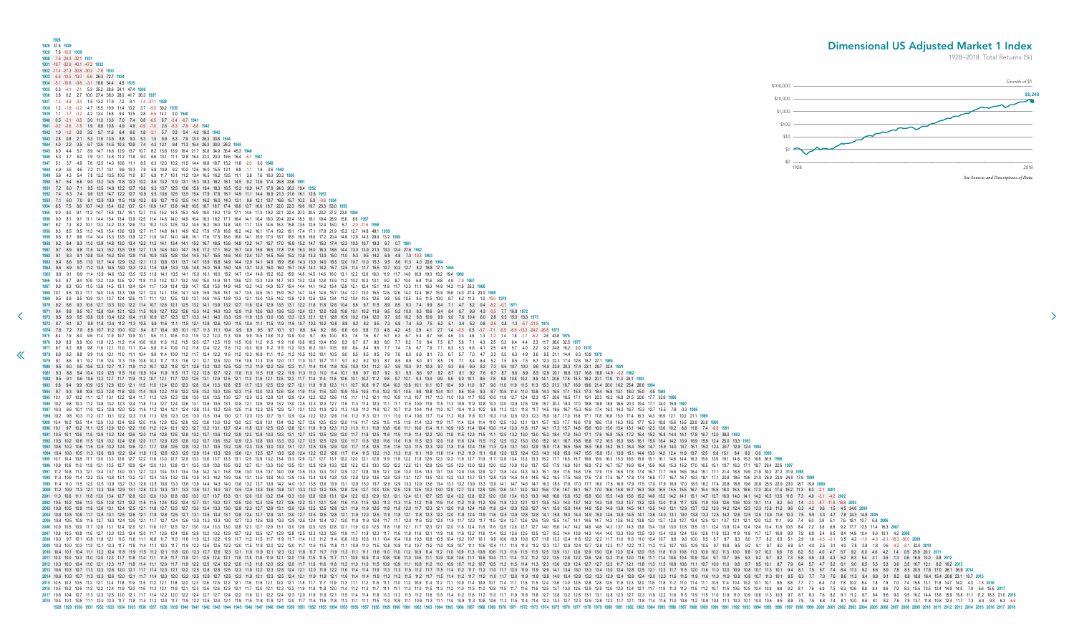<span id="page-9-0"></span>**1928 1928** 37.6 **1929 1929** 7.8 -15.6 **1930 1930** -7.6 -24.3 -32.1 **1931 1931** -19.7 -32.9 -40.1 -47.2 **1932 1932** -17.4 -27.3 -30.8 -30.2 -7.6 **1933 1933** -6.6 -13.5 -13.0 -5.6 26.3 72.7 **1934 1934** -5.1 -10.8 -9.8 -3.1 18.6 34.4 4.5 **1935 1935** 0.3 -4.1 -2.1 5.3 25.2 38.6 24.1 47.4 **1936 1936** 3.8 0.2 2.7 10.0 27.4 38.0 28.0 41.7 36.3 **1937 1937** -1.3 -4.9 -3.4 1.5 13.2 17.9 7.2 8.1 -7.4 -37.1 **1938 1938** 1.2 -1.9 -0.2 4.7 15.5 19.9 11.4 13.2 3.7 -9.5 30.2 **1939 1939** 1.1 -1.7 -0.2 4.2 13.4 16.8 9.4 10.5 2.8 -6.5 14.1 0.0 **1940 1940** 0.5 -2.1 -0.8 3.0 11.0 13.6 7.0 7.4 0.8 -6.5 6.7 -3.4 -6.7 **1941 1941** -0.2 -2.6 -1.5 1.9 8.8 10.8 4.9 4.9 -0.9 -7.0 2.6 -5.3 -7.8 -8.8 **1942 1942** 1.0 -1.2 0.0 3.2 9.7 11.6 6.4 6.6 1.8 -3.1 5.7 0.3 0.4 4.2 19.2 **1943 1943** 2.8 0.8 2.1 5.3 11.6 13.5 8.8 9.3 5.3 1.5 9.9 6.3 7.9 13.3 26.3 33.8 **1944 1944** 4.0 2.2 3.5 6.7 12.6 14.5 10.3 10.9 7.4 4.3 12.1 9.4 11.3 16.4 26.3 30.0 26.2 **1945 1945** 6.0 4.4 5.7 8.9 14.7 16.6 12.9 13.7 10.7 8.2 15.8 13.9 16.4 21.7 30.8 34.9 35.4 45.3 **1946 1946** 5.3 3.7 5.0 7.9 13.1 14.8 11.2 11.8 9.0 6.6 13.1 11.1 12.8 16.4 22.2 23.0 19.6 16.4 -6.7 **1947 1947** 5.1 3.7 4.9 7.6 12.5 14.0 10.6 11.1 8.5 6.3 12.0 10.2 11.5 14.4 18.8 18.7 15.2 11.8 -2.0 3.0 **1948 1948** 4.9 3.5 4.6 7.2 11.7 13.1 9.9 10.3 7.9 5.8 10.9 9.2 10.2 12.6 16.0 15.5 12.1 8.9 -1.1 1.8 0.6 **1949 1949** 5.6 4.3 5.4 7.8 12.2 13.5 10.5 11.0 8.7 6.9 11.7 10.1 11.2 13.4 16.5 16.2 13.5 11.1 3.8 7.6 10.0 20.3 **1950 1950** 6.7 5.4 6.6 9.0 13.2 14.5 11.8 12.3 10.2 8.6 13.2 11.9 13.1 15.3 18.3 18.2 16.1 14.5 9.2 13.6 17.4 26.8 33.6 **1951 1951** 7.2 6.0 7.1 9.5 13.5 14.8 12.2 12.7 10.8 9.3 13.7 12.5 13.6 15.6 18.4 18.3 16.5 15.2 10.9 14.7 17.9 24.3 26.3 19.4 **1952 1952** 7.4 6.3 7.4 9.6 13.5 14.7 12.2 12.7 10.9 9.5 13.6 12.5 13.5 15.4 17.9 17.8 16.1 14.9 11.1 14.4 16.9 21.3 21.6 16.1 12.8 **1953 1953** 7.1 6.0 7.0 9.1 12.8 13.9 11.5 11.9 10.2 8.9 12.7 11.6 12.5 14.1 16.2 16.0 14.3 13.1 9.6 12.1 13.7 16.6 15.7 10.2 5.9 -0.6 **1954 1954** 8.5 7.5 8.6 10.7 14.3 15.4 13.2 13.7 12.1 10.9 14.7 13.8 14.8 16.5 18.7 18.7 17.4 16.6 13.7 16.6 18.7 22.0 22.3 19.6 19.7 23.3 53.0 **1955 1955** 9.0 8.0 9.1 11.2 14.7 15.8 13.7 14.1 12.7 11.5 15.2 14.3 15.3 16.9 19.0 19.0 17.9 17.1 14.6 17.3 19.2 22.1 22.4 20.3 20.5 23.2 37.2 23.0 **1956 1956** 9.0 8.1 9.1 11.1 14.4 15.4 13.4 13.9 12.5 11.4 14.8 14.0 14.9 16.4 18.3 18.2 17.1 16.4 14.1 16.4 18.0 20.4 20.4 18.3 18.1 19.4 26.9 15.6 8.6 **1957 1957** 8.2 7.3 8.2 10.1 13.3 14.2 12.3 12.6 11.3 10.2 13.3 12.5 13.2 14.5 16.2 16.0 14.8 14.0 11.7 13.5 14.6 16.3 15.8 13.5 12.5 12.4 16.0 5.7 -2.0 -11.6 **1958 1958** 9.3 8.5 9.5 11.3 14.5 15.4 13.6 13.9 12.7 11.7 14.8 14.1 14.9 16.2 17.9 17.8 16.8 16.2 14.2 16.1 17.4 19.2 19.1 17.4 17.1 17.9 21.9 15.2 12.7 14.8 49.1 **1959 1959** 9.5 8.7 9.6 11.4 14.4 15.3 13.5 13.9 12.7 11.8 14.7 14.0 14.8 16.1 17.6 17.5 16.6 16.0 14.1 15.9 17.0 18.7 18.5 16.9 16.6 17.2 20.4 14.8 12.8 14.3 29.9 13.2 **1960 1960** 9.2 8.4 9.3 11.0 13.9 14.8 13.0 13.4 12.2 11.3 14.1 13.4 14.1 15.2 16.7 16.5 15.6 14.9 13.2 14.7 15.7 17.0 16.8 15.2 14.7 15.0 17.4 12.3 10.3 10.7 19.3 6.7 0.7 **1961 1961** 9.7 8.9 9.8 11.5 14.3 15.2 13.5 13.9 12.7 11.9 14.6 14.0 14.7 15.8 17.2 17.1 16.2 15.7 14.0 15.6 16.5 17.8 17.6 16.3 16.0 16.3 18.6 14.4 13.0 13.9 21.3 13.3 13.4 27.6 **1962 1962** 9.1 8.3 9.1 10.8 13.4 14.2 12.6 12.9 11.8 10.9 13.5 12.8 13.4 14.5 15.7 15.5 14.6 14.0 12.4 13.7 14.5 15.6 15.2 13.8 13.3 13.3 15.0 11.0 9.3 9.5 14.2 6.9 4.8 7.0 -10.3 **1963 1963** 9.4 8.6 9.5 11.0 13.7 14.4 12.9 13.2 12.1 11.3 13.8 13.1 13.7 14.7 15.9 15.8 14.9 14.4 12.9 14.1 14.9 15.9 15.6 14.3 13.9 14.0 15.5 12.0 10.7 11.0 15.3 9.5 8.6 11.3 4.0 20.6 **1964 1964** 9.6 8.9 9.7 11.2 13.8 14.5 13.0 13.3 12.3 11.5 13.9 13.3 13.9 14.8 16.0 15.8 15.0 14.5 13.1 14.3 15.0 16.0 15.7 14.5 14.1 14.2 15.7 12.5 11.4 11.7 15.5 10.7 10.2 12.7 8.2 18.8 17.1 **1965 1965** 9.8 9.1 9.9 11.4 13.9 14.6 13.2 13.5 12.5 11.8 14.1 13.5 14.1 15.0 16.1 16.0 15.2 14.7 13.4 14.6 15.2 16.2 15.9 14.8 14.5 14.6 16.0 13.1 12.2 12.6 16.0 11.9 11.7 14.0 10.9 19.0 18.2 19.4 **1966 [1](#page-8-0)966** 9.3 8.7 9.4 10.9 13.2 13.9 12.5 12.7 11.8 11.0 13.2 12.7 13.2 14.0 15.0 14.9 14.1 13.6 12.3 13.3 13.9 14.7 14.3 13.2 12.8 12.8 13.9 11.2 10.2 10.3 13.1 9.2 8.7 10.0 6.8 11.6 8.8 4.9 -7.9 **1967 1967** 9.9 9.3 10.0 11.5 13.8 14.5 13.1 13.4 12.4 11.7 13.9 13.4 13.9 14.7 15.8 15.6 14.9 14.5 13.2 14.3 14.9 15.7 15.4 14.4 14.1 14.2 15.4 12.9 12.1 12.4 15.1 11.8 11.7 13.3 11.1 16.0 14.9 14.2 11.6 35.3 **1968** 1968 10.1 9.5 10.3 11.7 14.0 14.6 13.3 13.6 12.7 12.0 14.1 13.6 14.1 14.9 15.9 15.8 15.1 14.7 14.5 15.1 15.9 15.7 14.5 14.6 15.7 13.4 12.7 13.0 15.5 12.6 14.2 12.4 16.7 15.9 15.6 14.3 27.4 20.0 1969 1969 9.5 8.8 9.5 10.9 13.1 13.7 12.4 12.6 11.7 11.1 13.1 12.5 13.0 13.7 14.6 14.5 13.8 13.3 12.1 13.0 13.5 14.2 13.9 12.9 12.6 13.4 11.2 10.4 10.5 12.6 9.8 9.5 10.5 8.5 11.5 10.0 8.7 6.2 11.3 1.0 -15.0 1970 **1970** 9.2 8.6 9.3 10.6 12.7 13.3 12.0 12.2 11.4 10.7 12.6 12.1 12.5 13.2 14.1 13.9 13.2 12.7 11.6 12.4 12.9 13.5 13.1 12.2 11.8 11.8 12.6 10.4 9.6 9.7 11.5 8.9 8.5 9.3 7.4 9.9 8.4 7.1 4.7 8.2 0.4 -8.2 -0.7 **1971** 1971 9.4 8.8 9.5 10.7 12.8 13.4 12.1 12.3 11.5 10.9 12.7 12.2 12.6 13.3 14.2 14.0 13.3 12.9 11.8 12.6 13.0 13.6 13.3 12.4 12.1 12.0 12.8 10.8 10.1 10.2 11.9 9.5 9.2 10.0 8.3 10.6 9.4 8.4 6.7 9.9 4.3 -0.5 7.7 16.8 1972 1972 95 89 95 108 128 134 122 124 11.6 109 127 123 127 133 141 140 133 129 119 126 130 136 133 125 121 121 128 109 102 104 120 97 95 102 88 109 99 90 76 104 60 28 95 150 133 1973 1973 8.7 8.1 8.7 9.9 11.8 12.4 11.2 11.3 10.5 9.9 11.6 11.1 11.5 12.1 12.8 12.6 12.0 11.5 10.4 11.1 11.5 11.9 11.6 11.1 11.5 11.9 11.6 11.1 11.5 11.9 11.6 11.1 11.5 11.9 11.6 11.7 10.3 10.2 10.8 8.9 8.2 8.2 9.5 7.3 6.9 7.4 1974 7.8 7.2 7.8 8.9 10.7 11.2 10.0 10.2 9.4 8.7 10.4 9.8 10.1 10.7 11.3 11.1 10.4 9.9 8.9 9.5 9.7 10.1 9.7 8.8 8.4 8.2 8.6 6.8 6.0 5.8 7.0 4.8 4.2 4.5 2.9 4.1 2.7 1.4 -0.5 0.5 -3.7 -7.1 -5.5 -6.6 -13.3 -24.2 -26.8 1975 1975 84 79 84 96 114 119 107 109 101 95 11.1 106 11.0 11.5 12.2 12.0 11.3 109 99 105 108 11.2 109 100 97 95 100 83 76 76 87 67 63 67 54 67 56 46 33 46 1.3 -1.2 1.4 1.8 -1.7 -6.2 26 438 1976 1976 8.9 8.3 8.9 10.0 11.8 12.3 11.2 11.4 10.6 10.0 11.6 11.2 11.5 12.0 12.7 12.5 11.9 11.5 10.6 11.2 11.5 10.6 11.2 11.5 10.6 11.8 11.6 10.8 10.5 10.1 4.0 2.7 8.2 7.0 8.4 7.5 6.7 5.6 7.1 4.3 2.5 5.3 6.4 4.4 2.3 11.7 38.0 3 1977 8.7 8.2 8.8 9.8 11.6 12.1 11.0 11.1 10.4 9.8 11.4 10.9 11.2 11.8 12.4 12.2 11.6 11.2 10.3 10.9 11.2 11.5 11.2 10.5 10.2 10.1 10.5 9.0 8.4 8.4 9.5 7.7 7.4 7.8 6.7 7.9 7.1 6.3 5.3 6.6 4.1 2.5 4.9 5.7 4.0 2.2 9.2 24.8 16. 1978 8.8 8.2 8.8 9.9 11.6 12.1 11.0 11.1 10.4 9.9 11.4 10.9 11.2 11.7 12.4 12.2 11.6 11.2 10.3 10.9 11.1 11.5 11.2 10.5 10.2 10.1 10.5 9.0 8.5 8.5 9.5 7.9 7.6 8.0 6.9 8.1 7.3 6.7 5.7 7.0 4.7 3.3 5.5 6.3 4.9 3.6 9.5 21.1 14. **1979** 9.1 8.6 9.1 10.2 11.9 12.4 11.3 11.5 10.8 10.2 11.7 11.3 11.6 12.1 12.7 12.5 12.0 11.6 10.8 11.3 11.6 12.0 11.7 11.0 10.7 10.7 11.1 9.7 9.2 9.2 10.3 8.7 8.5 8.9 8.0 9.1 8.5 7.9 7.1 8.4 6.4 5.2 7.5 8.5 7.5 6.7 12.3 22.3 17.4 12.8 18.7 27.1 **1980** 1980 9.5 9.0 9.5 10.6 12.3 12.7 11.7 11.9 11.2 10.7 12.2 11.8 12.1 12.6 13.2 13.0 12.5 12.2 11.3 11.9 12.2 12.6 12.3 11.7 11.4 11.4 11.8 10.5 10.0 10.1 11.2 9.7 9.5 10.0 9.1 10.3 9.7 9.3 8.6 9.9 8.2 7.3 9.6 10.7 10.0 9.6 14 1981 9.3 8.8 9.4 10.4 12.0 12.5 11.5 11.6 10.9 10.4 11.9 11.5 11.7 12.2 12.8 12.7 12.2 11.8 11.0 11.5 11.8 11.8 11.8 11.9 11.3 11.0 11.4 10.1 9.6 9.7 10.7 9.2 9.1 9.5 8.6 9.7 9.2 8.7 8.1 9.2 7.6 6.7 8.7 9.6 8.9 8.5 12.9 20. 1982 9.5 9.1 9.6 10.6 12.2 12.7 11.7 11.9 11.2 10.7 12.1 11.7 12.0 12.5 13.1 12.9 12.5 12.1 11.3 11.9 12.1 11.3 11.9 12.1 12.9 12.1 11.4 11.4 11.4 11.8 10.6 10.1 12.9 38 9.7 10.1 9.3 10.4 9.9 9.5 9.0 10.1 8.6 7.8 9.8 10.8 1 1983 9.8 9.4 9.9 10.9 12.5 12.9 12.0 12.1 11.5 11.0 12.4 12.0 12.3 12.8 13.4 13.3 12.8 13.4 13.3 12.8 12.5 11.7 12.3 12.5 12.5 12.5 12.9 12.7 12.1 11.9 11.8 12.1 11.9 11.8 12.1 11.1 10.7 10.4 10.3 10.8 10.1 11.1 10.7 10.4 9 1984 9.7 9.3 9.8 10.8 12.3 12.8 11.8 12.0 11.4 10.9 12.2 11.9 12.2 12.6 13.2 13.0 12.6 12.3 11.5 12.0 12.3 12.6 12.4 11.9 11.6 11.0 10.5 10.4 10.1 10.5 9.8 10.4 10.1 9.6 10.4 10.1 9.6 10.6 9.3 8.7 10.5 11.4 11.0 10.8 14.3 1 1985 10.1 9.7 10.2 11.1 12.7 13.1 12.2 12.4 11.7 11.3 12.6 12.3 12.6 13.0 13.6 13.0 13.6 13.0 12.7 12.0 12.5 12.8 13.1 12.9 12.4 12.2 12.6 11.5 11.1 11.2 12.1 11.0 10.9 11.3 11.0 10.6 11.7 10.5 10.0 11.8 12.7 12.4 12.3 15.7 1986 10.2 9.8 10.3 11.2 12.8 13.2 12.3 12.4 11.8 11.4 12.7 12.4 12.6 13.1 13.6 13.1 13.6 13.1 12.8 12.1 12.6 12.9 13.2 13.0 12.5 12.3 12.7 11.6 11.3 11.4 12.3 11.1 11.1 11.5 10.9 11.9 10.9 11.9 10.3 12.0 12.6 12.6 15.7 20.2 1987 10.0 9.6 10.1 11.0 12.5 12.9 12.0 12.2 11.6 11.2 12.4 12.1 12.4 12.4 12.8 13.3 13.2 12.8 12.5 11.8 12.5 12.5 12.5 12.5 12.7 12.1 12.0 11.9 12.3 11.3 10.9 11.0 10.7 10.1 0.1 11.4 11.0 10.7 10.1 11.4 11.0 10.7 11.3 10.2 1988 102 98 103 112 127 131 122 123 118 113 126 123 125 130 135 134 130 127 120 125 127 131 129 124 122 126 116 112 113 121 11.1 11.0 11.4 10.8 11.7 11.4 11.2 10.8 11.8 11.8 121 123 123 123 123 123 124 125 127 131 129 129 1989 104 100 105 114 129 133 124 126 120 116 129 125 128 132 138 136 132 130 123 128 131 134 132 127 126 129 120 116 11.7 126 15 11.5 11.9 11.4 123 11.9 11.7 11.4 124 11.4 11.0 125 133 131 131 157 193 17.7 166 17.9 16.8 16. 1990 10.1 9.7 10.2 11.1 12.5 12.9 12.0 12.2 11.6 11.2 12.4 12.1 12.3 12.7 13.2 13.1 12.7 12.4 11.8 12.3 12.5 12.6 12.1 11.9 11.9 11.9 11.0 11.1 11.8 10.8 10.8 11.1 10.9 10.5 11.4 10.4 10.0 11.4 12.0 11.8 11.7 14.1 17.3 15.7 **1991** 10.5 10.1 10.6 11.5 12.9 13.2 12.4 12.6 12.0 11.6 12.8 12.5 12.8 13.2 13.7 13.6 13.2 12.9 12.3 12.8 13.0 13.3 13.1 12.7 12.5 12.5 12.9 12.0 11.7 11.8 12.5 11.6 11.5 11.9 11.4 12.2 12.0 11.8 11.5 12.3 11.5 11.1 12.5 13.2 13.0 13.0 15.3 18.4 17.0 16.0 17.1 17.6 16.8 15.5 17.2 16.4 15.2 16.8 14.4 14.1 17.8 16.7 12.0 38.0 **1992** 1992 10.5 10.2 10.6 11.5 12.9 13.2 12.4 12.6 12.0 11.7 12.8 12.5 12.5 12.5 13.2 13.7 13.6 13.2 12.9 12.9 12.8 13.0 13.3 13.2 12.7 12.5 12.9 12.0 11.7 11.8 12.9 12.9 11.6 11.6 11.9 11.1 1.8 12.0 11.8 11.1 1.1.5 12.1 1.1.5 12 **1993** 10.6 10.2 10.6 11.5 12.9 13.2 12.4 12.6 12.1 11.7 12.8 12.5 12.8 13.2 13.7 13.5 13.2 12.9 12.3 12.8 13.0 13.3 13.1 12.7 12.5 12.5 12.9 12.0 11.7 11.8 12.5 11.6 11.6 12.0 11.5 12.3 12.0 11.8 11.6 12.4 11.6 11.3 12.5 13.1 13.0 12.9 15.0 17.8 16.5 15.6 16.5 16.9 16.2 15.1 16.4 15.8 14.7 15.9 14.0 13.7 16.1 15.2 12.4 20.7 12.9 12.4 **1994** 1994 10.4 10.0 10.5 11.3 12.6 13.0 12.2 12.4 11.8 11.5 12.6 12.3 12.5 12.9 13.4 13.3 12.9 12.6 12.1 12.5 12.7 13.0 12.8 12.4 12.2 12.6 11.7 11.4 11.5 12.2 11.3 11.6 11.1 11.9 11.6 11.4 11.9 11.1 10.8 12.0 12.5 12.4 12.3 14. 1995 10.7 10.4 10.8 11.7 13.0 13.3 12.6 12.7 12.2 11.8 13.0 12.7 12.9 13.3 13.8 13.7 13.3 13.1 12.5 12.9 13.2 13.4 13.3 12.9 12.7 12.1 12.5 12.9 13.2 13.4 13.3 12.9 12.7 12.1 12.8 11.9 12.7 13.1 12.8 11.9 12.2 11.8 12.6 12. 1996 10.9 10.6 11.0 11.8 13.1 13.5 12.7 12.9 12.4 12.0 13.1 12.8 13.1 13.5 13.9 13.8 13.5 13.2 12.7 13.1 13.3 13.6 13.5 13.1 12.9 12.9 13.1 12.9 12.9 13.1 12.9 12.2 12.3 13.0 12.2 12.5 12.1 12.8 12.5 12.1 12.8 13.0 12.3 13. 1997 11.2 10.8 11.3 12.1 13.4 13.7 13.0 13.1 12.7 12.3 13.4 13.1 13.4 13.1 13.4 13.8 14.2 14.1 13.8 14.2 14.1 13.8 13.6 13.0 13.5 13.7 14.0 13.8 13.5 13.3 13.7 12.9 12.7 12.6 13.5 13.3 13.1 13.0 12.6 13.3 13.1 13.0 12.8 13. 1998 11.3 10.9 11.4 12.2 13.5 13.8 13.1 13.2 12.7 12.4 13.5 13.2 13.5 13.8 14.3 14.2 13.9 13.6 13.1 13.5 13.8 14.0 13.9 13.6 13.1 13.5 13.8 14.0 13.9 13.6 13.1 1.3.9 13.8 14.0 13.9 13.6 13.4 13.8 13.1 13.5 13.4 13.4 13.8 1 1999 114 11.0 11.5 12.3 13.5 13.9 13.2 13.3 13.6 12.5 13.6 13.3 13.6 13.9 144 143 140 13.8 13.2 13.7 13.9 142 140 13.7 13.5 13.6 13.9 13.1 12.9 13.3 13.1 12.9 13.3 13.1 12.9 13.3 13.0 13.1 12.9 13.3 13.0 13.1 14.7 14.6 14. 2000 11.2 10.9 11.3 12.1 13.3 13.6 12.9 13.1 12.6 12.3 13.3 13.1 13.3 13.6 14.1 14.0 13.7 13.5 12.9 13.3 13.6 14.3 13.6 12.9 13.3 13.6 14.1 14.0 13.7 13.3 13.6 13.8 13.8 13.8 13.8 13.8 13.9 13.8 13.8 13.8 14.3 12.9 13.3 12. **2001** 11.0 10.6 11.1 11.8 13.0 13.4 12.7 12.8 12.3 12.0 13.0 12.8 13.0 13.3 13.7 13.7 13.3 13.1 12.6 13.0 13.2 13.4 13.3 13.0 12.8 12.8 13.1 12.4 12.2 12.3 12.9 12.1 12.1 12.4 12.1 12.7 12.5 12.4 12.2 12.8 12.2 12.0 13.0 13.4 13.3 13.3 14.8 16.8 15.8 15.2 15.8 16.0 15.5 14.8 15.6 15.2 14.6 15.2 14.2 14.1 15.1 14.7 13.7 16.0 14.0 14.1 14.3 16.5 13.5 11.8 7.3 4.0 -3.1 -4.2 **2002** 2002 105 102 106 11.3 12.5 12.8 12.1 12.2 11.8 11.5 12.4 12.2 12.4 12.7 13.1 13.0 12.7 125 12.0 12.3 12.5 12.7 126 12.2 124 12.1 12.1 12.4 11.6 11.4 11.5 12.0 11.3 11.3 11.5 11.2 11.8 11.4 11.1 2 11.8 11.4 11.1 2 11.8 11.3 **2003** 10.8 10.5 10.9 11.6 12.8 13.1 12.4 12.5 12.1 11.8 12.7 12.5 12.7 13.0 13.4 13.3 13.0 12.8 12.3 12.7 12.9 13.1 13.0 12.6 12.5 12.5 12.8 12.1 11.9 11.9 12.5 11.8 11.8 12.0 11.7 12.3 12.1 12.0 11.8 12.4 11.8 11.6 12.4 12.9 12.8 12.7 14.1 15.9 15.0 14.4 14.9 15.0 14.6 13.9 14.5 14.1 13.5 14.0 13.1 12.9 13.7 13.2 12.3 14.2 12.4 12.3 12.3 13.8 11.2 9.6 6.3 4.2 0.6 1.5 4.5 34.6 **2004** 2004 10.8 10.5 10.9 11.7 12.8 13.1 12.5 12.6 12.1 11.8 12.8 12.5 12.7 13.1 13.5 13.4 13.1 12.8 12.4 12.7 12.9 13.1 12.8 12.1 12.9 13.1 13.0 12.7 12.5 12.5 12.8 12.1 11.9 12.0 12.5 11.9 11.8 12.1 11.8 12.1 11.8 12.1 11.8 12. 2005 10.8 10.5 12.7 13.0 12.4 12.5 12.1 11.7 12.7 12.4 12.6 13.0 13.3 13.0 13.3 13.0 12.7 12.3 13.0 12.7 12.8 12.6 12.8 13.0 12.9 12.6 12.9 12.9 12.9 12.9 12.9 12.9 12.4 12.7 12.0 11.8 11.9 12.4 11.7 11.1 1.2.0 11.9 11.7 12 2006 10.9 11.7 12.8 13.1 12.4 12.5 12.1 11.8 12.7 12.5 12.1 11.8 12.7 12.5 12.7 13.0 13.4 13.3 13.0 12.8 12.3 12.7 12.9 13.1 13.0 12.8 12.5 12.5 12.8 12.1 11.9 12.0 12.5 12.8 12.1 11.9 12.0 12.5 11.8 11.8 12.1 12.1 12.1 12. 2007 10.8 10.5 10.8 11.6 12.7 13.0 12.3 12.4 12.0 11.7 12.6 12.4 12.6 12.9 13.2 13.2 13.2 12.9 13.2 12.9 12.7 12.9 12.7 12.9 12.7 12.9 12.8 12.5 12.3 12.6 11.9 11.7 11.8 12.3 12.6 11.9 11.8 11.9 11.8 11.9 11.8 11.9 11.8 12. **2008** 10.0 9.7 10.1 10.8 11.8 12.1 11.5 11.6 11.1 10.8 11.7 11.5 11.6 11.9 12.3 12.2 11.9 11.7 11.2 11.5 11.7 11.9 11.7 11.4 11.2 11.2 11.4 10.8 10.6 10.6 11.1 10.4 10.4 10.6 10.3 10.8 10.5 10.4 10.2 10.7 10.1 9.9 10.6 10.9 10.8 10.7 11.8 13.2 12.4 11.8 12.2 12.2 11.7 11.0 11.5 11.0 10.4 10.7 9.8 9.6 10.0 9.5 8.7 9.7 8.3 8.0 7.7 8.2 6.3 5.1 2.9 1.6 -0.3 -0.1 0.5 4.2 -1.0 -4.6 -8.1 -18.3 -36.0 **2009** 2009 103 11.0 12.1 12.3 11.7 11.8 11.4 11.1 12.0 11.7 11.9 12.2 12.6 12.5 12.2 12.0 11.5 11.8 12.0 12.1 21.0 11.5 11.8 12.0 12.1 11.6 11.8 11.1 10.9 11.0 11.5 10.8 10.1 1.1 10.9 11.0 10.7 11.1 10.6 10.4 11.1 11.4 11.3 11.2 **2010** 10.4 10.1 10.4 11.1 12.2 12.4 11.8 11.9 11.5 11.2 12.1 11.8 12.0 12.3 12.7 12.6 12.3 12.1 11.6 11.9 12.1 12.3 12.2 11.8 11.7 11.7 11.9 11.3 11.1 11.1 11.6 11.0 11.0 11.2 10.9 11.4 11.2 11.0 10.9 11.3 10.8 10.6 11.3 11.6 11.5 11.5 12.5 13.9 13.1 12.6 12.9 13.0 12.6 12.0 12.4 12.0 11.5 11.8 11.0 10.8 11.3 10.9 10.2 11.3 10.0 9.8 9.7 10.3 8.8 7.8 6.2 5.3 4.0 4.7 5.7 9.2 6.0 4.6 4.2 1.4 0.5 25.9 20.1 **2011** 2011 10.3 10.0 10.3 11.0 12.0 12.3 11.7 11.8 11.4 11.1 11.9 11.7 11.9 12.1 12.5 12.4 12.1 11.9 11.5 11.8 11.9 11.5 11.9 11.9 12.1 12.0 11.6 11.5 11.5 11.7 11.1 10.9 10.8 10.8 11.0 10.6 11.1 10.9 10.8 10.0 11.1 11.0 11.2 11. **2012** 10.3 10.0 10.4 11.0 12.1 12.3 11.7 11.8 11.4 11.1 12.0 11.7 11.9 12.2 12.5 12.4 12.2 12.0 11.5 11.8 12.0 12.2 12.0 11.7 11.6 11.6 11.8 11.2 11.0 11.0 11.5 10.9 10.9 11.1 10.8 11.2 11.0 10.9 10.7 11.2 10.7 10.5 11.2 11.5 11.4 11.3 12.3 13.6 12.9 12.4 12.7 12.7 12.3 11.7 12.1 11.8 11.3 11.5 10.8 10.6 11.1 10.7 10.0 11.0 9.8 9.7 9.5 10.1 8.7 7.9 6.4 5.7 4.7 5.2 6.1 9.0 6.5 5.5 5.3 3.6 3.5 16.7 12.1 8.2 16.2 **2013 2013** 10.6 10.3 10.7 11.3 12.3 12.6 12.0 12.1 11.7 11.4 12.3 12.1 12.2 12.5 12.8 12.8 12.5 12.3 11.9 12.2 12.3 12.5 12.4 12.1 12.0 11.9 12.2 11.6 11.4 11.4 11.9 11.3 11.3 11.5 11.2 11.7 11.5 11.4 11.2 11.7 11.2 11.0 11.7 12.0 11.9 11.9 12.9 14.1 13.4 13.0 13.3 13.4 13.0 12.4 12.8 12.5 12.1 12.3 11.7 11.5 12.0 11.6 11.0 12.0 10.9 10.8 10.7 11.3 10.1 9.4 8.1 7.5 6.7 7.4 8.4 11.3 9.2 8.6 8.9 7.8 8.5 20.5 17.8 17.0 26.1 36.9 **2014** 106 107 113 123 126 120 121 117 114 123 120 122 125 128 127 125 123 118 121 123 125 124 121 123 125 129 124 121 119 119 121 119 119 121 116 114 119 113 113 115 112 112 113 113 114 120 121 123 129 129 129 129 129 129 129 129 18 113 113 114 113 114 114 114 118 119 115 112 121 118 120 123 126 125 126 121 116 119 121 121 116 119 121 122 121 116 119 121 122 121 118 11.7 11.1 11.0 11.1 11.0 11.1 11.0 11.1 11.0 11.4 11.0 11.4 11.0 11.1 11.5 11.1 1.1 **2016** 10.5 10.2 10.6 11.2 12.2 12.4 11.9 12.0 11.6 11.3 12.1 11.9 12.1 12.3 12.6 12.6 12.3 12.1 11.7 12.0 12.1 12.3 12.2 11.9 11.8 11.8 12.0 11.4 11.2 11.3 11.7 11.1 11.1 11.3 11.0 11.5 11.3 11.2 11.0 11.5 11.0 10.8 11.5 11.7 11.6 11.6 12.5 13.7 13.0 12.6 12.9 12.9 12.6 12.0 12.4 12.1 11.7 11.9 11.3 11.2 11.5 11.2 10.7 11.5 10.6 10.5 10.4 10.9 9.8 9.2 8.1 7.6 6.9 7.5 8.3 10.6 8.9 8.4 8.6 7.9 8.3 15.6 13.5 12.4 14.9 14.5 7.9 6.6 15.6 **2017 2017** 10.6 10.4 10.7 11.3 12.3 12.5 12.0 12.1 11.7 11.4 12.2 12.0 12.2 12.4 12.7 12.7 12.4 12.2 11.8 12.1 12.2 12.4 12.3 12.0 11.9 11.9 12.1 11.5 11.4 11.4 11.8 11.3 11.3 11.5 11.2 11.6 11.5 11.4 11.2 11.6 11.2 11.0 11.7 11.9 11.8 11.8 12.7 13.8 13.2 12.8 13.1 13.1 12.8 12.3 12.7 12.3 11.9 12.2 11.6 11.5 11.9 11.5 11.0 11.9 11.0 10.9 10.8 11.3 10.3 9.7 8.7 8.3 7.6 8.2 9.1 11.2 9.7 9.4 9.6 9.0 9.5 16.2 14.4 13.6 15.9 15.8 11.1 11.2 18.3 21.0 **2018 2018** 10.4 10.1 10.5 11.1 12.0 12.3 11.7 11.8 11.4 11.2 12.0 11.7 11.9 12.2 12.5 12.4 12.1 11.9 11.5 11.8 11.9 12.1 12.0 11.7 11.6 11.6 11.8 11.2 11.1 11.1 11.5 11.0 10.9 11.1 10.9 11.3 11.1 11.0 10.9 11.3 10.8 10.6 11.2 11.5 11.4 11.4 12.2 13.3 12.7 12.3 12.5 12.6 12.2 11.7 12.1 11.8 11.4 11.6 11.0 10.8 11.2 10.9 10.4 11.1 10.3 10.1 10.0 10.5 9.5 8.9 7.9 7.5 6.8 7.4 8.1 10.0 8.6 8.1 8.2 7.6 7.9 13.7 11.8 10.8 12.4 11.7 7.3 6.4 9.3 6.3 -6.6 **1928 1929 1930 1931 1932 1933 1934 1935 1936 1937 1938 1939 1940 1941 1942 1943 1944 1945 1946 1947 1948 1949 1950 1951 1952 1953 1954 1955 1956 1957 1958 1959 1960 1961 1962 1963 1964 1965 1966 1967 1968 1969 1970 1971 1972 1973 1974 1975 1976 1977 1978 1979 1980 1981 1982 1983 1984 1985 1986 1987 1988 1989 1990 1991 1992 1993 1994 1995 1996 1997 1998 1999 2000 2001 2002 2003 2004 2005 2006 2007 2008 2009 2010 2011 2012 2013 2014 2015 2016 2017 2018** Dimensional US Adjusted Market 1 Index 1928–2018: Total Returns (%) \$0 \$1 \$10 \$100 \$1,000 \$10,000 \$100,000 *See Sources and Descriptions of Data.*

![](_page_9_Figure_3.jpeg)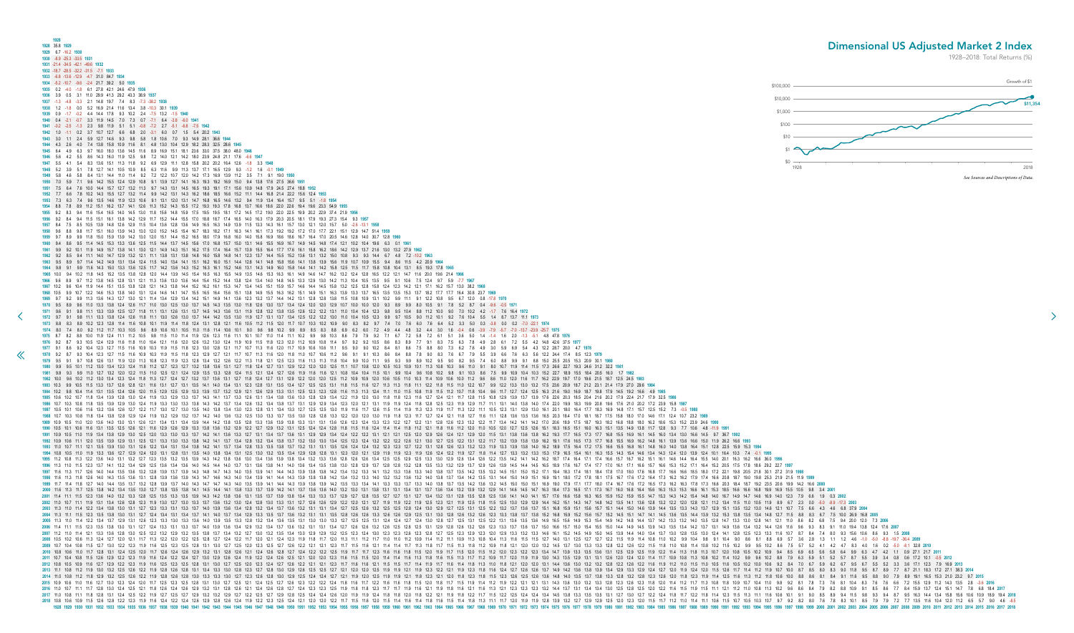<span id="page-10-0"></span>**1928 1928** 35.8 **1929 1929** 6.7 -16.2 **1930 1930** -8.9 -25.3 -33.5 **1931 1931** -21.4 -34.5 -42.1 -49.6 **1932 1932** -18.7 -28.5 -32.2 -31.5 -7.1 **1933 1933** -6.8 -13.6 -12.9 -4.7 31.0 84.7 **1934 1934** -5.2 -10.7 -9.6 -2.4 21.7 39.2 5.0 **1935 1935** 0.2 -4.0 -1.8 6.1 27.8 42.1 24.6 47.9 **1936 1936** 3.9 0.5 3.1 11.0 29.9 41.3 29.2 43.3 38.9 **1937 1937** -1.3 -4.8 -3.3 2.1 14.8 19.7 7.4 8.3 -7.3 -38.2 **1938 1938** 1.2 -1.8 0.0 5.2 16.9 21.4 11.6 13.4 3.8 -10.3 30.1 **1939 1939** 0.9 -1.7 -0.2 4.4 14.4 17.8 9.3 10.2 2.4 -7.5 13.2 -1.5 **1940 1940** 0.4 -2.1 -0.7 3.3 11.9 14.5 7.0 7.3 0.7 -7.1 6.4 -3.8 -6.0 **1941 1941** -0.2 -2.5 -1.3 2.3 9.8 11.9 5.1 5.1 -0.8 -7.2 2.7 -5.1 -6.8 -7.5 **1942 1942** 1.0 -1.1 0.2 3.7 10.7 12.7 6.6 6.8 2.0 -3.1 6.0 0.7 1.5 5.4 20.2 **1943 1943** 3.0 1.1 2.4 5.9 12.7 14.6 9.3 9.8 5.8 1.8 10.6 7.0 9.3 14.9 28.1 36.6 **1944 1944** 4.3 2.6 4.0 7.4 13.8 15.8 10.9 11.6 8.1 4.8 13.0 10.4 12.9 18.2 28.3 32.5 28.6 **1945 1945** 6.4 4.9 6.3 9.7 16.0 18.0 13.6 14.5 11.6 8.9 16.9 15.1 18.1 23.6 33.0 37.5 38.0 48.0 **1946 1946** 5.6 4.2 5.5 8.6 14.3 16.0 11.9 12.5 9.8 7.2 14.0 12.1 14.2 18.0 23.9 24.8 21.1 17.6 -6.6 **1947 1947** 5.5 4.1 5.4 8.3 13.6 15.1 11.3 11.8 9.2 6.9 12.9 11.1 12.8 15.8 20.2 20.2 16.4 12.6 -1.8 3.3 **1948 1948** 5.2 3.9 5.1 7.8 12.7 14.1 10.5 10.9 8.5 6.3 11.6 9.9 11.3 13.7 17.1 16.5 12.9 9.3 -1.2 1.6 -0.1 **1949 1949** 5.8 4.6 5.8 8.4 13.1 14.4 11.0 11.4 9.2 7.2 12.2 10.7 12.0 14.2 17.3 16.9 13.9 11.2 3.5 7.1 9.1 19.0 **1950 1950** 7.0 5.9 7.1 9.6 14.2 15.5 12.4 12.9 10.8 9.1 13.9 12.7 14.1 16.3 19.3 19.2 16.9 15.0 9.4 13.8 17.6 27.5 36.6 **1951 1951** 7.5 6.4 7.6 10.0 14.4 15.7 12.7 13.2 11.3 9.7 14.3 13.1 14.5 16.5 19.3 19.1 17.1 15.6 10.9 14.8 17.9 24.5 27.4 18.8 **1952 1952** 7.7 6.6 7.8 10.2 14.3 15.5 12.7 13.2 11.4 9.9 14.2 13.1 14.3 16.2 18.6 18.5 16.6 15.2 11.1 14.4 16.8 21.4 22.2 15.6 12.4 **1953 1953** 7.3 6.3 7.4 9.6 13.5 14.6 11.9 12.3 10.6 9.1 13.1 12.0 13.1 14.7 16.8 16.5 14.6 13.2 9.4 11.9 13.4 16.4 15.7 9.5 5.1 -1.8 **1954 1954** 8.8 7.8 8.9 11.2 15.1 16.2 13.7 14.1 12.6 11.3 15.2 14.3 15.5 17.2 19.3 19.3 17.8 16.8 13.7 16.6 18.6 22.0 22.6 19.4 19.6 23.3 54.9 **1955 1955** 9.2 8.3 9.4 11.6 15.4 16.5 14.0 14.5 13.0 11.8 15.6 14.8 15.9 17.5 19.5 19.5 18.1 17.2 14.5 17.2 19.0 22.0 22.5 19.9 20.2 22.9 37.4 21.9 **1956 1956** 9.2 8.4 9.4 11.5 15.1 16.1 13.8 14.2 12.9 11.7 15.2 14.4 15.5 17.0 18.8 18.7 17.4 16.5 14.0 16.3 17.9 20.3 20.5 18.1 17.9 19.3 27.3 15.4 9.3 **1957 1957** 8.4 7.5 8.5 10.5 13.9 14.8 12.6 12.9 11.5 10.4 13.6 12.8 13.6 14.9 16.5 16.3 14.9 13.9 11.5 13.3 14.3 16.1 15.7 13.0 12.1 12.0 15.7 5.0 -2.6 -13.1 **1958 1958** 9.6 8.8 9.8 11.7 15.1 16.0 13.9 14.3 13.0 12.0 15.2 14.5 15.4 16.7 18.3 18.2 17.1 16.3 14.1 16.1 17.3 19.2 19.2 17.2 17.0 17.7 22.1 15.1 12.9 14.7 51.4 **1959 1959** 9.7 8.9 9.9 11.8 15.0 15.9 13.9 14.2 13.0 12.0 15.1 14.4 15.2 16.5 18.0 17.9 16.8 16.0 14.0 15.8 16.9 18.6 18.6 16.7 16.4 17.0 20.5 14.6 12.8 14.0 30.7 12.8 **1960 1960** 9.4 8.6 9.5 11.4 14.5 15.3 13.3 13.6 12.5 11.5 14.4 13.7 14.5 15.6 17.0 16.8 15.7 15.0 13.1 14.6 15.5 16.9 16.7 14.9 14.5 14.8 17.4 12.1 10.2 10.4 19.6 6.3 0.1 **1961 1961** 9.9 9.2 10.1 11.9 14.9 15.7 13.8 14.1 13.0 12.1 14.9 14.3 15.1 16.2 17.5 17.4 16.4 15.7 13.9 15.5 16.4 17.7 17.6 16.1 15.8 16.2 18.6 14.2 12.9 13.7 21.6 13.0 13.2 27.9 **1962 1962** 9.2 8.5 9.4 11.1 14.0 14.7 12.9 13.2 12.1 11.1 13.8 13.1 13.8 14.8 16.0 15.8 14.8 14.1 12.3 13.7 14.4 15.5 15.2 13.6 13.1 13.2 15.0 10.8 9.3 9.3 14.4 6.7 4.8 7.2 -10.2 **1963 1963** 9.5 8.9 9.7 11.4 14.2 14.9 13.1 13.4 12.4 11.5 14.0 13.4 14.1 15.1 16.2 16.0 15.1 14.4 12.8 14.1 14.8 15.8 15.6 14.1 13.8 13.9 15.6 11.9 10.7 10.9 15.5 9.4 8.6 11.5 4.2 20.9 **1964 1964** 9.8 9.1 9.9 11.6 14.3 15.0 13.3 13.6 12.5 11.7 14.2 13.6 14.3 15.2 16.3 16.1 15.2 14.6 13.1 14.3 14.9 16.0 15.8 14.4 14.1 14.2 15.8 12.5 11.5 11.7 15.8 10.8 10.4 13.1 8.5 19.3 17.8 **1965 1965** 10.0 9.4 10.2 11.8 14.5 15.2 13.5 13.8 12.8 12.0 14.4 13.9 14.5 15.4 16.5 16.3 15.5 14.9 13.5 14.6 15.3 16.3 16.1 14.9 14.6 14.7 16.2 13.2 12.4 12.8 16.5 12.2 12.1 14.7 11.6 20.0 19.6 21.4 **1966 [1](#page-9-0)966** 9.6 8.9 9.7 11.2 13.8 14.5 12.8 13.1 12.1 11.3 13.6 13.0 13.6 14.4 15.4 15.2 14.4 13.8 12.4 13.4 14.0 14.8 14.5 13.3 12.9 13.0 14.2 11.3 10.4 10.5 13.5 9.5 9.1 10.6 7.5 12.4 9.7 5.9 -7.7 **1967 1967** 10.2 9.6 10.4 11.9 14.4 15.1 13.5 13.8 12.8 12.1 14.3 13.8 14.4 15.2 16.2 16.1 15.3 14.7 13.4 14.5 15.1 15.9 15.7 14.6 14.4 14.5 15.8 13.2 12.5 12.8 15.8 12.4 12.3 14.2 12.1 17.1 16.2 15.7 13.0 38.2 **1968** 1968 10.5 9.9 10.7 12.2 14.6 15.3 13.8 14.0 13.1 12.4 14.6 14.1 14.7 15.5 16.5 16.4 15.6 15.1 13.8 14.9 15.5 16.2 15.1 14.9 15.1 16.3 13.9 13.3 13.7 16.5 13.5 15.3 13.7 18.2 17.7 17.7 16.4 30.8 23.7 1969 1969 9.7 9.2 9.9 11.3 13.6 14.3 12.7 13.0 12.1 11.4 13.4 12.9 13.4 14.2 15.1 14.9 14.1 13.6 12.3 13.2 13.7 14.4 14.2 13.1 12.8 12.8 13.8 11.5 10.8 10.9 13.1 10.2 9.9 11.1 9.1 12.2 10.8 9.5 6.7 12.0 0.8 -17.8 1970 1970 9.5 8.9 9.6 11.0 13.3 13.8 12.4 12.6 11.7 11.0 13.0 12.5 13.0 13.7 14.5 14.3 13.5 13.0 11.8 12.6 13.0 13.7 13.4 12.4 12.0 12.0 12.0 10.7 10.0 10.0 12.0 9.3 8.9 9.9 8.0 10.5 9.1 7.8 5.2 8.7 0.4 9.6 0.5 1971 1971 9.6 9.1 9.8 11.1 13.3 13.9 12.5 12.7 11.8 11.1 13.1 12.6 13.1 13.7 14.5 14.3 13.6 13.1 11.9 12.8 13.2 13.8 13.5 12.6 12.2 13.1 11.0 10.4 10.4 12.3 9.8 9.5 10.4 8.8 11.2 10.0 9.0 7.0 10.2 4.2 -1.7 7.6 16.4 1972 1972 9.7 9.1 9.8 11.1 13.3 13.8 12.4 12.6 11.8 11.1 13.0 12.6 13.0 13.7 14.4 14.2 13.5 13.0 11.9 12.7 13.1 13.7 13.4 12.5 12.2 12.2 13.0 11.0 10.4 10.5 12.3 9.9 9.7 10.5 9.0 9.7 10.5 9.0 11.2 10.1 9.2 7.6 10.4 5.5 1.4 8.7 1  $1973$  8.8 8.3 8.9 10.2 12.8 11.4 11.6 10.8 10.1 11.9 11.4 11.8 12.4 13.1 12.8 12.1 11.6 10.5 11.2 11.5 12.0 11.7 10.7 10.3 10.2 10.9 9.0 8.3 8.2 9.7 7.4 7.0 7.6 6.0 7.6 6.4 5.2 3.3 5.0 0.3 -3.8 0.0 0.2 -7.0 -22.1 1974 1974 8.0 7.4 8.0 9.2 11.2 11.7 10.3 10.5 9.6 8.9 10.6 10.1 10.5 11.0 11.6 11.4 10.6 10.1 9.0 9.6 9.8 10.2 9.9 8.9 8.5 8.3 8.8 6.9 6.2 6.0 7.2 4.9 4.4 4.8 3.2 4.4 3.0 1.6 -0.4 0.6 -3.9 -7.9 -5.7 -7.0 -13.7 -23.9 -25.7 1975 1975 8.7 8.2 8.8 10.0 11.9 12.4 11.1 11.2 10.5 9.8 11.5 11.0 11.4 11.9 12.6 12.3 11.6 11.1 10.1 10.1 10.1 10.1 11.4 11.1 10.2 9.9 9.8 10.3 8.6 7.9 7.9 9.2 7.1 6.7 7.2 5.8 7.2 6.1 5.1 3.6 5.0 1.4 -1.4 1.6 2.0 -1.3 -5.1 4.8 4 1976 9.2 8.7 9.3 10.5 12.4 12.9 11.6 11.8 11.0 10.4 12.1 11.6 12.0 12.6 13.2 13.0 12.4 11.9 10.9 11.5 11.8 12.3 12.0 11.2 10.9 10.8 11.4 9.7 9.2 9.2 10.5 8.6 8.3 8.9 7.7 9.1 8.3 7.5 6.3 7.8 4.9 2.8 6.1 7.2 5.5 4.2 14.8 42.6 1977 9.1 8.6 9.2 10.4 12.3 12.7 11.5 11.6 10.9 10.3 11.9 11.5 11.8 12.3 13.0 12.8 12.1 11.7 10.7 11.3 11.6 12.0 11.7 10.9 10.6 10.6 11.1 9.5 9.0 9.0 10.2 8.4 8.1 8.6 7.5 8.8 8.0 7.3 6.2 7.6 4.9 3.0 5.9 6.9 5.4 4.3 12.2 28.7 1978 9.2 8.7 9.3 10.4 12.3 12.7 11.5 11.6 10.9 10.3 11.9 11.5 11.8 12.3 12.9 12.7 12.1 11.7 10.7 11.3 11.6 12.0 11.8 11.0 10.7 10.6 11.2 9.6 9.1 9.1 10.3 8.6 8.4 8.8 7.8 9.0 8.3 7.6 6.7 7.9 5.5 3.9 6.6 7.6 6.3 5.6 12.2 24.4 1979 9.5 9.1 9.7 10.8 12.6 13.1 11.9 12.0 11.3 10.8 12.3 11.9 12.3 12.8 13.4 13.2 12.6 12.2 11.3 11.8 12.1 12.5 12.3 11.6 11.3 11.8 10.4 9.9 10.0 11.1 9.5 9.3 9.9 8.9 10.2 9.5 9.0 8.2 9.5 7.4 6.0 8.8 9.9 9.1 8.8 15.0 25.5 2 1980 9.9 9.5 10.1 11.2 13.0 13.4 12.3 12.4 11.8 11.2 12.7 12.3 12.7 13.2 13.8 13.6 13.1 12.7 11.8 12.4 12.7 11.8 12.4 12.7 13.1 12.9 12.0 12.9 12.0 12.0 12.5 11.1 10.7 10.8 10.0 10.5 10.3 10.9 10.1 11.3 10.8 10.3 9.6 11.0 9 1981 9.8 9.3 9.9 11.0 12.7 13.2 12.0 12.2 11.5 11.0 12.5 12.1 12.4 12.9 13.5 13.3 12.8 12.4 11.5 12.1 12.4 11.5 12.1 12.4 12.9 12.4 11.5 12.1 12.4 12.9 12.1 12.4 12.9 12.4 11.5 12.1 12.4 12.9 12.7 12.6 11.9 11.6 11.6 12.1 1 1982 10.0 9.6 10.2 11.2 13.0 13.4 12.3 12.4 11.8 11.3 12.7 12.4 12.7 13.2 13.7 13.6 13.1 12.7 11.8 12.4 12.7 13.1 12.9 12.0 12.0 12.0 12.0 10.9 10.0 10.5 10.5 10.4 10.9 10.6 10.0 11.0 10.4 11.0 12.0 11.6 11.7 16.2 22.9 19.7 1983 10.3 9.9 10.5 11.5 13.3 13.7 12.6 12.8 12.1 11.6 13.1 12.7 13.1 13.5 14.1 14.0 13.4 13.1 12.3 12.8 13.1 12.3 12.8 13.1 12.3 12.8 13.1 12.7 13.5 13.4 12.7 13.5 13.4 12.7 12.5 12.5 13.1 11.8 11.5 11.3 11.3 11.3 11.8 11.1 1984 10.2 9.8 10.4 11.4 13.1 13.5 12.4 12.6 12.0 11.5 12.9 12.5 12.9 13.3 13.9 13.7 13.2 12.9 12.1 12.6 12.9 13.1 12.5 12.3 13.1 12.5 12.3 12.8 11.6 11.3 1.2 11.1 11.0 11.5 10.8 11.9 11.5 10.7 11.8 10.4 9.6 11.7 12.7 12.4 1 1985 10.6 10.2 10.7 11.8 13.4 13.9 12.8 13.0 12.4 11.9 13.3 12.9 13.3 13.7 14.3 14.1 13.7 14.3 14.1 13.7 13.3 12.6 13.1 13.4 13.8 12.6 13.1 13.4 13.8 13.7 14.3 14.1 13.4 13.8 13.6 13.0 12.8 12.9 13.4 12.2 11.9 12.0 13.0 11. 1986 10.7 10.3 10.8 11.8 13.5 13.9 12.9 13.0 12.4 11.9 13.3 13.0 13.3 13.8 14.3 14.2 13.7 13.4 12.6 13.2 13.4 12.9 13.4 13.8 13.7 13.1 12.9 12.9 12.4 13.8 14.3 12.9 12.1 13.1 1.9 12.9 11.7 11.1 1.3.1 1.1 1.4.0 1.4.1 1.4.0 1 1987 105 101 106 116 132 136 126 127 122 117 130 127 130 135 140 138 134 130 123 128 131 134 133 127 125 130 119 116 117 126 115 114 119 113 123 119 117 113 122 111 105 123 131 129 130 161 201 180 164 177 183 169 148 171 1 1988 10.7 10.3 10.8 11.8 13.4 13.8 12.8 12.9 12.4 11.9 13.2 12.9 13.7 14.0 13.6 13.2 12.5 13.0 13.3 13.7 13.5 13.0 12.8 13.3 13.7 13.5 13.0 12.8 13.3 12.7 12.1 12.8 13.0 12.1 12.8 13.1 12.7 12.4 12.7 11.6 11.1 12.8 13.6 13 **1989** 10.9 10.5 11.0 12.0 13.6 14.0 13.0 13.1 12.6 12.1 13.4 13.1 13.4 13.9 14.4 14.2 13.8 13.5 12.8 13.3 13.6 13.9 13.8 13.3 13.1 13.1 13.6 12.6 12.3 12.4 13.3 12.3 12.2 12.7 12.2 13.1 12.8 12.6 12.3 13.2 12.2 11.7 13.4 14.2 14.1 14.2 17.0 20.6 18.9 17.5 18.7 19.3 18.2 16.8 18.8 18.0 16.2 18.6 15.3 15.2 23.9 24.6 **1990** 1990 10.5 10.1 10.6 11.6 13.1 13.5 12.5 12.6 12.1 11.6 12.9 12.6 12.9 12.6 12.9 13.3 13.8 13.6 13.2 12.9 12.2 12.7 12.9 13.1 12.5 12.4 12.4 12.4 12.4 12.8 11.5 11.6 11.2 11.4 11.8 11.6 11.2 12.1 11.8 11.6 11.0 10.5 12.0 11. **1991** 10.9 10.5 11.0 11.9 13.4 13.8 12.9 13.0 12.5 12.0 13.3 13.0 13.3 13.7 14.2 14.1 13.6 13.3 12.7 13.1 13.4 13.7 13.6 13.1 12.9 12.9 13.4 12.4 12.2 12.2 13.1 12.1 12.1 12.5 12.0 12.9 12.6 12.4 12.1 12.9 12.0 11.5 13.1 13.8 13.6 13.8 16.2 19.3 17.7 16.5 17.3 17.7 16.8 15.5 16.9 16.1 14.5 16.0 13.4 13.0 16.6 14.5 9.7 36.7 **1992** 1992 10.9 10.6 11.1 12.0 13.5 13.9 12.9 13.1 12.5 12.1 13.3 13.0 13.3 13.8 14.2 14.1 13.7 13.4 12.8 13.2 13.4 13.8 13.7 13.2 13.0 13.0 13.4 12.8 12.1 2.1 13.2 13.0 12.1 13.2 12.1 13.2 12.1 13.0 12.7 12.5 12.1 13.1 12.2 13.1 1993 11.0 10.7 11.1 12.1 13.5 13.9 13.0 13.1 12.6 12.2 13.4 13.1 13.4 13.8 14.2 14.1 13.7 13.4 12.8 14.1 13.7 13.4 12.8 13.3 13.5 13.8 13.7 13.4 12.8 13.1 13.5 12.8 12.1 12.8 12.3 12.3 12.3 12.3 12.4 12.6 12.4 13.2 12.3 13. 1994 10.8 10.5 11.0 11.9 13.3 13.6 12.7 12.9 12.4 12.0 13.1 12.8 13.1 12.8 13.1 13.5 14.0 13.8 13.4 13.1 12.5 13.0 13.2 13.5 13.4 12.9 12.8 13.1 12.8 13.4 12.9 12.9 12.9 12.9 12.9 12.9 12.0 12.1 12.9 11.9 12.3 11.9 12.7 11. 1995 11.2 10.8 11.3 12.2 13.6 14.0 13.1 13.2 12.7 12.3 13.5 13.2 13.5 13.9 14.3 14.2 13.8 13.6 13.0 13.4 13.6 13.9 13.8 13.6 13.9 13.8 13.6 13.9 13.8 13.6 13.9 13.8 13.6 12.8 12.6 12.6 12.6 12.5 12.5 12.5 12.9 12.5 13.3 13. 1996 11.3 11.0 11.5 12.3 13.7 14.1 13.2 13.4 12.9 12.5 13.6 13.4 13.6 14.0 14.5 14.4 14.0 13.7 13.1 13.6 13.8 14.1 14.0 13.7 13.1 13.6 13.8 14.1 14.0 13.7 13.1 12.9 13.7 12.8 13.9 13.7 12.8 13.5 13.3 13.2 12.9 13.7 12.9 12. 1997 11.6 11.3 11.7 12.6 14.0 14.4 13.5 13.6 13.2 12.8 13.9 13.7 13.9 14.3 14.8 14.7 14.3 14.0 13.5 13.9 14.1 14.4 14.3 13.9 13.8 13.8 13.8 13.8 13.8 13.8 13.8 14.2 13.3 14.1 13.2 13.3 14.1 13.2 13.3 14.0 13.8 13.7 13.5 13. 1998 11.6 11.3 11.8 12.6 14.0 14.3 13.5 13.6 13.1 12.8 13.9 13.6 13.9 14.3 14.7 14.6 14.3 14.0 13.4 13.9 14.1 14.4 14.3 13.9 13.8 13.8 13.8 14.2 13.4 13.9 13.8 14.0 13.2 13.1 12.4 13.2 13.1 14.0 13.2 13.1 14.4 15.1 14.4 15 1999 11.7 11.4 11.8 12.7 14.0 14.4 13.5 13.7 13.2 12.8 13.9 13.7 14.0 14.3 14.7 14.7 14.3 14.0 13.5 13.9 14.1 14.4 14.3 13.9 13.8 13.9 13.8 13.9 13.8 13.9 14.2 13.5 13.3 13.4 14.1 13.3 13.3 13.4 14.1 13.3 13.7 13.5 14.2 13 2000 11.6 11.3 11.7 12.5 13.8 14.2 13.4 13.5 13.0 12.7 13.8 13.5 13.8 14.1 14.5 14.4 14.1 14.5 14.4 14.1 13.8 13.3 13.7 13.9 14.2 14.1 13.7 13.6 13.6 14.1 13.7 13.6 13.6 14.1 14.1 15.7 13.6 14.1 14.1 15.1 15.4 14.1 14.1 14. 2001 11.4 11.1 11.5 12.3 13.6 14.0 13.2 13.3 12.8 12.5 13.5 13.5 13.3 13.5 13.9 14.3 14.2 13.8 13.6 13.1 13.5 13.1 13.5 13.1 3.8 13.6 13.1 13.5 13.7 13.9 13.8 13.4 13.3 13.7 12.9 12.7 12.1 12.7 13.1 12.7 13.1 12.8 13.5 12.8 2002 11.0 10.7 11.1 11.9 13.1 13.4 12.6 12.8 12.3 11.9 13.0 13.7 13.0 13.3 13.7 13.6 13.2 13.0 12.4 12.8 13.0 12.4 12.8 13.0 13.3 13.1 12.7 12.6 12.9 12.2 12.0 12.1 12.7 11.9 11.9 12.2 11.9 11.9 12.5 12.1 11.9 12.5 13.0 12. 2003 11.3 11.0 11.4 12.2 13.4 13.8 13.0 13.1 12.7 12.3 13.3 13.1 13.3 13.7 14.0 13.9 13.6 13.4 12.8 13.4 13.7 13.6 13.4 13.7 13.6 13.4 13.7 13.6 13.1 13.1 13.1 13.1 13.1 13.1 13.4 12.7 12.5 12.8 12.4 13.0 12.9 12.7 13.6 13. **2004** 11.3 11.1 11.5 12.3 13.5 13.8 13.0 13.1 12.7 12.4 13.4 13.1 13.4 13.7 14.1 14.0 13.7 13.4 12.9 13.3 13.5 13.7 13.6 13.2 13.1 13.1 13.5 12.8 12.6 12.6 13.3 12.6 12.6 12.9 12.5 13.1 13.0 12.8 12.6 13.2 12.6 12.3 13.3 13.8 13.7 13.8 15.2 16.8 15.9 15.2 15.6 15.7 15.2 14.5 15.1 14.7 14.1 14.5 13.6 13.5 14.4 13.9 13.2 15.3 13.8 13.5 13.4 14.8 12.7 11.5 8.8 8.3 6.7 7.5 10.0 26.9 16.8 **2005** 2005 11.3 11.0 11.4 12.2 13.4 13.7 12.9 13.1 12.6 12.3 13.3 13.0 13.3 13.6 14.0 13.9 13.6 14.0 13.9 13.5 13.4 13.6 13.3 12.8 13.4 13.6 13.3 12.6 13.1 13.0 13.0 13.1 12.5 12.5 13.1 12.4 12.4 12.1 12.4 12.1 12.5 12.2 13.1 13. 2006 11.4 11.1 11.5 12.3 13.5 13.8 13.0 13.1 12.7 12.4 13.3 13.1 13.3 13.1 13.3 13.7 14.0 13.9 13.6 13.4 12.9 13.6 13.4 12.9 13.2 13.4 13.7 13.6 13.4 13.7 13.6 13.1 13.4 12.7 12.6 12.5 12.8 12.5 13.1 12.9 12.8 12.3 13.7 14. 2007 11.2 11.0 11.4 12.1 13.3 13.6 12.8 13.0 12.5 12.2 13.2 13.2 13.5 13.8 13.7 13.4 13.2 12.7 13.0 13.2 13.1 13.4 13.2 12.5 13.8 13.7 13.0 12.9 13.2 12.5 12.3 12.6 12.3 12.8 12.3 12.8 12.1 2.3 12.9 12.3 12.0 12.9 13.3 14.5 2008 105 102 120 121 11.7 11.3 122 120 121 22 125 128 127 124 122 11.7 120 121 124 122 11.7 120 121 124 123 11.9 11.8 11.7 120 121 124 123 11.9 11.8 11.7 120 11.3 11.1 1.12 11.7 11.0 11.1 1.12 11.1 1.0 11.1 1.0 1.9 1.1 1.2 **2009** 10.7 10.4 10.8 11.5 12.7 13.0 12.2 12.3 11.9 11.6 12.5 12.3 12.5 12.8 13.1 13.0 12.7 12.5 12.0 12.3 12.5 12.7 12.6 12.2 12.1 12.1 12.3 11.7 11.5 11.6 12.1 11.4 11.4 11.7 11.3 11.8 11.7 11.5 11.3 11.8 11.2 10.9 11.8 12.1 12.0 12.0 13.2 14.5 13.7 13.0 13.3 13.3 12.8 12.2 12.6 12.2 11.5 11.8 11.0 10.8 11.4 10.8 10.2 11.5 10.2 9.9 9.5 10.2 8.6 7.5 5.7 5.2 4.1 4.2 4.7 8.3 4.0 1.6 0.2 -5.0 -8.1 32.8 **2010** 2010 10.8 10.6 11.0 11.7 12.8 13.1 12.4 12.5 12.0 11.7 12.6 12.4 12.6 12.4 12.6 12.9 13.1 12.8 12.1 12.8 12.1 12.8 12.1 12.8 12.1 12.4 12.6 12.1 12.4 12.6 12.1 12.4 12.2 12.5 11.9 11.7 11.1 12.1 1.6 11.8 11.6 11.8 11.8 11.9 2011 10.7 10.4 10.8 11.5 12.6 12.9 12.2 12.3 11.9 11.6 12.4 12.2 12.4 12.7 13.0 12.9 12.6 12.4 11.9 12.9 12.6 12.4 11.9 12.2 12.4 12.6 12.5 12.1 12.0 12.9 11.6 11.5 11.0 12.0 12.9 11.6 11.5 11.1 1.1.4 1.1.6 11.1 1.1.1 1.0 1 2012 108 109 116 127 129 122 123 119 116 125 123 125 128 131 130 127 125 120 127 125 120 123 124 127 126 120 124 127 126 122 121 121 123 117 116 11.5 11.7 11.6 11.5 11.7 11.1 1.1 1.8 11.1 1.1 1.1 1.8 1.1 1.0 1.2 1.2 1.2 1.2 **2013** 11.1 10.8 11.2 11.9 13.0 13.2 12.5 12.6 12.2 11.9 12.8 12.6 12.8 13.1 13.4 13.3 13.0 12.8 12.3 12.7 12.8 13.0 12.9 12.6 12.5 12.5 12.7 12.1 12.0 12.0 12.5 11.9 11.9 12.1 11.9 12.3 12.2 12.1 11.9 12.3 11.8 11.6 12.4 12.7 12.6 12.6 13.7 14.9 14.2 13.6 13.8 13.9 13.4 12.9 13.3 12.9 12.4 12.7 12.0 11.9 12.4 12.0 11.5 12.6 11.7 11.4 11.2 11.9 10.7 10.0 8.7 8.5 8.0 8.3 9.0 11.8 9.5 8.7 8.9 7.7 8.7 21.1 18.3 17.2 27.1 38.3 **2014 2014** 11.0 10.8 11.2 11.8 12.9 13.2 12.5 12.6 12.2 11.9 12.8 12.6 12.8 13.0 13.3 13.3 13.0 12.7 12.3 12.6 12.8 13.0 12.9 12.5 12.4 12.4 12.7 12.1 11.9 12.0 12.5 11.9 11.9 12.1 11.8 12.3 12.1 12.0 11.8 12.3 11.8 11.5 12.3 12.6 12.5 12.6 13.6 14.8 14.0 13.5 13.7 13.8 13.3 12.8 13.2 12.8 12.3 12.6 12.0 11.8 12.3 11.9 11.4 12.5 11.6 11.3 11.2 11.8 10.6 10.0 8.8 8.6 8.1 8.4 9.1 11.6 9.5 8.8 9.0 7.9 8.9 19.1 16.5 15.3 21.0 23.2 9.7 **2015** 1.9 12 13 13 13 14 14 15 17 13 14 120 117 125 123 124 120 117 125 128 131 130 127 125 121 124 125 127 126 123 124 125 127 126 128 129 124 118 116 117 122 116 116 118 115 120 118 117 115 119 114 112 119 122 121 121 121 121 1 1.7 128 130 124 125 121 11.8 126 12.1 11.8 126 12.1 11.8 126 129 13.1 2.8 12.1 12.8 12.6 12.1 12.8 12.6 12.1 12.4 12.6 12.1 12.4 12.6 12.1 12.4 12.6 12.1 12.4 12.6 12.1 12.1 12.3 12.5 12.1 12.4 12.6 12.1 12.1 12.4 12.6 12.1 **2017** 11.0 10.8 11.1 11.8 12.8 13.1 12.4 12.5 12.2 11.9 12.7 12.5 12.7 12.9 13.2 13.2 12.9 12.7 12.2 12.5 12.7 12.9 12.8 12.5 12.4 12.4 12.6 12.0 11.9 11.9 12.4 11.8 11.8 12.0 11.8 12.2 12.1 11.9 11.8 12.2 11.7 11.5 12.2 12.5 12.4 12.4 13.4 14.5 13.8 13.3 13.5 13.5 13.1 12.7 13.0 12.7 12.2 12.4 11.8 11.7 12.2 11.8 11.4 12.3 11.5 11.3 11.1 11.6 10.6 10.1 9.1 9.0 8.5 8.9 9.4 11.5 9.8 9.3 9.4 8.7 9.5 16.3 14.4 13.4 15.8 15.6 10.6 10.9 18.9 19.4 **2018 2018** 10.8 10.6 10.9 11.5 12.6 12.8 12.2 12.3 11.9 11.6 12.4 12.2 12.4 12.6 12.9 12.8 12.6 12.4 11.9 12.2 12.3 12.5 12.4 12.1 12.0 12.0 12.2 11.7 11.5 11.6 12.0 11.5 11.4 11.6 11.4 11.8 11.6 11.5 11.4 11.8 11.3 11.1 11.7 12.0 11.9 11.9 12.8 13.9 13.2 12.7 12.9 12.9 12.5 12.0 12.3 12.0 11.5 11.7 11.2 11.0 11.4 11.1 10.6 11.5 10.7 10.5 10.3 10.7 9.7 9.2 8.2 8.0 7.6 7.8 8.3 10.1 8.5 7.9 7.9 7.2 7.7 13.5 11.6 10.4 12.0 11.2 6.5 5.7 9.0 4.6 -8.5 .<br>1942 1943 1944 1945 1946 1947 1948 1949 1950 1951 1952 1953 1954 1955 1954 1955 1956 1956 1956 1956 1956 1958 1959 1968 1967 1968 1960 1961 1962 1964 1965 1966 1967 1968 1970 1973 1974 1975 1976 1977 1978 1979 1984 1985 Dimensional US Adjusted Market 2 Index 1928–2018: Total Returns (%) \$0 \$1 \$10  $$100$ \$1,000 \$10,000 \$100,000 *See Sources and Descriptions of Data.*

![](_page_10_Figure_3.jpeg)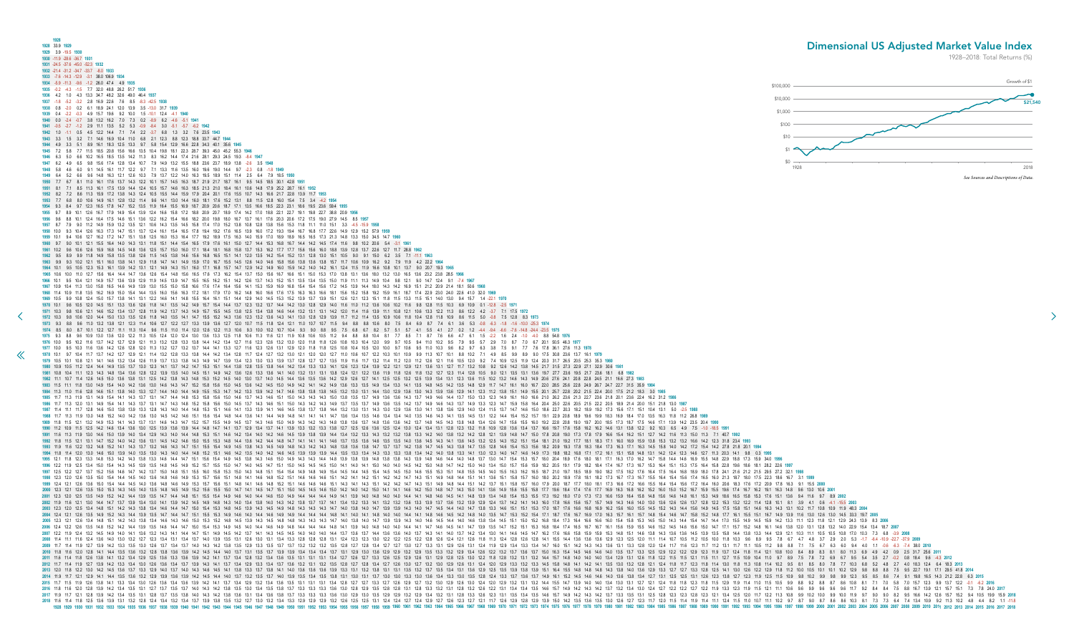<span id="page-11-0"></span>**1928 1928** 33.9 **1929 1929** 3.9 -19.5 **1930 1930** -11.9 -28.6 -36.7 **1931 1931** -24.5 -37.6 -45.0 -52.3 **1932 1932** -21.4 -31.2 -34.7 -33.7 -8.0 **1933 1933** -7.6 -14.3 -12.9 -3.1 38.0 106.9 **1934 1934** -5.9 -11.3 -9.6 -1.2 26.0 47.4 4.9 **1935 1935** -0.2 -4.3 -1.5 7.7 32.0 48.8 26.2 51.7 **1936 1936** 4.2 1.0 4.3 13.3 34.7 48.2 32.6 49.0 46.4 **1937 1937** -1.8 -5.2 -3.2 2.8 16.9 22.6 7.6 8.5 -8.3 -42.5 **1938 1938** 0.8 -2.0 0.2 6.1 18.9 24.1 12.0 13.9 3.5 -13.0 31.7 **1939 1939** 0.4 -2.2 -0.3 4.9 15.7 19.6 9.2 10.0 1.5 -10.1 12.4 -4.1 **1940 1940** 0.0 -2.4 -0.7 3.8 13.2 16.2 7.0 7.3 0.2 -8.9 6.2 -4.6 -5.1 **1941 1941** -0.5 -2.7 -1.2 2.9 11.1 13.5 5.2 5.3 -0.9 -8.4 3.0 -5.1 -5.7 -6.2 **1942 1942** 1.0 -1.1 0.5 4.5 12.2 14.4 7.1 7.4 2.2 -3.7 6.8 1.3 3.2 7.6 23.5 **1943 1943** 3.3 1.5 3.2 7.1 14.6 16.9 10.4 11.0 6.8 2.1 12.3 8.8 12.3 18.8 33.7 44.7 **1944 1944** 4.9 3.3 5.1 8.9 16.1 18.3 12.5 13.3 9.7 5.8 15.4 12.9 16.6 22.8 34.3 40.1 35.6 **1945 1945** 7.2 5.8 7.7 11.5 18.5 20.8 15.6 16.6 13.5 10.4 19.8 18.1 22.3 28.7 39.3 45.0 45.2 55.3 **1946 1946** 6.3 5.0 6.6 10.2 16.5 18.5 13.5 14.2 11.3 8.3 16.2 14.4 17.4 21.6 28.1 29.3 24.5 19.3 -8.4 **1947 1947** 6.2 4.9 6.5 9.8 15.6 17.4 12.8 13.4 10.7 7.9 14.9 13.2 15.5 18.8 23.6 23.7 18.9 13.8 -2.6 3.5 **1948 1948** 5.8 4.6 6.0 9.1 14.5 16.1 11.7 12.2 9.7 7.1 13.3 11.6 13.5 16.0 19.6 19.0 14.4 9.7 -2.3 0.8 -1.8 **1949 1949** 6.4 5.2 6.6 9.6 14.8 16.3 12.1 12.6 10.3 7.9 13.7 12.2 14.0 16.3 19.5 18.9 15.1 11.4 2.5 6.4 7.9 18.5 **1950 1950** 7.7 6.7 8.1 11.0 16.1 17.6 13.7 14.3 12.2 10.1 15.7 14.5 16.3 18.7 21.9 21.7 18.7 16.1 9.5 14.5 18.5 30.1 42.8 **1951 1951** 8.1 7.1 8.5 11.3 16.1 17.5 13.9 14.4 12.4 10.5 15.7 14.6 16.3 18.5 21.3 21.0 18.4 16.1 10.6 14.8 17.9 25.2 28.7 16.1 **1952 1952** 8.2 7.2 8.6 11.3 15.9 17.2 13.8 14.3 12.4 10.5 15.5 14.4 15.9 17.9 20.4 20.1 17.6 15.5 10.7 14.3 16.6 21.7 22.8 13.9 11.7 **1953 1953** 7.7 6.8 8.0 10.6 14.9 16.1 12.8 13.2 11.4 9.6 14.1 13.0 14.4 16.0 18.1 17.6 15.2 13.1 8.8 11.5 12.8 16.0 15.4 7.5 3.4 -4.2 **1954 1954** 9.3 8.4 9.7 12.3 16.5 17.8 14.7 15.2 13.5 11.9 16.4 15.5 16.9 18.7 20.9 20.6 18.7 17.1 13.5 16.6 18.5 22.3 23.1 18.6 19.5 23.6 59.4 **1955 1955** 9.7 8.9 10.1 12.6 16.7 17.9 14.9 15.4 13.9 12.4 16.6 15.8 17.2 18.8 20.9 20.7 18.9 17.4 14.2 17.0 18.8 22.1 22.7 19.1 19.8 22.7 38.8 20.9 **1956 1956** 9.6 8.8 10.1 12.4 16.4 17.5 14.6 15.1 13.6 12.2 16.2 15.4 16.6 18.2 20.0 19.8 18.0 16.7 13.7 16.1 17.6 20.3 20.6 17.2 17.5 19.0 27.9 14.5 8.5 **1957 1957** 8.7 7.9 9.0 11.2 14.9 15.9 13.2 13.5 12.1 10.6 14.3 13.5 14.5 15.8 17.4 17.0 15.2 13.8 10.8 12.8 13.8 15.6 15.3 11.8 11.1 11.0 15.1 3.3 -4.5 -15.9 **1958 1958** 10.0 9.3 10.4 12.6 16.3 17.3 14.7 15.1 13.7 12.4 16.1 15.4 16.5 17.8 19.4 19.2 17.6 16.5 13.9 16.0 17.2 19.3 19.4 16.7 16.8 17.7 22.6 14.9 12.9 15.2 57.9 **1959 1959** 10.1 9.4 10.6 12.7 16.2 17.2 14.7 15.1 13.8 12.5 16.0 15.3 16.4 17.7 19.2 18.9 17.5 16.3 14.0 15.9 17.0 18.9 18.9 16.5 16.5 17.3 21.3 14.8 13.3 15.0 34.5 14.7 **1960 1960** 9.7 9.0 10.1 12.1 15.5 16.4 14.0 14.3 13.1 11.8 15.1 14.4 15.4 16.5 17.9 17.6 16.1 15.0 12.7 14.4 15.3 16.8 16.7 14.4 14.2 14.5 17.4 11.6 9.8 10.2 20.6 5.4 -3.1 **1961 1961** 10.2 9.6 10.6 12.6 15.9 16.8 14.5 14.8 13.6 12.5 15.7 15.0 16.0 17.1 18.4 18.1 16.8 15.8 13.7 15.3 16.2 17.7 17.7 15.6 15.6 16.0 18.8 13.9 12.8 13.7 22.6 12.7 11.7 28.8 **1962 1962** 9.5 8.9 9.9 11.8 14.9 15.8 13.5 13.8 12.6 11.5 14.5 13.8 14.6 15.6 16.8 16.5 15.1 14.1 12.0 13.5 14.2 15.4 15.2 13.1 12.8 13.0 15.1 10.5 9.0 9.1 15.0 6.2 3.5 7.1 -11.1 **1963 1963** 9.9 9.3 10.2 12.1 15.1 16.0 13.8 14.1 12.9 11.8 14.7 14.1 14.9 15.9 17.0 16.7 15.5 14.5 12.6 14.0 14.6 15.8 15.6 13.8 13.6 13.8 15.7 11.7 10.6 10.9 16.2 9.2 7.9 11.9 4.2 22.2 **1964 1964** 10.1 9.5 10.5 12.3 15.3 16.1 13.9 14.2 13.1 12.1 14.9 14.3 15.1 16.0 17.1 16.8 15.7 14.7 12.9 14.2 14.9 16.0 15.9 14.2 14.0 14.2 16.1 12.4 11.5 11.9 16.6 10.8 10.1 13.7 9.0 20.7 19.3 **1965 1965** 10.6 10.0 11.0 12.7 15.6 16.4 14.4 14.7 13.6 12.6 15.4 14.8 15.6 16.5 17.6 17.3 16.2 15.4 13.7 15.0 15.6 16.7 16.6 15.1 15.0 15.3 17.0 13.8 13.1 13.6 18.0 13.2 13.0 16.5 13.6 23.2 23.8 28.5 **1966 [1](#page-10-0)966** 10.1 9.5 10.4 12.1 14.9 15.7 13.6 13.9 12.9 11.9 14.5 13.9 14.7 15.5 16.5 16.2 15.1 14.2 12.6 13.7 14.3 15.2 15.1 13.5 13.4 13.5 15.0 11.9 11.1 11.3 14.9 10.4 9.8 12.1 9.0 14.7 12.4 9.1 -7.4 **1967 1967** 10.9 10.4 11.3 13.0 15.8 16.5 14.6 14.9 13.9 13.0 15.5 15.0 15.8 16.6 17.6 17.4 16.4 15.6 14.1 15.3 15.9 16.9 16.8 15.4 15.4 15.6 17.2 14.5 13.9 14.4 18.0 14.3 14.2 16.9 15.1 21.2 20.9 21.4 18.1 50.6 **1968** 1968 11.4 10.9 11.8 13.5 16.2 16.9 15.0 15.4 14.4 13.5 16.0 15.6 16.3 17.2 18.1 17.9 17.0 16.2 14.8 16.0 16.6 17.5 16.3 16.3 16.6 18.1 15.6 15.1 15.6 19.2 15.8 19.1 16.7 17.4 22.9 23.0 24.0 22.6 41.0 32.0 1969 1969 10.5 9.9 10.8 12.4 15.0 15.7 13.8 14.1 13.1 12.2 14.6 14.1 14.8 15.5 16.4 16.1 15.1 14.4 12.9 14.0 14.5 15.3 15.2 13.9 13.7 13.9 15.1 12.6 12.1 12.3 15.1 11.5 13.3 11.5 15.1 14.0 13.0 9.4 15.7 1.4 -22.1 1970 1970 10.1 9.6 10.5 12.0 14.5 15.1 13.3 13.6 12.6 11.8 14.1 13.5 14.2 14.9 15.7 15.4 14.4 13.7 12.3 13.2 13.7 14.4 14.4 14.2 13.0 12.8 12.9 14.0 11.0 11.2 13.6 10.6 10.2 11.6 9.8 12.8 11.5 10.3 6.9 10.9 0.1 -12.8 -2.5 1971 1971 10.3 9.8 10.6 12.1 14.6 15.2 13.4 13.7 12.8 11.9 14.2 13.7 14.3 14.9 15.7 15.5 14.5 13.8 12.5 13.4 13.8 14.6 14.4 13.2 13.1 13.1 14.2 12.0 11.4 11.6 13.9 11.1 10.8 12.1 10.6 13.3 12.2 11.3 8.6 12.2 4.2 -3.7 7.1 17.5 19 1972 10.3 9.8 10.6 12.0 14.4 15.0 13.3 13.5 12.6 11.8 14.0 13.5 14.1 14.7 15.5 15.2 14.3 13.6 12.3 13.6 14.3 14.1 13.0 12.8 12.9 13.9 11.7 11.2 11.4 13.5 10.9 10.6 11.8 10.4 12.8 11.8 10.9 8.6 11.5 5.0 -0.8 7.5 12.8 8.3 197 1973 9.3 8.8 9.6 11.0 13.2 13.8 12.1 12.3 11.4 10.6 12.7 12.2 12.7 13.3 13.9 13.6 12.7 12.0 10.7 11.5 11.8 12.4 12.1 11.0 10.7 11.5 9.4 8.8 10.6 8.0 7.5 8.4 6.9 8.7 7.4 6.1 3.6 6.3 -0.8 -6.3 -1.8 -1.6 -1.00 -25.3 1974 1974 8.5 8.0 8.7 10.1 12.2 12.7 11.1 11.3 10.4 9.6 11.5 11.0 11.4 12.0 12.6 12.2 11.3 10.6 9.3 10.0 10.2 10.7 10.4 9.3 9.0 8.8 9.5 7.5 6.8 6.7 8.2 5.7 5.1 5.7 4.1 5.5 4.1 2.7 0.2 1.2 4.4 9.4 -6.6 -7.6 -14.8 -24.4 -23.5 1975 1975 9.3 8.8 9.6 10.9 13.0 13.6 12.0 12.2 11.3 10.5 12.4 13.0 12.4 13.0 13.6 13.3 12.5 11.8 10.6 11.3 11.6 12.1 11.9 10.8 10.5 10.5 10.5 10.4 8.8 8.8 10.4 8.1 7.7 8.5 7.1 8.7 7.6 6.6 4.7 6.1 1.5 -2.2 1.6 2.4 -1.0 -4.0 8.8 1976 10.0 9.5 10.2 11.6 13.7 14.2 12.7 12.9 12.1 11.3 13.2 12.8 13.3 13.8 14.4 14.2 13.4 12.7 11.6 12.3 12.6 13.2 13.0 12.0 11.8 11.8 12.6 10.3 10.4 12.0 9.9 9.7 10.5 9.4 11.0 10.2 9.5 7.9 9.5 5.7 2.9 7.0 8.7 7.0 6.7 20.1 5 1977 10.0 9.5 10.3 11.6 13.6 14.2 12.6 12.8 12.0 11.3 13.2 12.7 13.2 13.7 14.4 14.1 13.3 12.7 11.6 12.3 12.6 13.1 12.9 12.0 11.8 11.8 12.5 10.4 10.5 12.0 10.0 9.7 10.6 9.5 11.0 10.3 9.6 8.2 9.7 6.3 3.8 7.5 9.1 7.7 7.6 17.8 1978 10.1 9.7 10.4 11.7 13.7 14.2 12.7 12.9 12.1 11.4 13.2 12.8 13.3 13.8 14.4 14.2 13.4 12.8 11.7 12.4 12.7 13.2 13.0 12.1 12.0 12.7 11.0 10.6 10.7 12.2 10.3 10.1 10.9 9.9 11.3 10.7 10.1 8.8 10.2 7.1 4.9 8.5 9.9 8.9 9.0 17 1979 10.5 10.1 10.8 12.1 14.1 14.6 13.2 13.4 12.6 11.9 13.7 13.3 13.8 14.3 14.9 14.7 13.9 13.4 12.3 13.0 13.3 13.9 13.7 12.8 12.7 12.5 11.9 11.6 11.7 13.2 11.4 11.2 12.0 11.2 12.6 12.1 11.6 10.5 12.0 9.2 7.4 10.9 12.5 11.9 1980 10.9 10.5 11.2 12.4 14.4 14.9 13.5 13.7 13.0 12.3 14.1 13.7 14.2 14.7 15.3 15.1 14.4 13.8 12.8 13.5 13.8 14.4 14.2 13.4 13.3 13.3 14.1 12.6 12.3 12.4 13.9 12.1 12.9 12.1 13.6 13.1 12.7 11.7 13.2 10.8 9.2 12.6 14.4 13.8 1981 10.8 10.4 11.1 12.3 14.3 14.8 13.4 13.6 12.8 12.2 13.9 13.5 14.0 14.5 15.1 14.9 14.2 13.6 12.6 13.3 13.6 14.1 14.0 13.2 13.1 13.1 13.1 13.1 12.1 12.6 11.9 11.8 12.6 11.8 12.7 12.3 11.4 12.8 10.5 9.0 12.1 13.5 13.1 13.6 1982 11.1 10.7 11.4 12.6 14.5 15.0 13.6 13.8 13.1 12.5 14.2 13.8 14.3 14.8 15.3 15.2 14.5 14.0 13.0 13.7 14.0 14.5 14.4 13.6 13.5 13.6 14.2 12.9 12.5 13.2 12.5 13.9 13.4 13.1 12.3 13.6 11.5 10.2 13.2 14.6 14.3 14.9 20.6 27. 1983 11.5 11.1 11.8 13.0 14.9 15.4 14.0 14.2 13.6 13.0 14.6 14.3 14.7 15.2 15.8 15.6 15.0 14.5 15.6 15.6 14.5 15.6 14.2 14.5 15.0 14.9 14.9 14.9 14.9 13.6 13.3 13.5 14.9 13.3 14.1 13.5 14.8 14.1 13.5 14.8 12.9 11.7 14.7 16. **1984** 11.3 11.0 11.6 12.8 14.6 15.1 13.8 14.0 13.3 12.7 14.4 14.0 14.4 14.9 15.5 15.3 14.7 14.2 13.3 13.9 14.2 14.7 14.6 13.8 13.8 13.8 14.5 13.2 13.0 13.1 14.4 13.0 12.9 13.6 13.0 14.3 13.9 13.6 12.9 14.1 12.3 11.2 13.8 15.1 14.9 15.5 20.1 25.7 22.8 20.2 21.5 22.4 20.0 17.5 21.2 18.3 3.0 **1985** 1985 11.7 11.3 11.9 13.1 14.9 15.4 14.1 14.3 13.7 13.1 14.7 14.4 14.8 15.3 15.8 15.6 15.0 14.6 13.7 14.3 14.6 15.1 14.6 15.1 14.6 15.1 14.6 15.1 14.6 15.9 14.6 15.0 14.6 15.1 14.9 14.6 15.1 15.0 14.3 14.3 15.0 13.8 13.5 13. 1986 11.7 11.3 12.0 13.1 14.9 15.4 14.1 14.3 13.7 13.1 14.7 14.3 14.8 15.2 15.8 15.6 15.0 14.5 13.7 14.3 14.6 15.1 14.5 14.9 14.9 14.9 13.1 14.9 13.7 13.5 13.7 14.9 13.6 13.5 14.2 14.3 14.9 14.9 13.7 14.9 13.5 14.9 13.1 14. **1987** 11.4 11.1 11.7 12.8 14.6 15.0 13.8 13.9 13.3 12.8 14.3 14.0 14.4 14.8 15.3 15.1 14.6 14.1 13.3 13.9 14.1 14.6 14.5 13.8 13.7 13.8 14.4 13.2 13.0 13.1 14.3 13.0 12.9 13.6 13.0 14.1 13.8 13.6 12.9 14.0 12.4 11.5 13.7 14.7 14.6 15.0 18.6 22.7 20.3 18.2 18.9 19.2 17.3 15.6 17.1 15.1 10.4 13.1 5.0 -2.5 **1988 1988** 11.7 11.3 11.9 13.0 14.8 15.2 14.0 14.2 13.6 13.0 14.5 14.2 14.6 15.1 15.6 15.4 14.8 14.4 13.6 14.1 14.4 14.9 14.8 14.1 14.1 14.1 14.7 13.6 13.4 13.5 14.6 13.4 13.4 14.0 13.5 14.6 14.3 14.1 13.5 14.5 13.1 12.2 14.4 15.4 15.2 15.7 19.1 22.9 20.8 18.9 19.6 19.9 18.3 16.9 18.4 17.0 13.5 16.3 11.8 11.2 26.8 **1989 1989** 11.8 11.5 12.1 13.2 14.9 15.3 14.1 14.3 13.7 13.1 14.6 14.3 14.7 15.2 15.7 15.5 14.9 14.5 13.7 14.3 14.6 15.0 14.9 14.3 14.2 14.3 14.8 13.8 13.6 13.7 14.8 13.6 13.6 14.2 13.7 14.8 14.5 14.3 13.8 14.8 13.4 12.6 14.7 15.6 15.5 16.0 19.2 22.8 20.8 19.0 19.7 20.0 18.5 17.3 18.7 17.5 14.6 17.1 13.9 14.2 23.5 20.4 **1990 1990** 11.2 10.9 11.5 12.5 14.2 14.6 13.4 13.6 13.0 12.5 13.9 13.6 13.9 14.4 14.8 14.7 14.1 13.7 12.9 13.4 13.7 14.1 13.9 13.3 13.2 13.3 13.8 12.7 12.5 12.6 13.6 12.5 12.4 13.0 12.4 13.4 13.1 12.8 12.3 13.2 11.8 10.9 12.8 13.6 13.4 13.7 16.6 19.7 17.6 15.8 16.2 16.2 14.6 13.1 13.8 12.2 9.2 10.3 6.5 4.9 7.5 -1.0 -18.5 **1991** 1991 11.6 11.3 11.9 13.0 14.6 15.0 13.9 14.0 13.4 12.9 14.3 14.0 14.4 14.8 15.3 15.1 14.6 14.2 13.4 14.0 14.2 14.6 14.5 13.9 13.8 13.9 14.4 13.4 13.2 13.3 13.3 14.2 14.0 13.8 13.2 14.2 12.8 12.1 13.9 14.8 14.7 15.0 17.8 17. **1992** 11.8 11.5 12.1 13.1 14.7 15.2 14.0 14.2 13.6 13.1 14.5 14.2 14.6 15.0 15.5 15.3 14.8 14.4 13.6 14.2 14.4 14.8 14.7 14.1 14.1 14.1 14.6 13.7 13.5 13.6 14.6 13.5 13.5 14.0 13.6 14.5 14.3 14.1 13.6 14.5 13.2 12.5 14.3 15.2 15.1 15.4 18.1 21.0 19.2 17.7 18.1 18.3 17.1 16.0 16.9 15.9 13.8 15.3 13.2 13.2 16.6 14.2 12.3 31.8 23.4 **1993** 1993 11.9 11.6 12.2 13.2 14.8 15.2 14.1 14.3 13.7 13.2 14.6 14.3 14.3 14.7 15.1 15.5 15.4 14.9 14.5 13.8 14.3 14.3 14.8 14.9 14.8 14.9 14.5 13.8 14.3 14.3 14.9 14.8 14.3 14.8 14.8 14.8 14.8 13.8 13.6 13.8 14.7 13.7 14.2 13. 1994 11.8 11.4 12.0 13.0 14.6 15.0 13.9 14.0 13.5 13.0 14.3 14.0 14.4 14.8 15.2 15.1 14.6 14.2 13.5 14.0 14.2 14.6 14.5 13.0 14.5 13.0 13.9 13.9 13.4 14.1 13.3 13.3 13.4 14.2 14.0 12.3 14.1 13.0 12.3 14.0 14.7 14.6 14.9 17. **1995** 12.1 11.8 12.3 13.3 14.8 15.3 14.2 14.3 13.8 13.3 14.6 14.4 14.7 15.1 15.6 15.4 14.9 14.5 13.8 14.3 14.6 15.0 14.9 14.3 14.3 14.4 14.8 13.9 13.8 13.9 14.8 13.8 13.8 14.3 13.9 14.8 14.6 14.4 14.0 14.8 13.7 13.0 14.7 15.4 15.3 15.7 18.0 20.4 18.9 17.6 18.0 18.1 17.1 16.3 17.0 16.2 14.7 15.8 14.4 14.6 16.9 15.5 14.8 22.9 18.8 17.3 15.9 34.0 **1996** 1996 12.2 11.9 12.5 13.4 15.0 15.4 14.3 14.5 13.9 13.5 14.8 14.5 14.9 15.2 15.7 15.5 15.0 14.7 14.0 14.7 14.0 14.7 15.1 15.0 14.7 15.1 15.0 14.7 15.1 15.0 14.7 15.1 15.0 14.5 14.5 15.0 14.1 15.0 14.1 15.0 14.0 14.5 14.9 15. 1997 12.5 12.2 12.7 13.7 15.2 15.6 14.6 14.7 14.2 13.7 15.0 14.8 15.1 15.5 16.0 15.8 15.0 14.3 15.0 14.3 14.8 15.1 14.9 14.8 15.1 15.4 14.9 15.1 15.4 14.9 14.8 14.9 14.8 14.9 14.8 14.9 14.8 14.9 14.5 15.4 14.5 15.0 14.6 15. 1998 12.3 12.0 12.6 13.5 15.0 15.4 14.4 14.5 14.0 13.6 14.0 14.6 14.6 14.6 14.9 15.7 15.6 15.1 14.8 14.1 14.6 14.8 14.1 14.6 14.8 15.2 15.1 14.6 14.8 15.1 14.6 14.6 15.1 14.6 14.6 15.1 14.1 14.6 14.1 14.2 14.1 14.1 14.4 15 **1999** 12.4 12.1 12.6 13.6 15.0 15.4 14.4 14.5 14.0 13.6 14.8 14.6 14.9 15.3 15.7 15.6 15.1 14.8 14.1 14.6 14.8 15.2 15.1 14.6 14.6 14.6 15.1 14.3 14.1 14.3 15.1 14.2 14.2 14.7 14.3 15.1 14.9 14.8 14.4 15.1 14.2 13.7 15.1 15.8 15.7 16.0 17.9 20.0 18.7 17.7 18.0 18.1 17.3 16.6 17.2 16.6 15.5 16.4 15.4 15.6 17.2 16.4 16.0 20.6 18.3 17.6 17.2 20.9 17.8 16.3 9.1 15.5 **2000** 2000 12.3 12.1 12.6 13.5 15.0 15.3 14.3 14.5 14.6 14.5 14.8 14.5 14.8 14.5 14.9 15.2 15.6 15.5 15.0 14.7 14.1 14.5 14.7 15.1 15.0 14.7 15.1 15.0 14.5 14.6 15.0 14.7 15.1 15.0 14.5 14.6 15.0 14.1 14.6 14.2 15.0 14.1 14.6 14. **2001** 12.3 12.0 12.5 13.5 14.9 15.2 14.2 14.4 13.9 13.5 14.7 14.4 14.8 15.1 15.5 15.4 14.9 14.6 14.0 14.4 14.6 15.0 14.9 14.4 14.4 14.4 14.9 14.1 13.9 14.0 14.8 14.0 14.0 14.4 14.1 14.8 14.6 14.5 14.1 14.8 13.9 13.4 14.8 15.4 15.3 15.5 17.3 19.2 18.0 17.0 17.3 17.3 16.6 15.9 16.4 15.8 14.8 15.6 14.6 14.8 16.1 15.3 14.9 18.6 16.5 15.8 15.3 17.6 15.1 13.6 9.4 11.6 9.7 8.9 **2002** 2002 11.9 11.6 12.1 13.0 14.4 14.7 13.7 13.9 13.4 13.0 14.1 13.9 14.2 14.5 14.9 14.8 14.9 14.8 14.9 14.8 14.9 14.8 14.9 13.4 13.8 14.0 13.4 13.8 13.7 13.7 14.1 13.2 13.3 14.1 13.2 13.3 14.1 13.2 13.5 13.9 13.9 13.9 12.1 14 **2003** 12.3 12.0 12.5 13.4 14.8 15.1 14.2 14.3 13.8 13.4 14.6 14.4 14.7 15.0 15.4 15.3 14.8 14.5 13.9 14.3 14.5 14.9 14.8 14.3 14.3 14.3 14.7 14.0 13.8 14.0 14.7 13.9 13.9 14.3 14.0 14.7 14.5 14.4 14.0 14.7 13.8 13.3 14.6 15.1 15.1 15.3 17.0 18.7 17.6 16.6 16.8 16.9 16.2 15.6 16.0 15.5 14.5 15.2 14.3 14.4 15.6 14.9 14.5 17.5 15.8 15.1 14.6 16.3 14.3 13.1 10.2 11.7 10.8 10.9 11.9 48.3 **2004 2004** 12.4 12.1 12.6 13.5 14.9 15.2 14.3 14.4 13.9 13.5 14.7 14.4 14.7 15.1 15.5 15.3 14.9 14.6 14.0 14.4 14.6 14.9 14.9 14.4 14.4 14.4 14.8 14.1 14.0 14.1 14.8 14.0 14.0 14.4 14.1 14.8 14.6 14.5 14.2 14.8 14.0 13.5 14.7 15.3 15.2 15.4 17.1 18.7 17.6 16.7 16.9 17.0 16.3 15.7 16.1 15.7 14.8 15.4 14.6 14.7 15.8 15.2 14.8 17.7 16.1 15.5 15.1 16.7 14.9 13.9 11.6 13.0 12.6 13.0 14.5 33.3 19.7 **2005** 2005 12.3 12.1 12.6 13.4 14.8 15.1 14.2 14.3 13.8 13.4 14.6 14.3 14.6 15.0 15.3 15.2 14.8 14.5 13.9 14.3 14.5 13.9 14.3 14.5 13.9 14.3 14.5 14.8 14.3 14.3 14.3 14.3 14.3 14.3 14.1 14.0 13.8 14.0 14.7 13.9 13.4 14.5 15.1 15 **2006** 12.4 12.2 12.6 13.5 14.8 15.2 14.2 14.4 13.9 13.5 14.6 14.4 14.7 15.0 15.4 15.3 14.9 14.5 14.0 14.4 14.6 14.9 14.8 14.4 14.4 14.4 14.8 14.1 13.9 14.0 14.8 14.0 14.0 14.4 14.1 14.7 14.6 14.5 14.1 14.7 13.9 13.5 14.7 15.2 15.1 15.3 16.8 18.4 17.4 16.5 16.7 16.7 16.1 15.6 15.9 15.5 14.6 15.2 14.5 14.6 15.6 15.0 14.7 17.1 15.7 15.2 14.8 16.1 14.6 13.8 12.0 13.1 12.8 13.2 14.0 22.9 15.4 13.4 18.7 **2007** 2007 12.2 11.9 12.4 13.2 14.5 14.9 14.0 14.1 13.6 13.2 14.3 14.1 14.4 14.7 15.1 14.9 14.5 14.9 14.5 14.2 13.7 14.1 14.3 14.5 14.5 14.1 14.3 14.5 14.0 14.0 14.0 14.0 14.0 14.4 13.7 13.6 13.6 14.0 13.7 14.4 13.0 14.1 14.6 14. 2008 11.4 11.1 11.6 12.4 13.6 14.0 13.0 13.2 12.7 12.3 13.4 13.1 13.4 13.1 13.4 13.7 14.0 13.9 13.5 13.1 12.6 13.0 13.1 12.6 13.0 13.1 12.6 13.0 13.1 12.4 12.3 12.8 12.8 12.8 12.1 12.4 12.3 13.0 12.2 12.5 12.9 12.6 12.8 12. 2009 11.7 11.4 11.9 12.7 13.9 14.2 13.3 13.5 13.0 12.6 13.7 13.4 13.7 14.0 14.3 14.2 13.8 14.2 13.8 13.5 12.9 13.3 13.5 12.9 13.3 13.5 12.7 13.2 13.2 13.2 13.2 13.2 13.5 12.8 12.7 12.7 13.0 12.7 13.3 13.1 12.4 11.9 12.9 13. 2010 11.8 11.6 12.0 12.8 14.1 14.4 13.5 13.6 13.2 12.8 13.8 13.6 13.9 14.2 14.5 14.4 14.0 14.7 14.4 14.0 13.7 13.1 13.5 13.7 13.1 13.5 13.7 13.9 13.4 13.4 13.4 13.4 13.4 13.1 12.9 13.0 13.6 12.9 13.1 12.9 13.1 12.9 13.1 12. **2011** 11.6 11.4 11.8 12.6 13.8 14.1 13.2 13.4 12.9 12.5 13.6 13.3 13.6 13.9 14.2 14.1 13.7 13.4 12.8 13.2 13.4 13.6 13.5 13.1 13.1 13.1 13.4 12.7 12.6 12.7 13.3 12.6 12.5 12.9 12.6 13.1 12.9 12.8 12.5 13.0 12.2 11.8 12.8 13.2 13.1 13.2 14.4 15.7 14.8 14.0 14.0 14.0 13.4 12.9 13.1 12.6 11.8 12.2 11.5 11.5 12.1 11.5 11.1 12.7 11.5 10.9 10.4 11.0 9.7 8.9 7.5 7.8 7.2 6.9 6.7 9.5 5.4 3.5 2.7 -0.2 0.8 18.4 9.6 -4.3 **2012 2012** 11.7 11.4 11.9 12.7 13.9 14.2 13.3 13.4 13.0 12.6 13.6 13.4 13.7 13.9 14.3 14.1 13.7 13.4 12.9 13.3 13.4 13.7 13.6 13.2 13.1 13.2 13.5 12.8 12.7 12.8 13.4 12.7 12.6 13.0 12.7 13.2 13.0 12.9 12.6 13.1 12.4 12.0 12.9 13.3 13.2 13.3 14.5 15.8 14.8 14.1 14.2 14.1 13.5 13.0 13.2 12.8 12.1 12.4 11.8 11.7 12.3 11.8 11.4 13.0 11.8 11.3 10.8 11.4 10.2 9.5 8.1 8.5 8.0 7.8 7.7 10.3 6.8 5.2 4.8 2.7 4.0 18.3 12.4 6.4 18.3 **2013 2013** 12.0 11.8 12.2 13.0 14.2 14.5 13.6 13.7 13.3 12.9 14.0 13.7 14.0 14.3 14.6 14.5 14.1 13.8 13.3 13.7 13.8 14.1 14.0 13.6 13.6 13.6 13.9 13.3 13.1 13.2 13.8 13.1 13.1 13.5 13.2 13.7 13.5 13.4 13.1 13.6 12.9 12.5 13.5 13.9 13.8 13.9 15.1 16.4 15.5 14.8 14.8 14.8 14.3 13.8 14.0 13.6 12.9 13.3 12.7 12.7 13.3 12.8 12.5 14.1 13.0 12.6 12.2 12.9 11.8 11.2 10.0 10.5 10.1 10.1 10.2 12.9 9.8 8.8 8.8 7.5 9.5 22.7 19.1 17.1 29.5 41.8 **2014** 1.9 121 223 13 21 22 14 23 2014 119 20 2014 119 120 139 139 139 139 142 145 144 140 137 132 144 140 137 132 135 137 140 137 132 135 134 135 134 135 134 135 134 130 131 130 131 130 131 130 134 133 130 135 124 140 140 140 157 17 18 19 126 138 141 133 134 130 126 138 142 141 137 134 129 132 134 135 135 131 131 134 128 127 127 133 127 128 129 129 129 129 129 129 132 134 139 140 140 140 140 141 15 105 129 139 149 149 15 16 105 17 17 0 58 70 157 123 **2016** 11.8 11.6 12.0 12.8 13.9 14.2 13.4 13.5 13.1 12.7 13.7 13.5 13.7 14.0 14.3 14.2 13.8 13.5 13.0 13.4 13.5 13.8 13.7 13.3 13.3 13.3 13.6 13.0 12.8 12.9 13.5 12.8 12.8 13.1 12.8 13.3 13.2 13.1 12.8 13.2 12.6 12.2 13.1 13.4 13.4 13.5 14.6 15.7 14.9 14.2 14.3 14.2 13.7 13.2 13.4 13.0 12.4 12.7 12.2 12.2 12.7 12.2 11.9 13.3 12.3 11.9 11.5 12.1 11.1 10.6 9.6 9.9 9.6 9.6 9.6 11.7 9.2 8.4 8.4 7.5 8.8 16.7 13.9 12.1 15.7 15.1 7.3 7.8 24.0 **2017** 13.4 13.5 13.4 13.5 13.4 13.5 13.4 13.5 13.1 12.8 13.5 13.1 12.8 13.5 13.8 14.0 14.3 14.2 13.8 14.0 14.3 14.2 13.8 13.6 13.1 13.4 13.6 13.1 13.4 13.5 13.3 13.3 13.3 13.3 13.4 13.5 13.1 12.9 13.1 12.5 12.9 13.4 13.5 13.1 12. **2018** 11.6 11.4 11.8 12.5 13.6 13.9 13.1 13.2 12.8 12.4 13.4 13.2 13.4 13.7 13.9 13.8 13.5 13.2 12.7 13.0 13.2 13.4 13.3 12.9 12.9 12.9 13.2 12.6 12.5 12.5 13.1 12.4 12.4 12.7 12.4 12.9 12.7 12.6 12.3 12.7 12.1 11.7 12.6 12.9 12.8 12.9 13.9 15.0 14.2 13.5 13.6 13.5 13.0 12.6 12.7 12.3 11.7 12.0 11.5 11.4 11.9 11.4 11.1 12.4 11.5 11.0 10.7 11.1 10.2 9.7 8.7 9.0 8.7 8.6 8.6 10.3 8.1 7.3 7.3 6.4 7.4 13.4 10.9 9.2 11.3 10.2 4.8 4.4 8.2 1.1 -11.8 1954 1955 1956 1957 1958 1959 1960 1961 1962 1963 1964 1965 1966 1967 1968 1969 1970 1971 1972 1973 1974 1972 1973 1974 1975 1976 1977 1978 1979 1980 1981 1982 1983 1984 1985 1989 1990 1991 1992 1993 1994 1995 1998 1999 200 Dimensional US Adjusted Market Value Index 1928–2018: Total Returns (%) \$0 \$1 \$10  $$100$ \$1,000 \$10,000 \$100,000 *See Sources and Descriptions of Data.*

![](_page_11_Figure_2.jpeg)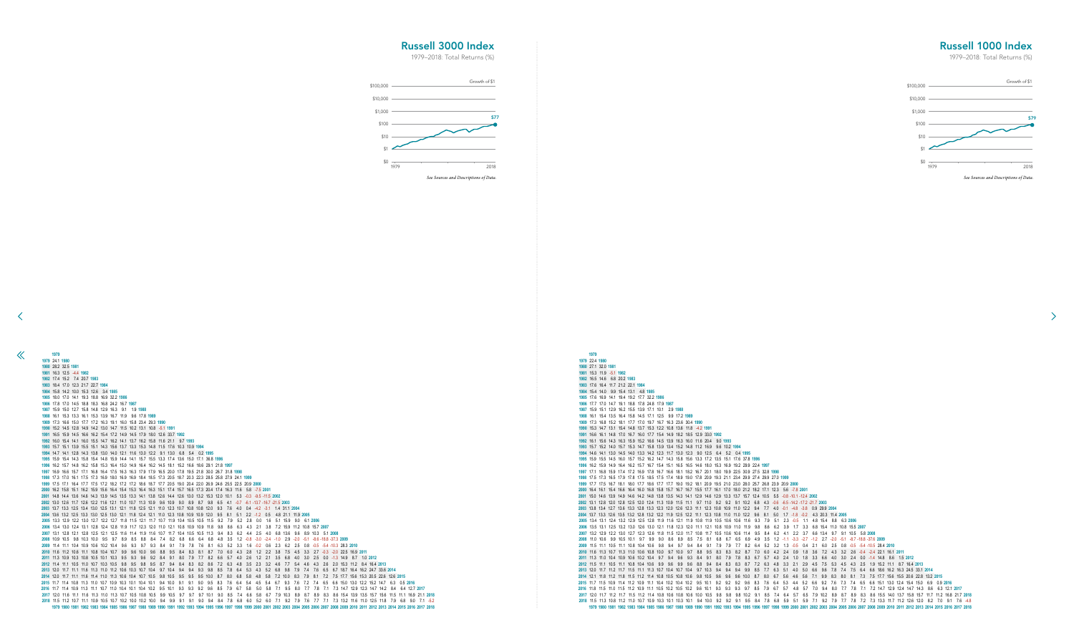15.3 11.9 -5.1 **1982** 16.5 14.6 6.8 20.2 **1983** 17.6 16.4 11.7 21.2 22.1 **1984** 15.4 14.0 9.9 15.4 13.1 4.8 **1985** 17.6 16.9 14.1 19.4 19.2 17.7 32.2 **1986** 17.7 17.0 14.7 19.1 18.8 17.8 24.8 17.9 **1987** 15.9 15.1 12.9 16.2 15.5 13.9 17.1 10.1 2.9 **1988** 16.1 15.4 13.5 16.4 15.8 14.5 17.1 12.5 9.9 17.2 **1989** 17.3 16.8 15.2 18.1 17.7 17.0 19.7 16.7 16.3 23.6 30.4 **1990** 15.3 14.7 13.1 15.4 14.8 13.7 15.3 12.2 10.8 13.6 11.8 -4.2 **1991** 16.6 16.1 14.8 17.0 16.7 16.0 17.7 15.4 14.9 18.2 18.5 12.9 33.0 **1992** 16.1 15.6 14.3 16.3 15.9 15.2 16.6 14.5 13.9 16.3 16.0 11.6 20.4 9.0 **1993** 15.7 15.2 14.0 15.7 15.3 14.7 15.8 13.9 13.4 15.2 14.8 11.2 16.9 9.6 10.2 **1994** 14.6 14.1 13.0 14.5 14.0 13.3 14.2 12.3 11.7 13.0 12.3 9.0 12.5 6.4 5.2 0.4 **1995** 15.9 15.5 14.5 16.0 15.7 15.2 16.2 14.7 14.3 15.8 15.6 13.3 17.2 13.5 15.1 17.6 37.8 **1996** 16.2 15.9 14.9 16.4 16.2 15.7 16.7 15.4 15.1 16.5 16.5 14.6 18.0 15.3 16.9 19.2 29.9 22.4 **1997** 17.1 16.8 15.9 17.4 17.2 16.9 17.8 16.7 16.6 18.1 18.2 16.7 20.1 18.0 19.9 22.5 30.9 27.5 32.8 **1998** 17.5 17.3 16.5 17.9 17.8 17.5 18.5 17.5 17.4 18.9 19.0 17.8 20.9 19.3 21.1 23.4 29.9 27.4 29.9 27.0 **1999** 17.7 17.5 16.7 18.1 18.0 17.7 18.6 17.7 17.7 19.0 19.2 18.1 20.9 19.5 21.0 23.0 28.0 25.7 26.8 23.9 20.9 **2000** 16.4 16.1 15.4 16.6 16.4 16.0 16.8 15.8 15.7 16.7 16.7 15.5 17.7 16.1 17.0 18.0 21.2 18.2 17.1 12.3 5.6 -7.8 **2001** 15.0 14.6 13.9 14.9 14.6 14.2 14.8 13.8 13.5 14.3 14.1 12.9 14.6 12.9 13.3 13.7 15.7 12.4 10.5 5.5 -0.8 -10.1 -12.4 **2002** 13.1 12.8 12.0 12.8 12.5 12.0 12.4 11.3 10.9 11.5 11.1 9.7 11.0 9.2 9.2 9.1 10.2 6.8 4.3 -0.6 -6.5 -14.2 -17.2 -21.7 **2003** 13.8 13.4 12.7 13.6 13.3 12.8 13.3 12.3 12.0 12.6 12.3 11.1 12.3 10.8 10.9 11.0 12.2 9.4 7.7 4.0 -0.1 -4.8 -3.8 0.9 29.9 **2004** 13.7 13.3 12.6 13.5 13.2 12.8 13.2 12.2 11.9 12.5 12.2 11.1 12.3 10.8 11.0 11.0 12.2 9.6 8.1 5.0 1.7 -1.8 -0.2 4.3 20.3 11.4 **2005** 13.4 13.1 12.4 13.2 12.9 12.5 12.8 11.9 11.6 12.1 11.9 10.8 11.9 10.5 10.6 10.6 11.6 9.3 7.9 5.1 2.3 -0.5 1.1 4.8 15.4 8.8 6.3 **2006** 13.5 13.1 12.5 13.2 13.0 12.6 13.0 12.1 11.8 12.3 12.0 11.1 12.1 10.8 10.9 11.0 11.9 9.8 8.6 6.2 3.9 1.7 3.3 6.8 15.4 11.0 10.8 15.5 **2007** 13.2 12.9 12.2 13.0 12.7 12.3 12.6 11.8 11.5 12.0 11.7 10.8 11.7 10.5 10.6 10.6 11.4 9.5 8.4 6.2 4.1 2.2 3.7 6.6 13.4 9.7 9.1 10.5 5.8 **2008** 11.0 10.6 9.9 10.5 10.1 9.7 9.9 9.0 8.6 8.9 8.5 7.5 8.1 6.8 6.7 6.5 6.9 4.9 3.5 1.2 -1.1 -3.3 -2.7 -1.2 2.7 -2.0 -5.1 -8.7 -18.8 -37.6 **2009** 11.5 11.1 10.5 11.1 10.8 10.4 10.6 9.8 9.4 9.7 9.4 8.4 9.1 7.9 7.9 7.7 8.2 6.4 5.2 3.2 1.3 -0.5 0.4 2.1 6.0 2.5 0.8 -0.5 -5.4 -10.5 28.4 **2010** 11.6 11.3 10.7 11.3 11.0 10.6 10.8 10.0 9.7 10.0 9.7 8.8 9.5 8.3 8.3 8.2 8.7 7.0 6.0 4.2 2.4 0.9 1.8 3.6 7.2 4.3 3.2 2.6 -0.4 -2.4 22.1 16.1 **2011** 11.3 11.0 10.4 10.9 10.6 10.2 10.4 9.7 9.4 9.6 9.3 8.4 9.1 8.0 7.9 7.8 8.3 6.7 5.7 4.0 2.4 1.0 1.8 3.3 6.6 4.0 3.0 2.4 0.0 -1.4 14.8 8.6 1.5 **2012** 11.5 11.1 10.5 11.1 10.8 10.4 10.6 9.9 9.6 9.9 9.6 8.8 9.4 8.4 8.3 8.3 8.7 7.2 6.3 4.8 3.3 2.1 2.9 4.5 7.5 5.3 4.5 4.3 2.5 1.9 15.2 11.1 8.7 16.4 **2013** 12.0 11.7 11.2 11.7 11.5 11.1 11.3 10.7 10.4 10.7 10.4 9.7 10.3 9.4 9.4 9.4 9.9 8.5 7.7 6.3 5.1 4.0 5.0 6.6 9.6 7.8 7.4 7.5 6.4 6.6 18.6 16.2 16.3 24.5 33.1 **2014** 12.1 11.8 11.2 11.8 11.5 11.2 11.4 10.8 10.5 10.8 10.6 9.8 10.5 9.6 9.6 9.6 10.0 8.7 8.0 6.7 5.6 4.6 5.6 7.1 9.9 8.3 8.0 8.1 7.3 7.5 17.7 15.6 15.5 20.6 22.8 13.2 **2015** 11.7 11.5 10.9 11.4 11.2 10.9 11.1 10.4 10.2 10.4 10.2 9.5 10.1 9.2 9.2 9.2 9.6 8.3 7.6 6.4 5.3 4.4 5.2 6.6 9.2 7.6 7.3 7.4 6.5 6.6 15.1 13.0 12.4 15.4 15.0 6.9 0.9 **2016** 11.8 11.5 11.0 11.5 11.2 10.9 11.1 10.5 10.2 10.5 10.2 9.6 10.1 9.3 9.3 9.3 9.7 8.5 7.9 6.7 5.7 4.8 5.7 7.0 9.4 8.0 7.7 7.8 7.1 7.2 14.7 12.9 12.4 14.7 14.3 8.6 6.3 12.1 **2017** 12.0 11.7 11.2 11.7 11.5 11.2 11.4 10.8 10.6 10.8 10.6 10.0 10.5 9.8 9.8 9.8 10.2 9.1 8.5 7.4 6.4 5.7 6.5 7.9 10.2 8.9 8.7 8.9 8.3 8.6 15.5 14.0 13.7 15.8 15.7 11.7 11.2 16.8 21.7 **2018** 11.5 11.3 10.8 11.2 11.0 10.7 10.9 10.3 10.1 10.3 10.1 9.4 10.0 9.2 9.2 9.1 9.5 8.4 7.8 6.8 5.9 5.1 5.9 7.1 9.2 7.9 7.7 7.8 7.2 7.3 13.3 11.7 11.2 12.6 12.0 8.2 7.0 9.1 7.6 -4.8 1979 1980 1981 1982 1983 1984 1985 1986 1987 1988 1989 1990 1991 1992 1993 1994 1995 1996 1997 1998 1999 2000 2001 2002 2003 2004 2005 2006 2007 2008 2009 2010 2011 2012 2013 2014 2015 2016 2017 2018

 24.1 **1980** 28.2 32.5 **1981** 16.3 12.5 -4.4 **1982** 17.4 15.2 7.4 20.7 **1983** 18.4 17.0 12.3 21.7 22.7 **1984** 15.8 14.2 10.0 15.3 12.6 3.4 **1985** 18.0 17.0 14.1 19.3 18.8 16.9 32.2 **1986** 17.8 17.0 14.5 18.8 18.3 16.8 24.2 16.7 **1987** 15.9 15.0 12.7 15.8 14.8 12.9 16.3 9.1 1.9 **1988** 16.1 15.3 13.3 16.1 15.3 13.9 16.7 11.9 9.6 17.8 **1989** 17.3 16.6 15.0 17.7 17.2 16.3 19.1 16.0 15.8 23.4 29.3 **1990** 15.2 14.5 12.8 14.9 14.2 13.0 14.7 11.5 10.2 13.1 10.8 -5.1 **1991** 16.5 15.9 14.5 16.6 16.2 15.4 17.2 14.9 14.5 17.9 18.0 12.6 33.7 **1992** 16.0 15.4 14.1 16.0 15.5 14.7 16.2 14.1 13.7 16.2 15.8 11.6 21.1 9.7 **1993** 15.7 15.1 13.9 15.5 15.1 14.3 15.6 13.7 13.3 15.3 14.8 11.5 17.6 10.3 10.9 **1994** 14.7 14.1 12.8 14.3 13.8 13.0 14.0 12.1 11.6 13.0 12.2 9.1 13.0 6.8 5.4 0.2 **1995** 15.9 15.4 14.3 15.8 15.4 14.8 15.9 14.4 14.1 15.7 15.5 13.3 17.4 13.6 15.0 17.1 36.8 **1996** 16.2 15.7 14.8 16.2 15.8 15.3 16.4 15.0 14.9 16.4 16.2 14.5 18.1 15.2 16.6 18.6 29.1 21.8 **1997** 16.9 16.6 15.7 17.1 16.8 16.4 17.5 16.3 16.3 17.9 17.9 16.5 20.0 17.8 19.5 21.8 30.0 26.7 31.8 **1998** 17.3 17.0 16.1 17.5 17.3 16.9 18.0 16.9 16.9 18.4 18.5 17.3 20.5 18.7 20.3 22.3 28.5 25.8 27.9 24.1 **1999** 17.5 17.1 16.4 17.7 17.5 17.2 18.2 17.2 17.2 18.6 18.7 17.7 20.5 19.0 20.4 22.0 26.9 24.6 25.5 22.5 20.9 **2000** 16.2 15.8 15.1 16.2 15.9 15.6 16.4 15.4 15.3 16.4 16.3 15.1 17.4 15.7 16.5 17.3 20.4 17.4 16.3 11.6 5.8 -7.5 **2001** 14.8 14.4 13.6 14.6 14.3 13.9 14.5 13.5 13.3 14.1 13.8 12.6 14.4 12.6 13.0 13.2 15.3 12.0 10.1 5.3 -0.3 -9.5 -11.5 **2002** 13.0 12.6 11.7 12.6 12.2 11.6 12.1 11.0 10.7 11.3 10.9 9.6 10.9 9.0 8.9 8.7 9.8 6.5 4.1 -0.7 -6.1 -13.7 -16.7 -21.5 **2003** 13.7 13.3 12.5 13.4 13.0 12.5 13.1 12.1 11.8 12.5 12.1 11.0 12.3 10.7 10.8 10.8 12.0 9.3 7.6 4.0 0.4 -4.2 -3.1 1.4 31.1 **2004** 13.6 13.2 12.5 13.3 13.0 12.5 13.0 12.1 11.8 12.4 12.1 11.0 12.3 10.8 10.9 10.9 12.0 9.5 8.1 5.1 2.2 -1.2 0.5 4.8 21.1 11.9 **2005** 13.3 12.9 12.2 13.0 12.7 12.2 12.7 11.8 11.5 12.1 11.7 10.7 11.9 10.4 10.5 10.5 11.5 9.2 7.9 5.2 2.8 0.0 1.6 5.1 15.9 9.0 6.1 **2006** 13.4 13.0 12.4 13.1 12.8 12.4 12.8 11.9 11.7 12.3 12.0 11.0 12.1 10.8 10.9 10.9 11.8 9.8 8.6 6.3 4.3 2.1 3.8 7.2 15.9 11.2 10.8 15.7 **2007** 13.1 12.8 12.1 12.8 12.5 12.1 12.5 11.6 11.4 11.9 11.6 10.7 11.7 10.4 10.5 10.5 11.3 9.4 8.3 6.2 4.4 2.5 4.0 6.8 13.6 9.6 8.9 10.3 5.1 **2008** 10.9 10.5 9.8 10.3 10.0 9.5 9.7 8.9 8.5 8.8 8.4 7.4 8.2 6.8 6.6 6.4 6.8 4.8 3.5 1.2 -0.8 -3.0 -2.4 -1.0 2.9 -2.0 -5.1 -8.6 -18.8 -37.3 **2009** 11.4 11.1 10.4 10.9 10.6 10.2 10.4 9.6 9.3 9.7 9.3 8.4 9.1 7.9 7.8 7.6 8.1 6.3 5.2 3.3 1.6 -0.2 0.6 2.3 6.2 2.5 0.8 -0.5 -5.4 -10.3 28.3 **2010** 11.6 11.2 10.6 11.1 10.8 10.4 10.7 9.9 9.6 10.0 9.6 8.8 9.5 8.4 8.3 8.1 8.7 7.0 6.0 4.3 2.8 1.2 2.2 3.8 7.5 4.5 3.3 2.7 -0.3 -2.0 22.5 16.9 **2011** 11.3 10.9 10.3 10.8 10.5 10.1 10.3 9.5 9.3 9.6 9.2 8.4 9.1 8.0 7.9 7.7 8.2 6.6 5.7 4.0 2.6 1.2 2.1 3.5 6.8 4.0 3.0 2.5 0.0 -1.3 14.9 8.7 1.0 **2012** 11.4 11.1 10.5 11.0 10.7 10.3 10.5 9.8 9.5 9.8 9.5 8.7 9.4 8.4 8.3 8.2 8.6 7.2 6.3 4.8 3.5 2.3 3.2 4.6 7.7 5.4 4.6 4.3 2.6 2.0 15.3 11.2 8.4 16.4 **2013** 12.0 11.7 11.1 11.6 11.3 11.0 11.2 10.6 10.3 10.7 10.4 9.7 10.4 9.4 9.4 9.3 9.8 8.5 7.8 6.4 5.3 4.3 5.2 6.8 9.8 7.9 7.4 7.6 6.5 6.7 18.7 16.4 16.2 24.7 33.6 **2014** 12.0 11.7 11.1 11.6 11.4 11.0 11.3 10.6 10.4 10.7 10.5 9.8 10.5 9.5 9.5 9.5 10.0 8.7 8.0 6.8 5.8 4.8 5.8 7.2 10.0 8.3 7.9 8.1 7.2 7.5 17.7 15.6 15.3 20.5 22.6 12.6 **2015** 11.7 11.4 10.8 11.3 11.0 10.7 10.9 10.3 10.1 10.4 10.1 9.4 10.0 9.1 9.1 9.0 9.5 8.3 7.6 6.4 5.4 4.5 5.4 6.7 9.3 7.6 7.2 7.4 6.5 6.6 15.0 13.0 12.2 15.2 14.7 6.3 0.5 **2016** 11.7 11.4 10.9 11.3 11.1 10.7 11.0 10.4 10.1 10.4 10.2 9.5 10.1 9.3 9.3 9.2 9.6 8.5 7.9 6.7 5.8 5.0 5.8 7.1 9.5 8.0 7.7 7.8 7.1 7.3 14.7 12.9 12.3 14.7 14.2 8.4 6.4 12.7 **2017** 12.0 11.6 11.1 11.6 11.3 11.0 11.3 10.7 10.5 10.8 10.5 9.9 10.5 9.7 9.7 9.7 10.1 9.0 8.5 7.4 6.6 5.8 6.7 7.9 10.3 8.9 8.7 8.9 8.3 8.6 15.4 13.9 13.5 15.7 15.6 11.5 11.1 16.9 21.1 **2018** 11.5 11.2 10.7 11.1 10.9 10.5 10.7 10.2 10.0 10.2 10.0 9.4 9.9 9.1 9.1 9.0 9.4 8.4 7.8 6.8 6.0 5.2 6.0 7.1 9.2 7.9 7.6 7.7 7.1 7.3 13.2 11.6 11.0 12.5 11.8 7.9 6.8 9.0 7.1 -5.2 1979 1980 1981 1982 1983 1984 1985 1986 1987 1988 1989 1990 1991 1992 1993 1994 1995 1996 1997 1998 1999 2000 2001 2002 2003 2004 2005 2006 2007 2008 2009 2010 2011 2012 2013 2014 2015 2016 2017 2018

<span id="page-12-0"></span> $\ll$ 

## Russell 1000 Index

1979–2018: Total Returns (%)

 $\rightarrow$ 

## Russell 3000 Index

![](_page_12_Figure_7.jpeg)

![](_page_12_Figure_2.jpeg)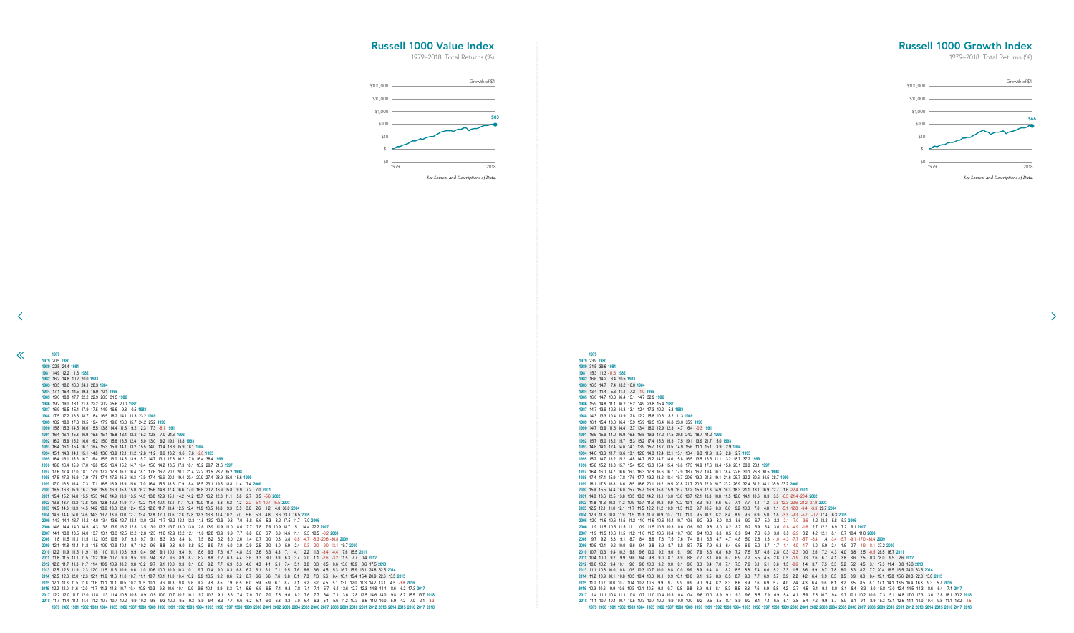15.3 11.3 -11.3 **1982** 16.6 14.2 3.4 20.5 **1983** 16.5 14.7 7.4 18.2 16.0 **1984** 13.4 11.4 5.3 11.4 7.2 -1.0 **1985** 16.0 14.7 10.3 16.4 15.1 14.7 32.9 **1986** 15.9 14.8 11.1 16.2 15.2 14.9 23.8 15.4 **1987** 14.7 13.6 10.3 14.3 13.1 12.4 17.3 10.2 5.3 **1988** 14.3 13.3 10.4 13.9 12.8 12.2 15.8 10.6 8.2 11.3 **1989** 16.1 15.4 13.0 16.4 15.9 15.9 19.5 16.4 16.8 23.0 35.9 **1990** 14.7 13.9 11.6 14.4 13.7 13.4 16.0 12.9 12.3 14.7 16.4 -0.3 **1991** 16.5 15.9 14.0 16.9 16.5 16.5 19.3 17.2 17.5 20.8 24.2 18.7 41.2 **1992** 15.7 15.0 13.2 15.7 15.3 15.2 17.4 15.3 15.3 17.5 19.1 13.9 21.7 5.0 **1993** 14.8 14.1 12.4 14.6 14.1 13.9 15.7 13.7 13.5 14.9 15.6 11.1 15.1 3.9 2.9 **1994** 14.0 13.3 11.7 13.6 13.1 12.8 14.3 12.4 12.1 13.1 13.4 9.3 11.9 3.5 2.8 2.7 **1995** 15.2 14.7 13.2 15.2 14.8 14.7 16.2 14.7 14.6 15.8 16.5 13.5 16.5 11.1 13.2 18.7 37.2 **1996** 15.6 15.2 13.8 15.7 15.4 15.3 16.8 15.4 15.4 16.6 17.3 14.9 17.6 13.4 15.6 20.1 30.0 23.1 **1997** 16.4 16.0 14.7 16.6 16.3 16.3 17.8 16.6 16.7 17.9 18.7 16.7 19.4 16.1 18.4 22.6 30.1 26.8 30.5 **1998** 17.4 17.1 15.9 17.8 17.6 17.7 19.2 18.2 18.4 19.7 20.6 19.0 21.6 19.1 21.6 25.7 32.2 30.6 34.5 38.7 **1999** 18.1 17.8 16.8 18.6 18.5 18.6 20.1 19.2 19.5 20.8 21.7 20.3 22.9 20.7 23.2 26.9 32.4 31.2 34.1 35.9 33.2 **2000** 15.9 15.5 14.4 16.0 15.7 15.7 16.8 15.8 15.9 16.7 17.2 15.6 17.3 14.9 16.3 18.3 21.1 18.1 16.9 12.7 1.6 -22.4 **2001** 14.0 13.6 12.5 13.8 13.5 13.3 14.2 13.1 13.0 13.6 13.7 12.1 13.3 10.8 11.5 12.6 14.1 10.6 8.3 3.3 -6.3 -21.4 -20.4 **2002** 11.8 11.3 10.2 11.3 10.9 10.7 11.3 10.2 9.9 10.2 10.1 8.3 9.1 6.6 6.7 7.1 7.7 4.1 1.2 -3.8 -12.3 -23.6 -24.2 -27.9 **2003** 12.5 12.1 11.0 12.1 11.7 11.5 12.2 11.2 10.9 11.3 11.3 9.7 10.5 8.3 8.6 9.2 10.0 7.0 4.8 1.1 -5.1 -12.8 -9.4 -3.3 29.7 **2004** 12.3 11.8 10.8 11.9 11.5 11.3 11.9 10.9 10.7 11.0 11.0 9.5 10.2 8.2 8.4 8.9 9.6 6.9 5.0 1.8 -3.3 -9.3 -5.7 -0.2 17.4 6.3 **2005** 12.0 11.6 10.6 11.6 11.2 11.0 11.6 10.6 10.4 10.7 10.6 9.2 9.9 8.0 8.2 8.6 9.2 6.7 5.0 2.2 -2.1 -7.0 -3.6 1.2 13.2 5.8 5.3 **2006** 11.9 11.5 10.5 11.5 11.1 10.9 11.5 10.6 10.3 10.6 10.6 9.2 9.8 8.0 8.2 8.7 9.2 6.9 5.4 3.0 -0.8 -4.9 -1.6 2.7 12.2 6.9 7.2 9.1 **2007** 11.9 11.5 10.6 11.5 11.2 11.0 11.5 10.6 10.4 10.7 10.6 9.4 10.0 8.3 8.5 8.9 9.4 7.3 6.0 3.8 0.5 -2.9 0.2 4.2 12.1 8.1 8.7 10.4 11.8 **2008** 9.7 9.2 8.3 9.1 8.7 8.4 8.8 7.8 7.5 7.6 7.4 6.1 6.5 4.7 4.7 4.8 5.0 2.8 1.3 -1.0 -4.3 -7.7 -5.7 -3.4 1.4 -3.4 -5.7 -9.1 -17.0 -38.4 **2009** 10.5 10.1 9.2 10.0 9.6 9.4 9.8 8.9 8.7 8.8 8.7 7.5 7.9 6.3 6.4 6.6 6.9 5.0 3.7 1.7 -1.1 -4.0 -1.7 1.0 5.9 2.4 1.6 0.7 -1.9 -8.1 37.2 **2010** 10.7 10.3 9.4 10.2 9.8 9.6 10.0 9.2 9.0 9.1 9.0 7.9 8.3 6.8 6.9 7.2 7.5 5.7 4.6 2.8 0.3 -2.3 0.0 2.6 7.2 4.3 4.0 3.8 2.5 -0.5 26.5 16.7 **2011** 10.4 10.0 9.2 9.9 9.6 9.4 9.8 9.0 8.7 8.9 8.8 7.7 8.1 6.6 6.7 6.9 7.2 5.5 4.5 2.8 0.5 -1.9 0.3 2.6 6.7 4.1 3.8 3.6 2.5 0.3 18.0 9.5 2.6 **2012** 10.6 10.2 9.4 10.1 9.8 9.6 10.0 9.2 9.0 9.1 9.0 8.0 8.4 7.0 7.1 7.3 7.6 6.1 5.1 3.6 1.5 -0.6 1.4 3.7 7.5 5.3 5.2 5.2 4.5 3.1 17.3 11.4 8.8 15.3 **2013** 11.1 10.8 10.0 10.8 10.5 10.3 10.7 10.0 9.8 10.0 9.9 8.9 9.4 8.1 8.2 8.5 8.8 7.4 6.6 5.2 3.3 1.5 3.6 5.9 9.7 7.8 8.0 8.3 8.2 7.7 20.4 16.5 16.5 24.0 33.5 **2014** 11.2 10.9 10.1 10.8 10.5 10.4 10.8 10.1 9.9 10.1 10.0 9.1 9.5 8.3 8.5 8.7 9.0 7.7 6.9 5.7 3.9 2.2 4.2 6.4 9.9 8.3 8.5 8.9 8.8 8.4 19.1 15.8 15.6 20.3 22.8 13.0 **2015** 11.0 10.7 10.0 10.7 10.4 10.2 10.6 9.9 9.7 9.9 9.9 9.0 9.4 8.2 8.3 8.6 8.9 7.6 6.9 5.7 4.0 2.4 4.3 6.4 9.6 8.1 8.2 8.5 8.5 8.1 17.1 14.1 13.5 16.4 16.8 9.3 5.7 **2016** 10.9 10.6 9.9 10.6 10.3 10.1 10.5 9.8 9.7 9.8 9.8 8.9 9.3 8.1 8.3 8.5 8.8 7.6 6.9 5.8 4.2 2.7 4.5 6.4 9.4 8.0 8.1 8.4 8.3 8.0 15.8 13.0 12.4 14.5 14.3 8.6 6.4 7.1 **2017** 11.4 11.1 10.4 11.1 10.8 10.7 11.0 10.4 10.3 10.4 10.4 9.6 10.0 8.9 9.1 9.3 9.6 8.5 7.9 6.9 5.4 4.1 5.9 7.8 10.7 9.4 9.7 10.1 10.2 10.0 17.3 15.1 14.8 17.0 17.3 13.6 13.8 18.1 30.2 **2018** 11.1 10.7 10.1 10.7 10.5 10.3 10.7 10.0 9.9 10.0 10.0 9.2 9.5 8.5 8.7 8.9 9.2 8.1 7.4 6.5 5.1 3.8 5.4 7.2 9.9 8.7 8.9 9.1 9.1 8.9 15.3 13.1 12.6 14.1 14.0 10.4 9.8 11.1 13.2 -1.5 1979 1980 1981 1982 1983 1984 1985 1986 1987 1988 1989 1990 1991 1992 1993 1994 1995 1996 1997 1998 1999 2000 2001 2002 2003 2004 2005 2006 2007 2008 2009 2010 2011 2012 2013 2014 2015 2016 2017 2018

 20.5 **1980** 22.5 24.4 **1981** 14.9 12.2 1.3 **1982** 16.2 14.8 10.2 20.0 **1983** 18.5 18.0 16.0 24.1 28.3 **1984** 17.1 16.4 14.5 19.3 18.9 10.1 **1985** 19.0 18.8 17.7 22.2 22.9 20.3 31.5 **1986** 19.2 19.0 18.1 21.8 22.2 20.2 25.6 20.0 **1987** 16.9 16.5 15.4 17.9 17.5 14.9 16.6 9.8 0.5 **1988** 17.5 17.2 16.3 18.7 18.4 16.5 18.2 14.1 11.3 23.2 **1989** 18.2 18.0 17.3 19.5 19.4 17.9 19.6 16.8 15.7 24.2 25.2 **1990** 15.8 15.3 14.5 16.0 15.5 13.8 14.4 11.3 9.2 12.3 7.3 -8.1 **1991** 16.4 16.1 15.3 16.9 16.5 15.1 15.8 13.4 12.2 15.3 12.8 7.0 24.6 **1992** 16.2 15.9 15.2 16.6 16.2 15.0 15.6 13.5 12.4 15.0 13.0 9.2 19.1 13.8 **1993** 16.4 16.1 15.4 16.7 16.4 15.3 15.9 14.1 13.2 15.5 14.0 11.4 18.8 15.9 18.1 **1994** 15.1 14.8 14.1 15.1 14.8 13.6 13.9 12.1 11.2 12.8 11.2 8.6 13.2 9.6 7.6 -2.0 **1995** 16.4 16.1 15.6 16.7 16.4 15.5 16.0 14.5 13.9 15.7 14.7 13.1 17.8 16.2 17.0 16.4 38.4 **1996** 16.6 16.4 15.9 17.0 16.8 15.9 16.4 15.2 14.7 16.4 15.6 14.2 18.5 17.3 18.1 18.2 29.7 21.6 **1997** 17.6 17.4 17.0 18.1 17.9 17.2 17.8 16.7 16.4 18.1 17.6 16.7 20.7 20.1 21.4 22.2 31.5 28.2 35.2 **1998** 17.5 17.3 16.9 17.9 17.8 17.1 17.6 16.6 16.3 17.9 17.4 16.6 20.1 19.4 20.4 20.9 27.4 23.9 25.0 15.6 **1999** 17.0 16.8 16.4 17.3 17.1 16.5 16.9 15.9 15.6 17.0 16.4 15.6 18.6 17.9 18.4 18.5 23.1 19.5 18.8 11.4 7.4 **2000** 16.5 16.3 15.9 16.7 16.6 15.9 16.3 15.3 15.0 16.2 15.6 14.8 17.4 16.6 17.0 16.8 20.2 16.9 15.8 9.9 7.2 7.0 **2001** 15.4 15.2 14.8 15.5 15.3 14.6 14.9 13.9 13.5 14.5 13.8 12.9 15.1 14.2 14.2 13.7 16.2 12.8 11.1 5.8 2.7 0.5 -5.6 **2002** 13.9 13.7 13.2 13.8 13.5 12.8 12.9 11.9 11.4 12.2 11.4 10.4 12.1 11.1 10.8 10.0 11.6 8.3 6.2 1.2 -2.2 -5.1 -10.7 -15.5 **2003** 14.5 14.3 13.9 14.5 14.2 13.6 13.8 12.8 12.4 13.2 12.6 11.7 13.4 12.5 12.4 11.9 13.5 10.8 9.3 5.5 3.6 2.6 1.2 4.8 30.0 **2004** 14.6 14.4 14.0 14.6 14.3 13.7 13.9 13.0 12.7 13.4 12.8 12.0 13.6 12.8 12.8 12.3 13.8 11.4 10.2 7.0 5.6 5.3 4.8 8.6 23.1 16.5 **2005** 14.3 14.1 13.7 14.2 14.0 13.4 13.6 12.7 12.4 13.0 12.5 11.7 13.2 12.4 12.3 11.8 13.2 10.9 9.8 7.0 5.8 5.6 5.3 8.2 17.5 11.7 7.0 **2006** 14.6 14.4 14.0 14.6 14.3 13.8 13.9 13.2 12.8 13.5 13.0 12.3 13.7 13.0 13.0 12.6 13.9 11.9 11.0 8.6 7.7 7.8 7.9 10.9 18.7 15.1 14.4 22.2 **2007** 14.1 13.8 13.5 14.0 13.7 13.1 13.3 12.5 12.2 12.8 12.3 11.6 12.9 12.2 12.1 11.6 12.8 10.9 9.9 7.7 6.8 6.8 6.7 8.9 14.6 11.1 9.3 10.5 -0.2 **2008** 11.8 11.5 11.1 11.5 11.2 10.5 10.6 9.7 9.3 9.7 9.1 8.3 9.3 8.4 8.1 7.5 8.2 6.2 5.0 2.6 1.4 0.7 0.0 0.8 3.8 -0.8 -4.7 -8.3 -20.6 -36.8 **2009** 12.1 11.8 11.4 11.8 11.5 10.9 10.9 10.1 9.7 10.2 9.6 8.8 9.8 9.0 8.8 8.2 8.9 7.1 6.0 3.9 2.9 2.5 2.0 3.0 5.9 2.4 -0.3 -2.0 -9.0 -13.1 19.7 **2010** 12.2 11.9 11.5 11.9 11.6 11.0 11.1 10.3 9.9 10.4 9.8 9.1 10.1 9.4 9.1 8.6 9.3 7.6 6.7 4.8 3.9 3.6 3.3 4.3 7.1 4.1 2.2 1.3 -3.4 -4.4 17.6 15.5 **2011** 11.8 11.5 11.1 11.5 11.2 10.6 10.7 9.9 9.5 9.9 9.4 8.7 9.6 8.9 8.7 8.2 8.8 7.2 6.3 4.4 3.6 3.3 3.0 3.9 6.3 3.7 2.0 1.1 -2.6 -3.2 11.5 7.7 0.4 **2012** 12.0 11.7 11.3 11.7 11.4 10.9 10.9 10.2 9.8 10.2 9.7 9.1 10.0 9.3 9.1 8.6 9.2 7.7 6.9 5.3 4.6 4.3 4.1 5.1 7.4 5.1 3.8 3.3 0.5 0.6 13.0 10.9 8.6 17.5 **2013** 12.5 12.3 11.9 12.3 12.0 11.5 11.6 10.9 10.6 11.0 10.6 10.0 10.9 10.3 10.1 9.7 10.4 9.0 8.3 6.8 6.2 6.1 6.1 7.1 9.5 7.6 6.6 6.6 4.5 5.3 16.7 15.9 16.1 24.8 32.5 **2014** 12.5 12.3 12.0 12.3 12.1 11.6 11.6 11.0 10.7 11.1 10.7 10.1 11.0 10.4 10.2 9.9 10.5 9.2 8.6 7.2 6.7 6.6 6.6 7.6 9.8 8.1 7.3 7.3 5.6 6.4 16.1 15.4 15.4 20.9 22.6 13.5 **2015** 12.1 11.8 11.5 11.8 11.6 11.1 11.1 10.5 10.2 10.5 10.1 9.6 10.3 9.8 9.6 9.2 9.8 8.5 7.9 6.5 6.0 5.9 5.9 6.7 8.7 7.1 6.2 6.2 4.5 5.1 13.0 12.0 11.3 14.2 13.1 4.5 -3.8 **2016** 12.2 12.0 11.6 12.0 11.7 11.3 11.3 10.7 10.4 10.8 10.3 9.8 10.6 10.1 9.9 9.6 10.1 8.9 8.3 7.1 6.6 6.6 6.5 7.4 9.3 7.8 7.1 7.1 5.7 6.4 13.6 12.7 12.3 14.8 14.1 8.6 6.2 17.3 **2017** 12.2 12.0 11.7 12.0 11.8 11.3 11.4 10.8 10.5 10.9 10.5 10.0 10.7 10.2 10.1 9.7 10.3 9.1 8.6 7.4 7.0 7.0 7.0 7.8 9.6 8.2 7.6 7.7 6.4 7.1 13.6 12.8 12.5 14.6 14.0 9.8 8.7 15.5 13.7 **2018** 11.7 11.4 11.1 11.4 11.2 10.7 10.7 10.2 9.9 10.2 9.8 9.3 10.0 9.5 9.3 8.9 9.4 8.3 7.7 6.6 6.2 6.1 6.0 6.8 8.3 7.0 6.4 6.3 5.1 5.6 11.2 10.3 9.6 11.0 10.0 5.9 4.2 7.0 2.1 -8.3 1979 1980 1981 1982 1983 1984 1985 1986 1987 1988 1989 1990 1991 1992 1993 1994 1995 1996 1997 1998 1999 2000 2001 2002 2003 2004 2005 2006 2007 2008 2009 2010 2011 2012 2013 2014 2015 2016 2017 2018

<span id="page-13-0"></span> $\ll$ 

## Russell 1000 Growth Index

1979–2018: Total Returns (%)

 $\rightarrow$ 

## Russell 1000 Value Index

![](_page_13_Figure_7.jpeg)

![](_page_13_Figure_2.jpeg)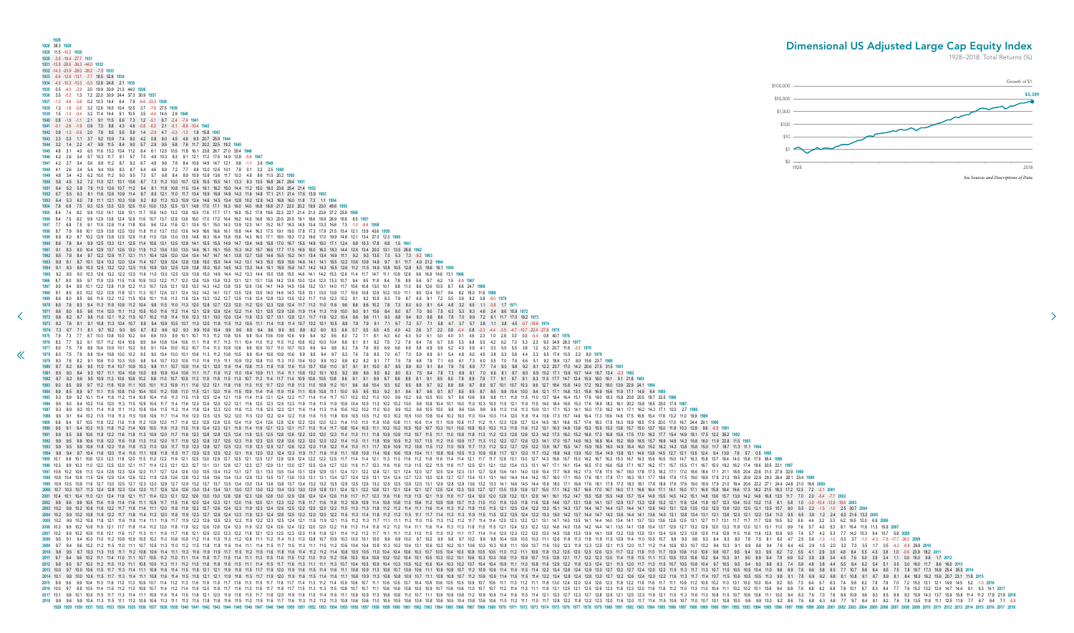<span id="page-14-0"></span>**1928 1928** 38.3 **1929 1929** 11.5 -10.2 **1930 1930** -3.5 -19.4 -27.7 **1931 1931** -15.8 -28.6 -36.3 -44.0 **1932 1932** -14.3 -23.9 -28.0 -28.2 -7.9 **1933 1933** -5.6 -12.6 -13.1 -7.7 18.5 52.6 **1934 1934** -4.5 -10.3 -10.3 -5.3 12.8 24.8 2.1 **1935 1935** 0.5 -4.0 -2.9 3.0 19.9 30.9 21.3 44.0 **1936 1936** 3.5 -0.2 1.3 7.2 22.0 30.9 24.4 37.3 30.9 **1937 1937** -1.0 -4.6 -3.8 0.2 10.3 14.4 6.4 7.9 -6.6 -33.3 **1938 1938** 1.3 -1.8 -0.8 3.2 12.6 16.5 10.4 12.5 3.7 -7.8 27.5 **1939 1939** 1.5 -1.3 -0.4 3.2 11.4 14.4 9.1 10.5 3.5 -4.4 14.5 2.9 **1940 1940** 0.8 -1.9 -1.1 2.1 9.1 11.5 6.6 7.3 1.2 -5.1 6.7 -2.4 -7.4 **1941 1941** -0.1 -2.6 -1.9 0.9 7.0 8.8 4.3 4.6 -0.8 -6.2 2.1 -5.1 -8.9 -10.4 **1942 1942** 0.9 -1.3 -0.6 2.0 7.8 9.5 5.5 5.9 1.4 -2.9 4.7 -0.3 -1.3 1.8 15.8 **1943 1943** 2.3 0.3 1.1 3.7 9.2 10.9 7.4 8.0 4.2 0.8 8.0 4.5 4.9 9.3 20.7 25.9 **1944 1944** 3.2 1.4 2.2 4.7 9.9 11.5 8.4 9.0 5.7 2.9 9.5 6.8 7.6 11.7 20.2 22.5 19.2 **1945 1945** 4.8 3.1 4.0 6.5 11.6 13.2 10.4 11.2 8.4 6.1 12.5 10.5 11.8 16.1 23.8 26.7 27.0 35.4 **1946 1946** 4.2 2.6 3.4 5.7 10.3 11.7 9.1 9.7 7.0 4.9 10.3 8.3 9.1 12.1 17.2 17.6 14.9 12.9 -5.9 **1947 1947** 4.2 2.7 3.4 5.6 9.9 11.2 8.7 9.2 6.7 4.8 9.6 7.8 8.4 10.9 14.9 14.7 12.1 9.8 -1.1 3.9 **1948 1948** 4.1 2.6 3.4 5.4 9.4 10.6 8.3 8.7 6.4 4.6 8.9 7.2 7.7 9.8 13.0 12.6 10.1 7.9 0.1 3.2 2.5 **1949 1949** 4.8 3.4 4.2 6.2 10.0 11.2 9.0 9.5 7.3 5.7 9.8 8.4 8.9 10.9 13.9 13.6 11.7 10.3 4.8 8.6 11.0 20.2 **1950 1950** 5.8 4.5 5.2 7.2 11.0 12.1 10.1 10.6 8.7 7.3 11.2 10.0 10.7 12.6 15.5 15.5 14.1 13.3 9.3 13.5 16.8 24.7 29.4 **1951 1951** 6.4 5.2 5.9 7.9 11.5 12.6 10.7 11.2 9.4 8.1 11.9 10.8 11.5 13.4 16.1 16.2 15.0 14.4 11.2 15.0 18.0 23.6 25.4 21.4 **1952 1952** 6.7 5.5 6.3 8.1 11.6 12.6 10.9 11.4 9.7 8.5 12.1 11.0 11.7 13.4 15.9 15.9 14.9 14.3 11.6 14.8 17.1 21.1 21.4 17.6 13.9 **1953 1953** 6.4 5.3 6.0 7.8 11.1 12.1 10.3 10.8 9.2 8.0 11.3 10.3 10.9 12.4 14.6 14.5 13.4 12.8 10.2 12.8 14.3 16.8 16.0 11.8 7.3 1.1 **1954 1954** 7.8 6.8 7.5 9.3 12.5 13.5 12.0 12.5 11.0 10.0 13.3 12.5 13.1 14.8 17.0 17.1 16.3 16.0 14.0 16.8 18.8 21.7 22.0 20.2 19.9 23.0 49.6 **1955 1955** 8.4 7.4 8.2 9.9 13.0 14.1 12.6 13.1 11.7 10.8 14.0 13.2 13.9 15.5 17.6 17.7 17.1 16.9 15.2 17.8 19.6 22.3 22.7 21.4 21.3 23.9 37.2 25.9 **1956 1956** 8.4 7.5 8.2 9.9 12.9 13.8 12.4 12.9 11.6 10.7 13.7 12.9 13.6 15.0 17.0 17.0 16.4 16.2 14.5 16.8 18.3 20.5 20.5 19.1 18.6 19.9 26.9 16.8 8.5 **1957 1957** 7.7 6.8 7.5 9.1 11.9 12.8 11.4 11.8 10.5 9.6 12.4 11.6 12.1 13.4 15.1 15.0 14.3 13.9 12.3 14.1 15.2 16.7 16.3 14.5 13.4 13.3 16.6 7.3 -1.0 -9.6 **1958 1958** 8.7 7.9 8.6 10.1 12.9 13.8 12.5 13.0 11.8 11.0 13.7 13.0 13.6 14.9 16.6 16.6 16.1 15.8 14.4 16.3 17.5 19.1 19.0 17.8 17.3 17.9 21.5 15.4 12.1 13.9 43.6 **1959 1959** 8.9 8.0 8.7 10.2 12.9 13.8 12.5 12.9 11.8 11.0 13.6 13.0 13.5 14.8 16.3 16.4 15.8 15.6 14.3 16.0 17.1 18.5 18.3 17.2 16.6 17.0 19.9 14.8 12.1 13.4 27.0 12.3 **1960 1960** 8.6 7.8 8.4 9.9 12.5 13.3 12.1 12.5 11.4 10.6 13.1 12.5 12.9 14.1 15.5 15.5 14.9 14.7 13.4 14.9 15.8 17.0 16.7 15.5 14.9 15.0 17.1 12.4 9.9 10.3 17.8 6.8 1.5 **1961 1961** 9.1 8.3 9.0 10.4 12.9 13.7 12.6 13.0 11.9 11.2 13.6 13.0 13.5 14.6 16.1 16.1 15.5 15.3 14.2 15.7 16.6 17.7 17.5 16.5 16.0 16.2 18.3 14.4 12.6 13.4 20.0 13.1 13.5 26.8 **1962 1962** 8.5 7.8 8.4 9.7 12.2 12.9 11.7 12.1 11.1 10.4 12.6 12.0 12.4 13.4 14.7 14.7 14.1 13.8 12.7 13.9 14.6 15.5 15.2 14.1 13.4 13.4 14.9 11.1 9.2 9.3 13.5 7.0 5.3 7.3 -9.2 **1963 1963** 8.9 8.1 8.7 10.1 12.4 13.2 12.0 12.4 11.4 10.7 12.9 12.4 12.8 13.8 15.0 15.0 14.4 14.2 13.1 14.3 15.0 15.9 15.6 14.6 14.1 14.1 15.5 12.2 10.6 10.9 14.8 9.7 9.1 11.7 4.9 21.2 **1964 1964** 9.1 8.3 8.9 10.3 12.5 13.2 12.2 12.5 11.6 10.9 13.0 12.5 12.9 13.8 15.0 15.0 14.5 14.3 13.3 14.4 15.1 15.9 15.6 14.7 14.2 14.3 15.5 12.6 11.2 11.5 14.9 10.8 10.5 12.8 8.5 18.6 16.1 **1965 1965** 9.2 8.5 9.0 10.3 12.6 13.2 12.2 12.5 11.6 11.0 13.0 12.5 12.9 13.8 15.0 14.9 14.4 14.2 13.3 14.4 15.0 15.8 15.5 14.6 14.1 14.2 15.3 12.6 11.4 11.7 14.7 11.1 10.9 12.9 9.6 16.8 14.6 13.1 **1966 [1](#page-13-0)966** 8.7 8.0 8.5 9.7 11.9 12.5 11.5 11.8 10.9 10.3 12.2 11.7 12.0 12.8 13.9 13.8 13.3 13.1 12.1 13.1 13.6 14.2 13.9 13.0 12.4 12.3 13.3 10.7 9.4 9.5 11.8 8.4 7.8 8.9 5.6 9.7 6.2 1.5 -8.9 **1967 1967** 9.0 8.4 8.9 10.1 12.2 12.8 11.9 12.2 11.3 10.7 12.6 12.1 12.5 13.3 14.3 14.2 13.8 13.5 12.6 13.6 14.1 14.8 14.5 13.6 13.2 13.1 14.0 11.7 10.6 10.8 13.0 10.1 9.8 11.0 8.6 12.6 10.5 8.7 6.6 24.7 **1968 1968** 9.1 8.5 9.0 10.2 12.2 12.8 11.8 12.1 11.3 10.7 12.6 12.1 12.4 13.2 14.2 14.1 13.7 13.5 12.6 13.5 14.0 14.6 14.3 13.5 13.1 13.0 13.9 11.7 10.6 10.8 12.9 10.2 10.0 11.1 9.0 12.4 10.7 9.4 8.2 18.0 11.6 **1969 1969** 8.6 8.0 8.5 9.6 11.6 12.2 11.2 11.5 10.6 10.1 11.8 11.3 11.6 12.4 13.3 13.2 12.7 12.5 11.6 12.4 12.8 13.3 13.0 12.2 11.7 11.6 12.3 10.2 9.1 9.2 10.9 8.3 7.9 8.7 6.6 9.1 7.2 5.5 3.6 8.2 0.8 -9.0 **1970 1970** 8.5 7.8 8.3 9.4 11.3 11.9 10.9 11.2 10.4 9.8 11.5 11.0 11.3 12.0 12.8 12.7 12.3 12.0 11.2 12.0 12.3 12.8 12.4 11.7 11.2 11.0 11.6 9.6 8.6 8.6 10.2 7.8 7.3 8.0 6.0 8.1 6.4 4.8 3.2 6.5 1.1 -3.8 1.7 **1971** 1971 8.6 8.0 8.5 9.6 11.4 12.0 11.1 11.3 10.5 10.0 11.6 11.2 11.4 12.1 12.9 12.9 12.4 12.2 11.4 12.1 12.5 12.9 12.6 11.9 11.4 11.3 11.9 10.0 9.0 9.1 10.6 8.4 8.0 8.7 7.0 9.0 7.5 6.3 5.3 8.3 4.6 2.4 8.6 15.9 1972 1972 8.8 8.2 8.7 9.8 11.6 12.1 11.2 11.5 10.7 10.2 11.8 11.4 11.6 12.3 13.1 13.0 12.6 12.4 11.6 12.7 13.1 12.8 12.1 11.7 11.6 12.2 10.4 9.6 9.6 11.1 9.0 8.8 9.4 8.0 9.8 8.6 7.8 7.0 9.9 7.2 6.1 11.7 17.0 18.2 1973 1973 8.2 7.6 8.1 9.1 10.8 11.3 10.4 10.7 9.9 9.4 10.9 10.5 10.7 11.3 12.0 11.9 11.5 11.2 10.5 11.1 11.4 11.4 11.4 10.7 10.2 10.1 10.5 8.8 7.9 7.9 9.1 7.1 6.7 7.2 5.7 7.1 5.8 4.7 3.7 5.7 2.8 1.1 3.8 4.5 -0.7 -16.6 1974 1974 7.3 6.7 7.1 8.1 9.7 10.2 9.3 9.5 8.7 8.2 9.6 9.2 9.3 9.9 10.6 10.4 9.9 9.6 8.8 9.4 9.6 9.9 9.5 8.8 8.2 8.0 8.3 6.6 5.7 5.5 6.5 4.5 4.0 4.2 2.6 3.7 2.2 0.9 0.4 0.8 -2.3 -4.4 -3.5 -4.7 -10.7 -22.4 -27.8 1975 1975 7.9 7.3 7.7 8.7 10.3 10.8 10.0 10.2 9.4 8.9 10.3 9.9 10.1 10.7 11.3 11.2 10.8 10.5 9.8 10.4 10.6 10.9 10.6 9.9 9.4 9.2 9.6 8.0 7.2 7.1 8.1 6.3 6.0 6.3 5.0 6.1 5.0 4.0 3.1 4.6 2.3 1.0 2.8 3.0 0.0 -5.4 0.8 40.7 1976 1976 8.3 7.7 8.2 9.1 10.7 11.2 10.4 10.6 9.9 9.4 10.8 10.4 10.6 11.1 11.8 11.7 11.3 11.1 10.4 11.0 11.2 11.5 11.2 10.6 10.2 10.0 10.4 8.9 8.1 8.1 9.2 7.5 7.2 7.6 6.4 7.6 6.7 5.9 5.3 6.8 5.0 4.2 6.2 7.0 5.3 2.3 9.5 34.9 29.3 7.9 8.8 10.4 10.9 10.1 10.2 9.5 9.1 10.4 10.0 10.2 10.7 11.4 11.3 10.8 10.6 9.9 10.5 10.7 11.0 10.7 10.0 9.6 9.4 9.8 8.3 7.6 7.6 8.5 6.9 6.6 6.9 5.8 6.9 5.9 5.2 4.5 5.9 4.1 3.3 5.0 5.5 3.8 1.2 6.2 20.7 11.8 -3.3 1978 7.9 8.8 10.4 10.8 10.0 10.2 9.5 9.0 10.4 10.0 10.1 10.6 11.3 11.2 10.8 10.5 9.9 10.4 10.6 10.9 10.6 9.9 9.5 9.4 9.7 8.3 7.6 7.6 8.5 7.0 6.7 7.0 5.9 6.9 6.1 5.4 4.8 6.0 4.5 3.8 5.3 5.8 4.4 2.3 6.5 17.4 10.5 2.2 8.0 1979 1979 8.3 7.8 8.2 9.1 10.6 11.0 10.3 10.5 9.8 9.4 10.7 10.3 10.5 11.0 11.6 11.1 10.9 10.2 10.8 11.0 11.3 11.0 10.4 10.0 9.9 10.2 8.9 8.2 8.2 9.1 7.7 7.5 7.8 6.8 7.9 7.1 6.5 6.1 7.3 6.0 5.5 7.0 7.6 6.6 5.1 9.2 18.6 13.7 8.9 1 1980 8.7 8.2 8.6 9.5 11.0 11.4 10.7 10.9 10.3 9.8 11.1 10.7 10.9 11.4 12.1 12.0 11.6 11.4 10.8 11.3 11.6 11.0 10.7 10.6 11.0 10.7 10.1 10.1 9.7 9.1 10.0 8.7 8.5 8.9 8.0 9.1 8.4 7.9 7.6 8.9 7.7 7.4 9.0 9.8 9.2 8.1 12.2 20.7 1981 8.5 8.0 8.4 9.3 10.7 11.1 10.4 10.6 10.0 9.5 10.8 10.4 10.6 11.1 11.7 11.6 11.2 11.0 10.4 10.9 11.1 11.4 11.1 10.6 10.2 10.1 10.5 9.2 8.6 8.6 9.5 8.2 8.0 8.3 7.5 8.4 7.8 7.3 6.9 8.1 7.0 6.6 8.1 8.7 8.0 6.9 10.2 17.1 13 1982 8.7 8.2 8.6 9.5 10.9 11.3 10.6 10.8 10.2 9.8 11.0 10.7 10.9 11.3 11.9 11.8 11.5 11.3 10.7 11.4 11.7 11.4 10.9 10.6 10.8 10.6 10.8 9.6 9.1 9.1 8.7 8.6 8.9 8.1 9.1 8.5 8.0 7.8 8.9 7.9 7.7 9.1 9.7 9.1 9.7 14.7 12.4 15.9 1 1983 9.0 8.5 8.9 9.7 11.2 11.6 10.9 11.1 10.5 10.1 11.3 10.9 11.1 11.6 12.2 12.1 11.8 11.0 11.5 11.0 11.5 11.7 12.0 11.8 11.0 11.3 11.0 10.9 11.2 10.1 9.6 9.6 10.4 9.3 9.2 9.5 8.8 9.7 9.2 8.8 8.6 9.7 8.9 8.7 10.1 10.7 10.3 1984 8.9 8.5 8.9 9.7 11.1 11.5 10.8 11.0 10.4 10.0 11.2 10.8 11.0 11.5 12.1 12.0 11.6 11.5 10.9 11.4 11.6 11.9 11.6 11.1 10.0 10.8 10.3 9.1 9.4 8.1 9.9 9.1 8.7 8.5 9.5 8.7 8.5 9.8 10.4 10.0 9.4 12.1 17.1 14.8 13.1 15.6 16.9 1985 9.3 8.9 9.2 10.1 11.4 11.8 11.2 11.4 10.8 10.4 11.6 11.3 11.5 11.9 12.5 12.4 12.1 11.9 11.4 11.9 12.1 12.4 12.2 11.7 11.4 11.4 11.7 10.7 10.2 10.0 10.0 9.9 10.1 0.0 9.7 9.6 10.6 9.9 9.8 11.1 11.8 11.5 11.0 13.7 18.4 16 1986 9.5 9.0 9.4 10.2 11.6 12.0 11.3 11.5 10.9 10.6 11.7 11.4 11.6 12.0 12.5 12.5 12.1 11.6 12.0 12.3 12.5 12.3 11.9 11.6 11.9 10.4 11.6 11.9 10.4 10.5 12.1 0.1 10.0 10.4 10.1 10.0 11.0 10.3 10.1 10.0 11.0 11.5 11.9 11.5 14 1987 93 89 93 101 114 118 111 113 108 104 115 112 114 118 124 123 120 118 113 118 120 123 121 116 114 113 116 107 102 110 100 99 102 96 105 100 98 98 100 98 98 110 116 113 109 131 171 153 141 160 170 182 143 171 100 27 1988 1988 9.5 9.1 9.4 10.2 11.5 11.9 11.5 11.9 10.6 11.7 11.4 11.6 12.0 12.5 12.5 12.5 12.9 12.5 12.9 12.5 12.9 12.2 12.4 12.2 11.8 11.6 11.8 11.0 10.5 11.1 1.8 1.0.9 10.5 10.1 10.1 10.4 10.3 10.1 10.4 10.3 11.0 11.0 11.0 11.0 **1989** 9.8 9.4 9.7 10.5 11.8 12.2 11.6 11.8 11.2 10.9 12.0 11.7 11.9 12.3 12.9 12.8 12.5 12.4 11.9 12.4 12.6 12.8 12.6 12.2 12.0 12.0 12.3 11.4 11.0 11.0 11.8 10.8 10.8 11.1 10.6 11.4 11.1 10.9 10.8 11.7 11.2 11.1 12.3 12.9 12.7 12.4 14.5 18.1 16.6 15.7 17.4 18.3 17.8 16.3 18.9 18.5 17.6 20.0 17.0 16.7 24.4 29.1 **1990** 1990 95 91 94 102 115 118 112 114 109 105 116 113 115 119 124 123 121 119 114 119 121 123 121 117 115 114 117 115 114 117 108 104 105 110 102 105 100 101 100 101 109 103 103 113 118 118 118 118 139 153 159 153 138 157 150 1 1991 9.9 9.5 9.8 10.6 11.8 12.2 11.6 11.8 11.3 10.9 12.0 11.7 11.9 12.3 12.8 12.8 12.5 12.4 11.9 12.3 12.5 12.6 12.6 12.0 12.0 12.0 12.0 12.0 12.0 12.0 11.1 11.0 10.9 11.2 10.7 11.5 11.1 11.0 10.9 11.8 11.2 12.1 11.8 11.2 1 **1992** 9.9 9.5 9.8 10.6 11.8 12.2 11.6 11.8 11.3 11.0 12.0 11.7 11.9 12.3 12.8 12.7 12.5 12.3 11.9 12.3 12.5 12.8 12.6 12.2 12.0 12.0 12.2 11.4 11.0 11.1 11.8 10.9 10.9 11.2 10.7 11.5 11.2 11.0 10.9 11.7 11.3 11.2 12.2 12.7 12.6 12.3 14.1 17.0 15.7 14.9 16.3 16.9 16.4 15.2 16.9 16.5 15.7 16.9 14.8 14.3 16.8 16.0 11.9 22.8 11.5 **1993** 1993 9.9 9.5 9.9 10.6 11.8 12.2 11.6 11.8 11.3 11.0 12.0 11.7 11.9 12.3 12.8 12.7 12.5 12.3 11.9 12.3 12.5 12.7 12.6 12.7 12.6 12.2 12.0 11.9 12.3 12.7 12.6 12.2 12.0 11.9 12.3 12.7 12.0 11.9 12.2 11.4 11.0 11.1 11.7 10.9 1 1994 9.8 9.4 9.7 10.4 11.6 12.0 11.4 11.6 11.1 10.8 11.8 11.5 11.7 12.0 12.5 12.5 12.5 12.5 12.1 2.1 11.6 12.0 12.4 12.3 11.9 11.7 11.6 11.9 11.1 10.8 10.8 10.4 11.1 10.8 10.6 10.9 10.4 11.1 10.8 10.8 11.7 12.1 12.0 11.7 12 1995 10.1 9.8 10.1 10.8 12.0 12.3 11.8 12.0 11.5 11.2 12.1 12.1 12.5 13.0 12.9 12.7 12.5 12.1 12.5 12.1 12.5 12.1 12.5 12.1 12.5 12.1 12.5 12.1 12.5 12.1 12.5 12.1 12.8 12.4 12.2 12.8 12.4 12.1 2.1 1.4 1.1.4 11.4 1.1.1 1.1. 1996 10.3 9.9 10.3 11.0 12.2 12.5 12.0 12.1 11.7 11.4 12.3 12.1 12.3 12.7 13.1 13.1 12.8 12.7 12.3 12.7 12.9 13.1 13.0 12.7 12.5 12.4 12.7 12.0 11.6 11.7 12.3 11.6 11.6 11.9 11.5 12.1 1.9 11.5 12.1 12.9 11.8 11.7 12.5 12.1 1997 10.6 10.2 10.6 11.3 12.4 12.8 12.3 12.4 12.0 11.7 12.7 12.4 12.6 13.0 13.5 13.4 13.2 13.1 12.7 13.1 12.7 13.1 13.3 13.5 13.4 13.1 12.9 12.9 13.1 12.9 12.1 12.1 12.1 12.1 12.1 12.4 12.0 12.7 12.5 12.4 12.0 12.7 12.5 12. **1998** 10.8 10.4 10.8 11.5 12.6 12.9 12.4 12.6 12.2 11.9 12.8 12.6 12.8 13.2 13.6 13.6 13.4 13.3 12.9 13.3 13.5 13.7 13.6 13.3 13.1 13.1 13.4 12.7 12.4 12.5 13.1 12.4 12.4 12.7 12.3 13.0 12.8 12.7 12.7 13.4 13.1 13.1 14.0 14.4 14.4 14.2 15.7 18.0 17.1 16.5 17.6 18.1 17.8 17.1 18.3 18.1 17.7 18.6 17.6 17.5 19.0 18.9 17.8 21.3 19.5 20.9 22.9 29.3 26.4 28.1 23.4 **1999** 1999 10.9 10.5 10.9 11.6 12.7 13.0 12.5 12.7 12.3 12.0 12.9 13.7 12.9 13.2 13.7 13.5 13.4 13.0 13.4 13.0 13.4 13.6 13.8 13.7 13.6 13.8 13.7 13.4 13.6 13.8 13.7 13.4 13.6 13.8 13.7 13.4 13.9 13.5 13.4 13.2 13.5 12.8 12.5 12 **2000** 10.7 10.3 10.7 11.3 12.4 12.8 12.3 12.4 12.0 11.7 12.6 12.4 12.6 13.0 13.4 13.4 13.1 13.0 12.7 13.0 13.2 13.4 13.3 13.0 12.9 12.8 13.1 12.4 12.1 12.2 12.8 12.1 12.1 12.4 12.1 12.7 12.5 12.4 12.3 13.0 12.7 12.7 13.5 13.9 13.9 13.7 15.0 17.1 16.2 15.7 16.6 17.0 16.7 16.0 17.1 16.8 16.4 17.1 16.1 16.0 17.1 16.9 15.8 18.4 16.6 17.3 18.2 21.5 18.3 17.2 12.3 7.2 -3.1 **2001** 2001 10.4 10.4 10.4 11.0 12.1 12.4 11.9 12.1 11.7 11.4 12.3 12.1 12.2 12.6 13.0 12.8 12.6 12.0 12.8 12.6 12.8 12.6 12.8 12.6 12.8 12.8 12.8 12.8 13.0 12.9 12.6 12.8 13.0 12.9 12.6 12.4 12.4 12.6 11.9 11.7 11.7 12.3 11.6 11 2002 9.9 9.6 9.9 10.5 11.6 11.9 11.4 11.6 11.1 10.9 11.7 11.5 11.6 12.0 12.4 12.3 12.1 12.0 11.6 12.0 11.1 12.0 11.2 11.2 11.2 11.3 12.2 11.8 11.7 11.6 11.8 11.7 11.6 11.8 11.9 10.9 10.1 11.4 10.8 10.9 10.1 11.0 11.0 11.0 1 **2003** 10.2 9.9 10.2 10.8 11.8 12.2 11.7 11.8 11.4 11.1 12.0 11.8 11.9 12.2 12.7 12.6 12.4 12.3 11.9 12.3 12.4 12.6 12.5 12.2 12.0 12.0 12.2 11.5 11.3 11.3 11.8 11.2 11.2 11.4 11.1 11.6 11.4 11.3 11.2 11.8 11.5 11.5 12.1 12.5 12.4 12.2 13.3 15.1 14.3 13.7 14.4 14.7 14.4 13.7 14.4 14.1 13.6 14.0 13.1 12.8 13.5 13.0 12.0 13.6 12.0 12.0 12.1 13.5 10.7 9.0 5.5 2.2 -1.5 -1.0 2.5 30.7 **2004** 2004 102 10.8 11.9 12.2 11.7 11.8 11.4 11.2 12.0 11.8 11.9 12.3 12.7 12.6 12.1 12.0 12.4 12.3 11.9 12.3 12.4 12.6 12.4 12.5 12.6 12.4 12.6 12.9 12.0 12.0 12.0 12.0 12.0 12.0 12.0 12.1 1.6 11.3 11.4 11.8 11.1 11.7 11.4 11.3 2005 102 10.8 11.8 12.1 11.6 11.8 11.4 11.1 11.9 11.7 11.9 12.2 12.6 12.5 12.5 12.2 11.9 12.2 12.5 12.3 12.5 12.4 12.1 11.9 11.9 11.9 11.9 11.9 11.9 11.1 11.1 11.1 11.1 11.1 11.1 11.1 11.1 11.1 11.1 11.1 11.1 11.1 11.1 11.1 2006 10.3 9.9 10.2 10.8 11.9 12.1 11.7 11.8 11.4 11.2 12.0 11.8 11.9 12.2 12.6 12.4 12.3 11.9 12.2 12.6 12.4 12.3 11.9 12.2 12.6 12.4 12.3 11.9 12.2 12.6 12.4 12.8 11.9 12.2 12.0 12.0 12.0 12.0 12.1 1.8 11.3 11.8 11.4 1.13 **2007** 10.2 9.9 10.2 10.8 11.8 12.1 11.6 11.7 11.3 11.1 11.9 11.7 11.8 12.1 12.5 12.5 12.3 12.2 11.8 12.1 12.3 12.5 12.3 12.0 11.9 11.8 12.1 11.4 11.2 11.2 11.7 11.1 11.1 11.3 11.0 11.5 11.3 11.2 11.1 11.7 11.4 11.4 12.0 12.3 12.2 12.0 13.0 14.5 13.8 13.3 13.9 14.1 13.8 13.2 13.8 13.5 13.1 13.4 12.6 12.3 12.8 12.5 11.6 12.8 11.5 11.6 11.6 12.5 10.6 9.5 7.4 5.7 4.2 5.3 7.7 14.2 10.3 9.4 10.7 5.8 **2008** 2008 9.5 9.1 9.4 10.0 11.0 11.2 10.8 10.9 10.5 10.2 11.0 10.8 10.9 11.2 11.6 11.5 11.3 11.2 10.8 11.1 11.2 11.4 11.3 11.1 11.2 11.4 11.3 11.0 10.8 10.7 10.9 10.3 10.0 10.1 10.5 9.9 9.10.0 9.7 10.2 9.9 9.8 10.4 10.5 10.3 11. **2009** 9.7 9.4 9.6 10.2 11.2 11.5 11.0 11.1 10.7 10.5 11.3 11.0 11.2 11.5 11.8 11.8 11.6 11.4 11.1 11.4 11.5 11.7 11.5 11.3 11.1 11.0 11.2 10.6 10.4 10.4 10.8 10.3 10.2 10.4 10.1 10.6 10.3 10.2 10.1 10.6 10.3 10.3 10.8 11.1 10.9 10.7 11.6 13.0 12.3 11.8 12.3 12.5 12.1 11.5 12.0 11.7 11.2 11.4 10.6 10.3 10.7 10.2 9.4 10.3 9.1 8.9 8.8 9.4 7.6 6.4 4.5 2.9 1.5 2.0 3.3 7.0 3.5 1.7 0.5 -4.2 -8.8 29.8 **2010 2010** 9.8 9.5 9.7 10.3 11.3 11.5 11.1 11.2 10.8 10.6 11.4 11.1 11.3 11.6 11.9 11.9 11.7 11.5 11.2 11.5 11.6 11.8 11.6 11.4 11.2 11.2 11.4 10.8 10.5 10.5 11.0 10.4 10.4 10.6 10.3 10.7 10.5 10.4 10.3 10.8 10.5 10.5 11.0 11.2 11.1 10.9 11.8 13.2 12.5 12.0 12.5 12.6 12.3 11.7 12.2 11.9 11.5 11.7 10.9 10.6 11.0 10.6 9.8 10.7 9.5 9.4 9.3 9.9 8.2 7.2 5.5 4.1 2.9 3.5 4.8 8.4 5.5 4.3 3.8 1.0 -0.6 23.9 18.2 **2011 2011** 9.7 9.4 9.6 10.2 11.1 11.4 11.0 11.1 10.7 10.5 11.2 11.0 11.1 11.4 11.8 11.7 11.5 11.4 11.1 11.3 11.5 11.6 11.5 11.2 11.0 11.0 11.2 10.6 10.3 10.4 10.8 10.2 10.2 10.4 10.1 10.5 10.3 10.2 10.1 10.6 10.3 10.3 10.8 11.0 10.9 10.7 11.5 12.8 12.1 11.7 12.2 12.3 12.0 11.4 11.9 11.5 11.1 11.3 10.5 10.3 10.6 10.2 9.4 10.3 9.1 9.0 8.9 9.4 7.8 6.9 5.2 3.9 2.8 3.4 4.5 7.6 5.0 3.9 3.4 1.1 0.0 16.0 9.6 1.7 **2012 2012** 9.8 9.5 9.7 10.3 11.2 11.5 11.0 11.1 10.8 10.5 11.3 11.1 11.2 11.5 11.8 11.8 11.6 11.5 11.1 11.4 11.5 11.7 11.6 11.3 11.1 11.1 11.3 10.7 10.4 10.5 10.9 10.4 10.3 10.5 10.2 10.6 10.4 10.3 10.2 10.7 10.4 10.4 10.9 11.1 11.0 10.8 11.6 12.9 12.2 11.8 12.3 12.4 12.1 11.5 12.0 11.7 11.3 11.5 10.7 10.5 10.8 10.4 9.7 10.5 9.5 9.4 9.3 9.8 8.3 7.4 5.9 4.8 3.8 4.4 5.5 8.4 6.2 5.4 5.1 3.5 3.0 16.0 11.7 8.6 16.0 **2013** 2013 100 105 11.5 11.7 11.3 11.4 11.1 10.8 11.6 11.4 11.1 10.8 11.6 11.4 11.5 11.8 12.1 12.1 11.9 11.8 11.5 11.9 11.8 11.5 11.7 1.9 12.0 11.9 11.6 11.5 11.4 1.6 11.1 1.0.8 10.9 11.3 10.8 10.7 10.9 10.6 11.1 10.9 10.9 11.0 1 1.5 11.7 11.3 11.4 11.1 10.8 11.6 11.4 11.1 10.8 11.6 11.4 11.5 11.8 12.1 12.1 11.9 11.8 12.1 1.1 1.9 11.8 11.5 11.7 11.9 12.0 11.9 11.8 11.5 11.4 11.6 11.1 10.8 10.9 11.1 10.8 10.9 10.7 11.1 10.9 10.8 10.1 12.1 12.1 12.1 1 1.3 1.4 1.5 1.2 1.3 1.9 1.0 1.2 1.3 1.4 1.2 1.3 1.9 1.9 1.9 1.9 1.9 1.1 1.1 1.8 1.9 1.9 1.7 1.8 1.3 1.5 1.7 1.8 1.7 1.8 1.7 1.8 1.7 1.8 1.1 1.8 1.2 1.4 1.9 1.9 1.0 1.1 1.8 1.9 1.0 1.1 1.1 1.8 1.9 1.0 1.1 1.1 1.8 1.9 1.9 1.1 1.4 11.6 11.2 11.3 10.9 10.7 11.4 11.6 11.2 11.4 11.6 12.0 11.9 11.7 11.6 11.3 11.6 11.7 11.6 11.7 11.6 11.7 11.6 11.7 11.6 11.7 11.5 11.3 11.5 11.3 11.5 10.9 10.7 10.1 10.6 10.6 10.8 10.9 10.7 10.6 11.0 11.0 11.0 11.9 11.1 1.3 11.4 11.7 11.3 11.4 11.1 10.9 11.6 11.4 11.1 10.9 11.6 11.4 11.1 10.9 11.6 11.4 11.5 11.8 12.1 12.0 11.9 11.8 11.5 11.7 11.8 12.1 1.8 1.9 11.6 11.1 1.1.1 1.6 11.5 11.1 1.1.1 1.0.9 10.9 11.6 11.5 11.1 1.8 1.1.1 1.8 1.9 **2018** 9.9 9.6 9.9 10.4 11.3 11.5 11.1 11.2 10.9 10.6 11.3 11.1 11.2 11.5 11.8 11.8 11.6 11.5 11.2 11.5 11.6 11.7 11.6 11.3 11.2 11.2 11.3 10.8 10.6 10.6 11.0 10.5 10.5 10.6 10.4 10.8 10.6 10.5 10.4 10.8 10.6 10.6 11.0 11.2 11.1 11.0 11.7 12.8 12.2 11.8 12.2 12.3 12.0 11.6 12.0 11.7 11.4 11.5 10.9 10.7 11.0 10.7 10.1 10.8 10.0 9.9 9.9 10.3 9.2 8.6 7.6 6.8 6.3 6.8 7.7 9.7 8.4 8.1 8.2 7.6 7.8 13.5 11.8 11.1 12.5 11.9 7.7 6.7 9.4 7.1 -5.9 **1928 1929 1930 1931 1932 1933 1934 1935 1936 1937 1938 1939 1940 1941 1942 1943 1944 1945 1946 1947 1948 1949 1950 1951 1952 1953 1954 1955 1956 1957 1958 1959 1960 1961 1962 1963 1964 1965 1966 1967 1968 1969 1970 1971 1972 1973 1974 1975 1976 1977 1978 1979 1980 1981 1982 1983 1984 1985 1986 1987 1988 1989 1990 1991 1992 1993 1994 1995 1996 1997 1998 1999 2000 2001 2002 2003 2004 2005 2006 2007 2008 2009 2010 2011 2012 2013 2014 2015 2016 2017 2018** 1928–2018: Total Returns (%) \$0 \$1 \$10 \$100 \$1,000 \$10,000 \$100,000 *See Sources and Descriptions of Data.*

## Dimensional US Adjusted Large Cap Equity Index

![](_page_14_Figure_3.jpeg)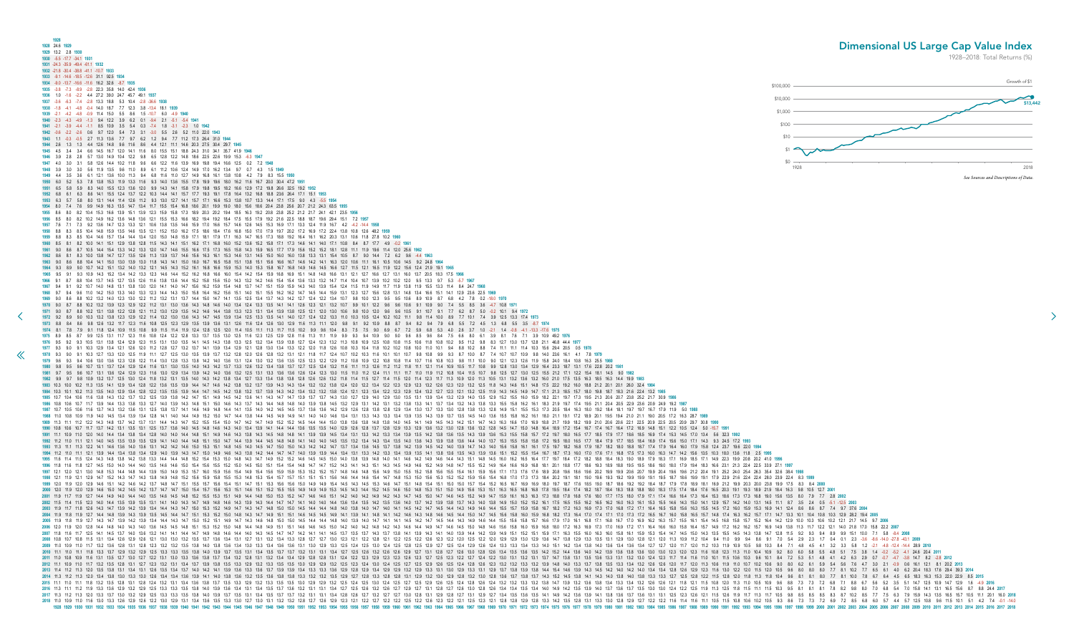<span id="page-15-0"></span>**1928 1928** 24.6 **1929 1929** 13.2 2.8 **1930 1930** -5.5 -17.7 -34.1 **1931 1931** -24.3 -35.9 -49.4 -61.1 **1932 1932** -21.8 -30.4 -38.8 -41.1 -10.7 **1933 1933** -9.1 -14.6 -18.5 -12.6 31.1 92.5 **1934 1934** -9.0 -13.7 -16.6 -11.6 16.2 32.6 -8.7 **1935 1935** -3.8 -7.3 -8.9 -2.8 22.3 35.8 14.0 42.4 **1936 1936** 1.0 -1.6 -2.2 4.4 27.2 39.0 24.7 45.7 49.1 **1937 1937** -3.6 -6.3 -7.4 -2.8 13.3 18.8 5.3 10.4 -2.8 -36.6 **1938 1938** -1.8 -4.1 -4.8 -0.4 14.0 18.7 7.7 12.3 3.8 -13.4 18.1 **1939 1939** -2.1 -4.2 -4.8 -0.9 11.4 15.0 5.5 8.6 1.5 -10.7 6.0 -4.9 **1940 1940** -2.3 -4.3 -4.9 -1.3 9.4 12.2 3.9 6.2 0.1 -9.4 2.1 -5.1 -5.4 **1941 1941** -2.1 -3.9 -4.4 -1.1 8.5 10.9 3.5 5.4 0.3 -7.4 1.8 -3.1 -2.3 1.0 **1942 1942** -0.6 -2.2 -2.6 0.6 9.7 12.0 5.4 7.3 3.1 -3.0 5.5 2.6 5.2 11.0 22.0 **1943 1943** 1.1 -0.3 -0.5 2.7 11.3 13.6 7.7 9.7 6.2 1.2 9.4 7.7 11.2 17.3 26.4 31.0 **1944 1944** 2.6 1.3 1.3 4.4 12.6 14.8 9.6 11.6 8.6 4.4 12.1 11.1 14.6 20.3 27.5 30.4 29.7 **1945 1945** 4.5 3.4 3.4 6.6 14.5 16.7 12.0 14.1 11.6 8.0 15.5 15.1 18.8 24.3 31.0 34.1 35.7 41.9 **1946 1946** 3.9 2.8 2.8 5.7 13.0 14.9 10.4 12.2 9.8 6.5 12.8 12.2 14.8 18.6 22.5 22.6 19.9 15.3 -6.3 **1947 1947** 4.0 3.0 3.1 5.8 12.6 14.4 10.2 11.8 9.6 6.6 12.2 11.6 13.9 16.9 19.8 19.4 16.6 12.5 0.2 7.2 **1948 1948** 3.9 3.0 3.0 5.6 11.9 13.5 9.6 11.0 8.9 6.1 11.2 10.6 12.4 14.9 17.0 16.2 13.4 9.7 0.7 4.3 1.5 **1949 1949** 4.4 3.5 3.6 6.1 12.1 13.6 10.0 11.3 9.4 6.8 11.6 11.0 12.7 14.9 16.8 16.1 13.8 10.8 4.2 7.9 8.3 15.5 **1950 1950** 6.0 5.2 5.3 7.8 13.8 15.3 11.9 13.3 11.6 9.3 14.0 13.6 15.5 17.8 19.9 19.6 18.0 16.2 11.6 16.7 20.0 30.4 47.2 **1951 1951** 6.5 5.8 5.9 8.3 14.0 15.5 12.3 13.6 12.0 9.9 14.3 14.1 15.8 17.9 19.8 19.5 18.2 16.6 12.9 17.2 19.8 26.6 32.5 19.2 **1952 1952** 6.8 6.1 6.3 8.6 14.1 15.5 12.4 13.7 12.2 10.3 14.4 14.1 15.7 17.7 19.3 19.1 17.8 16.4 13.2 16.8 18.8 23.6 26.4 17.1 15.1 **1953 1953** 6.3 5.7 5.8 8.0 13.1 14.4 11.4 12.6 11.2 9.3 13.0 12.7 14.1 15.7 17.1 16.6 15.3 13.8 10.7 13.3 14.4 17.1 17.5 9.0 4.3 -5.5 **1954 1954** 8.0 7.4 7.6 9.9 14.9 16.3 13.5 14.7 13.4 11.7 15.5 15.4 16.8 18.6 20.1 19.9 19.0 18.0 15.6 18.6 20.4 23.8 25.6 20.7 21.2 24.3 63.5 **1955 1955** 8.6 8.0 8.2 10.4 15.3 16.6 13.9 15.1 13.9 12.3 15.9 15.8 17.3 18.9 20.3 20.2 19.4 18.5 16.3 19.2 20.8 23.8 25.2 21.2 21.7 24.1 42.1 23.5 **1956 1956** 8.5 8.0 8.2 10.2 14.9 16.2 13.6 14.8 13.6 12.1 15.5 15.3 16.6 18.2 19.4 19.2 18.4 17.5 15.5 17.9 19.2 21.6 22.5 18.8 18.7 19.6 29.4 15.1 7.2 **1957 1957** 7.6 7.1 7.3 9.2 13.6 14.7 12.3 13.3 12.1 10.6 13.8 13.5 14.6 15.9 17.0 16.6 15.7 14.6 12.6 14.5 15.3 16.9 17.1 13.3 12.4 11.9 16.7 4.2 -4.2 -14.4 **1958 1958** 8.8 8.3 8.5 10.4 14.8 15.9 13.5 14.6 13.5 12.1 15.2 15.0 16.2 17.5 18.6 18.4 17.6 16.8 15.0 17.0 17.9 19.7 20.2 17.2 16.9 17.2 22.4 13.8 10.8 12.6 48.2 **1959 1959** 8.8 8.3 8.5 10.4 14.6 15.7 13.4 14.4 13.4 12.0 15.0 14.8 15.9 17.1 18.1 17.9 17.1 16.3 14.7 16.5 17.3 18.8 19.2 16.4 16.1 16.2 20.3 13.1 10.6 11.8 27.8 10.2 **1960 1960** 8.5 8.1 8.2 10.0 14.1 15.1 12.9 13.8 12.8 11.5 14.3 14.1 15.1 16.2 17.1 16.8 16.0 15.2 13.6 15.2 15.8 17.1 17.3 14.6 14.1 14.0 17.1 10.8 8.4 8.7 17.7 4.9 -0.2 **1961 1961** 9.0 8.6 8.7 10.5 14.4 15.4 13.3 14.2 13.3 12.0 14.7 14.6 15.5 16.6 17.5 17.3 16.5 15.8 14.3 15.9 16.5 17.7 17.9 15.6 15.2 15.2 18.1 12.8 11.1 11.9 19.6 11.4 12.0 25.6 **1962 1962** 8.6 8.1 8.3 10.0 13.8 14.7 12.7 13.5 12.6 11.3 13.9 13.7 14.6 15.6 16.3 16.1 15.3 14.6 13.1 14.5 15.0 16.0 16.0 13.8 13.3 13.1 15.4 10.5 8.7 9.0 14.4 7.2 6.2 9.6 -4.4 **1963 1963** 9.0 8.6 8.8 10.4 14.1 15.0 13.0 13.9 13.0 11.8 14.3 14.1 15.0 16.0 16.7 16.5 15.8 15.1 13.8 15.1 15.6 16.6 16.7 14.6 14.2 14.1 16.3 12.0 10.6 11.1 16.1 10.5 10.6 14.5 9.2 24.8 **1964 1964** 9.3 8.9 9.0 10.7 14.2 15.1 13.2 14.0 13.2 12.1 14.5 14.3 15.2 16.1 16.8 16.6 15.9 15.3 14.0 15.3 15.8 16.7 16.8 14.9 14.6 14.5 16.6 12.7 11.5 12.1 16.5 11.9 12.2 15.6 12.4 21.9 19.1 **1965 1965** 9.5 9.1 9.3 10.9 14.3 15.2 13.4 14.2 13.3 12.3 14.6 14.4 15.2 16.2 16.8 16.6 16.0 15.4 14.2 15.4 15.9 16.8 16.9 15.1 14.8 14.8 16.6 13.1 12.1 12.7 16.6 12.7 13.1 16.0 13.7 20.5 18.3 17.5 **1966 [1](#page-14-0)966** 9.1 8.7 8.8 10.4 13.7 14.5 12.7 13.5 12.6 11.6 13.8 13.6 14.4 15.2 15.8 15.6 15.0 14.3 13.2 14.2 14.6 15.4 15.4 13.6 13.3 13.2 14.7 11.4 10.4 10.7 13.9 10.2 10.2 12.0 9.5 13.3 9.7 5.3 -5.7 **1967 1967** 9.4 9.1 9.2 10.7 14.0 14.8 13.1 13.8 13.0 12.0 14.1 14.0 14.7 15.6 16.2 15.9 15.4 14.8 13.7 14.7 15.1 15.9 15.9 14.3 14.0 13.9 15.4 12.4 11.5 11.9 14.9 11.7 11.9 13.8 11.9 15.5 13.3 11.4 8.4 24.7 **1968** 1968 9.7 9.4 9.6 11.0 14.2 15.0 13.3 14.0 13.3 12.3 14.4 14.3 15.0 15.8 16.4 16.2 15.6 15.1 14.0 15.1 15.5 16.2 16.2 14.7 14.5 14.4 15.9 13.1 12.3 12.7 15.6 12.8 13.1 14.8 13.4 16.6 15.1 14.1 12.9 23.6 22.5 1969 **1969** 9.0 8.6 8.8 10.2 13.2 14.0 12.3 13.0 12.2 11.2 13.2 13.1 13.7 14.4 15.0 14.7 14.1 13.5 12.5 13.4 13.7 14.3 14.2 12.7 12.4 12.2 13.4 10.7 9.8 10.0 12.3 9.5 9.5 10.6 8.9 10.9 8.7 6.8 4.2 7.8 0.2 -18.0 **1970** 1970 9.0 8.7 8.8 10.2 13.2 13.9 12.3 12.9 12.2 11.2 13.1 13.0 13.6 14.3 14.8 14.6 14.0 13.4 12.4 13.3 13.5 14.1 14.1 12.6 12.3 12.1 13.2 10.7 9.9 10.1 12.2 9.6 9.6 10.6 9.1 10.9 9.0 7.4 5.5 8.5 3.6 4.7 10.8 1971 1971 9.0 8.7 8.8 10.2 13.1 13.8 12.2 12.8 12.1 11.2 13.0 12.9 13.5 14.2 14.6 14.4 13.8 13.3 12.3 13.1 13.4 13.9 13.8 12.5 12.1 12.0 13.0 10.6 9.8 10.0 12.0 9.6 9.6 10.5 9.1 10.7 9.1 7.7 6.2 8.7 5.0 -0.2 10.1 9.4 1972 1972 92 89 90 103 132 138 123 129 122 114 132 130 136 143 147 145 139 134 125 133 135 141 140 127 124 122 133 11.0 103 10.5 124 10.2 10.2 11.1 9.8 11.4 10.0 8.9 7.7 10.1 7.4 3.9 12.5 133 17.4 1973 1973 88 84 86 98 126 132 11.7 12.3 11.6 10.8 12.5 12.9 13.5 13.9 13.6 13.1 12.6 11.6 11.6 12.9 12.9 11.6 11.3 11.1 12.0 10.9 89 9.1 9.2 10.9 88 87 9.4 82 9.4 7.9 68 55 72 45 13 68 55 35 87 1974 1974 8.1 7.8 7.9 9.1 11.8 12.4 10.9 11.5 10.8 9.9 11.5 11.4 11.9 12.4 12.8 12.5 12.0 11.4 10.5 11.1 11.3 11.7 11.5 10.2 9.9 9.6 10.4 8.3 7.5 7.5 9.0 6.9 6.7 7.2 5.9 6.8 5.3 4.0 2.6 3.7 1.0 -2.1 1.4 -0.8 -4.1 -13.3 -17.6 197 1975 89 85 87 99 125 131 11.7 12.3 11.6 10.8 12.4 12.2 12.8 13.3 13.7 13.5 13.0 12.5 11.6 12.3 12.5 12.9 12.8 11.6 11.3 11.1 11.1 11.9 99 9.3 9.4 10.9 9.0 9.0 9.6 85 9.6 84 7.5 66 8.0 6.1 3.9 8.1 7.6 7.1 3.9 10.9 49.2 1976 **1976** 9.5 9.2 9.3 10.5 13.1 13.8 12.4 12.9 12.3 11.5 13.1 13.0 13.5 14.1 14.5 14.3 13.8 13.3 12.5 13.2 13.4 13.9 13.8 12.7 12.4 12.3 13.2 11.3 10.8 10.9 12.5 10.8 10.8 11.5 10.6 11.8 10.8 10.2 9.5 11.2 9.8 8.3 12.7 13.0 13.7 12.8 21.1 46.8 44.4 **1977** 1977 9.3 9.0 9.1 10.3 12.9 13.4 12.1 12.6 12.0 11.2 12.8 12.7 13.2 13.7 14.1 13.9 13.4 12.9 12.1 12.8 13.0 13.4 13.3 12.2 12.0 11.8 10.4 10.4 10.2 10.1 10.0 11.0 10.1 10.1 9.4 8.8 10.2 8.8 7.4 11.1 11.4 10.3 15.6 29.4 20.5 1978 9.3 9.0 9.1 10.3 12.7 13.3 12.0 12.5 11.9 11.1 12.7 12.5 13.0 13.5 13.9 13.7 13.2 12.8 12.0 12.6 12.8 13.2 13.1 12.1 11.8 11.7 12.4 10.7 10.1 10.1 10.1 10.1 10.1 9.8 10.8 9.9 9.3 8.7 10.0 8.7 7.4 10.7 10.9 9.8 14.0 23. 1979 9.6 9.3 9.4 10.6 13.0 13.6 12.3 12.8 12.2 11.4 13.0 12.8 13.3 13.8 14.2 14.0 13.6 13.1 12.4 13.0 13.2 13.6 13.5 12.5 12.3 12.2 12.9 11.2 10.8 10.9 10.8 10.3 10.8 11.4 10.7 11.6 10.8 10.3 10.3 10.3 10.3 12.1 12.0 12.1 1 1980 9.8 9.5 9.6 10.7 13.1 13.7 12.4 12.9 12.4 11.6 13.1 13.0 13.5 14.0 14.3 14.2 13.7 13.3 12.6 13.2 13.4 13.8 13.7 12.5 12.4 13.2 11.6 11.1 1.1 1.2 11.8 11.1 12.1 11.4 10.9 10.5 11.7 10.8 9.9 12.8 13.0 13.4 12.9 16.4 23.3 **1981** 9.7 9.5 9.6 10.7 13.1 13.6 12.4 12.9 12.3 11.6 13.0 12.9 13.4 13.9 14.2 14.0 13.6 13.2 12.5 13.1 13.3 13.6 13.6 12.6 12.4 12.3 13.0 11.5 11.0 11.2 12.4 11.1 11.1 11.7 11.0 11.9 11.2 10.8 10.4 11.5 10.7 9.8 12.5 12.7 13.0 12.5 15.5 21.2 17.1 12.2 15.4 18.1 14.5 9.0 **1982** 1982 9.9 9.7 9.8 10.9 13.2 13.7 12.5 13.0 12.4 11.8 13.2 13.1 13.5 14.0 14.3 14.2 13.8 13.4 12.7 13.3 13.4 13.8 13.8 13.8 12.8 12.6 13.2 11.8 11.4 11.5 12.1 11.4 11.5 12.0 11.4 12.3 11.7 11.3 10.9 12.0 11.3 10.5 13.1 13.2 1 1983 10.3 10.0 10.2 11.3 13.5 14.1 12.9 13.4 12.8 12.2 13.6 13.5 13.9 14.4 14.7 14.6 14.2 13.8 13.2 13.7 13.9 14.3 14.3 14.3 14.3 14.3 14.3 12.4 12.0 12.2 13.8 12.4 12.0 12.9 12.9 12.9 12.3 12.0 13.2 12.5 11.8 14.3 14.6 15. 1984 10.3 10.1 10.2 11.3 13.5 14.0 12.9 13.4 12.8 12.2 13.5 13.5 13.5 13.9 14.4 14.7 14.5 14.2 13.8 13.2 13.7 13.9 14.3 13.4 13.4 13.4 13.2 13.5 13.9 14.4 13.2 13.1 13.4 13.2 13.4 13.2 13.8 12.4 12.1 12.3 12.4 13.4 12.2 12. 1985 10.7 10.4 10.6 11.6 13.8 14.3 13.2 13.7 13.2 12.5 13.9 13.8 14.2 14.7 15.1 14.9 14.5 14.9 14.5 14.2 13.6 14.1 14.3 14.7 14.3 14.7 14.7 13.9 13.7 14.3 13.0 12.7 12.9 14.0 12.9 13.0 13.5 13.1 13.9 13.4 13.2 12.9 14.0 13. 1986 10.8 10.6 10.7 11.7 13.9 14.4 13.3 13.8 13.3 12.7 14.0 13.9 14.3 14.8 15.1 15.0 14.6 14.3 13.1 14.3 14.4 14.8 14.4 14.8 14.8 14.9 13.9 13.8 14.5 13.0 13.8 14.5 13.2 12.9 13.1 14.1 13.1 13.4 13.4 13.4 13.4 13.3 15.5 15. 1987 10.7 10.5 10.6 11.6 13.7 14.3 13.2 13.6 13.1 12.5 13.8 13.7 14.1 14.6 14.9 14.8 14.4 14.1 13.5 14.0 14.2 14.5 14.5 13.6 13.6 14.2 12.9 12.8 12.8 12.9 13.4 13.0 13.7 13.3 13.0 13.8 13.3 12.8 14.9 15.1 15.5 15.3 17.3 20. **1988** 11.0 10.8 10.9 11.9 14.0 14.5 13.4 13.9 13.4 12.8 14.1 14.0 14.4 14.9 15.2 15.0 14.7 14.4 13.8 14.4 14.5 14.9 14.9 14.1 14.0 14.0 14.6 13.4 13.1 13.3 14.3 13.3 13.4 13.9 13.5 14.3 13.9 13.7 13.5 14.5 14.0 13.6 15.5 15.8 16.2 16.1 18.0 21.1 19.1 17.2 18.9 20.1 19.5 19.4 21.0 21.1 19.0 20.5 17.2 16.3 28.7 **1989** 1989 11.3 11.1 11.2 12.2 14.3 14.8 13.7 14.2 13.7 13.1 14.4 14.3 14.7 15.2 15.5 15.4 15.0 14.7 14.2 14.7 14.9 14.7 14.9 14.7 14.9 15.2 15.5 15.4 15.0 14.7 14.9 14.9 14.4 14.4 15.0 13.8 13.6 13.8 14.8 13.8 14.0 14.5 14.1 14. 1990 10.8 10.6 10.7 11.7 13.7 14.2 13.1 13.5 13.1 12.5 13.7 13.6 14.0 14.5 14.0 14.6 14.8 14.6 14.8 14.6 14.3 14.0 13.4 13.9 14.1 14.4 14.4 14.6 13.5 13.5 14.0 12.6 12.8 13.7 13.8 13.1 12.8 13.6 13.2 13.0 12.8 13.1 2.9 13.6 1991 11.1 10.9 11.0 12.0 14.0 14.4 13.4 13.8 13.4 12.8 14.0 14.0 14.0 14.4 14.8 15.1 14.9 14.5 14.9 14.5 14.3 13.4 14.3 14.3 14.3 14.4 14.8 14.1 13.9 13.1 14.9 13.5 14.2 13.3 13.4 13.9 13.5 14.2 13.8 13.4 13.9 13.5 14.3 13. 1992 11.2 11.0 11.1 12.1 14.0 14.5 13.5 13.5 13.5 13.5 12.9 14.1 14.0 14.4 14.8 15.1 15.0 14.7 14.4 13.9 14.4 14.5 14.8 14.8 14.1 14.0 14.0 14.1 14.0 14.4 14.5 14.8 14.1 14.0 14.4 14.5 14.8 14.1 14.0 14.5 13.5 13.4 13.4 13. 1993 11.3 11.1 11.3 12.2 14.1 14.6 13.6 14.0 13.6 13.1 14.2 14.6 15.0 15.3 15.1 14.8 14.5 14.0 14.5 14.0 14.5 14.7 15.0 15.0 15.0 14.2 14.2 14.2 14.7 13.7 13.8 14.2 13.9 14.5 14.0 13.9 14.7 14.0 15.0 15.8 16.1 16.1 17.5 19. 1994 11.2 11.0 11.1 12.1 13.9 14.4 13.4 13.8 13.4 12.9 14.0 13.9 14.7 15.0 14.9 14.6 14.9 14.6 14.3 13.8 14.2 14.4 14.7 14.0 13.9 13.9 14.4 13.1 13.3 14.2 13.3 13.4 13.9 13.5 14.1 13.8 13.6 13.5 14.3 13.9 13.5 14.1 13.8 13. 1995 11.6 11.4 11.5 12.4 14.3 14.8 13.8 14.2 13.8 13.3 14.4 14.4 14.8 15.2 15.4 15.3 15.0 14.8 14.3 14.7 14.9 15.2 15.2 14.6 14.5 15.2 15.2 14.6 14.5 15.0 14.8 14.5 15.0 14.8 14.7 14.9 15.2 15.0 14.8 14.9 14.8 14.9 14.8 14. 1996 11.8 11.8 12.7 14.5 15.0 14.0 14.4 14.0 13.5 14.6 14.6 15.0 15.4 15.0 15.4 15.6 15.5 15.2 15.0 14.5 15.0 14.5 15.1 15.4 15.4 14.8 14.7 14.7 15.2 14.3 14.1 14.3 15.1 14.8 14.5 14.9 14.6 15.0 15.4 14.8 14.7 15.5 15.2 14. **1997** 12.1 12.0 12.1 13.0 14.8 15.3 14.4 14.8 14.4 13.9 15.0 14.9 15.3 15.7 16.0 15.9 15.6 15.4 14.9 15.4 15.6 15.9 15.9 15.3 15.2 15.2 15.7 14.8 14.6 14.8 15.6 14.9 15.0 15.5 15.2 15.8 15.6 15.5 15.4 16.1 15.9 15.6 17.1 17.3 17.6 17.6 18.9 20.8 19.6 18.6 19.6 20.2 19.9 19.9 20.6 20.7 19.9 20.4 19.6 19.6 21.2 20.4 19.1 25.2 24.0 25.4 26.3 35.4 32.6 38.4 **1998 1998** 12.1 11.9 12.1 12.9 14.7 15.2 14.3 14.7 14.3 13.8 14.9 14.8 15.2 15.6 15.9 15.8 15.5 15.3 14.8 15.3 15.4 15.7 15.7 15.1 15.1 15.1 15.6 14.6 14.4 14.6 15.4 14.7 14.8 15.3 15.0 15.6 15.3 15.2 15.2 15.9 15.6 15.4 16.8 17.0 17.3 17.3 18.4 20.2 19.1 18.1 19.0 19.6 19.3 19.2 19.9 19.9 19.1 19.5 18.7 18.6 19.9 19.1 17.9 22.9 21.6 22.4 22.4 28.0 23.9 22.4 8.3 **1999** 1999 120 129 129 129 146 151 142 146 142 137 148 147 151 155 157 156 154 151 147 151 153 156 156 156 150 149 149 154 149 154 149 154 149 154 154 154 154 154 154 154 154 155 156 157 168 189 187 178 189 181 189 181 189 181 1 2000 12.0 11.9 12.0 12.9 14.6 15.0 14.2 14.5 14.2 13.7 14.7 14.7 15.0 15.4 15.7 15.6 15.3 15.1 14.6 15.3 15.1 14.6 15.1 14.6 15.1 14.6 15.1 14.6 15.1 15.2 15.5 15.5 14.9 14.9 15.3 14.5 14.4 15.2 14.5 14.6 15.0 14.9 15.6 15. 2001 11.9 11.7 11.9 12.7 14.4 14.9 14.0 14.4 14.0 13.5 14.6 14.5 14.5 14.5 14.8 15.2 15.5 15.3 15.1 14.9 14.4 14.8 15.0 15.3 15.1 14.9 14.6 14.5 15.0 15.3 15.1 14.6 14.6 15.1 14.6 14.6 15.1 14.6 14.0 14.0 14.9 14.9 14.9 14 **2002** 11.5 11.4 11.5 12.3 14.0 14.4 13.5 13.9 13.5 13.1 14.1 14.0 14.3 14.7 14.9 14.8 14.6 14.3 13.9 14.3 14.4 14.7 14.7 14.1 14.0 14.0 14.4 13.6 13.4 13.5 14.2 13.5 13.6 14.0 13.7 14.2 13.9 13.8 13.7 14.3 14.0 13.8 14.9 15.0 15.2 15.2 16.1 17.5 16.5 15.5 16.2 16.5 16.2 16.0 16.3 16.1 15.3 15.5 14.6 14.3 15.0 14.1 12.9 15.7 14.2 14.0 13.1 14.5 11.1 8.7 3.5 2.4 0.5 -5.1 -12.5 **2003** 2003 11.9 11.7 11.8 12.6 14.3 14.7 13.9 14.2 13.9 13.4 14.4 14.3 14.7 15.0 15.3 15.2 14.9 14.7 14.3 14.7 14.8 15.0 15.0 15.0 15.1 14.8 14.9 14.4 14.4 14.4 14.8 14.0 13.8 14.0 14.1 14.5 14.9 14.1 14.5 14.4 14.3 14.9 14.4 14. 2004 11.9 11.8 11.9 12.7 14.4 14.8 13.9 14.3 13.9 13.5 14.5 14.4 14.7 15.1 14.4 14.7 15.1 15.3 15.2 15.0 14.8 14.3 14.5 14.8 14.9 15.1 14.9 15.1 14.6 14.5 14.5 14.9 14.1 13.9 14.1 14.8 14.1 14.8 14.1 14.2 14.6 14.9 14.1 14 **2005** 11.9 11.8 11.9 12.7 14.3 14.7 13.9 14.2 13.9 13.4 14.4 14.3 14.7 15.0 15.2 15.1 14.9 14.7 14.3 14.6 14.8 15.0 15.0 14.5 14.4 14.4 14.8 14.0 13.9 14.0 14.7 14.1 14.1 14.5 14.2 14.7 14.5 14.4 14.3 14.9 14.6 14.4 15.5 15.6 15.8 15.7 16.6 17.9 17.0 16.1 16.8 17.1 16.8 16.7 17.0 16.9 16.2 16.3 15.7 15.5 16.1 15.4 14.5 16.8 15.8 15.7 15.2 16.4 14.2 12.9 10.0 10.3 10.6 10.2 12.1 21.7 14.5 9.7 **2006 2006** 12.0 11.9 12.0 12.8 14.4 14.8 14.0 14.3 14.0 13.6 14.5 14.5 14.8 15.1 15.3 15.2 15.0 14.8 14.4 14.8 14.9 15.1 15.1 14.6 14.6 14.5 15.0 14.2 14.0 14.2 14.8 14.2 14.3 14.6 14.4 14.9 14.7 14.6 14.5 15.0 14.8 14.6 15.6 15.8 16.0 15.9 16.8 18.0 17.2 16.3 16.9 17.3 17.0 16.9 17.2 17.1 16.4 16.6 16.0 15.8 16.4 15.7 14.9 17.2 16.2 16.2 15.7 16.9 14.9 13.8 11.3 11.7 12.2 12.1 14.0 21.8 17.0 15.8 22.2 **2007 2007** 11.8 11.6 11.7 12.5 14.1 14.5 13.7 14.0 13.6 13.2 14.1 14.1 14.4 14.7 14.9 14.8 14.6 14.4 14.0 14.3 14.5 14.7 14.7 14.2 14.1 14.1 14.5 13.7 13.5 13.7 14.3 13.7 13.8 14.1 13.9 14.3 14.1 14.0 13.9 14.4 14.2 13.9 14.9 15.1 15.2 15.1 15.9 17.1 16.3 15.5 16.0 16.3 16.0 15.8 16.1 15.9 15.3 15.4 14.7 14.5 15.0 14.3 13.5 15.5 14.5 14.3 13.8 14.7 12.8 11.5 9.2 9.3 9.4 8.9 9.9 15.1 10.0 7.1 5.8 -8.4 **2008** 2008 10.8 11.5 13.1 13.4 12.6 12.9 12.6 12.1 13.0 13.0 13.2 13.5 13.7 13.6 13.4 13.1 12.7 13.1 13.4 13.1 12.7 13.1 12.7 13.1 12.1 13.1 13.2 13.4 13.3 12.8 12.7 12.0 12.9 12.1 12.2 12.5 12.1 2.1 12.0 12.9 13.0 12.9 13.0 13.1 2009 11.0 10.3 13.6 12.8 13.1 12.8 12.3 13.2 13.2 13.2 13.3 13.8 14.0 13.8 14.0 13.8 13.6 13.4 13.0 13.4 13.0 13.4 13.6 13.4 13.6 13.4 13.6 13.1 12.8 12.5 12.4 12.5 12.4 12.5 12.4 12.5 12.4 12.9 12.6 12.4 13.3 13.4 13.3 13. 2010 11.1 11.8 13.3 13.7 12.9 13.2 12.9 12.5 13.3 13.3 13.5 13.8 14.0 13.9 13.7 13.5 14.0 13.9 13.7 13.5 13.1 13.4 13.5 13.1 13.4 13.5 13.1 13.4 13.5 13.7 13.7 13.7 13.1 13.4 12.7 12.5 12.6 12.8 12.9 12.5 13.1 12.8 12.0 12. 2011 11.0 10.8 10.9 11.6 13.1 13.5 12.7 13.0 12.7 13.2 13.1 13.0 13.3 13.6 13.8 13.7 13.4 13.2 12.8 13.1 13.2 13.4 13.2 13.4 13.2 13.4 13.2 12.8 13.1 12.4 12.9 12.8 13.1 12.4 12.9 12.3 12.5 12.3 12.1 2.9 12.3 12.1 2.9 13.1 2012 11.1 10.9 11.0 11.7 13.2 13.5 12.8 13.1 12.7 12.3 13.2 13.1 13.4 13.7 13.9 13.8 13.5 13.3 13.5 13.3 12.9 13.3 13.5 13.3 12.9 13.3 13.5 13.3 13.5 13.5 13.5 13.5 13.1 2.9 12.9 12.9 12.4 12.5 12.9 12.9 12.9 12.9 12.9 13.2 2013 114 12 113 120 135 138 131 134 131 126 135 134 137 140 142 141 139 136 133 136 133 134 133 134 133 134 133 134 133 134 133 134 129 129 134 129 134 133 131 129 134 140 145 140 145 140 145 140 144 154 140 134 128 129 123 **2014** 11.3 11.2 11.3 12.0 13.4 13.8 13.0 13.3 13.0 12.6 13.4 13.4 13.6 13.9 14.1 14.0 13.8 13.6 13.2 13.5 13.6 13.8 13.8 13.3 13.2 13.2 13.5 12.9 12.7 12.8 13.3 12.8 12.8 13.1 12.9 13.2 13.0 12.9 12.8 13.2 13.0 12.8 13.6 13.7 13.8 13.7 14.3 15.2 14.5 13.8 14.1 14.3 14.0 13.8 14.0 13.8 13.3 13.3 12.7 12.5 12.8 12.2 11.5 12.8 12.0 11.8 11.3 11.8 10.4 9.6 8.1 8.1 8.0 7.7 8.1 10.0 7.8 6.7 6.4 4.5 6.5 18.3 16.3 15.3 22.0 22.9 8.5 **2015** 11 12 13 13 14 14 15 12 13 14 13 14 14 12 13 14 13 12 13 13 13 14 13 14 13 14 13 14 13 14 13 14 13 14 13 14 13 14 13 14 13 14 13 14 14 14 15 17 12 13 14 14 15 12 13 14 14 15 17 12 13 13 14 14 15 12 13 14 14 15 16 17 12 13 1 **2016** 11.3 11.1 11.2 11.9 13.3 13.6 12.9 13.2 12.9 12.5 13.3 13.3 13.5 13.8 14.0 13.9 13.6 13.4 13.1 13.4 13.5 13.7 13.6 13.2 13.1 13.1 13.4 12.7 12.5 12.6 13.2 12.6 12.7 12.9 12.7 13.1 12.8 12.7 12.6 13.0 12.8 12.6 13.4 13.4 13.5 13.4 14.0 14.9 14.2 13.5 13.9 14.0 13.7 13.6 13.7 13.5 13.0 13.0 12.4 12.2 12.5 11.9 11.3 12.5 11.8 11.5 11.1 11.5 10.3 9.5 8.1 8.1 8.1 7.8 8.2 9.8 8.0 7.0 6.8 5.4 7.0 15.8 14.1 13.1 16.5 15.6 8.7 8.8 24.4 **2017 2017** 11.3 11.2 11.3 12.0 13.3 13.7 13.0 13.2 12.9 12.5 13.3 13.3 13.5 13.8 14.0 13.9 13.7 13.5 13.1 13.4 13.5 13.7 13.7 13.2 13.1 13.1 13.4 12.8 12.6 12.7 13.2 12.7 12.7 13.0 12.8 13.1 12.9 12.8 12.7 13.1 12.9 12.7 13.4 13.5 13.6 13.5 14.1 14.9 14.2 13.6 13.9 14.1 13.8 13.6 13.7 13.6 13.1 13.1 12.5 12.3 12.6 12.1 11.5 12.6 11.9 11.7 11.3 11.7 10.5 9.8 8.5 8.5 8.5 8.3 8.7 10.2 8.5 7.7 7.5 6.3 7.9 15.9 14.3 13.5 16.5 15.7 10.5 11.1 20.1 16.0 **2018 2018** 11.0 10.9 11.0 11.6 13.0 13.3 12.6 12.9 12.6 12.2 13.0 12.9 13.1 13.4 13.6 13.5 13.3 13.0 12.7 13.0 13.1 13.2 13.2 12.8 12.7 12.6 12.9 12.3 12.1 12.2 12.7 12.2 12.2 12.5 12.2 12.6 12.3 12.2 12.1 12.5 12.3 12.1 12.8 12.8 12.9 12.8 13.3 14.2 13.5 12.8 13.1 13.3 13.0 12.8 12.9 12.7 12.2 12.2 11.6 11.4 11.6 11.1 10.5 11.5 10.8 10.6 10.2 10.5 9.3 8.6 7.3 7.3 7.2 6.9 7.2 8.5 6.8 6.0 5.7 4.4 5.7 12.5 10.8 9.6 11.5 10.1 5.1 4.2 7.4 -0.1 -14.0 **1928 1929 1930 1931 1932 1933 1934 1935 1936 1937 1938 1939 1940 1941 1942 1943 1944 1945 1946 1947 1948 1949 1950 1951 1952 1953 1954 1955 1956 1957 1958 1959 1960 1961 1962 1963 1964 1965 1966 1967 1968 1969 1970 1971 1972 1973 1974 1975 1976 1977 1978 1979 1980 1981 1982 1983 1984 1985 1986 1987 1988 1989 1990 1991 1992 1993 1994 1995 1996 1997 1998 1999 2000 2001 2002 2003 2004 2005 2006 2007 2008 2009 2010 2011 2012 2013 2014 2015 2016 2017 2018** 1928–2018: Total Returns (%) \$0 \$1 \$10  $$100$ \$1,000 \$10,000 \$100,000

## Dimensional US Large Cap Value Index

![](_page_15_Figure_3.jpeg)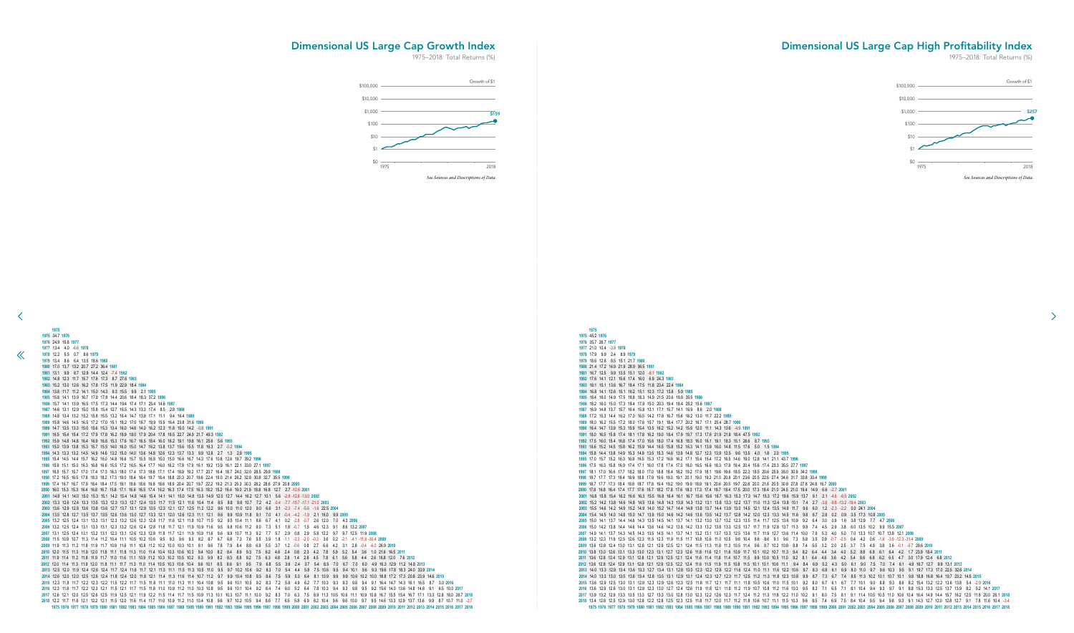45.2 **1976**

 35.7 26.7 **1977** 21.0 10.4 -3.8 **1978** 17.9 9.9 2.4 8.9 **1979** 18.6 12.8 8.5 15.1 21.7 **1980** 21.4 17.2 14.9 21.9 28.9 36.5 **1981** 16.7 12.5 9.9 13.5 15.1 12.0 -8.1 **1982** 17.6 14.1 12.1 15.6 17.4 16.0 6.9 24.3 **1983** 18.1 15.1 13.6 16.7 18.4 17.5 11.8 23.4 22.4 **1984** 16.8 14.1 12.6 15.1 16.2 15.1 10.3 17.2 13.8 5.9 **1985** 18.4 16.0 14.9 17.5 18.8 18.3 14.9 21.5 20.6 19.8 35.5 **1986** 18.2 16.0 15.0 17.3 18.4 17.9 15.0 20.3 19.4 18.4 25.2 15.6 **1987** 16.9 14.8 13.7 15.7 16.4 15.8 13.1 17.1 15.7 14.1 16.9 8.6 2.0 **1988** 17.2 15.3 14.4 16.2 17.0 16.5 14.2 17.8 16.7 15.6 18.2 13.0 11.7 22.2 **1989** 18.0 16.2 15.5 17.2 18.0 17.6 15.7 19.1 18.4 17.7 20.2 16.7 17.1 25.4 28.7 **1990** 16.4 14.7 13.9 15.3 15.9 15.4 13.5 16.2 15.2 14.2 15.6 12.0 11.1 14.3 10.6 -4.9 **1991** 18.0 16.5 15.8 17.4 18.1 17.8 16.2 19.0 18.4 17.9 19.7 17.3 17.6 21.9 21.8 18.4 47.5 **1992** 17.5 16.0 15.4 16.8 17.4 17.0 15.6 18.0 17.4 16.8 18.3 16.0 16.1 19.1 18.3 15.1 26.6 8.7 **1993** 16.6 15.2 14.5 15.8 16.2 15.9 14.4 16.5 15.8 15.2 16.3 14.1 13.9 16.0 14.8 11.5 17.6 5.0 1.5 **1994** 15.8 14.4 13.8 14.9 15.3 14.9 13.5 15.3 14.6 13.9 14.8 12.7 12.3 13.9 12.5 9.6 13.5 4.0 1.8 2.0 **1995** 17.0 15.7 15.2 16.3 16.8 16.5 15.3 17.2 16.6 16.2 17.1 15.4 15.4 17.2 16.5 14.6 19.0 12.8 14.1 21.1 43.7 **1996** 17.5 16.3 15.8 16.9 17.4 17.1 16.0 17.8 17.4 17.0 18.0 16.5 16.6 18.3 17.9 16.4 20.4 15.6 17.4 23.3 35.5 27.7 **1997** 18.1 17.0 16.6 17.7 18.2 18.0 17.0 18.8 18.4 18.2 19.2 17.9 18.1 19.8 19.6 18.5 22.3 18.5 20.6 25.9 35.0 30.9 34.2 **1998** 18.7 17.7 17.3 18.4 18.9 18.8 17.9 19.6 19.3 19.1 20.1 19.0 19.3 21.0 20.9 20.1 23.6 20.5 22.6 27.4 34.6 31.7 33.8 33.4 **1999** 18.7 17.7 17.3 18.4 18.8 18.7 17.8 19.4 19.2 19.0 19.9 18.9 19.1 20.6 20.5 19.7 22.8 20.0 21.8 25.5 30.8 27.8 27.8 24.8 16.7 **2000** 17.8 16.8 16.4 17.4 17.7 17.6 16.7 18.2 17.8 17.6 18.3 17.3 17.4 18.7 18.4 17.5 20.0 17.3 18.4 21.0 24.5 21.0 19.4 14.9 6.6 -2.7 **2001** 16.8 15.8 15.4 16.2 16.6 16.3 15.5 16.8 16.4 16.1 16.7 15.6 15.6 16.7 16.3 15.3 17.3 14.7 15.3 17.2 19.6 15.9 13.7 9.1 2.1 -4.6 -6.5 **2002** 15.2 14.2 13.8 14.6 14.8 14.5 13.6 14.8 14.3 13.9 14.3 13.2 13.1 13.8 13.3 12.2 13.7 11.0 11.3 12.4 13.8 10.1 7.4 2.7 -3.8 -9.8 -13.2 -19.4 **2003** 15.5 14.6 14.2 14.9 15.2 14.9 14.0 15.2 14.7 14.4 14.8 13.8 13.7 14.4 13.9 13.0 14.5 12.1 12.4 13.5 14.9 11.7 9.6 6.0 1.2 -2.3 -2.2 0.0 24.1 **2004** 15.4 14.5 14.0 14.8 15.0 14.7 13.9 15.0 14.6 14.2 14.6 13.6 13.5 14.2 13.7 12.8 14.2 12.0 12.3 13.3 14.5 11.6 9.8 6.7 2.8 0.2 0.9 3.5 17.3 10.8 **2005** 15.0 14.1 13.7 14.4 14.6 14.3 13.5 14.5 14.1 13.7 14.1 13.2 13.0 13.7 13.2 12.3 13.5 11.4 11.7 12.5 13.6 10.9 9.2 6.4 3.0 0.9 1.6 3.8 12.9 7.7 4.7 **2006** 15.0 14.2 13.8 14.4 14.6 14.4 13.6 14.6 14.2 13.8 14.2 13.3 13.2 13.8 13.3 12.5 13.7 11.7 11.9 12.8 13.7 11.3 9.8 7.4 4.5 2.9 3.8 6.0 13.5 10.2 9.9 15.5 **2007** 14.9 14.1 13.7 14.3 14.5 14.3 13.5 14.5 14.1 13.7 14.1 13.2 13.1 13.7 13.3 12.5 13.6 11.7 11.9 12.7 13.6 11.4 10.0 7.9 5.3 4.0 5.0 7.0 13.3 10.7 10.7 13.8 12.1 **2008** 13.2 12.3 11.9 12.5 12.6 12.3 11.5 12.3 11.9 11.5 11.7 10.8 10.6 11.0 10.5 9.6 10.4 8.6 8.6 9.1 9.6 7.3 5.8 3.5 0.9 -0.7 -0.5 0.4 4.2 0.6 -1.8 -3.9 -12.3 -31.4 **2009** 13.6 12.8 12.4 13.0 13.1 12.8 12.1 12.9 12.5 12.1 12.4 11.5 11.3 11.8 11.3 10.5 11.4 9.6 9.7 10.2 10.8 8.8 7.4 5.5 3.2 2.0 2.5 3.7 7.5 4.9 3.8 3.6 -0.1 -5.7 29.6 **2010** 13.8 13.0 12.6 13.1 13.3 13.0 12.3 13.1 12.7 12.3 12.6 11.8 11.6 12.1 11.6 10.9 11.7 10.1 10.2 10.7 11.3 9.4 8.2 6.4 4.4 3.4 4.0 5.2 8.8 6.8 6.1 6.4 4.2 1.7 23.9 18.4 **2011** 13.6 12.8 12.4 12.9 13.1 12.8 12.1 12.9 12.5 12.1 12.4 11.6 11.4 11.8 11.4 10.7 11.5 9.9 10.0 10.5 11.0 9.2 8.1 6.4 4.6 3.6 4.2 5.4 8.6 6.8 6.2 6.5 4.7 3.0 17.9 12.4 6.8 **2012** 13.6 12.8 12.4 12.9 13.1 12.8 12.1 12.9 12.5 12.2 12.4 11.6 11.5 11.9 11.5 10.8 11.5 10.1 10.1 10.6 11.1 9.4 8.4 6.9 5.2 4.3 5.0 6.1 9.0 7.5 7.0 7.4 6.1 4.9 16.7 12.7 9.9 13.1 **2013** 14.0 13.3 12.9 13.4 13.6 13.3 12.7 13.4 13.1 12.8 13.0 12.3 12.2 12.6 12.2 11.6 12.4 11.0 11.1 11.6 12.2 10.6 9.7 8.3 6.8 6.1 6.9 8.0 11.0 9.7 9.6 10.3 9.5 9.1 19.7 17.3 17.0 22.5 32.6 **2014** 14.0 13.3 13.0 13.5 13.6 13.4 12.8 13.5 13.1 12.9 13.1 12.4 12.3 12.7 12.3 11.7 12.5 11.2 11.3 11.8 12.3 10.8 9.9 8.7 7.3 6.7 7.4 8.5 11.3 10.2 10.1 10.7 10.1 9.8 18.8 16.8 16.4 19.7 23.2 14.5 **2015** 13.6 12.9 12.5 13.0 13.1 12.9 12.3 12.9 12.6 12.3 12.5 11.8 11.7 12.1 11.7 11.1 11.8 10.5 10.6 11.0 11.5 10.1 9.2 8.0 6.7 6.1 6.7 7.7 10.1 9.0 8.8 9.3 8.6 8.2 15.4 13.2 12.2 13.6 13.8 5.4 -2.9 **2016** 13.6 12.9 12.6 13.0 13.1 12.9 12.3 13.0 12.7 12.4 12.6 11.9 11.8 12.1 11.8 11.2 11.9 10.7 10.8 11.2 11.6 10.3 9.5 8.3 7.1 6.5 7.1 8.1 10.4 9.4 9.3 9.7 9.1 8.8 15.3 13.3 12.5 13.7 13.9 8.2 5.2 14.1 **2017** 2017 13.9 13.2 12.9 13.3 13.5 13.3 12.7 13.3 13.0 12.8 13.0 12.3 12.2 12.6 12.3 11.7 12.4 11.2 11.3 11.8 12.2 11.0 10.2 9.1 8.0 7.5 8.1 9.1 11.4 10.5 10.5 11.0 10.6 10.4 16.4 14.9 14.4 15.7 16.2 12.5 11.8 20.0 26.1 2018 13.4 12.8 12.5 12.9 13.0 12.8 12.2 12.8 12.5 12.3 12.5 11.8 11.7 12.0 11.7 11.2 11.8 10.6 10.7 11.1 11.5 10.3 9.6 8.5 7.4 6.9 7.5 8.4 10.4 9.5 9.4 9.8 9.3 9.1 14.3 12.7 12.0 12.8 12.7 9.1 7.8 11.6 10.4 -3.4 984 1985 1986 1987 1988 1989 1990 1991 1992 1993 1994 1995 1996 1997 1998 1999 2000 2001 2002 2003 2004 2005 2006 2007 2008 2009 2010 2011 2012 2013 2014 2015 2016 2017 2018

| 1975                                                                                                                                                                                                                                                                                                                                                    |
|---------------------------------------------------------------------------------------------------------------------------------------------------------------------------------------------------------------------------------------------------------------------------------------------------------------------------------------------------------|
| 1975 34.7 1976                                                                                                                                                                                                                                                                                                                                          |
| 1976 24.9 15.8 1977                                                                                                                                                                                                                                                                                                                                     |
| 1977 13.4 4.0 -6.6 1978                                                                                                                                                                                                                                                                                                                                 |
| 1978 12.2 5.5 0.7 8.6 1979                                                                                                                                                                                                                                                                                                                              |
| 1979 13.4 8.6 6.4 13.5 18.6 1980                                                                                                                                                                                                                                                                                                                        |
| 1980 17.0 13.7 13.2 20.7 27.2 36.4 1981                                                                                                                                                                                                                                                                                                                 |
| 1981 13.1 9.9 8.7 12.9 14.4 12.4 -7.4 1982                                                                                                                                                                                                                                                                                                              |
| 1982 14.8 12.3 11.7 15.7 17.6 17.3 8.7 27.6 1983                                                                                                                                                                                                                                                                                                        |
| 1983 15.2 13.0 12.6 16.2 17.8 17.5 11.9 22.9 18.4 1984                                                                                                                                                                                                                                                                                                  |
| 1984 13.8 11.7 11.2 14.1 15.0 14.3 9.3 15.5 9.9 2.1 1985<br>1985 15.8 14.1 13.9 16.7 17.9 17.8 14.4 20.6 18.4 18.3 37.2 1986                                                                                                                                                                                                                            |
| 1986 15.7 14.1 13.9 16.5 17.5 17.3 14.4 19.4 17.4 17.1 25.4 14.6 1987                                                                                                                                                                                                                                                                                   |
| 1987 14.6 13.1 12.9 15.0 15.8 15.4 12.7 16.5 14.3 13.3 17.4 8.5 2.8 1988                                                                                                                                                                                                                                                                                |
| 1988 14.8 13.4 13.2 15.2 15.8 15.5 13.2 16.4 14.7 13.9 17.1 11.1 9.4 16.4 1989                                                                                                                                                                                                                                                                          |
| 1989 15.8 14.6 14.5 16.5 17.2 17.0 15.1 18.2 17.0 16.7 19.9 15.9 16.4 23.8 31.6 1990                                                                                                                                                                                                                                                                    |
| 1990 14.7 13.5 13.3 15.0 15.6 15.3 13.4 16.0 14.6 14.0 16.2 12.3 11.8 15.0 14.2 -0.8 1991                                                                                                                                                                                                                                                               |
| 1991 16.5 15.4 15.4 17.2 17.9 17.8 16.2 18.9 18.0 17.9 20.4 17.8 18.5 22.7 24.9 21.7 49.3 1992                                                                                                                                                                                                                                                          |
| 1992 15.9 14.8 14.8 16.4 16.9 16.8 15.3 17.6 16.7 16.5 18.4 16.0 16.2 19.1 19.8 16.1 25.6 5.6 1993                                                                                                                                                                                                                                                      |
| 1993 15.0 13.9 13.8 15.3 15.7 15.5 14.0 16.0 15.0 14.7 16.2 13.8 13.7 15.6 15.5 11.8 16.3 2.7 -0.2 1994                                                                                                                                                                                                                                                 |
| 1994 14.3 13.3 13.2 14.5 14.9 14.6 13.2 15.0 14.0 13.6 14.8 12.6 12.3 13.7 13.3 9.9 12.8 2.7 1.3 2.9 1995                                                                                                                                                                                                                                               |
| 1995 15.4 14.5 14.4 15.7 16.2 16.0 14.8 16.6 15.7 15.5 16.8 15.0 15.0 16.6 16.7 14.3 17.6 10.8 12.6 19.7 39.2 1996                                                                                                                                                                                                                                      |
| 1996 15.9 15.1 15.0 16.3 16.8 16.6 15.5 17.2 16.5 16.4 17.7 16.0 16.2 17.8 17.9 16.1 19.2 13.9 16.1 22.1 33.0 27.1 1997                                                                                                                                                                                                                                 |
| 1997 16.5 15.7 15.7 17.0 17.4 17.3 16.3 18.0 17.4 17.3 18.6 17.1 17.4 18.9 19.2 17.7 20.7 16.4 18.7 24.0 32.0 28.5 29.9 1998<br>1998 17.2 16.5 16.5 17.8 18.3 18.2 17.3 19.0 18.4 18.4 19.7 18.4 18.8 20.3 20.7 19.6 22.4 19.0 21.4 26.2 32.8 30.8 32.7 35.5 1999                                                                                       |
| 1999 17.4 16.7 16.7 17.9 18.4 18.4 17.5 19.1 18.6 18.6 19.8 18.6 18.9 20.4 20.7 19.7 22.2 19.2 21.3 25.3 30.3 28.2 28.6 27.9 20.8 2000                                                                                                                                                                                                                  |
| 2000 16.0 15.3 15.3 16.4 16.8 16.7 15.8 17.1 16.6 16.5 17.4 16.2 16.3 17.4 17.5 16.3 18.2 15.2 16.4 19.0 21.9 18.8 16.8 12.7 2.7 -12.6 2001                                                                                                                                                                                                             |
| 2001 14.8 14.1 14.0 15.0 15.3 15.1 14.2 15.4 14.8 14.6 15.4 14.1 14.1 15.0 14.8 13.5 14.9 12.0 12.7 14.4 16.2 12.7 10.1 5.6 -2.8 -12.8 -13.0 2002                                                                                                                                                                                                       |
| 2002 13.3 12.6 12.4 13.3 13.5 13.3 12.3 13.3 12.7 12.4 13.0 11.7 11.5 12.1 11.8 10.4 11.4 8.5 8.8 9.8 10.7 7.2 4.2 -0.4 -7.7 -15.7 -17.1 -21.0 2003                                                                                                                                                                                                     |
| 2003 13.6 12.9 12.8 13.6 13.8 13.6 12.7 13.7 13.1 12.9 13.5 12.3 12.1 12.7 12.5 11.2 12.2 9.6 10.0 11.0 12.0 9.0<br>6.6 3.1 -2.3 -7.4 -5.6 -1.6 22.5 2004                                                                                                                                                                                               |
| 2004 13.5 12.8 12.7 13.5 13.7 13.5 12.6 13.6 13.0 12.7 13.3 12.1 12.0 12.6 12.3 11.1 12.1 9.6 9.9 10.9 11.8 9.1 7.0 4.1 -0.4 -4.2 -1.9 2.1 16.0 9.9 2005                                                                                                                                                                                                |
| 2005 13.2 12.5 12.4 13.1 13.3 13.1 12.3 13.2 12.6 12.3 12.8 11.7 11.6 12.1 11.8 10.7 11.5 9.2 9.5 10.4 11.1 8.6 6.7 4.1 0.2 -2.8 -0.7 2.6 12.0 7.0 4.3 2006                                                                                                                                                                                             |
| 2006 13.2 12.5 12.4 13.1 13.3 13.1 12.3 13.2 12.6 12.4 12.8 11.8 11.7 12.1 11.9 10.9 11.6 9.5 9.8 10.6 11.2 9.0 7.3 5.1 1.8 -0.7 1.5 4.6 12.3 9.1 8.6 13.2 2007                                                                                                                                                                                         |
| 2007 13.1 12.5 12.4 13.1 13.2 13.1 12.3 13.1 12.6 12.3 12.8 11.8 11.7 12.1 11.9 10.9 11.6 9.6 9.9 10.7 11.3 9.2 7.7 5.7 2.9 0.8 2.9 5.8 12.2 9.7 9.7 12.5 11.9 2008                                                                                                                                                                                     |
| 2008 11.5 10.9 10.7 11.3 11.4 11.2 10.4 11.1 10.5 10.2 10.6 9.5 9.3 9.6 9.3 8.2 8.7 6.7 6.8 7.3 7.6 5.5 3.9 1.8 -1.1 -3.3 -2.0 -0.3 3.6 0.2 -2.1 -4.1 -11.8 -30.4 2009                                                                                                                                                                                  |
| 2009 11.9 11.3 11.2 11.8 11.9 11.7 10.9 11.6 11.1 10.8 11.2 10.2 10.0 10.3 10.1 9.1 9.6 7.8 7.9 8.4 8.8 6.9 5.5 3.7 1.2 -0.6 0.8 2.7 6.6 4.2 3.1 2.8 -0.4 -6.0 26.9 2010<br>2010 12.0 11.5 11.3 11.9 12.0 11.8 11.1 11.8 11.3 11.0 11.4 10.4 10.3 10.6 10.3 9.4 10.0 8.2 8.4 8.9 9.3 7.5 6.2 4.6 2.4 0.8 2.3 4.2 7.8 5.9 5.2 5.4 3.6 1.0 21.6 16.5 2011 |
| 2011 11.9 11.4 11.2 11.8 11.9 11.7 11.0 11.6 11.1 10.9 11.2 10.3 10.2 10.5 10.2 9.3 9.9 8.2 8.3 8.8 9.2 7.5 6.3 4.8 2.8 1.4 2.8 4.5 7.8 6.1 5.6 5.8 4.4 2.6 16.8 12.0 7.6 2012                                                                                                                                                                          |
| 2012 12.0 11.4 11.3 11.9 12.0 11.8 11.1 11.7 11.3 11.0 11.4 10.5 10.3 10.6 10.4 9.6 10.1 8.5 8.6 9.1 9.5 7.9 6.8 5.5 3.6 2.4 3.7 5.4 8.5 7.0 6.7 7.0 6.0 4.9 16.3 12.9 11.2 14.8 2013                                                                                                                                                                   |
| 2013 125 120 119 124 126 124 117 124 119 117 121 113 111 115 113 105 110 95 97 102 106 92 83 70 54 44 58 75 106 95 94 101 96 93 196 178 183 240 339 2014                                                                                                                                                                                                |
| 2014 12.6 12.0 12.0 12.5 12.6 12.4 11.8 12.4 12.0 11.8 12.1 11.4 11.3 11.6 11.4 10.7 11.2 9.7 9.9 10.4 10.8 9.5 8.6 7.5 5.9 5.0 6.4 8.1 10.9 9.9 9.9 10.6 10.2 10.0 18.8 17.2 17.3 20.8 23.9 14.6 2015                                                                                                                                                  |
| 2015 12.3 11.8 11.7 12.2 12.3 12.2 11.5 12.2 11.7 11.5 11.8 11.1 11.0 11.3 11.1 10.4 10.8 9.5 9.6 10.1 10.5 9.2 8.3 7.2 5.8 4.9 6.2 7.7 10.3 9.3 9.3 9.8 9.4 9.1 16.4 14.7 14.3 16.1 16.5 8.7 3.0 2016                                                                                                                                                  |
| 2016 12.3 11.8 11.7 12.2 12.3 12.1 11.5 12.1 11.7 11.5 11.8 11.0 10.9 11.2 11.0 10.3 10.8 9.5 9.6 10.1 10.4 9.2 8.4 7.4 6.0 5.2 6.4 7.8 10.3 9.4 9.3 9.8 9.5 9.2 15.6 14.0 13.6 14.8 14.8 9.1 6.5 10.0 2017                                                                                                                                             |
| 2017 12.6 12.1 12.0 12.5 12.6 12.5 11.9 12.5 12.1 11.9 12.2 11.5 11.4 11.7 11.5 10.9 11.3 10.1 10.3 10.7 11.1 10.0 9.2 8.3 7.0 6.3 7.5 8.9 11.3 10.5 10.6 11.1 10.9 10.8 16.7 15.5 15.4 16.7 17.1 13.3 12.8 18.0 26.7 2018                                                                                                                              |
| 2018 12.2 11.7 11.6 12.1 12.2 12.1 11.5 12.0 11.6 11.4 11.7 11.0 10.9 11.2 11.0 10.4 10.8 9.6 9.7 10.2 10.5 9.4 8.6 7.7 6.5 5.8 6.9 8.2 10.4 9.6 9.6 10.0 9.7 9.5 14.6 13.3 12.9 13.7 13.6 9.9 8.7 10.7 11.0 -2.7                                                                                                                                       |
| 1975 1976 1977 1978 1979 1980 1981 1982 1983 1984 1985 1986 1987 1988 1989 1990 1991 1992 1993 1994 1995 1996 1997 1998 1999 2000 2001 2002 2003 2004 2005 2006 2007 2008 2009 2010 2011 2012 2013 2014 2015 2016 2017 2018                                                                                                                             |

 $\ll$ 

# Dimensional US Large Cap High Profitability Index

1975–2018: Total Returns (%)

 $\rightarrow$ 

## <span id="page-16-0"></span>Dimensional US Large Cap Growth Index

![](_page_16_Figure_6.jpeg)

![](_page_16_Figure_2.jpeg)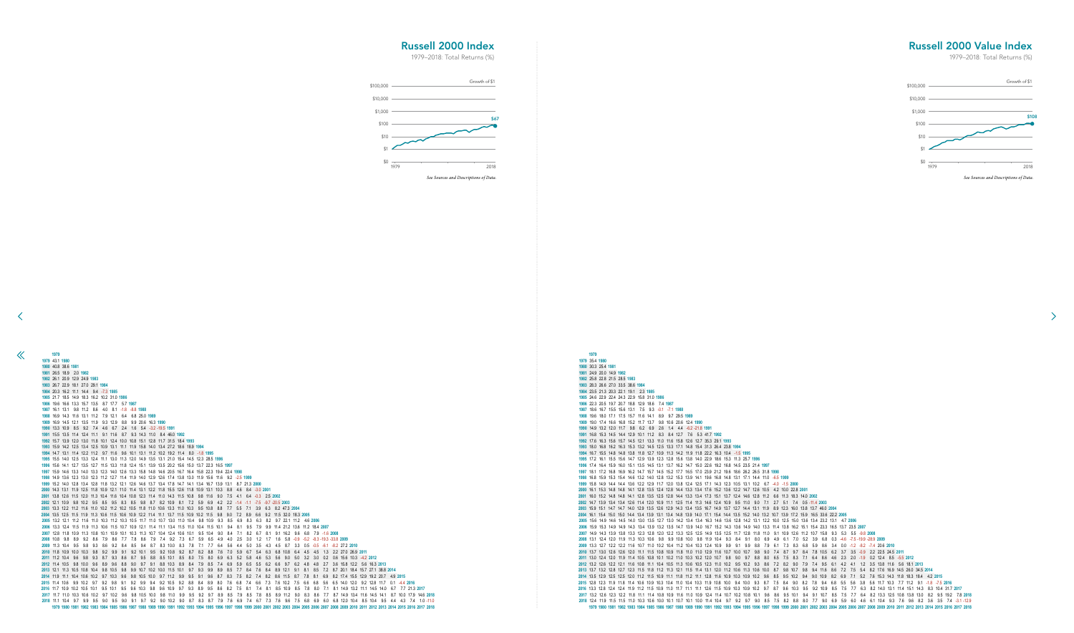# 35.4 **1980** 30.3 25.4 **1981**

 24.9 20.0 14.9 **1982** 25.8 22.8 21.5 28.5 **1983** 28.3 26.6 27.0 33.5 38.6 **1984** 23.5 21.3 20.3 22.1 19.1 2.3 **1985** 24.6 22.9 22.4 24.3 22.9 15.8 31.0 **1986** 22.3 20.5 19.7 20.7 18.8 12.9 18.6 7.4 **1987** 18.6 16.7 15.5 15.6 13.1 7.5 9.3 -0.1 -7.1 **1988** 19.6 18.0 17.1 17.5 15.7 11.6 14.1 8.9 9.7 29.5 **1989** 19.0 17.4 16.6 16.8 15.2 11.7 13.7 9.8 10.6 20.6 12.4 **1990** 14.9 13.2 12.0 11.7 9.8 6.2 6.9 2.6 1.4 4.4 -6.2 -21.8 **1991** 16.8 15.3 14.5 14.4 12.9 10.1 11.2 8.3 8.4 12.7 7.6 5.3 41.7 **1992** 17.6 16.3 15.6 15.7 14.5 12.1 13.3 11.0 11.6 15.8 12.6 12.7 35.3 29.1 **1993** 18.0 16.8 16.2 16.3 15.3 13.2 14.5 12.5 13.3 17.1 14.8 15.4 31.3 26.4 23.8 **1994** 16.7 15.5 14.8 14.8 13.8 11.8 12.7 10.9 11.3 14.2 11.9 11.8 22.2 16.3 10.4 -1.5 **1995** 17.2 16.1 15.5 15.6 14.7 12.9 13.9 12.3 12.8 15.6 13.8 14.0 22.9 18.6 15.3 11.3 25.7 **1996** 17.4 16.4 15.9 16.0 15.1 13.5 14.5 13.1 13.7 16.2 14.7 15.0 22.6 19.2 16.8 14.5 23.5 21.4 **1997** 18.1 17.2 16.8 16.9 16.2 14.7 15.7 14.5 15.2 17.7 16.5 17.0 23.9 21.2 19.6 18.6 26.2 26.5 31.8 **1998** 16.8 15.9 15.3 15.4 14.6 13.2 14.0 12.8 13.2 15.3 13.9 14.1 19.6 16.8 14.8 13.1 17.1 14.4 11.0 -6.5 **1999** 15.8 14.9 14.4 14.4 13.6 12.2 12.9 11.7 12.0 13.8 12.4 12.5 17.1 14.3 12.3 10.5 13.1 10.2 6.7 -4.0 -1.5 **2000** 16.1 15.3 14.8 14.8 14.1 12.8 13.5 12.4 12.8 14.4 13.3 13.4 17.6 15.2 13.6 12.2 14.7 12.6 10.5 4.2 10.0 22.8 **2001** 16.0 15.2 14.8 14.8 14.1 12.8 13.5 12.5 12.8 14.4 13.3 13.4 17.3 15.1 13.7 12.4 14.6 12.8 11.2 6.6 11.3 18.3 14.0 **2002** 14.7 13.9 13.4 13.4 12.6 11.4 12.0 10.9 11.1 12.5 11.4 11.3 14.6 12.4 10.9 9.5 11.0 9.0 7.1 2.7 5.1 7.4 0.5 -11.4 **2003** 15.9 15.1 14.7 14.7 14.0 12.9 13.5 12.6 12.9 14.3 13.4 13.5 16.7 14.9 13.7 12.7 14.4 13.1 11.9 8.9 12.3 16.0 13.8 13.7 46.0 **2004** 16.1 15.4 15.0 15.0 14.4 13.4 13.9 13.1 13.4 14.8 13.9 14.0 17.1 15.4 14.4 13.5 15.2 14.0 13.2 10.7 13.9 17.2 15.9 16.5 33.6 22.2 **2005** 15.6 14.9 14.6 14.5 14.0 13.0 13.5 12.7 13.0 14.2 13.4 13.4 16.3 14.6 13.6 12.8 14.2 13.1 12.2 10.0 12.5 15.0 13.6 13.4 23.2 13.1 4.7 **2006** 15.9 15.3 14.9 14.9 14.3 13.4 13.9 13.2 13.5 14.7 13.9 14.0 16.7 15.2 14.3 13.6 14.9 14.0 13.3 11.4 13.8 16.2 15.1 15.4 23.3 16.5 13.7 23.5 **2007** 14.9 14.3 13.9 13.8 13.3 12.3 12.8 12.0 12.2 13.3 12.5 12.5 14.9 13.5 12.5 11.7 12.8 11.8 11.0 9.1 10.9 12.6 11.2 10.7 15.8 9.3 5.3 5.5 -9.8 **2008** 13.1 12.4 12.0 11.9 11.3 10.3 10.6 9.8 9.9 10.8 10.0 9.8 11.9 10.4 9.3 8.4 9.1 8.0 6.9 4.9 6.1 7.0 5.2 3.9 6.8 0.3 -4.6 -7.5 -19.9 -28.9 **2009** 13.3 12.7 12.2 12.2 11.6 10.7 11.0 10.2 10.4 11.2 10.4 10.3 12.4 10.9 9.9 9.1 9.9 8.8 7.9 6.1 7.3 8.3 6.8 5.9 8.6 3.4 0.0 -1.2 -8.2 -7.4 20.6 **2010** 13.7 13.0 12.6 12.6 12.0 11.1 11.5 10.8 10.9 11.8 11.0 11.0 12.9 11.6 10.7 10.0 10.7 9.8 9.0 7.4 8.7 9.7 8.4 7.8 10.5 6.2 3.7 3.5 -0.9 2.2 22.5 24.5 **2011** 13.0 12.4 12.0 11.9 11.4 10.5 10.8 10.1 10.2 11.0 10.3 10.2 12.0 10.7 9.8 9.0 9.7 8.8 8.0 6.5 7.5 8.3 7.1 6.4 8.6 4.6 2.3 2.0 -1.9 0.2 12.4 8.5 -5.5 **2012** 13.2 12.6 12.2 12.1 11.6 10.8 11.1 10.4 10.5 11.3 10.6 10.5 12.3 11.0 10.2 9.5 10.2 9.3 8.6 7.2 8.2 9.0 7.9 7.4 9.5 6.1 4.2 4.1 1.2 3.5 13.8 11.6 5.6 18.1 **2013** 13.7 13.2 12.8 12.7 12.3 11.5 11.8 11.2 11.3 12.1 11.5 11.4 13.1 12.0 11.2 10.6 11.3 10.6 10.0 8.7 9.8 10.7 9.8 9.4 11.6 8.6 7.2 7.5 5.4 8.2 17.6 16.9 14.5 26.0 34.5 **2014** 13.5 12.9 12.5 12.5 12.0 11.2 11.5 10.9 11.1 11.8 11.2 11.1 12.8 11.6 10.9 10.3 10.9 10.2 9.6 8.5 9.5 10.2 9.4 9.0 10.9 8.2 6.9 7.1 5.2 7.6 15.3 14.3 11.8 18.3 18.4 4.2 **2015** 12.8 12.3 11.9 11.8 11.4 10.6 10.9 10.3 10.4 11.0 10.4 10.3 11.9 10.8 10.0 9.4 10.0 9.3 8.7 7.5 8.4 9.0 8.2 7.8 9.4 6.8 5.5 5.6 3.8 5.6 11.7 10.3 7.7 11.2 9.1 -1.8 -7.5 **2016** 13.3 12.8 12.4 12.4 11.9 11.2 11.5 10.9 11.0 11.7 11.1 11.1 12.6 11.5 10.9 10.3 10.9 10.2 9.7 8.7 9.6 10.3 9.5 9.2 10.9 8.5 7.5 7.7 6.3 8.2 14.0 13.1 11.4 15.1 14.3 8.3 10.4 31.7 **2017** 13.2 12.6 12.3 12.2 11.8 11.1 11.4 10.8 10.9 11.6 11.0 10.9 12.4 11.4 10.7 10.2 10.8 10.1 9.6 8.6 9.5 10.1 9.4 9.1 10.7 8.5 7.5 7.7 6.4 8.2 13.3 12.5 10.8 13.8 13.0 8.2 9.5 19.2 7.8 **2018** 12.4 11.9 11.5 11.5 11.0 10.3 10.6 10.0 10.1 10.7 10.1 10.0 11.4 10.4 9.7 9.2 9.7 9.0 8.5 7.5 8.2 8.8 8.0 7.7 9.0 6.9 5.9 6.0 4.6 6.1 10.4 9.3 7.6 9.6 8.2 3.6 3.5 7.4 -3.1 -12.9 1979 1980 1981 1982 1983 1984 1985 1986 1987 1988 1989 1990 1991 1992 1993 1994 1995 1996 1997 1998 1999 2000 2001 2002 2003 2004 2005 2006 2007 2008 2009 2010 2011 2012 2013 2014 2015 2016 2017 2018

<span id="page-17-0"></span> $\ll$ 

| 1979 43.1 1980 |                                                                                                                      |  |             |  |     |                        |  |                                              |  |             |         |     |                                                                      |        |                      |               |                   |                                                                                                                                                  |     |                                |  |                                 |                                     |                                                                                                                                                                              |  |  |  |
|----------------|----------------------------------------------------------------------------------------------------------------------|--|-------------|--|-----|------------------------|--|----------------------------------------------|--|-------------|---------|-----|----------------------------------------------------------------------|--------|----------------------|---------------|-------------------|--------------------------------------------------------------------------------------------------------------------------------------------------|-----|--------------------------------|--|---------------------------------|-------------------------------------|------------------------------------------------------------------------------------------------------------------------------------------------------------------------------|--|--|--|
|                | 1980 40.8 38.6 1981                                                                                                  |  |             |  |     |                        |  |                                              |  |             |         |     |                                                                      |        |                      |               |                   |                                                                                                                                                  |     |                                |  |                                 |                                     |                                                                                                                                                                              |  |  |  |
|                | 1981 26.5 18.9 2.0 1982                                                                                              |  |             |  |     |                        |  |                                              |  |             |         |     |                                                                      |        |                      |               |                   |                                                                                                                                                  |     |                                |  |                                 |                                     |                                                                                                                                                                              |  |  |  |
|                | 1982 26.1 20.9 12.9 24.9 1983                                                                                        |  |             |  |     |                        |  |                                              |  |             |         |     |                                                                      |        |                      |               |                   |                                                                                                                                                  |     |                                |  |                                 |                                     |                                                                                                                                                                              |  |  |  |
|                | 1983 26.7 22.9 18.1 27.0 29.1 1984                                                                                   |  |             |  |     |                        |  |                                              |  |             |         |     |                                                                      |        |                      |               |                   |                                                                                                                                                  |     |                                |  |                                 |                                     |                                                                                                                                                                              |  |  |  |
|                | 1984 20.3 16.2 11.1 14.4 9.4 -7.3 1985                                                                               |  |             |  |     |                        |  |                                              |  |             |         |     |                                                                      |        |                      |               |                   |                                                                                                                                                  |     |                                |  |                                 |                                     |                                                                                                                                                                              |  |  |  |
|                | 1985 21.7 18.5 14.9 18.3 16.2 10.2 31.0 1986                                                                         |  |             |  |     |                        |  |                                              |  |             |         |     |                                                                      |        |                      |               |                   |                                                                                                                                                  |     |                                |  |                                 |                                     |                                                                                                                                                                              |  |  |  |
|                | 1986 19.6 16.6 13.3 15.7 13.5 8.7 17.7 5.7 1987                                                                      |  |             |  |     |                        |  |                                              |  |             |         |     |                                                                      |        |                      |               |                   |                                                                                                                                                  |     |                                |  |                                 |                                     |                                                                                                                                                                              |  |  |  |
|                | 1987 16.1 13.1 9.8 11.2 8.6 4.0 8.1 -1.8 -8.8 1988                                                                   |  |             |  |     |                        |  |                                              |  |             |         |     |                                                                      |        |                      |               |                   |                                                                                                                                                  |     |                                |  |                                 |                                     |                                                                                                                                                                              |  |  |  |
|                | 1988 16.9 14.3 11.6 13.1 11.2 7.9 12.1 6.4 6.8 25.0 1989                                                             |  |             |  |     |                        |  |                                              |  |             |         |     |                                                                      |        |                      |               |                   |                                                                                                                                                  |     |                                |  |                                 |                                     |                                                                                                                                                                              |  |  |  |
|                | 1989 16.9 14.5 12.1 13.5 11.9 9.3 12.9                                                                               |  |             |  |     | 8.8 9.9 20.6 16.3 1990 |  |                                              |  |             |         |     |                                                                      |        |                      |               |                   |                                                                                                                                                  |     |                                |  |                                 |                                     |                                                                                                                                                                              |  |  |  |
|                | 1990 13.3 10.9 8.5 9.2 7.4 4.6 6.7 2.4 1.6 5.4 -3.2 -19.5 1991                                                       |  |             |  |     |                        |  |                                              |  |             |         |     |                                                                      |        |                      |               |                   |                                                                                                                                                  |     |                                |  |                                 |                                     |                                                                                                                                                                              |  |  |  |
|                | 1991 15.5 13.5 11.4 12.4 11.1 9.1 11.6 8.7 9.3 14.3 11.0 8.4 46.0 1992                                               |  |             |  |     |                        |  |                                              |  |             |         |     |                                                                      |        |                      |               |                   |                                                                                                                                                  |     |                                |  |                                 |                                     |                                                                                                                                                                              |  |  |  |
|                | 1992 15.7 13.9 12.0 13.0 11.8 10.1 12.4 10.0 10.8 15.1 12.8 11.7 31.5 18.4 1993                                      |  |             |  |     |                        |  |                                              |  |             |         |     |                                                                      |        |                      |               |                   |                                                                                                                                                  |     |                                |  |                                 |                                     |                                                                                                                                                                              |  |  |  |
|                | 1993 15.9 14.2 12.5 13.4 12.5 10.9 13.1 11.1 11.9 15.8 14.0 13.4 27.2 18.6 18.9 1994                                 |  |             |  |     |                        |  |                                              |  |             |         |     |                                                                      |        |                      |               |                   |                                                                                                                                                  |     |                                |  |                                 |                                     |                                                                                                                                                                              |  |  |  |
|                | 1994 14.7 13.1 11.4 12.2 11.2 9.7 11.6 9.6 10.1 13.1 11.2 10.2 19.2 11.4 8.0 -1.8 1995                               |  |             |  |     |                        |  |                                              |  |             |         |     |                                                                      |        |                      |               |                   |                                                                                                                                                  |     |                                |  |                                 |                                     |                                                                                                                                                                              |  |  |  |
|                | 1995 15.5 14.0 12.5 13.3 12.4 11.1 13.0 11.3 12.0 14.9 13.5 13.1 21.0 15.4 14.5 12.3 28.5 1996                       |  |             |  |     |                        |  |                                              |  |             |         |     |                                                                      |        |                      |               |                   |                                                                                                                                                  |     |                                |  |                                 |                                     |                                                                                                                                                                              |  |  |  |
|                | 1996 15.6 14.1 12.7 13.5 12.7 11.5 13.3 11.8 12.4 15.1 13.9 13.5 20.2 15.6 15.0 13.7 22.3 16.5 1997                  |  |             |  |     |                        |  |                                              |  |             |         |     |                                                                      |        |                      |               |                   |                                                                                                                                                  |     |                                |  |                                 |                                     |                                                                                                                                                                              |  |  |  |
|                | 1997 15.9 14.6 13.3 14.0 13.3 12.3 14.0 12.6 13.3 15.8 14.8 14.6 20.5 16.7 16.4 15.8 22.3 19.4 22.4 1998             |  |             |  |     |                        |  |                                              |  |             |         |     |                                                                      |        |                      |               |                   |                                                                                                                                                  |     |                                |  |                                 |                                     |                                                                                                                                                                              |  |  |  |
|                | 1998 14.9 13.6 12.3 13.0 12.3 11.2 12.7 11.4 11.9 14.0 12.9 12.6 17.4 13.8 13.0 11.9 15.6 11.6 9.2 -2.5 1999         |  |             |  |     |                        |  |                                              |  |             |         |     |                                                                      |        |                      |               |                   |                                                                                                                                                  |     |                                |  |                                 |                                     |                                                                                                                                                                              |  |  |  |
|                | 1999 15.2 14.0 12.8 13.4 12.8 11.8 13.2 12.1 12.6 14.6 13.7 13.4 17.8 14.7 14.1 13.4 16.7 13.9 13.1 8.7 21.3 2000    |  |             |  |     |                        |  |                                              |  |             |         |     |                                                                      |        |                      |               |                   |                                                                                                                                                  |     |                                |  |                                 |                                     |                                                                                                                                                                              |  |  |  |
|                | 2000 14.3 13.1 11.9 12.5 11.8 10.9 12.1 11.0 11.4 13.1 12.2 11.8 15.5 12.6 11.8 10.9 13.1 10.3 8.8 4.6 8.4 -3.0 2001 |  |             |  |     |                        |  |                                              |  |             |         |     |                                                                      |        |                      |               |                   |                                                                                                                                                  |     |                                |  |                                 |                                     |                                                                                                                                                                              |  |  |  |
|                |                                                                                                                      |  |             |  |     |                        |  |                                              |  |             |         |     |                                                                      |        | $-0.3$ 2.5 2002      |               |                   |                                                                                                                                                  |     |                                |  |                                 |                                     |                                                                                                                                                                              |  |  |  |
|                | 2001 13.8 12.6 11.5 12.0 11.3 10.4 11.6 10.4 10.8 12.3 11.4 11.0 14.3 11.5 10.8 9.8 11.6 9.0 7.5                     |  |             |  |     |                        |  |                                              |  |             |         |     | 4.1                                                                  | 6.4    |                      |               |                   |                                                                                                                                                  |     |                                |  |                                 |                                     |                                                                                                                                                                              |  |  |  |
|                | 2002 12.1 10.9 9.8 10.2 9.5 8.5 9.5 8.3 8.5 9.8 8.7 8.2 10.9 8.1 7.2 5.9 6.9 4.2                                     |  |             |  |     |                        |  |                                              |  |             |         | 2.2 | $-1.4$                                                               | $-1.1$ | -7.5 -9.7 -20.5 2003 |               |                   |                                                                                                                                                  |     |                                |  |                                 |                                     |                                                                                                                                                                              |  |  |  |
|                | 2003 13.3 12.2 11.2 11.6 11.0 10.2 11.2 10.2 10.5 11.8 11.0 10.6 13.3 11.0 10.3 9.5 10.8 8.8                         |  |             |  |     |                        |  |                                              |  |             |         | 7.7 | 5.5                                                                  | 7.1    | 3.9                  |               | 6.3 8.2 47.3 2004 |                                                                                                                                                  |     |                                |  |                                 |                                     |                                                                                                                                                                              |  |  |  |
|                | 2004 13.5 12.5 11.5 11.9 11.3 10.6 11.5 10.6 10.9 12.2 11.4 11.1 13.7 11.5 10.9 10.2 11.5 9.8                        |  |             |  |     |                        |  |                                              |  |             |         |     | 9.0 7.2 8.9                                                          |        |                      |               |                   | 6.6 9.2 11.5 32.0 18.3 2005                                                                                                                      |     |                                |  |                                 |                                     |                                                                                                                                                                              |  |  |  |
|                | 2005 13.2 12.1 11.2 11.6 11.0 10.3 11.2 10.3 10.5 11.7 11.0 10.7 13.0 11.0 10.4 9.8 10.9 9.3 8.5                     |  |             |  |     |                        |  |                                              |  |             |         |     | 6.9 8.3                                                              |        |                      |               |                   | 6.3 8.2 9.7 22.1 11.2 4.6 2006                                                                                                                   |     |                                |  |                                 |                                     |                                                                                                                                                                              |  |  |  |
|                |                                                                                                                      |  |             |  |     |                        |  |                                              |  |             |         |     |                                                                      |        |                      |               |                   | 2006 13.3 12.4 11.5 11.9 11.3 10.6 11.5 10.7 10.9 12.1 11.4 11.1 13.4 11.5 11.0 10.4 11.5 10.1 9.4 8.1 9.5 7.9 9.9 11.4 21.2 13.6 11.2 18.4 2007 |     |                                |  |                                 |                                     |                                                                                                                                                                              |  |  |  |
|                | 2007 12.8 11.8 10.9 11.3 10.8 10.1 10.9 10.1 10.3 11.3 10.7 10.4 12.4 10.6 10.1 9.5 10.4 9.0 8.4                     |  |             |  |     |                        |  |                                              |  |             |         |     |                                                                      |        |                      |               |                   | 7.1 8.2 6.7 8.1 9.1 16.2 9.6 6.8 7.9 -1.6 2008                                                                                                   |     |                                |  |                                 |                                     |                                                                                                                                                                              |  |  |  |
|                | 2008 10.8 9.8 8.9 9.2 8.6 7.9 8.6 7.7 7.8 8.6 7.9 7.4 9.2 7.3 6.7                                                    |  |             |  |     |                        |  |                                              |  | 5.9 6.5 4.9 |         |     | 4.0 2.5 3.0                                                          |        | 1.2                  |               |                   | 1.7 1.6 5.8 -0.9 -5.2 -8.3 -19.3 -33.8 2009                                                                                                      |     |                                |  |                                 |                                     |                                                                                                                                                                              |  |  |  |
|                | 2009 11.3 10.4 9.5 9.8                                                                                               |  |             |  |     |                        |  |                                              |  |             |         |     | 9.3 8.6 9.2 8.4 8.5 9.4 8.7 8.3 10.0 8.3 7.8 7.1 7.7 6.4 5.6 4.4 5.0 |        |                      | $3.5$ 4.3 4.5 |                   | 8.7 3.3                                                                                                                                          | 0.5 | $-0.5$ $-6.1$ $-8.2$ 27.2 2010 |  |                                 |                                     |                                                                                                                                                                              |  |  |  |
|                | 2010 11.8 10.9 10.0 10.3                                                                                             |  | 9.8 9.2 9.9 |  | 9.1 |                        |  | 9.2 10.1 9.5 9.2 10.8 9.2 8.7 8.2 8.8        |  |             | 7.6     |     | 7.0 5.9 6.7 5.4                                                      |        |                      |               |                   | 6.3 6.8 10.8 6.4 4.5                                                                                                                             |     | 4.5                            |  | 1.3 2.2 27.0 26.9 2011          |                                     |                                                                                                                                                                              |  |  |  |
|                | 2011 11.2 10.4 9.6 9.8                                                                                               |  | 9.3 8.7 9.3 |  |     |                        |  | 8.6 8.7 9.5 8.8 8.5 10.1 8.5 8.0 7.5 8.0 6.9 |  |             |         |     | 6.3 5.2 5.8                                                          |        | - 4.6                | 5.3 5.6       |                   | $9.0 \quad 5.0 \quad 3.2$                                                                                                                        |     |                                |  | 3.0 0.2 0.6 15.6 10.3 -4.2 2012 |                                     |                                                                                                                                                                              |  |  |  |
|                | 2012 11.4 10.5 9.8 10.0 9.6 8.9 9.6                                                                                  |  |             |  |     |                        |  | 8.8 9.0 9.7 9.1 8.8 10.3 8.9 8.4 7.9 8.5 7.4 |  |             |         | 6.9 | 5.9 6.5                                                              |        | 5.5 6.2 6.6          |               |                   | 9.7 6.2 4.8                                                                                                                                      |     |                                |  |                                 | 4.8 2.7 3.6 15.8 12.2 5.6 16.3 2013 |                                                                                                                                                                              |  |  |  |
|                | 2013 12.1 11.3 10.5 10.8 10.4 9.8 10.5 9.8 9.9 10.7 10.2 10.0 11.5 10.1 9.7 9.3 9.9 8.9                              |  |             |  |     |                        |  |                                              |  |             |         |     |                                                                      |        |                      |               |                   | 8.5 7.7 8.4 7.6 8.4 8.9 12.1 9.1                                                                                                                 |     |                                |  |                                 |                                     | 8.1 8.5 7.2 8.7 20.1 18.4 15.7 27.1 38.8 2014                                                                                                                                |  |  |  |
|                | 2014 11.9 11.1 10.4 10.6 10.2 9.7 10.3 9.6 9.8 10.5 10.0 9.7 11.2 9.9 9.5 9.1 9.6                                    |  |             |  |     |                        |  |                                              |  |             |         |     |                                                                      |        |                      |               |                   | 8.7 8.3 7.5 8.2 7.4 8.2 8.6 11.5 8.7 7.8                                                                                                         |     | 8.1 6.9                        |  |                                 |                                     | 8.2 17.4 15.5 12.9 19.2 20.7 4.9 2015                                                                                                                                        |  |  |  |
|                |                                                                                                                      |  |             |  |     |                        |  |                                              |  |             |         |     |                                                                      |        |                      |               |                   |                                                                                                                                                  |     |                                |  |                                 |                                     | 2015 11.4 10.6 9.9 10.2 9.7 9.2 9.8 9.1 9.2 9.9 9.4 9.2 10.5 9.2 8.8 8.4 8.9 8.0 7.6 6.8 7.4 6.6 7.3 7.6 10.2 7.5 6.6 6.8 5.6 6.5 14.0 12.0 9.2 12.8 11.7 0.1 4.4 2016       |  |  |  |
|                | 2016 11.7 10.9 10.2 10.5 10.1 9.5 10.1 9.5 9.6 10.3 9.8 9.6 10.9 9.7 9.3 8.9 9.5 8.6                                 |  |             |  |     |                        |  |                                              |  |             |         |     |                                                                      |        |                      |               |                   |                                                                                                                                                  |     |                                |  |                                 |                                     | 8.2 7.5 8.1 7.4 8.1 8.5 10.9 8.5 7.8 8.0 7.1 8.1 14.9 13.2 11.1 14.5 14.0 6.7 7.7 21.3 2017                                                                                  |  |  |  |
|                | 2017 11.7 11.0 10.3 10.6 10.2 9.7 10.2 9.6 9.8 10.5 10.0 9.8 11.0 9.9 9.5 9.2                                        |  |             |  |     |                        |  |                                              |  |             | 9.7 8.9 |     | 8.5 7.9 8.5 7.8                                                      |        |                      |               |                   | 8.5 8.9 11.2 9.0 8.3                                                                                                                             |     |                                |  |                                 |                                     | 8.6 7.7 8.7 14.9 13.4 11.6 14.5 14.1  8.7 10.0 17.9 14.6 2018                                                                                                                |  |  |  |
|                |                                                                                                                      |  |             |  |     |                        |  |                                              |  |             |         |     |                                                                      |        |                      |               |                   |                                                                                                                                                  |     |                                |  |                                 |                                     | 2018 11.1 10.4 9.7 9.9 9.5 9.0 9.5 9.0 9.1 9.7 9.2 9.0 10.2 9.0 8.7 8.3 8.7 7.9 7.6 6.9 7.4 6.7 7.3 7.6 9.6 7.5 6.8 6.9 6.0 6.8 12.0 10.4 8.5 10.4 9.5 4.4 4.3 7.4 1.0 -11.0 |  |  |  |

1979 1980 1981 1982 1983 1984 1985 1986 1987 1988 1989 1990 1991 1992 1993 1994 1995 1996 1997 1998 1999 2000 2001 2002 2003 2004 2005 2006 2007 2008 2009 2010 2011 2012 2013 2014 2015 2016 2017 2018

## Russell 2000 Value Index

1979–2018: Total Returns (%)

 $\rightarrow$ 

## Russell 2000 Index

![](_page_17_Figure_7.jpeg)

![](_page_17_Figure_2.jpeg)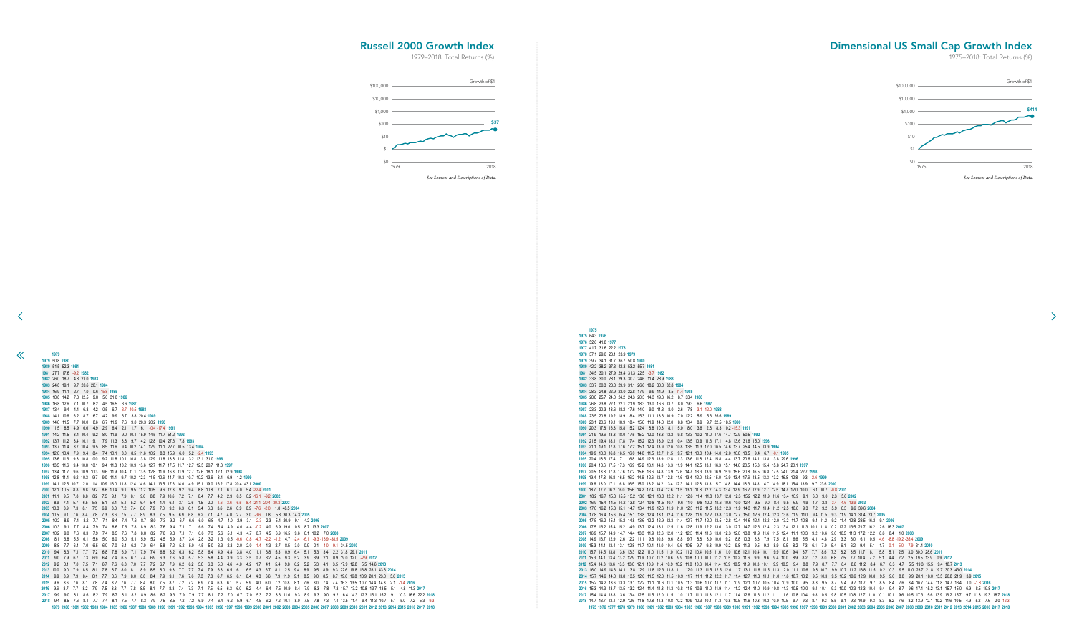41.7 31.6 22.2 **1978** 37.1 29.0 23.1 23.9 **1979** 39.7 34.1 31.7 36.7 50.8 **1980** 42.2 38.2 37.3 42.8 53.2 55.7 **1981** 34.5 30.1 27.9 29.4 31.3 22.5 -3.7 **1982** 33.8 30.0 28.1 29.3 30.7 24.6 11.4 28.9 **1983** 33.7 30.3 28.8 29.9 31.1 26.6 18.2 30.8 32.8 **1984** 28.3 24.8 22.9 23.0 22.8 17.9 9.9 14.9 8.5 -11.4 **1985** 28.8 25.7 24.0 24.2 24.3 20.3 14.3 19.3 16.2 8.7 33.4 **1986** 26.8 23.8 22.1 22.1 21.9 18.3 13.0 16.6 13.7 8.0 19.3 6.6 **1987** 23.3 20.3 18.6 18.2 17.6 14.0 9.0 11.3 8.0 2.6 7.8 -3.1 -12.0 **1988** 23.5 20.8 19.2 18.9 18.4 15.3 11.1 13.3 10.9 7.0 12.2 5.9 5.6 26.6 **1989** 23.1 20.6 19.1 18.9 18.4 15.6 11.9 14.0 12.0 8.8 13.4 8.9 9.7 22.5 18.5 **1990** 20.3 17.8 16.3 15.8 15.2 12.4 8.8 10.3 8.1 5.0 8.0 3.6 2.8 8.3 0.2 -15.3 **1991** 21.9 19.6 18.3 18.0 17.6 15.2 12.0 13.8 12.2 9.8 13.3 10.2 11.0 17.6 14.7 12.9 50.5 **1992** 21.5 19.4 18.1 17.8 17.4 15.2 12.3 13.9 12.5 10.4 13.5 10.9 11.6 17.1 14.8 13.6 31.6 15.0 **1993** 21.1 19.1 17.8 17.6 17.2 15.1 12.4 13.9 12.6 10.8 13.5 11.3 12.0 16.5 14.6 13.7 25.4 14.5 13.9 **1994** 19.9 18.0 16.8 16.5 16.0 14.0 11.5 12.7 11.5 9.7 12.1 10.0 10.4 14.0 12.0 10.8 18.5 9.4 6.7 -0.1 **1995** 20.4 18.5 17.4 17.1 16.8 14.9 12.6 13.9 12.8 11.3 13.6 11.8 12.4 15.8 14.4 13.7 20.6 14.1 13.8 13.8 29.6 **1996** 20.4 18.6 17.5 17.3 16.9 15.2 13.1 14.3 13.3 11.9 14.1 12.5 13.1 16.3 15.1 14.6 20.5 15.3 15.4 15.8 24.7 20.1 **1997** 20.5 18.8 17.8 17.6 17.2 15.6 13.6 14.8 13.9 12.6 14.7 13.3 13.9 16.9 15.9 15.6 20.8 16.5 16.8 17.5 24.0 21.4 22.7 **1998** 19.4 17.8 16.8 16.5 16.2 14.6 12.6 13.7 12.8 11.6 13.4 12.0 12.5 15.0 13.9 13.4 17.6 13.5 13.3 13.2 16.8 12.8 9.3 -2.6 **1999** 19.6 18.0 17.1 16.8 16.5 15.0 13.2 14.2 13.4 12.3 14.1 12.8 13.3 15.7 14.8 14.4 18.3 14.8 14.7 14.9 18.1 15.4 13.9 9.7 23.6 **2000** 18.7 17.2 16.2 16.0 15.6 14.2 12.4 13.4 12.6 11.5 13.1 11.8 12.2 14.3 13.4 12.9 16.2 12.9 12.7 12.5 14.7 12.0 10.0 6.1 10.7 -0.8 **2001** 18.2 16.7 15.8 15.5 15.2 13.8 12.1 13.0 12.2 11.1 12.6 11.4 11.8 13.7 12.8 12.3 15.2 12.2 11.9 11.6 13.4 10.9 9.1 6.0 9.0 2.3 5.6 **2002** 16.9 15.4 14.5 14.2 13.8 12.4 10.8 11.5 10.7 9.6 11.0 9.8 10.0 11.6 10.6 10.0 12.4 9.5 9.0 8.4 9.5 6.9 4.9 1.7 2.8 -3.4 -4.6 -13.9 **2003** 17.6 16.2 15.3 15.1 14.7 13.4 11.9 12.6 11.9 11.0 12.3 11.2 11.5 13.2 12.3 11.9 14.3 11.7 11.4 11.2 12.5 10.6 9.3 7.2 9.2 5.9 8.3 9.6 39.6 **2004** 17.8 16.4 15.6 15.4 15.1 13.8 12.4 13.1 12.4 11.6 12.8 11.9 12.2 13.8 13.0 12.7 15.0 12.6 12.4 12.3 13.6 11.9 11.0 9.4 11.5 9.3 11.9 14.1 31.4 23.7 **2005** 17.5 16.2 15.4 15.2 14.8 13.6 12.2 12.9 12.3 11.4 12.7 11.7 12.0 13.5 12.8 12.4 14.6 12.4 12.2 12.0 13.2 11.7 10.8 9.4 11.2 9.2 11.4 12.8 23.5 16.2 9.1 **2006** 17.5 16.2 15.4 15.2 14.9 13.7 12.4 13.1 12.5 11.6 12.8 11.9 12.2 13.6 13.0 12.7 14.7 12.6 12.4 12.3 13.4 12.1 11.3 10.1 11.8 10.2 12.2 13.5 21.7 16.2 12.6 16.3 **2007** 16.9 15.7 14.9 14.7 14.4 13.3 11.9 12.6 12.0 11.2 12.3 11.4 11.6 13.0 12.3 12.0 13.8 11.9 11.6 11.5 12.4 11.1 10.3 9.2 10.6 9.0 10.5 11.3 17.2 12.2 8.6 8.4 1.0 **2008** 14.9 13.7 12.9 12.6 12.2 11.1 9.8 10.3 9.6 8.8 9.7 8.8 8.9 10.0 9.2 8.8 10.3 8.3 7.9 7.5 8.1 6.6 5.5 4.1 4.8 2.9 3.3 3.0 6.1 0.5 -4.6 -8.8 -19.2 -35.4 **2009** 15.3 14.1 13.4 13.1 12.8 11.7 10.4 11.0 10.4 9.6 10.5 9.7 9.8 10.9 10.2 9.8 11.3 9.5 9.2 8.9 9.5 8.2 7.3 6.1 7.0 5.4 6.1 6.2 9.4 5.1 1.7 -0.1 -5.0 -7.9 31.4 **2010** 15.7 14.5 13.8 13.6 13.3 12.2 11.0 11.5 11.0 10.2 11.2 10.4 10.5 11.6 11.0 10.6 12.1 10.4 10.1 9.9 10.6 9.4 8.7 7.7 8.6 7.3 8.2 8.5 11.7 8.1 5.8 5.1 2.5 3.0 30.0 28.6 **2011** 15.3 14.1 13.4 13.2 12.9 11.9 10.7 11.2 10.6 9.9 10.8 10.0 10.1 11.2 10.5 10.2 11.6 9.9 9.6 9.4 10.0 8.9 8.2 7.2 8.0 6.8 7.5 7.7 10.4 7.2 5.1 4.4 2.2 2.5 19.5 13.9 0.9 **2012** 15.4 14.3 13.6 13.3 13.0 12.1 10.9 11.4 10.9 10.2 11.0 10.3 10.4 11.4 10.9 10.5 11.9 10.3 10.1 9.9 10.5 9.4 8.8 7.9 8.7 7.7 8.4 8.6 11.2 8.4 6.7 6.3 4.7 5.5 19.3 15.5 9.4 18.7 **2013** 16.0 14.9 14.3 14.1 13.8 12.9 11.8 12.3 11.8 11.1 12.0 11.3 11.5 12.5 12.0 11.7 13.1 11.6 11.5 11.3 12.0 11.1 10.6 9.8 10.7 9.9 10.7 11.2 13.8 11.5 10.2 10.3 9.5 11.0 23.7 21.8 19.7 30.3 43.0 **2014** 15.7 14.6 14.0 13.8 13.5 12.6 11.5 12.0 11.5 10.9 11.7 11.1 11.2 12.2 11.7 11.4 12.7 11.3 11.1 11.0 11.6 10.7 10.2 9.5 10.3 9.5 10.2 10.6 12.9 10.8 9.5 9.6 8.8 9.9 20.1 18.0 15.5 20.8 21.9 3.9 **2015** 15.2 14.2 13.6 13.3 13.1 12.2 11.1 11.6 11.1 10.5 11.3 10.6 10.7 11.7 11.1 10.9 12.1 10.7 10.5 10.4 10.9 10.0 9.5 8.8 9.5 8.7 9.4 9.7 11.7 9.7 8.5 8.4 7.6 8.4 16.7 14.4 11.8 14.7 13.4 1.0 -1.8 **2016** 2016 15.3 14.3 13.7 13.5 13.2 12.4 11.4 11.8 11.3 10.8 11.5 10.9 11.0 11.9 11.4 11.2 12.4 11.0 10.9 10.8 11.3 10.5 10.0 9.4 10.1 0.3 10.0 10.3 12.3 10.4 9.4 8.7 9.6 17.1 15.2 13.1 15.7 15.0 6.9 8.5 19.8 2017 2017 15.4 14.4 13.8 13.6 13.4 12.5 11.5 12.0 11.5 11.0 11.7 11.1 11.3 12.1 11.7 11.4 12.6 11.3 11.2 11.1 11.6 10.8 10.4 9.8 10.5 10.8 10.5 10.8 12.7 11.0 10.1 10.1 10.1 10.1 10.1 10.5 17.3 15.6 13.9 16.2 15.7 9.7 11.8 19.3 14.7 13.7 13.1 12.9 12.6 11.8 10.8 11.3 10.8 10.2 10.9 10.3 10.4 11.3 10.8 10.5 11.6 10.3 10.2 10.0 10.5 9.7 9.3 8.7 9.3 8.5 9.1 9.3 10.9 9.3 8.3 8.2 7.6 8.2 13.9 12.1 10.2 11.6 10.5 4.9 5.2 7.6 2.0 -12.3 1975 1976 1977 1978 1979 1980 1981 1982 1983 1984 1985 1986 1987 1988 1989 1990 1991 1992 1993 1994 1995 1996 1997 1998 1999 2000 2001 2002 2003 2004 2005 2006 2007 2008 2009 2010 2011 2012 2013 2014 2015 2016 2017 2018

 50.8 **1980** 51.5 52.3 **1981** 27.7 17.6 -9.2 **1982** 26.0 18.7 4.8 21.0 **1983** 24.8 19.1 9.7 20.6 20.1 **1984** 16.9 11.1 2.7 7.0 0.6 -15.8 **1985** 18.8 14.2 7.8 12.5 9.8 5.0 31.0 **1986** 16.8 12.6 7.1 10.7 8.2 4.5 16.5 3.6 **1987** 13.4 9.4 4.4 6.8 4.2 0.5 6.7 -3.7 -10.5 **1988** 14.1 10.6 6.2 8.7 6.7 4.2 9.9 3.7 3.8 20.4 **1989** 14.6 11.5 7.7 10.0 8.6 6.7 11.9 7.6 9.0 20.3 20.2 **1990** 11.5 8.5 4.9 6.6 4.9 2.9 6.4 2.1 1.7 6.1 -0.4 -17.4 **1991** 14.2 11.5 8.4 10.4 9.2 8.0 11.9 9.0 10.1 15.9 14.5 11.7 51.2 **1992** 13.7 11.2 8.4 10.1 9.1 7.9 11.3 8.8 9.7 14.2 12.8 10.4 27.6 7.8 **1993** 13.7 11.4 8.7 10.4 9.5 8.5 11.6 9.4 10.2 14.1 12.9 11.1 22.7 10.5 13.4 **1994** 12.6 10.4 7.9 9.4 8.4 7.4 10.1 8.0 8.5 11.6 10.2 8.3 15.9 6.0 5.2 -2.4 **1995** 13.6 11.6 9.3 10.8 10.0 9.2 11.8 10.1 10.8 13.8 12.9 11.8 18.8 11.8 13.2 13.1 31.0 **1996** 13.5 11.6 9.4 10.8 10.1 9.4 11.8 10.2 10.9 13.6 12.7 11.7 17.5 11.7 12.7 12.5 20.7 11.3 **1997** 13.4 11.7 9.6 10.9 10.3 9.6 11.9 10.4 11.1 13.5 12.8 11.9 16.8 11.9 12.7 12.6 18.1 12.1 12.9 **1998** 12.8 11.1 9.2 10.3 9.7 9.0 11.1 9.7 10.2 12.3 11.5 10.6 14.7 10.3 10.7 10.2 13.6 8.4 6.9 1.2 **1999** 14.1 12.5 10.7 12.0 11.4 10.9 13.0 11.8 12.4 14.6 14.1 13.5 17.6 14.0 14.9 15.1 19.0 16.2 17.8 20.4 43.1 **2000** 12.1 10.5 8.8 9.8 9.2 8.6 10.4 9.1 9.5 11.2 10.5 9.6 12.8 9.2 9.4 8.8 10.8 7.1 6.1 4.0 5.4 -22.4 **2001** 11.1 9.5 7.8 8.8 8.2 7.5 9.1 7.9 8.1 9.6 8.8 7.9 10.6 7.2 7.1 6.4 7.7 4.2 2.9 0.5 0.2 -16.1 -9.2 **2002** 8.9 7.4 5.7 6.5 5.8 5.1 6.4 5.1 5.2 6.4 5.4 4.4 6.4 3.1 2.6 1.5 2.0 -1.6 -3.6 -6.6 -8.4 -21.1 -20.4 -30.3 **2003** 10.3 8.9 7.3 8.1 7.5 6.9 8.3 7.2 7.4 8.6 7.9 7.0 9.2 6.3 6.1 5.4 6.3 3.6 2.6 0.9 0.9 -7.6 -2.0 1.8 48.5 **2004** 10.5 9.1 7.6 8.4 7.8 7.3 8.6 7.5 7.7 8.9 8.3 7.5 9.5 6.9 6.8 6.2 7.1 4.7 4.0 2.7 3.0 -3.6 1.8 5.8 30.3 14.3 **2005** 10.2 8.9 7.4 8.2 7.7 7.1 8.4 7.4 7.6 8.7 8.0 7.3 9.2 6.7 6.6 6.0 6.8 4.7 4.0 2.9 3.1 -2.3 2.3 5.4 20.9 9.1 4.2 **2006** 10.3 9.1 7.7 8.4 7.9 7.4 8.6 7.6 7.8 8.9 8.3 7.6 9.4 7.1 7.1 6.6 7.4 5.4 4.9 4.0 4.4 -0.2 4.0 6.9 19.0 10.5 8.7 13.3 **2007** 10.2 9.0 7.6 8.3 7.9 7.4 8.5 7.6 7.8 8.8 8.2 7.6 9.3 7.1 7.1 6.6 7.3 5.6 5.1 4.3 4.7 0.7 4.5 6.9 16.5 9.6 8.1 10.2 7.0 **2008** 8.1 6.8 5.5 6.1 5.6 5.0 6.0 5.0 5.1 5.9 5.2 4.5 5.9 3.7 3.4 2.8 3.2 1.3 0.5 -0.6 -0.8 -4.7 -2.2 -1.2 4.7 -2.4 -6.1 -9.3 -18.9 -38.5 **2009** 8.8 7.7 6.4 7.0 6.5 6.0 7.0 6.1 6.2 7.0 6.4 5.8 7.2 5.2 5.0 4.5 5.0 3.3 2.8 2.0 2.0 -1.4 1.3 2.7 8.5 3.0 0.9 0.1 -4.0 -9.1 34.5 **2010** 9.4 8.3 7.1 7.7 7.2 6.8 7.8 6.9 7.1 7.9 7.4 6.8 8.2 6.3 6.2 5.8 6.4 4.9 4.4 3.8 4.0 1.1 3.8 5.3 10.9 6.4 5.1 5.3 3.4 2.2 31.8 29.1 **2011** 9.0 7.9 6.7 7.3 6.9 6.4 7.4 6.5 6.7 7.4 6.9 6.3 7.6 5.8 5.7 5.3 5.8 4.4 3.9 3.3 3.5 0.7 3.2 4.5 9.3 5.2 3.9 3.9 2.1 0.9 19.0 12.0 -2.9 **2012** 9.2 8.1 7.0 7.5 7.1 6.7 7.6 6.8 7.0 7.7 7.2 6.7 7.9 6.2 6.2 5.8 6.3 5.0 4.6 4.0 4.2 1.7 4.1 5.4 9.8 6.2 5.2 5.3 4.1 3.5 17.9 12.8 5.5 14.6 **2013** 10.0 9.0 7.9 8.5 8.1 7.8 8.7 8.0 8.1 8.9 8.5 8.0 9.3 7.7 7.7 7.4 7.9 6.8 6.5 6.1 6.5 4.3 6.7 8.1 12.5 9.4 8.9 9.5 8.9 9.3 22.6 19.8 16.8 28.1 43.3 **2014** 9.9 8.9 7.9 8.4 8.1 7.7 8.6 7.9 8.0 8.8 8.4 7.9 9.1 7.6 7.6 7.3 7.8 6.7 6.5 6.1 6.4 4.3 6.6 7.9 11.9 9.1 8.5 9.0 8.5 8.7 19.6 16.8 13.9 20.1 23.0 5.6 **2015** 9.6 8.6 7.6 8.1 7.8 7.4 8.2 7.6 7.7 8.4 8.0 7.5 8.7 7.2 7.2 6.9 7.4 6.3 6.1 5.7 5.9 4.0 6.0 7.2 10.8 8.1 7.6 8.0 7.4 7.4 16.3 13.5 10.7 14.4 14.3 2.1 -1.4 **2016** 9.6 8.7 7.7 8.2 7.9 7.5 8.3 7.7 7.8 8.5 8.1 7.7 8.8 7.4 7.3 7.1 7.5 6.5 6.3 6.0 6.2 4.4 6.4 7.5 10.9 8.4 7.9 8.3 7.8 7.8 15.7 13.2 10.8 13.7 13.5 5.1 4.8 11.3 **2017** 9.9 9.0 8.1 8.6 8.2 7.9 8.7 8.1 8.2 8.9 8.6 8.2 9.3 7.9 7.9 7.7 8.1 7.2 7.0 6.7 7.0 5.3 7.2 8.3 11.6 9.3 8.9 9.3 9.0 9.2 16.4 14.3 12.3 15.1 15.2 9.1 10.3 16.6 22.2 **2018** 9.4 8.5 7.6 8.1 7.7 7.4 8.1 7.5 7.7 8.3 7.9 7.5 8.5 7.2 7.2 6.9 7.4 6.4 6.2 5.9 6.1 4.5 6.2 7.2 10.1 8.0 7.5 7.8 7.3 7.4 13.5 11.4 9.4 11.3 10.7 5.1 5.0 7.2 5.3 -9.3 1982 1983 1984 1985 1986 1987 1988 1989 1990 1991 1992 1993 1994 1995 1996 1997 1998 1999 2000 2001 2002 2003 2004 2005 2006 2007 2008 2009 2010 2011 2012 2013 2014 2015 2016 2017 2018

<span id="page-18-0"></span> $\ll$ 

## Dimensional US Small Cap Growth Index

1975–2018: Total Returns (%)

 $\rightarrow$ 

## Russell 2000 Growth Index

![](_page_18_Figure_7.jpeg)

![](_page_18_Figure_2.jpeg)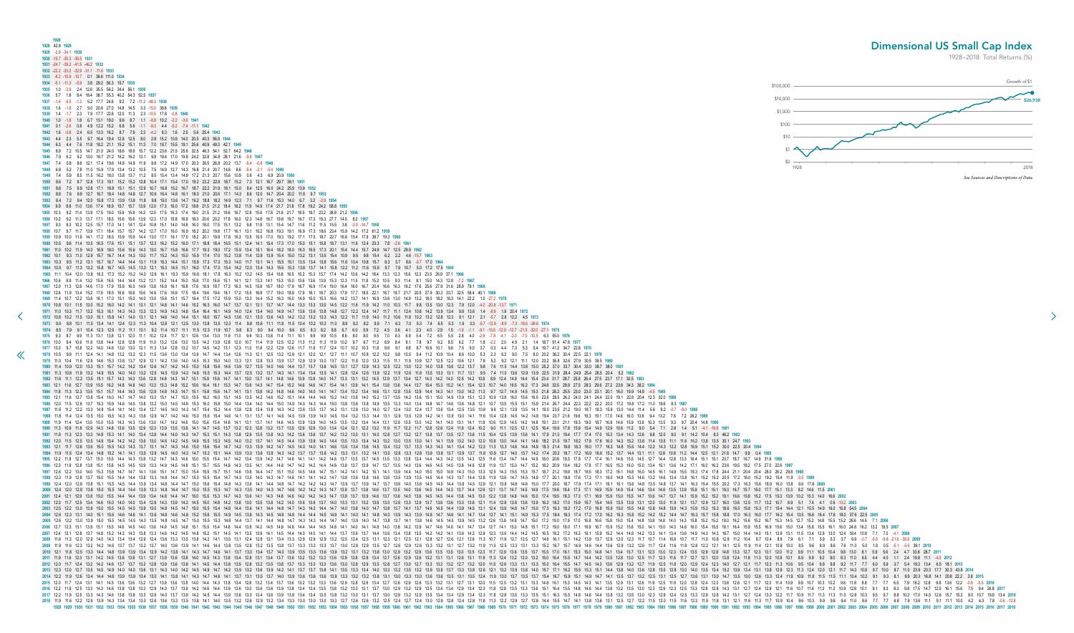<span id="page-19-0"></span>**1928 1928** 42.9 **1929 1929** -2.9 -34.1 **1930 1930** -15.7 -35.3 -36.5 **1931 1931** -24.7 -39.2 -41.5 -46.2 **1932 1932** -22.2 -33.2 -32.9 -31.1 -11.6 **1933 1933** -8.2 -15.9 -10.7 0.1 36.6 111.0 **1934 1934** -5.1 -11.3 -5.9 3.8 29.2 56.3 15.7 **1935 1935** 1.0 -3.9 2.4 12.6 35.5 56.2 34.4 56.1 **1936 1936** 5.7 1.8 8.4 18.4 38.7 55.3 40.2 54.3 52.5 **1937 1937** -1.6 -5.5 -1.2 5.2 17.7 24.6 9.2 7.2 -11.2 -48.3 **1938 1938** 1.6 -1.8 2.7 9.0 20.6 27.0 14.8 14.5 3.3 -15.0 39.8 **1939 1939** 1.4 -1.7 2.3 7.9 17.7 22.6 12.0 11.3 2.3 -10.5 17.8 -0.8 **1940 1940** 1.0 -1.8 1.8 6.7 15.1 19.0 9.6 8.7 1.1 -8.8 10.2 -2.2 -3.6 **1941 1941** 0.1 -2.6 0.6 4.9 12.2 15.2 6.8 5.6 -1.1 -9.3 4.4 -5.2 -7.4 -11.1 **1942 1942** 1.6 -0.8 2.4 6.5 13.3 16.2 8.7 7.9 2.3 -4.2 8.3 1.6 2.5 5.6 25.4 **1943 1943** 4.4 2.3 5.5 9.7 16.4 19.4 12.8 12.5 8.0 2.8 15.2 10.9 14.0 20.5 40.3 56.9 **1944 1944** 6.3 4.4 7.6 11.8 18.2 21.1 15.2 15.1 11.3 7.0 18.7 15.5 19.1 25.6 40.9 49.3 42.1 **1945 1945** 8.9 7.2 10.5 14.7 21.0 24.0 18.6 18.9 15.7 12.2 23.6 21.5 25.6 32.5 46.3 54.1 52.7 64.2 **1946 1946** 7.9 6.2 9.2 13.0 18.7 21.2 16.2 16.2 13.1 9.8 19.4 17.0 19.8 24.2 32.8 34.8 28.1 21.6 -9.9 **1947 1947** 7.4 5.8 8.6 12.1 17.4 19.6 14.9 14.8 11.9 8.8 17.2 14.9 17.0 20.3 26.5 26.8 20.2 13.7 -5.4 -0.8 **1948 1948** 6.8 5.2 7.8 11.0 15.9 17.9 13.4 13.2 10.5 7.5 14.9 12.7 14.3 16.8 21.4 20.7 14.6 8.6 -5.4 -3.1 -5.4 **1949 1949** 7.4 5.9 8.5 11.5 16.2 18.0 13.8 13.7 11.2 8.5 15.4 13.4 14.9 17.2 21.3 20.7 15.6 10.9 0.6 4.3 6.9 20.9 **1950 1950** 8.6 7.2 9.7 12.8 17.3 19.1 15.2 15.2 12.8 10.4 17.1 15.4 17.0 19.2 23.2 22.9 18.7 15.2 7.3 12.1 16.7 29.7 39.1 **1951 1951** 8.8 7.5 9.9 12.8 17.1 18.8 15.1 15.1 12.9 10.7 16.8 15.2 16.7 18.7 22.2 21.9 18.1 15.0 8.4 12.5 16.0 24.2 25.9 13.9 **1952 1952** 8.8 7.6 9.9 12.7 16.7 18.4 14.8 14.8 12.7 10.6 16.4 14.8 16.1 18.0 21.0 20.6 17.1 14.3 8.6 12.0 14.7 20.4 20.2 11.8 9.7 **1953 1953** 8.4 7.2 9.4 12.0 15.8 17.3 13.9 13.8 11.8 9.8 15.0 13.6 14.7 16.2 18.8 18.2 14.9 12.3 7.1 9.7 11.6 15.3 14.0 6.7 3.2 -2.9 **1954 1954** 9.9 8.8 11.0 13.6 17.4 18.9 15.7 15.7 13.9 12.0 17.3 16.0 17.2 18.8 21.5 21.2 18.4 16.2 11.9 14.9 17.4 21.7 21.8 17.8 19.2 24.2 58.8 **1955 1955** 10.3 9.2 11.4 13.9 17.5 19.0 15.9 15.9 14.2 12.5 17.5 16.3 17.4 19.0 21.5 21.2 18.6 16.7 12.8 15.6 17.8 21.6 21.7 18.5 19.7 23.2 38.8 21.2 **1956 1956** 10.2 9.2 11.3 13.7 17.1 18.5 15.6 15.6 13.9 12.3 17.0 15.8 16.9 18.3 20.6 20.2 17.8 16.0 12.3 14.8 16.7 19.8 19.7 16.7 17.3 19.3 27.7 14.5 8.2 **1957 1957** 9.3 8.3 10.2 12.5 15.7 17.0 14.1 14.1 12.4 10.8 15.1 14.0 14.8 16.0 18.0 17.5 15.1 13.2 9.8 11.8 13.1 15.4 14.7 11.6 11.2 11.5 15.5 3.8 -3.9 -14.7 **1958 1958** 10.7 9.7 11.7 13.9 17.1 18.4 15.7 15.7 14.2 12.7 17.0 16.0 16.9 18.2 20.2 19.8 17.7 16.1 13.1 15.2 16.8 19.3 19.1 16.9 17.3 18.6 23.4 15.9 14.2 17.2 61.2 **1959 1959** 10.9 10.0 11.9 14.1 17.2 18.5 15.9 15.9 14.4 13.0 17.1 16.1 17.0 18.2 20.1 19.8 17.8 16.3 13.5 15.5 17.0 19.3 19.2 17.1 17.5 18.7 22.7 16.6 15.4 17.9 38.7 19.3 **1960 1960** 10.5 9.6 11.4 13.5 16.5 17.6 15.1 15.1 13.7 12.3 16.2 15.2 16.0 17.1 18.8 18.4 16.5 15.1 12.4 14.1 15.4 17.3 17.0 15.0 15.1 15.8 18.7 13.1 11.6 12.4 23.3 7.8 -2.6 **1961 1961** 11.0 10.2 11.9 14.0 16.9 18.0 15.6 15.6 14.3 13.0 16.7 15.8 16.6 17.7 19.3 19.0 17.2 15.9 13.4 15.1 16.4 18.2 18.0 16.3 16.5 17.3 20.1 15.4 14.4 15.7 24.9 14.7 12.5 29.9 **1962 1962** 10.1 9.3 11.0 12.9 15.7 16.7 14.4 14.3 13.0 11.7 15.2 14.3 15.0 15.9 17.4 17.0 15.2 13.8 11.4 12.9 13.9 15.4 15.0 13.2 13.1 13.5 15.4 10.9 9.5 9.8 15.4 6.2 2.2 4.6 -15.7 **1963 1963** 10.3 9.5 11.2 13.1 15.7 16.7 14.4 14.4 13.1 11.9 15.3 14.4 15.1 15.9 17.3 17.0 15.3 14.0 11.7 13.1 14.1 15.5 15.1 13.5 13.4 13.8 15.6 11.6 10.4 10.8 15.7 8.3 5.7 8.6 -0.7 17.0 **1964 1964** 10.5 9.7 11.3 13.2 15.8 16.7 14.5 14.5 13.3 12.1 15.3 14.5 15.1 16.0 17.4 17.0 15.4 14.2 12.0 13.4 14.3 15.6 15.3 13.8 13.7 14.1 15.8 12.2 11.2 11.6 15.9 9.7 7.9 10.7 5.0 17.2 17.5 **1965 1965** 11.1 10.4 12.0 13.8 16.3 17.3 15.2 15.2 14.0 12.9 16.1 15.3 15.9 16.8 18.1 17.8 16.3 15.2 13.2 14.5 15.4 16.8 16.5 15.2 15.3 15.7 17.4 14.2 13.6 14.2 18.4 13.3 12.3 15.6 12.3 23.5 26.9 37.1 **1966 [1](#page-18-0)966** 10.6 9.9 11.4 13.2 15.6 16.5 14.4 14.4 13.2 12.1 15.2 14.4 15.0 15.8 17.0 16.6 15.1 14.1 12.1 13.3 14.1 15.3 15.0 13.6 13.6 13.9 15.3 12.3 11.5 11.8 15.2 10.5 9.3 11.4 8.1 15.0 14.3 12.8 -7.2 **1967 1967** 12.0 11.3 12.8 14.6 17.0 17.9 15.9 16.0 14.9 13.8 16.9 16.1 16.8 17.6 18.9 18.7 17.3 16.3 14.5 15.8 16.7 18.0 17.9 16.7 16.9 17.4 19.0 16.4 16.0 16.7 20.4 16.6 16.3 19.2 17.6 25.6 27.9 31.6 28.9 79.1 **1968** 1968 12.6 11.9 13.4 15.2 17.6 18.5 16.6 16.6 15.6 14.6 17.6 16.9 17.5 18.4 19.6 19.4 18.1 17.2 15.5 16.8 17.7 19.0 18.9 17.9 18.1 18.7 20.3 17.9 17.7 18.5 22.1 18.7 18.7 21.7 20.5 27.9 30.3 33.7 32.5 58.4 40.1 1969 1969 11.4 10.7 12.2 13.8 16.1 17.0 15.1 15.0 14.0 13.0 15.8 15.1 15.7 16.4 17.5 17.2 15.9 15.0 13.3 14.4 15.2 16.0 14.9 15.0 15.0 15.0 16.6 14.2 13.7 14.1 16.9 13.6 13.0 14.9 13.2 18.0 18.2 18.3 14.1 22.2 10.9 27.2 1970 1970 10.8 10.1 11.5 13.0 15.2 16.0 14.2 14.1 13.1 12.1 14.8 14.1 14.6 15.2 16.3 16.0 14.7 13.7 12.1 13.1 13.7 14.7 14.4 13.3 13.5 14.5 12.2 11.6 11.9 14.2 11.0 10.3 11.7 9.8 13.5 13.0 12.3 7.9 12.0 4.2 -20.8 -13.7 1971 1971 11.0 10.3 11.7 13.2 15.3 16.1 14.3 14.3 14.3 14.3 14.3 14.8 14.4 16.4 16.4 16.1 14.9 14.0 14.4 14.0 14.9 14.7 13.6 13.6 13.8 14.8 12.7 12.2 12.4 14.7 11.1 12.4 10.8 14.2 13.9 13.4 9.9 13.6 1.4 -8.9 1.9 20.4 1972 1972 108 102 115 130 151 158 141 140 131 121 146 140 144 151 160 157 145 136 121 130 136 145 142 132 133 143 122 11.7 11.9 14.0 11.2 10.6 11.8 10.2 132 128 123 91 121 21 -57 2.8 122 4.5 1973 1973 9.5 8.8 10.1 11.5 13.4 14.1 12.4 12.3 11.3 10.4 12.8 12.1 12.5 13.0 13.8 13.5 12.3 11.4 9.8 10.6 11.1 11.8 11.5 10.4 10.2 10.3 11.0 8.9 8.2 8.2 9.9 7.1 6.3 7.0 5.3 7.4 6.5 5.3 1.9 3.3 -5.7 -12.9 -8.9 -7.3 -18.6 -36.6 1974 8.5 7.9 9.1 10.4 12.3 12.9 11.2 11.1 10.1 9.2 11.4 10.7 11.1 11.5 12.3 11.9 10.7 9.8 8.3 9.0 9.4 10.0 9.6 8.5 8.3 8.2 8.8 6.7 6.0 5.9 7.2 4.5 3.6 4.1 2.3 4.0 2.9 1.5 -1.8 -1.1 -9.1 -15.5 -12.9 -12.7 -21.5 -32.0 -27.1 1 1975 9.3 8.7 9.9 11.3 13.1 13.8 12.1 12.0 11.1 10.2 12.4 11.7 12.1 12.6 13.4 13.0 11.9 11.0 9.6 10.3 10.8 11.4 11.1 10.1 9.9 9.9 10.5 8.6 8.0 8.0 9.5 7.0 6.3 6.9 5.4 7.2 6.5 5.5 2.8 4.0 -2.9 -7.8 4.1 -2.0 -7.0 -10.5 6.3 55. 1976 10.0 9.4 10.6 11.9 13.8 14.4 12.8 12.8 11.9 11.0 13.2 12.6 13.0 13.5 14.2 13.9 12.8 12.0 10.7 11.4 11.9 12.5 12.2 11.3 11.2 11.3 11.9 10.2 9.7 9.7 11.2 8.9 8.4 9.1 7.8 9.7 9.2 8.5 6.2 7.7 1.8 -2.2 2.0 4.9 2.1 1.4 18.7 1977 10.3 9.7 10.8 12.2 14.0 14.6 13.0 13.0 12.1 11.3 13.4 12.8 13.2 13.7 14.5 14.2 13.1 12.3 11.0 11.8 12.2 12.9 12.6 11.7 11.6 11.7 12.4 10.7 10.2 10.3 11.8 9.6 9.1 9.8 8.7 10.6 10.1 9.6 7.5 9.0 3.7 0.3 4.4 7.3 5.3 5.4 19 1978 10.5 9.9 11.1 12.4 14.1 14.8 13.2 13.2 12.3 11.5 13.6 13.0 13.4 13.9 14.7 14.4 13.4 12.6 11.3 12.6 11.3 12.1 12.9 12.1 12.0 12.1 12.7 11.1 10.7 10.8 12.2 10.2 9.8 10.5 9.4 11.2 10.9 10.4 8.6 10.0 5.3 2.3 6.2 9.0 7.5 8. 1979 11.0 10.4 11.6 12.9 14.6 15.3 13.8 13.7 12.9 12.1 14.2 13.6 14.0 14.5 15.3 15.0 14.0 13.3 12.1 12.8 13.3 13.9 13.7 12.9 13.0 13.7 12.2 11.8 12.0 13.3 11.5 11.1 11.9 10.9 12.7 12.5 12.2 10.6 12.1 7.8 5.2 9.2 12.1 11.1 1 1980 11.4 10.9 12.0 13.3 15.1 15.7 14.2 14.2 13.4 12.6 14.7 14.2 14.5 15.0 15.8 15.6 14.6 13.9 12.7 13.5 14.0 14.4 13.7 13.7 13.7 13.7 13.1 12.7 12.9 14.3 12.5 12.2 13.0 12.2 13.0 12.2 14.0 13.8 13.6 12.2 13.7 9.8 7.6 11.5 1981 11.3 10.8 11.9 13.2 14.9 15.5 14.0 14.0 13.2 12.5 14.5 13.9 14.3 14.8 15.5 15.3 14.4 13.7 12.5 13.2 13.7 14.3 14.4 13.7 14.3 14.4 13.7 12.5 13.9 14.1 13.4 13.5 14.1 12.8 12.4 12.6 13.9 11.9 12.6 11.8 13.5 13.3 13.1 11. 1982 11.6 11.1 12.2 13.5 15.1 15.7 14.3 14.3 14.3 14.8 14.8 14.3 14.7 15.1 15.9 15.6 14.7 14.1 13.0 13.7 14.1 14.8 14.6 13.9 13.9 14.0 12.3 13.4 12.7 14.3 14.2 14.3 14.2 14.0 12.8 14.2 10.8 8.9 12.4 14.9 14.4 15.4 23.4 31.7 1983 12.1 11.6 12.7 13.9 15.5 16.2 14.8 14.8 14.8 14.0 13.3 15.3 14.8 15.2 15.6 16.4 16.1 15.3 14.7 13.6 14.7 13.6 14.7 15.4 14.7 15.4 14.7 15.4 14.7 15.4 14.1 14.7 15.4 15.3 13.8 13.6 14.4 13.7 15.4 15.3 15.2 14.1 15.4 15. 1984 11.8 11.3 12.3 13.5 15.1 15.7 14.4 14.3 13.6 12.9 14.8 14.3 14.7 15.1 15.8 15.6 14.7 14.1 13.1 13.8 14.2 14.8 14.6 14.0 14.0 14.1 14.7 13.4 13.2 13.4 14.6 13.1 12.8 13.5 12.9 14.4 14.3 14.1 13.0 14.2 14.9 14.5 15.5 21. 1985 12.1 11.6 12.7 13.8 15.4 16.0 14.7 14.7 14.0 13.3 15.1 14.7 15.0 15.5 16.2 16.0 15.1 14.5 13.5 14.2 14.6 15.2 15.1 14.4 14.4 14.6 15.2 14.0 13.8 14.0 15.5 14.2 13.5 14.0 15.5 13.5 14.2 13.6 15.1 15.0 14.9 13.9 15.1 12. 1986 12.0 11.5 12.6 13.7 15.3 15.9 14.6 14.5 13.8 13.2 15.0 14.5 14.9 15.3 16.0 15.8 15.0 14.4 13.4 14.0 14.4 13.0 14.4 15.0 14.4 15.0 14.4 15.0 14.9 14.9 14.9 14.9 14.3 14.0 13.6 13.8 14.9 13.5 13.3 14.0 13.4 14.8 14.7 14. 1987 11.6 11.2 12.2 13.3 14.8 15.4 14.1 14.0 13.4 12.7 14.5 14.0 14.3 14.7 15.4 15.2 14.4 13.8 12.8 13.4 13.8 12.8 13.4 13.8 14.2 13.6 13.5 13.0 14.0 12.7 12.4 13.0 12.4 13.0 12.4 13.0 12.4 13.0 12.4 13.9 13.5 10.9 9.6 12.1 1988 11.8 11.4 12.4 13.5 15.0 15.5 14.3 14.3 14.3 14.2 14.2 14.2 14.2 14.5 15.4 14.6 14.5 14.1 14.5 14.1 14.5 14.9 13.9 14.0 14.5 13.9 14.0 14.5 13.9 13.0 14.1 14.5 12.9 13.1 14.2 14.1 14.5 12.9 13.1 12.9 13.5 12.9 14.1 14 **1989** 11.9 11.4 12.4 13.5 15.0 15.5 14.3 14.3 13.6 13.0 14.7 14.2 14.6 15.0 15.6 15.4 14.6 14.1 13.1 13.7 14.1 14.6 14.5 13.9 13.9 14.0 14.5 13.5 13.2 13.4 14.4 13.1 12.9 13.5 13.0 14.2 14.1 14.0 13.1 14.1 11.8 10.6 12.9 14.5 14.2 14.8 19.1 23.1 21.1 19.3 19.0 18.7 16.8 14.6 15.9 13.9 10.3 13.5 9.3 9.7 20.4 14.8 **1990** 1990 11.3 10.9 11.8 12.9 14.3 14.8 13.6 13.5 12.9 12.3 13.9 13.5 13.8 14.1 14.7 14.5 13.7 13.2 12.3 12.8 13.2 13.7 13.5 12.9 13.5 12.9 13.0 13.4 12.4 12.1 12.2 13.7 13.2 12.9 12.8 12.1 12.2 13.1 12.9 12.1 12.8 12.6 12.4 10. 1991 11.8 11.3 12.3 13.3 14.8 15.3 14.1 14.0 13.4 12.8 14.4 14.0 14.3 14.7 15.3 15.1 14.3 13.8 12.9 13.5 13.8 14.3 14.2 13.6 14.2 13.6 13.7 14.2 13.2 13.0 13.1 14.0 12.8 12.7 13.8 13.7 13.5 12.7 13.8 14.1 12.9 13.5 12.7 13. 1992 12.0 11.5 12.5 13.5 14.9 15.4 14.2 14.2 14.2 13.6 13.0 14.6 14.2 14.3 14.5 14.9 15.5 15.3 14.5 14.0 13.2 13.7 14.1 14.5 14.4 13.9 13.0 14.4 13.5 13.1 3.4 14.3 13.2 13.0 13.5 13.1 14.1 14.1 14.3 13.2 13.0 14.1 14.1 13.9 1993 12.1 11.7 12.6 13.6 15.0 15.5 14.3 14.3 14.3 13.1 14.7 14.3 14.6 15.0 15.6 15.4 14.7 14.2 13.3 13.9 14.2 14.7 14.5 14.0 14.0 14.1 14.6 13.6 13.4 13.2 13.4 13.2 13.4 13.2 13.4 14.3 14.3 14.4 14.1 13.4 14.2 12.3 11.3 14. 1994 11.9 11.5 12.4 13.4 14.8 15.2 14.1 14.1 13.5 12.9 14.5 14.0 14.3 14.7 15.2 15.1 14.4 13.9 13.0 13.6 13.9 14.2 13.7 13.7 13.8 14.2 13.3 13.1 13.2 14.1 13.0 12.8 13.9 13.1 2.9 13.7 13.8 14.2 13.3 12.8 13.1 2.9 13.7 12.9 **1995** 12.2 11.8 12.7 13.7 15.0 15.5 14.4 14.3 13.8 13.2 14.7 14.3 14.6 15.0 15.5 15.4 14.7 14.2 13.4 13.9 14.2 14.7 14.6 14.1 14.1 14.2 14.6 13.7 13.5 13.7 14.5 13.5 13.3 13.8 13.4 14.4 14.3 14.2 13.5 14.3 12.5 11.6 13.4 14.7 14.4 14.9 18.0 20.8 19.3 17.9 17.7 17.4 16.1 14.8 15.5 14.5 12.7 14.4 12.8 13.3 16.4 15.1 15.1 23.7 18.7 16.7 14.9 31.6 **1996** 1996 12.3 11.9 12.8 13.8 15.1 15.6 14.5 14.5 14.5 13.9 13.3 14.9 14.5 14.8 14.1 15.7 15.5 14.8 14.3 13.5 14.1 14.4 14.8 14.7 14.2 14.4 14.8 13.9 13.7 13.5 14.1 13.5 14.0 13.6 14.6 12.8 14.5 13.7 13.5 14.0 13.6 14.6 12.8 11. 1997 12.6 12.2 13.0 14.0 15.3 15.8 14.7 14.7 14.1 13.6 15.1 14.7 15.0 15.4 15.9 15.7 15.1 14.6 13.8 14.4 14.7 15.1 15.0 14.4 14.7 15.1 15.0 14.5 15.1 14.6 14.7 15.1 15.1 14.6 14.7 15.1 14.6 14.7 15.1 14.6 14.4 14.0 15.1 14. 1998 12.3 11.9 12.8 13.7 15.0 15.5 14.4 14.4 13.8 13.3 14.8 14.4 14.7 15.0 15.5 15.4 14.7 14.3 13.5 14.0 14.3 14.7 14.6 14.1 14.2 14.7 14.6 14.1 14.1 14.2 14.7 14.3 13.5 14.6 13.6 13.8 14.6 13.5 13.9 13.5 14.4 14.3 13.7 14 1999 124 120 129 138 151 155 145 144 139 134 148 144 147 150 156 154 148 143 136 141 144 148 147 142 143 147 142 143 147 139 137 139 147 137 138 149 138 145 129 121 138 148 148 150 177 200 187 176 174 171 151 155 148 135 1 2000 124 120 128 138 150 155 144 144 139 133 148 144 147 150 155 153 147 143 153 147 143 135 140 143 147 148 142 143 147 148 149 154 148 137 138 148 137 138 148 148 148 148 154 154 154 154 164 173 189 164 173 174 145 149 1 2001 12.4 12.1 12.9 13.8 15.0 15.5 14.4 14.4 13.9 13.4 14.8 14.4 14.7 15.0 15.5 15.3 14.7 14.3 13.6 14.1 14.3 13.6 14.1 14.3 14.8 14.4 14.3 14.8 14.1 14.3 14.8 14.0 14.2 14.2 14.3 14.7 13.9 13.7 13.9 14.6 13.0 12.5 13.8 14 **2002** 12.0 11.7 12.5 13.4 14.6 15.0 14.0 14.0 13.4 12.9 14.3 13.9 14.2 14.5 15.0 14.8 14.2 13.8 13.0 13.5 13.8 14.2 14.0 13.6 13.6 13.7 14.0 13.3 13.1 13.2 13.9 13.0 12.9 13.3 12.9 13.7 13.6 13.6 13.0 13.6 12.1 11.4 12.8 13.8 13.6 13.9 16.2 18.2 17.0 15.9 15.7 15.4 14.5 13.5 13.9 13.1 12.0 13.0 11.9 12.1 13.7 12.9 12.7 16.0 13.6 12.5 11.7 13.2 10.7 8.9 5.1 7.4 4.1 0.6 -13.2 **2003** 2003 12.5 12.2 13.0 13.9 15.0 15.5 14.5 14.5 14.5 14.8 14.5 14.8 14.7 15.0 15.5 15.4 14.8 14.4 13.6 14.1 14.4 14.8 14.7 14.3 14.4 14.4 14.8 14.7 14.3 14.4 14.7 14.0 13.8 14.1 14.7 14.3 14.4 14.7 14.6 14.7 14.6 14.1 13.7 14. **2004** 12.6 12.3 13.1 14.0 15.1 15.6 14.6 14.6 14.1 13.6 14.9 14.6 14.8 15.2 15.6 15.5 14.9 14.5 13.8 14.3 14.5 14.9 14.8 14.4 14.4 14.5 14.9 14.1 14.0 14.1 14.8 14.0 13.9 14.3 13.9 14.8 14.7 14.6 14.1 14.7 13.4 12.7 14.1 15.1 14.9 15.3 17.5 19.4 18.3 17.4 17.2 17.0 16.2 15.3 15.8 15.2 14.2 15.2 14.4 14.7 16.3 15.7 15.8 18.8 17.0 16.3 16.0 17.7 16.2 15.4 13.5 16.6 16.4 17.6 18.0 37.6 22.5 **2005** 2005 126 122 130 150 155 145 145 145 145 148 145 150 155 153 148 147 150 155 153 148 144 137 141 144 137 141 144 148 147 143 144 147 143 144 147 140 139 140 147 138 148 145 145 139 148 147 150 179 170 168 166 158 150 154 14 **2006** 12.7 12.3 13.1 13.9 15.1 15.5 14.6 14.5 14.0 13.6 14.9 14.5 14.8 15.1 15.5 15.4 14.8 14.4 13.8 14.2 14.5 14.9 14.8 14.4 14.4 14.5 14.8 14.1 14.0 14.1 14.8 14.0 13.8 14.2 13.9 14.7 14.6 14.6 14.1 14.7 13.4 12.7 14.1 15.0 14.8 15.1 17.2 19.0 18.0 17.1 16.9 16.7 15.9 15.2 15.6 15.0 14.1 15.0 14.3 14.6 16.0 15.4 15.5 18.1 16.4 15.9 15.5 16.9 15.6 15.0 13.4 15.8 15.5 16.1 16.0 24.8 16.2 13.2 19.5 **2007** 2007 12.4 12.1 12.8 13.7 14.8 15.2 14.3 14.3 14.3 14.3 14.8 14.2 14.5 14.4 15.2 15.1 14.5 14.1 14.5 14.1 14.5 14.1 14.5 14.1 14.5 14.1 14.5 14.1 14.4 14.0 14.1 14.4 14.0 14.1 14.4 14.0 14.1 14.4 14.2 14.1 14.5 14.1 20.8 14. 2008 11.6 11.3 12.0 12.9 14.0 14.3 13.4 13.4 13.4 13.4 13.4 12.9 12.4 13.5 13.8 13.5 13.8 14.2 14.1 13.5 13.8 14.2 14.1 13.5 13.1 12.4 12.8 13.1 12.4 12.8 13.1 12.4 12.8 13.1 12.4 12.9 12.9 12.9 12.9 12.9 12.9 12.1 12.5 12. **2009** 11.9 11.6 12.3 13.2 14.2 14.6 13.7 13.7 13.2 12.7 14.0 13.6 13.9 14.1 14.6 14.4 13.8 13.5 12.8 13.2 13.5 13.8 13.7 13.3 13.3 13.3 13.7 13.0 12.8 12.9 13.5 12.7 12.6 12.9 12.6 13.3 13.2 13.1 12.7 13.2 11.9 11.3 12.5 13.3 13.1 13.3 15.2 16.7 15.7 14.9 14.6 14.4 13.6 12.9 13.2 12.6 11.7 12.4 11.6 11.8 12.8 12.2 12.1 14.1 12.5 11.9 11.4 12.1 10.8 10.0 8.5 9.6 8.9 8.6 7.6 11.0 5.0 1.8 0.5 -5.1 -5.6 39.1 **2010** 2010 12.1 11.8 12.5 13.3 14.4 14.8 13.9 13.4 12.9 13.4 12.9 14.2 13.8 14.1 14.3 14.7 14.6 14.1 12.7 14.6 14.1 13.7 13.0 13.4 13.7 14.0 13.9 13.5 13.5 13.5 13.6 13.9 13.1 2.9 13.6 13.5 13.0 12.9 13.6 13.5 13.7 15.5 17.0 16.1 2011 11.9 11.6 12.3 13.1 14.2 14.5 13.6 13.1 12.7 13.9 13.6 13.8 13.4 13.8 14.0 14.5 14.3 13.8 14.0 14.5 14.3 13.8 13.4 12.8 13.1 13.4 13.7 13.6 13.2 13.3 13.6 12.9 12.8 13.4 12.7 12.6 13.1 12.6 13.1 11.9 11.3 12.4 13.7 13. **2012** 12.0 11.7 12.4 13.2 14.2 14.6 13.7 13.7 13.2 12.8 13.9 13.6 13.8 14.1 14.5 14.4 13.8 13.5 12.8 13.2 13.5 13.8 13.7 13.3 13.3 13.3 13.6 13.0 12.8 12.9 13.5 12.8 12.7 13.0 12.7 13.3 13.2 13.2 12.7 13.2 12.0 11.5 12.6 13.3 13.1 13.3 15.0 16.4 15.5 14.7 14.5 14.3 13.6 12.9 13.2 12.7 11.9 12.5 11.8 12.0 12.9 12.4 12.3 14.0 12.7 12.1 11.7 12.3 11.3 10.6 9.5 10.4 9.9 9.8 9.2 11.7 7.7 6.0 5.9 3.7 5.4 19.3 13.4 6.5 18.1 **2013 2013** 12.3 12.0 12.7 13.5 14.5 14.9 14.0 14.0 13.6 13.1 14.3 14.0 14.2 14.5 14.9 14.7 14.2 13.9 13.2 13.6 13.9 14.2 14.1 13.7 13.7 13.8 14.1 13.5 13.3 13.4 14.0 13.3 13.2 13.5 13.2 13.9 13.8 13.7 13.3 13.8 12.6 12.1 13.2 13.9 13.8 14.0 15.7 17.1 16.2 15.5 15.3 15.1 14.4 13.8 14.0 13.6 12.8 13.5 12.8 13.0 14.0 13.5 13.4 15.2 13.9 13.4 13.1 13.8 12.9 12.3 11.3 12.4 12.0 12.1 11.7 14.3 10.9 9.7 10.0 8.7 11.0 23.9 20.3 17.7 30.3 43.8 **2014** 1.2 1.9 126 134 144 148 139 139 134 130 144 143 147 146 141 143 147 146 141 137 131 135 137 140 139 136 136 136 137 140 139 132 132 133 131 135 137 149 147 149 147 148 157 138 141 143 147 148 149 147 148 149 147 148 149 149 **2015** 12.0 11.7 12.4 13.1 14.1 14.5 13.6 13.6 13.2 12.7 13.9 13.6 13.8 14.0 14.4 14.3 13.8 13.4 12.8 13.2 13.4 13.7 13.6 13.2 13.2 13.3 13.6 12.9 12.8 12.9 13.4 12.7 12.6 12.9 12.6 13.3 13.2 13.1 12.7 13.1 12.0 11.5 12.5 13.2 13.1 13.3 14.8 16.1 15.3 14.5 14.3 14.1 13.5 12.9 13.1 12.6 11.9 12.5 11.9 12.0 12.8 12.4 12.3 13.8 12.6 12.1 11.7 12.3 11.4 10.9 9.9 10.7 10.3 10.2 9.8 11.8 8.8 7.7 7.7 6.5 7.9 16.2 12.8 9.8 13.6 12.2 -0.9 -5.5 **2016** 1.5 12 12 13 13 14 2 14 2 14 2 14 2 14 13 13 13 13 13 13 13 13 13 13 13 13 14 2 14 13 14 13 14 13 14 2 14 13 14 2 14 13 14 13 14 13 14 13 14 13 14 13 13 13 13 13 13 13 13 13 13 13 14 13 14 14 14 13 14 14 14 13 14 14 14 13 1 **2017** 12.2 11.9 12.5 13.3 14.3 14.6 13.8 13.8 13.3 12.9 14.0 13.7 13.9 14.2 14.5 14.4 13.9 13.6 13.0 13.4 13.6 13.9 13.8 13.4 13.4 13.5 13.8 13.2 13.0 13.1 13.7 13.0 12.9 13.2 12.9 13.5 13.4 13.4 12.9 13.4 12.3 11.8 12.8 13.5 13.3 13.5 15.1 16.3 15.5 14.8 14.6 14.4 13.8 13.2 13.5 13.0 12.3 12.9 12.4 12.5 13.3 12.9 12.8 14.2 13.1 12.7 12.4 13.0 12.2 11.7 10.9 11.7 11.3 11.3 11.0 12.8 10.3 9.5 9.7 8.8 10.2 17.0 14.5 12.6 15.7 15.2 9.0 10.7 19.9 13.4 **2018 2018** 11.9 11.6 12.2 12.9 13.9 14.3 13.4 13.4 13.0 12.6 13.6 13.3 13.5 13.8 14.1 14.0 13.5 13.2 12.6 12.9 13.2 13.4 13.3 13.0 13.0 13.0 13.3 12.7 12.6 12.6 13.2 12.5 12.4 12.7 12.4 13.0 12.9 12.8 12.4 12.8 11.8 11.3 12.2 12.9 12.7 12.9 14.4 15.5 14.7 14.1 13.8 13.6 13.1 12.5 12.7 12.2 11.5 12.0 11.5 11.6 12.3 11.9 11.8 13.1 12.1 11.6 11.3 11.7 10.9 10.4 9.6 10.3 9.9 9.8 9.4 11.0 8.6 7.7 7.7 6.8 7.9 13.6 11.1 9.1 11.1 10.0 4.2 4.3 7.8 -0.6 -12.8 1956 1957 1958 1959 1960 1961 1962 1964 1965 1966 1966 1966 1970 1978 1970 1971 1972 1973 1974 1975 1974 1975 1976 1977 1978 1979 1981 1981 1988 1984 1984 1984 1985 1988 1989 1990 1991 1992 1993 1994 1995 1998 1999 2000 200 1928–2018: Total Returns (%) \$0 \$1  $$10$  $$100$ \$1,000 \$10,000 \$100,000

## Dimensional US Small Cap Index

![](_page_19_Figure_3.jpeg)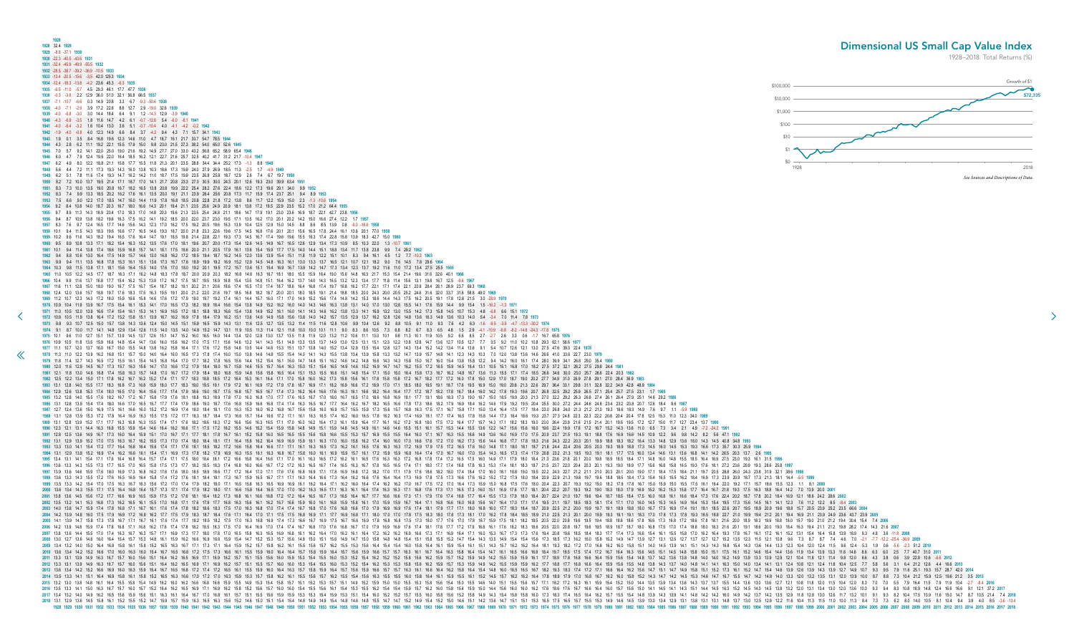<span id="page-20-0"></span>**1928 1928** 32.4 **1929 1929** -8.8 -37.1 **1930 1930** -22.3 -40.5 -43.6 **1931 1931** -32.4 -45.9 -49.9 -55.5 **1932 1932** -28.5 -38.7 -39.2 -36.9 -10.5 **1933 1933** -13.4 -20.5 -15.6 -3.5 42.0 125.3 **1934 1934** -12.4 -18.3 -13.8 -4.2 23.6 45.3 -6.3 **1935 1935** -6.5 -11.0 -5.7 4.5 29.3 46.1 17.7 47.7 **1936 1936** -0.3 -3.8 2.2 12.9 36.0 51.0 32.1 56.8 66.5 **1937 1937** -7.1 -10.7 -6.6 0.3 14.9 20.8 3.3 6.7 -9.3 -50.6 **1938 1938** -4.0 -7.1 -2.9 3.9 17.2 22.6 8.6 12.7 2.9 -19.0 32.6 **1939 1939** -4.0 -6.8 -3.0 3.0 14.4 18.4 6.4 9.1 1.2 -14.3 12.9 -3.9 **1940 1940** -4.3 -6.9 -3.5 1.8 11.6 14.7 4.2 6.1 -0.7 -12.8 5.4 -6.0 -8.1 **1941 1941** -4.0 -6.4 -3.2 1.6 10.4 13.0 3.6 5.1 -0.7 -10.4 4.0 -4.1 -4.2 -0.2 **1942 1942** -1.9 -4.0 -0.8 4.0 12.3 14.9 6.6 8.4 3.7 -4.2 9.4 4.3 7.1 15.7 34.1 **1943 1943** 1.9 0.1 3.5 8.4 16.8 19.6 12.3 14.6 11.0 4.7 18.7 16.1 21.7 33.7 54.7 78.5 **1944 1944** 4.3 2.8 6.2 11.1 19.2 22.1 15.5 17.9 15.0 9.8 23.0 21.5 27.3 38.2 54.0 65.0 52.6 **1945 1945** 7.0 5.7 9.2 14.1 22.0 25.0 19.0 21.6 19.2 14.9 27.7 27.0 33.0 43.2 56.8 65.2 58.9 65.4 **1946 1946** 6.0 4.7 7.9 12.4 19.5 22.0 16.4 18.5 16.2 12.1 22.7 21.6 25.7 32.5 40.2 41.7 31.2 21.7 -10.4 **1947 1947** 6.2 4.9 8.0 12.2 18.8 21.1 15.8 17.7 15.5 11.8 21.3 20.1 23.5 28.8 34.4 34.4 25.2 17.3 -1.3 8.8 **1948 1948** 5.6 4.4 7.2 11.1 17.3 19.3 14.3 16.0 13.8 10.3 18.6 17.3 19.9 24.0 27.9 26.9 18.5 11.3 -2.5 1.7 -4.9 **1949 1949** 6.2 5.1 7.8 11.6 17.4 19.3 14.7 16.2 14.2 11.0 18.7 17.5 19.9 23.5 26.8 25.8 18.7 12.9 2.6 7.4 6.7 19.7 **1950 1950** 8.2 7.2 10.0 13.7 19.5 21.4 17.1 18.7 17.0 14.1 21.7 20.8 23.3 27.0 30.5 30.0 24.3 20.1 12.6 19.3 23.0 39.9 63.4 **1951 1951** 8.3 7.3 10.0 13.5 19.0 20.8 16.7 18.2 16.5 13.8 20.8 19.9 22.2 25.4 28.2 27.6 22.4 18.6 12.2 17.3 19.6 29.1 34.0 9.9 **1952 1952** 8.3 7.4 9.9 13.3 18.5 20.2 16.2 17.6 16.1 13.5 20.0 19.1 21.1 23.9 26.4 25.6 20.8 17.3 11.7 15.9 17.4 23.7 25.1 9.4 8.9 **1953 1953** 7.5 6.6 9.0 12.2 17.0 18.5 14.7 16.0 14.4 11.9 17.8 16.8 18.5 20.8 22.8 21.8 17.2 13.8 8.6 11.7 12.2 15.9 15.0 2.3 -1.3 -10.6 **1954 1954** 9.2 8.4 10.8 14.0 18.7 20.3 16.7 18.0 16.6 14.3 20.1 19.4 21.1 23.5 25.6 24.9 20.9 18.1 13.8 17.2 18.5 22.9 23.5 15.2 17.0 21.2 64.4 **1955 1955** 9.7 8.9 11.3 14.3 18.9 20.4 17.0 18.3 17.0 14.8 20.3 19.6 21.3 23.5 25.4 24.8 21.1 18.6 14.7 17.9 19.1 23.0 23.6 16.9 18.7 22.1 42.7 23.8 **1956 1956** 9.4 8.7 10.9 13.8 18.2 19.6 16.3 17.5 16.2 14.1 19.2 18.5 20.0 22.0 23.7 23.0 19.5 17.1 13.5 16.2 17.0 20.1 20.2 14.2 15.0 16.6 27.4 12.2 1.7 **1957 1957** 8.3 7.6 9.7 12.4 16.5 17.7 14.6 15.6 14.3 12.3 17.0 16.2 17.5 19.2 20.5 19.6 16.3 13.9 10.4 12.5 12.9 15.0 14.5 8.8 8.6 8.5 13.9 0.8 -9.0 -18.6 **1958 1958** 10.1 9.4 11.5 14.3 18.3 19.6 16.6 17.7 16.5 14.6 19.3 18.7 20.0 21.8 23.3 22.6 19.6 17.5 14.5 16.8 17.6 20.1 20.1 15.6 16.5 17.8 24.4 16.1 13.6 20.1 77.0 **1959 1959** 10.2 9.6 11.6 14.3 18.2 19.4 16.5 17.6 16.4 14.7 19.1 18.5 19.8 21.4 22.8 22.1 19.3 17.3 14.5 16.7 17.4 19.6 19.6 15.5 16.3 17.4 22.8 15.8 13.9 18.3 42.7 15.0 **1960 1960** 9.5 8.9 10.8 13.3 17.1 18.2 15.4 16.3 15.2 13.5 17.6 17.0 18.1 19.6 20.7 20.0 17.3 15.4 12.6 14.5 14.9 16.7 16.5 12.6 12.9 13.4 17.3 10.9 8.5 10.3 22.0 1.3 -10.7 **1961 1961** 10.1 9.4 11.4 13.8 17.4 18.6 15.9 16.8 15.7 14.1 18.1 17.5 18.6 20.0 21.1 20.5 17.9 16.1 13.6 15.4 15.9 17.7 17.5 14.0 14.4 15.1 18.8 13.4 11.7 13.8 23.8 9.9 7.4 29.2 **1962 1962** 9.4 8.8 10.6 13.0 16.4 17.5 14.8 15.7 14.6 13.0 16.8 16.2 17.2 18.5 19.4 18.7 16.2 14.5 12.0 13.6 13.9 15.4 15.1 11.8 11.9 12.2 15.1 10.1 8.3 9.4 16.1 4.5 1.2 7.7 -10.3 **1963 1963** 9.9 9.4 11.1 13.5 16.8 17.8 15.3 16.1 15.1 13.6 17.3 16.7 17.6 18.9 19.9 19.2 16.9 15.2 12.9 14.5 14.8 16.3 16.1 13.0 13.3 13.7 16.5 12.1 10.7 12.1 18.2 9.0 7.6 14.5 7.8 29.6 **1964 1964** 10.3 9.8 11.5 13.8 17.1 18.1 15.6 16.4 15.5 14.0 17.6 17.0 18.0 19.2 20.1 19.5 17.2 15.7 13.6 15.1 15.4 16.9 16.7 13.9 14.2 14.7 17.3 13.4 12.3 13.7 19.2 11.6 11.0 17.2 13.4 27.5 25.5 **1965 1965** 11.0 10.5 12.2 14.5 17.7 18.7 16.3 17.1 16.2 14.8 18.3 17.8 18.7 20.0 20.9 20.3 18.2 16.8 14.8 16.3 16.7 18.1 18.0 15.5 15.9 16.4 19.0 15.6 14.8 16.3 21.7 15.3 15.4 21.4 19.6 31.6 32.6 40.1 **1966 [1](#page-19-0)966** 10.4 9.9 11.6 13.7 16.8 17.7 15.4 16.2 15.3 13.9 17.2 16.7 17.5 18.7 19.5 18.9 16.8 15.4 13.5 14.8 15.1 16.4 16.2 13.7 14.0 14.3 16.5 13.2 12.3 13.4 17.7 11.8 11.4 15.6 13.1 19.8 16.7 12.5 -9.6 **1967 1967** 11.6 11.1 12.8 15.0 18.0 19.0 16.7 17.5 16.7 15.4 18.7 18.2 19.1 20.2 21.1 20.6 18.6 17.4 15.5 17.0 17.4 18.7 18.6 16.4 16.8 17.4 19.7 16.8 16.2 17.7 22.1 17.1 17.4 22.1 20.9 28.4 28.1 28.9 23.7 69.3 **1968** 1968 12.4 12.0 13.6 15.7 18.8 19.7 17.6 18.3 17.5 16.3 19.5 19.1 20.0 21.2 22.0 21.6 19.7 18.5 16.8 18.2 18.7 20.0 20.1 18.0 18.5 19.1 21.4 18.8 18.5 20.0 24.3 20.0 20.5 25.2 24.6 31.6 32.0 33.7 31.6 58.8 49.0 1969 1969 11.2 10.7 12.3 14.3 17.2 18.0 15.9 16.6 15.8 14.6 17.6 17.2 17.9 19.0 19.7 19.2 17.4 16.1 14.4 15.7 16.0 17.1 17.0 14.9 15.2 15.6 17.4 14.8 14.2 15.3 18.6 14.4 14.3 17.5 16.2 20.5 19.1 17.8 12.8 21.5 3.0 -28.9 1970 1970 10.9 10.4 11.9 13.9 16.7 17.5 15.4 16.1 15.3 14.1 17.0 16.5 17.3 18.2 18.9 18.4 16.6 15.4 13.8 14.9 15.2 16.0 14.0 14.9 14.6 16.3 13.8 13.1 14.0 17.0 13.0 12.8 15.5 14.1 17.6 15.9 14.4 9.9 15.4 1.5 -16.2 -1.3 1971 1971 11.0 10.5 12.0 13.9 16.6 17.4 15.4 16.1 15.3 14.1 16.9 16.5 17.2 18.1 18.8 18.3 16.6 15.4 13.8 14.9 15.2 16.1 16.0 14.1 14.3 14.6 16.2 13.8 13.3 14.1 16.9 13.2 13.0 15.5 14.2 17.3 15.8 14.5 10.7 15.3 4.8 -6.8 6.6 15.1 1972 10.9 10.5 11.9 13.8 16.4 17.2 15.2 15.8 15.1 13.9 16.7 16.2 16.9 17.8 18.4 17.9 16.2 15.1 13.6 14.6 14.9 15.8 15.6 13.8 14.0 14.7 13.5 12.9 13.7 16.2 12.8 12.6 14.8 13.6 16.3 14.9 13.6 10.3 14.0 5.4 -3.4 7.0 11.4 7.8 1 1973 98 93 107 125 150 157 138 143 136 124 150 145 151 159 165 159 143 131 116 125 127 135 132 114 115 128 106 99 104 126 92 88 105 91 110 93 76 42 63 -16 95 -39 47 -133 -302 1974 1974 9.1 8.7 10.0 11.7 14.1 14.8 12.9 13.4 12.6 11.5 14.0 13.5 14.0 14.8 15.2 14.7 13.1 11.9 10.5 11.3 11.4 12.1 11.8 10.0 10.1 11.1 9.0 8.3 8.6 10.5 7.3 6.8 8.2 6.7 8.3 6.5 4.8 1.5 2.9 4.1 -10.9 -6.8 -8.2 -14.8 -24.3 -17.8 1975 10.1 96 11.0 12.7 15.1 15.7 13.9 14.5 13.7 12.6 15.1 14.7 15.2 16.0 16.5 16.0 14.4 13.4 12.0 12.8 13.0 13.7 13.5 11.8 11.9 12.0 13.2 11.2 10.6 11.1 13.0 10.1 19.8 11.3 10.1 11.9 10.5 9.2 66 8.5 2.7 2.7 2.6 3.3 0.6 -1. 1976 10.9 10.5 11.8 13.5 15.9 16.6 14.8 15.4 14.7 13.6 16.0 15.6 16.2 17.0 17.5 17.1 15.6 14.6 13.2 14.1 14.3 15.1 14.9 13.3 13.5 13.7 14.9 13.0 12.5 13.1 15.1 12.3 12.2 13.8 12.8 14.7 13.6 12.7 10.5 12.7 7.7 3.5 9.2 11.0 1 1977 11.1 10.7 12.0 13.7 16.0 16.7 15.0 15.5 14.8 13.8 16.2 15.8 16.4 17.1 17.6 17.2 15.8 14.8 13.5 14.4 14.6 15.3 15.1 13.7 13.8 14.0 15.2 13.4 12.9 13.5 15.4 12.8 12.7 13.4 14.4 13.6 14.4 13.6 9.1 5.4 10.7 12.6 12.1 13.0 1978 11.3 11.0 12.2 13.9 16.2 16.8 15.1 15.7 15.0 14.0 16.4 16.0 16.5 17.3 17.8 17.4 16.0 15.0 13.8 14.6 14.8 15.5 15.4 14.0 14.1 14.3 15.5 13.8 13.4 13.9 15.8 13.3 13.2 14.7 13.9 15.7 14.8 14.1 12.3 14.3 10.3 7.0 12.0 13.8 1979 11.8 11.4 12.7 14.3 16.5 17.2 15.5 16.1 15.4 14.5 16.8 16.4 17.0 17.7 18.2 17.8 16.5 15.6 14.4 15.2 15.4 16.1 16.0 14.7 14.8 15.1 16.2 14.3 14.3 14.3 14.3 15.8 15.0 16.7 16.0 15.4 13.8 15.8 12.2 9.4 14.2 16.0 16.1 17.4 1980 12.0 11.6 12.9 14.5 16.7 17.3 15.7 16.3 15.6 14.7 17.0 16.6 17.2 17.9 18.4 18.0 16.7 15.8 14.6 15.5 16.7 16.4 16.3 15.0 15.1 14.6 15.2 16.9 14.7 14.7 16.2 15.5 17.2 16.5 17.2 16.5 15.9 14.5 16.4 13.1 10.5 15.1 16.8 17. 1981 12.1 11.8 13.0 14.6 16.8 17.4 15.8 16.3 15.7 14.8 17.0 16.7 17.2 17.9 18.4 18.0 16.8 15.9 14.8 15.6 15.8 16.5 16.4 15.1 15.3 15.5 16.6 15.1 14.8 15.4 17.1 15.0 15.4 15.0 16.4 15.8 17.3 16.7 16.2 14.8 16.7 13.6 11.3 15. 1982 12.5 12.2 13.4 15.0 17.1 17.8 16.2 16.7 16.2 15.2 17.4 17.1 17.7 18.3 18.8 18.5 17.2 16.4 15.3 16.1 16.4 17.1 17.0 15.8 16.0 16.1 16.8 15.6 16.1 17.8 15.8 15.8 17.2 16.7 18.2 17.7 17.2 16.0 17.8 15.0 12.9 17.0 18.7 19. 1983 13.1 12.8 14.0 15.5 17.7 18.3 16.8 17.3 16.8 15.9 18.0 17.7 18.3 19.0 19.5 19.1 17.9 17.9 17.9 17.9 16.1 16.9 17.2 16.1 16.9 17.1 18.1 16.9 16.6 17.2 16.9 17.0 18.5 17.0 17.1 18.5 18.0 19.5 17.0 17.1 18.5 18.0 19.5 19. 1984 12.9 12.6 13.8 15.3 17.4 18.0 16.5 17.0 16.4 15.6 17.7 17.4 17.9 18.6 19.0 18.7 17.5 16.8 15.7 16.5 16.7 174 17.3 16.2 16.4 16.6 18.1 16.6 18.1 16.6 18.2 16.4 17.7 17.2 18.7 18.2 17.8 18.7 18.4 16.1 17.0 19.3 19.6 20.7 1985 132 128 140 155 17.6 18.2 16.7 17.2 16.7 15.8 17.9 17.6 18.1 18.8 19.3 18.9 17.8 17.0 16.0 16.8 17.0 17.7 17.6 16.5 16.7 17.0 18.0 16.7 16.5 16.7 16.8 16.9 18.1 16.8 16.9 18.1 17.7 19.1 18.6 18.3 17.3 19.0 16.7 15.0 18 1986 13.1 12.8 13.9 15.4 17.4 18.0 16.6 17.0 16.5 15.7 17.7 17.4 17.9 18.6 19.0 18.7 17.6 16.8 15.9 16.6 16.8 17.4 17.4 16.3 16.5 16.7 17.7 16.4 16.2 16.7 18.7 18.6 18.6 17.3 18.6 18.2 17.3 18.6 18.2 17.9 18.4 18.9 18.4 16 1987 127 124 136 150 169 175 161 166 160 152 172 169 174 180 184 181 170 163 153 160 162 168 167 156 158 160 169 157 155 159 173 156 157 168 163 175 171 167 158 171 150 134 164 175 177 184 230 268 240 213 212 210 193 186 18 1988 13.1 12.8 13.9 15.3 17.2 17.8 16.9 16.3 15.5 17.2 17.7 18.3 18.7 18.4 17.3 16.6 15.7 16.4 16.6 17.2 17.1 16.1 16.3 16.5 17.4 16.3 16.1 17.17 17.4 16.5 17.8 18.4 17.3 18.4 18.5 17.2 20.3 21.2 21.3 21.2 21.3 21.2 21.3 2 **1989** 13.1 12.8 13.9 15.2 17.1 17.7 16.3 16.8 16.3 15.5 17.4 17.1 17.6 18.2 18.6 18.3 17.2 16.6 15.6 16.3 16.5 17.1 17.0 16.0 16.2 16.4 17.3 16.1 15.9 16.4 17.7 16.1 16.2 17.2 16.8 18.0 17.5 17.2 16.4 17.7 15.7 14.3 17.1 18.2 18.3 19.0 23.0 26.4 23.9 21.6 21.5 21.4 20.1 19.6 19.5 17.2 12.7 15.0 11.7 12.7 23.4 13.7 **1990** 1990 12.3 12.1 13.1 14.4 16.3 16.8 15.5 15.9 15.4 14.6 16.4 16.2 16.6 17.1 17.5 17.2 16.2 15.5 14.6 15.2 16.4 15.9 15.4 15.9 15.8 14.8 14.9 15.1 14.6 14.6 15.6 15.1 16.1 16.7 15.5 13.6 12.0 12.0 15.6 15.7 15.7 15.2 14.3 13. 1991 12.8 12.5 13.6 14.9 16.7 17.3 16.0 16.4 15.9 15.1 17.0 16.7 17.1 17.7 18.1 17.8 16.7 16.1 15.2 15.8 16.0 16.5 15.6 15.6 15.6 15.6 15.5 15.7 16.9 15.5 15.7 16.9 17.1 16.7 16.3 15.7 16.6 15.9 15.6 15.9 15.6 16.0 16.9 17. 1992 13.1 12.9 13.9 15.2 17.0 17.5 16.3 16.7 16.2 15.5 17.3 17.0 17.4 18.0 18.4 18.1 17.1 16.4 15.6 16.2 16.4 16.9 16.9 16.9 16.1 16.3 17.0 16.0 16.0 16.0 16.0 17.0 16.0 17.0 16.6 17.0 17.2 17.0 16.6 17.2 17.0 16.6 17.7 17. 1993 13.3 13.0 14.1 15.4 17.2 17.7 16.4 16.8 16.4 15.6 17.4 17.1 17.6 18.1 18.5 18.2 17.2 16.6 15.8 16.4 16.6 17.1 16.1 16.3 16.1 16.3 16.2 16.6 17.3 16.2 16.1 16.3 16.3 17.3 16.2 16.1 16.3 16.3 17.2 16.9 17.9 17.5 17.2 16. 1994 13.1 12.9 13.9 15.2 16.9 17.4 16.2 16.6 16.1 15.4 17.1 16.9 17.3 17.8 18.2 17.9 16.9 16.3 15.5 16.1 16.3 15.5 16.1 16.3 16.8 16.7 15.8 16.0 16.1 16.9 15.7 16.1 16.3 16.8 16.7 16.9 15.7 16.1 17.2 15.9 16.8 16.4 17.4 17. 1995 13.4 13.1 14.1 15.4 17.1 17.6 16.4 16.8 16.4 15.7 17.4 17.1 17.5 18.0 18.4 18.1 17.2 16.6 15.8 16.4 16.6 17.1 17.0 16.1 16.3 16.3 16.1 16.5 17.6 16.3 16.1 17.2 16.6 17.1 16.3 16.1 16.3 16.3 17.2 16.8 17.4 17.2 16.5 17. 1996 13.6 13.3 14.3 15.5 17.3 17.7 16.5 17.0 16.5 15.8 17.5 17.7 18.2 18.5 18.3 17.4 16.8 16.0 16.6 16.7 17.2 17.2 16.3 16.5 16.7 17.4 16.5 16.5 17.4 16.5 16.5 17.4 16.5 16.5 17.4 16.5 16.5 17.4 18.1 17.1 18.0 17.7 17.4 18. **1997** 13.9 13.6 14.6 15.9 17.6 18.0 16.9 17.3 16.8 16.2 17.8 17.6 18.0 18.5 18.9 18.6 17.7 17.2 16.4 17.0 17.1 17.6 17.6 16.8 16.9 17.1 17.8 16.9 16.8 17.2 18.2 17.0 17.1 17.9 17.6 18.6 18.2 18.0 17.4 18.4 17.0 16.0 18.1 18.8 19.0 19.5 22.2 24.3 22.7 21.2 21.1 21.0 20.3 20.1 20.0 19.0 17.1 18.4 17.5 18.4 21.1 19.7 20.5 28.8 26.0 24.3 23.8 31.9 32.1 38.6 **1998 1998** 13.6 13.3 14.3 15.5 17.2 17.6 16.5 16.9 16.4 15.8 17.4 17.2 17.6 18.1 18.4 18.1 17.3 16.7 15.9 16.5 16.7 17.1 17.1 16.3 16.4 16.6 17.3 16.4 16.2 16.6 17.6 16.4 16.4 17.3 16.9 17.8 17.5 17.3 16.6 17.6 16.2 15.2 17.2 17.9 18.0 18.4 20.9 22.9 21.3 19.8 19.7 19.6 18.8 18.5 18.4 17.3 15.4 16.5 15.5 16.2 18.4 16.9 17.3 23.9 20.9 18.7 17.3 21.3 18.1 14.4 -5.5 **1999** 1999 13.5 13.3 14.2 15.4 17.0 17.5 16.3 16.7 16.3 15.6 17.2 17.0 17.4 17.9 18.2 18.0 17.1 16.5 15.8 16.3 16.5 16.9 16.9 16.9 16.9 16.1 16.2 16.4 17.1 16.2 16.0 16.4 17.1 16.2 16.0 16.4 17.1 16.2 17.0 16.4 17.1 17.5 17.2 17 2000 13.6 13.4 14.3 15.5 17.1 17.5 16.4 16.8 16.4 15.7 17.3 17.1 17.4 17.9 18.2 18.0 17.1 16.6 15.8 16.4 16.5 17.0 17.0 16.5 17.0 17.0 16.5 17.0 17.0 16.2 16.3 16.1 16.5 17.1 16.3 16.1 16.4 17.4 16.3 16.1 16.8 17.5 17.1 16. 2001 13.8 13.6 14.5 15.6 17.2 17.7 16.6 16.9 16.5 15.9 17.5 17.2 17.6 18.1 18.4 18.2 17.3 16.8 16.1 16.6 16.8 17.2 17.6 16.8 16.1 16.6 16.8 17.2 17.4 16.5 16.7 17.1 16.6 16.4 16.7 17.7 16.6 16.6 17.3 17.1 17.9 17.6 17.4 16. 2002 13.5 13.2 14.1 15.3 16.8 17.3 16.2 16.5 16.1 15.5 17.0 16.8 17.1 17.6 17.9 17.7 16.8 16.3 15.6 16.1 16.2 16.7 16.6 15.9 16.0 16.1 16.8 15.9 16.0 16.1 16.8 15.9 15.0 16.1 17.1 18.9 15.9 15.7 16.4 17.1 17.1 17.1 17.1 17 **2003** 14.0 13.8 14.7 15.9 17.4 17.8 16.8 17.1 16.7 16.1 17.6 17.4 17.8 18.2 18.6 18.3 17.5 17.0 16.3 16.8 17.0 17.4 17.4 16.7 16.8 17.0 17.6 16.8 16.6 17.0 17.9 16.9 16.9 17.6 17.4 18.1 17.9 17.7 17.1 18.0 16.8 16.0 17.7 18.3 18.4 18.7 20.9 22.5 21.2 20.0 19.9 19.7 19.1 18.9 18.8 18.0 16.7 17.5 16.9 17.4 19.1 18.1 18.5 22.6 20.7 19.5 18.9 20.9 19.6 18.8 15.7 20.5 23.9 25.2 23.5 66.6 **2004** 2004 14.2 13.9 14.8 16.0 17.5 17.9 16.9 17.2 16.8 16.2 17.7 17.5 17.9 18.3 18.7 18.4 17.6 17.1 16.4 17.6 17.1 16.4 17.0 17.1 17.5 17.5 17.5 18.8 16.9 17.1 17.7 16.9 18.1 18.0 17.0 17.8 17.9 18.3 18.0 17.8 17.3 18.1 18.0 17. 2005 14.1 13.9 14.7 15.8 17.3 17.8 16.7 17.1 16.7 16.1 17.6 17.4 17.7 18.2 18.5 18.2 17.5 17.0 16.3 16.8 16.9 17.4 17.3 16.6 16.7 16.9 17.5 16.7 16.6 16.7 16.6 16.7 16.6 16.9 17.8 16.6 16.9 17.8 18.0 17.7 17.6 17.0 17.8 18. 2006 14.2 13.9 14.8 15.9 17.4 17.8 16.8 17.1 16.8 16.2 17.6 17.4 17.8 18.2 18.5 18.3 17.5 17.0 16.4 16.9 17.0 16.4 16.9 17.0 16.4 16.9 17.0 17.4 17.4 16.7 16.8 16.7 17.0 17.6 16.8 16.7 17.0 17.9 16.9 17.6 18.1 17.9 18.1 18. 2007 13.8 13.6 14.4 15.5 17.0 17.4 16.3 16.7 16.3 15.7 17.1 16.9 17.3 17.7 18.0 17.8 17.0 16.5 15.8 16.3 16.5 16.9 16.5 16.9 16.5 16.9 16.8 16.1 16.2 16.1 16.2 16.1 16.2 16.1 16.4 17.2 16.2 16.1 16.9 16.6 17.3 17.1 16.9 15. 2008 13.0 12.7 13.6 14.6 16.0 16.4 15.4 15.7 15.3 14.8 16.1 15.9 16.2 16.6 16.9 16.6 16.9 16.6 16.9 16.6 15.9 15.4 14.7 15.2 15.3 15.7 15.6 14.9 15.0 15.1 15.6 14.9 15.0 15.8 14.8 15.4 15.0 15.8 14.8 15.4 15.4 15.4 15.4 15. 2009 13.4 13.2 14.0 15.0 16.4 16.8 15.8 16.1 15.8 15.2 16.5 16.3 16.7 17.1 17.3 17.1 16.4 15.9 15.2 15.7 15.8 15.2 16.1 15.8 16.2 16.1 15.5 15.7 16.8 16.1 15.5 15.6 16.1 15.5 15.6 16.4 15.9 15.4 16.1 16.1 16.1 16.1 16.1 16. 2010 13.6 13.4 14.2 15.2 16.6 17.0 16.0 16.3 16.0 15.4 16.7 16.5 16.8 17.2 17.5 17.3 17.5 17.5 17.5 17.5 17.6 16.6 16.1 15.5 15.9 16.0 16.4 16.4 16.4 16.7 15.8 15.9 16.6 15.7 16.3 16.1 16.7 16.3 16.4 16.7 16.5 16.8 17.4 17. 2011 133 134 149 163 167 157 160 156 151 164 162 165 169 171 169 162 157 151 155 156 160 159 153 154 165 160 159 153 154 155 160 153 154 155 160 153 152 154 162 152 153 154 162 159 153 154 162 159 161 177 189 178 168 164 15 .0012 133 149 163 167 160 164 164 164 165 164 164 162 165 169 171 169 162 157 161 169 162 157 161 165 157 160 160 163 164 162 163 164 162 163 164 162 163 164 162 163 163 164 162 163 163 164 162 163 164 162 17 188 160 164 1 **2013** 13.6 13.4 14.2 15.2 16.6 16.9 16.0 16.3 15.9 15.4 16.7 16.5 16.8 17.2 17.4 17.2 16.5 16.1 15.5 15.9 16.0 16.4 16.3 15.7 15.8 15.9 16.4 15.7 15.6 15.9 16.6 15.7 15.7 16.3 16.1 16.6 16.4 16.2 15.8 16.4 15.4 14.8 16.0 16.5 16.5 16.7 18.2 19.3 18.3 17.4 17.2 17.1 16.6 16.4 16.2 15.6 14.7 15.1 14.7 14.9 15.8 15.1 15.2 17.3 16.1 15.2 14.7 15.4 14.6 13.9 12.6 13.9 14.3 13.9 12.7 14.9 10.7 9.3 9.5 7.9 11.6 25.1 19.3 15.7 28.7 42.0 **2014** 1.5 1 2013 120 130 121 120 130 120 120 14 135 130 16.1 16.4 16.8 15.2 16.5 16.3 16.6 17.0 17.0 17.0 17.0 17.0 17.0 17.0 16.3 15.9 15.3 15.7 15.8 16.1 15.5 16.6 15.1 16.2 16.1 15.5 16.6 15.7 16.2 16.1 16.4 17.0 16.8 16.1 16. 132 133 143 161 164 155 158 154 149 162 160 162 166 168 166 159 155 149 153 154 158 157 151 152 153 157 151 152 153 157 151 149 152 159 150 150 151 153 154 158 159 159 164 178 178 181 182 172 183 184 185 187 187 187 187 187 12.1 13.2 2017 13.3 14.1 15.0 16.3 16.7 15.2 16.4 16.2 16.5 16.9 17.1 16.9 16.2 15.8 15.2 15.8 15.2 15.8 15.2 15.6 15.7 16.0 16.0 16.1 15.4 15.5 16.1 15.4 15.5 16.2 15.8 15.1 16.9 16.1 16.9 16.1 16.9 16.2 15.8 15.2 15.6 15 **2017** 13.4 13.2 14.0 14.9 16.2 16.5 15.6 15.9 15.6 15.1 16.3 16.1 16.4 16.7 17.0 16.8 16.1 15.7 15.1 15.5 15.6 15.9 15.9 15.3 15.3 15.4 15.9 15.3 15.1 15.4 16.0 15.2 15.2 15.7 15.5 16.0 15.8 15.6 15.2 15.8 14.9 14.3 15.4 15.8 15.8 16.0 17.3 18.3 17.4 16.5 16.4 16.2 15.7 15.5 15.4 14.8 13.9 14.3 13.9 14.1 14.8 14.2 14.2 16.0 14.9 14.2 13.7 14.2 13.5 12.9 11.8 12.8 13.0 12.6 11.7 13.2 10.1 9.1 9.3 8.2 10.4 17.5 13.9 11.6 15.0 14.7 8.7 10.5 21.4 7.4 **2018** 13.1 12.9 13.6 14.7 12.9 13.6 14.7 15.9 15.7 15.9 16.7 15.9 16.7 15.9 16.3 16.5 16.3 16.5 16.3 16.6 15.2 14.6 15.0 15.1 15.4 15.4 15.4 15.4 14.8 14.9 14.9 14.9 15.4 14.8 14.8 14.7 15.1 15.1 15.1 15.4 15.9 15.1 15.4 15.9 15 012.7 103.7 104.2 104.2 104.2 104.2 104.2 104.2 104.2 104.2 104.2 104.2 104.2 104.2 104.2 104.2 104.2 104.2 104.2 104.2 104.2 104.2 104.2 104.2 104.2 104.2 104.2 104.2 105.2 105.2 105.2 105.2 105.2 108.2 108.2 108.2 108.2 1 Dimensional US Small Cap Value Index 1928–2018: Total Returns (%) \$0 \$1  $$10$  $$100$ \$1,000 \$10,000 \$100,000 *See Sources and Descriptions of Data.*

![](_page_20_Figure_2.jpeg)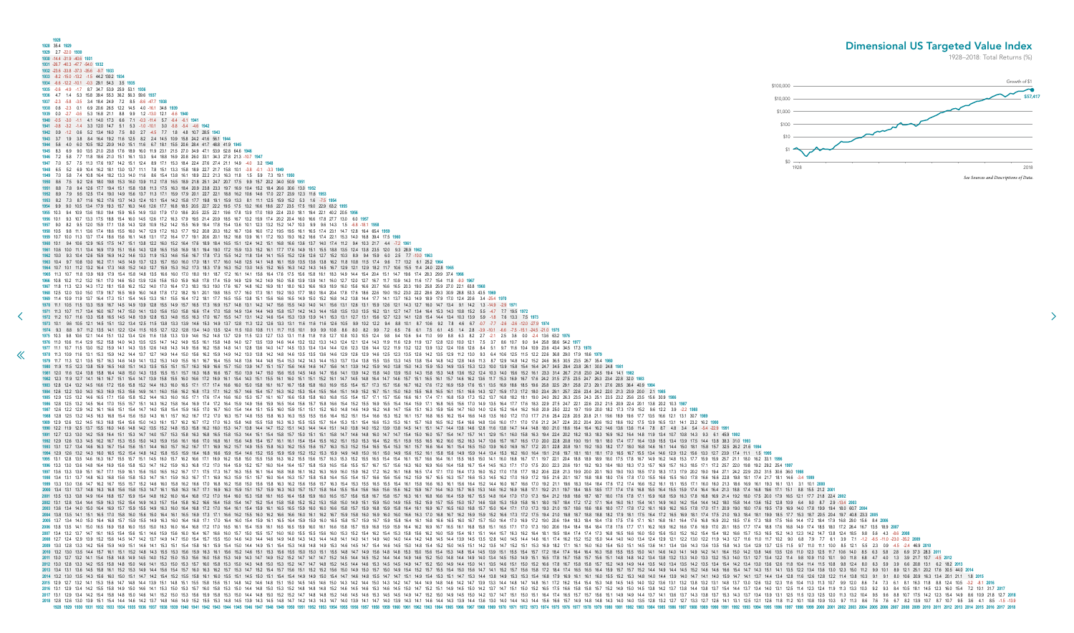<span id="page-21-0"></span>**1928 1928** 35.4 **1929 1929** 2.7 -22.0 **1930 1930** -14.4 -31.9 -40.6 **1931 1931** -26.7 -40.3 -47.7 -54.0 **1932 1932** -23.6 -33.8 -37.3 -35.6 -9.7 **1933 1933** -8.2 -15.0 -13.2 -1.5 44.2 130.2 **1934 1934** -6.6 -12.2 -10.1 -0.3 29.1 54.3 3.5 **1935 1935** -0.6 -4.9 -1.7 8.7 34.7 53.9 25.9 53.1 **1936 1936** 4.7 1.4 5.3 15.8 39.4 55.3 36.2 56.3 59.6 **1937 1937** -2.3 -5.8 -3.5 3.4 18.4 24.9 7.2 8.5 -8.6 -47.7 **1938 1938** 0.6 -2.3 0.1 6.9 20.6 26.5 12.2 14.5 4.0 -16.1 34.6 **1939 1939** 0.0 -2.7 -0.6 5.3 16.8 21.1 8.8 9.9 1.2 -13.0 12.1 -6.6 **1940 1940** -0.5 -3.0 -1.1 4.1 14.0 17.3 6.6 7.1 -0.3 -11.4 5.7 -6.4 -6.1 **1941 1941** -0.8 -3.2 -1.4 3.3 12.0 14.7 5.1 5.3 -1.0 -10.1 3.0 -5.8 -5.4 -4.6 **1942 1942** 0.9 -1.2 0.6 5.2 13.4 16.0 7.5 8.0 2.7 -4.5 7.7 1.8 4.8 10.7 28.5 **1943 1943** 3.7 1.9 3.8 8.4 16.4 19.2 11.6 12.5 8.2 2.4 14.5 10.9 15.8 24.2 41.6 56.1 **1944 1944** 5.6 4.0 6.0 10.5 18.2 20.9 14.0 15.1 11.6 6.7 18.1 15.5 20.6 28.4 41.7 48.8 41.9 **1945 1945** 8.3 6.9 9.0 13.5 21.0 23.8 17.6 18.9 16.0 11.9 23.1 21.5 27.0 34.9 47.1 53.9 52.8 64.6 **1946 1946** 7.2 5.8 7.7 11.8 18.6 21.0 15.1 16.1 13.3 9.4 18.8 16.9 20.8 26.0 33.1 34.3 27.8 21.3 -10.7 **1947 1947** 7.0 5.7 7.5 11.3 17.6 19.7 14.2 15.1 12.4 8.9 17.1 15.3 18.4 22.4 27.6 27.4 21.1 14.9 -4.0 3.2 **1948 1948** 6.5 5.2 6.9 10.4 16.2 18.1 13.0 13.7 11.1 7.8 15.1 13.3 15.8 18.9 22.7 21.7 15.8 10.1 -3.8 -0.1 -3.3 **1949 1949** 7.0 5.8 7.4 10.8 16.4 18.2 13.3 14.0 11.6 8.6 15.4 13.8 16.1 18.9 22.2 21.3 16.3 11.8 1.5 5.9 7.3 19.1 **1950 1950** 8.6 7.5 9.2 12.6 18.0 19.8 15.3 16.0 13.9 11.2 17.8 16.5 18.9 21.8 25.1 24.7 20.7 17.5 9.9 15.7 20.2 34.0 50.9 **1951 1951** 8.8 7.8 9.4 12.6 17.7 19.4 15.1 15.8 13.8 11.3 17.5 16.3 18.4 20.9 23.8 23.3 19.7 16.9 10.4 15.2 18.4 26.6 30.6 13.0 **1952 1952** 8.9 7.9 9.5 12.5 17.4 19.0 14.9 15.6 13.7 11.3 17.1 15.9 17.9 20.1 22.7 22.1 18.8 16.2 10.6 14.6 17.0 22.7 23.9 12.3 11.6 **1953 1953** 8.2 7.3 8.7 11.6 16.2 17.6 13.7 14.3 12.4 10.1 15.4 14.2 15.8 17.7 19.8 19.1 15.9 13.3 8.1 11.1 12.5 15.9 15.2 5.3 1.6 -7.5 **1954 1954** 9.9 9.0 10.5 13.4 17.9 19.3 15.7 16.3 14.6 12.6 17.7 16.8 18.5 20.5 22.7 22.2 19.5 17.5 13.2 16.6 18.6 22.7 23.5 17.5 19.0 22.9 63.2 **1955 1955** 10.3 9.4 10.9 13.6 18.0 19.4 15.9 16.5 14.9 13.0 17.9 17.0 18.6 20.5 22.5 22.1 19.6 17.8 13.9 17.0 18.9 22.4 23.0 18.1 19.4 22.1 40.2 20.5 **1956 1956** 10.1 9.3 10.7 13.3 17.5 18.8 15.4 16.0 14.5 12.6 17.2 16.3 17.9 19.5 21.4 20.9 18.5 16.7 13.2 15.9 17.4 20.2 20.4 16.0 16.6 17.8 27.7 13.0 6.0 **1957 1957** 9.0 8.2 9.5 12.0 15.9 17.1 13.8 14.3 12.8 10.9 15.2 14.2 15.5 16.9 18.4 17.8 15.4 13.6 10.1 12.3 13.2 15.2 14.7 10.3 9.9 9.6 14.3 1.5 -6.8 -18.1 **1958 1958** 10.5 9.8 11.1 13.6 17.4 18.6 15.5 16.0 14.7 12.9 17.2 16.3 17.7 19.2 20.8 20.3 18.2 16.7 13.6 16.0 17.2 19.5 19.5 16.1 16.5 17.4 23.1 14.7 12.8 16.4 65.4 **1959 1959** 10.7 10.0 11.3 13.7 17.4 18.6 15.6 16.1 14.8 13.1 17.2 16.4 17.7 19.1 20.6 20.1 18.2 16.8 13.9 16.1 17.2 19.3 19.3 16.2 16.6 17.4 22.1 15.3 14.0 16.8 39.4 17.5 **1960 1960** 10.1 9.4 10.6 12.9 16.5 17.5 14.7 15.1 13.8 12.2 16.0 15.2 16.4 17.6 18.9 18.4 16.5 15.1 12.4 14.2 15.1 16.8 16.6 13.6 13.7 14.0 17.4 11.2 9.4 10.3 21.7 4.4 -7.2 **1961 1961** 10.6 10.0 11.1 13.4 16.9 17.9 15.1 15.6 14.3 12.8 16.5 15.8 16.9 18.1 19.4 19.0 17.2 15.9 13.3 15.2 16.1 17.7 17.6 14.9 15.1 15.5 18.8 13.5 12.4 13.8 23.5 12.0 9.3 28.9 **1962 1962** 10.0 9.3 10.4 12.6 15.9 16.9 14.2 14.6 13.3 11.9 15.3 14.6 15.6 16.7 17.8 17.3 15.5 14.2 11.8 13.4 14.1 15.5 15.2 12.6 12.6 12.7 15.2 10.3 8.9 9.4 15.9 6.0 2.5 7.7 -10.0 **1963 1963** 10.4 9.7 10.8 13.0 16.2 17.1 14.5 14.9 13.7 12.3 15.7 15.0 16.0 17.0 18.1 17.7 16.0 14.8 12.5 14.1 14.8 16.1 15.9 13.5 13.6 13.8 16.2 11.8 10.8 11.5 17.4 9.6 7.7 13.2 6.1 25.2 **1964 1964** 10.7 10.1 11.2 13.2 16.4 17.3 14.8 15.2 14.0 12.7 15.9 15.3 16.2 17.3 18.3 17.9 16.3 15.2 13.0 14.5 15.2 16.5 16.3 14.2 14.3 14.5 16.7 12.9 12.1 12.9 18.2 11.7 10.6 15.5 11.4 24.0 22.8 **1965 1965** 11.3 10.7 11.8 13.9 16.9 17.9 15.4 15.8 14.8 13.5 16.6 16.0 17.0 18.0 19.1 18.7 17.2 16.1 14.1 15.6 16.4 17.6 17.5 15.6 15.8 16.1 18.3 14.9 14.4 15.4 20.4 15.1 14.7 19.6 17.4 28.3 29.9 37.4 **1966** [1](#page-20-0)966 10.8 10.2 11.2 13.2 16.1 17.0 14.6 15.0 13.9 12.6 15.6 15.0 15.9 16.8 17.8 17.4 15.9 14.9 14.9 14.9 14.0 16.0 15.8 13.9 13.9 14.1 16.0 12.7 12.0 12.7 16.7 11.7 10.9 14.3 11.6 17.7 15.4 11.8 9.0 1967 **1967** 11.8 11.3 12.3 14.3 17.2 18.1 15.8 16.2 15.2 14.0 17.0 16.4 17.3 18.3 19.3 19.0 17.6 16.7 14.8 16.2 16.9 18.1 18.0 16.3 16.6 16.9 18.9 16.0 15.6 16.6 20.7 16.6 16.5 20.3 19.0 25.8 25.9 27.0 22.1 63.8 **1968** 1968 12.5 12.0 13.0 15.0 17.9 18.7 16.5 16.9 16.0 14.8 17.8 17.2 18.2 19.1 20.1 19.8 18.5 17.7 16.0 17.3 18.1 19.2 19.3 17.7 18.0 18.4 20.4 17.8 17.6 18.6 22.6 19.0 19.2 23.0 22.2 28.6 29.3 30.9 28.8 53.3 43.5 1969 1969 11.4 10.9 11.9 13.7 16.4 17.3 15.1 15.4 14.5 13.3 16.1 15.5 16.4 17.2 18.1 17.7 16.5 15.5 13.8 15.1 15.6 16.6 16.5 14.9 15.0 15.2 16.8 14.2 13.8 14.4 17.7 14.1 13.7 16.3 14.9 18.9 17.9 17.0 12.4 20.6 3.4 -25.4 1970 1970 11.1 10.5 11.5 13.3 15.9 16.7 14.5 14.9 13.9 12.8 15.5 14.9 15.7 16.5 17.3 16.9 15.7 14.8 13.1 14.2 14.7 15.6 15.5 14.0 14.0 14.1 15.6 13.1 12.6 13.1 15.9 12.6 12.1 14.3 12.7 16.0 14.7 13.4 9.1 14.2 1.3 -14.9 -2.9 1971 1971 11.3 10.7 11.7 13.4 16.0 16.7 14.7 15.0 14.1 13.0 15.6 15.0 15.8 16.6 17.4 17.0 15.8 14.9 13.4 14.4 14.9 15.8 15.7 14.2 14.3 14.3 14.3 13.5 16.2 13.1 12.7 14.7 13.4 16.4 15.3 14.3 10.8 15.2 5.5 4.7 7.7 19.5 1972 1972 11.2 10.7 11.6 13.3 15.8 16.5 14.8 13.9 12.8 15.3 14.8 15.5 16.3 17.0 16.7 15.5 14.7 13.1 14.2 14.6 15.4 13.9 13.9 13.9 13.1 12.7 13.1 15.6 12.7 12.3 14.1 12.8 15.4 14.4 13.4 10.3 13.9 5.9 -1.8 7.6 13.3 7.5 1973 **1973** 10.1 9.6 10.5 12.1 14.5 15.1 13.2 13.4 12.5 11.5 13.8 13.3 13.9 14.6 15.3 14.9 13.7 12.8 11.3 12.2 12.6 13.3 13.1 11.6 11.6 11.6 12.6 10.5 9.9 10.2 12.2 9.4 8.8 10.1 8.7 10.6 9.2 7.8 4.6 6.7 -0.7 -7.7 -2.6 -2.6 -12.0 -27.9 **1974** 1974 9.3 8.8 9.7 11.2 13.5 14.1 12.2 12.4 11.5 10.5 12.7 12.2 12.8 13.4 14.0 13.5 12.4 11.5 10.0 10.8 11.1 11.7 11.5 10.1 9.9 9.9 10.8 8.6 8.0 8.2 9.9 7.2 6.5 7.6 6.1 7.5 6.1 7.5 6.1 4.5 1.4 2.8 -3.9 -10.1 -6.6 -7.5 -15.1 -1975 10.3 9.8 10.6 12.1 14.4 15.1 13.2 13.4 12.6 11.6 13.8 13.3 13.9 14.6 15.2 14.8 13.7 12.9 11.5 12.3 12.7 13.3 13.1 11.8 11.8 11.8 11.8 10.3 10.5 12.4 9.8 9.4 10.6 9.4 11.0 9.9 8.8 6.3 8.2 2.7 -2.1 2.5 3.6 0.0 -2.4 13.6 1976 11.0 10.6 11.4 12.9 15.2 15.8 14.0 14.3 13.5 12.5 14.7 14.2 14.9 15.5 16.1 15.8 14.8 14.0 12.7 13.5 13.9 14.6 14.4 13.2 13.3 14.3 12.4 14.3 11.9 14.9 11.9 13.7 12.8 12.0 10.0 12.1 7.5 3.7 8.6 10.7 9.0 9.4 25.8 58.6 54. 1977 11.1 10.7 11.5 13.0 15.2 15.9 14.1 14.3 13.5 12.6 14.8 14.3 14.9 15.6 16.2 15.8 14.8 14.1 12.8 13.6 14.0 14.7 14.5 13.3 13.4 13.4 14.4 12.6 12.4 12.2 11.9 13.2 12.4 12.9 13.2 12.4 10.6 12.6 8.4 5.1 9.7 11.6 10.4 10.9 2 1978 11.3 10.9 11.6 13.1 15.3 15.9 14.2 14.4 13.7 12.7 14.9 14.4 15.0 15.6 16.2 15.9 14.9 14.9 14.9 14.9 14.2 13.0 13.8 14.6 13.5 13.6 14.6 12.5 12.9 14.6 12.5 12.3 13.5 12.6 14.2 13.5 12.9 11.2 13.0 9.3 6.4 10.6 12.5 11.5 1979 11.7 11.3 12.1 13.5 15.7 16.3 14.6 14.9 14.1 13.2 15.3 14.9 15.5 16.1 16.7 16.4 15.5 14.8 13.6 14.4 14.8 15.4 15.3 14.2 14.3 14.4 15.3 14.4 15.3 13.7 13.4 13.8 15.5 13.5 13.3 14.5 13.8 15.4 14.8 14.2 12.8 14.6 11.3 8.7 1980 11.9 11.5 12.3 13.8 15.9 16.5 14.8 15.1 14.3 13.5 15.5 15.1 15.7 16.3 16.9 16.6 15.7 15.0 13.9 14.7 15.1 15.7 15.6 14.6 14.7 15.6 14.1 13.9 14.2 15.9 14.0 13.8 15.0 14.3 15.9 15.3 14.9 13.5 15.3 12.3 10.0 13.9 15.8 15. 1981 12.0 11.6 12.4 13.8 15.8 16.4 14.8 15.0 14.3 13.5 15.5 15.1 15.7 16.3 16.8 16.6 15.7 16.0 16.8 16.6 15.7 15.0 13.9 14.7 15.0 14.6 14.7 15.0 14.1 13.9 14.2 15.8 14.0 13.9 15.0 14.3 15.8 15.3 14.8 13.6 15.2 12.4 10.3 14. 1982 12.3 11.9 12.7 14.1 16.1 16.7 15.1 15.4 14.7 13.9 15.8 15.5 16.0 16.6 17.2 16.9 16.1 15.4 14.3 15.1 15.5 16.1 15.5 16.1 16.0 15.1 15.1 15.1 14.5 14.6 15.7 15.1 16.5 16.1 15.7 14.6 16.5 16.1 15.7 14.6 16.2 13.6 11.7 15. 1983 12.8 12.4 13.2 14.5 16.6 17.2 15.6 15.8 15.2 14.4 16.3 16.0 16.5 17.1 17.7 17.4 16.6 16.0 15.0 16.0 15.0 15.8 16.1 16.7 16.7 16.7 16.7 16.8 16.1 16.7 16.8 16.0 16.9 15.5 15.4 15.7 17.4 16.7 16.7 16.7 16.9 16.9 16.9 17. 1984 12.6 12.2 13.0 14.3 16.3 16.9 15.3 15.6 14.9 14.1 16.0 15.6 16.2 16.8 17.3 17.1 16.2 15.7 14.6 15.4 15.7 16.3 16.2 15.7 16.3 16.4 15.5 16.4 15.1 16.4 15.1 16.1 16.0 16.5 16.8 16.5 16.1 15.1 16.6 14.3 12.7 15.9 17.3 17. 1985 12.9 12.5 13.2 14.6 16.5 17.1 15.6 15.8 15.2 14.4 16.3 16.0 16.5 17.1 17.6 17.4 16.6 16.0 15.0 16.0 15.0 15.7 16.1 16.6 15.8 15.8 16.0 16.8 15.8 16.0 16.8 15.5 15.4 15.7 17.1 15.7 15.6 16.6 16.1 17.4 17.1 16.8 15.9 17. 1986 12.8 12.5 13.2 14.5 16.4 17.0 15.5 15.7 15.1 14.3 16.2 15.8 16.4 16.9 17.4 17.2 16.4 15.9 14.9 15.6 15.9 16.5 16.4 15.9 16.5 15.6 16.9 15.6 15.5 16.9 15.5 15.4 16.9 15.5 16.4 16.9 17.1 16.8 16.5 15.6 17.0 14.9 13.5 16. 1987 126 122 129 142 161 166 151 154 147 140 158 154 159 165 170 167 160 154 144 151 155 160 159 151 151 152 160 148 146 149 162 148 147 156 151 163 159 156 147 160 140 126 152 164 162 163 209 250 222 197 199 200 182 173 1 **1988** 12.8 12.5 13.2 14.5 16.3 16.8 15.4 15.6 15.0 14.3 16.1 15.7 16.2 16.7 17.2 17.0 16.3 15.7 14.8 15.5 15.8 16.3 16.3 15.5 15.5 15.6 16.4 15.2 15.1 15.4 16.6 15.3 15.2 16.1 15.7 16.8 16.5 16.2 15.4 16.6 14.8 13.5 16.0 17.2 17.0 17.7 21.6 25.4 22.8 20.5 20.8 21.1 19.6 18.9 19.6 17.7 13.5 16.6 12.1 13.1 30.7 **1989** 1989 12.9 12.6 13.2 14.5 16.3 16.8 15.4 15.6 15.0 14.3 16.1 15.7 16.2 16.7 17.2 17.0 16.3 15.8 14.8 15.5 15.8 16.3 16.3 15.5 15.5 15.5 15.5 15.5 15.5 15.6 15.5 15.1 15.7 16.4 16.6 15.3 16.1 15.7 16.8 16.2 15.4 16.6 16.2 15. **1990** 12.2 11.9 12.5 13.7 15.5 16.0 14.6 14.8 14.2 13.5 15.2 14.8 15.3 15.8 16.2 16.0 15.3 14.7 13.8 14.4 14.7 15.2 15.1 14.3 14.4 14.4 15.1 14.0 13.8 14.0 15.2 13.9 13.8 14.5 14.1 15.1 14.7 14.4 13.6 14.6 12.8 11.6 13.8 14.7 14.4 14.8 18.0 21.0 18.6 16.4 16.4 16.2 14.6 13.6 13.6 11.4 7.8 8.7 4.8 3.4 5.4 -5.4 -22.9 **1991** 1991 12.7 12.3 13.0 14.2 15.9 16.4 15.1 15.3 14.7 14.0 15.7 15.3 14.5 15.3 16.8 16.5 16.8 16.5 15.8 16.5 15.3 14.4 15.1 15.4 15.1 15.4 15.1 15.4 15.1 15.8 15.7 15.0 15.1 15.8 14.7 14.0 15.4 15.0 16.0 15.7 15.4 15.1 16.0 15. **1992** 12.9 12.6 13.3 14.5 16.2 16.7 15.3 15.5 15.0 14.3 15.9 15.6 16.1 16.6 17.0 16.8 16.1 15.6 14.8 15.4 15.7 16.1 16.1 15.4 15.4 15.5 16.2 15.1 15.0 15.3 16.4 15.2 15.1 15.9 15.5 16.5 16.2 16.0 15.2 16.3 14.7 13.6 15.7 16.7 16.5 17.0 20.0 22.8 20.8 19.0 19.1 19.1 18.0 17.4 17.7 16.4 13.9 15.5 13.4 13.9 17.5 14.4 13.8 38.3 31.0 **1993** 1993 13.1 12.7 13.4 14.6 16.3 16.7 15.4 15.6 15.1 14.4 16.0 15.7 16.2 16.7 17.1 16.9 16.2 15.7 14.9 15.5 15.8 16.3 16.2 15.5 15.8 16.3 16.2 15.5 15.6 15.6 15.7 16.9 15.5 15.6 15.7 16.3 15.2 15.6 15.1 16.9 16.1 15.7 16.8 16. 1994 12.9 12.6 13.2 14.3 16.0 16.5 15.2 15.4 14.8 14.2 15.8 15.5 15.9 16.4 16.8 16.6 15.9 16.4 16.8 16.6 15.9 15.4 14.6 15.2 15.5 15.9 15.2 15.3 15.9 15.2 15.3 15.9 14.9 14.8 15.0 16.1 15.0 14.9 15.6 14.9 15.6 14.9 15.9 14. 1995 13.1 12.8 13.5 14.6 16.3 16.7 15.5 15.7 15.1 14.5 16.0 15.7 16.2 16.6 17.1 16.9 16.2 15.8 15.0 15.5 15.8 16.3 16.2 15.8 16.3 16.2 15.8 16.3 16.2 15.6 15.5 15.6 15.7 16.3 15.2 15.5 16.5 15.4 15.4 16.1 16.1 16.5 16.5 16. 1996 13.3 13.0 13.6 14.8 16.4 16.9 15.6 15.8 15.3 14.7 16.2 15.9 16.3 16.8 17.2 17.0 16.4 15.9 15.2 15.7 16.0 16.4 16.4 16.4 16.7 15.8 15.5 15.7 16.6 15.5 15.7 16.6 16.5 16.5 16.8 16.9 16.5 16.9 16.6 16.9 16.9 16.9 16.9 16. 1997 136 133 139 151 167 171 159 161 156 150 165 162 167 171 175 173 167 163 155 161 164 168 168 161 162 163 169 160 159 162 173 163 164 171 170 164 173 160 173 171 170 184 173 189 200 201 193 199 200 201 193 173 179 202 19 **1998** 13.4 13.1 13.7 14.8 16.3 16.8 15.6 15.8 15.3 14.7 16.1 15.9 16.3 16.7 17.1 16.9 16.3 15.9 15.1 15.7 16.0 16.4 16.3 15.7 15.8 15.8 16.4 15.5 15.4 15.7 16.6 15.6 15.6 16.2 15.9 16.7 16.5 16.3 15.7 16.6 15.3 14.5 16.2 17.0 16.9 17.2 19.5 21.6 20.1 18.7 18.8 18.8 18.0 17.6 17.8 17.0 15.5 16.6 15.5 16.0 17.8 16.6 16.6 22.8 19.8 18.1 17.4 21.7 18.1 14.6 -3.4 **1999** 1999 13.3 13.0 13.6 14.7 16.2 16.7 15.5 15.7 15.2 14.6 16.0 15.8 16.2 16.6 17.0 16.8 16.2 15.8 15.0 15.6 15.8 15.0 15.6 15.8 16.2 15.8 16.3 16.2 15.8 16.3 16.5 16.5 16.5 16.3 16.1 15.5 16.1 15.8 16.6 16.3 16.1 15.6 16.4 15 2000 13.4 13.7 14.8 16.3 16.8 15.8 15.8 15.3 14.7 16.1 15.8 16.3 16.7 17.1 16.9 16.3 15.7 17.1 16.9 16.3 15.9 15.1 15.7 15.9 16.3 15.7 15.9 16.3 15.7 15.8 16.3 15.7 15.8 16.4 15.5 16.6 16.6 16.6 16.6 16.9 16.7 16.9 16.9 16. 2001 13.5 13.3 13.8 14.9 16.4 16.8 15.7 15.9 15.4 14.8 16.2 16.0 16.4 16.8 17.2 17.0 16.4 16.0 15.3 15.8 16.1 16.5 16.4 15.8 15.9 16.0 16.5 15.8 16.0 16.5 15.9 16.0 16.5 15.9 16.0 16.5 15.7 16.5 16.7 16.8 16.1 16.8 16.4 17. **2002** 13.1 12.8 13.4 14.4 15.9 16.3 15.2 15.4 14.9 14.3 15.7 15.4 15.8 16.2 16.6 16.4 15.8 15.4 14.7 15.2 15.4 15.8 15.8 15.2 15.2 15.3 15.8 15.0 14.9 15.1 15.9 15.0 14.9 15.5 15.2 15.9 15.7 15.5 15.0 15.7 14.6 13.8 15.3 15.9 15.8 16.1 18.0 19.7 18.4 17.2 17.2 17.1 16.4 16.0 16.1 15.4 14.1 14.9 14.0 14.2 15.4 14.4 14.2 18.0 15.8 14.4 13.6 15.2 12.8 10.9 6.4 9.0 8.7 2.9 -13.4 **2003** 2003 13.6 13.4 14.0 15.0 16.4 16.9 15.7 15.9 15.5 14.9 16.3 16.0 16.4 16.8 17.2 17.0 16.4 16.1 17.0 16.4 16.1 15.4 15.9 16.1 16.5 16.5 16.9 16.0 16.6 15.8 15.7 16.8 16.1 16.5 16.9 16.1 16.5 16.1 16.9 16.7 16.1 16.5 16.0 16. 2004 13.8 13.5 14.1 15.1 16.5 17.0 15.8 16.0 15.6 15.0 16.4 16.1 16.5 16.9 17.3 17.1 16.6 16.2 15.5 16.0 16.2 16.6 16.0 16.1 16.5 16.0 16.1 16.5 16.0 16.1 16.1 16.1 16.0 16.1 16.1 16.9 16.1 16.9 16.0 16.1 16.9 16.1 16.5 16. 2005 13.7 13.4 14.0 15.0 16.4 16.8 15.7 15.9 15.5 14.9 16.3 16.0 16.4 16.8 17.1 17.0 16.4 16.0 15.4 15.9 16.1 16.5 16.4 15.9 16.1 16.5 16.4 15.9 16.0 16.5 15.7 15.9 16.7 15.9 16.7 15.9 16.7 16.5 16.6 16.5 16.0 16.4 17.0 16. 2006 13.8 13.5 14.1 15.0 16.5 16.9 15.8 16.0 15.5 15.0 16.3 16.0 16.4 16.8 17.2 17.0 16.5 16.1 16.5 16.1 15.4 15.9 16.1 15.4 15.9 16.1 16.5 16.5 15.9 16.0 16.1 16.6 15.8 15.7 15.9 16.8 15.9 16.4 16.8 15.1 16.5 17.1 17.0 17. 2007 13.4 13.2 13.7 14.7 16.1 16.5 15.4 15.6 15.1 14.6 15.9 15.6 16.0 16.4 16.7 16.6 16.0 15.7 16.0 16.7 15.0 15.5 15.0 15.7 15.0 16.5 15.5 15.6 16.0 16.5 15.5 15.6 16.0 15.5 15.8 15.8 15.4 16.2 16.0 15.5 16.4 16.7 16.0 16. 2008 12.7 12.4 12.9 13.9 15.2 15.6 14.7 14.2 13.7 14.9 14.7 15.0 15.4 15.7 15.5 15.0 14.6 15.7 15.5 15.0 14.6 14.0 14.0 14.0 14.0 14.4 14.6 14.9 14.8 14.3 14.4 14.8 14.1 14.0 14.1 14.9 14.1 14.9 14.1 14.9 14.1 14.9 14.1 14. 2009 13.0 12.8 13.3 14.2 15.6 15.9 14.9 15.1 14.6 14.1 15.3 15.1 15.4 15.8 16.1 15.9 15.4 15.0 14.4 14.9 15.1 15.4 15.1 15.4 15.0 14.4 14.9 15.1 15.4 15.3 14.8 14.8 14.9 15.3 14.6 14.5 15.4 15.0 14.5 15.4 15.0 14.5 15.4 15. 2010 13.2 13.0 13.5 14.4 15.7 16.1 15.1 15.2 14.8 14.3 15.5 15.3 15.6 15.9 16.3 16.1 15.6 15.9 16.3 16.1 15.6 15.9 16.3 16.1 15.6 15.9 16.1 15.5 15.6 15.9 16.1 15.5 15.0 15.0 15.1 15.5 14.8 15.1 15.5 14.8 15.9 15.1 15.5 15. 2011 13.0 12.7 13.2 14.1 15.4 15.8 14.8 14.9 14.5 14.0 15.2 15.0 15.3 15.6 16.0 15.8 15.3 14.9 14.3 14.9 14.3 14.7 14.9 15.2 15.2 14.7 14.7 15.2 14.4 14.9 14.4 14.9 14.6 15.2 15.0 14.8 14.4 14.9 14.0 13.1 14.9 15.0 15.8 15. **2012** 13.0 12.8 13.3 14.2 15.5 15.8 14.8 15.0 14.6 14.1 15.3 15.0 15.3 15.7 16.0 15.8 15.3 15.0 14.3 14.8 15.0 15.3 15.2 14.7 14.7 14.8 15.2 14.5 14.4 14.6 15.3 14.5 14.5 14.9 14.7 15.2 15.0 14.9 14.4 15.0 14.1 13.5 14.6 15.1 15.0 15.2 16.6 17.8 16.7 15.8 15.8 15.7 15.2 14.9 14.9 14.4 13.5 14.0 13.4 13.5 14.2 13.5 13.4 15.4 14.2 13.4 13.0 13.6 12.6 11.8 10.4 11.4 11.5 10.8 9.8 12.4 8.0 6.3 5.9 3.9 6.6 20.8 13.1 6.2 18.2 **2013** 2013 134 135 149 144 158 161 152 153 149 144 156 154 157 160 163 162 157 153 147 152 154 157 156 154 157 158 147 152 153 147 152 153 149 152 153 154 152 154 152 154 152 153 154 152 153 154 152 153 154 152 154 152 154 157 15 19 10 14 132 130 135 14 132 130 151 14.7 14.2 15.4 15.2 15.5 15.8 16.1 16.0 15.5 15.1 16.0 15.5 15.1 14.5 15.0 15.1 14.5 15.0 15.1 14.5 15.0 15.1 14.9 15.4 15.4 15.4 15.4 15.4 15.1 14.9 15.4 15.3 15.4 16.0 15.5 15.1 14.6 1 **2015** 12.9 12.7 13.2 14.1 15.3 15.6 14.7 14.8 14.4 13.9 15.1 14.8 15.1 15.5 15.8 15.6 15.1 14.8 14.2 14.6 14.8 15.1 15.0 14.5 14.5 14.6 15.0 14.3 14.2 14.4 15.0 14.3 14.2 14.7 14.4 14.9 14.8 14.6 14.2 14.7 13.9 13.3 14.4 14.8 14.7 14.8 16.1 17.2 16.2 15.4 15.4 15.3 14.8 14.5 14.5 14.0 13.2 13.6 13.1 13.2 13.8 13.2 13.1 14.8 13.7 13.0 12.6 13.2 12.3 11.6 10.4 11.3 11.3 10.7 9.9 12.0 8.6 7.4 7.3 6.1 8.1 16.3 11.8 8.8 12.4 10.5 -3.2 -8.1 **2016 2016** 13.1 12.9 13.4 14.2 15.5 15.8 14.9 15.0 14.6 14.1 15.3 15.0 15.3 15.7 16.0 15.8 15.3 15.0 14.4 14.8 15.0 15.3 15.2 14.8 14.8 14.8 15.2 14.6 14.5 14.6 15.3 14.6 14.5 15.0 14.7 15.2 15.1 14.9 14.5 15.0 14.2 13.7 14.7 15.1 15.0 15.2 16.5 17.5 16.6 15.8 15.8 15.7 15.2 14.9 15.0 14.5 13.8 14.2 13.7 13.8 14.4 13.8 13.7 15.4 14.4 13.7 13.4 14.0 13.1 12.5 11.4 12.3 12.4 11.9 11.3 13.3 10.3 9.2 9.3 8.4 10.5 18.1 14.5 12.3 16.0 15.4 7.2 10.1 31.7 **2017 2017** 13.1 12.9 13.4 14.2 15.4 15.8 14.8 15.0 14.6 14.1 15.2 15.0 15.3 15.6 15.9 15.8 15.3 15.0 14.4 14.8 15.0 15.2 15.2 14.7 14.8 14.8 15.2 14.6 14.5 14.6 15.3 14.5 14.5 14.9 14.7 15.2 15.0 14.9 14.5 15.0 14.2 13.7 14.7 15.1 15.0 15.1 16.4 17.4 16.5 15.7 15.7 15.6 15.1 14.9 14.9 14.4 13.7 14.1 13.6 13.7 14.3 13.8 13.7 15.3 14.3 13.7 13.4 13.9 13.1 12.5 11.5 12.3 12.5 12.0 11.3 13.2 10.4 9.5 9.6 8.8 10.7 17.5 14.2 12.3 15.4 14.9 8.6 10.9 21.8 12.7 **2018 2018** 12.8 12.6 13.0 13.9 15.1 15.4 14.4 14.6 14.2 13.7 14.8 14.6 14.9 15.2 15.5 15.3 14.8 14.5 13.9 14.3 14.5 14.8 14.7 14.2 14.3 14.3 14.7 14.0 13.9 14.1 14.7 14.0 13.9 14.3 14.1 14.6 14.4 14.3 13.9 14.4 13.6 13.0 14.0 14.4 14.3 14.4 15.6 16.6 15.7 14.9 14.8 14.8 14.3 14.0 14.0 13.5 12.8 13.2 12.7 12.7 13.3 12.7 12.6 14.1 13.1 12.5 12.1 12.6 11.8 11.2 10.1 10.8 10.9 10.3 9.7 11.3 8.6 7.6 7.6 6.7 8.2 13.9 10.7 8.7 10.7 9.5 3.6 4.1 8.5 -1.5 -13.9 1953 1954 1955 1956 1957 1958 1959 1961 1961 1963 1964 1965 1964 1965 1966 1967 1968 1969 1970 1971 1972 1973 1974 1972 1973 1974 1975 1976 1976 1977 1978 1989 1980 1981 1982 1984 1985 1986 1989 1990 1991 1992 1993 1994 199 Dimensional US Targeted Value Index 1928–2018: Total Returns (%) \$0 \$1  $$10$  $$100$ \$1,000 \$10,000 \$100,000 *See Sources and Descriptions of Data.*

![](_page_21_Figure_3.jpeg)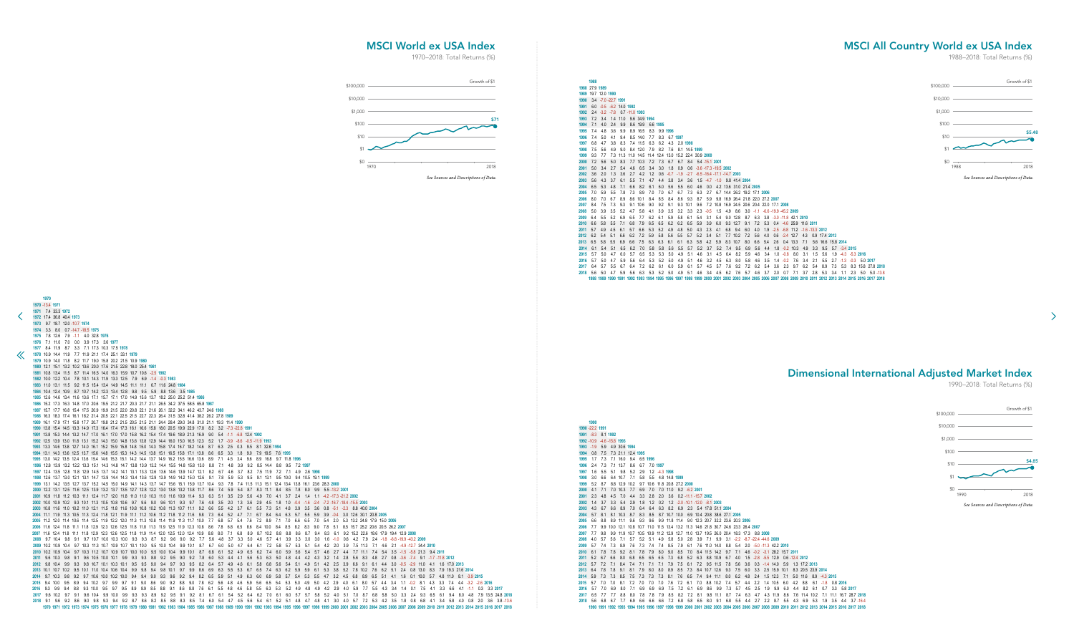<span id="page-22-0"></span>![](_page_22_Figure_3.jpeg)

 -22.2 **1991** -8.3 8.1 **1992** -10.9 -4.6 -15.8 **1993** -1.9 5.9 4.9 30.6 **1994** 0.8 7.5 7.3 21.1 12.4 **1995** 1.7 7.3 7.1 16.0 9.4 6.5 **1996** 2.4 7.3 7.1 13.7 8.6 6.7 7.0 **1997** 1.6 5.5 5.1 9.8 5.2 2.9 1.2 -4.3 **1998** 3.0 6.6 6.4 10.7 7.1 5.8 5.5 4.8 14.8 **1999** 5.2 8.7 8.8 12.9 10.2 9.7 10.6 11.8 20.8 27.2 **2000** 4.1 7.1 7.0 10.3 7.7 6.9 7.0 7.0 11.0 9.2 -6.2 **2001** 2.3 4.8 4.5 7.0 4.4 3.3 2.8 2.0 3.6 0.2 -11.1 -15.7 **2002** 1.4 3.7 3.3 5.4 2.9 1.8 1.2 0.2 1.2 -2.0 -10.1 -12.0 -8.1 **2003** 4.3 6.7 6.6 8.9 7.0 6.4 6.4 6.3 8.2 6.9 2.3 5.4 17.8 51.1 **2004** 5.7 8.1 8.1 10.3 8.7 8.3 8.5 8.7 10.7 10.0 6.9 10.4 20.8 38.6 27.1 **2005** 6.6 8.8 8.9 11.1 9.6 9.3 9.6 9.9 11.8 11.4 9.0 12.3 20.7 32.2 23.6 20.3 **2006** 7.7 9.9 10.0 12.1 10.8 10.7 11.0 11.5 13.4 13.2 11.3 14.6 21.8 30.7 24.6 23.3 26.4 **2007** 7.7 9.8 9.9 11.9 10.7 10.5 10.9 11.2 12.9 12.7 11.0 13.7 19.5 26.0 20.4 18.3 17.3 8.8 **2008** 4.0 5.7 5.6 7.1 5.7 5.2 5.1 4.9 5.8 5.0 2.8 3.9 7.1 9.9 3.1 -2.2 -8.7 -22.4 -44.6 **2009** 5.7 7.4 7.3 8.9 7.6 7.3 7.4 7.4 8.5 7.9 6.1 7.6 11.0 14.0 8.8 5.4 2.0 -5.0 -11.3 42.2 **2010** 6.1 7.8 7.8 9.2 8.1 7.8 7.9 8.0 9.0 8.5 7.0 8.4 11.5 14.2 9.7 7.1 4.6 -0.2 -3.1 28.2 15.7 **2011** 5.2 6.7 6.6 8.0 6.8 6.5 6.5 6.5 7.3 6.8 5.2 6.3 8.8 10.9 6.7 4.0 1.5 -2.8 -5.5 12.9 0.6 -12.4 **2012** 5.7 7.2 7.1 8.4 7.4 7.1 7.1 7.1 7.9 7.5 6.1 7.2 9.5 11.5 7.8 5.6 3.6 0.3 -1.4 14.0 5.9 1.3 17.2 **2013** 6.4 7.8 7.8 9.1 8.1 7.9 8.0 8.0 8.9 8.5 7.3 8.4 10.7 12.6 9.3 7.5 6.0 3.3 2.5 15.9 10.1 8.3 20.5 23.9 **2014** 5.9 7.3 7.3 8.5 7.5 7.3 7.3 7.3 8.1 7.6 6.5 7.4 9.4 11.1 8.0 6.2 4.8 2.4 1.5 12.3 7.1 5.0 11.6 8.9 -4.3 **2015** 5.7 7.0 7.0 8.1 7.2 7.0 7.0 7.0 7.6 7.2 6.1 7.0 8.8 10.2 7.4 5.7 4.4 2.2 1.4 10.5 6.0 4.2 8.8 6.1 -1.8 0.8 **2016** 5.7 7.0 6.9 8.0 7.1 6.9 6.9 6.9 7.5 7.2 6.1 6.9 8.6 9.9 7.3 5.7 4.5 2.5 1.9 9.9 6.0 4.4 8.2 6.1 0.7 3.3 5.8 **2017** 6.5 7.7 7.7 8.8 8.0 7.8 7.8 7.9 8.5 8.2 7.2 8.1 9.8 11.1 8.7 7.4 6.3 4.7 4.3 11.9 8.6 7.6 11.4 10.2 7.1 11.1 16.7 28.7 **2018** 5.6 6.8 6.7 7.7 6.9 6.6 6.6 6.6 7.2 6.8 5.8 6.5 8.0 9.1 6.8 5.5 4.4 2.7 2.2 8.7 5.5 4.3 6.9 5.3 1.9 3.5 4.4 3.7 -16.4 **1990 1991 1992 1993 1994 1995 1996 1997 1998 1999 2000 2001 2002 2003 2004 2005 2006 2007 2008 2009 2010 2011 2012 2013 2014 2015 2016 2017 2018**

![](_page_22_Figure_6.jpeg)

## MSCI World ex USA Index

1970–2018: Total Returns (%)

Dimensional International Adjusted Market Index

1990–2018: Total Returns (%)

 $\rightarrow$ 

## MSCI All Country World ex USA Index

![](_page_22_Figure_2.jpeg)

![](_page_22_Figure_9.jpeg)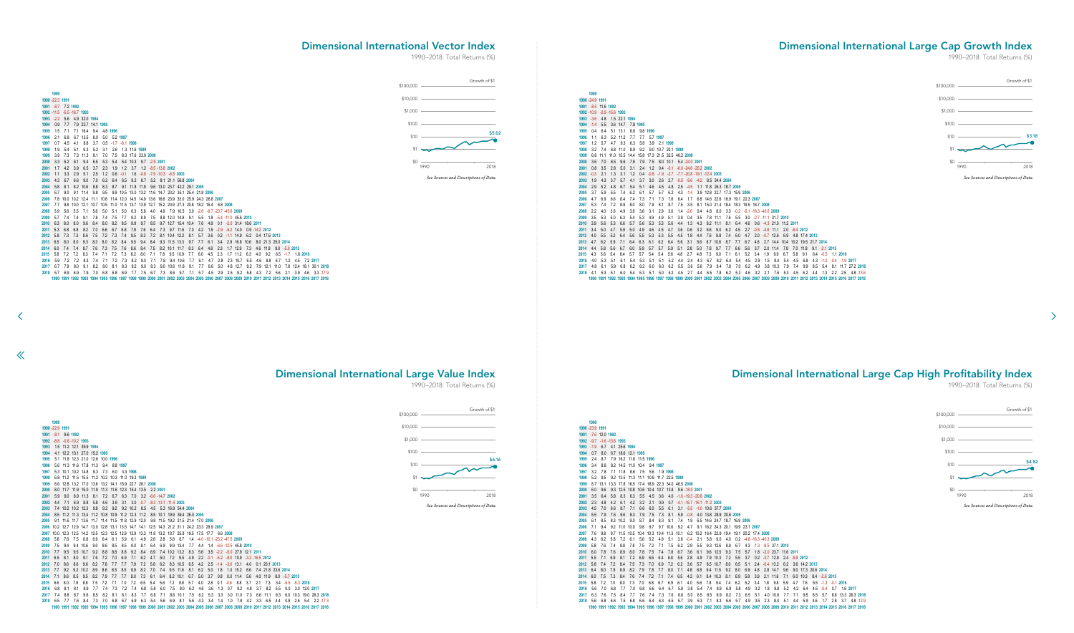<span id="page-23-0"></span>

|              | 1990 - 22.3 1991            |                |            |            |                       |            |                      |            |                                            |            |            |     |                                   |                                        |     |                                                                                             |                |            |                                                             |            |              |     |               |                                              |     |                         |              |  |
|--------------|-----------------------------|----------------|------------|------------|-----------------------|------------|----------------------|------------|--------------------------------------------|------------|------------|-----|-----------------------------------|----------------------------------------|-----|---------------------------------------------------------------------------------------------|----------------|------------|-------------------------------------------------------------|------------|--------------|-----|---------------|----------------------------------------------|-----|-------------------------|--------------|--|
|              | 1991 -8.7 7.2 1992          |                |            |            |                       |            |                      |            |                                            |            |            |     |                                   |                                        |     |                                                                                             |                |            |                                                             |            |              |     |               |                                              |     |                         |              |  |
|              | 1992 -11.5 -5.5 -16.7 1993  |                |            |            |                       |            |                      |            |                                            |            |            |     |                                   |                                        |     |                                                                                             |                |            |                                                             |            |              |     |               |                                              |     |                         |              |  |
|              | 1993 -2.2 5.6 4.9 32.0 1994 |                |            |            |                       |            |                      |            |                                            |            |            |     |                                   |                                        |     |                                                                                             |                |            |                                                             |            |              |     |               |                                              |     |                         |              |  |
| 1994         |                             | $0.9$ 7.7      |            |            | 7.9 22.7 14.1 1995    |            |                      |            |                                            |            |            |     |                                   |                                        |     |                                                                                             |                |            |                                                             |            |              |     |               |                                              |     |                         |              |  |
| 1995         | 1.5                         | 7.1            |            |            | 7.1 16.4 9.4 4.8 1996 |            |                      |            |                                            |            |            |     |                                   |                                        |     |                                                                                             |                |            |                                                             |            |              |     |               |                                              |     |                         |              |  |
| 1996         | 2.1                         | 6.8            |            | 6.7 13.5   | 8.0                   |            | 5.0 5.2 1997         |            |                                            |            |            |     |                                   |                                        |     |                                                                                             |                |            |                                                             |            |              |     |               |                                              |     |                         |              |  |
| 1997         |                             | $0.7$ 4.5      | 4.1        | 8.8        | 3.7                   |            | $0.5 -1.7 -8.1$ 1998 |            |                                            |            |            |     |                                   |                                        |     |                                                                                             |                |            |                                                             |            |              |     |               |                                              |     |                         |              |  |
| 1998         | 19                          | 5.4            | 5.1        | 9.3        | 5.2                   | 3.1        | 2.6                  |            | 1.3 11.6 1999                              |            |            |     |                                   |                                        |     |                                                                                             |                |            |                                                             |            |              |     |               |                                              |     |                         |              |  |
| 1999         | 3.9                         | 7.3            |            | 7.3 11.3   | 8.1                   | 7.0        | 7.5                  |            | 8.3 17.6 23.9 2000                         |            |            |     |                                   |                                        |     |                                                                                             |                |            |                                                             |            |              |     |               |                                              |     |                         |              |  |
| 2000         |                             | $3.3\quad 6.2$ | 6.1        | 9.4        | 6.5                   | 5.3        | 5.4                  |            | 5.4 10.3 9.7 -2.9 2001                     |            |            |     |                                   |                                        |     |                                                                                             |                |            |                                                             |            |              |     |               |                                              |     |                         |              |  |
| 2001         |                             | $1.7$ 4.2      | 3.9        | 6.5        |                       | $3.7$ 2.3  | 1.9                  |            | 1.2 3.7 1.2 -8.5 -13.8 2002                |            |            |     |                                   |                                        |     |                                                                                             |                |            |                                                             |            |              |     |               |                                              |     |                         |              |  |
| 2002         | 1.1                         | 3.3            | 2.9        | 5.1        | 2.5                   | 1.2        | 0.6                  | $-0.1$     | 1.6                                        |            |            |     | $-0.8$ $-7.9$ $-10.3$ $-6.5$ 2003 |                                        |     |                                                                                             |                |            |                                                             |            |              |     |               |                                              |     |                         |              |  |
| 2003         | 4.3                         | 6.7            | 6.6        | 9.0        | 7.0                   | 6.2        | 6.4                  |            | 6.5 9.2 8.7 5.2 8.1 21.1 56.8 2004         |            |            |     |                                   |                                        |     |                                                                                             |                |            |                                                             |            |              |     |               |                                              |     |                         |              |  |
| 2004         |                             | 5.8 8.1        |            | 8.2 10.6   | 8.8                   |            | 8.3 8.7              |            | 9.1 11.8 11.9 9.6 13.0 23.7 42.2 29.1 2005 |            |            |     |                                   |                                        |     |                                                                                             |                |            |                                                             |            |              |     |               |                                              |     |                         |              |  |
| 2005         | 6.7                         | 9.0            |            |            |                       |            |                      |            |                                            |            |            |     |                                   |                                        |     | 9.1 11.4 9.8 9.5 9.9 10.5 13.0 13.2 11.6 14.7 23.2 35.1 25.4 21.8 2006                      |                |            |                                                             |            |              |     |               |                                              |     |                         |              |  |
| 2006         |                             |                |            |            |                       |            |                      |            |                                            |            |            |     |                                   |                                        |     | 7.8 10.0 10.2 12.4 11.1 10.8 11.4 12.0 14.5 14.9 13.6 16.6 23.9 33.0 25.9 24.3 26.8 2007    |                |            |                                                             |            |              |     |               |                                              |     |                         |              |  |
| 2007         |                             |                |            |            |                       |            |                      |            |                                            |            |            |     |                                   |                                        |     | 7.7 9.8 10.0 12.1 10.7 10.5 11.0 11.5 13.7 13.9 12.7 15.2 20.9 27.3 20.8 18.2 16.4 6.8 2008 |                |            |                                                             |            |              |     |               |                                              |     |                         |              |  |
| 2008         | 39                          | 5.6            | 5.5        | 7.1        | 5.6                   |            | 5.0 5.1              |            |                                            |            |            |     |                                   |                                        |     |                                                                                             |                |            | 5.0 6.3 5.8 4.0 4.9 7.9 10.5 3.0 -2.6 -9.7 -23.7 -45.6 2009 |            |              |     |               |                                              |     |                         |              |  |
| 2009         |                             | 5.7 7.4        | 7.4        | 9.1        | 7.8                   | 7.4        | 7.5                  | 7.7        | 9.2                                        | 8.9        | 7.5        |     |                                   | 8.8 12.0 14.9 9.1                      |     |                                                                                             |                |            | 5.5 1.8 -5.4 -11.0 45.6 2010                                |            |              |     |               |                                              |     |                         |              |  |
| 2010         | 6.3                         | 8.0            | 8.0        | 9.6        | 8.4                   | 8.0        | 8.2                  | 8.5        | 9.9                                        | 9.7        | 8.5        |     |                                   | 9.7 12.7 15.4 10.4                     |     | 7.6                                                                                         | 4.9            |            | 0.1 -2.0 31.4 18.6 2011                                     |            |              |     |               |                                              |     |                         |              |  |
| 2011         | 5.3                         | 6.8            | 6.8        | 8.2        | 7.0                   | 6.6        | 6.7                  | 6.8        | 7.9                                        | 7.6        | 6.4        |     |                                   | 7.3 9.7 11.6 7.0                       |     |                                                                                             | 4.2 1.5        |            | $-2.9$ $-5.2$ 14.0 0.9 $-14.2$ 2012                         |            |              |     |               |                                              |     |                         |              |  |
| 2012         | 5.8                         | 7.3            | 7.3        | 8.6        | 7.5                   | 7.2        | 7.3                  | 7.4        | 8.5                                        | 8.3        | 7.2        |     |                                   | 8.1 10.4 12.2 8.1                      |     | 5.7                                                                                         | 3.6            |            | $0.2 -1.1$ 14.9                                             |            | 6.2          |     | 0.4 17.6 2013 |                                              |     |                         |              |  |
| 2013<br>2014 | 6.5<br>6.0                  | 8.0<br>7.4     | 8.0        | 9.3        | 8.3                   | 8.0        | 8.2                  | 8.4        | 9.5                                        | 9.4        | - 8.4      |     |                                   | 9.3 11.5 13.3 9.7<br>8.2 10.1 11.7 8.3 |     |                                                                                             | 7.7 6.1        |            | 3.4 2.9 16.8 10.6<br>1.7 12.9 7.3                           |            |              |     |               | 8.0 21.3 25.0 2014<br>4.6 11.8 9.0 -5.0 2015 |     |                         |              |  |
| 2015         | 5.8                         | 7.2            | 7.4<br>7.2 | 8.7<br>8.3 | 7.6<br>7.4            | 7.3<br>7.1 | 7.5<br>7.2           | 7.6<br>7.3 | 8.6<br>8.2                                 | 8.4<br>8.0 | 7.5<br>7.1 | 7.8 |                                   | 9.5 10.9                               | 7.7 | 6.0                                                                                         | 6.4 4.8<br>4.5 | 2.3<br>2.3 |                                                             | $1.7$ 11.2 | 6.3          | 4.0 | 9.2           |                                              |     | 6.5 -1.7 1.8 2016       |              |  |
| 2016         |                             | 5.9 7.2        | 7.2        | 8.3        | 7.4                   | 7.1        | 7.2                  | 7.3        | 8.2                                        | 8.0        | 7.1        | 7.8 |                                   | 9.4 10.6                               | 7.7 | 6.1                                                                                         | 4.7            | 2.8        |                                                             |            | 2.3 10.7 6.5 | 4.6 | 8.8           | 6.7                                          | 1.2 |                         | 4.5 7.2 2017 |  |
| 2017         | 6.7                         | 7.9            | 8.0        | 9.1        | 8.2                   | 8.0        | 8.1                  | 8.3        | 9.2                                        | 9.0        | 8.3        |     |                                   | 9.0 10.6 11.8 9.1                      |     | 7.7                                                                                         | 6.6            | 5.0        |                                                             | 4.8 12.7   | 9.2          |     |               | 7.9 12.1 11.0                                |     | 7.8 12.4 18.1 30.1 2018 |              |  |
|              | 2018 5.7 6.9                |                | 6.9        | 7.9        |                       |            | 7.0 6.8 6.8          | 6.9        | 7.7 7.5 6.7                                |            |            |     |                                   | 7.3 8.6 9.7 7.1                        |     |                                                                                             |                |            |                                                             |            |              |     |               | 5.7 4.5 2.9 2.5 9.2 5.8 4.3 7.2 5.6          |     | 2.1 3.9 4.6 3.3 - 17.9  |              |  |
|              |                             |                |            |            |                       |            |                      |            |                                            |            |            |     |                                   |                                        |     |                                                                                             |                |            |                                                             |            |              |     |               |                                              |     |                         |              |  |

1990 1991 1992 1993 1994 1995 1996 1997 1998 1999 2000 2001 2002 2003 2004 2005 2006 2007 2008 2009 2010 2011 2012 2013 2014 2015 2016 2017 2018

4.1 5.3 5.1 6.0 5.4 5.3 5.1 5.0 5.2 4.5 2.7 4.4 6.5 7.8 6.2 5.3 4.6 3.2 2.1 7.6 5.3 4.5 6.2 4.4 1.3 2.2 2.5 4.8 -13.6

993 1994 1995 1996 1997 1998 1999 2000 2001 2002 2003 2004 2005 2006 2007 2008 2009 2010 2011 2012 2013 2014 2015 2016 2017 2018

 $\ll$ 

![](_page_23_Figure_9.jpeg)

![](_page_23_Figure_13.jpeg)

 -23.9 **1991**

 -7.6 12.0 **1992** -9.7 -1.6 -13.6 **1993** -1.9 6.7 4.1 25.6 **1994** 0.7 8.0 6.7 18.6 12.1 **1995** \$100 \$100 2.4 8.7 7.9 16.2 11.8 11.5 **1996** 3.4 8.8 8.2 14.5 11.0 10.4 9.4 1997 \$10 3.2 7.8 7.1 11.8 8.6 7.5 5.6 1.9 **1998** 5.2 9.5 9.2 13.5 11.3 11.1 10.9 11.7 22.5 1999 8.7 13.1 13.3 17.8 16.5 17.4 18.9 22.3 34.0 46.5 **2000**  $$0$   $$50$   $$50$   $$50$   $$9.5$   $$2000$   $$6.0$   $$9.6$   $$9.3$   $$12.5$   $$10.8$   $$10.6$   $$10.4$   $$10.7$   $$13.8$   $$9.6$   $$-18.0$   $$2001$  3.5 6.4 5.8 8.3 6.3 5.5 4.5 3.6 4.0 -1.6 -19.3 -20.6 **2002** 2.3 4.8 4.2 6.1 4.2 3.2 2.1 0.9 0.7 -4.1 -16.7 -16.1 -11.2 **2003** 4.5 7.0 6.6 8.7 7.1 6.6 6.0 5.5 6.1 3.1 -5.5 -1.0 10.6 37.7 2004<br>**2003** 4.5 7.0 6.6 8.7 7.1 6.6 6.0 5.5 6.1 3.1 -5.5 -1.0 10.6 37.7 2004 5.5 7.9 7.6 9.6 8.3 7.9 7.5 7.3 8.1 5.9 -0.8 4.0 13.8 28.9 20.6 **2005** 6.1 8.5 8.3 10.2 9.0 8.7 8.4 8.3 9.1 7.4 1.9 6.5 14.6 24.7 18.7 16.9 **2006** 7.1 9.4 9.2 11.0 10.0 9.8 9.7 9.7 10.6 9.2 4.7 9.1 16.2 24.3 20.1 19.9 23.1 **2007** 7.6 9.8 9.7 11.5 10.5 10.4 10.3 10.4 11.3 10.1 6.2 10.2 16.4 22.9 19.4 19.1 20.2 17.4 **2008** 4.3 6.2 5.8 7.2 6.1 5.6 5.2 4.9 5.1 3.6 -0.4 2.1 5.8 9.0 4.0 0.2 -4.8 -16.3 -40.3 **2009** 5.8 7.6 7.4 8.8 7.8 7.5 7.2 7.1 7.5 6.2 2.9 5.5 9.3 12.6 8.9 6.7 4.3 -1.3 -9.5 37.1 **2010** 6.0 7.8 7.6 8.9 8.0 7.8 7.5 7.4 7.8 6.7 3.6 6.1 9.6 12.5 9.3 7.5 5.7 1.8 -3.0 23.7 11.6 **2011** 5.5 7.1 6.9 8.1 7.2 6.9 6.6 6.4 6.8 5.6 2.8 4.9 7.9 10.3 7.2 5.5 3.7 0.2 -3.7 12.9 2.4 -5.9 **2012** 5.8 7.4 7.2 8.4 7.5 7.3 7.0 6.9 7.2 6.2 3.6 5.7 8.5 10.7 8.0 6.5 5.1 2.4 -0.4 13.2 6.2 3.6 14.2 **2013** 6.4 8.0 7.8 8.9 8.2 7.9 7.8 7.7 8.0 7.1 4.8 6.8 9.4 11.5 9.2 8.0 6.9 4.8 2.8 14.7 9.6 9.0 17.3 20.6 **2014** 6.0 7.5 7.3 8.4 7.6 7.4 7.2 7.1 7.4 6.5 4.3 6.1 8.4 10.3 8.1 6.9 5.8 3.9 2.1 11.6 7.1 6.0 10.3 8.4 -2.6 **2015** 5.8 7.2 7.0 8.0 7.3 7.0 6.8 6.7 6.9 6.1 4.0 5.6 7.8 9.4 7.4 6.2 5.2 3.4 1.8 9.8 5.9 4.7 7.6 5.5 -1.3 -0.1 **2016** 5.6 7.0 6.8 7.7 7.0 6.8 6.6 6.4 6.7 5.8 3.8 5.4 7.4 8.9 6.9 5.8 4.9 3.2 1.8 8.8 5.2 4.2 6.4 4.5 -0.4 0.7 1.6 **2017** 6.3 7.6 7.5 8.4 7.7 7.6 7.4 7.3 7.6 6.8 5.0 6.5 8.5 9.9 8.2 7.3 6.5 5.1 4.0 10.6 7.7 7.1 9.5 8.5 5.7 8.6 13.3 26.3 **2018** 5.6 6.8 6.6 7.5 6.8 6.6 6.4 6.3 6.5 5.7 3.9 5.3 7.1 8.3 6.6 5.7 4.9 3.5 2.3 8.0 5.1 4.4 5.9 4.6 1.7 2.8 3.7 4.8 -12.9 993 1994 1995 1996 1997 1998 1999 2000 2001 2002 2003 2004 2005 2006 2007 2008 2009 2010 2011 2012 2013 2014 2015 2016 2017 2018 2018 1990 \$1,000 \$1,000 \$6.16 \$4.82

## Dimensional International Vector Index

1990–2018: Total Returns (%)

![](_page_23_Figure_2.jpeg)

## Dimensional International Large Cap Growth Index

1990–2018: Total Returns (%)

Dimensional International Large Value Index

# 1990–2018: Total Returns (%)

Dimensional International Large Cap High Profitability Index

1990–2018: Total Returns (%)

![](_page_23_Figure_5.jpeg)

![](_page_23_Figure_16.jpeg)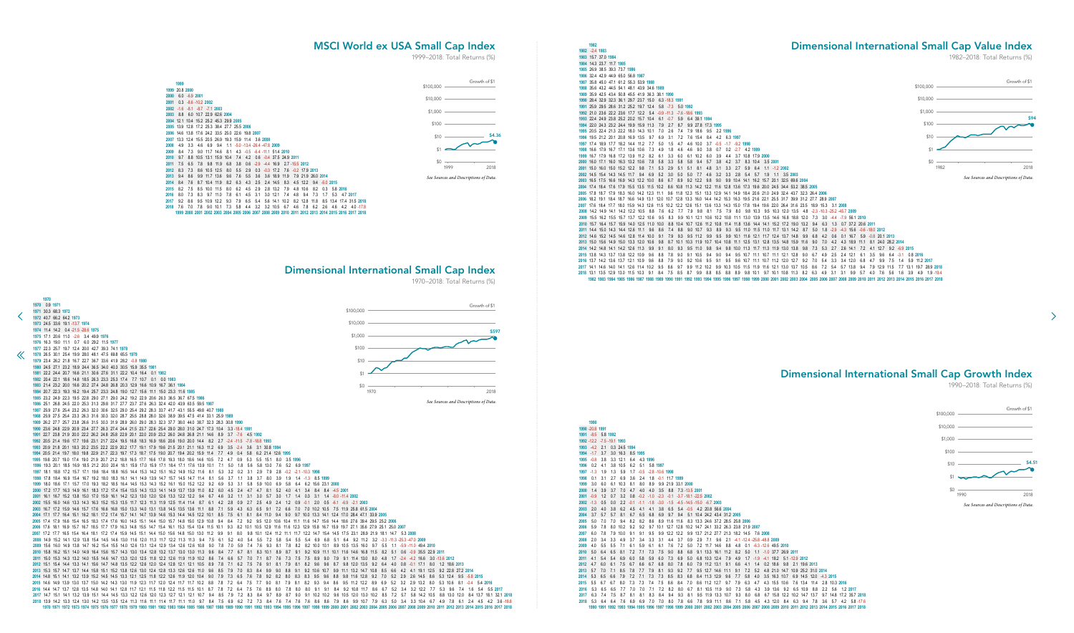-8.5 5.8 **1992** -12.2 -7.5 -19.1 **1993** -4.2 2.1 0.3 24.5 **1994** -1.7 3.7 3.0 16.3 8.5 **1995** -0.8 3.8 3.3 12.1 6.4 4.3 **1996** 0.2 4.1 3.8 10.5 6.2 5.1 5.8 **1997** -1.3 1.9 1.3 5.9 1.7 -0.5 -2.8 -10.6 **1998** 0.1 3.1 2.7 6.9 3.6 2.4 1.8 -0.1 11.7 **1999** 3.0 6.0 6.1 10.3 8.1 8.0 8.9 9.9 21.9 33.1 **2000** 1.4 3.9 3.7 7.0 4.7 4.0 4.0 3.5 8.8 7.3 -13.5 **2001** -0.9 1.2 0.7 3.2 0.8 -0.2 -1.0 -2.3 -0.1 -3.7 -18.1 -22.5 **2002** -1.3 0.5 0.0 2.2 -0.1 -1.1 -1.8 -3.0 -1.5 -4.5 -14.5 -15.0 -6.7 **2003** 2.0 4.0 3.8 6.2 4.5 4.1 4.1 3.8 6.5 5.4 -0.5 4.2 20.8 56.6 **2004** 3.7 5.7 5.7 8.1 6.7 6.5 6.8 6.9 9.7 9.4 5.1 10.4 24.2 43.4 31.2 **2005** 5.0 7.0 7.0 9.4 8.2 8.2 8.6 8.9 11.6 11.6 8.3 13.3 24.6 37.2 28.5 25.8 **2006** 5.9 7.8 8.0 10.2 9.2 9.2 9.7 10.1 12.7 12.8 10.2 14.7 24.1 33.2 26.3 23.8 21.9 **2007** 6.0 7.8 7.9 10.0 9.1 9.1 9.5 9.9 12.2 12.2 9.9 13.7 21.2 27.7 21.3 18.2 14.5 7.6 **2008** 2.0 3.4 3.3 4.9 3.7 3.4 3.3 3.1 4.4 3.7 0.9 2.9 7.1 9.6 2.1 -4.1 -12.4 -25.8 -48.8 **2009** 4.0 5.5 5.5 7.1 6.1 5.9 6.1 6.1 7.6 7.2 5.0 7.2 11.7 14.6 8.8 4.8 0.1 -6.3 -12.6 49.5 **2010** 5.0 6.4 6.5 8.1 7.2 7.1 7.3 7.5 9.0 8.8 6.8 9.1 13.3 16.1 11.2 8.2 5.0 1.1 -1.0 37.7 26.9 **2011** 4.1 5.4 5.4 6.9 6.0 5.8 5.9 6.0 7.3 6.9 5.0 6.8 10.3 12.4 7.9 4.9 1.7 -1.9 -4.1 18.2 5.1 -12.9 **2012** 4.7 6.0 6.1 7.5 6.7 6.6 6.7 6.8 8.0 7.8 6.0 7.9 11.2 13.1 9.1 6.6 4.1 1.4 0.2 18.6 9.8 2.1 19.6 **2013** 5.7 7.0 7.1 8.5 7.8 7.7 7.9 8.1 9.3 9.2 7.7 9.5 12.7 14.6 11.1 9.1 7.2 5.2 4.8 21.0 14.7 10.9 25.2 31.0 **2014** 5.3 6.5 6.6 7.9 7.2 7.1 7.3 7.3 8.5 8.3 6.8 8.4 11.3 12.9 9.6 7.7 5.8 4.0 3.5 16.3 10.7 6.9 14.5 12.0 -4.3 **2015** 5.5 6.7 6.7 8.0 7.3 7.3 7.4 7.5 8.6 8.4 7.0 8.6 11.2 12.7 9.7 7.9 6.3 4.7 4.3 15.5 10.6 7.6 13.4 11.4 2.8 10.3 **2016** 5.3 6.5 6.5 7.7 7.0 7.0 7.1 7.2 8.2 8.0 6.7 8.1 10.5 11.9 9.0 7.3 5.8 4.3 3.9 13.6 9.2 6.5 10.9 8.8 2.2 5.6 1.2 **2017** 6.3 7.4 7.5 8.7 8.1 8.1 8.3 8.4 9.4 9.3 8.1 9.5 11.9 13.3 10.7 9.3 8.0 6.8 6.7 15.8 12.2 10.2 14.7 13.7 9.7 14.8 17.2 35.7 **2018** 5.3 6.4 6.4 7.6 6.9 6.9 7.0 7.0 8.0 7.8 6.6 7.8 9.9 11.1 8.6 7.1 5.8 4.5 4.3 12.0 8.4 6.3 9.4 7.8 3.6 5.7 4.2 5.8 -17.6 1996 1997 1998 1999 2000 2001 2002 2003 2004 2005 2006 2007 2008 2009 2010 2011 2012 2013 2014 2015 2016 2017 2018

 14.1 14.6 14.0 14.1 12.6 11.4 10.2 9.5 8.6 9.7 9.9 11.2 10.2 9.9 10.3 10.5 11.5 11.9 11.6 12.1 13.0 13.7 10.5 8.6 7.2 5.4 5.7 13.8 9.4 7.9 12.9 11.5 7.7 13.1 19.7 28.9 **2018** 13.1 13.5 12.9 13.0 11.5 10.3 9.1 8.4 7.5 8.5 8.7 9.9 8.8 8.5 8.8 8.9 9.8 10.1 9.7 10.1 10.8 11.3 8.2 6.3 4.9 3.1 3.1 9.9 5.7 4.0 7.6 5.6 1.6 3.9 4.9 1.9 -19.4 1982 1983 1984 1985 1986 1987 1988 1989 1990 1991 1992 1993 1994 1995 1996 1997 1998 1999 2000 2001 2002 2003 2004 2005 2006 2007 2008 2009 2010 2011 2012 2013 2014 2015 2016 2017 2018

 -20.8 **1991**

![](_page_24_Figure_6.jpeg)

#### -2.4 **1983** 15.7 37.0 **1984** 14.3 23.7 11.7 **1985** 26.9 38.5 39.3 73.7 **1986** 32.4 42.9 44.9 65.0 56.8 **1987** 35.8 45.0 47.1 61.2 55.3 53.9 **1988** 35.6 43.2 44.5 54.1 48.1 43.9 34.6 **1989** 35.9 42.5 43.4 50.8 45.5 41.9 36.3 38.1 **1990** 28.4 32.9 32.3 36.1 29.7 23.7 15.0 6.3 -18.3 **1991** 25.9 29.5 28.6 31.2 25.2 19.7 12.4 5.8 -7.3 5.0 **1992** 21.0 23.6 22.2 23.6 17.7 12.2 5.4 -0.9 -11.3 -7.6 -18.6 **1993** 22.4 24.9 23.8 25.2 20.2 15.7 10.4 6.1 -0.7 5.9 6.4 39.1 **1994** 22.0 24.3 23.2 24.4 19.9 15.9 11.3 7.9 2.7 8.7 9.9 27.8 17.3 **1995** 20.5 22.4 21.3 22.2 18.0 14.3 10.1 7.0 2.6 7.4 7.9 18.6 9.5 2.2 **1996** 19.5 21.2 20.1 20.8 16.9 13.5 9.7 6.9 3.1 7.2 7.6 15.4 8.4 4.2 6.3 **1997** 17.4 18.9 17.7 18.2 14.4 11.2 7.7 5.0 1.5 4.7 4.6 10.0 3.7 -0.5 -1.7 -9.2 **1998** 16.6 17.9 16.7 17.1 13.6 10.6 7.3 4.9 1.8 4.6 4.6 9.0 3.8 0.7 0.2 -2.7 4.2 **1999** 16.7 17.9 16.8 17.2 13.9 11.2 8.2 6.1 3.3 6.0 6.1 10.2 6.0 3.9 4.4 3.7 10.8 17.9 **2000** 16.0 17.1 16.0 16.3 13.2 10.6 7.8 5.8 3.3 5.8 5.8 9.4 5.7 3.8 4.2 3.7 8.3 10.4 3.5 **2001** 15.0 16.0 15.0 15.2 12.2 9.8 7.1 5.3 2.9 5.1 5.1 8.1 4.8 3.1 3.3 2.7 5.9 6.4 1.1 -1.2 **2002** 14.5 15.4 14.3 14.5 11.7 9.4 6.9 5.2 3.0 5.0 5.0 7.7 4.6 3.2 3.3 2.8 5.4 5.7 1.9 1.1 3.5 **2003** 16.5 17.5 16.6 16.9 14.3 12.2 10.0 8.6 6.7 8.9 9.2 12.2 9.8 9.0 9.9 10.4 14.1 16.2 15.7 20.1 32.5 69.6 **2004** 17.4 18.4 17.6 17.9 15.5 13.5 11.5 10.2 8.6 10.8 11.3 14.2 12.2 11.6 12.8 13.6 17.3 19.6 20.0 24.5 34.4 53.2 38.5 **2005** 17.8 18.7 17.9 18.3 16.0 14.2 12.3 11.1 9.6 11.8 12.3 15.1 13.3 12.9 14.1 14.9 18.4 20.6 21.0 24.9 32.4 43.7 32.3 26.4 **2006** 18.2 19.1 18.4 18.7 16.6 14.9 13.1 12.0 10.7 12.8 13.3 16.0 14.4 14.2 15.3 16.3 19.5 21.6 22.1 25.5 31.7 39.9 31.2 27.7 28.9 **2007** 17.6 18.4 17.7 18.0 15.9 14.3 12.6 11.5 10.2 12.2 12.6 15.1 13.6 13.3 14.3 15.0 17.8 19.4 19.6 22.0 26.4 31.6 23.5 18.9 15.3 3.1 **2008** 14.2 14.9 14.1 14.2 12.2 10.5 8.8 7.6 6.2 7.7 7.9 9.8 8.1 7.5 7.9 8.0 9.8 10.3 9.5 10.3 12.0 13.5 4.8 -2.3 -10.3 -25.2 -45.7 **2009** 15.5 16.2 15.5 15.7 13.7 12.2 10.6 9.5 8.3 9.9 10.1 12.1 10.6 10.2 10.8 11.1 13.0 13.9 13.5 14.6 16.8 18.8 12.0 7.3 3.0 -4.4 -7.9 56.1 **2010** 15.7 16.4 15.7 15.9 14.0 12.5 11.0 10.0 8.8 10.4 10.7 12.6 11.2 10.8 11.4 11.8 13.6 14.4 14.1 15.2 17.2 19.0 13.2 9.4 6.3 1.3 0.7 37.2 20.6 **2011** 14.4 15.0 14.3 14.4 12.6 11.1 9.6 8.6 7.4 8.8 9.0 10.7 9.3 8.9 9.3 9.5 11.0 11.5 11.0 11.7 13.1 14.2 8.7 5.0 1.8 -2.9 -4.3 15.6 -0.6 -18.0 **2012** 14.6 15.2 14.5 14.6 12.8 11.4 10.0 9.1 7.9 9.3 9.5 11.2 9.9 9.5 9.9 10.1 11.6 12.1 11.7 12.4 13.7 14.8 9.9 6.8 4.2 0.6 0.1 16.7 5.9 -0.8 20.1 **2013** 15.0 15.6 14.9 15.0 13.3 12.0 10.6 9.8 8.7 10.1 10.3 11.9 10.7 10.4 10.8 11.1 12.5 13.1 12.8 13.5 14.8 15.9 11.6 9.0 7.0 4.2 4.3 18.9 11.1 8.1 24.0 28.2 **2014** 14.2 14.8 14.1 14.2 12.6 11.3 9.9 9.1 8.0 9.3 9.5 11.0 9.8 9.4 9.8 10.0 11.3 11.7 11.3 11.9 13.0 13.8 9.8 7.3 5.3 2.7 2.6 14.1 7.2 4.1 12.7 9.2 -6.9 **2015** 13.8 14.3 13.7 13.8 12.2 10.9 9.6 8.8 7.8 9.0 9.1 10.5 9.4 9.0 9.4 9.5 10.7 11.1 10.7 11.1 12.1 12.8 9.0 6.7 4.9 2.5 2.4 12.1 6.1 3.5 9.6 6.4 -3.1 0.8 **2016** 13.7 14.2 13.6 13.7 12.1 10.9 9.6 8.8 7.9 9.0 9.2 10.6 9.5 9.1 9.5 9.6 10.7 11.1 10.7 11.2 12.0 12.7 9.2 7.0 5.4 3.3 3.4 12.0 6.8 4.7 9.9 7.5 1.4 5.9 11.2 **2017** Dimensional International Small Cap Value Index 1982–2018: Total Returns (%) 2018 \$0 \$1 \$10  $$100 -$ \$1,000 \$10,000 \$100,000 Growth of \$1 *See Sources and Descriptions of Data.* \$94

<span id="page-24-0"></span>![](_page_24_Figure_2.jpeg)

## Dimensional International Small Cap Index

1970–2018: Total Returns (%)

Dimensional International Small Cap Growth Index

1990–2018: Total Returns (%)

## MSCI World ex USA Small Cap Index

![](_page_24_Figure_10.jpeg)

![](_page_24_Figure_3.jpeg)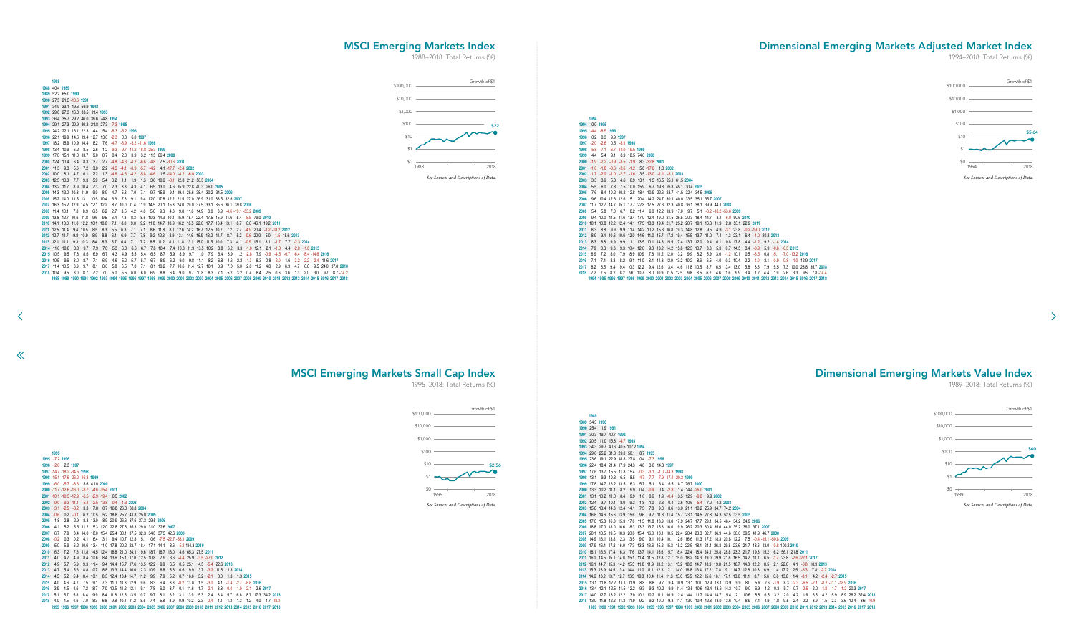54.3 **1990** 25.4 1.9 **1991** 30.3 19.7 40.7 **1992** 20.5 11.0 15.8 -4.7 **1993** 34.3 29.7 40.6 40.5 107.2 **1994** 29.6 25.2 31.8 29.0 50.1 8.7 **1995** 23.6 19.1 22.9 18.8 27.8 0.4 -7.3 **1996** 22.4 18.4 21.4 17.9 24.3 4.8 3.0 14.3 **1997** 17.6 13.7 15.5 11.8 15.4 -0.3 -3.1 -1.0 -14.3 **1998** 13.1 9.3 10.3 6.5 8.5 -4.7 -7.7 -7.9 -17.4 -20.3 **1999** 17.8 14.7 16.2 13.5 16.3 5.7 5.1 8.4 6.5 18.7 76.7 **2000** 13.3 10.2 11.1 8.2 9.9 0.4 -0.9 0.4 -2.8 1.4 14.4 -26.0 **2001** 13.1 10.2 11.0 8.4 9.9 1.6 0.6 1.9 -0.4 3.5 12.9 -9.8 9.9 **2002** 12.4 9.7 10.4 8.0 9.3 1.8 1.0 2.3 0.4 3.6 10.6 -5.4 7.0 4.2 **2003** 15.8 13.4 14.3 12.4 14.1 7.5 7.3 9.3 8.6 13.0 21.1 10.2 25.9 34.7 74.2 **2004** 16.8 14.6 15.6 13.9 15.6 9.6 9.7 11.8 11.4 15.7 23.1 14.5 27.8 34.3 52.5 33.5 **2005** 17.8 15.8 16.8 15.3 17.0 11.5 11.8 13.9 13.8 17.9 24.7 17.7 29.1 34.5 46.4 34.2 34.9 **2006** 18.8 17.0 18.0 16.6 18.3 13.3 13.7 15.8 16.0 19.9 26.2 20.3 30.4 35.0 44.0 35.2 36.0 37.1 **2007** 20.1 18.5 19.5 18.3 20.0 15.4 16.0 18.1 18.5 22.4 28.4 23.3 32.7 36.9 44.6 38.0 39.5 41.9 46.7 **2008** 14.9 13.1 13.8 12.3 13.5 9.0 9.1 10.4 10.1 12.6 16.6 11.3 17.2 18.3 20.8 12.2 7.5 -0.4 -15.1 -50.8 **2009** 17.9 16.4 17.2 16.0 17.3 13.3 13.6 15.2 15.3 18.2 22.5 18.1 24.4 26.3 29.8 23.6 21.7 18.6 13.0 -0.8 100.2 **2010** 18.1 16.6 17.4 16.3 17.6 13.7 14.1 15.6 15.7 18.4 22.4 18.4 24.1 25.8 28.8 23.3 21.7 19.3 15.2 6.2 56.1 21.8 **2011** 16.0 14.5 15.1 14.0 15.1 11.4 11.5 12.8 12.7 15.0 18.2 14.3 19.0 19.9 21.8 16.5 14.2 11.1 6.5 -1.7 23.8 -2.6 -22.1 **2012** 16.1 14.7 15.3 14.2 15.3 11.8 11.9 13.2 13.1 15.2 18.3 14.7 18.9 19.8 21.5 16.7 14.8 12.2 8.5 2.1 22.6 4.1 -3.8 18.9 **2013** 15.3 13.9 14.5 13.4 14.4 11.0 11.1 12.3 12.1 14.0 16.8 13.4 17.2 17.8 19.1 14.7 12.8 10.3 6.9 1.4 17.2 2.5 -3.3 7.8 -2.2 **2014** 14.6 13.2 13.7 12.7 13.5 10.3 10.4 11.4 11.3 13.0 15.5 12.2 15.6 16.1 17.1 13.0 11.1 8.7 5.6 0.8 13.6 1.4 -3.1 4.2 -2.4 -2.7 **2015** 13.1 11.8 12.2 11.1 11.9 8.8 8.8 9.7 9.4 10.9 13.1 10.0 12.9 13.1 13.9 9.9 8.0 5.6 2.6 -1.9 8.3 -2.3 -6.5 -2.1 -8.2 -11.1 -18.9 **2016** 13.4 12.1 12.5 11.5 12.2 9.3 9.3 10.2 9.9 11.4 13.5 10.6 13.4 13.6 14.3 10.7 9.0 6.9 4.2 0.3 9.7 0.7 -2.5 2.0 -1.8 -1.7 -1.2 20.3 **2017** 14.0 12.7 13.2 12.2 13.0 10.1 10.2 11.1 10.9 12.4 14.4 11.7 14.4 14.7 15.4 12.1 10.6 8.8 6.5 3.2 12.0 4.2 1.9 6.5 4.2 5.9 8.9 26.2 32.4 **2018** 13.0 11.8 12.2 11.3 11.9 9.2 9.2 10.0 9.8 11.1 13.0 10.4 12.8 13.0 13.6 10.4 8.9 7.1 4.9 1.8 9.5 2.4 0.2 3.9 1.5 2.3 3.6 12.4 8.6 -10.9 92 1993 1994 1995 1996 1997 1998 1999 2000 2001 2002 2003 2004 2005 2006 2007 2008 2009 2010 2011 2012 2013 2014 2015 2016 2017 2018

 -7.2 **1996** -2.6 2.3 **1997** -14.7 -18.2 -34.5 **1998** -15.1 -17.6 -26.0 -16.3 **1999** -6.0 -5.7 -8.3 8.6 41.0 **2000** -11.7 -12.6 -16.0 -8.7 -4.6 -35.4 **2001** -10.1 -10.5 -12.9 -6.5 -2.9 -19.4 0.5 **2002** -9.0 -9.3 -11.1 -5.4 -2.5 -13.8 -0.4 -1.3 **2003** -3.1 -2.5 -3.2 3.3 7.8 0.7 16.8 26.0 60.8 **2004** -0.6 0.2 -0.1 6.2 10.5 5.2 18.8 25.7 41.8 25.0 **2005** 1.8 2.8 2.9 8.8 13.0 8.9 20.9 26.6 37.6 27.3 29.5 **2006** 4.1 5.2 5.5 11.2 15.3 12.0 22.8 27.8 36.3 29.0 31.0 32.6 **2007** 6.7 7.9 8.4 14.0 18.0 15.4 25.4 30.1 37.5 32.3 34.8 37.5 42.6 **2008** -0.2 0.3 0.2 4.1 6.4 3.1 9.4 10.7 12.8 5.1 0.6 -7.5 -22.7 -58.1 **2009** 5.0 5.9 6.2 10.6 13.4 11.0 17.8 20.2 23.7 18.4 17.1 14.1 8.6 -5.2 114.3 **2010** 6.3 7.2 7.6 11.8 14.5 12.4 18.8 21.0 24.1 19.6 18.7 16.7 13.0 4.6 65.3 27.5 **2011** 4.0 4.7 4.9 8.4 10.6 8.4 13.6 15.1 17.0 12.5 10.8 7.9 3.6 -4.4 25.9 -3.5 -27.0 **2012** 4.9 5.7 5.9 9.3 11.4 9.4 14.4 15.7 17.6 13.5 12.2 9.9 6.5 0.5 25.1 4.5 -5.4 22.6 **2013** 4.7 5.4 5.6 8.8 10.7 8.8 13.3 14.4 16.0 12.3 10.9 8.8 5.8 0.6 19.9 3.7 -3.2 11.5 1.3 **2014** 4.5 5.2 5.4 8.4 10.1 8.3 12.4 13.4 14.7 11.2 9.9 7.9 5.2 0.7 16.6 3.2 -2.1 8.0 1.3 1.3 **2015** 4.0 4.6 4.7 7.5 9.1 7.3 11.0 11.8 12.9 9.6 8.3 6.4 3.8 -0.2 13.0 1.5 -3.0 4.1 -1.4 -2.7 -6.6 **2016** 3.9 4.5 4.6 7.2 8.7 7.0 10.5 11.2 12.1 9.1 7.8 6.0 3.7 0.1 11.6 1.7 -2.1 3.8 -0.4 -1.0 -2.1 2.6 **2017** 5.1 5.7 5.8 8.4 9.9 8.4 11.8 12.5 13.5 10.7 9.7 8.1 6.2 3.1 13.9 5.3 2.4 8.4 5.7 6.8 8.7 17.3 34.2 **2018** 4.0 4.5 4.6 7.0 8.3 6.8 9.8 10.4 11.2 8.5 7.4 5.8 3.9 0.9 10.2 2.3 -0.4 4.1 1.3 1.3 1.2 4.0 4.7 -18.3 1998 1999 2000 2001 2002 2003 2004 2005 2006 2007 2008 2009 2010 2011 2012 2013 2014 2015 2016 2017 2018

<span id="page-25-0"></span> 40.4 **1989** 52.2 65.0 **1990** 27.5 21.5 -10.6 **1991** 34.9 33.1 19.6 59.9 **1992** 29.8 27.3 16.8 33.5 11.4 **1993** 36.4 35.7 29.2 46.0 39.6 74.8 **1994** 29.1 27.3 20.9 30.3 21.8 27.3 -7.3 **1995**

 $\ll$ 

 -4.4 -8.5 **1996** 0.2 0.3 9.9 **1997** -2.0 -2.6 0.5 -8.1 **1998** -5.8 -7.1 -6.7 -14.0 -19.5 **1999** 4.4 5.4 9.1 8.9 18.5 74.6 **2000** -1.9 -2.2 -0.9 -3.5 -1.9 8.3 -32.8 **2001** -1.6 -1.8 -0.6 -2.6 -1.2 5.8 -17.6 1.0 **2002** -1.7 -2.0 -1.0 -2.7 -1.6 3.5 -13.0 -1.1 -3.1 **2003** 3.3 3.6 5.3 4.6 6.9 13.1 1.5 16.5 25.1 61.5 **2004** 5.5 6.0 7.8 7.5 10.0 15.9 6.7 19.8 26.8 45.1 30.4 **2005** 7.6 8.4 10.2 10.2 12.8 18.4 10.9 22.6 28.7 41.5 32.4 34.5 **2006** 9.6 10.4 12.3 12.6 15.1 20.4 14.2 24.7 30.1 40.0 33.5 35.1 35.7 **2007** 11.7 12.7 14.7 15.1 17.7 22.8 17.5 27.3 32.3 40.8 36.1 38.1 39.9 44.1 **2008** 5.4 5.8 7.0 6.7 8.2 11.4 6.0 12.2 13.9 17.0 9.7 5.1 -3.2 -18.2 -53.6 **2009** 9.4 10.0 11.5 11.6 13.4 17.0 12.4 19.0 21.5 25.5 20.3 18.4 14.7 8.4 -6.0 90.6 **2010** 10.1 10.8 12.2 12.4 14.1 17.5 13.3 19.4 21.7 25.2 20.7 19.1 16.3 11.9 2.8 53.1 22.9 **2011** 8.3 8.8 9.9 9.9 11.4 14.2 10.2 15.3 16.8 19.3 14.8 12.8 9.5 4.9 -3.1 23.8 -0.2 -19.0 **2012** 8.9 9.4 10.6 10.6 12.0 14.6 11.0 15.7 17.2 19.4 15.5 13.7 11.0 7.4 1.3 23.1 6.4 -1.0 20.8 **2013** 8.3 8.8 9.9 9.9 11.1 13.5 10.1 14.3 15.5 17.4 13.7 12.0 9.4 6.1 0.8 17.8 4.4 -1.2 9.2 -1.4 **2014** 7.9 8.3 9.3 9.3 10.4 12.6 9.3 13.2 14.2 15.8 12.3 10.7 8.3 5.3 0.7 14.5 3.4 -0.9 5.9 -0.8 -0.3 **2015** 6.9 7.2 8.0 7.9 8.9 10.9 7.8 11.2 12.0 13.2 9.9 8.2 5.9 3.0 -1.2 10.1 0.5 -3.5 0.8 -5.1 -7.0 -13.2 **2016** 7.1 7.4 8.3 8.2 9.1 11.0 8.1 11.3 12.0 13.2 10.2 8.6 6.5 4.0 0.3 10.4 2.2 -1.0 3.1 -0.9 -0.8 -1.0 12.9 **2017** 8.2 8.5 9.4 9.4 10.3 12.2 9.4 12.6 13.4 14.6 11.8 10.5 8.7 6.5 3.4 13.0 5.8 3.6 7.9 5.5 7.3 10.0 23.8 35.7 **2018** 7.2 7.5 8.2 8.2 9.0 10.7 8.0 10.9 11.5 12.5 9.8 8.5 6.7 4.6 1.6 9.9 3.4 1.2 4.4 1.9 2.6 3.3 9.5 7.8 -14.4 1994 1995 1996 1997 1998 1999 2000 2001 2002 2003 2004 2005 2006 2007 2008 2009 2010 2011 2012 2013 2014 2015 2016 2017 2018

| <u>1994 29.1 21.3 20.9 30.3 21.0 21.3 -1.3 1993</u>                                                          |     |                |     |     |                                      |     |     |             |     |      |                                                                                            |         |                         |                |     |                |     |                    |           |                        |                        |     |     |                                   |     |                                                                                                                                                            |                    |  |
|--------------------------------------------------------------------------------------------------------------|-----|----------------|-----|-----|--------------------------------------|-----|-----|-------------|-----|------|--------------------------------------------------------------------------------------------|---------|-------------------------|----------------|-----|----------------|-----|--------------------|-----------|------------------------|------------------------|-----|-----|-----------------------------------|-----|------------------------------------------------------------------------------------------------------------------------------------------------------------|--------------------|--|
| 1995 24.2 22.1 16.1 22.3 14.4 15.4 -6.3 -5.2 1996                                                            |     |                |     |     |                                      |     |     |             |     |      |                                                                                            |         |                         |                |     |                |     |                    |           |                        |                        |     |     |                                   |     |                                                                                                                                                            |                    |  |
| 1996 22.1 19.9 14.6 19.4 12.7 13.0 -2.3 0.3 6.0 1997                                                         |     |                |     |     |                                      |     |     |             |     |      |                                                                                            |         |                         |                |     |                |     |                    |           |                        |                        |     |     |                                   |     |                                                                                                                                                            |                    |  |
| 1997 18.2 15.9 10.9 14.4 8.2 7.6 4.7 -3.9 -3.2 -11.6 1998                                                    |     |                |     |     |                                      |     |     |             |     |      |                                                                                            |         |                         |                |     |                |     |                    |           |                        |                        |     |     |                                   |     |                                                                                                                                                            |                    |  |
| 1998 13.4 10.9 6.2 8.5 2.6                                                                                   |     |                |     |     | 1.2 -9.3 -9.7 -11.2 -18.8 -25.3 1999 |     |     |             |     |      |                                                                                            |         |                         |                |     |                |     |                    |           |                        |                        |     |     |                                   |     |                                                                                                                                                            |                    |  |
| 1999 17.0 15.1 11.0 13.7                                                                                     |     |                | 9.0 |     |                                      |     |     |             |     |      | 8.7 0.4 2.0 3.9 3.2 11.5 66.4 2000                                                         |         |                         |                |     |                |     |                    |           |                        |                        |     |     |                                   |     |                                                                                                                                                            |                    |  |
| 2000 12.4 10.4                                                                                               |     | 6.4 8.3        | 3.7 |     |                                      |     |     |             |     |      | 2.7 4.8 4.3 4.2 -6.6 -4.8 7.5 -30.6 2001                                                   |         |                         |                |     |                |     |                    |           |                        |                        |     |     |                                   |     |                                                                                                                                                            |                    |  |
| 2001 11.3 9.3                                                                                                |     | 5.6 7.2        | 3.0 |     |                                      |     |     |             |     |      | 2.2 4.5 4.1 -3.9 -5.7 -4.2 4.1 -17.7 -2.4 2002                                             |         |                         |                |     |                |     |                    |           |                        |                        |     |     |                                   |     |                                                                                                                                                            |                    |  |
| 2002 10.0 8.1                                                                                                |     | $4.7\quad 6.1$ | 2.2 |     |                                      |     |     |             |     |      | 1.3 4.6 4.3 4.2 -5.8 -4.6 1.5 -14.0 -4.2 -6.0 2003                                         |         |                         |                |     |                |     |                    |           |                        |                        |     |     |                                   |     |                                                                                                                                                            |                    |  |
| 2003 125 108                                                                                                 |     | 7.7 9.3        | 5.9 | 5.4 | 0.2                                  | 1.1 | 1.9 | 1.3         |     |      | 3.6 10.6 -0.1 12.8 21.2 56.3 2004                                                          |         |                         |                |     |                |     |                    |           |                        |                        |     |     |                                   |     |                                                                                                                                                            |                    |  |
| 2004 13.2 11.7 8.9 10.4                                                                                      |     |                | 7.3 | 7.0 | 2.3                                  | 3.3 |     | $4.3$ $4.1$ |     |      | 6.5 13.0 4.6 15.9 22.8 40.3 26.0 2005                                                      |         |                         |                |     |                |     |                    |           |                        |                        |     |     |                                   |     |                                                                                                                                                            |                    |  |
| 2005 14.3 13.0 10.3 11.9 9.0                                                                                 |     |                |     | 8.9 | 4.7                                  | 5.8 | 7.0 | 7.1         |     |      | 9.7 15.9 9.1 19.4 25.6 38.4 30.2 34.5 2006                                                 |         |                         |                |     |                |     |                    |           |                        |                        |     |     |                                   |     |                                                                                                                                                            |                    |  |
| 2006 15.2 14.0 11.5 13.1 10.5 10.4 6.6                                                                       |     |                |     |     |                                      | 7.8 |     |             |     |      | 9.1 9.4 12.0 17.8 12.2 21.5 27.0 36.9 31.0 33.5 32.6 2007                                  |         |                         |                |     |                |     |                    |           |                        |                        |     |     |                                   |     |                                                                                                                                                            |                    |  |
| 2007 16.3 15.2 12.9 14.5 12.1 12.2 8.7 10.0 11.4 11.9 14.5 20.1 15.3 24.0 29.0 37.5 33.1 35.6 36.1 39.8 2008 |     |                |     |     |                                      |     |     |             |     |      |                                                                                            |         |                         |                |     |                |     |                    |           |                        |                        |     |     |                                   |     |                                                                                                                                                            |                    |  |
| 2008 11.4 10.1                                                                                               |     | 7.8 8.9 6.5    |     |     | 6.2 2.7 3.5                          |     |     |             |     |      | 4.2 4.0 5.6 9.3 4.3 9.8 11.6 14.9 8.0 3.9 4.6 -19.1 -53.2 2009                             |         |                         |                |     |                |     |                    |           |                        |                        |     |     |                                   |     |                                                                                                                                                            |                    |  |
| 2009 13.8 12.7 10.6 11.8 9.6                                                                                 |     |                |     | 9.5 | 6.4                                  | 7.3 |     |             |     |      | 8.3 8.5 10.3 14.3 10.1 15.9 18.4 22.4 17.5 15.9 11.6                                       |         |                         |                |     |                |     | 5.4 -8.5 79.0 2010 |           |                        |                        |     |     |                                   |     |                                                                                                                                                            |                    |  |
| 2010 14.1 13.0 11.0 12.2 10.1 10.0                                                                           |     |                |     |     | 7.1                                  | 8.0 |     |             |     |      | 9.0 9.2 11.0 14.7 10.9 16.2 18.5 22.0 17.7 16.4 13.1                                       |         |                         |                |     |                |     |                    |           | 8.7 0.0 46.1 19.2 2011 |                        |     |     |                                   |     |                                                                                                                                                            |                    |  |
| 2011 12.5 11.4 9.4 10.5 8.5                                                                                  |     |                |     | 8.3 | 5.5                                  | 6.3 |     |             |     |      | 7.1 7.1 8.6 11.8 8.1 12.6 14.2 16.7 12.5 10.7 7.2 2.7 4.9 20.4 -1.2 -18.2 2012             |         |                         |                |     |                |     |                    |           |                        |                        |     |     |                                   |     |                                                                                                                                                            |                    |  |
| 2012 12.7 11.7                                                                                               |     | 9.8 10.9 8.9   |     | 8.8 | 6.1                                  | 6.9 |     |             |     |      | 7.7 7.8 9.2 12.3 8.9 13.1 14.6 16.9 13.2 11.7 8.7 5.2 -0.6 20.0 5.0 -1.5 18.6 2013         |         |                         |                |     |                |     |                    |           |                        |                        |     |     |                                   |     |                                                                                                                                                            |                    |  |
| 2013 12.1 11.1                                                                                               |     | 9.3 10.3 8.4   |     | 8.3 | 5.7                                  | 6.4 |     |             |     |      | 7.1 7.2 8.5 11.2 8.1 11.8 13.1 15.0 11.5 10.0 7.3 4.1 -0.9 15.1                            |         |                         |                |     |                |     |                    |           |                        | 3.1 -1.7 7.7 -2.3 2014 |     |     |                                   |     |                                                                                                                                                            |                    |  |
| 2014 11.6 10.6                                                                                               |     | 8.8 9.7        | 7.9 | 7.8 | 5.3                                  | 6.0 |     |             |     |      | 6.6 6.7 7.8 10.4 7.4 10.8 11.9 13.5 10.2 8.8 6.2 3.3 -1.0 12.1 2.1 -1.8 4.4 -2.0 -1.8 2015 |         |                         |                |     |                |     |                    |           |                        |                        |     |     |                                   |     |                                                                                                                                                            |                    |  |
| 2015 10.5 9.5                                                                                                | 7.8 | 8.6            | 6.9 | 6.7 | 4.3                                  | 4.9 | 5.5 | -5.4        | 6.5 | 8.7  | 5.9                                                                                        | 8.9     |                         | 9.7 11.0 7.9   |     | 6.4 3.9        |     | $1.2 -2.8$ 7.9     |           | $-0.9$                 | $-4.5$                 |     |     | $-0.7$ $-6.4$ $-8.4$ $-14.6$ 2016 |     |                                                                                                                                                            |                    |  |
| 2016 10.5 9.6                                                                                                | 8.0 | 8.7            | 7.1 | 6.9 | 4.6                                  | 5.2 | 5.7 | 5.7         | 6.7 | 8.9  |                                                                                            | 6.2 9.0 |                         | 9.8 11.1 8.2   | 6.8 | 4.6            |     | $2.2 - 1.3$ 8.3    |           | 0.8                    | $-2.0$                 | 1.6 |     |                                   |     | $-2.2$ $-2.2$ $-2.4$ 11.6 2017                                                                                                                             |                    |  |
| 2017 11.4 10.5                                                                                               | 8.9 | 9.7            | 8.1 | 8.0 | 5.8                                  | 6.5 | 7.0 | 7.1         | 8.1 | 10.2 |                                                                                            |         | 7.7 10.6 11.4 12.7 10.1 |                | 8.9 | 7.0            | 5.0 |                    | 2.0 11.2  | 4.8                    | 2.9                    | 6.9 | 4.7 | 6.6                               |     | 9.5 24.0 37.8 2018                                                                                                                                         |                    |  |
| 2018 10.4 9.5                                                                                                | 8.0 | 8.7            | 7.2 | 7.0 | 5.0                                  | 5.5 | 6.0 | 6.0         | 6.9 | 8.8  |                                                                                            | 6.4 9.0 |                         | $9.7$ 10.8 8.3 |     | $7.1\quad 5.2$ | 3.2 |                    | $0.4$ 8.4 | 2.5                    | 0.6                    | 3.6 | 1.3 | 2.0                               | 3.0 |                                                                                                                                                            | $9.7$ $8.7 - 14.2$ |  |
|                                                                                                              |     |                |     |     |                                      |     |     |             |     |      |                                                                                            |         |                         |                |     |                |     |                    |           |                        |                        |     |     |                                   |     | 1988 1989 1990 1991 1992 1993 1994 1995 1996 1997 1998 1999 2000 2001 2002 2003 2004 2005 2006 2007 2008 2009 2010 2011 2012 2013 2014 2015 2016 2017 2018 |                    |  |
|                                                                                                              |     |                |     |     |                                      |     |     |             |     |      |                                                                                            |         |                         |                |     |                |     |                    |           |                        |                        |     |     |                                   |     |                                                                                                                                                            |                    |  |

 0.0 **1995**

Dimensional Emerging Markets Value Index

1989–2018: Total Returns (%)

 $\rightarrow$ 

## MSCI Emerging Markets Index

1988–2018: Total Returns (%)

MSCI Emerging Markets Small Cap Index

# 1995–2018: Total Returns (%)

## Dimensional Emerging Markets Adjusted Market Index

1994–2018: Total Returns (%)

![](_page_25_Figure_16.jpeg)

![](_page_25_Figure_2.jpeg)

*See Sources and Descriptions of Data.*

![](_page_25_Figure_5.jpeg)

![](_page_25_Figure_12.jpeg)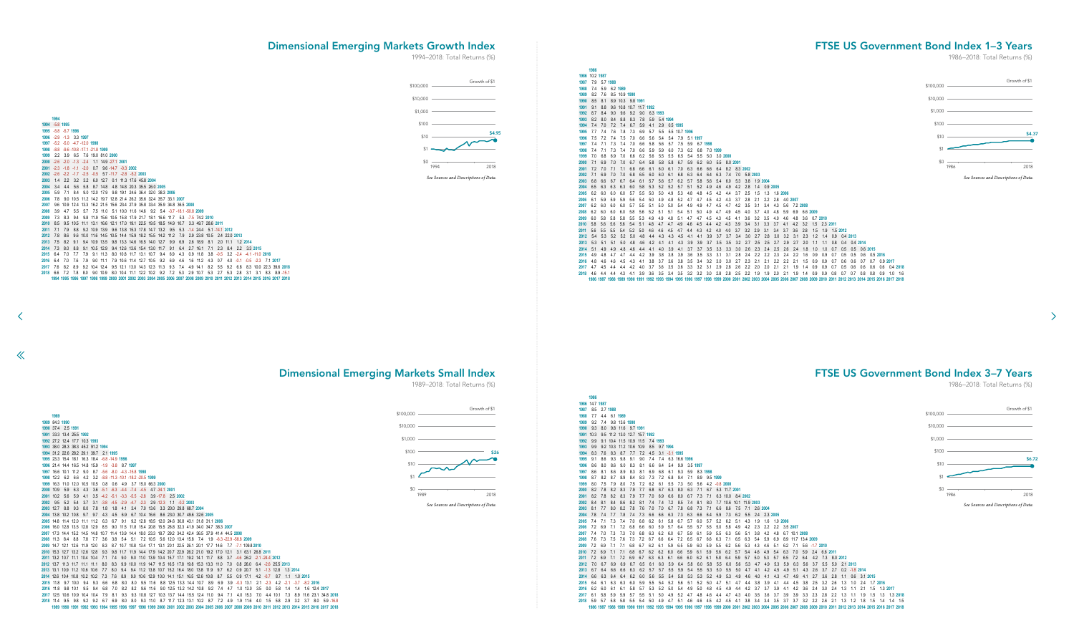![](_page_26_Figure_9.jpeg)

<span id="page-26-0"></span> -5.8 **1995** -5.8 -5.7 **1996** -2.9 -1.3 3.3 **1997** -5.2 -5.0 -4.7 -12.0 **1998** -8.8 -9.6 -10.8 -17.1 -21.8 **1999** 2.2 3.9 6.5 7.6 19.0 81.0 **2000** -2.6 -2.0 -1.3 -2.4 1.1 14.9 -27.1 **2001** -2.3 -1.8 -1.1 -2.0 0.7 9.6 -14.7 -0.3 **2002** -2.6 -2.2 -1.7 -2.5 -0.5 5.7 -11.7 -2.8 -5.2 **2003** 1.4 2.2 3.2 3.2 6.0 12.7 0.1 11.3 17.6 45.8 **2004** 3.4 4.4 5.6 5.8 8.7 14.8 4.8 14.8 20.3 35.5 26.0 **2005** 5.9 7.1 8.4 9.0 12.0 17.9 9.8 19.1 24.6 36.4 32.0 38.3 **2006** 7.8 9.0 10.5 11.2 14.2 19.7 12.8 21.4 26.2 35.6 32.4 35.7 33.1 **2007** 9.6 10.9 12.4 13.3 16.2 21.5 15.6 23.4 27.9 35.8 33.4 35.9 34.8 36.5 **2008** 3.9 4.7 5.5 5.7 7.5 11.0 5.1 10.0 11.6 14.6 9.2 5.4 -3.7 -18.1 -50.8 **2009** 7.3 8.3 9.4 9.8 11.9 15.6 10.5 15.8 17.9 21.7 18.1 16.6 11.7 5.3 -7.5 74.2 **2010** 8.5 9.5 10.5 11.1 13.1 16.6 12.1 17.0 19.1 22.5 19.5 18.5 14.9 10.7 3.3 49.7 28.6 **2011** 7.1 7.9 8.8 9.2 10.9 13.9 9.6 13.8 15.3 17.8 14.7 13.2 9.5 5.3 -1.4 24.4 5.1 -14.1 **2012** 7.8 8.6 9.6 10.0 11.6 14.5 10.5 14.4 15.9 18.2 15.5 14.2 11.2 7.9 2.9 23.8 10.5 2.4 22.0 **2013** 7.5 8.2 9.1 9.4 10.9 13.5 9.8 13.3 14.6 16.5 14.0 12.7 9.9 6.9 2.6 18.9 8.1 2.0 11.1 1.2 **2014** 7.3 8.0 8.8 9.1 10.5 12.9 9.4 12.6 13.6 15.4 13.0 11.7 9.1 6.4 2.7 16.1 7.1 2.3 8.4 2.2 3.3 **2015** 6.4 7.0 7.7 7.9 9.1 11.3 8.0 10.8 11.7 13.1 10.7 9.4 6.9 4.3 0.9 11.8 3.8 -0.5 3.2 -2.4 -4.1 -11.0 **2016** 6.4 7.0 7.6 7.9 9.0 11.1 7.9 10.6 11.4 12.7 10.5 9.2 6.9 4.6 1.6 11.2 4.3 0.7 4.0 -0.1 -0.5 -2.3 7.1 **2017** 7.6 8.2 8.9 9.2 10.4 12.4 9.5 12.1 13.0 14.3 12.3 11.3 9.3 7.4 4.9 14.1 8.2 5.5 9.2 6.8 8.3 10.0 22.3 39.6 **2018 018** 6.6 7.2 7.8 8.0 9.0 10.9 8.0 10.4 11.1 12.2 10.2 9.2 7.2 5.3 2.9 10.7 5.3 2.7 5.3 2.8 3.1 3.1 8.3 8.9 -15.1 1996 1997 1998 1999 2000 2001 2002 2003 2004 2005 2006 2007 2008 2009 2010 2011 2012 2013 2014 2015 2016 2017 2018

 $\ll$ 

![](_page_26_Figure_10.jpeg)

![](_page_26_Figure_13.jpeg)

![](_page_26_Figure_16.jpeg)

# Dimensional Emerging Markets Small Index

## FTSE US Government Bond Index 1–3 Years

1986–2018: Total Returns (%)

FTSE US Government Bond Index 3–7 Years

1986–2018: Total Returns (%)

 $\rightarrow$ 

## Dimensional Emerging Markets Growth Index

1989–2018: Total Returns (%)

![](_page_26_Figure_7.jpeg)

![](_page_26_Figure_2.jpeg)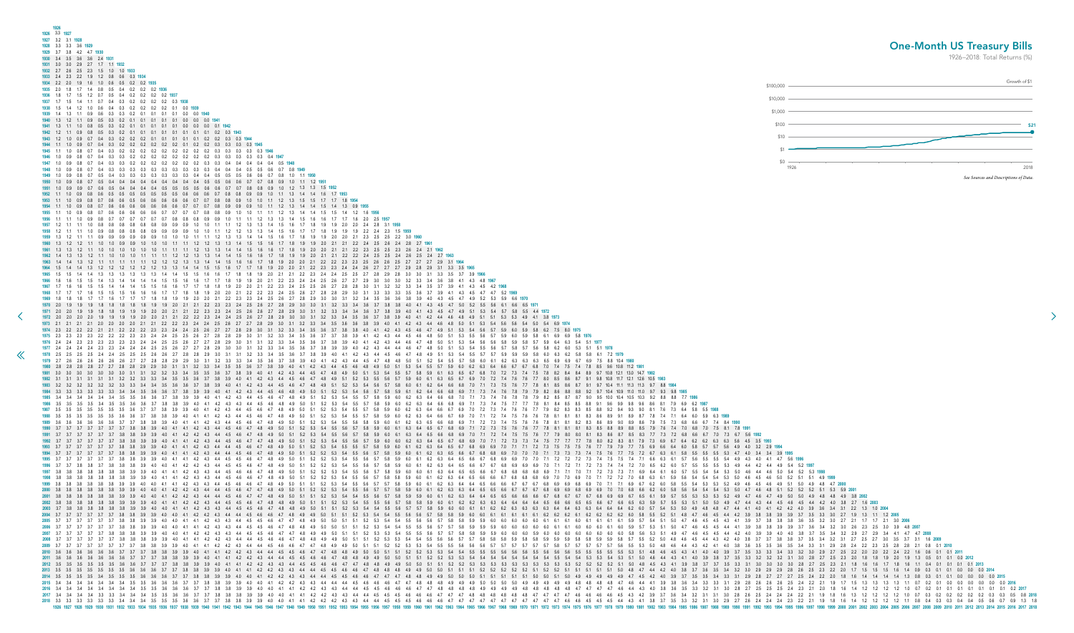<span id="page-27-0"></span>

|                                                                                                                                                                                                                                                                                                                                                                                                                                                                                                                                                                                                                                                                                                                                                                                                                                                                                                                                                                                                                                                                                                                                                                                                                                                                                                                                                                                                                                                                                                                                                                                                                                                                                                                                                                                                                                                                                                                                                                                                                                                                                                                                                                                                                                                                                                                                                                                                                                                                                                                                                                                                                                                                                                                                                                                                                                                                                                                                                                                                                                                                                                                                                                                                                                                                                                                                                                                                                                                                                                                                                                                                                                                                                                                                                                                                                                                                                                                                                                                                                                                                                                                                                                                                                                                                                                                                                                                                                                                                                                                                                                                                                                                                                                                                                                                                                                                                                                                                                                                                                                                                                                                                                                            | 1926 3.3 1927<br>1927 3.2 3.1 1928                                                             |
|----------------------------------------------------------------------------------------------------------------------------------------------------------------------------------------------------------------------------------------------------------------------------------------------------------------------------------------------------------------------------------------------------------------------------------------------------------------------------------------------------------------------------------------------------------------------------------------------------------------------------------------------------------------------------------------------------------------------------------------------------------------------------------------------------------------------------------------------------------------------------------------------------------------------------------------------------------------------------------------------------------------------------------------------------------------------------------------------------------------------------------------------------------------------------------------------------------------------------------------------------------------------------------------------------------------------------------------------------------------------------------------------------------------------------------------------------------------------------------------------------------------------------------------------------------------------------------------------------------------------------------------------------------------------------------------------------------------------------------------------------------------------------------------------------------------------------------------------------------------------------------------------------------------------------------------------------------------------------------------------------------------------------------------------------------------------------------------------------------------------------------------------------------------------------------------------------------------------------------------------------------------------------------------------------------------------------------------------------------------------------------------------------------------------------------------------------------------------------------------------------------------------------------------------------------------------------------------------------------------------------------------------------------------------------------------------------------------------------------------------------------------------------------------------------------------------------------------------------------------------------------------------------------------------------------------------------------------------------------------------------------------------------------------------------------------------------------------------------------------------------------------------------------------------------------------------------------------------------------------------------------------------------------------------------------------------------------------------------------------------------------------------------------------------------------------------------------------------------------------------------------------------------------------------------------------------------------------------------------------------------------------------------------------------------------------------------------------------------------------------------------------------------------------------------------------------------------------------------------------------------------------------------------------------------------------------------------------------------------------------------------------------------------------------------------------------------------------------------------------------------------------------------------------------------------------------------------------------------------------------------------------------------------------------------------------------------------------------------------------------------------------------------------------------------------------------------------------------------------------------------------------------------------------------------------------------------------------------------------------------------------------------------------------------------------------------------------------------------------------------------------------------------------------------------------------------------------------------------------------------------------------------------------------------------------------------------------------------------------------------------------------------------------------------------------------------------------------------------------------------------------------------------------------------------|------------------------------------------------------------------------------------------------|
|                                                                                                                                                                                                                                                                                                                                                                                                                                                                                                                                                                                                                                                                                                                                                                                                                                                                                                                                                                                                                                                                                                                                                                                                                                                                                                                                                                                                                                                                                                                                                                                                                                                                                                                                                                                                                                                                                                                                                                                                                                                                                                                                                                                                                                                                                                                                                                                                                                                                                                                                                                                                                                                                                                                                                                                                                                                                                                                                                                                                                                                                                                                                                                                                                                                                                                                                                                                                                                                                                                                                                                                                                                                                                                                                                                                                                                                                                                                                                                                                                                                                                                                                                                                                                                                                                                                                                                                                                                                                                                                                                                                                                                                                                                                                                                                                                                                                                                                                                                                                                                                                                                                                                                            | 1926<br>1928 3.3 3.3 3.6 1929                                                                  |
|                                                                                                                                                                                                                                                                                                                                                                                                                                                                                                                                                                                                                                                                                                                                                                                                                                                                                                                                                                                                                                                                                                                                                                                                                                                                                                                                                                                                                                                                                                                                                                                                                                                                                                                                                                                                                                                                                                                                                                                                                                                                                                                                                                                                                                                                                                                                                                                                                                                                                                                                                                                                                                                                                                                                                                                                                                                                                                                                                                                                                                                                                                                                                                                                                                                                                                                                                                                                                                                                                                                                                                                                                                                                                                                                                                                                                                                                                                                                                                                                                                                                                                                                                                                                                                                                                                                                                                                                                                                                                                                                                                                                                                                                                                                                                                                                                                                                                                                                                                                                                                                                                                                                                                            |                                                                                                |
|                                                                                                                                                                                                                                                                                                                                                                                                                                                                                                                                                                                                                                                                                                                                                                                                                                                                                                                                                                                                                                                                                                                                                                                                                                                                                                                                                                                                                                                                                                                                                                                                                                                                                                                                                                                                                                                                                                                                                                                                                                                                                                                                                                                                                                                                                                                                                                                                                                                                                                                                                                                                                                                                                                                                                                                                                                                                                                                                                                                                                                                                                                                                                                                                                                                                                                                                                                                                                                                                                                                                                                                                                                                                                                                                                                                                                                                                                                                                                                                                                                                                                                                                                                                                                                                                                                                                                                                                                                                                                                                                                                                                                                                                                                                                                                                                                                                                                                                                                                                                                                                                                                                                                                            |                                                                                                |
|                                                                                                                                                                                                                                                                                                                                                                                                                                                                                                                                                                                                                                                                                                                                                                                                                                                                                                                                                                                                                                                                                                                                                                                                                                                                                                                                                                                                                                                                                                                                                                                                                                                                                                                                                                                                                                                                                                                                                                                                                                                                                                                                                                                                                                                                                                                                                                                                                                                                                                                                                                                                                                                                                                                                                                                                                                                                                                                                                                                                                                                                                                                                                                                                                                                                                                                                                                                                                                                                                                                                                                                                                                                                                                                                                                                                                                                                                                                                                                                                                                                                                                                                                                                                                                                                                                                                                                                                                                                                                                                                                                                                                                                                                                                                                                                                                                                                                                                                                                                                                                                                                                                                                                            | 1929 3.7 3.8 4.2 4.7 1930                                                                      |
|                                                                                                                                                                                                                                                                                                                                                                                                                                                                                                                                                                                                                                                                                                                                                                                                                                                                                                                                                                                                                                                                                                                                                                                                                                                                                                                                                                                                                                                                                                                                                                                                                                                                                                                                                                                                                                                                                                                                                                                                                                                                                                                                                                                                                                                                                                                                                                                                                                                                                                                                                                                                                                                                                                                                                                                                                                                                                                                                                                                                                                                                                                                                                                                                                                                                                                                                                                                                                                                                                                                                                                                                                                                                                                                                                                                                                                                                                                                                                                                                                                                                                                                                                                                                                                                                                                                                                                                                                                                                                                                                                                                                                                                                                                                                                                                                                                                                                                                                                                                                                                                                                                                                                                            |                                                                                                |
|                                                                                                                                                                                                                                                                                                                                                                                                                                                                                                                                                                                                                                                                                                                                                                                                                                                                                                                                                                                                                                                                                                                                                                                                                                                                                                                                                                                                                                                                                                                                                                                                                                                                                                                                                                                                                                                                                                                                                                                                                                                                                                                                                                                                                                                                                                                                                                                                                                                                                                                                                                                                                                                                                                                                                                                                                                                                                                                                                                                                                                                                                                                                                                                                                                                                                                                                                                                                                                                                                                                                                                                                                                                                                                                                                                                                                                                                                                                                                                                                                                                                                                                                                                                                                                                                                                                                                                                                                                                                                                                                                                                                                                                                                                                                                                                                                                                                                                                                                                                                                                                                                                                                                                            |                                                                                                |
|                                                                                                                                                                                                                                                                                                                                                                                                                                                                                                                                                                                                                                                                                                                                                                                                                                                                                                                                                                                                                                                                                                                                                                                                                                                                                                                                                                                                                                                                                                                                                                                                                                                                                                                                                                                                                                                                                                                                                                                                                                                                                                                                                                                                                                                                                                                                                                                                                                                                                                                                                                                                                                                                                                                                                                                                                                                                                                                                                                                                                                                                                                                                                                                                                                                                                                                                                                                                                                                                                                                                                                                                                                                                                                                                                                                                                                                                                                                                                                                                                                                                                                                                                                                                                                                                                                                                                                                                                                                                                                                                                                                                                                                                                                                                                                                                                                                                                                                                                                                                                                                                                                                                                                            |                                                                                                |
|                                                                                                                                                                                                                                                                                                                                                                                                                                                                                                                                                                                                                                                                                                                                                                                                                                                                                                                                                                                                                                                                                                                                                                                                                                                                                                                                                                                                                                                                                                                                                                                                                                                                                                                                                                                                                                                                                                                                                                                                                                                                                                                                                                                                                                                                                                                                                                                                                                                                                                                                                                                                                                                                                                                                                                                                                                                                                                                                                                                                                                                                                                                                                                                                                                                                                                                                                                                                                                                                                                                                                                                                                                                                                                                                                                                                                                                                                                                                                                                                                                                                                                                                                                                                                                                                                                                                                                                                                                                                                                                                                                                                                                                                                                                                                                                                                                                                                                                                                                                                                                                                                                                                                                            |                                                                                                |
|                                                                                                                                                                                                                                                                                                                                                                                                                                                                                                                                                                                                                                                                                                                                                                                                                                                                                                                                                                                                                                                                                                                                                                                                                                                                                                                                                                                                                                                                                                                                                                                                                                                                                                                                                                                                                                                                                                                                                                                                                                                                                                                                                                                                                                                                                                                                                                                                                                                                                                                                                                                                                                                                                                                                                                                                                                                                                                                                                                                                                                                                                                                                                                                                                                                                                                                                                                                                                                                                                                                                                                                                                                                                                                                                                                                                                                                                                                                                                                                                                                                                                                                                                                                                                                                                                                                                                                                                                                                                                                                                                                                                                                                                                                                                                                                                                                                                                                                                                                                                                                                                                                                                                                            |                                                                                                |
|                                                                                                                                                                                                                                                                                                                                                                                                                                                                                                                                                                                                                                                                                                                                                                                                                                                                                                                                                                                                                                                                                                                                                                                                                                                                                                                                                                                                                                                                                                                                                                                                                                                                                                                                                                                                                                                                                                                                                                                                                                                                                                                                                                                                                                                                                                                                                                                                                                                                                                                                                                                                                                                                                                                                                                                                                                                                                                                                                                                                                                                                                                                                                                                                                                                                                                                                                                                                                                                                                                                                                                                                                                                                                                                                                                                                                                                                                                                                                                                                                                                                                                                                                                                                                                                                                                                                                                                                                                                                                                                                                                                                                                                                                                                                                                                                                                                                                                                                                                                                                                                                                                                                                                            |                                                                                                |
|                                                                                                                                                                                                                                                                                                                                                                                                                                                                                                                                                                                                                                                                                                                                                                                                                                                                                                                                                                                                                                                                                                                                                                                                                                                                                                                                                                                                                                                                                                                                                                                                                                                                                                                                                                                                                                                                                                                                                                                                                                                                                                                                                                                                                                                                                                                                                                                                                                                                                                                                                                                                                                                                                                                                                                                                                                                                                                                                                                                                                                                                                                                                                                                                                                                                                                                                                                                                                                                                                                                                                                                                                                                                                                                                                                                                                                                                                                                                                                                                                                                                                                                                                                                                                                                                                                                                                                                                                                                                                                                                                                                                                                                                                                                                                                                                                                                                                                                                                                                                                                                                                                                                                                            |                                                                                                |
|                                                                                                                                                                                                                                                                                                                                                                                                                                                                                                                                                                                                                                                                                                                                                                                                                                                                                                                                                                                                                                                                                                                                                                                                                                                                                                                                                                                                                                                                                                                                                                                                                                                                                                                                                                                                                                                                                                                                                                                                                                                                                                                                                                                                                                                                                                                                                                                                                                                                                                                                                                                                                                                                                                                                                                                                                                                                                                                                                                                                                                                                                                                                                                                                                                                                                                                                                                                                                                                                                                                                                                                                                                                                                                                                                                                                                                                                                                                                                                                                                                                                                                                                                                                                                                                                                                                                                                                                                                                                                                                                                                                                                                                                                                                                                                                                                                                                                                                                                                                                                                                                                                                                                                            |                                                                                                |
|                                                                                                                                                                                                                                                                                                                                                                                                                                                                                                                                                                                                                                                                                                                                                                                                                                                                                                                                                                                                                                                                                                                                                                                                                                                                                                                                                                                                                                                                                                                                                                                                                                                                                                                                                                                                                                                                                                                                                                                                                                                                                                                                                                                                                                                                                                                                                                                                                                                                                                                                                                                                                                                                                                                                                                                                                                                                                                                                                                                                                                                                                                                                                                                                                                                                                                                                                                                                                                                                                                                                                                                                                                                                                                                                                                                                                                                                                                                                                                                                                                                                                                                                                                                                                                                                                                                                                                                                                                                                                                                                                                                                                                                                                                                                                                                                                                                                                                                                                                                                                                                                                                                                                                            |                                                                                                |
| 22 23 24 24                                                                                                                                                                                                                                                                                                                                                                                                                                                                                                                                                                                                                                                                                                                                                                                                                                                                                                                                                                                                                                                                                                                                                                                                                                                                                                                                                                                                                                                                                                                                                                                                                                                                                                                                                                                                                                                                                                                                                                                                                                                                                                                                                                                                                                                                                                                                                                                                                                                                                                                                                                                                                                                                                                                                                                                                                                                                                                                                                                                                                                                                                                                                                                                                                                                                                                                                                                                                                                                                                                                                                                                                                                                                                                                                                                                                                                                                                                                                                                                                                                                                                                                                                                                                                                                                                                                                                                                                                                                                                                                                                                                                                                                                                                                                                                                                                                                                                                                                                                                                                                                                                                                                                                |                                                                                                |
|                                                                                                                                                                                                                                                                                                                                                                                                                                                                                                                                                                                                                                                                                                                                                                                                                                                                                                                                                                                                                                                                                                                                                                                                                                                                                                                                                                                                                                                                                                                                                                                                                                                                                                                                                                                                                                                                                                                                                                                                                                                                                                                                                                                                                                                                                                                                                                                                                                                                                                                                                                                                                                                                                                                                                                                                                                                                                                                                                                                                                                                                                                                                                                                                                                                                                                                                                                                                                                                                                                                                                                                                                                                                                                                                                                                                                                                                                                                                                                                                                                                                                                                                                                                                                                                                                                                                                                                                                                                                                                                                                                                                                                                                                                                                                                                                                                                                                                                                                                                                                                                                                                                                                                            |                                                                                                |
|                                                                                                                                                                                                                                                                                                                                                                                                                                                                                                                                                                                                                                                                                                                                                                                                                                                                                                                                                                                                                                                                                                                                                                                                                                                                                                                                                                                                                                                                                                                                                                                                                                                                                                                                                                                                                                                                                                                                                                                                                                                                                                                                                                                                                                                                                                                                                                                                                                                                                                                                                                                                                                                                                                                                                                                                                                                                                                                                                                                                                                                                                                                                                                                                                                                                                                                                                                                                                                                                                                                                                                                                                                                                                                                                                                                                                                                                                                                                                                                                                                                                                                                                                                                                                                                                                                                                                                                                                                                                                                                                                                                                                                                                                                                                                                                                                                                                                                                                                                                                                                                                                                                                                                            |                                                                                                |
|                                                                                                                                                                                                                                                                                                                                                                                                                                                                                                                                                                                                                                                                                                                                                                                                                                                                                                                                                                                                                                                                                                                                                                                                                                                                                                                                                                                                                                                                                                                                                                                                                                                                                                                                                                                                                                                                                                                                                                                                                                                                                                                                                                                                                                                                                                                                                                                                                                                                                                                                                                                                                                                                                                                                                                                                                                                                                                                                                                                                                                                                                                                                                                                                                                                                                                                                                                                                                                                                                                                                                                                                                                                                                                                                                                                                                                                                                                                                                                                                                                                                                                                                                                                                                                                                                                                                                                                                                                                                                                                                                                                                                                                                                                                                                                                                                                                                                                                                                                                                                                                                                                                                                                            |                                                                                                |
| 25 26 27 28                                                                                                                                                                                                                                                                                                                                                                                                                                                                                                                                                                                                                                                                                                                                                                                                                                                                                                                                                                                                                                                                                                                                                                                                                                                                                                                                                                                                                                                                                                                                                                                                                                                                                                                                                                                                                                                                                                                                                                                                                                                                                                                                                                                                                                                                                                                                                                                                                                                                                                                                                                                                                                                                                                                                                                                                                                                                                                                                                                                                                                                                                                                                                                                                                                                                                                                                                                                                                                                                                                                                                                                                                                                                                                                                                                                                                                                                                                                                                                                                                                                                                                                                                                                                                                                                                                                                                                                                                                                                                                                                                                                                                                                                                                                                                                                                                                                                                                                                                                                                                                                                                                                                                                |                                                                                                |
| 2.9 3.0<br>2.2 2.2 2.3 2.4 2.4 2.5 2.6 2.7 2.7 2.8 2.9 3.0 3.1 3.2 3.3                                                                                                                                                                                                                                                                                                                                                                                                                                                                                                                                                                                                                                                                                                                                                                                                                                                                                                                                                                                                                                                                                                                                                                                                                                                                                                                                                                                                                                                                                                                                                                                                                                                                                                                                                                                                                                                                                                                                                                                                                                                                                                                                                                                                                                                                                                                                                                                                                                                                                                                                                                                                                                                                                                                                                                                                                                                                                                                                                                                                                                                                                                                                                                                                                                                                                                                                                                                                                                                                                                                                                                                                                                                                                                                                                                                                                                                                                                                                                                                                                                                                                                                                                                                                                                                                                                                                                                                                                                                                                                                                                                                                                                                                                                                                                                                                                                                                                                                                                                                                                                                                                                     |                                                                                                |
|                                                                                                                                                                                                                                                                                                                                                                                                                                                                                                                                                                                                                                                                                                                                                                                                                                                                                                                                                                                                                                                                                                                                                                                                                                                                                                                                                                                                                                                                                                                                                                                                                                                                                                                                                                                                                                                                                                                                                                                                                                                                                                                                                                                                                                                                                                                                                                                                                                                                                                                                                                                                                                                                                                                                                                                                                                                                                                                                                                                                                                                                                                                                                                                                                                                                                                                                                                                                                                                                                                                                                                                                                                                                                                                                                                                                                                                                                                                                                                                                                                                                                                                                                                                                                                                                                                                                                                                                                                                                                                                                                                                                                                                                                                                                                                                                                                                                                                                                                                                                                                                                                                                                                                            |                                                                                                |
|                                                                                                                                                                                                                                                                                                                                                                                                                                                                                                                                                                                                                                                                                                                                                                                                                                                                                                                                                                                                                                                                                                                                                                                                                                                                                                                                                                                                                                                                                                                                                                                                                                                                                                                                                                                                                                                                                                                                                                                                                                                                                                                                                                                                                                                                                                                                                                                                                                                                                                                                                                                                                                                                                                                                                                                                                                                                                                                                                                                                                                                                                                                                                                                                                                                                                                                                                                                                                                                                                                                                                                                                                                                                                                                                                                                                                                                                                                                                                                                                                                                                                                                                                                                                                                                                                                                                                                                                                                                                                                                                                                                                                                                                                                                                                                                                                                                                                                                                                                                                                                                                                                                                                                            |                                                                                                |
|                                                                                                                                                                                                                                                                                                                                                                                                                                                                                                                                                                                                                                                                                                                                                                                                                                                                                                                                                                                                                                                                                                                                                                                                                                                                                                                                                                                                                                                                                                                                                                                                                                                                                                                                                                                                                                                                                                                                                                                                                                                                                                                                                                                                                                                                                                                                                                                                                                                                                                                                                                                                                                                                                                                                                                                                                                                                                                                                                                                                                                                                                                                                                                                                                                                                                                                                                                                                                                                                                                                                                                                                                                                                                                                                                                                                                                                                                                                                                                                                                                                                                                                                                                                                                                                                                                                                                                                                                                                                                                                                                                                                                                                                                                                                                                                                                                                                                                                                                                                                                                                                                                                                                                            |                                                                                                |
|                                                                                                                                                                                                                                                                                                                                                                                                                                                                                                                                                                                                                                                                                                                                                                                                                                                                                                                                                                                                                                                                                                                                                                                                                                                                                                                                                                                                                                                                                                                                                                                                                                                                                                                                                                                                                                                                                                                                                                                                                                                                                                                                                                                                                                                                                                                                                                                                                                                                                                                                                                                                                                                                                                                                                                                                                                                                                                                                                                                                                                                                                                                                                                                                                                                                                                                                                                                                                                                                                                                                                                                                                                                                                                                                                                                                                                                                                                                                                                                                                                                                                                                                                                                                                                                                                                                                                                                                                                                                                                                                                                                                                                                                                                                                                                                                                                                                                                                                                                                                                                                                                                                                                                            |                                                                                                |
|                                                                                                                                                                                                                                                                                                                                                                                                                                                                                                                                                                                                                                                                                                                                                                                                                                                                                                                                                                                                                                                                                                                                                                                                                                                                                                                                                                                                                                                                                                                                                                                                                                                                                                                                                                                                                                                                                                                                                                                                                                                                                                                                                                                                                                                                                                                                                                                                                                                                                                                                                                                                                                                                                                                                                                                                                                                                                                                                                                                                                                                                                                                                                                                                                                                                                                                                                                                                                                                                                                                                                                                                                                                                                                                                                                                                                                                                                                                                                                                                                                                                                                                                                                                                                                                                                                                                                                                                                                                                                                                                                                                                                                                                                                                                                                                                                                                                                                                                                                                                                                                                                                                                                                            |                                                                                                |
|                                                                                                                                                                                                                                                                                                                                                                                                                                                                                                                                                                                                                                                                                                                                                                                                                                                                                                                                                                                                                                                                                                                                                                                                                                                                                                                                                                                                                                                                                                                                                                                                                                                                                                                                                                                                                                                                                                                                                                                                                                                                                                                                                                                                                                                                                                                                                                                                                                                                                                                                                                                                                                                                                                                                                                                                                                                                                                                                                                                                                                                                                                                                                                                                                                                                                                                                                                                                                                                                                                                                                                                                                                                                                                                                                                                                                                                                                                                                                                                                                                                                                                                                                                                                                                                                                                                                                                                                                                                                                                                                                                                                                                                                                                                                                                                                                                                                                                                                                                                                                                                                                                                                                                            |                                                                                                |
| 3.4 3.5 3.6 3.6 3.8 3.9 4.0 4.1 4.2 4.3 4.4 4.6 4.8 5.0 5.1<br>1974 23 22 22 21 21 22 22 22 23 23 24 24 25 26 27 27 28 29 30 31 32 33 34 35 36 37 38 38 40 41 42 43 45 46 47 49 51 53 54 56 57 59 60 59 58 62 75 80 1975<br>1975 2.3 2.3 2.3 2.2 2.2 2.2 2.3 2.4 2.4 2.5 2.5 2.6 2.7 2.8 2.8 2.9 3.0 3.1 3.2 3.3 3.4 3.5 3.6 3.7 3.7 3.8 3.9 4.1 4.2 4.3 4.4 4.5 4.6 4.8 5.0 5.1 5.3 5.5 5.6 5.7 5.9 6.0 5.9 5.8 6.1 6.9 6.9 5.8 1976<br>1976 24 24 23 23 23 23 23 24 24 25 25 26 27 27 28 29 30 31 31 32 33 34 35 36 37 38 39 40 41 42 43 44 46 47 48 50 51 53 54 56 56 58 59 58 57 59 64 63 54 51 1977<br>1977 24 24 24 24 23 23 24 24 25 25 26 27 27 28 29 30 30 31 32 33 34 35 36 37 38 39 40 42 43 44 44 46 47 48 50 51 53 54 55 56 57 58 57 56 58 62 60 53 51 51 1978<br>1978 2.5 2.5 2.5 2.4 2.4 2.5 2.5 2.5 2.6 2.6 2.7 2.8 2.9 3.0 3.1 3.1 3.2 3.3 3.4 3.5 3.6 3.7 3.8 3.9 4.0 4.1 4.2 4.3 4.4 4.5 4.6 4.7 4.8 4.9 5.1 5.3 5.4 5.5 5.7 5.7 5.9 5.9 5.9 5.9 5.8 6.0 6.3 6.2 5.8 5.8 6.1 7.2 1979<br>1979 2.7 2.6 2.6 2.6 2.6 2.6 2.7 2.7 2.8 2.9 2.9 3.0 3.1 3.2 3.3 3.3 3.4 3.5 3.6 3.7 3.8 3.9 4.0 4.1 4.2 4.3 4.4 4.5 4.7 4.8 4.8 5.0 5.1 5.2 5.4 5.5 5.7 5.8 6.0 6.1 6.2 6.3 6.3 6.3 6.5 6.9 6.9 6.7 6.9 7.5 8.8 10.4 1980<br>1980 2.8 2.8 2.8 2.7 2.7 2.8 2.9 2.9 3.0 3.1 3.1 3.2 3.3 3.4 3.5 3.5 3.6 3.7 3.8 3.9 4.0 4.1 4.2 4.3 4.4 4.5 4.6 4.9 4.9 5.0 5.1 5.3 5.4 5.5 5.7 5.9 6.0 6.2 6.3 6.4 6.6 6.7 6.7 6.8 7.0 7.4 7.5 7.4 7.8 8.5 9.6 10.8 11.2 1981<br>1981 3.0 3.0 3.0 3.0 3.0 3.0 3.1 3.1 3.2 3.2 3.3 3.4 3.5 3.5 3.6 3.7 3.8 3.9 4.0 4.1 4.2 4.3 4.4 4.5 4.7 4.8 4.9 5.0 5.1 5.3 5.4 5.5 5.5 5.8 5.9 6.1 6.3 6.5 6.7 6.8 7.0 7.2 7.3 7.4 7.5 7.8 8.2 8.4 8.4 8.9 9.7 10.8 12.1 13.0<br>1982 3.1 3.1 3.1 3.1 3.1 3.1 3.2 3.2 3.3 3.4 3.5 3.5 3.6 3.7 3.8 3.9 4.0 4.1 4.2 4.3 4.4 4.5 4.6 4.7 4.8 4.9 5.1 5.2 5.5 5.5 5.5 5.5 5.6 5.7 5.9 6.0 6.1 6.3 6.5 6.7 6.9 7.0 7.2 7.4 7.6 7.6 7.7 8.0 8.5 8.6 8.7 9.1 9.8 10.8 1<br>1983 32 32 32 32 32 33 33 34 34 35 36 36 37 38 39 40 41 42 43 44 45 46 47 48 49 51 52 53 54 56 57 58 60 61 62 64 66 68 70 71 73 75 76 77 78 81 85<br>1984 3.3 3.3 3.3 3.3 3.3 3.4 3.4 3.5 3.6 3.6 3.7 3.8 3.9 3.9 4.0 4.1 4.2 4.3 4.4 4.5 4.6 4.8 4.9 5.0 5.1 5.2 5.3 5.4 5.6 5.7 5.8 5.9 6.1 6.2 6.4 6.6 6.8 6.9 7.1 7.3 7.4 7.6 7.8 7.9 7.9 8.2 8.6 8.8 8.8 9.2 9.7 10.4 10.9 11.0<br>1985 3.4 3.4 3.4 3.4 3.4 3.5 3.5 3.6 3.6 3.7 3.8 3.9 3.9 4.0 4.1 4.2 4.3 4.4 4.5 4.6 4.7 4.8 4.9 5.1 5.2 5.3 5.4 5.5 5.7 5.8 5.9 6.0 6.2 6.3 6.4 6.6 6.8 7.0 7.1 7.3 7.4 7.6 7.8 7.8 7.9 8.2 8.5 8.7 8.7 9.0 9.5 10.0 10.4 10.5<br>1986 3.5 3.5 3.5 3.5 3.6 3.5 3.6 3.6 3.7 3.8 3.8 3.9 4.0 4.1 4.2 4.3 4.4 4.5 4.6 4.8 4.9 5.0 5.1 5.2 5.3 5.4 5.5 5.0 5.0 5.6 5.9 5.0 5.6 5.6 5.6 5.6 5.6 5.6 5.6 5.6 5.7 7.1 7.8 7.4 7.5 7.7 7.7 7.8 8.1 8.4 8.5 8.5 8.8 9.1 9.<br>1987 3.5 3.5 3.5 3.5 3.5 3.5 3.6 3.7 3.7 3.8 3.9 3.9 4.0 4.1 4.2 4.3 4.4 4.5 4.6 4.7 4.8 4.9 5.0 5.1 5.2 5.3 5.4 5.5 5.7 5.8 5.9 6.0 6.2 6.3 6.4 6.6 6.7 6.9 7.0 7.2 7.3 7.4 7.6 7.6 7.7 7.9 8.2 8.3 8.3 8.5 8.8 9.2 9.4 9.3 9.<br>1988 3.5 3.5 3.5 3.5 3.5 3.6 3.6 3.7 3.8 3.9 4.0 4.1 4.1 4.2 4.3 4.4 4.5 4.6 4.7 4.8 4.9 5.0 5.1 5.2 5.3 5.4 5.5 5.7 5.8 6.9 6.2 6.3 6.4 6.6 6.7 6.9 7.0 7.1 7.2 7.4 7.5 7.6 7.6 7.6 7.8 8.1 8.1 8.1 8.1 8.1 8.3 8.6 8.9 9.1 8.<br>1989 3.6 3.6 3.6 3.6 3.6 3.7 3.7 3.8 3.9 4.0 4.1 4.1 4.2 4.3 4.4 4.5 4.6 4.7 4.8 4.9 5.0 5.1 5.2 5.3 5.4 5.5 5.6 5.9 6.0 6.1 6.2 6.3 6.6 6.8 6.9 7.1 7.2 7.3 7.4 7.5 7.6 7.6 7.8 8.1 8.1 8.1 8.1 8.1 8.2 8.3 8.6 8.9 9.0 8.9 86<br>1990 3.7 3.7 3.7 3.7 3.7 3.7 3.8 3.8 3.9 4.0 4.1 4.1 4.2 4.3 4.4 4.5 4.6 4.7 4.8 4.9 5.0 5.1 5.2 5.3 5.4 5.5 5.6 5.7 5.8 5.9 6.0 6.1 6.3 6.4 6.5 6.7 6.8 6.9 7.1 7.2 7.3 7.5 7.6 7.6 7.7 7.8 8.1 8.1 8.1 8.1 8.3 8.5 8.8 8.9 8.<br>1991 3.7 3.7 3.7 3.7 3.7 3.8 3.8 3.9 3.9 4.0 4.1 4.2 4.2 4.3 4.4 4.5 4.6 4.7 4.8 4.9 5.0 5.1 5.2 5.3 5.4 5.5 5.6 5.7 5.8 5.9 6.0 6.1 6.3 6.6 6.8 6.9 7.0 7.1 7.2 7.4 7.5 7.5 7.5 7.5 7.5 7.7 9 8.0 8.0 8.1 8.3 8.6 8.7 8.5 8.3<br>1992 3.7 3.7 3.7 3.7 3.7 3.7 3.8 3.9 3.9 4.0 4.1 4.2 4.3 4.4 4.5 4.6 4.7 4.8 4.9 5.0 5.1 5.2 5.3 5.4 5.5 5.6 5.7 5.9 6.0 6.0 6.2 6.9 6.9 7.0 7.1 7.2 7.3 7.3 7.4 7.5 7.7 7.7 7.7 7.7 7.8 8.0 8.2 8.3 8.1 7.9 7.3 6.9 6.7 6.4 6.<br>1993 3.7 3.7 3.7 3.7 3.7 3.8 3.8 3.9 3.9 4.0 4.1 4.1 4.2 4.3 4.4 4.4 4.5 4.6 4.7 4.8 4.9 5.0 5.1 5.2 5.3 5.4 5.5 5.5 5.7 5.8 5.9 6.0 6.1 6.2 6.3 6.4 6.9 5.9 6.9 6.9 7.0 7.1 7.1 7.1 7.2 7.3 7.5 7.5 7.5 7.5 7.5 7.5 7.5 7.5 7.<br>1994 3.7 3.7 3.7 3.7 3.7 3.7 3.8 3.9 3.9 4.0 4.1 4.1 4.2 4.3 4.4 4.4 4.5 4.6 4.7 4.8 4.9 5.0 5.1 5.2 5.3 5.4 5.5 5.6 5.7 5.8 5.9 6.6 5.6 6.8 6.8 6.8 6.9 7.0 7.0 7.1 7.3 7.3 7.3 7.3 7.4 7.5 7.5 7.2 6.7 6.3 5.5 5.5 5.5 5.5 5.<br>1995 3.7 3.7 3.7 3.7 3.7 3.8 3.8 3.9 3.9 4.0 4.1 4.2 4.3 4.4 4.5 4.6 4.7 4.8 4.9 5.0 5.1 5.2 5.3 5.4 5.5 5.6 5.7 5.8 5.9 6.0 6.1 6.2 6.3 6.4 6.5 6.6 6.9 6.9 7.0 7.0 7.1 7.2 7.2 7.2 7.3 7.4 7.5 7.5 7.4 7.1 6.6 6.3 6.1 5.7 5.<br>1996 3.7 3.7 3.8 3.8 3.7 3.8 3.8 3.8 3.9 4.0 4.1 4.2 4.2 4.3 4.4 4.5 4.6 4.7 4.8 4.9 5.0 5.1 5.2 5.3 5.4 5.5 5.6 5.7 5.8 5.9 6.0 6.1 6.2 6.3 6.4 6.5 6.6 6.7 6.8 6.9 6.9 6.9 6.9 7.0 7.1 7.2 7.1 7.2 7.1 7.2 7.1 7.4 7.4 7.2 7. |                                                                                                |
|                                                                                                                                                                                                                                                                                                                                                                                                                                                                                                                                                                                                                                                                                                                                                                                                                                                                                                                                                                                                                                                                                                                                                                                                                                                                                                                                                                                                                                                                                                                                                                                                                                                                                                                                                                                                                                                                                                                                                                                                                                                                                                                                                                                                                                                                                                                                                                                                                                                                                                                                                                                                                                                                                                                                                                                                                                                                                                                                                                                                                                                                                                                                                                                                                                                                                                                                                                                                                                                                                                                                                                                                                                                                                                                                                                                                                                                                                                                                                                                                                                                                                                                                                                                                                                                                                                                                                                                                                                                                                                                                                                                                                                                                                                                                                                                                                                                                                                                                                                                                                                                                                                                                                                            |                                                                                                |
|                                                                                                                                                                                                                                                                                                                                                                                                                                                                                                                                                                                                                                                                                                                                                                                                                                                                                                                                                                                                                                                                                                                                                                                                                                                                                                                                                                                                                                                                                                                                                                                                                                                                                                                                                                                                                                                                                                                                                                                                                                                                                                                                                                                                                                                                                                                                                                                                                                                                                                                                                                                                                                                                                                                                                                                                                                                                                                                                                                                                                                                                                                                                                                                                                                                                                                                                                                                                                                                                                                                                                                                                                                                                                                                                                                                                                                                                                                                                                                                                                                                                                                                                                                                                                                                                                                                                                                                                                                                                                                                                                                                                                                                                                                                                                                                                                                                                                                                                                                                                                                                                                                                                                                            |                                                                                                |
|                                                                                                                                                                                                                                                                                                                                                                                                                                                                                                                                                                                                                                                                                                                                                                                                                                                                                                                                                                                                                                                                                                                                                                                                                                                                                                                                                                                                                                                                                                                                                                                                                                                                                                                                                                                                                                                                                                                                                                                                                                                                                                                                                                                                                                                                                                                                                                                                                                                                                                                                                                                                                                                                                                                                                                                                                                                                                                                                                                                                                                                                                                                                                                                                                                                                                                                                                                                                                                                                                                                                                                                                                                                                                                                                                                                                                                                                                                                                                                                                                                                                                                                                                                                                                                                                                                                                                                                                                                                                                                                                                                                                                                                                                                                                                                                                                                                                                                                                                                                                                                                                                                                                                                            |                                                                                                |
|                                                                                                                                                                                                                                                                                                                                                                                                                                                                                                                                                                                                                                                                                                                                                                                                                                                                                                                                                                                                                                                                                                                                                                                                                                                                                                                                                                                                                                                                                                                                                                                                                                                                                                                                                                                                                                                                                                                                                                                                                                                                                                                                                                                                                                                                                                                                                                                                                                                                                                                                                                                                                                                                                                                                                                                                                                                                                                                                                                                                                                                                                                                                                                                                                                                                                                                                                                                                                                                                                                                                                                                                                                                                                                                                                                                                                                                                                                                                                                                                                                                                                                                                                                                                                                                                                                                                                                                                                                                                                                                                                                                                                                                                                                                                                                                                                                                                                                                                                                                                                                                                                                                                                                            |                                                                                                |
|                                                                                                                                                                                                                                                                                                                                                                                                                                                                                                                                                                                                                                                                                                                                                                                                                                                                                                                                                                                                                                                                                                                                                                                                                                                                                                                                                                                                                                                                                                                                                                                                                                                                                                                                                                                                                                                                                                                                                                                                                                                                                                                                                                                                                                                                                                                                                                                                                                                                                                                                                                                                                                                                                                                                                                                                                                                                                                                                                                                                                                                                                                                                                                                                                                                                                                                                                                                                                                                                                                                                                                                                                                                                                                                                                                                                                                                                                                                                                                                                                                                                                                                                                                                                                                                                                                                                                                                                                                                                                                                                                                                                                                                                                                                                                                                                                                                                                                                                                                                                                                                                                                                                                                            |                                                                                                |
|                                                                                                                                                                                                                                                                                                                                                                                                                                                                                                                                                                                                                                                                                                                                                                                                                                                                                                                                                                                                                                                                                                                                                                                                                                                                                                                                                                                                                                                                                                                                                                                                                                                                                                                                                                                                                                                                                                                                                                                                                                                                                                                                                                                                                                                                                                                                                                                                                                                                                                                                                                                                                                                                                                                                                                                                                                                                                                                                                                                                                                                                                                                                                                                                                                                                                                                                                                                                                                                                                                                                                                                                                                                                                                                                                                                                                                                                                                                                                                                                                                                                                                                                                                                                                                                                                                                                                                                                                                                                                                                                                                                                                                                                                                                                                                                                                                                                                                                                                                                                                                                                                                                                                                            |                                                                                                |
|                                                                                                                                                                                                                                                                                                                                                                                                                                                                                                                                                                                                                                                                                                                                                                                                                                                                                                                                                                                                                                                                                                                                                                                                                                                                                                                                                                                                                                                                                                                                                                                                                                                                                                                                                                                                                                                                                                                                                                                                                                                                                                                                                                                                                                                                                                                                                                                                                                                                                                                                                                                                                                                                                                                                                                                                                                                                                                                                                                                                                                                                                                                                                                                                                                                                                                                                                                                                                                                                                                                                                                                                                                                                                                                                                                                                                                                                                                                                                                                                                                                                                                                                                                                                                                                                                                                                                                                                                                                                                                                                                                                                                                                                                                                                                                                                                                                                                                                                                                                                                                                                                                                                                                            |                                                                                                |
|                                                                                                                                                                                                                                                                                                                                                                                                                                                                                                                                                                                                                                                                                                                                                                                                                                                                                                                                                                                                                                                                                                                                                                                                                                                                                                                                                                                                                                                                                                                                                                                                                                                                                                                                                                                                                                                                                                                                                                                                                                                                                                                                                                                                                                                                                                                                                                                                                                                                                                                                                                                                                                                                                                                                                                                                                                                                                                                                                                                                                                                                                                                                                                                                                                                                                                                                                                                                                                                                                                                                                                                                                                                                                                                                                                                                                                                                                                                                                                                                                                                                                                                                                                                                                                                                                                                                                                                                                                                                                                                                                                                                                                                                                                                                                                                                                                                                                                                                                                                                                                                                                                                                                                            |                                                                                                |
|                                                                                                                                                                                                                                                                                                                                                                                                                                                                                                                                                                                                                                                                                                                                                                                                                                                                                                                                                                                                                                                                                                                                                                                                                                                                                                                                                                                                                                                                                                                                                                                                                                                                                                                                                                                                                                                                                                                                                                                                                                                                                                                                                                                                                                                                                                                                                                                                                                                                                                                                                                                                                                                                                                                                                                                                                                                                                                                                                                                                                                                                                                                                                                                                                                                                                                                                                                                                                                                                                                                                                                                                                                                                                                                                                                                                                                                                                                                                                                                                                                                                                                                                                                                                                                                                                                                                                                                                                                                                                                                                                                                                                                                                                                                                                                                                                                                                                                                                                                                                                                                                                                                                                                            |                                                                                                |
| 4.6 4.8 4.9 5.1 5.1 5.3 5.3 4.9 4.1 3.8 1973                                                                                                                                                                                                                                                                                                                                                                                                                                                                                                                                                                                                                                                                                                                                                                                                                                                                                                                                                                                                                                                                                                                                                                                                                                                                                                                                                                                                                                                                                                                                                                                                                                                                                                                                                                                                                                                                                                                                                                                                                                                                                                                                                                                                                                                                                                                                                                                                                                                                                                                                                                                                                                                                                                                                                                                                                                                                                                                                                                                                                                                                                                                                                                                                                                                                                                                                                                                                                                                                                                                                                                                                                                                                                                                                                                                                                                                                                                                                                                                                                                                                                                                                                                                                                                                                                                                                                                                                                                                                                                                                                                                                                                                                                                                                                                                                                                                                                                                                                                                                                                                                                                                               |                                                                                                |
|                                                                                                                                                                                                                                                                                                                                                                                                                                                                                                                                                                                                                                                                                                                                                                                                                                                                                                                                                                                                                                                                                                                                                                                                                                                                                                                                                                                                                                                                                                                                                                                                                                                                                                                                                                                                                                                                                                                                                                                                                                                                                                                                                                                                                                                                                                                                                                                                                                                                                                                                                                                                                                                                                                                                                                                                                                                                                                                                                                                                                                                                                                                                                                                                                                                                                                                                                                                                                                                                                                                                                                                                                                                                                                                                                                                                                                                                                                                                                                                                                                                                                                                                                                                                                                                                                                                                                                                                                                                                                                                                                                                                                                                                                                                                                                                                                                                                                                                                                                                                                                                                                                                                                                            |                                                                                                |
|                                                                                                                                                                                                                                                                                                                                                                                                                                                                                                                                                                                                                                                                                                                                                                                                                                                                                                                                                                                                                                                                                                                                                                                                                                                                                                                                                                                                                                                                                                                                                                                                                                                                                                                                                                                                                                                                                                                                                                                                                                                                                                                                                                                                                                                                                                                                                                                                                                                                                                                                                                                                                                                                                                                                                                                                                                                                                                                                                                                                                                                                                                                                                                                                                                                                                                                                                                                                                                                                                                                                                                                                                                                                                                                                                                                                                                                                                                                                                                                                                                                                                                                                                                                                                                                                                                                                                                                                                                                                                                                                                                                                                                                                                                                                                                                                                                                                                                                                                                                                                                                                                                                                                                            |                                                                                                |
|                                                                                                                                                                                                                                                                                                                                                                                                                                                                                                                                                                                                                                                                                                                                                                                                                                                                                                                                                                                                                                                                                                                                                                                                                                                                                                                                                                                                                                                                                                                                                                                                                                                                                                                                                                                                                                                                                                                                                                                                                                                                                                                                                                                                                                                                                                                                                                                                                                                                                                                                                                                                                                                                                                                                                                                                                                                                                                                                                                                                                                                                                                                                                                                                                                                                                                                                                                                                                                                                                                                                                                                                                                                                                                                                                                                                                                                                                                                                                                                                                                                                                                                                                                                                                                                                                                                                                                                                                                                                                                                                                                                                                                                                                                                                                                                                                                                                                                                                                                                                                                                                                                                                                                            |                                                                                                |
|                                                                                                                                                                                                                                                                                                                                                                                                                                                                                                                                                                                                                                                                                                                                                                                                                                                                                                                                                                                                                                                                                                                                                                                                                                                                                                                                                                                                                                                                                                                                                                                                                                                                                                                                                                                                                                                                                                                                                                                                                                                                                                                                                                                                                                                                                                                                                                                                                                                                                                                                                                                                                                                                                                                                                                                                                                                                                                                                                                                                                                                                                                                                                                                                                                                                                                                                                                                                                                                                                                                                                                                                                                                                                                                                                                                                                                                                                                                                                                                                                                                                                                                                                                                                                                                                                                                                                                                                                                                                                                                                                                                                                                                                                                                                                                                                                                                                                                                                                                                                                                                                                                                                                                            |                                                                                                |
|                                                                                                                                                                                                                                                                                                                                                                                                                                                                                                                                                                                                                                                                                                                                                                                                                                                                                                                                                                                                                                                                                                                                                                                                                                                                                                                                                                                                                                                                                                                                                                                                                                                                                                                                                                                                                                                                                                                                                                                                                                                                                                                                                                                                                                                                                                                                                                                                                                                                                                                                                                                                                                                                                                                                                                                                                                                                                                                                                                                                                                                                                                                                                                                                                                                                                                                                                                                                                                                                                                                                                                                                                                                                                                                                                                                                                                                                                                                                                                                                                                                                                                                                                                                                                                                                                                                                                                                                                                                                                                                                                                                                                                                                                                                                                                                                                                                                                                                                                                                                                                                                                                                                                                            |                                                                                                |
|                                                                                                                                                                                                                                                                                                                                                                                                                                                                                                                                                                                                                                                                                                                                                                                                                                                                                                                                                                                                                                                                                                                                                                                                                                                                                                                                                                                                                                                                                                                                                                                                                                                                                                                                                                                                                                                                                                                                                                                                                                                                                                                                                                                                                                                                                                                                                                                                                                                                                                                                                                                                                                                                                                                                                                                                                                                                                                                                                                                                                                                                                                                                                                                                                                                                                                                                                                                                                                                                                                                                                                                                                                                                                                                                                                                                                                                                                                                                                                                                                                                                                                                                                                                                                                                                                                                                                                                                                                                                                                                                                                                                                                                                                                                                                                                                                                                                                                                                                                                                                                                                                                                                                                            |                                                                                                |
|                                                                                                                                                                                                                                                                                                                                                                                                                                                                                                                                                                                                                                                                                                                                                                                                                                                                                                                                                                                                                                                                                                                                                                                                                                                                                                                                                                                                                                                                                                                                                                                                                                                                                                                                                                                                                                                                                                                                                                                                                                                                                                                                                                                                                                                                                                                                                                                                                                                                                                                                                                                                                                                                                                                                                                                                                                                                                                                                                                                                                                                                                                                                                                                                                                                                                                                                                                                                                                                                                                                                                                                                                                                                                                                                                                                                                                                                                                                                                                                                                                                                                                                                                                                                                                                                                                                                                                                                                                                                                                                                                                                                                                                                                                                                                                                                                                                                                                                                                                                                                                                                                                                                                                            |                                                                                                |
|                                                                                                                                                                                                                                                                                                                                                                                                                                                                                                                                                                                                                                                                                                                                                                                                                                                                                                                                                                                                                                                                                                                                                                                                                                                                                                                                                                                                                                                                                                                                                                                                                                                                                                                                                                                                                                                                                                                                                                                                                                                                                                                                                                                                                                                                                                                                                                                                                                                                                                                                                                                                                                                                                                                                                                                                                                                                                                                                                                                                                                                                                                                                                                                                                                                                                                                                                                                                                                                                                                                                                                                                                                                                                                                                                                                                                                                                                                                                                                                                                                                                                                                                                                                                                                                                                                                                                                                                                                                                                                                                                                                                                                                                                                                                                                                                                                                                                                                                                                                                                                                                                                                                                                            |                                                                                                |
|                                                                                                                                                                                                                                                                                                                                                                                                                                                                                                                                                                                                                                                                                                                                                                                                                                                                                                                                                                                                                                                                                                                                                                                                                                                                                                                                                                                                                                                                                                                                                                                                                                                                                                                                                                                                                                                                                                                                                                                                                                                                                                                                                                                                                                                                                                                                                                                                                                                                                                                                                                                                                                                                                                                                                                                                                                                                                                                                                                                                                                                                                                                                                                                                                                                                                                                                                                                                                                                                                                                                                                                                                                                                                                                                                                                                                                                                                                                                                                                                                                                                                                                                                                                                                                                                                                                                                                                                                                                                                                                                                                                                                                                                                                                                                                                                                                                                                                                                                                                                                                                                                                                                                                            |                                                                                                |
|                                                                                                                                                                                                                                                                                                                                                                                                                                                                                                                                                                                                                                                                                                                                                                                                                                                                                                                                                                                                                                                                                                                                                                                                                                                                                                                                                                                                                                                                                                                                                                                                                                                                                                                                                                                                                                                                                                                                                                                                                                                                                                                                                                                                                                                                                                                                                                                                                                                                                                                                                                                                                                                                                                                                                                                                                                                                                                                                                                                                                                                                                                                                                                                                                                                                                                                                                                                                                                                                                                                                                                                                                                                                                                                                                                                                                                                                                                                                                                                                                                                                                                                                                                                                                                                                                                                                                                                                                                                                                                                                                                                                                                                                                                                                                                                                                                                                                                                                                                                                                                                                                                                                                                            |                                                                                                |
|                                                                                                                                                                                                                                                                                                                                                                                                                                                                                                                                                                                                                                                                                                                                                                                                                                                                                                                                                                                                                                                                                                                                                                                                                                                                                                                                                                                                                                                                                                                                                                                                                                                                                                                                                                                                                                                                                                                                                                                                                                                                                                                                                                                                                                                                                                                                                                                                                                                                                                                                                                                                                                                                                                                                                                                                                                                                                                                                                                                                                                                                                                                                                                                                                                                                                                                                                                                                                                                                                                                                                                                                                                                                                                                                                                                                                                                                                                                                                                                                                                                                                                                                                                                                                                                                                                                                                                                                                                                                                                                                                                                                                                                                                                                                                                                                                                                                                                                                                                                                                                                                                                                                                                            |                                                                                                |
| 8.6 8.7 9.1 9.7 10.4 11.1 11.3 11.3 9.7 8.8 1984                                                                                                                                                                                                                                                                                                                                                                                                                                                                                                                                                                                                                                                                                                                                                                                                                                                                                                                                                                                                                                                                                                                                                                                                                                                                                                                                                                                                                                                                                                                                                                                                                                                                                                                                                                                                                                                                                                                                                                                                                                                                                                                                                                                                                                                                                                                                                                                                                                                                                                                                                                                                                                                                                                                                                                                                                                                                                                                                                                                                                                                                                                                                                                                                                                                                                                                                                                                                                                                                                                                                                                                                                                                                                                                                                                                                                                                                                                                                                                                                                                                                                                                                                                                                                                                                                                                                                                                                                                                                                                                                                                                                                                                                                                                                                                                                                                                                                                                                                                                                                                                                                                                           |                                                                                                |
|                                                                                                                                                                                                                                                                                                                                                                                                                                                                                                                                                                                                                                                                                                                                                                                                                                                                                                                                                                                                                                                                                                                                                                                                                                                                                                                                                                                                                                                                                                                                                                                                                                                                                                                                                                                                                                                                                                                                                                                                                                                                                                                                                                                                                                                                                                                                                                                                                                                                                                                                                                                                                                                                                                                                                                                                                                                                                                                                                                                                                                                                                                                                                                                                                                                                                                                                                                                                                                                                                                                                                                                                                                                                                                                                                                                                                                                                                                                                                                                                                                                                                                                                                                                                                                                                                                                                                                                                                                                                                                                                                                                                                                                                                                                                                                                                                                                                                                                                                                                                                                                                                                                                                                            |                                                                                                |
|                                                                                                                                                                                                                                                                                                                                                                                                                                                                                                                                                                                                                                                                                                                                                                                                                                                                                                                                                                                                                                                                                                                                                                                                                                                                                                                                                                                                                                                                                                                                                                                                                                                                                                                                                                                                                                                                                                                                                                                                                                                                                                                                                                                                                                                                                                                                                                                                                                                                                                                                                                                                                                                                                                                                                                                                                                                                                                                                                                                                                                                                                                                                                                                                                                                                                                                                                                                                                                                                                                                                                                                                                                                                                                                                                                                                                                                                                                                                                                                                                                                                                                                                                                                                                                                                                                                                                                                                                                                                                                                                                                                                                                                                                                                                                                                                                                                                                                                                                                                                                                                                                                                                                                            |                                                                                                |
|                                                                                                                                                                                                                                                                                                                                                                                                                                                                                                                                                                                                                                                                                                                                                                                                                                                                                                                                                                                                                                                                                                                                                                                                                                                                                                                                                                                                                                                                                                                                                                                                                                                                                                                                                                                                                                                                                                                                                                                                                                                                                                                                                                                                                                                                                                                                                                                                                                                                                                                                                                                                                                                                                                                                                                                                                                                                                                                                                                                                                                                                                                                                                                                                                                                                                                                                                                                                                                                                                                                                                                                                                                                                                                                                                                                                                                                                                                                                                                                                                                                                                                                                                                                                                                                                                                                                                                                                                                                                                                                                                                                                                                                                                                                                                                                                                                                                                                                                                                                                                                                                                                                                                                            |                                                                                                |
|                                                                                                                                                                                                                                                                                                                                                                                                                                                                                                                                                                                                                                                                                                                                                                                                                                                                                                                                                                                                                                                                                                                                                                                                                                                                                                                                                                                                                                                                                                                                                                                                                                                                                                                                                                                                                                                                                                                                                                                                                                                                                                                                                                                                                                                                                                                                                                                                                                                                                                                                                                                                                                                                                                                                                                                                                                                                                                                                                                                                                                                                                                                                                                                                                                                                                                                                                                                                                                                                                                                                                                                                                                                                                                                                                                                                                                                                                                                                                                                                                                                                                                                                                                                                                                                                                                                                                                                                                                                                                                                                                                                                                                                                                                                                                                                                                                                                                                                                                                                                                                                                                                                                                                            |                                                                                                |
|                                                                                                                                                                                                                                                                                                                                                                                                                                                                                                                                                                                                                                                                                                                                                                                                                                                                                                                                                                                                                                                                                                                                                                                                                                                                                                                                                                                                                                                                                                                                                                                                                                                                                                                                                                                                                                                                                                                                                                                                                                                                                                                                                                                                                                                                                                                                                                                                                                                                                                                                                                                                                                                                                                                                                                                                                                                                                                                                                                                                                                                                                                                                                                                                                                                                                                                                                                                                                                                                                                                                                                                                                                                                                                                                                                                                                                                                                                                                                                                                                                                                                                                                                                                                                                                                                                                                                                                                                                                                                                                                                                                                                                                                                                                                                                                                                                                                                                                                                                                                                                                                                                                                                                            |                                                                                                |
|                                                                                                                                                                                                                                                                                                                                                                                                                                                                                                                                                                                                                                                                                                                                                                                                                                                                                                                                                                                                                                                                                                                                                                                                                                                                                                                                                                                                                                                                                                                                                                                                                                                                                                                                                                                                                                                                                                                                                                                                                                                                                                                                                                                                                                                                                                                                                                                                                                                                                                                                                                                                                                                                                                                                                                                                                                                                                                                                                                                                                                                                                                                                                                                                                                                                                                                                                                                                                                                                                                                                                                                                                                                                                                                                                                                                                                                                                                                                                                                                                                                                                                                                                                                                                                                                                                                                                                                                                                                                                                                                                                                                                                                                                                                                                                                                                                                                                                                                                                                                                                                                                                                                                                            |                                                                                                |
|                                                                                                                                                                                                                                                                                                                                                                                                                                                                                                                                                                                                                                                                                                                                                                                                                                                                                                                                                                                                                                                                                                                                                                                                                                                                                                                                                                                                                                                                                                                                                                                                                                                                                                                                                                                                                                                                                                                                                                                                                                                                                                                                                                                                                                                                                                                                                                                                                                                                                                                                                                                                                                                                                                                                                                                                                                                                                                                                                                                                                                                                                                                                                                                                                                                                                                                                                                                                                                                                                                                                                                                                                                                                                                                                                                                                                                                                                                                                                                                                                                                                                                                                                                                                                                                                                                                                                                                                                                                                                                                                                                                                                                                                                                                                                                                                                                                                                                                                                                                                                                                                                                                                                                            |                                                                                                |
|                                                                                                                                                                                                                                                                                                                                                                                                                                                                                                                                                                                                                                                                                                                                                                                                                                                                                                                                                                                                                                                                                                                                                                                                                                                                                                                                                                                                                                                                                                                                                                                                                                                                                                                                                                                                                                                                                                                                                                                                                                                                                                                                                                                                                                                                                                                                                                                                                                                                                                                                                                                                                                                                                                                                                                                                                                                                                                                                                                                                                                                                                                                                                                                                                                                                                                                                                                                                                                                                                                                                                                                                                                                                                                                                                                                                                                                                                                                                                                                                                                                                                                                                                                                                                                                                                                                                                                                                                                                                                                                                                                                                                                                                                                                                                                                                                                                                                                                                                                                                                                                                                                                                                                            | \$100,000                                                                                      |
|                                                                                                                                                                                                                                                                                                                                                                                                                                                                                                                                                                                                                                                                                                                                                                                                                                                                                                                                                                                                                                                                                                                                                                                                                                                                                                                                                                                                                                                                                                                                                                                                                                                                                                                                                                                                                                                                                                                                                                                                                                                                                                                                                                                                                                                                                                                                                                                                                                                                                                                                                                                                                                                                                                                                                                                                                                                                                                                                                                                                                                                                                                                                                                                                                                                                                                                                                                                                                                                                                                                                                                                                                                                                                                                                                                                                                                                                                                                                                                                                                                                                                                                                                                                                                                                                                                                                                                                                                                                                                                                                                                                                                                                                                                                                                                                                                                                                                                                                                                                                                                                                                                                                                                            | \$10,000<br>\$1,000<br>\$100<br>\$10<br>\$0                                                    |
|                                                                                                                                                                                                                                                                                                                                                                                                                                                                                                                                                                                                                                                                                                                                                                                                                                                                                                                                                                                                                                                                                                                                                                                                                                                                                                                                                                                                                                                                                                                                                                                                                                                                                                                                                                                                                                                                                                                                                                                                                                                                                                                                                                                                                                                                                                                                                                                                                                                                                                                                                                                                                                                                                                                                                                                                                                                                                                                                                                                                                                                                                                                                                                                                                                                                                                                                                                                                                                                                                                                                                                                                                                                                                                                                                                                                                                                                                                                                                                                                                                                                                                                                                                                                                                                                                                                                                                                                                                                                                                                                                                                                                                                                                                                                                                                                                                                                                                                                                                                                                                                                                                                                                                            | 1926                                                                                           |
|                                                                                                                                                                                                                                                                                                                                                                                                                                                                                                                                                                                                                                                                                                                                                                                                                                                                                                                                                                                                                                                                                                                                                                                                                                                                                                                                                                                                                                                                                                                                                                                                                                                                                                                                                                                                                                                                                                                                                                                                                                                                                                                                                                                                                                                                                                                                                                                                                                                                                                                                                                                                                                                                                                                                                                                                                                                                                                                                                                                                                                                                                                                                                                                                                                                                                                                                                                                                                                                                                                                                                                                                                                                                                                                                                                                                                                                                                                                                                                                                                                                                                                                                                                                                                                                                                                                                                                                                                                                                                                                                                                                                                                                                                                                                                                                                                                                                                                                                                                                                                                                                                                                                                                            |                                                                                                |
|                                                                                                                                                                                                                                                                                                                                                                                                                                                                                                                                                                                                                                                                                                                                                                                                                                                                                                                                                                                                                                                                                                                                                                                                                                                                                                                                                                                                                                                                                                                                                                                                                                                                                                                                                                                                                                                                                                                                                                                                                                                                                                                                                                                                                                                                                                                                                                                                                                                                                                                                                                                                                                                                                                                                                                                                                                                                                                                                                                                                                                                                                                                                                                                                                                                                                                                                                                                                                                                                                                                                                                                                                                                                                                                                                                                                                                                                                                                                                                                                                                                                                                                                                                                                                                                                                                                                                                                                                                                                                                                                                                                                                                                                                                                                                                                                                                                                                                                                                                                                                                                                                                                                                                            |                                                                                                |
| 1999 3.8 3.8 3.8 3.8 3.8 3.9 3.9 4.0 4.0 4.1 4.1 4.2 4.3 4.4 4.5 4.6 4.6 4.7 4.8 4.9 5.0 5.1 5.1 5.2 5.3 5.4 5.5 5.6 5.7 5.7 5.8 5.9 6.0 6.1 6.2 6.8 6.6 6.6 6.7 6.8 6.9 5.6 6.9 6.8 6.9 6.7 6.2 6.0 5.8 5.5 5.4 5.3 5.2 4.9 4.<br>2000 3.8 3.8 3.8 3.8 3.8 3.9 3.9 4.0 4.0 4.1 4.2 4.2 4.3 4.4 4.4 4.5 4.6 4.7 4.8 4.9 5.0 5.1 5.2 5.3 5.4 5.5 5.6 5.7 5.8 5.9 6.0 6.1 6.2 6.3 6.4 6.5 6.5 6.6 6.7 6.7 6.8 6.9 6.9 6.9 6.9 6.9 6.9 6.0 5.8 5.6 5.4 5.4 5.4 5.3 5.<br>2001 3.8 3.8 3.8 3.8 3.8 3.9 3.9 4.0 4.0 4.1 4.2 4.2 4.3 4.4 4.4 4.5 4.6 4.7 4.8 4.9 5.0 5.1 5.1 5.2 5.3 5.4 5.5 5.6 5.5 5.6 5.9 5.9 6.0 6.1 6.5 6.6 5.6 6.6 6.6 6.6 6.6 6.6 6.7 6.8 6.9 6.9 6.7 6.5 6.6 6.1 5.9 5.7 5.5 5.3 5.<br>2002 3.8 3.8 3.8 3.8 3.8 3.9 3.9 3.9 4.0 4.1 4.1 4.2 4.2 4.3 4.4 4.5 4.5 4.6 4.7 4.8 4.9 5.0 5.1 5.1 5.2 5.3 5.4 5.5 5.5 5.9 6.0 6.1 6.2 6.3 5.4 6.4 6.4 6.4 6.5 6.6 6.6 6.5 6.5 6.5 6.5 6.5 6.5 5.3 5.1 5.0 5.0 4.9 4.7 4.4 4.<br>2003 3.7 3.8 3.8 3.8 3.8 3.9 3.9 3.9 4.0 4.0 4.1 4.2 4.3 4.4 4.5 4.6 4.7 4.8 4.8 4.9 5.0 5.1 5.1 5.2 5.3 5.4 5.5 5.6 5.7 5.8 5.9 6.0 6.1 6.1 6.2 6.2 6.3 6.3 6.3 6.3 6.4 6.4 6.4 6.4 6.4 6.4 5.3 5.0 4.9 4.8 4.8 4.7 4.4 4.1 4.<br>2004 3.7 3.7 3.7 3.7 3.8 3.8 3.9 3.9 4.0 4.0 4.1 4.2 4.2 4.3 4.4 4.4 4.5 4.6 4.6 4.7 4.8 4.9 4.9 5.0 5.1 5.1 5.2 5.3 5.4 5.5 5.6 5.6 5.6 5.6 5.8 5.9 6.0 6.1 6.1 6.1 6.1 6.1 6.1 6.1 6.1 6.1 6.2 6.2 6.2 6.2 6.2 6.2 5.0 5.5 5.<br>2005 3.7 3.7 3.7 3.7 3.8 3.8 3.9 3.9 4.0 4.1 4.1 4.2 4.3 4.4 4.5 4.6 4.7 4.7 4.8 4.9 5.0 5.0 5.1 5.1 5.2 5.3 5.4 5.4 5.5 5.6 5.6 5.7 5.8 5.9 5.9 6.0 6.0 6.0 6.0 6.0 6.1 6.1 6.1 6.1 6.1 6.1 6.1 5.1 5.1 5.0 4.7 4.5 4.3 3.4 3.<br>2006 3.7 3.7 3.7 3.7 3.8 3.9 3.9 4.0 4.1 4.1 4.2 4.3 4.4 4.5 4.6 4.7 4.8 4.9 5.0 5.1 5.1 5.2 5.3 5.4 5.4 5.5 5.5 5.6 5.7 5.8 5.9 5.9 5.0 6.0 6.0 6.0 6.0 6.0 6.1 6.0 5.0 5.0 5.1 5.0 4.7 4.6 4.5 4.5 4.4 4.1 3.9 3.8 3.9 3.9 3.<br>2012 35 35 35 35 36 36 37 37 38 38 39 39 40 41 41 42 42 43 44 45 45 46 47 47 48 48 49 49 50 50 51 51 52 52 53 53 53 53 53 53 53 53 53 53 53 54 52 52 51 50 48 45 43 41 39 38 37 37 35 33 31 30 30 30 30 30 28 27 25 23 21 18 16                                                                                                                                                                                                                                                                                                                                                                                                                                                                                                                                                                                                                                                                                                                                                                                                                                                                                                                                                                                                                                                                                                                                                                                                                                                                                                                                                                                                                                                                                                                                                                                                                                                                                                                                                                                                                                                                                                                                                                                                                                                                                                                                                                                                                                                                                                                                                                                                                                                                                                                                                                                                                                                                                                                                                                                                                                                                                                                                                                                                                                                    |                                                                                                |
|                                                                                                                                                                                                                                                                                                                                                                                                                                                                                                                                                                                                                                                                                                                                                                                                                                                                                                                                                                                                                                                                                                                                                                                                                                                                                                                                                                                                                                                                                                                                                                                                                                                                                                                                                                                                                                                                                                                                                                                                                                                                                                                                                                                                                                                                                                                                                                                                                                                                                                                                                                                                                                                                                                                                                                                                                                                                                                                                                                                                                                                                                                                                                                                                                                                                                                                                                                                                                                                                                                                                                                                                                                                                                                                                                                                                                                                                                                                                                                                                                                                                                                                                                                                                                                                                                                                                                                                                                                                                                                                                                                                                                                                                                                                                                                                                                                                                                                                                                                                                                                                                                                                                                                            |                                                                                                |
|                                                                                                                                                                                                                                                                                                                                                                                                                                                                                                                                                                                                                                                                                                                                                                                                                                                                                                                                                                                                                                                                                                                                                                                                                                                                                                                                                                                                                                                                                                                                                                                                                                                                                                                                                                                                                                                                                                                                                                                                                                                                                                                                                                                                                                                                                                                                                                                                                                                                                                                                                                                                                                                                                                                                                                                                                                                                                                                                                                                                                                                                                                                                                                                                                                                                                                                                                                                                                                                                                                                                                                                                                                                                                                                                                                                                                                                                                                                                                                                                                                                                                                                                                                                                                                                                                                                                                                                                                                                                                                                                                                                                                                                                                                                                                                                                                                                                                                                                                                                                                                                                                                                                                                            |                                                                                                |
|                                                                                                                                                                                                                                                                                                                                                                                                                                                                                                                                                                                                                                                                                                                                                                                                                                                                                                                                                                                                                                                                                                                                                                                                                                                                                                                                                                                                                                                                                                                                                                                                                                                                                                                                                                                                                                                                                                                                                                                                                                                                                                                                                                                                                                                                                                                                                                                                                                                                                                                                                                                                                                                                                                                                                                                                                                                                                                                                                                                                                                                                                                                                                                                                                                                                                                                                                                                                                                                                                                                                                                                                                                                                                                                                                                                                                                                                                                                                                                                                                                                                                                                                                                                                                                                                                                                                                                                                                                                                                                                                                                                                                                                                                                                                                                                                                                                                                                                                                                                                                                                                                                                                                                            |                                                                                                |
|                                                                                                                                                                                                                                                                                                                                                                                                                                                                                                                                                                                                                                                                                                                                                                                                                                                                                                                                                                                                                                                                                                                                                                                                                                                                                                                                                                                                                                                                                                                                                                                                                                                                                                                                                                                                                                                                                                                                                                                                                                                                                                                                                                                                                                                                                                                                                                                                                                                                                                                                                                                                                                                                                                                                                                                                                                                                                                                                                                                                                                                                                                                                                                                                                                                                                                                                                                                                                                                                                                                                                                                                                                                                                                                                                                                                                                                                                                                                                                                                                                                                                                                                                                                                                                                                                                                                                                                                                                                                                                                                                                                                                                                                                                                                                                                                                                                                                                                                                                                                                                                                                                                                                                            |                                                                                                |
|                                                                                                                                                                                                                                                                                                                                                                                                                                                                                                                                                                                                                                                                                                                                                                                                                                                                                                                                                                                                                                                                                                                                                                                                                                                                                                                                                                                                                                                                                                                                                                                                                                                                                                                                                                                                                                                                                                                                                                                                                                                                                                                                                                                                                                                                                                                                                                                                                                                                                                                                                                                                                                                                                                                                                                                                                                                                                                                                                                                                                                                                                                                                                                                                                                                                                                                                                                                                                                                                                                                                                                                                                                                                                                                                                                                                                                                                                                                                                                                                                                                                                                                                                                                                                                                                                                                                                                                                                                                                                                                                                                                                                                                                                                                                                                                                                                                                                                                                                                                                                                                                                                                                                                            |                                                                                                |
|                                                                                                                                                                                                                                                                                                                                                                                                                                                                                                                                                                                                                                                                                                                                                                                                                                                                                                                                                                                                                                                                                                                                                                                                                                                                                                                                                                                                                                                                                                                                                                                                                                                                                                                                                                                                                                                                                                                                                                                                                                                                                                                                                                                                                                                                                                                                                                                                                                                                                                                                                                                                                                                                                                                                                                                                                                                                                                                                                                                                                                                                                                                                                                                                                                                                                                                                                                                                                                                                                                                                                                                                                                                                                                                                                                                                                                                                                                                                                                                                                                                                                                                                                                                                                                                                                                                                                                                                                                                                                                                                                                                                                                                                                                                                                                                                                                                                                                                                                                                                                                                                                                                                                                            |                                                                                                |
|                                                                                                                                                                                                                                                                                                                                                                                                                                                                                                                                                                                                                                                                                                                                                                                                                                                                                                                                                                                                                                                                                                                                                                                                                                                                                                                                                                                                                                                                                                                                                                                                                                                                                                                                                                                                                                                                                                                                                                                                                                                                                                                                                                                                                                                                                                                                                                                                                                                                                                                                                                                                                                                                                                                                                                                                                                                                                                                                                                                                                                                                                                                                                                                                                                                                                                                                                                                                                                                                                                                                                                                                                                                                                                                                                                                                                                                                                                                                                                                                                                                                                                                                                                                                                                                                                                                                                                                                                                                                                                                                                                                                                                                                                                                                                                                                                                                                                                                                                                                                                                                                                                                                                                            |                                                                                                |
|                                                                                                                                                                                                                                                                                                                                                                                                                                                                                                                                                                                                                                                                                                                                                                                                                                                                                                                                                                                                                                                                                                                                                                                                                                                                                                                                                                                                                                                                                                                                                                                                                                                                                                                                                                                                                                                                                                                                                                                                                                                                                                                                                                                                                                                                                                                                                                                                                                                                                                                                                                                                                                                                                                                                                                                                                                                                                                                                                                                                                                                                                                                                                                                                                                                                                                                                                                                                                                                                                                                                                                                                                                                                                                                                                                                                                                                                                                                                                                                                                                                                                                                                                                                                                                                                                                                                                                                                                                                                                                                                                                                                                                                                                                                                                                                                                                                                                                                                                                                                                                                                                                                                                                            |                                                                                                |
| 0.1 0.1 0.1 0.1 2013                                                                                                                                                                                                                                                                                                                                                                                                                                                                                                                                                                                                                                                                                                                                                                                                                                                                                                                                                                                                                                                                                                                                                                                                                                                                                                                                                                                                                                                                                                                                                                                                                                                                                                                                                                                                                                                                                                                                                                                                                                                                                                                                                                                                                                                                                                                                                                                                                                                                                                                                                                                                                                                                                                                                                                                                                                                                                                                                                                                                                                                                                                                                                                                                                                                                                                                                                                                                                                                                                                                                                                                                                                                                                                                                                                                                                                                                                                                                                                                                                                                                                                                                                                                                                                                                                                                                                                                                                                                                                                                                                                                                                                                                                                                                                                                                                                                                                                                                                                                                                                                                                                                                                       |                                                                                                |
| 0.0 0.0 0.0 2015                                                                                                                                                                                                                                                                                                                                                                                                                                                                                                                                                                                                                                                                                                                                                                                                                                                                                                                                                                                                                                                                                                                                                                                                                                                                                                                                                                                                                                                                                                                                                                                                                                                                                                                                                                                                                                                                                                                                                                                                                                                                                                                                                                                                                                                                                                                                                                                                                                                                                                                                                                                                                                                                                                                                                                                                                                                                                                                                                                                                                                                                                                                                                                                                                                                                                                                                                                                                                                                                                                                                                                                                                                                                                                                                                                                                                                                                                                                                                                                                                                                                                                                                                                                                                                                                                                                                                                                                                                                                                                                                                                                                                                                                                                                                                                                                                                                                                                                                                                                                                                                                                                                                                           |                                                                                                |
|                                                                                                                                                                                                                                                                                                                                                                                                                                                                                                                                                                                                                                                                                                                                                                                                                                                                                                                                                                                                                                                                                                                                                                                                                                                                                                                                                                                                                                                                                                                                                                                                                                                                                                                                                                                                                                                                                                                                                                                                                                                                                                                                                                                                                                                                                                                                                                                                                                                                                                                                                                                                                                                                                                                                                                                                                                                                                                                                                                                                                                                                                                                                                                                                                                                                                                                                                                                                                                                                                                                                                                                                                                                                                                                                                                                                                                                                                                                                                                                                                                                                                                                                                                                                                                                                                                                                                                                                                                                                                                                                                                                                                                                                                                                                                                                                                                                                                                                                                                                                                                                                                                                                                                            | <b>One-Month US Treasury F</b><br>1926-2018: Total Retur<br>Gro<br>See Sources and Description |
|                                                                                                                                                                                                                                                                                                                                                                                                                                                                                                                                                                                                                                                                                                                                                                                                                                                                                                                                                                                                                                                                                                                                                                                                                                                                                                                                                                                                                                                                                                                                                                                                                                                                                                                                                                                                                                                                                                                                                                                                                                                                                                                                                                                                                                                                                                                                                                                                                                                                                                                                                                                                                                                                                                                                                                                                                                                                                                                                                                                                                                                                                                                                                                                                                                                                                                                                                                                                                                                                                                                                                                                                                                                                                                                                                                                                                                                                                                                                                                                                                                                                                                                                                                                                                                                                                                                                                                                                                                                                                                                                                                                                                                                                                                                                                                                                                                                                                                                                                                                                                                                                                                                                                                            |                                                                                                |

## One-Month US Treasury Bills

1926–2018: Total Returns (%)

 $\rightarrow$ 

![](_page_27_Figure_3.jpeg)

9.8 10.8 11.7 12.1 12.6 10.5 1983 9.7 10.4 11.1 11.3 11.3 9.7 8.8 1984 9.7 10.4 10.9 11.0 11.0 9.7 9.3 9.8 1985 8.6 8.9 9.0 8.9 8.6 7.9 7.5 7.3 6.8 6.6 6.7 7.4 8.4 1990 8.5 8.8 8.9 8.8 8.5 7.9 7.6 7.4 7.0 6.8 7.0 7.5 8.1 7.8 1991 8.3 8.6 8.7 8.5 8.3 7.7 7.3 7.2 6.8 6.6 6.7 7.0 7.3 6.7 5.6 1992 8.0 8.2 8.3 8.1 7.9 7.3 6.9 6.7 6.4 6.2 6.2 6.3 6.3 5.6 4.5 3.5 1993 7.9 7.9 7.7 7.5 6.9 6.6 6.4 6.0 5.8 5.7 5.7 5.6 4.9 4.0 3.2 2.9 1994 7.5 7.6 7.7 7.5 7.2 6.7 6.3 6.1 5.8 5.5 5.5 5.5 5.3 4.7 4.0 3.4 3.4 3.9 1995 6.9 7.0 7.0 6.8 6.6 6.2 6.0 5.8 5.6 5.4 5.4 5.4 5.3 5.0 4.7 4.6 4.8 5.1 5.2 5.2 5.2 5.1 5.3 5.9 2001 6.8 6.9 6.9 6.7 6.5 6.1 5.9 5.7 5.5 5.3 5.3 5.3 5.2 4.9 4.7 4.6 4.7 4.9 5.0 5.0 4.9 4.8 4.8 4.9 3.8 2002 62 62 62 60 58 55 52 51 48 47 46 45 44 42 39 38 38 39 39 37 35 33 30 27 19 13 11 12 2005 6.1 6.1 6.1 5.9 5.7 5.4 5.1 5.0 4.7 4.6 4.5 4.5 4.3 4.1 3.9 3.7 3.8 3.8 3.8 3.6 3.5 3.2 3.0 2.7 2.1 1.7 1.7 2.1 3.0 2006 6.0 6.1 6.0 5.9 5.7 5.3 5.1 5.0 4.7 4.6 4.5 4.5 4.4 4.1 3.9 3.8 3.8 3.9 3.9 3.7 3.6 3.4 3.2 3.0 2.6 2.3 2.5 3.0 3.9 4.8 2007 6.0 6.0 6.0 5.8 5.6 5.3 5.1 4.9 4.7 4.6 4.5 4.5 4.4 4.2 4.0 3.9 3.9 4.0 4.0 3.8 3.7 3.5 3.4 3.2 2.9 2.7 2.9 3.4 4.1 4.7 4.7 2008 5.9 5.9 5.8 5.7 5.5 5.2 5.0 4.8 4.6 4.5 4.4 4.3 4.2 4.0 3.8 3.7 3.7 3.8 3.8 3.7 3.5 3.4 3.2 3.1 2.7 2.5 2.7 3.0 3.5 3.7 3.1 1.6 2009 5.7 5.7 5.6 5.5 5.3 5.0 4.8 4.6 4.4 4.3 4.2 4.1 4.0 3.8 3.6 3.5 3.6 3.5 3.4 3.3 3.1 2.9 2.8 2.4 2.2 2.3 2.5 2.8 2.8 2.1 0.8 0.1 2010 4.7 4.7 4.6 4.4 4.3 4.0 3.8 3.6 3.5 3.3 3.2 3.1 3.0 2.8 2.7 2.5 2.5 2.5 2.4 2.3 2.1 2.0 1.8 1.6 1.4 1.2 1.2 1.2 1.2 1.2 1.0 0.7 0.2 0.1 0.1 0.1 0.1 0.1 0.1 0.1 0.1 0.2 2017 46 45 45 43 42 39 37 36 34 32 31 31 30 28 26 25 24 24 24 22 21 19 18 16 13 12 12 12 12 10 07 03 02 02 02 02 02 03 05 08 2018 4.5 4.5 4.4 4.3 4.1 3.8 3.7 3.5 3.3 3.2 3.1 3.0 2.9 2.7 2.6 2.4 2.4 2.4 2.3 2.2 2.1 1.9 1.8 1.6 1.4 1.2 1.2 1.2 1.2 1.1 0.8 0.4 0.3 0.3 0.4 0.5 0.6 0.7 0.9 1.3 1.8<br>1977 1978 1979 1980 1981 1982 1983 1984 1985 1986 1987 198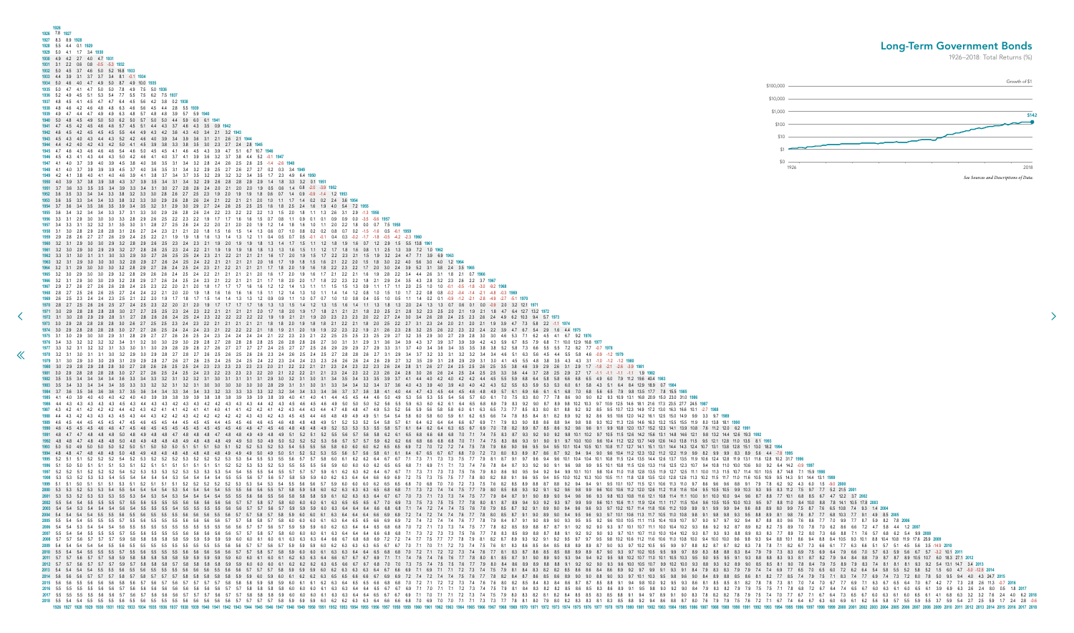<span id="page-28-0"></span>

| 1926                                                                                                                                                                                                                                                                                                                                                                                                                                                               |             |                                |
|--------------------------------------------------------------------------------------------------------------------------------------------------------------------------------------------------------------------------------------------------------------------------------------------------------------------------------------------------------------------------------------------------------------------------------------------------------------------|-------------|--------------------------------|
| 1926 7.8 1927<br>1927 8.3 8.9 1928                                                                                                                                                                                                                                                                                                                                                                                                                                 |             |                                |
| 1928    5.5    4.4    0.1 <b>192</b> 9                                                                                                                                                                                                                                                                                                                                                                                                                             |             | <b>Long-Term Government Bo</b> |
| 1.7 3.4 1930<br>929 5.0 4.1                                                                                                                                                                                                                                                                                                                                                                                                                                        |             | 1926-2018: Total Retur         |
|                                                                                                                                                                                                                                                                                                                                                                                                                                                                    |             |                                |
|                                                                                                                                                                                                                                                                                                                                                                                                                                                                    |             |                                |
|                                                                                                                                                                                                                                                                                                                                                                                                                                                                    | \$100,000   | Groy                           |
|                                                                                                                                                                                                                                                                                                                                                                                                                                                                    |             |                                |
|                                                                                                                                                                                                                                                                                                                                                                                                                                                                    | \$10,000    |                                |
|                                                                                                                                                                                                                                                                                                                                                                                                                                                                    | \$1,000     |                                |
|                                                                                                                                                                                                                                                                                                                                                                                                                                                                    | \$100       |                                |
|                                                                                                                                                                                                                                                                                                                                                                                                                                                                    |             |                                |
|                                                                                                                                                                                                                                                                                                                                                                                                                                                                    | \$10        |                                |
| 4.5 4.3 3.9                                                                                                                                                                                                                                                                                                                                                                                                                                                        |             |                                |
|                                                                                                                                                                                                                                                                                                                                                                                                                                                                    |             |                                |
|                                                                                                                                                                                                                                                                                                                                                                                                                                                                    | \$0<br>1926 |                                |
|                                                                                                                                                                                                                                                                                                                                                                                                                                                                    |             | See Sources and Description    |
|                                                                                                                                                                                                                                                                                                                                                                                                                                                                    |             |                                |
|                                                                                                                                                                                                                                                                                                                                                                                                                                                                    |             |                                |
|                                                                                                                                                                                                                                                                                                                                                                                                                                                                    |             |                                |
|                                                                                                                                                                                                                                                                                                                                                                                                                                                                    |             |                                |
|                                                                                                                                                                                                                                                                                                                                                                                                                                                                    |             |                                |
|                                                                                                                                                                                                                                                                                                                                                                                                                                                                    |             |                                |
|                                                                                                                                                                                                                                                                                                                                                                                                                                                                    |             |                                |
|                                                                                                                                                                                                                                                                                                                                                                                                                                                                    |             |                                |
|                                                                                                                                                                                                                                                                                                                                                                                                                                                                    |             |                                |
|                                                                                                                                                                                                                                                                                                                                                                                                                                                                    |             |                                |
|                                                                                                                                                                                                                                                                                                                                                                                                                                                                    |             |                                |
|                                                                                                                                                                                                                                                                                                                                                                                                                                                                    |             |                                |
|                                                                                                                                                                                                                                                                                                                                                                                                                                                                    |             |                                |
|                                                                                                                                                                                                                                                                                                                                                                                                                                                                    |             |                                |
|                                                                                                                                                                                                                                                                                                                                                                                                                                                                    |             |                                |
| 1972 3.1 3.0 2.8 2.9 2.9 2.8 3.1<br>2.4 2.3 2.2 2.2 2.2 2.2 2.2 1.9 1.9 2.1 2.1 1.9 2.0 2.3 2.3 2.3 2.0 2.2 2.7 2.4<br>3.4 2.6 2.8 2.4 2.5 2.3 2.6 2.4 4.9 6.2 10.3 9.4 5.7 1973                                                                                                                                                                                                                                                                                   |             |                                |
| 1973 3.0 2.9 2.8 2.8 2.8 3.0 2.6 2.7 2.5 2.5 2.3 2.4 2.3 2.2 2.1 2.1 2.1 2.1 1.8 1.8 2.0 1.9 1.8 1.8 2.1 2.2 2.1 1.8 2.0 2.5 2.2 2.7 3.1 2.3 2.4 2.0 2.1 2.0 2.1 1.9 3.9 4.7 7.3 5.8 2.2 -1.1 1974                                                                                                                                                                                                                                                                 |             |                                |
| 1974 3.0 2.9 2.8 2.8 2.8 3.0 2.7 2.6 2.5 2.4 2.4 2.3 2.1 2.2 2.2 2.1 1.8 1.9 2.1 2.0 1.9 1.9 2.2 2.3 2.2 1.9 2.1 2.6 2.3 2.8 3.2 2.5 2.6 2.2 2.3 2.2 2.4 2.2 3.9 4.7 6.7 5.4 2.9 1.6 4.4 1975                                                                                                                                                                                                                                                                      |             |                                |
| 1975 3.1 3.0 2.9 3.0 3.0 2.9 3.1 2.8 2.9 2.7 2.6 2.6 2.6 2.5 2.4 2.4 2.4 2.4 2.4 2.4 2.1 2.2 2.3 2.1 2.2 2.5 2.5 2.3 2.5 2.9 2.7 3.2 3.5 2.9 3.0 2.7 2.9 2.8 3.0 3.0 4.6 5.3 7.1 6.2 4.5 4.1 6.7 9.2 1976<br>1976 3.4 3.3 3.2 3.2 3.2 3.4 3.1 3.2 3.0 3.0 2.9 3.0 2.9 2.8 2.7 2.8 2.8 2.8 2.8 2.5 2.6 2.8 2.8 2.6 2.7 3.0 3.1 3.1 2.9 3.1 3.6 3.4 3.9 4.3 3.7 3.9 3.7 3.9 4.2 4.3 5.9 6.7 8.5 7.9 6.8 7.1 10.0 12.9 16.8 1977                                      |             |                                |
| 1977 3.3 3.2 3.1 3.2 3.2 3.1 3.3 3.0 3.1 3.0 2.9 2.8 2.9 2.8 2.7 2.6 2.7 2.7 2.7 2.4 2.5 2.7 2.7 2.5 2.6 2.9 2.9 2.9 2.9 2.9 2.7 2.9 3.3 3.1 3.7 4.0 3.4 3.6 3.4 3.5 3.5 3.8 3.8 5.2 5.8 7.3 6.6 5.5 5.5 7.2 8.2 7.7 0.7 1978                                                                                                                                                                                                                                      |             |                                |
| 1978 3.2 3.1 3.0 3.1 3.1 3.0 3.2 2.9 3.0 2.9 2.8 2.7 2.8 2.7 2.6 2.5 2.6 2.5 2.6 2.6 2.3 2.4 2.6 2.5 2.4 2.5 2.7 2.8 2.8 2.6 2.7 3.1 2.9 3.4 3.7 3.2 3.3 3.1 3.2 3.2 3.4 3.4 4.6 5.1 6.3 5.6 4.5 4.4 5.5 5.8 4.6 -0.9 -1.2 1979<br>1979 3.1 3.0 2.9 3.0 3.0 2.9 3.1 2.9 2.8 2.7 2.6 2.7 2.6 2.5 2.4 2.5 2.4 2.5 2.4 2.2 2.3 2.4 2.4 2.3 2.6 2.6 2.6 2.4 2.6 2.9 2.7 3.2 3.5 2.9 3.1 2.8 2.9 3.1 3.0 4.1 4.5 5.5 4.8 3.8 3.5 4.3 4.3 3.1 -1.0 -1.2 -1.2 1980        |             |                                |
| 1980 3.0 2.9 2.8 2.9 2.8 3.0 2.7 2.8 2.6 2.5 2.5 2.4 2.3 2.3 2.3 2.3 2.3 2.0 2.1 2.2 2.1 2.1 2.3 2.4 2.3 2.2 2.3 2.6 2.4 2.8 3.1 2.6 2.7 2.4 2.5 2.6 2.5 3.5 3.8 4.6 3.9 2.9 2.6 3.1 2.9 1.7 -1.8 -2.1 -2.6 -3.9 1981                                                                                                                                                                                                                                              |             |                                |
| 1981 3.0 2.9 2.8 2.8 2.8 3.0 2.7 2.7 2.6 2.5 2.4 2.3 2.3 2.3 2.3 2.3 2.3 2.3 2.2 2.1 2.1 2.3 2.4 2.3 2.4 2.3 2.2 2.3 2.6 2.4 2.5 2.6 2.4 2.5 2.5 2.5 2.3 3.6 4.4 3.7 2.8 2.5 2.9 2.7 1.1 -1.1 -1.1 -1.1 1.9 1982                                                                                                                                                                                                                                                   |             |                                |
| 1982 35 35 34 34 34 36 33 34 33 32 31 32 32 31 30 31 31 31 31 29 30 32 31 30 31 34 35 34 33 35 39 37 41 44 40 42 40 42 44 45 55 59 68 64 58 58 66 68 65 49 60 79 112 196 404 1983<br>1983 3.5 3.4 3.4 3.4 3.4 3.5 3.3 3.3 3.2 3.1 3.2 3.1 3.0 3.0 3.0 3.0 3.0 3.0 3.0 3.1 3.1 3.1 3.1 3.4 3.4 3.4 3.4 3.4 3.7 3.6 4.0 4.3 3.9 4.0 4.0 4.2 4.3 5.2 5.5 6.3 5.9 5.3 5.3 6.0 6.1 5.8 4.3 5.1 6.4 8.4 12.9 18.9 0.7 1984                                               |             |                                |
|                                                                                                                                                                                                                                                                                                                                                                                                                                                                    |             |                                |
| 1985 4.1 4.0 3.9 4.0 4.0 4.0 4.2 4.0 4.0 3.9 3.9 3.9 3.9 3.9 3.8 3.8 3.9 3.9 3.9 3.9 3.9 3.9 4.0 4.1 4.0 4.1 4.4 4.5 4.5 4.4 4.6 5.0 4.9 5.3 5.6 5.5 5.5 5.5 5.6 5.7 6.0 6.1 7.0 7.5 8.3 8.0 7.7 7.8 8.6 9.0 9.0 8.2 9.3 10.9 1<br>1986 4.4 4.3 4.3 4.3 4.3 4.3 4.3 4.4 4.3 4.2 4.3 4.2 4.3 4.3 4.3 4.4 4.2 4.3 4.5 4.6 4.5 4.6 4.9 5.0 5.0 5.0 5.0 5.0 5.6 5.5 5.9 6.3 6.0 6.2 6.1 6.4 6.5 6.8 6.9 7.9 8.3 9.2 9.0 8.7 8.9 9.8 10.2 10.3 9.7 10.9 12.5 14.6 18.1  |             |                                |
| 1987 4.3 4.2 4.1 4.2 4.2 4.4 4.2 4.3 4.2 4.1 4.1 4.1 4.1 4.1 4.1 4.1 4.2 4.1 4.2 4.1 4.2 4.3 4.4 4.3 4.4 4.7 4.8 4.8 4.7 4.9 5.3 5.2 5.6 5.8 5.8 6.0 6.1 6.3 6.5 7.3 7.7 8.5 8.3 8.0 8.1 8.8 9.2 9.2 8.5 9.5 10.7 12.3 14.9 17.                                                                                                                                                                                                                                    |             |                                |
| 1988 4.4 4.3 4.2 4.3 4.3 4.3 4.5 4.3 4.4 4.3 4.2 4.2 4.2 4.2 4.2 4.2 4.3 4.3 4.2 4.3 4.5 4.5 4.5 4.4 4.6 4.8 4.9 4.9 4.9 5.1 5.4 5.4 5.6 5.0 5.9 6.1 6.2 6.5 6.6 7.4 7.8 8.5 8.4 8.1 8.2 8.9 9.2 9.2 8.6 9.5 10.6 12.0 14.2 16.                                                                                                                                                                                                                                    |             |                                |
| 1990 4.6 4.5 4.5 4.5 4.6 4.6 4.7 4.5 4.5 4.5 4.5 4.5 4.5 4.5 4.5 4.6 4.6 4.6 4.7 4.5 4.6 4.8 4.8 4.8 4.9 5.2 5.3 5.3 5.3 5.5 5.8 5.7 6.1 6.4 6.2 6.4 6.3 6.5 6.7 6.9 7.0 7.8 8.2 8.9 8.7 8.5 8.6 9.2 9.6 9.1 9.9 10.8 12.0 13.7                                                                                                                                                                                                                                    |             |                                |
| 1991 4.8 4.7 4.7 4.8 4.8 4.8 5.0 4.8 4.8 4.8 4.7 4.8 4.8 4.7 4.8 4.9 4.9 4.9 4.9 4.9 4.9 4.9 5.1 5.2 5.5 5.6 5.7 5.6 5.8 6.2 6.1 6.5 6.8 6.8 6.8 6.8 6.8 6.8 6.7 0 7.1 7.4 7.5 8.3 8.7 9.3 9.2 9.0 9.2 9.8 10.1 10.2 9.7 10.5 1                                                                                                                                                                                                                                    |             |                                |
| 1992 4.8 4.8 4.7 4.8 4.8 4.8 5.0 4.8 4.9 4.8 4.8 4.8 4.8 4.8 4.9 4.9 5.0 5.0 4.9 5.0 5.2 5.2 5.2 5.2 5.3 5.6 5.7 5.7 5.9 6.2 6.6 6.8 6.6 6.8 6.8 6.8 6.8 6.8 5.0 7.1 7.4 7.5 8.3 8.6 9.3 9.1 9.0 9.1 9.7 10.0 10.0 9.6 10.4 11.<br>1993 5.0 5.0 4.9 5.0 5.0 5.0 5.0 5.1 5.0 5.0 5.1 5.1 5.1 5.1 5.1 5.1 5.1 5.2 5.3 5.4 5.5 5.6 5.8 6.0 6.0 6.2 6.5 6.5 6.9 7.2 7.4 7.5 7.9 7.2 7.4 7.5 7.9 8.6 9.0 9.6 9.5 9.4 9.5 10.1 10.4 10.5 10.1 10.4 11.3 12.7 14.1 13.1 1 |             |                                |
| 1994 4.8 4.8 4.7 4.8 4.8 4.8 5.0 4.8 4.9 4.8 4.8 4.8 4.8 4.8 4.9 4.9 4.9 5.0 4.9 5.0 5.1 5.2 5.2 5.3 5.5 5.6 5.7 5.6 5.8 6.1 6.1 6.4 6.7 6.8 7.0 7.2 7.3 8.0 8.3 8.9 87 8.6 8.7 9.2 9.4 9.4 9.0 9.6 10.4 11.2 12.3 13.2 11.2 12                                                                                                                                                                                                                                    |             |                                |
| 1995 52 51 5.1 5.1 52 52 52 54 52 52 52 52 52 52 52 52 53 54 55 53 54 55 56 57 57 58 60 61 62 62 64 67 67 7.1 7.3 7.1 7.3 7.5 7.7 7.9 8.1 8.7 9.1 9.7 9.6 9.4 9.6 10.1 10.4 10.1 10.4 10.1 10.8 11.5 12.4 13.5 11.9 10.5 12.4 1<br>1996 5.1 5.0 5.0 5.1 5.1 5.1 5.3 5.1 5.2 5.1 5.1 5.1 5.1 5.1 5.1 5.1 5.2 5.2 5.3 5.3 5.2 5.3 5.5 5.5 5.5 5.6 5.9 6.0 6.0 6.2 6.5 6.6 6.7 1 6.9 7.1 7.3 7.4 7.6 7.8 8.4 8.7 9.3 9.2 9.0 9.1 9.6 9.8 9.9 9.5 10.1 10.8 11.5 12.5  |             |                                |
| 1997 5.2 5.2 5.1 5.2 5.2 5.4 5.2 5.3 5.3 5.3 5.3 5.3 5.3 5.3 5.3 5.4 5.4 5.5 5.4 5.5 5.4 5.5 5.7 5.7 5.7 5.9 6.1 6.2 6.3 6.2 64 6.7 7.1 7.3 7.5 7.6 7.9 8.0 8.6 9.0 9.5 9.4 9.9 10.1 10.1 1.8 10.4 11.0 11.3 12.5 11.1 10.0 11.                                                                                                                                                                                                                                    |             |                                |
| 1999 5.1 5.1 5.1 5.1 5.1 5.1 5.3 5.1 5.2 5.1 5.1 5.2 5.2 5.2 5.2 5.3 5.4 5.3 5.4 5.5 5.6 5.6 5.6 5.6 5.6 6.6 6.0 6.0 6.0 6.0 6.6 6.5 6.6 7.0 6.8 7.0 7.2 7.3 7.5 7.6 8.2 8.5 8.9 8.8 8.7 8.8 9.2 9.4 9.4 9.1 9.5 10.1 10.5 11.3                                                                                                                                                                                                                                    |             |                                |
|                                                                                                                                                                                                                                                                                                                                                                                                                                                                    |             |                                |
| 2001 5.3 5.3 5.3 5.3 5.3 5.5 5.3 5.4 5.3 5.4 5.4 5.4 5.4 5.4 5.4 5.5 5.5 5.6 5.5 5.6 5.5 5.6 5.6 5.5 5.6 5.8 5.8 5.8 5.9 6.1 6.2 6.3 6.4 6.7 6.7 7.0 7.3 7.4 7.5 7.7 7.9 8.4 8.7 9.1 9.0 8.9 9.4 9.6 9.3 9.8 10.3 10.8 11.6 12.                                                                                                                                                                                                                                    |             |                                |
|                                                                                                                                                                                                                                                                                                                                                                                                                                                                    |             |                                |
| 2004 54 54 55 55 56 55 56 55 55 55 55 56 56 56 55 56 57 57 58 57 58 69 60 60 61 63 64 64 66 69 69 72 74 74 76 77 78 80 85 87 90 94 95 96 93 97 10.1 10.5 11.0 10.5 11.0 10.8 9.8 9.1 9.8 9.8 9.9 9.9 8.9 8.1 9.8 7.6 8 7.7 6.8                                                                                                                                                                                                                                     |             |                                |
|                                                                                                                                                                                                                                                                                                                                                                                                                                                                    |             |                                |
|                                                                                                                                                                                                                                                                                                                                                                                                                                                                    |             |                                |
|                                                                                                                                                                                                                                                                                                                                                                                                                                                                    |             |                                |
|                                                                                                                                                                                                                                                                                                                                                                                                                                                                    |             |                                |
|                                                                                                                                                                                                                                                                                                                                                                                                                                                                    |             |                                |
| 2012 57 57 58 57 58 58 58 58 58 58 58 59 59 60 60 60 61 62 62 63 66 67 67 68 70 70 73 75 76 7.7 7.9 80 84 86 89 89 88 88 9.1 9.2 9.2 9.0 9.3 8.9 9.9 8.9 8.9 9.9 8.9 8.9 9.0 8.5 8.1 9.0 7.5 8.9 7.4 7.5 8.9 7.4 8.1 8.1 9.3 9.                                                                                                                                                                                                                                    |             |                                |
| 5.8 5.9 5.9 5.9 6.0 6.2 6.3 6.3 6.3 6.4 6.7 6.6 6.9 7.1 6.9 7.1 7.1 7.2 7.3 7.4 7.5 7.9 8.1 8.4 8.3 8.2 8.5 8.6 8.6 8.6 8.6 8.6 8.9 9.2 9.7 9.9 9.1 9.3 9.1 8.4 7.9 8.3 8.3 7.9 7.4 7.4 6.9 7.7 6.5 7.0 6.5 6.0 7.2 6.2 6.4 5.4<br>2014 56 57 57 58 57 57 58 57 58 58 58 58 58 59 59 60 59 60 61 62 62 63 65 66 66 67 69 69 72 74 74 75 76 77 78 82 84 87 86 89 90 90 88 90 90 88 90 90 84 89 88 85 86 81 82 77 85 74 79 75 71 83 74 77 69 74 73 72 80 78 95 96 9  |             |                                |
|                                                                                                                                                                                                                                                                                                                                                                                                                                                                    |             |                                |
| 3 2017 5.5 5.6 5.6 5.6 5.7 5.6 5.6 5.6 5.6 5.7 5.7 5.6 5.7 5.7 5.8 5.8 5.8 5.8 5.9 6.0 6.0 6.0 6.1 6.3 6.4 6.4 6.5 6.7 6.9 7.1 7.1 7.1 7.2 7.3 7.4 7.5 7.9 8.0 8.3 8.5 8.8 8.4 8.5 8.5 8.8 9.4 9.7 8.9 9.1 9.0 8.3 7.8 8.2 7.8                                                                                                                                                                                                                                     |             |                                |
|                                                                                                                                                                                                                                                                                                                                                                                                                                                                    |             |                                |
|                                                                                                                                                                                                                                                                                                                                                                                                                                                                    |             |                                |

## Long-Term Government Bonds

1926–2018: Total Returns (%)

 $\rightarrow$ 

![](_page_28_Figure_3.jpeg)

1.9 6.0 7.9 11.2 19.6 40.4 1983 4.3 5.1 6.4 8.4 12.9 18.9 0.7 1984 5.6 6.5 7.9 9.8 13.5 17.7 7.8 15.5 1985 8.2 9.3 10.9 13.1 16.8 20.9 15.0 23.0 31.0 1986 0.7 10.9 12.5 14.6 18.1 21.6 17.3 23.5 27.7 24.5 1987 3.5 9.5 10.7 12.3 14.9 17.2 13.0 16.3 16.6 10.1 -2.7 1988 8.6 9.5 10.6 12.0 14.2 16.1 12.5 15.0 14.9 9.9 3.3 9.7 1989 9.3 10.2 11.3 12.6 14.6 16.3 13.2 15.5 15.5 11.9 8.0 13.8 18.1 1990 1 9.9 10.8 12.0 13.7 15.2 12.3 14.1 13.9 10.8 7.6 11.2 12.0 6.2 1991 1.7 10.5 11.5 12.6 14.2 15.6 13.1 14.8 14.6 12.1 9.8 13.2 14.4 12.6 19.3 1992 0.6 10.4 11.2 12.2 13.7 14.9 12.6 14.0 13.8 11.5 9.5 12.1 12.8 11.0 13.5 8.1 1993 1 10.8 11.7 12.7 14.1 15.1 13.1 14.4 14.3 12.4 10.7 13.1 13.8 12.8 15.1 13.0 18.2 1994 9.0 9.6 10.4 11.2 12.3 13.2 11.2 12.2 11.9 9.9 8.2 9.9 9.9 8.3 8.9 5.6 4.4 -7.8 1995 1 10.8 11.5 12.4 13.5 14.4 12.6 13.7 13.5 11.9 10.6 12.4 12.8 11.9 13.1 11.6 12.8 10.2 31.7 1996 9.5 10.1 10.8 11.5 12.6 13.3 11.6 12.5 12.3 10.7 9.4 10.8 11.0 10.0 10.6 9.0 9.2 6.4 14.2 -0.9 1997 9.8 10.4 11.0 11.8 12.8 13.5 11.9 12.7 12.5 11.1 10.0 11.3 11.5 10.7 11.4 10.1 10.5 8.7 14.8 7.1 15.9 1998  $\frac{1}{20}$  10.5 11.1 11.8 12.8 13.5 12.0 12.8 12.6 11.3 10.2 11.5 11.7 11.0 11.6 10.5 10.9 9.5 14.3 9.1 14.4 13.1 1999 0.1 9.5 10.1 10.7 11.5 12.1 10.6 11.3 11.0 9.7 8.6 9.6 9.6 8.8 9.1 7.9 7.8 6.2 9.2 4.3 6.0 1.5 -9.0 2000 0.6 10.0 10.6 11.2 12.0 12.6 11.2 11.8 11.6 10.4 9.5 10.5 10.5 9.9 10.3 9.3 9.5 8.3 11.2 7.5 9.7 7.7 5.2 21.5 2001 9.3 9.8 10.3 10.8 11.6 12.1 10.8 11.4 11.1 10.0 9.1 10.0 10.0 9.4 9.6 8.7 8.8 7.7 10.1 6.8 8.5 6.7 4.7 12.2 3.7 2002 0.6 10.1 10.6 11.1 11.9 12.4 11.1 11.7 11.5 10.4 9.6 10.5 10.5 10.0 10.3 9.5 9.7 8.8 11.0 8.4 10.0 8.8 7.8 14.1 10.5 17.8 2003 9.3 9.7 10.2 10.7 11.4 11.8 10.6 11.2 10.9 9.9 9.1 9.9 9.9 9.4 9.6 8.8 8.9 8.0 9.9 7.5 8.7 7.6 6.5 10.8 7.4 9.3 1.4 2004 9.3 9.7 10.1 10.6 11.3 11.7 10.5 11.0 10.8 9.8 9.1 9.8 9.8 9.3 9.5 8.8 8.9 8.1 9.8 7.6 8.7 7.7 6.8 10.3 7.7 9.1 4.9 8.5 2005 0.2 9.6 10.0 10.5 11.1 11.5 10.4 10.9 10.7 9.7 9.0 9.7 9.7 9.2 9.4 8.7 8.8 8.0 9.6 7.6 8.6 7.7 7.0 9.9 7.7 8.7 5.9 8.2 7.8 2006 0.0 9.3 9.7 10.1 10.7 11.1 10.0 10.4 10.2 9.3 8.6 9.2 9.2 8.7 8.9 8.2 8.2 7.5 8.9 7.0 7.8 7.0 6.2 8.6 6.6 7.2 4.7 5.8 4.4 1.2 2007 9.0 9.3 9.7 10.1 10.7 11.0 10.0 10.4 10.2 9.3 8.7 9.3 9.3 8.8 8.9 8.3 8.3 7.7 8.9 7.2 8.0 7.3 6.6 8.8 7.1 7.6 5.7 6.8 6.2 5.4 9.9 2008 0.5 9.8 10.2 10.6 11.2 11.6 10.6 11.0 10.8 10.0 9.4 10.0 10.0 9.6 9.8 9.3 9.4 8.8 10.1 8.6 9.4 8.8 8.4 10.5 9.3 10.1 8.8 10.4 10.8 11.9 17.6 25.9 2009 8.7 9.0 9.3 9.7 10.2 10.5 9.5 9.9 9.7 8.8 8.2 8.7 8.7 8.2 8.3 7.8 7.8 7.1 8.2 6.7 7.3 6.6 6.1 7.7 6.3 6.6 5.1 5.7 5.1 4.5 5.6 3.5 -14.9 2010 7 9.0 9.3 9.7 10.2 10.5 9.5 9.9 9.7 8.9 8.3 8.8 8.8 8.3 8.4 7.9 7.9 7.3 8.3 6.9 7.5 6.9 6.4 7.9 6.6 7.0 5.7 6.3 5.9 5.6 6.7 5.7 -3.2 10.1 2011 8.3 8.6 8.9 9.1 9.5 9.8 9.0 9.2 9.0 8.4 7.9 8.3 8.2 7.9 7.5 7.5 7.1 7.8 6.8 7.2 6.7 6.4 7.4 6.5 6.7 6.0 6.3 6.1 6.0 6.5 6.1 3.9 6.9 6.3 2.6 2.4 8.0 0.5 1.8 2017 8.3 8.5 8.8 9.1 9.4 9.7 8.9 9.1 9.0 8.3 7.8 8.2 8.2 7.8 7.9 7.5 7.4 7.0 7.7 6.7 7.1 6.7 6.4 7.3 6.5 6.7 6.0 6.3 6.1 6.0 6.5 6.1 4.1 6.8 6.3 3.2 3.2 7.6 2.4 4.0 6.2 2018 01 8.3 8.5 8.8 9.2 9.4 8.6 8.8 8.7 8.0 7.6 7.9 7.5 7.6 7.2 7.1 6.7 7.4 6.4 6.7 6.3 6.0 6.9 6.1 6.2 5.6 5.8 5.7 5.5 5.9 5.5 3.7 5.9 5.4 2.7 2.5 5.9 1.7 2.4 2.8 -0.6<br>1977 1978 1979 1980 1981 1982 1983 1984 1985 1986 1987 198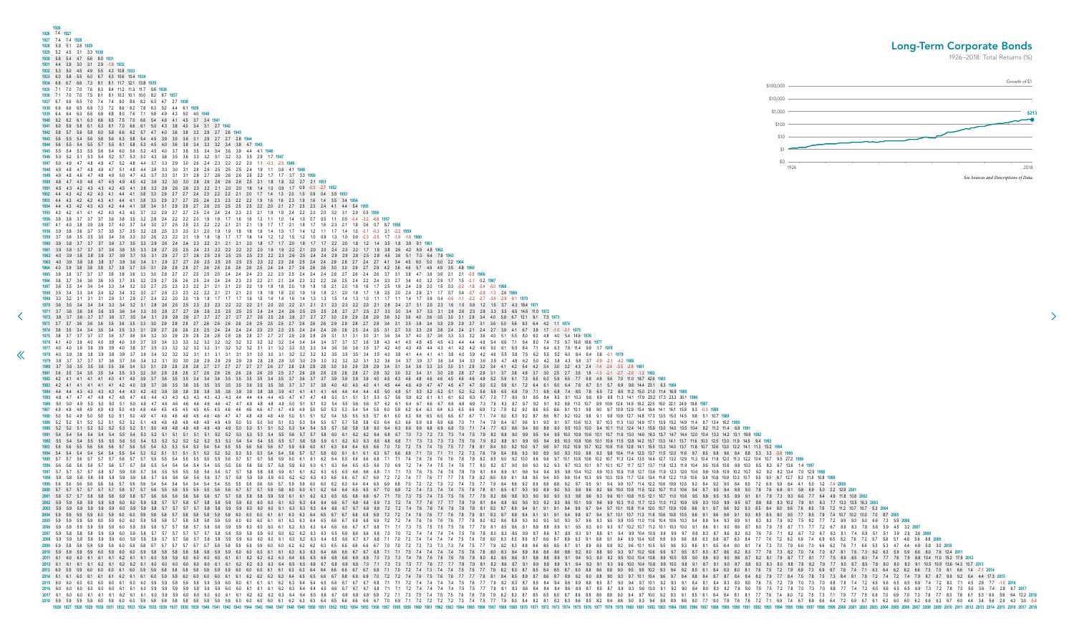<span id="page-29-0"></span>

| 1927 7.4 7.4 1928                                                                                                                                                                                                                                                                                                                                                                                                                                                                                                                                                                                                                                                                                                                                                                                                                                                                                                                                                                                                                                                                                                                                                                                                                                                                                                                                                                                                                                                                                                                                                                                                                                                                                                                                                                                                                                                                                                                                                                                                                                                                                                                                                                                                                                                                                                                                                                                                                                                                                                                                                                                                                                                                                                                                                                                                                                                                                                                                                                                                                                                                                                                                                                                                                                                                                                                                                                                                                                                                                                                                                                                                                                                                                                                                                                                                         | 1926 7.4 1927 |
|---------------------------------------------------------------------------------------------------------------------------------------------------------------------------------------------------------------------------------------------------------------------------------------------------------------------------------------------------------------------------------------------------------------------------------------------------------------------------------------------------------------------------------------------------------------------------------------------------------------------------------------------------------------------------------------------------------------------------------------------------------------------------------------------------------------------------------------------------------------------------------------------------------------------------------------------------------------------------------------------------------------------------------------------------------------------------------------------------------------------------------------------------------------------------------------------------------------------------------------------------------------------------------------------------------------------------------------------------------------------------------------------------------------------------------------------------------------------------------------------------------------------------------------------------------------------------------------------------------------------------------------------------------------------------------------------------------------------------------------------------------------------------------------------------------------------------------------------------------------------------------------------------------------------------------------------------------------------------------------------------------------------------------------------------------------------------------------------------------------------------------------------------------------------------------------------------------------------------------------------------------------------------------------------------------------------------------------------------------------------------------------------------------------------------------------------------------------------------------------------------------------------------------------------------------------------------------------------------------------------------------------------------------------------------------------------------------------------------------------------------------------------------------------------------------------------------------------------------------------------------------------------------------------------------------------------------------------------------------------------------------------------------------------------------------------------------------------------------------------------------------------------------------------------------------------------------------------------------------------------------------------------------------------------------------------------------------------------------------------------------------------------------------------------------------------------------------------------------------------------------------------------------------------------------------------------------------------------------------------------------------------------------------------------------------------------------------------------------------------------------------------------------------------------------------------------------|---------------|
|                                                                                                                                                                                                                                                                                                                                                                                                                                                                                                                                                                                                                                                                                                                                                                                                                                                                                                                                                                                                                                                                                                                                                                                                                                                                                                                                                                                                                                                                                                                                                                                                                                                                                                                                                                                                                                                                                                                                                                                                                                                                                                                                                                                                                                                                                                                                                                                                                                                                                                                                                                                                                                                                                                                                                                                                                                                                                                                                                                                                                                                                                                                                                                                                                                                                                                                                                                                                                                                                                                                                                                                                                                                                                                                                                                                                                           | 1926          |
| 1928 5.9 5.1 2.8 1929<br>1972 3.8 3.7 3.6 3.7<br>1973 3.7 3.7 3.6 3.6                                                                                                                                                                                                                                                                                                                                                                                                                                                                                                                                                                                                                                                                                                                                                                                                                                                                                                                                                                                                                                                                                                                                                                                                                                                                                                                                                                                                                                                                                                                                                                                                                                                                                                                                                                                                                                                                                                                                                                                                                                                                                                                                                                                                                                                                                                                                                                                                                                                                                                                                                                                                                                                                                                                                                                                                                                                                                                                                                                                                                                                                                                                                                                                                                                                                                                                                                                                                                                                                                                                                                                                                                                                                                                                                                     |               |
| 1929 5.2 4.5 3.1 3.3 1930<br>1930 5.8 5.4 4.7 5.6 8.0 1931                                                                                                                                                                                                                                                                                                                                                                                                                                                                                                                                                                                                                                                                                                                                                                                                                                                                                                                                                                                                                                                                                                                                                                                                                                                                                                                                                                                                                                                                                                                                                                                                                                                                                                                                                                                                                                                                                                                                                                                                                                                                                                                                                                                                                                                                                                                                                                                                                                                                                                                                                                                                                                                                                                                                                                                                                                                                                                                                                                                                                                                                                                                                                                                                                                                                                                                                                                                                                                                                                                                                                                                                                                                                                                                                                                |               |
| 1974 36 35 34 35 34 35 33 31 29 27 26 26 25 25 24 24 24 24 23 23 25 24 24 24 24 25 26 25 24 25 31 27 30 33 29 28 24 24 21 24 21 24 27 39 41 67 39 17 10 31 1975<br>1975 3.8 3.7 3.7 3.7 3.6 3.7 3.6 3.4 3.2 3.0 2.9 2.8 2.8 2.8 2.8 2.8 2.8 2.7 2.7 2.9 2.9 2.9 3.1 3.1 3.1 3.1 3.0 3.1 3.6 3.4 3.7 4.0 3.7 3.6 3.3 3.3 3.2 3.6 4.0 5.1 5.5 8.0 6.0 4.8 4.0 5.4 14.6 1976<br>1977 4.0 4.0 3.9 3.9 3.9 4.0 3.8 3.7 3.5 3.3 3.2 3.2 3.2 3.1 3.2 3.2 3.1 3.1 3.2 3.3 3.3 3.4 3.6 3.6 3.6 3.5 3.7 4.2 4.0 4.3 4.4 4.4 4.3 4.1 4.2 4.2 4.6 5.0 6.1 6.5 8.4 7.1 6.4 6.3 7.6 11.4 9.9 1.7 1978<br>1978 4.0 3.9 3.8 3.9 3.8 3.9 3.7 3.6 3.4 3.2 3.2 3.1 3.1 3.1 3.1 3.1 3.1 3.1 3.0 3.0 3.1 3.2 3.2 3.2 3.2 3.5 3.5 3.4 3.5 4.0 3.8 4.1 4.4 4.1 4.1 3.8 4.0 3.9 4.2 4.6 5.5 5.8 7.5 6.2 5.5 5.2 6.0 8.4 6.4 0.8 -0.1 1979<br>1979 3.8 3.7 3.7 3.7 3.6 3.7 3.6 3.4 3.2 3.1 3.0 3.0 2.9 2.9 2.9 2.9 2.9 2.8 2.8 3.0 3.0 2.9 3.0 3.2 3.2 3.1 3.2 3.6 3.4 3.7 3.9 3.7 3.6 3.4 3.4 3.3 3.6 3.9 4.7 4.8 6.2 5.0 4.2 3.8 4.3 5.8 3.7 -0.9 -2.1 -4.2 1980<br>1980 3.7 3.6 3.5 3.6 3.5 3.6 3.4 3.3 3.1 2.9 2.8 2.8 2.7 2.7 2.7 2.7 2.7 2.7 2.6 2.7 2.8 2.8 2.8 2.8 3.0 3.0 2.9 2.8 3.4 3.1 3.4 3.6 3.3 3.3 3.0 3.1 2.9 3.2 3.4 4.1 4.2 5.4 4.2 3.4 3.0 3.2 4.3 2.4 -1.4 -2.4 -3.5 -2.8 1981<br>1981 3.6 3.5 3.4 3.5 3.5 3.4 3.5 3.3 3.2 3.0 2.8 2.8 2.7 2.6 2.6 2.6 2.6 2.6 2.5 2.5 2.7 2.6 2.6 2.8 2.8 2.7 2.8 3.2 3.0 3.2 3.4 3.1 3.0 2.8 2.8 2.7 2.9 3.1 3.7 3.8 4.8 3.7 3.0 2.5 2.7 3.5 1.8 -1.3 -2.1 -2.7 -2.0 -1.2 1982<br>1982 4.2 4.1 4.1 4.1 4.1 4.0 4.1 4.0 3.9 3.7 3.6 3.5 3.5 3.4 3.4 3.5 3.5 3.5 3.5 3.5 3.4 3.5 3.7 3.6 3.7 3.9 3.9 3.9 3.9 4.0 4.5 4.6 4.6 4.6 4.6 4.6 4.6 4.6 4.6 4.6 4.9 5.2 5.9 6.1 7.3 6.5 6.0 5.9 6.5 7.7 6.8 4.9 5.6 7.0 11<br>1983 4.2 4.1 4.1 4.1 4.1 4.1 4.2 4.0 3.9 3.7 3.6 3.5 3.5 3.5 3.5 3.5 3.5 3.6 3.5 3.6 3.7 3.7 3.7 3.8 4.0 4.0 4.0 4.0 4.1 4.5 4.4 4.6 4.9 4.7 4.4 4.7 4.7 4.7 4.7 4.7 4.7 5.0 5.2 5.9 6.1 7.2 6.4 6.1 6.0 6.4 7.6 6.7 5.1 5.7 6.<br>1984 44 44 43 43 43 44 43 42 40 39 38 38 38 38 38 38 39 38 39 41 41 41 44 44 44 44 45 50 48 51 53 52 51 52 52 51 52 52 56 59 65 68 79 71 69 68 74 85 78 65 72 85 112 150 210 114 169 1985<br>1986 5.0 5.0 4.9 5.0 5.0 5.0 5.1 5.0 4.9 4.7 4.6 4.6 4.6 4.6 4.6 4.7 4.7 4.8 4.8 4.9 5.0 5.1 5.1 5.2 5.4 5.5 5.6 5.6 5.7 6.2 6.1 6.4 6.7 6.6 6.8 6.9 7.3 7.6 8.3 8.7 9.7 9.2 9.1 9.2 9.9 11.0 10.7 9.9 10.9 12.4 14.9 18.2 22.5<br>1987 4.9 4.9 4.9 4.9 4.9 4.9 5.0 4.9 4.6 4.5 4.5 4.5 4.5 4.5 4.6 4.6 4.6 4.6 4.6 4.6 4.6 4.7 4.7 4.9 4.9 5.0 5.3 5.4 5.4 5.5 6.0 5.9 6.2 6.4 6.3 6.5 6.6 6.9 7.2 7.9 8.2 9.2 8.6 8.5 8.6 9.1 10.1 9.8 9.0 9.7 10.9 12.9 15.4 18<br>1989 52 52 51 52 52 51 53 52 51 49 48 48 48 48 49 50 50 50 50 50 51 53 54 55 57 57 58 58 60 64 63 66 69 68 69 68 70 71 74 78 84 87 9.6 9.1 9.0 9.1 9.7 10.5 10.3 12 10.3 11.3 13.0 14.9 17.1 13.9 15.2 14.9 11.4 8.7 13.4 16.2<br>1990 5.2 5.2 5.1 5.2 5.2 5.2 5.3 5.2 5.1 5.0 4.9 4.9 4.9 4.9 4.9 4.9 5.0 5.0 5.1 5.1 5.2 5.3 5.4 5.4 5.5 5.7 5.8 5.8 6.0 6.4 6.3 6.6 6.9 6.8 6.9 6.8 7.0 7.1 7.4 7.7 8.3 8.6 9.4 9.0 8.9 9.0 9.5 10.3 10.0 9.4 10.1 11.0 12.4 1<br>1991 54 54 54 54 54 55 54 55 52 51 51 51 51 52 52 53 53 54 55 56 57 57 58 60 61 62 62 64 68 67 70 73 72 73 74 75 79 82 88 90 99 95 94 95 100 109 106 101 107 116 130 146 163 137 147 144 120 104 133 142 131 199 1992<br>1992 55 54 54 55 55 55 56 55 54 53 52 52 52 52 53 53 54 54 55 55 57 58 58 59 61 62 63 63 65 68 68 71 73 73 73 73 73 75 76 79 82 88 91 99 95 94 95 100 108 106 101 106 115 128 142 157 133 141 137 116 103 125 130 119 145 94 19<br>1994 54 54 54 54 54 55 54 53 52 51 51 51 52 52 53 53 54 54 56 57 57 58 60 61 61 63 67 66 69 71 70 71 71 72 73 76 79 84 86 93 90 89 90 93 100 98 93 98 104 114 125 137 115 120 116 97 85 98 98 84 88 53 33 58 98 58 98 58 98 104 |               |
|                                                                                                                                                                                                                                                                                                                                                                                                                                                                                                                                                                                                                                                                                                                                                                                                                                                                                                                                                                                                                                                                                                                                                                                                                                                                                                                                                                                                                                                                                                                                                                                                                                                                                                                                                                                                                                                                                                                                                                                                                                                                                                                                                                                                                                                                                                                                                                                                                                                                                                                                                                                                                                                                                                                                                                                                                                                                                                                                                                                                                                                                                                                                                                                                                                                                                                                                                                                                                                                                                                                                                                                                                                                                                                                                                                                                                           |               |
| 3.5 3.3 3.0                                                                                                                                                                                                                                                                                                                                                                                                                                                                                                                                                                                                                                                                                                                                                                                                                                                                                                                                                                                                                                                                                                                                                                                                                                                                                                                                                                                                                                                                                                                                                                                                                                                                                                                                                                                                                                                                                                                                                                                                                                                                                                                                                                                                                                                                                                                                                                                                                                                                                                                                                                                                                                                                                                                                                                                                                                                                                                                                                                                                                                                                                                                                                                                                                                                                                                                                                                                                                                                                                                                                                                                                                                                                                                                                                                                                               |               |
|                                                                                                                                                                                                                                                                                                                                                                                                                                                                                                                                                                                                                                                                                                                                                                                                                                                                                                                                                                                                                                                                                                                                                                                                                                                                                                                                                                                                                                                                                                                                                                                                                                                                                                                                                                                                                                                                                                                                                                                                                                                                                                                                                                                                                                                                                                                                                                                                                                                                                                                                                                                                                                                                                                                                                                                                                                                                                                                                                                                                                                                                                                                                                                                                                                                                                                                                                                                                                                                                                                                                                                                                                                                                                                                                                                                                                           |               |
|                                                                                                                                                                                                                                                                                                                                                                                                                                                                                                                                                                                                                                                                                                                                                                                                                                                                                                                                                                                                                                                                                                                                                                                                                                                                                                                                                                                                                                                                                                                                                                                                                                                                                                                                                                                                                                                                                                                                                                                                                                                                                                                                                                                                                                                                                                                                                                                                                                                                                                                                                                                                                                                                                                                                                                                                                                                                                                                                                                                                                                                                                                                                                                                                                                                                                                                                                                                                                                                                                                                                                                                                                                                                                                                                                                                                                           |               |
| 3.3                                                                                                                                                                                                                                                                                                                                                                                                                                                                                                                                                                                                                                                                                                                                                                                                                                                                                                                                                                                                                                                                                                                                                                                                                                                                                                                                                                                                                                                                                                                                                                                                                                                                                                                                                                                                                                                                                                                                                                                                                                                                                                                                                                                                                                                                                                                                                                                                                                                                                                                                                                                                                                                                                                                                                                                                                                                                                                                                                                                                                                                                                                                                                                                                                                                                                                                                                                                                                                                                                                                                                                                                                                                                                                                                                                                                                       |               |
| 2.8 2.6 2.5                                                                                                                                                                                                                                                                                                                                                                                                                                                                                                                                                                                                                                                                                                                                                                                                                                                                                                                                                                                                                                                                                                                                                                                                                                                                                                                                                                                                                                                                                                                                                                                                                                                                                                                                                                                                                                                                                                                                                                                                                                                                                                                                                                                                                                                                                                                                                                                                                                                                                                                                                                                                                                                                                                                                                                                                                                                                                                                                                                                                                                                                                                                                                                                                                                                                                                                                                                                                                                                                                                                                                                                                                                                                                                                                                                                                               |               |
|                                                                                                                                                                                                                                                                                                                                                                                                                                                                                                                                                                                                                                                                                                                                                                                                                                                                                                                                                                                                                                                                                                                                                                                                                                                                                                                                                                                                                                                                                                                                                                                                                                                                                                                                                                                                                                                                                                                                                                                                                                                                                                                                                                                                                                                                                                                                                                                                                                                                                                                                                                                                                                                                                                                                                                                                                                                                                                                                                                                                                                                                                                                                                                                                                                                                                                                                                                                                                                                                                                                                                                                                                                                                                                                                                                                                                           |               |
| 2.5 2.5 2.4<br>2.6                                                                                                                                                                                                                                                                                                                                                                                                                                                                                                                                                                                                                                                                                                                                                                                                                                                                                                                                                                                                                                                                                                                                                                                                                                                                                                                                                                                                                                                                                                                                                                                                                                                                                                                                                                                                                                                                                                                                                                                                                                                                                                                                                                                                                                                                                                                                                                                                                                                                                                                                                                                                                                                                                                                                                                                                                                                                                                                                                                                                                                                                                                                                                                                                                                                                                                                                                                                                                                                                                                                                                                                                                                                                                                                                                                                                        |               |
|                                                                                                                                                                                                                                                                                                                                                                                                                                                                                                                                                                                                                                                                                                                                                                                                                                                                                                                                                                                                                                                                                                                                                                                                                                                                                                                                                                                                                                                                                                                                                                                                                                                                                                                                                                                                                                                                                                                                                                                                                                                                                                                                                                                                                                                                                                                                                                                                                                                                                                                                                                                                                                                                                                                                                                                                                                                                                                                                                                                                                                                                                                                                                                                                                                                                                                                                                                                                                                                                                                                                                                                                                                                                                                                                                                                                                           |               |
|                                                                                                                                                                                                                                                                                                                                                                                                                                                                                                                                                                                                                                                                                                                                                                                                                                                                                                                                                                                                                                                                                                                                                                                                                                                                                                                                                                                                                                                                                                                                                                                                                                                                                                                                                                                                                                                                                                                                                                                                                                                                                                                                                                                                                                                                                                                                                                                                                                                                                                                                                                                                                                                                                                                                                                                                                                                                                                                                                                                                                                                                                                                                                                                                                                                                                                                                                                                                                                                                                                                                                                                                                                                                                                                                                                                                                           |               |
| 2.7 2.7 2.7 2.7 2.7 2.7 2.6 2.5 2.6 2.8 2.7 2.7 2.7 3.0 2.9 2.9 2.8 2.9 3.6 3.2 3.6<br>2.9 2.8 2.8 2.7 2.6 2.6 2.6 2.6 2.5 2.5 2.5 2.7 2.6 2.6 2.9 2.9 2.8 2.7 2.8 3.4 3.1 3.5 3.8 3.4 3.3 2.9 2.9 2.7 3.1 3.6 5.0 5.6 9.3 6.4 4.2 1.1 1974                                                                                                                                                                                                                                                                                                                                                                                                                                                                                                                                                                                                                                                                                                                                                                                                                                                                                                                                                                                                                                                                                                                                                                                                                                                                                                                                                                                                                                                                                                                                                                                                                                                                                                                                                                                                                                                                                                                                                                                                                                                                                                                                                                                                                                                                                                                                                                                                                                                                                                                                                                                                                                                                                                                                                                                                                                                                                                                                                                                                                                                                                                                                                                                                                                                                                                                                                                                                                                                                                                                                                                               |               |
| 2.2 2.1                                                                                                                                                                                                                                                                                                                                                                                                                                                                                                                                                                                                                                                                                                                                                                                                                                                                                                                                                                                                                                                                                                                                                                                                                                                                                                                                                                                                                                                                                                                                                                                                                                                                                                                                                                                                                                                                                                                                                                                                                                                                                                                                                                                                                                                                                                                                                                                                                                                                                                                                                                                                                                                                                                                                                                                                                                                                                                                                                                                                                                                                                                                                                                                                                                                                                                                                                                                                                                                                                                                                                                                                                                                                                                                                                                                                                   |               |
|                                                                                                                                                                                                                                                                                                                                                                                                                                                                                                                                                                                                                                                                                                                                                                                                                                                                                                                                                                                                                                                                                                                                                                                                                                                                                                                                                                                                                                                                                                                                                                                                                                                                                                                                                                                                                                                                                                                                                                                                                                                                                                                                                                                                                                                                                                                                                                                                                                                                                                                                                                                                                                                                                                                                                                                                                                                                                                                                                                                                                                                                                                                                                                                                                                                                                                                                                                                                                                                                                                                                                                                                                                                                                                                                                                                                                           |               |
|                                                                                                                                                                                                                                                                                                                                                                                                                                                                                                                                                                                                                                                                                                                                                                                                                                                                                                                                                                                                                                                                                                                                                                                                                                                                                                                                                                                                                                                                                                                                                                                                                                                                                                                                                                                                                                                                                                                                                                                                                                                                                                                                                                                                                                                                                                                                                                                                                                                                                                                                                                                                                                                                                                                                                                                                                                                                                                                                                                                                                                                                                                                                                                                                                                                                                                                                                                                                                                                                                                                                                                                                                                                                                                                                                                                                                           |               |
|                                                                                                                                                                                                                                                                                                                                                                                                                                                                                                                                                                                                                                                                                                                                                                                                                                                                                                                                                                                                                                                                                                                                                                                                                                                                                                                                                                                                                                                                                                                                                                                                                                                                                                                                                                                                                                                                                                                                                                                                                                                                                                                                                                                                                                                                                                                                                                                                                                                                                                                                                                                                                                                                                                                                                                                                                                                                                                                                                                                                                                                                                                                                                                                                                                                                                                                                                                                                                                                                                                                                                                                                                                                                                                                                                                                                                           |               |
| 2.2                                                                                                                                                                                                                                                                                                                                                                                                                                                                                                                                                                                                                                                                                                                                                                                                                                                                                                                                                                                                                                                                                                                                                                                                                                                                                                                                                                                                                                                                                                                                                                                                                                                                                                                                                                                                                                                                                                                                                                                                                                                                                                                                                                                                                                                                                                                                                                                                                                                                                                                                                                                                                                                                                                                                                                                                                                                                                                                                                                                                                                                                                                                                                                                                                                                                                                                                                                                                                                                                                                                                                                                                                                                                                                                                                                                                                       |               |
|                                                                                                                                                                                                                                                                                                                                                                                                                                                                                                                                                                                                                                                                                                                                                                                                                                                                                                                                                                                                                                                                                                                                                                                                                                                                                                                                                                                                                                                                                                                                                                                                                                                                                                                                                                                                                                                                                                                                                                                                                                                                                                                                                                                                                                                                                                                                                                                                                                                                                                                                                                                                                                                                                                                                                                                                                                                                                                                                                                                                                                                                                                                                                                                                                                                                                                                                                                                                                                                                                                                                                                                                                                                                                                                                                                                                                           |               |
|                                                                                                                                                                                                                                                                                                                                                                                                                                                                                                                                                                                                                                                                                                                                                                                                                                                                                                                                                                                                                                                                                                                                                                                                                                                                                                                                                                                                                                                                                                                                                                                                                                                                                                                                                                                                                                                                                                                                                                                                                                                                                                                                                                                                                                                                                                                                                                                                                                                                                                                                                                                                                                                                                                                                                                                                                                                                                                                                                                                                                                                                                                                                                                                                                                                                                                                                                                                                                                                                                                                                                                                                                                                                                                                                                                                                                           |               |
|                                                                                                                                                                                                                                                                                                                                                                                                                                                                                                                                                                                                                                                                                                                                                                                                                                                                                                                                                                                                                                                                                                                                                                                                                                                                                                                                                                                                                                                                                                                                                                                                                                                                                                                                                                                                                                                                                                                                                                                                                                                                                                                                                                                                                                                                                                                                                                                                                                                                                                                                                                                                                                                                                                                                                                                                                                                                                                                                                                                                                                                                                                                                                                                                                                                                                                                                                                                                                                                                                                                                                                                                                                                                                                                                                                                                                           |               |
|                                                                                                                                                                                                                                                                                                                                                                                                                                                                                                                                                                                                                                                                                                                                                                                                                                                                                                                                                                                                                                                                                                                                                                                                                                                                                                                                                                                                                                                                                                                                                                                                                                                                                                                                                                                                                                                                                                                                                                                                                                                                                                                                                                                                                                                                                                                                                                                                                                                                                                                                                                                                                                                                                                                                                                                                                                                                                                                                                                                                                                                                                                                                                                                                                                                                                                                                                                                                                                                                                                                                                                                                                                                                                                                                                                                                                           |               |
| 4.0 3.6 3.5                                                                                                                                                                                                                                                                                                                                                                                                                                                                                                                                                                                                                                                                                                                                                                                                                                                                                                                                                                                                                                                                                                                                                                                                                                                                                                                                                                                                                                                                                                                                                                                                                                                                                                                                                                                                                                                                                                                                                                                                                                                                                                                                                                                                                                                                                                                                                                                                                                                                                                                                                                                                                                                                                                                                                                                                                                                                                                                                                                                                                                                                                                                                                                                                                                                                                                                                                                                                                                                                                                                                                                                                                                                                                                                                                                                                               |               |
|                                                                                                                                                                                                                                                                                                                                                                                                                                                                                                                                                                                                                                                                                                                                                                                                                                                                                                                                                                                                                                                                                                                                                                                                                                                                                                                                                                                                                                                                                                                                                                                                                                                                                                                                                                                                                                                                                                                                                                                                                                                                                                                                                                                                                                                                                                                                                                                                                                                                                                                                                                                                                                                                                                                                                                                                                                                                                                                                                                                                                                                                                                                                                                                                                                                                                                                                                                                                                                                                                                                                                                                                                                                                                                                                                                                                                           |               |
|                                                                                                                                                                                                                                                                                                                                                                                                                                                                                                                                                                                                                                                                                                                                                                                                                                                                                                                                                                                                                                                                                                                                                                                                                                                                                                                                                                                                                                                                                                                                                                                                                                                                                                                                                                                                                                                                                                                                                                                                                                                                                                                                                                                                                                                                                                                                                                                                                                                                                                                                                                                                                                                                                                                                                                                                                                                                                                                                                                                                                                                                                                                                                                                                                                                                                                                                                                                                                                                                                                                                                                                                                                                                                                                                                                                                                           |               |
|                                                                                                                                                                                                                                                                                                                                                                                                                                                                                                                                                                                                                                                                                                                                                                                                                                                                                                                                                                                                                                                                                                                                                                                                                                                                                                                                                                                                                                                                                                                                                                                                                                                                                                                                                                                                                                                                                                                                                                                                                                                                                                                                                                                                                                                                                                                                                                                                                                                                                                                                                                                                                                                                                                                                                                                                                                                                                                                                                                                                                                                                                                                                                                                                                                                                                                                                                                                                                                                                                                                                                                                                                                                                                                                                                                                                                           |               |
|                                                                                                                                                                                                                                                                                                                                                                                                                                                                                                                                                                                                                                                                                                                                                                                                                                                                                                                                                                                                                                                                                                                                                                                                                                                                                                                                                                                                                                                                                                                                                                                                                                                                                                                                                                                                                                                                                                                                                                                                                                                                                                                                                                                                                                                                                                                                                                                                                                                                                                                                                                                                                                                                                                                                                                                                                                                                                                                                                                                                                                                                                                                                                                                                                                                                                                                                                                                                                                                                                                                                                                                                                                                                                                                                                                                                                           |               |
| 3.0 3.1 2.9 3.4 4.0 5.8 6.7 12.1 9.1 7.3 1973                                                                                                                                                                                                                                                                                                                                                                                                                                                                                                                                                                                                                                                                                                                                                                                                                                                                                                                                                                                                                                                                                                                                                                                                                                                                                                                                                                                                                                                                                                                                                                                                                                                                                                                                                                                                                                                                                                                                                                                                                                                                                                                                                                                                                                                                                                                                                                                                                                                                                                                                                                                                                                                                                                                                                                                                                                                                                                                                                                                                                                                                                                                                                                                                                                                                                                                                                                                                                                                                                                                                                                                                                                                                                                                                                                             |               |
|                                                                                                                                                                                                                                                                                                                                                                                                                                                                                                                                                                                                                                                                                                                                                                                                                                                                                                                                                                                                                                                                                                                                                                                                                                                                                                                                                                                                                                                                                                                                                                                                                                                                                                                                                                                                                                                                                                                                                                                                                                                                                                                                                                                                                                                                                                                                                                                                                                                                                                                                                                                                                                                                                                                                                                                                                                                                                                                                                                                                                                                                                                                                                                                                                                                                                                                                                                                                                                                                                                                                                                                                                                                                                                                                                                                                                           |               |
|                                                                                                                                                                                                                                                                                                                                                                                                                                                                                                                                                                                                                                                                                                                                                                                                                                                                                                                                                                                                                                                                                                                                                                                                                                                                                                                                                                                                                                                                                                                                                                                                                                                                                                                                                                                                                                                                                                                                                                                                                                                                                                                                                                                                                                                                                                                                                                                                                                                                                                                                                                                                                                                                                                                                                                                                                                                                                                                                                                                                                                                                                                                                                                                                                                                                                                                                                                                                                                                                                                                                                                                                                                                                                                                                                                                                                           |               |
|                                                                                                                                                                                                                                                                                                                                                                                                                                                                                                                                                                                                                                                                                                                                                                                                                                                                                                                                                                                                                                                                                                                                                                                                                                                                                                                                                                                                                                                                                                                                                                                                                                                                                                                                                                                                                                                                                                                                                                                                                                                                                                                                                                                                                                                                                                                                                                                                                                                                                                                                                                                                                                                                                                                                                                                                                                                                                                                                                                                                                                                                                                                                                                                                                                                                                                                                                                                                                                                                                                                                                                                                                                                                                                                                                                                                                           |               |
|                                                                                                                                                                                                                                                                                                                                                                                                                                                                                                                                                                                                                                                                                                                                                                                                                                                                                                                                                                                                                                                                                                                                                                                                                                                                                                                                                                                                                                                                                                                                                                                                                                                                                                                                                                                                                                                                                                                                                                                                                                                                                                                                                                                                                                                                                                                                                                                                                                                                                                                                                                                                                                                                                                                                                                                                                                                                                                                                                                                                                                                                                                                                                                                                                                                                                                                                                                                                                                                                                                                                                                                                                                                                                                                                                                                                                           |               |
|                                                                                                                                                                                                                                                                                                                                                                                                                                                                                                                                                                                                                                                                                                                                                                                                                                                                                                                                                                                                                                                                                                                                                                                                                                                                                                                                                                                                                                                                                                                                                                                                                                                                                                                                                                                                                                                                                                                                                                                                                                                                                                                                                                                                                                                                                                                                                                                                                                                                                                                                                                                                                                                                                                                                                                                                                                                                                                                                                                                                                                                                                                                                                                                                                                                                                                                                                                                                                                                                                                                                                                                                                                                                                                                                                                                                                           |               |
|                                                                                                                                                                                                                                                                                                                                                                                                                                                                                                                                                                                                                                                                                                                                                                                                                                                                                                                                                                                                                                                                                                                                                                                                                                                                                                                                                                                                                                                                                                                                                                                                                                                                                                                                                                                                                                                                                                                                                                                                                                                                                                                                                                                                                                                                                                                                                                                                                                                                                                                                                                                                                                                                                                                                                                                                                                                                                                                                                                                                                                                                                                                                                                                                                                                                                                                                                                                                                                                                                                                                                                                                                                                                                                                                                                                                                           |               |
|                                                                                                                                                                                                                                                                                                                                                                                                                                                                                                                                                                                                                                                                                                                                                                                                                                                                                                                                                                                                                                                                                                                                                                                                                                                                                                                                                                                                                                                                                                                                                                                                                                                                                                                                                                                                                                                                                                                                                                                                                                                                                                                                                                                                                                                                                                                                                                                                                                                                                                                                                                                                                                                                                                                                                                                                                                                                                                                                                                                                                                                                                                                                                                                                                                                                                                                                                                                                                                                                                                                                                                                                                                                                                                                                                                                                                           |               |
|                                                                                                                                                                                                                                                                                                                                                                                                                                                                                                                                                                                                                                                                                                                                                                                                                                                                                                                                                                                                                                                                                                                                                                                                                                                                                                                                                                                                                                                                                                                                                                                                                                                                                                                                                                                                                                                                                                                                                                                                                                                                                                                                                                                                                                                                                                                                                                                                                                                                                                                                                                                                                                                                                                                                                                                                                                                                                                                                                                                                                                                                                                                                                                                                                                                                                                                                                                                                                                                                                                                                                                                                                                                                                                                                                                                                                           |               |
|                                                                                                                                                                                                                                                                                                                                                                                                                                                                                                                                                                                                                                                                                                                                                                                                                                                                                                                                                                                                                                                                                                                                                                                                                                                                                                                                                                                                                                                                                                                                                                                                                                                                                                                                                                                                                                                                                                                                                                                                                                                                                                                                                                                                                                                                                                                                                                                                                                                                                                                                                                                                                                                                                                                                                                                                                                                                                                                                                                                                                                                                                                                                                                                                                                                                                                                                                                                                                                                                                                                                                                                                                                                                                                                                                                                                                           |               |
|                                                                                                                                                                                                                                                                                                                                                                                                                                                                                                                                                                                                                                                                                                                                                                                                                                                                                                                                                                                                                                                                                                                                                                                                                                                                                                                                                                                                                                                                                                                                                                                                                                                                                                                                                                                                                                                                                                                                                                                                                                                                                                                                                                                                                                                                                                                                                                                                                                                                                                                                                                                                                                                                                                                                                                                                                                                                                                                                                                                                                                                                                                                                                                                                                                                                                                                                                                                                                                                                                                                                                                                                                                                                                                                                                                                                                           |               |
|                                                                                                                                                                                                                                                                                                                                                                                                                                                                                                                                                                                                                                                                                                                                                                                                                                                                                                                                                                                                                                                                                                                                                                                                                                                                                                                                                                                                                                                                                                                                                                                                                                                                                                                                                                                                                                                                                                                                                                                                                                                                                                                                                                                                                                                                                                                                                                                                                                                                                                                                                                                                                                                                                                                                                                                                                                                                                                                                                                                                                                                                                                                                                                                                                                                                                                                                                                                                                                                                                                                                                                                                                                                                                                                                                                                                                           |               |
|                                                                                                                                                                                                                                                                                                                                                                                                                                                                                                                                                                                                                                                                                                                                                                                                                                                                                                                                                                                                                                                                                                                                                                                                                                                                                                                                                                                                                                                                                                                                                                                                                                                                                                                                                                                                                                                                                                                                                                                                                                                                                                                                                                                                                                                                                                                                                                                                                                                                                                                                                                                                                                                                                                                                                                                                                                                                                                                                                                                                                                                                                                                                                                                                                                                                                                                                                                                                                                                                                                                                                                                                                                                                                                                                                                                                                           |               |
|                                                                                                                                                                                                                                                                                                                                                                                                                                                                                                                                                                                                                                                                                                                                                                                                                                                                                                                                                                                                                                                                                                                                                                                                                                                                                                                                                                                                                                                                                                                                                                                                                                                                                                                                                                                                                                                                                                                                                                                                                                                                                                                                                                                                                                                                                                                                                                                                                                                                                                                                                                                                                                                                                                                                                                                                                                                                                                                                                                                                                                                                                                                                                                                                                                                                                                                                                                                                                                                                                                                                                                                                                                                                                                                                                                                                                           |               |
|                                                                                                                                                                                                                                                                                                                                                                                                                                                                                                                                                                                                                                                                                                                                                                                                                                                                                                                                                                                                                                                                                                                                                                                                                                                                                                                                                                                                                                                                                                                                                                                                                                                                                                                                                                                                                                                                                                                                                                                                                                                                                                                                                                                                                                                                                                                                                                                                                                                                                                                                                                                                                                                                                                                                                                                                                                                                                                                                                                                                                                                                                                                                                                                                                                                                                                                                                                                                                                                                                                                                                                                                                                                                                                                                                                                                                           |               |
|                                                                                                                                                                                                                                                                                                                                                                                                                                                                                                                                                                                                                                                                                                                                                                                                                                                                                                                                                                                                                                                                                                                                                                                                                                                                                                                                                                                                                                                                                                                                                                                                                                                                                                                                                                                                                                                                                                                                                                                                                                                                                                                                                                                                                                                                                                                                                                                                                                                                                                                                                                                                                                                                                                                                                                                                                                                                                                                                                                                                                                                                                                                                                                                                                                                                                                                                                                                                                                                                                                                                                                                                                                                                                                                                                                                                                           |               |
|                                                                                                                                                                                                                                                                                                                                                                                                                                                                                                                                                                                                                                                                                                                                                                                                                                                                                                                                                                                                                                                                                                                                                                                                                                                                                                                                                                                                                                                                                                                                                                                                                                                                                                                                                                                                                                                                                                                                                                                                                                                                                                                                                                                                                                                                                                                                                                                                                                                                                                                                                                                                                                                                                                                                                                                                                                                                                                                                                                                                                                                                                                                                                                                                                                                                                                                                                                                                                                                                                                                                                                                                                                                                                                                                                                                                                           |               |
|                                                                                                                                                                                                                                                                                                                                                                                                                                                                                                                                                                                                                                                                                                                                                                                                                                                                                                                                                                                                                                                                                                                                                                                                                                                                                                                                                                                                                                                                                                                                                                                                                                                                                                                                                                                                                                                                                                                                                                                                                                                                                                                                                                                                                                                                                                                                                                                                                                                                                                                                                                                                                                                                                                                                                                                                                                                                                                                                                                                                                                                                                                                                                                                                                                                                                                                                                                                                                                                                                                                                                                                                                                                                                                                                                                                                                           |               |
| \$100,000<br>\$10,000<br>\$1,000<br>\$100<br>\$10                                                                                                                                                                                                                                                                                                                                                                                                                                                                                                                                                                                                                                                                                                                                                                                                                                                                                                                                                                                                                                                                                                                                                                                                                                                                                                                                                                                                                                                                                                                                                                                                                                                                                                                                                                                                                                                                                                                                                                                                                                                                                                                                                                                                                                                                                                                                                                                                                                                                                                                                                                                                                                                                                                                                                                                                                                                                                                                                                                                                                                                                                                                                                                                                                                                                                                                                                                                                                                                                                                                                                                                                                                                                                                                                                                         |               |
| \$0<br>1926                                                                                                                                                                                                                                                                                                                                                                                                                                                                                                                                                                                                                                                                                                                                                                                                                                                                                                                                                                                                                                                                                                                                                                                                                                                                                                                                                                                                                                                                                                                                                                                                                                                                                                                                                                                                                                                                                                                                                                                                                                                                                                                                                                                                                                                                                                                                                                                                                                                                                                                                                                                                                                                                                                                                                                                                                                                                                                                                                                                                                                                                                                                                                                                                                                                                                                                                                                                                                                                                                                                                                                                                                                                                                                                                                                                                               |               |
| 1996 5.6 5.6 5.6 5.7 5.6 5.7 5.6 5.5 5.4 5.4 5.4 5.4 5.5 5.6 5.6 5.6 5.6 5.6 5.6 5.9 6.0 6.0 6.1 6.3 6.4 6.5 6.6 7.0 6.9 7.2 7.4 7.4 7.5 7.4 7.6 7.7 8.0 8.2 8.7 9.0 9.6 9.3 9.7 10.3 10.1 10.7 11.7 1.2.7 1.3.7 1.1.8 1.2.3 11<br>1997 5.7 5.7 5.7 5.7 5.8 5.7 5.9 5.8 5.7 5.6 5.5 5.5 5.5 5.5 5.6 5.6 5.7 5.7 5.8 5.8 5.9 6.1 6.1 6.2 6.3 6.5 6.6 6.6 6.8 7.1 7.1 7.3 7.6 7.5 7.6 7.8 7.9 8.1 8.4 8.9 9.1 9.8 9.4 9.4 9.5 9.8 10.4 10.2 9.1 2.0 10.3 11.9 12.3 1<br>1998 5.8 5.8 5.8 5.8 5.8 5.9 5.9 5.9 5.8 5.7 5.6 5.6 5.6 5.6 5.6 5.7 5.8 5.9 5.9 5.9 5.9 6.0 6.2 6.3 6.5 6.6 6.7 6.9 7.2 7.4 7.7 7.8 7.9 7.7 7.8 7.9 8.2 8.5 8.9 9.1 9.8 9.9 10.4 10.3 9.9 10.3 10.9 11.8 12.2 11.9 10.5 10.9 1                                                                                                                                                                                                                                                                                                                                                                                                                                                                                                                                                                                                                                                                                                                                                                                                                                                                                                                                                                                                                                                                                                                                                                                                                                                                                                                                                                                                                                                                                                                                                                                                                                                                                                                                                                                                                                                                                                                                                                                                                                                                                                                                                                                                                                                                                                                                                                                                                                                                                                                                                                                                                                                                                                                                                                                                                                                                                                                                                                                                                                                                                                                     |               |
|                                                                                                                                                                                                                                                                                                                                                                                                                                                                                                                                                                                                                                                                                                                                                                                                                                                                                                                                                                                                                                                                                                                                                                                                                                                                                                                                                                                                                                                                                                                                                                                                                                                                                                                                                                                                                                                                                                                                                                                                                                                                                                                                                                                                                                                                                                                                                                                                                                                                                                                                                                                                                                                                                                                                                                                                                                                                                                                                                                                                                                                                                                                                                                                                                                                                                                                                                                                                                                                                                                                                                                                                                                                                                                                                                                                                                           |               |
|                                                                                                                                                                                                                                                                                                                                                                                                                                                                                                                                                                                                                                                                                                                                                                                                                                                                                                                                                                                                                                                                                                                                                                                                                                                                                                                                                                                                                                                                                                                                                                                                                                                                                                                                                                                                                                                                                                                                                                                                                                                                                                                                                                                                                                                                                                                                                                                                                                                                                                                                                                                                                                                                                                                                                                                                                                                                                                                                                                                                                                                                                                                                                                                                                                                                                                                                                                                                                                                                                                                                                                                                                                                                                                                                                                                                                           |               |
| 2001 5.8 5.7 5.7 5.8 5.8 5.9 5.8 5.7 5.6 5.6 5.6 5.6 5.6 5.6 5.7 5.8 5.8 5.9 5.9 5.9 5.9 5.9 6.1 6.1 6.2 6.3 6.5 6.6 6.6 6.7 7.1 7.0 7.3 7.5 7.4 7.5 7.5 7.6 7.7 7.9 8.2 8.6 8.8 9.3 9.0 9.0 9.0 9.0 9.0 9.0 9.0 9.1 1.0 1.0 1.<br>2002 5.9 5.9 5.9 5.9 5.9 5.9 6.0 6.0 5.9 5.8 5.7 5.7 5.8 5.7 5.8 5.9 5.9 5.9 6.0 6.0 6.0 6.0 6.0 6.1 6.3 6.4 6.6 6.7 6.8 6.9 7.3 7.2 7.4 7.7 7.8 7.9 8.1 8.4 8.8 9.0 9.5 9.3 9.5 9.3 9.9 5.9 10.3 11.0 11.2 10.9 9.9 9.3 10.0 9<br>2003 5.9 5.9 5.9 5.9 5.9 5.9 5.9 5.8 5.7 5.7 5.7 5.8 5.9 5.9 6.0 6.0 6.0 6.0 6.0 6.0 6.1 6.3 6.3 6.4 6.6 6.7 6.7 6.8 6.9 7.2 7.4 7.6 7.6 7.8 7.8 8.1 8.3 8.7 8.9 9.4 9.1 9.4 9.9 9.4 9.7 10.1 10.8 11.4 12.0 10.7 10.9 10.6 9.6<br>2004 5.9 5.9 5.9 6.0 5.9 6.0 5.9 5.8 5.8 5.7 5.8 5.8 5.9 5.9 6.0 6.0 6.0 6.1 6.3 6.4 6.5 6.7 6.8 6.8 6.9 7.2 7.4 7.6 7.6 7.9 7.6 7.9 8.1 8.3 8.7 8.9 9.4 9.1 9.1 9.4 9.8 9.7 9.4 9.7 10.1 10.7 11.3 11.8 10.6 10.8 10.5 9.6 9.1<br>2005 5.9 5.9 5.9 5.0 6.0 5.9 6.0 5.9 5.8 5.8 5.8 5.8 5.8 5.9 5.9 6.0 6.0 6.1 6.1 6.3 6.3 6.4 6.5 6.6 6.7 6.8 6.8 5.9 7.8 7.6 7.6 7.8 7.8 8.0 8.9 9.9 9.0 9.1 9.9 9.9 9.0 9.1 1.1.9 1.0 1.1.6 1.0 1.1.6 1.0 1.1.0 1.0 1.0 9.9 9.<br>2007 5.9 5.8 5.8 5.9 6.0 5.9 5.8 5.7 5.7 5.7 5.7 5.7 5.8 5.9 5.9 5.9 6.0 6.0 6.2 6.3 6.5 6.6 6.6 6.6 6.6 6.6 6.6 6.6 6.8 7.0 7.2 7.4 7.4 7.4 7.4 7.4 7.4 7.5 7.6 8.9 8.1 8.9 9.1 8.9 9.9 9.1 8.9 9.9 9.7 8.8 8.3 8.7 8.6 8.2 8.<br>2011 6.1 6.1 6.2 6.1 6.1 6.0 6.0 6.0 6.0 6.0 6.0 6.0 6.0 6.1 6.1 6.2 6.2 6.3 6.4 6.5 6.6 6.8 6.8 6.8 6.9 6.0 6.8 6.9 6.9 7.0 7.3 7.4 7.6 7.6 7.6 7.6 7.6 7.6 7.8 8.0 8.0 8.1 8.9 8.0 9.1 9.4 9.3 9.0 9.4 9.3 9.0 9.2 9.5 10.0 1<br>2013 60 61 60 73 62 63 63 64 65 65 66 66 66 67 68 69 69 69 60 60 60 60 60 61 61 63 63 64 64 66 66 67 67 68 71 70 72 74 73 74 75 75 77 79 82 83 87 88 88 80 95 99 102 93 94 92 85 81 84 83 80 81 76 75 72 79 69 73 69 67 78 78 6<br>3 7.8 7.1 7.9 7.1 7.9 7.1 7.9 7.1 7.9 7.1 7.9 7.1 7.5 7.9 7.1 7.9 7.9 8.2 8.2 8.3 8.4 8.4 8.5 8.4 8.4 8.5 8.5 8.5 8.6 8.4 8.5 8.6 8.5 8.6 8.8 8.4 8.5 8.6 8.8 8.9 8.4 8.4 8.1 8.1 8.1 8.1 7.1 7.5 7.5 7.1 7.9 7.1 7.5 8.9 7.0                                                                                                                                                                                                                                                                                                                                                                                                                                                                                                                                                                                                                                                                                                                                                                                                                                                                                                                                                                                                                                                                                                                                                                                                                                                                                                                                                                                                                                                                                                                                                                                                                                                                                                     |               |
|                                                                                                                                                                                                                                                                                                                                                                                                                                                                                                                                                                                                                                                                                                                                                                                                                                                                                                                                                                                                                                                                                                                                                                                                                                                                                                                                                                                                                                                                                                                                                                                                                                                                                                                                                                                                                                                                                                                                                                                                                                                                                                                                                                                                                                                                                                                                                                                                                                                                                                                                                                                                                                                                                                                                                                                                                                                                                                                                                                                                                                                                                                                                                                                                                                                                                                                                                                                                                                                                                                                                                                                                                                                                                                                                                                                                                           |               |
|                                                                                                                                                                                                                                                                                                                                                                                                                                                                                                                                                                                                                                                                                                                                                                                                                                                                                                                                                                                                                                                                                                                                                                                                                                                                                                                                                                                                                                                                                                                                                                                                                                                                                                                                                                                                                                                                                                                                                                                                                                                                                                                                                                                                                                                                                                                                                                                                                                                                                                                                                                                                                                                                                                                                                                                                                                                                                                                                                                                                                                                                                                                                                                                                                                                                                                                                                                                                                                                                                                                                                                                                                                                                                                                                                                                                                           |               |
|                                                                                                                                                                                                                                                                                                                                                                                                                                                                                                                                                                                                                                                                                                                                                                                                                                                                                                                                                                                                                                                                                                                                                                                                                                                                                                                                                                                                                                                                                                                                                                                                                                                                                                                                                                                                                                                                                                                                                                                                                                                                                                                                                                                                                                                                                                                                                                                                                                                                                                                                                                                                                                                                                                                                                                                                                                                                                                                                                                                                                                                                                                                                                                                                                                                                                                                                                                                                                                                                                                                                                                                                                                                                                                                                                                                                                           |               |
|                                                                                                                                                                                                                                                                                                                                                                                                                                                                                                                                                                                                                                                                                                                                                                                                                                                                                                                                                                                                                                                                                                                                                                                                                                                                                                                                                                                                                                                                                                                                                                                                                                                                                                                                                                                                                                                                                                                                                                                                                                                                                                                                                                                                                                                                                                                                                                                                                                                                                                                                                                                                                                                                                                                                                                                                                                                                                                                                                                                                                                                                                                                                                                                                                                                                                                                                                                                                                                                                                                                                                                                                                                                                                                                                                                                                                           |               |
|                                                                                                                                                                                                                                                                                                                                                                                                                                                                                                                                                                                                                                                                                                                                                                                                                                                                                                                                                                                                                                                                                                                                                                                                                                                                                                                                                                                                                                                                                                                                                                                                                                                                                                                                                                                                                                                                                                                                                                                                                                                                                                                                                                                                                                                                                                                                                                                                                                                                                                                                                                                                                                                                                                                                                                                                                                                                                                                                                                                                                                                                                                                                                                                                                                                                                                                                                                                                                                                                                                                                                                                                                                                                                                                                                                                                                           |               |
| <b>Long-Term Corporate</b><br>1926-2018: Tota<br>7.3 7.2 7.8 7.0 5.0 3.6 7.4                                                                                                                                                                                                                                                                                                                                                                                                                                                                                                                                                                                                                                                                                                                                                                                                                                                                                                                                                                                                                                                                                                                                                                                                                                                                                                                                                                                                                                                                                                                                                                                                                                                                                                                                                                                                                                                                                                                                                                                                                                                                                                                                                                                                                                                                                                                                                                                                                                                                                                                                                                                                                                                                                                                                                                                                                                                                                                                                                                                                                                                                                                                                                                                                                                                                                                                                                                                                                                                                                                                                                                                                                                                                                                                                              |               |
| See Sources and                                                                                                                                                                                                                                                                                                                                                                                                                                                                                                                                                                                                                                                                                                                                                                                                                                                                                                                                                                                                                                                                                                                                                                                                                                                                                                                                                                                                                                                                                                                                                                                                                                                                                                                                                                                                                                                                                                                                                                                                                                                                                                                                                                                                                                                                                                                                                                                                                                                                                                                                                                                                                                                                                                                                                                                                                                                                                                                                                                                                                                                                                                                                                                                                                                                                                                                                                                                                                                                                                                                                                                                                                                                                                                                                                                                                           |               |
|                                                                                                                                                                                                                                                                                                                                                                                                                                                                                                                                                                                                                                                                                                                                                                                                                                                                                                                                                                                                                                                                                                                                                                                                                                                                                                                                                                                                                                                                                                                                                                                                                                                                                                                                                                                                                                                                                                                                                                                                                                                                                                                                                                                                                                                                                                                                                                                                                                                                                                                                                                                                                                                                                                                                                                                                                                                                                                                                                                                                                                                                                                                                                                                                                                                                                                                                                                                                                                                                                                                                                                                                                                                                                                                                                                                                                           |               |

## Long-Term Corporate Bonds

1926–2018: Total Returns (%)

 $\rightarrow$ 

![](_page_29_Figure_3.jpeg)

1.9 5.6 7.0 11.0 18.7 42.6 1983 5.1 5.7 6.9 9.8 14.4 23.1 6.3 1984 6.5 7.2 8.5 11.2 15.0 21.0 11.4 16.9 1985 8.9 9.8 11.3 14.1 17.9 23.2 17.3 23.3 30.1 1986 9.1 9.8 10.9 12.7 14.8 17.3 13.5 15.0 14.5 9.8 5.1 10.7 1989 1.7 10.3 11.3 13.0 14.9 17.1 13.9 15.2 14.9 11.4 8.7 13.4 16.2 1990 4 10.1 11.0 12.4 14.1 15.9 13.0 14.0 13.5 10.4 8.2 11.2 11.4 6.8 1991 1 10.7 11.6 13.0 14.6 16.3 13.7 14.7 14.4 12.0 10.4 13.3 14.2 13.1 19.9 1992 1 10.6 11.5 12.8 14.2 15.7 13.3 14.1 13.7 11.6 10.3 12.5 13.0 11.9 14.5 9.4 1993 2 10.8 11.6 12.8 14.1 15.5 13.3 14.0 13.7 11.8 10.7 12.6 13.0 12.2 14.1 11.3 13.2 1994 9.3 9.8 10.4 11.4 12.5 13.7 11.5 12.0 11.6 9.7 8.5 9.8 9.6 8.4 8.8 5.3 3.3 -5.8 1995 0.2 10.7 11.3 12.4 13.5 14.6 12.7 13.2 12.9 11.3 10.4 11.8 12.0 11.3 12.2 10.4 10.7 9.5 27.2 1996 10.1 10.7 11.7 12.7 13.7 11.8 12.3 11.9 10.4 9.5 10.6 10.6 9.8 10.3 8.5 8.3 6.7 13.6 1.4 1997 9.9 10.3 10.9 11.8 12.7 13.6 11.9 12.3 12.0 10.6 9.8 10.8 10.9 10.2 10.7 9.2 9.2 8.2 13.4 7.0 12.9 1998  $\frac{33}{10.3}$  10.9 11.7 12.6 13.4 11.8 12.2 11.9 10.6 9.9 10.8 10.9 10.3 10.7 9.5 9.5 8.7 12.7 8.3 11.8 10.8 1999 1 94 99 10.7 11.4 12.2 10.6 10.9 10.5 9.2 8.4 9.2 9.0 8.4 8.5 7.2 6.9 5.9 8.4 4.1 5.0 1.2 -7.4 2000 92 96 100 10.8 11.5 12.2 10.7 11.0 10.6 94 8.7 9.5 9.4 8.8 9.0 7.8 7.6 6.8 9.1 5.8 6.9 5.0 2.2 12.9 2001 9.3 9.6 10.1 10.8 11.5 12.1 10.7 11.0 10.6 9.5 8.9 9.5 9.5 8.9 9.1 8.1 7.9 7.3 9.3 6.6 7.7 6.4 4.9 11.8 10.6 2002 .<br>0.6 9.9 10.3 11.0 11.7 12.3 11.0 11.2 10.9 9.9 9.3 10.0 9.9 9.5 9.7 8.8 8.8 8.3 10.2 7.9 9.1 8.3 7.7 13.3 13.5 16.3 2003 4 9.7 10.1 10.8 11.4 12.0 10.7 10.9 10.6 9.6 9.1 9.7 9.6 9.2 9.3 8.5 8.4 8.0 9.6 7.6 8.5 7.8 7.2 11.2 10.7 10.7 5.3 2004 9.4 9.7 10.1 10.7 11.3 11.8 10.6 10.8 10.5 9.6 9.1 9.6 9.6 9.1 9.3 8.5 8.5 8.0 9.5 7.7 8.5 7.9 7.4 10.7 10.2 10.0 7.0 8.7 2005 9.3 9.5 9.9 10.5 11.0 11.6 10.4 10.6 10.3 9.4 8.9 9.4 9.3 8.9 9.1 8.3 8.3 7.9 9.2 7.5 8.2 7.7 7.2 9.9 9.3 9.0 6.6 7.3 5.9 2006 0.0 9.3 9.7 10.2 10.7 11.2 10.1 10.3 10.0 9.1 8.6 9.1 9.0 8.6 8.7 8.0 7.9 7.5 8.7 7.1 7.7 7.2 6.7 8.9 8.3 7.8 5.8 5.9 4.5 3.2 2007 8.8 9.1 9.4 9.9 10.4 10.9 9.8 9.9 9.7 8.8 8.3 8.7 8.6 8.2 8.3 7.6 7.5 7.1 8.2 6.7 7.2 6.7 6.3 8.1 7.4 6.9 5.1 5.1 3.9 2.9 2.6 2008 8.8 9.1 9.4 9.9 10.4 10.8 9.8 9.9 9.6 8.8 8.3 8.8 8.7 8.3 8.4 7.7 7.6 7.2 8.2 6.9 7.4 6.9 6.5 8.2 7.6 7.2 5.7 5.8 5.1 4.8 5.6 8.8 2009 .<br>8.8 9.0 9.3 9.7 10.1 10.4 9.6 9.7 9.4 8.8 8.4 8.7 8.7 8.4 8.0 7.9 7.7 8.4 7.5 7.8 7.5 7.3 8.4 8.1 7.9 7.2 7.4 7.2 7.4 7.9 8.7 8.7 9.9 9.2 6.4 4.4 17.3 2015 6.0 6.0 6.0 6.0 6.0 6.0 6.1 6.0 6.0 5.9 5.9 5.8 5.9 5.9 5.9 5.9 6.0 6.0 6.1 6.1 6.1 6.2 6.3 6.4 6.4 6.5 6.6 6.7 6.7 6.7 6.8 7.1 7.1 7.2 7.4 7.4 7.4 7.4 7.5 7.6 7.7 7.9 8.2 8.3 8.7 8.5 8.4 8.4 8.6 8.9 8.8 8.5 8.7 9.0 9.4 9.7 10.1 9.2 9.3 9.1 8.4 8.1 8.4 8.3 8.0 8.0 7.6 7.5 7.2 7.9 7.0 7.3 7.0 6.8 7.8 7.4 7.2 6.5 6.6 6.5 6.5 6.9 7.4 7.2 8.0 7.1 4.5 2.6 7.7 -1.0 **2016** 8.5 8.7 8.9 9.3 9.6 10.0 9.1 9.2 9.0 8.4 8.0 8.3 8.2 7.9 8.0 7.5 7.5 7.2 7.8 7.0 7.3 7.0 6.8 7.7 7.4 7.2 6.5 6.6 6.5 6.5 6.9 7.3 7.2 7.8 7.0 5.0 3.6 7.4 2.8 6.7 2017 86 88 90 94 97 100 92 93 91 85 81 84 84 81 81 7.7 7.6 7.4 80 7.2 7.5 7.3 7.1 7.9 7.7 7.5 69 7.0 69 7.0 7.3 7.8 7.7 8.3 7.8 6.1 5.3 8.6 5.8 94 12.2 2018 012 84 86 90 93 96 88 89 86 80 7.7 80 7.9 7.6 7.6 7.2 7.1 6.9 7.4 6.7 6.9 6.6 64 7.2 6.9 6.7 6.1 6.2 6.0 6.0 6.2 6.6 6.3 6.7 6.0 44 3.4 5.6 2.9 4.3 3.0 -5.4<br>1977 1978 1979 1980 1981 1982 1983 1984 1985 1986 1987 1988 1999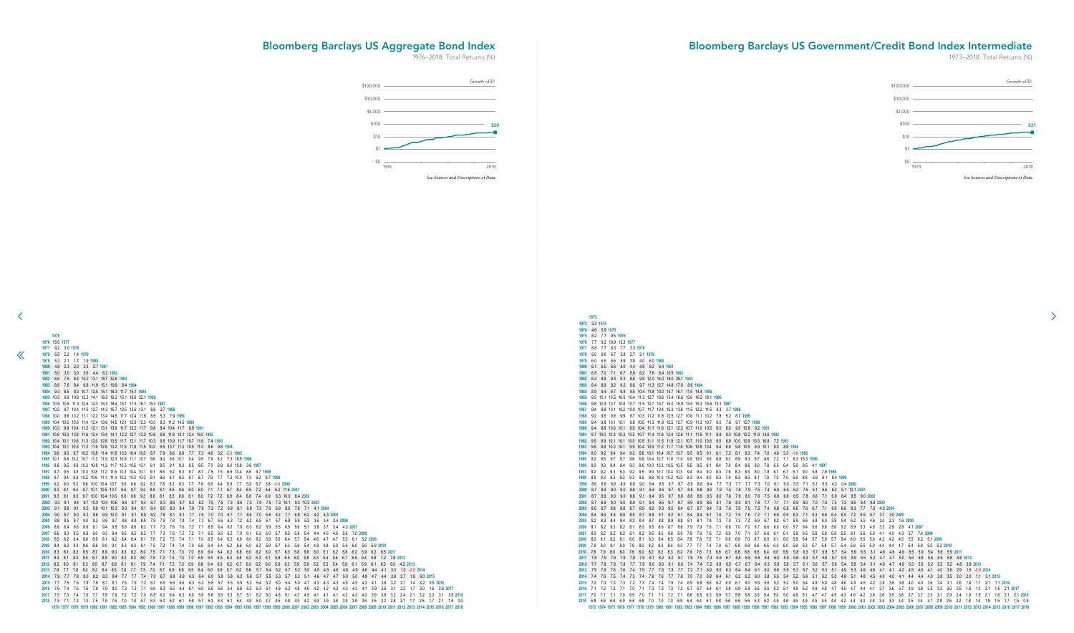3.3 **1974** 4.6 5.9 **1975** 6.2 7.7 9.5 **1976** 7.7 9.2 10.9 12.3 **1977** 6.8 7.7 8.3 7.7 3.3 **1978** 6.0 6.6 6.7 5.8 2.7 2.1 **1979** 6.0 6.5 6.6 5.9 3.8 4.0 6.0 **1980** 6.1 6.5 6.6 6.0 4.4 4.8 6.2 6.4 **1981** 6.5 7.0 7.1 6.7 5.6 6.2 7.6 8.4 10.5 **1982** 8.4 8.9 9.3 9.3 8.8 9.9 12.0 14.0 18.0 26.1 **1983** 8.4 8.9 9.2 9.2 8.8 9.7 11.3 12.7 14.8 17.0 8.6 **1984** 8.9 9.4 9.7 9.8 9.5 10.4 11.8 13.0 14.7 16.1 11.5 14.4 **1985** 9.5 10.1 10.5 10.6 10.4 11.3 12.7 13.8 15.4 16.6 13.6 16.2 18.1 **1986** 9.8 10.3 10.7 10.8 10.7 11.5 12.7 13.7 15.0 15.9 13.5 15.2 15.6 13.1 **1987** 9.4 9.8 10.1 10.2 10.0 10.7 11.7 12.4 13.3 13.8 11.5 12.2 11.5 8.3 3.7 **1988** 9.2 9.6 9.9 9.9 9.7 10.3 11.2 11.8 12.5 12.7 10.6 11.1 10.2 7.8 5.2 6.7 **1989** 9.4 9.8 10.1 10.1 9.9 10.5 11.3 11.9 12.5 12.7 10.9 11.3 10.7 9.0 7.6 9.7 12.7 **1990** 9.4 9.8 10.0 10.1 9.9 10.4 11.1 11.6 12.1 12.3 10.7 11.0 10.5 9.0 8.0 9.5 10.9 9.2 **1991** 9.7 10.0 10.3 10.3 10.2 10.7 11.4 11.9 12.4 12.6 11.1 11.5 11.1 9.9 9.3 10.8 12.2 11.9 14.6 **1992** 9.5 9.9 10.1 10.1 10.0 10.5 11.1 11.5 11.9 12.1 10.7 11.0 10.6 9.5 8.9 10.0 10.9 10.3 10.8 7.2 **1993** 9.5 9.8 10.0 10.1 9.9 10.4 10.9 11.3 11.7 11.8 10.6 10.8 10.4 9.4 8.9 9.8 10.5 9.9 10.1 8.0 8.8 **1994** 9.0 9.2 9.4 9.4 9.2 9.6 10.1 10.4 10.7 10.7 9.5 9.5 9.1 8.1 7.5 8.1 8.3 7.4 7.0 4.6 3.3 -1.9 **1995** 9.2 9.5 9.7 9.7 9.6 9.9 10.4 10.7 11.0 11.0 9.9 10.0 9.6 8.8 8.3 8.9 9.3 8.7 8.6 7.2 7.1 6.3 15.3 **1996** 9.0 9.3 9.4 9.4 9.3 9.6 10.0 10.3 10.5 10.5 9.5 9.5 9.1 8.4 7.9 8.4 8.6 8.0 7.8 6.5 6.4 5.6 9.5 4.1 **1997** 9.0 9.2 9.3 9.3 9.2 9.5 9.9 10.1 10.4 10.3 9.4 9.4 9.0 8.3 7.9 8.3 8.5 8.0 7.8 6.7 6.7 6.1 9.0 5.9 7.9 **1998** 8.9 9.2 9.3 9.3 9.2 9.5 9.8 10.0 10.2 10.2 9.3 9.4 9.0 8.3 7.9 8.3 8.5 8.1 7.9 7.0 7.0 6.6 8.8 6.8 8.1 8.4 **1999** 8.6 8.8 8.9 8.9 8.8 9.0 9.4 9.5 9.7 9.7 8.8 8.8 8.4 7.7 7.3 7.7 7.7 7.3 7.0 6.1 6.0 5.5 7.1 5.1 5.5 4.3 0.4 **2000** 8.7 8.9 9.0 9.0 8.8 9.1 9.4 9.6 9.7 9.7 8.8 8.8 8.5 7.9 7.5 7.8 7.9 7.5 7.4 6.6 6.5 6.2 7.6 6.1 6.6 6.2 5.1 10.1 **2001** 8.7 8.9 9.0 9.0 8.8 9.1 9.4 9.5 9.7 9.6 8.8 8.9 8.5 8.0 7.6 7.9 8.0 7.6 7.5 6.8 6.8 6.5 7.8 6.6 7.1 6.9 6.4 9.5 9.0 **2002** 8.7 8.9 9.0 9.0 8.9 9.1 9.4 9.5 9.7 9.7 8.9 8.9 8.6 8.1 7.8 8.0 8.1 7.8 7.7 7.1 7.1 6.9 8.0 7.0 7.5 7.5 7.2 9.6 9.4 9.8 **2003** 8.6 8.7 8.8 8.8 8.7 8.9 9.2 9.3 9.5 9.4 8.7 8.7 8.4 7.9 7.6 7.8 7.9 7.5 7.4 6.8 6.8 6.6 7.6 6.7 7.1 6.9 6.6 8.3 7.7 7.0 4.3 **2004** 8.4 8.6 8.6 8.6 8.5 8.7 8.9 9.1 9.2 9.1 8.4 8.4 8.1 7.6 7.3 7.5 7.6 7.2 7.1 6.5 6.5 6.3 7.1 6.3 6.6 6.4 6.0 7.2 6.5 5.7 3.7 3.0 **2005** 8.2 8.3 8.4 8.4 8.2 8.4 8.7 8.8 8.9 8.8 8.1 8.1 7.8 7.3 7.0 7.2 7.2 6.9 6.7 6.2 6.1 5.9 6.6 5.8 6.0 5.8 5.4 6.2 5.5 4.6 3.0 2.3 1.6 **2006** 8.1 8.2 8.3 8.2 8.1 8.3 8.5 8.6 8.7 8.6 7.9 7.9 7.6 7.1 6.8 7.0 7.0 6.7 6.6 6.0 6.0 5.7 6.4 5.6 5.8 5.6 5.2 5.9 5.3 4.5 3.2 2.9 2.8 4.1 **2007** 8.0 8.2 8.2 8.2 8.1 8.2 8.5 8.5 8.6 8.6 7.9 7.9 7.6 7.2 6.9 7.0 7.1 6.7 6.6 6.1 6.1 5.9 6.5 5.8 5.9 5.8 5.5 6.1 5.6 5.0 4.1 4.0 4.3 5.7 7.4 **2008** 8.0 8.1 8.2 8.1 8.0 8.1 8.3 8.4 8.5 8.4 7.8 7.8 7.5 7.1 6.8 6.9 7.0 6.7 6.5 6.1 6.0 5.8 6.4 5.7 5.9 5.7 5.4 6.0 5.5 5.0 4.2 4.2 4.5 5.5 6.2 5.1 **2009** 7.9 8.0 8.1 8.0 7.9 8.0 8.2 8.3 8.4 8.3 7.7 7.7 7.4 7.0 6.7 6.9 6.9 6.6 6.5 6.0 6.0 5.8 6.3 5.7 5.8 5.7 5.4 5.9 5.5 5.0 4.4 4.4 4.7 5.4 5.9 5.2 5.2 **2010** 7.8 7.9 8.0 8.0 7.8 8.0 8.2 8.2 8.3 8.2 7.6 7.6 7.3 6.9 6.7 6.8 6.8 6.6 6.4 6.0 5.9 5.8 6.3 5.7 5.8 5.7 5.4 5.9 5.5 5.1 4.6 4.6 4.9 5.5 5.9 5.4 5.6 5.9 **2011** 7.8 7.9 7.9 7.9 7.8 7.9 8.1 8.2 8.2 8.1 7.6 7.5 7.3 6.9 6.7 6.8 6.8 6.5 6.4 6.0 5.9 5.8 6.3 5.7 5.8 5.7 5.5 5.9 5.5 5.2 4.7 4.7 5.0 5.6 5.9 5.5 5.6 5.8 5.8 **2012** 7.7 7.8 7.8 7.8 7.7 7.8 8.0 8.0 8.1 8.0 7.4 7.4 7.2 6.8 6.5 6.7 6.7 6.4 6.3 5.9 5.8 5.7 6.1 5.6 5.7 5.6 5.4 5.8 5.4 5.1 4.6 4.7 4.9 5.3 5.5 5.2 5.2 5.2 4.8 3.9 **2013** 7.5 7.6 7.6 7.6 7.4 7.5 7.7 7.8 7.8 7.7 7.2 7.1 6.9 6.5 6.3 6.4 6.4 6.1 6.0 5.6 5.5 5.3 5.7 5.2 5.3 5.1 4.9 5.3 4.9 4.6 4.1 4.1 4.2 4.5 4.6 4.1 4.0 3.6 2.9 1.5 -0.9 **2014** 7.4 7.5 7.5 7.4 7.3 7.4 7.6 7.6 7.7 7.6 7.0 7.0 6.8 6.4 6.1 6.2 6.2 6.0 5.8 5.5 5.4 5.2 5.6 5.1 5.2 5.0 4.8 5.1 4.8 4.5 4.0 4.0 4.1 4.4 4.4 4.0 3.8 3.5 3.0 2.0 1.1 3.1 **2015** 7.2 7.3 7.3 7.3 7.2 7.3 7.4 7.4 7.5 7.4 6.9 6.8 6.6 6.2 6.0 6.1 6.0 5.8 5.6 5.3 5.2 5.0 5.4 4.9 5.0 4.8 4.6 4.9 4.5 4.2 3.8 3.8 3.8 4.0 4.0 3.6 3.4 3.1 2.6 1.8 1.1 2.1 1.1 **2016** 7.1 7.2 7.2 7.1 7.0 7.1 7.3 7.3 7.3 7.2 6.7 6.7 6.4 6.1 5.8 5.9 5.9 5.6 5.5 5.2 5.1 4.9 5.2 4.8 4.8 4.7 4.5 4.7 4.4 4.1 3.7 3.6 3.7 3.9 3.8 3.5 3.3 3.0 2.5 1.8 1.3 2.1 1.6 2.1 **2017** 7.0 7.1 7.1 7.0 6.9 7.0 7.1 7.1 7.2 7.1 6.6 6.5 6.3 5.9 5.7 5.8 5.8 5.5 5.4 5.0 5.0 4.8 5.1 4.7 4.7 4.5 4.3 4.6 4.2 3.9 3.6 3.5 3.6 3.7 3.7 3.3 3.1 2.9 2.4 1.9 1.5 2.1 1.8 2.1 2.1 **2018** 6.8 6.9 6.9 6.9 6.8 6.8 7.0 7.0 7.0 6.9 6.4 6.4 6.1 5.8 5.6 5.6 5.6 5.3 5.2 4.9 4.8 4.6 4.9 4.5 4.5 4.4 4.2 4.4 4.0 3.8 3.4 3.3 3.4 3.5 3.4 3.1 2.9 2.6 2.2 1.8 1.4 1.9 1.5 1.7 1.5 0.9 1973 1974 1975 1976 1977 1978 1979 1980 1981 1982 1983 1984 1985 1986 1987 1988 1999 1990 1991 1992 1993 1994 1995 1996 1997 1998 1999 2000 2001 2002 2003 2004 2005 2006 2007 2008 2009 2010 2011 2012 2013 2014 2015 2016 201

![](_page_30_Figure_3.jpeg)

## <span id="page-30-0"></span>Bloomberg Barclays US Aggregate Bond Index

1976–2018: Total Returns (%)

## Bloomberg Barclays US Government/Credit Bond Index Intermediate

1973–2018: Total Returns (%)

![](_page_30_Figure_6.jpeg)

![](_page_30_Figure_2.jpeg)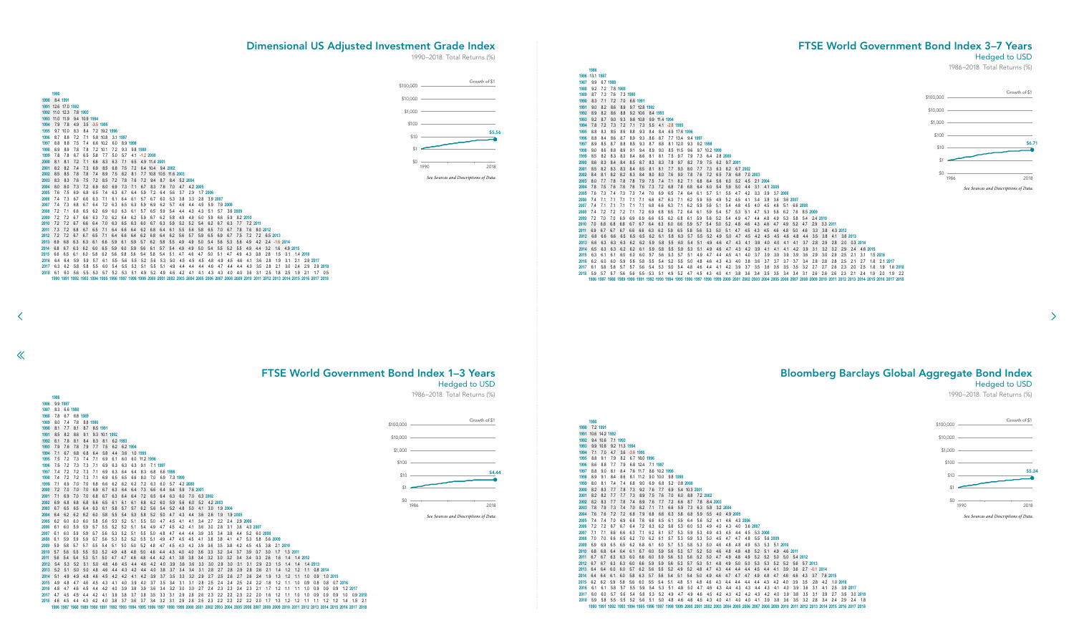9.4 10.6 7.1 **1993** 9.9 10.8 9.2 11.3 **1994** 7.1 7.0 4.7 3.6 -3.6 **1995** 8.8 9.1 7.9 8.2 6.7 18.0 **1996** 8.6 8.8 7.7 7.9 6.8 12.4 7.1 **1997** 8.8 9.0 8.1 8.4 7.6 11.7 8.6 10.2 **1998** 8.9 9.1 8.4 8.6 8.1 11.2 9.0 10.0 9.8 **1999** 8.0 8.1 7.4 7.4 6.8 9.0 6.9 6.8 5.2 0.8 **2000** 8.2 8.3 7.7 7.8 7.3 9.2 7.6 7.7 6.9 5.4 10.3 **2001** 8.2 8.2 7.7 7.7 7.3 8.9 7.5 7.6 7.0 6.0 8.8 7.2 **2002** 8.2 8.3 7.7 7.8 7.4 8.9 7.6 7.7 7.2 6.6 8.7 7.8 8.4 **2003** 7.8 7.9 7.3 7.4 7.0 8.2 7.1 7.1 6.6 5.9 7.3 6.3 5.8 3.2 **2004** 7.6 7.6 7.2 7.2 6.8 7.9 6.8 6.8 6.3 5.8 6.8 5.9 5.5 4.0 4.9 **2005** 7.4 7.4 7.0 6.9 6.6 7.6 6.6 6.5 6.1 5.5 6.4 5.6 5.2 4.1 4.6 4.3 **2006** 7.2 7.2 6.7 6.7 6.4 7.2 6.3 6.2 5.8 5.3 6.0 5.3 4.9 4.0 4.3 4.0 3.6 **2007** 7.1 7.1 6.6 6.6 6.3 7.1 6.2 6.1 5.7 5.3 5.9 5.3 4.9 4.3 4.5 4.4 4.5 5.3 **2008** 7.0 7.0 6.6 6.5 6.2 7.0 6.2 6.1 5.7 5.3 5.9 5.3 5.0 4.5 4.7 4.7 4.8 5.5 5.6 **2009** 6.9 6.9 6.5 6.5 6.2 6.8 6.1 6.0 5.7 5.3 5.8 5.3 5.0 4.6 4.8 4.8 4.9 5.3 5.3 5.1 **2010** 6.8 6.8 6.4 6.4 6.1 6.7 6.0 5.9 5.6 5.3 5.7 5.2 5.0 4.6 4.8 4.8 4.8 5.2 5.1 4.9 4.6 **2011** 6.7 6.7 6.3 6.3 6.0 6.6 6.0 5.9 5.6 5.3 5.6 5.2 5.0 4.7 4.9 4.8 4.9 5.2 5.2 5.0 5.0 5.4 **2012** 6.7 6.7 6.3 6.3 6.0 6.6 5.9 5.9 5.6 5.3 5.7 5.3 5.1 4.8 4.9 5.0 5.0 5.3 5.3 5.2 5.2 5.6 5.7 **2013** 6.4 6.4 6.0 6.0 5.7 6.2 5.6 5.5 5.2 4.9 5.2 4.8 4.7 4.3 4.4 4.4 4.4 4.5 4.4 4.1 3.9 3.6 2.7 -0.1 **2014** 6.4 6.4 6.1 6.0 5.8 6.3 5.7 5.6 5.4 5.1 5.4 5.0 4.9 4.6 4.7 4.7 4.7 4.9 4.8 4.7 4.6 4.6 4.3 3.7 7.6 **2015** 6.2 6.2 5.9 5.8 5.6 6.0 5.5 5.4 5.1 4.8 5.1 4.8 4.6 4.3 4.4 4.4 4.4 4.4 4.3 4.2 4.0 3.9 3.5 2.8 4.2 1.0 **2016** 6.1 6.1 5.8 5.7 5.5 5.9 5.4 5.3 5.1 4.8 5.0 4.7 4.6 4.3 4.4 4.3 4.3 4.4 4.3 4.1 4.0 3.9 3.6 3.1 4.1 2.5 3.9 **2017** 6.0 6.0 5.7 5.6 5.4 5.8 5.3 5.2 4.9 4.7 4.9 4.6 4.5 4.2 4.3 4.2 4.2 4.3 4.2 4.0 3.9 3.8 3.5 3.1 3.9 2.7 3.5 3.0 **2018** 5.9 5.8 5.5 5.5 5.2 5.6 5.1 5.0 4.8 4.6 4.8 4.5 4.3 4.0 4.1 4.0 4.0 4.1 3.9 3.8 3.6 3.5 3.2 2.8 3.4 2.4 2.9 2.4 1.8 1990 1991 1992 1993 1994 1995 1996 1997 1998 1999 2000 2001 2002 2003 2004 2005 2006 2007 2008 2009 2010 2011 2012 2013 2014 2015 2016 2017 2018

![](_page_31_Figure_8.jpeg)

<span id="page-31-0"></span> 8.4 **1991** 12.6 17.0 **1992** 11.0 12.3 7.8 **1993** 11.0 11.9 9.4 10.9 **1994** 7.9 7.8 4.9 3.5 -3.5 **1995**

| 1995 |     | $9.7$ 10.0 8.3 |         | 8.4 |     | 7.2 19.2 1996 |                   |     |                |                  |                   |     |                          |     |              |     |             |              |              |                                                                                                                                                  |              |          |                   |     |          |          |                  |             |  |
|------|-----|----------------|---------|-----|-----|---------------|-------------------|-----|----------------|------------------|-------------------|-----|--------------------------|-----|--------------|-----|-------------|--------------|--------------|--------------------------------------------------------------------------------------------------------------------------------------------------|--------------|----------|-------------------|-----|----------|----------|------------------|-------------|--|
| 1996 | 8.7 | 8.8            | 7.2     | 7.1 |     |               | 5.8 10.8 3.1 1997 |     |                |                  |                   |     |                          |     |              |     |             |              |              |                                                                                                                                                  |              |          |                   |     |          |          |                  |             |  |
| 1997 | 8.8 | 8.8            | 7.5     | 7.4 |     | 6.6 10.2      | 6.0               |     | 8.9 1998       |                  |                   |     |                          |     |              |     |             |              |              |                                                                                                                                                  |              |          |                   |     |          |          |                  |             |  |
| 1998 | 8.9 | 8.9            | 7.8     | 7.8 |     | 7.2 10.1      | 72                |     | 9.3 9.8 1999   |                  |                   |     |                          |     |              |     |             |              |              |                                                                                                                                                  |              |          |                   |     |          |          |                  |             |  |
| 1999 | 78  | 7.8            | 6.7     | 6.5 | 5.8 | 7.7           | 5.0               | 5.7 |                | $4.1 - 1.2$ 2000 |                   |     |                          |     |              |     |             |              |              |                                                                                                                                                  |              |          |                   |     |          |          |                  |             |  |
| 2000 | 8.1 | 8.1            | 7.2     | 7.1 | 6.6 | 8.3           | 6.3               |     | $7.1\quad 6.5$ |                  | 4.9 11.4 2001     |     |                          |     |              |     |             |              |              |                                                                                                                                                  |              |          |                   |     |          |          |                  |             |  |
| 2001 | 8.2 | 8.2            | 7.4     | 7.3 | 6.9 | 8.5           | 6.8               | 7.5 | 7.2            |                  | 6.4 10.4 9.4 2002 |     |                          |     |              |     |             |              |              |                                                                                                                                                  |              |          |                   |     |          |          |                  |             |  |
| 2002 | 8.5 | 8.5            | 7.8     | 7.8 | 7.4 |               | 8.9 7.5           |     | 8.2 8.1        |                  |                   |     | 7.7 10.8 10.5 11.6 2003  |     |              |     |             |              |              |                                                                                                                                                  |              |          |                   |     |          |          |                  |             |  |
| 2003 | 8.3 | 8.3            | 7.6     | 7.5 | 7.2 | 8.5           | 7.2               | 7.8 | 7.6            |                  |                   |     | 7.2 9.4 8.7 8.4 5.2 2004 |     |              |     |             |              |              |                                                                                                                                                  |              |          |                   |     |          |          |                  |             |  |
| 2004 | 8.0 | 8.0            | 7.3     | 7.2 | 6.9 | 8.0           | 6.9               | 7.3 | 7.1            |                  | 6.7 8.3           | 7.6 | 7.0                      |     | 4.7 4.2 2005 |     |             |              |              |                                                                                                                                                  |              |          |                   |     |          |          |                  |             |  |
| 2005 | 7.6 | 7.5            | -6.9    | 6.8 | 6.5 | 7.4           | 6.3               | 6.7 | 6.4            | 5.9              | 7.2               | 6.4 | 5.6                      | 3.7 | 2.9          |     | 1.7 2006    |              |              |                                                                                                                                                  |              |          |                   |     |          |          |                  |             |  |
| 2006 | 7.4 | 7.3            | 6.7     | 6.6 | 6.3 | 7.1           | 6.1               | 6.4 | 6.1            | 5.7              | 6.7               | 6.0 | 5.3                      | 3.8 | 3.3          |     |             | 2.8 3.9 2007 |              |                                                                                                                                                  |              |          |                   |     |          |          |                  |             |  |
| 2007 | 7.4 | 7.3            | 6.8     | 6.7 | 6.4 |               | 7.2 6.3           | 6.5 | 6.3            | 5.9              | 6.9               | 6.2 | 5.7                      | 4.6 | 4.4          | 4.5 |             | 5.9 7.9 2008 |              |                                                                                                                                                  |              |          |                   |     |          |          |                  |             |  |
| 2008 | 72  | 7.1            | 6.6     | 6.5 | 6.2 | 6.9           | 6.0               | 6.3 | 6.1            | 5.7              | 6.5               | 5.9 | 5.4                      | 4.4 | 4.3          | 4.3 | 5.1         |              | 5.7 3.6 2009 |                                                                                                                                                  |              |          |                   |     |          |          |                  |             |  |
| 2009 | 72  | 72             | 6.7     | 6.6 | 6.3 | 7.0           | 6.2               | 6.4 | 6.2            | 5.9              | 6.7               | 6.2 | 5.8                      | 4.9 | 4.9          | 5.0 | 5.9         | 6.6          |              | 5.9 8.2 2010                                                                                                                                     |              |          |                   |     |          |          |                  |             |  |
| 2010 | 72  | 7.2            | 6.7     | 6.6 | 6.4 | 7.0           | 6.3               | 6.5 | 6.3            | 6.0              | 6.7               | 6.3 | 5.9                      | 5.2 | 5.2          | 5.4 | 6.2         | 6.7          | 6.3          |                                                                                                                                                  | 7.7 7.2 2011 |          |                   |     |          |          |                  |             |  |
| 2011 | 7.3 | 7.2            | 6.8     | 6.7 | 6.5 | 7.1           | 6.4               | 6.6 | 6.4            | 6.2              | 6.8               | 6.4 | 6.1                      | 5.5 | 5.6          | 5.8 | 6.5         | 7.0          | 6.7          | 7.8                                                                                                                                              | 7.6          | 8.0 2012 |                   |     |          |          |                  |             |  |
| 2012 | 7.2 | 7.2            | 6.7     | 6.7 | 6.5 | 7.1           | 6.4               | 6.6 | 6.4            | 6.2              | 6.8               | 6.4 | 6.2                      | 5.6 | 5.7          | 5.9 | 6.5         | 6.9          | 6.7          | 7.5                                                                                                                                              | 7.2          |          | 7.2 6.5 2013      |     |          |          |                  |             |  |
| 2013 | 6.9 | 6.8            | 6.3     | 6.3 | 6.1 | 6.6           | 5.9               | 6.1 | 5.9            | 5.7              | 6.2               | 5.8 | 5.5                      | 4.9 | 4.9          | 5.0 | 5.4         | 5.6          | 5.3          | 5.6                                                                                                                                              | 4.9          |          | 4.2 2.4 -1.6 2014 |     |          |          |                  |             |  |
| 2014 | 6.8 | 6.7            | 6.3     | 6.2 | 6.0 | 6.5           | 5.9               | 6.0 | 5.9            | 5.6              | 6.1               | 5.7 | 5.4                      | 4.9 | 4.9          | 5.0 | 5.4         | 5.5          | 5.2          | 5.5                                                                                                                                              | 4.9          | 4.4      | 3.2               | 1.6 | 4.9 2015 |          |                  |             |  |
| 2015 | 6.6 | 6.5            | -6.1    | 6.0 | 5.8 | 6.2           | 5.6               | 5.8 | 5.6            | 5.4              | 5.8               | 5.4 | 5.1                      | 4.7 | 4.6          | 4.7 | 5.0         | 5.1          | 4.7          | 4.9                                                                                                                                              | 4.3          | 3.8      | 2.8               | 1.5 | 3.1      | 1.4 2016 |                  |             |  |
| 2016 | 6.4 | 6.4            | 5.9     | 5.9 | 5.7 | 6.1           | 5.5               | 5.6 | 5.5            |                  | $5.2$ $5.6$       | 5.3 | 5.0                      | 4.5 | 4.5          | 4.5 | 4.8         | 4.9          | 4.5          | 4.6                                                                                                                                              | 4.1          | 3.6      | 2.8               | 1.9 | 3.1      |          | 2.1 2.9 2017     |             |  |
| 2017 | 6.3 |                | 6.2 5.8 | 5.8 | 5.5 | 6.0           | -5.4              | 5.5 | 5.3            |                  | 5.1 5.5           | 5.1 | 4.9                      | 4.4 | 4.4          | 4.4 | 4.6         | 4.7          | 4.4          | 4.4                                                                                                                                              | 4.0          | 3.5      | 2.8               | 2.1 | 3.0      |          | 2.4 2.9 2.9 2018 |             |  |
| 2018 | 6.1 |                | 6.0 5.6 | 5.5 | 5.3 |               | 5.7 5.2 5.3 5.1   |     |                |                  | 4.9 5.2 4.9       |     | 4.6                      |     | $4.2$ $4.1$  |     | $4.1$ $4.3$ | 4.3          | 4.0          | 4.0                                                                                                                                              | 3.6          |          | $3.1\quad 2.5$    | 1.8 | 2.5      | 1.9      | 2.1              | $1.7 \t0.5$ |  |
|      |     |                |         |     |     |               |                   |     |                |                  |                   |     |                          |     |              |     |             |              |              | 1990 1991 1992 1993 1994 1995 1996 1997 1998 1999 2000 2001 2002 2003 2004 2005 2006 2007 2008 2009 2010 2011 2012 2013 2014 2015 2016 2017 2018 |              |          |                   |     |          |          |                  |             |  |
|      |     |                |         |     |     |               |                   |     |                |                  |                   |     |                          |     |              |     |             |              |              |                                                                                                                                                  |              |          |                   |     |          |          |                  |             |  |

 $\ll$ 

![](_page_31_Figure_13.jpeg)

# FTSE World Government Bond Index 1–3 Years

Hedged to USD

1986–2018: Total Returns (%)

## FTSE World Government Bond Index 3–7 Years

#### Hedged to USD

1986–2018: Total Returns (%)

## Dimensional US Adjusted Investment Grade Index

1990–2018: Total Returns (%)

Bloomberg Barclays Global Aggregate Bond Index

Hedged to USD

 $\rightarrow$ 

1990–2018: Total Returns (%)

![](_page_31_Figure_2.jpeg)

![](_page_31_Figure_17.jpeg)

\$4.44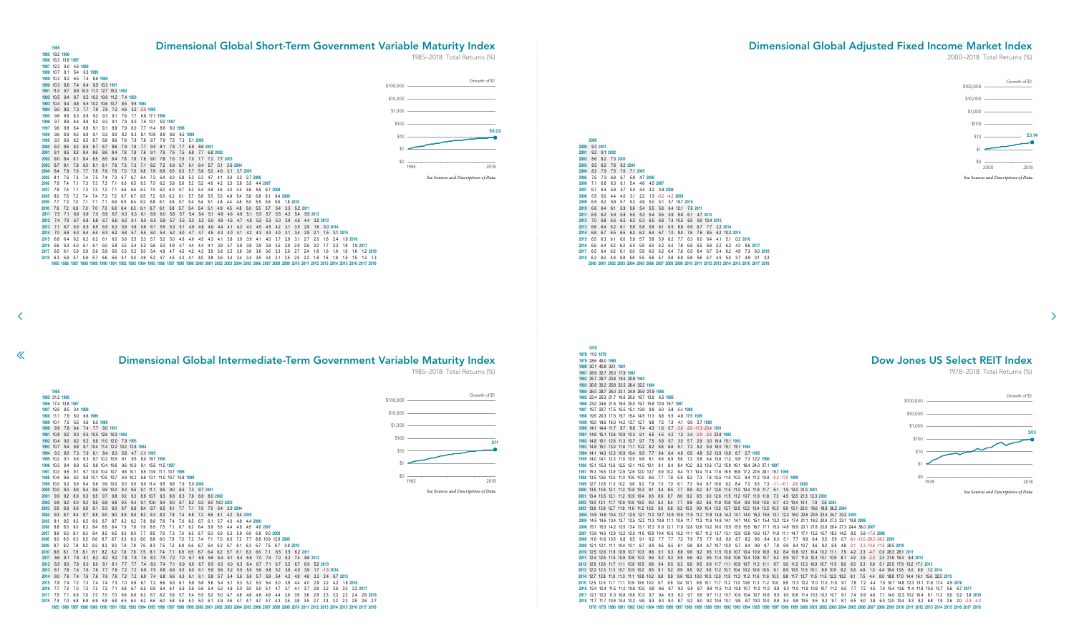9.3 **2001** 9.2 9.1 **2002** 8.6 8.2 7.3 **2003** 8.5 8.2 7.8 8.2 **2004** 8.2 7.9 7.5 7.6 7.1 **2005** 7.6 7.3 6.8 6.7 5.9 4.7 **2006** 7.1 6.8 6.3 6.1 5.4 4.6 4.5 **2007** 6.7 6.4 5.9 5.7 5.0 4.4 4.2 3.9 **2008** 5.5 5.0 4.4 4.0 3.1 2.2 1.3 -0.2 -4.2 **2009** 6.5 6.2 5.9 5.7 5.3 4.9 5.0 5.1 5.7 16.7 **2010** 6.6 6.4 6.1 5.9 5.6 5.4 5.5 5.8 6.4 12.1 7.6 **2011** 6.5 6.2 5.9 5.8 5.5 5.3 5.4 5.5 5.9 9.6 6.1 4.7 **2012** 7.0 6.8 6.6 6.5 6.3 6.3 6.5 6.8 7.4 10.5 8.5 9.0 13.4 **2013** 6.6 6.4 6.2 6.1 5.9 5.8 5.9 6.1 6.5 8.8 6.9 6.7 7.7 2.2 **2014** 6.9 6.7 6.5 6.5 6.3 6.2 6.4 6.7 7.0 9.0 7.6 7.6 8.5 6.2 10.3 **2015** 6.5 6.3 6.1 6.0 5.8 5.7 5.8 5.9 6.2 7.7 6.3 6.0 6.4 4.1 5.1 0.2 **2016** 6.6 6.4 6.2 6.2 6.0 5.9 6.0 6.2 6.4 7.8 6.6 6.5 6.8 5.2 6.2 4.3 8.6 **2017** 6.5 6.4 6.2 6.1 6.0 5.9 6.0 6.2 6.4 7.6 6.5 6.4 6.7 5.4 6.2 4.9 7.3 6.0 **2018** 6.2 6.0 5.9 5.8 5.6 5.5 5.6 5.7 5.8 6.9 5.8 5.6 5.7 4.5 5.0 3.7 4.9 3.1 0.3 2000 2001 2002 2003 2004 2005 2006 2007 2008 2009 2010 2011 2012 2013 2014 2015 2016 2017 201

<span id="page-32-0"></span>![](_page_32_Figure_0.jpeg)

![](_page_32_Figure_9.jpeg)

## Dimensional Global Adjusted Fixed Income Market Index

2000–2018: Total Returns (%)

![](_page_32_Figure_6.jpeg)

*See Sources and Descriptions of Data.*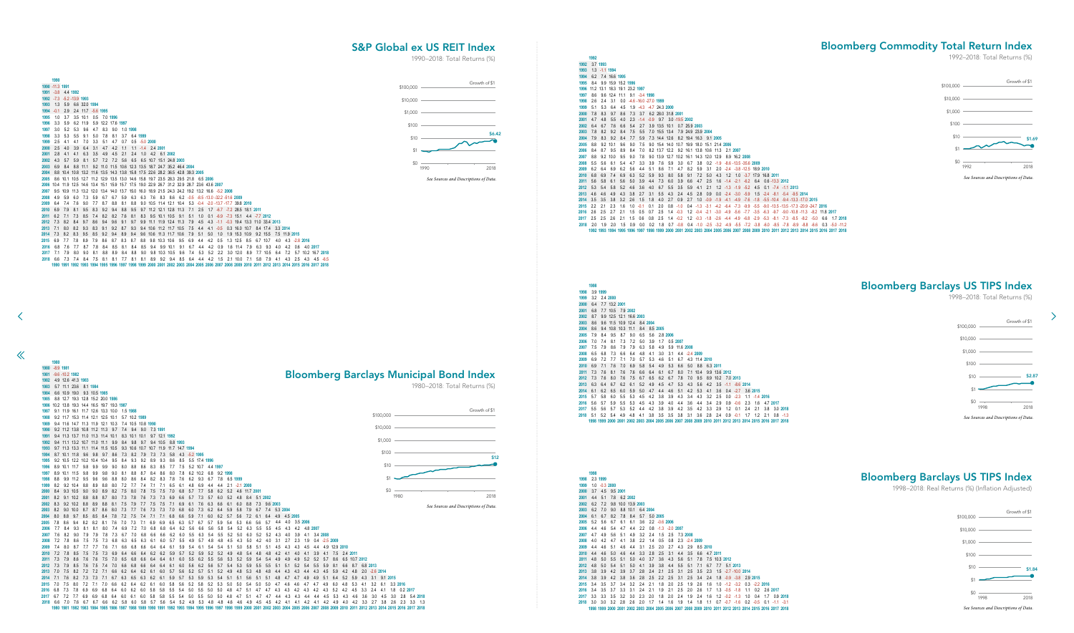-8.9 **1981**

✓

 $\ll$ 

 3.7 **1993** 1.3 -1.1 **1994** 6.2 7.4 16.6 **1995** 8.4 9.9 15.9 15.2 **1996** 11.2 13.1 18.3 19.1 23.2 **1997** 8.6 9.6 12.4 11.1 9.1 -3.4 **1998**

| 2006 8.4 8.7 9.5 8.9 8.4 7.0 8.2 13.7 12.2 9.2 16.1 13.8 10.6 11.3 2.1 2007                                                            |  |  |  |  |                                                               |  |  |  |  |  |  |  |  |
|----------------------------------------------------------------------------------------------------------------------------------------|--|--|--|--|---------------------------------------------------------------|--|--|--|--|--|--|--|--|
| 2007 8.8 9.2 10.0 9.5 9.0 7.8 9.0 13.9 12.7 10.2 16.1 14.3 12.0 12.9 8.9 16.2 2008                                                     |  |  |  |  |                                                               |  |  |  |  |  |  |  |  |
| 2008 5.5 5.6 6.1 5.4 4.7 3.3 3.9 7.6 5.9 3.0 6.7 3.8 0.2 -1.9 -8.6 -13.5 -35.6 2009                                                    |  |  |  |  |                                                               |  |  |  |  |  |  |  |  |
| 2009 6.2 6.4 6.9 6.2 5.6                                                                                                               |  |  |  |  | 4.4 5.1 8.6 7.1 4.7 8.2 5.9 3.1 2.0 -2.4 -3.8 -12.5 18.9 2010 |  |  |  |  |  |  |  |  |
| 2010 6.8 6.9 7.4 6.9 6.3 5.2 5.9 9.3 8.0 5.8 9.1 7.2 5.0 4.3 1.2 1.0 -3.7 17.9 16.8 2011                                               |  |  |  |  |                                                               |  |  |  |  |  |  |  |  |
| 2011 5.6 5.8 6.1 5.6 5.0 3.9 4.4 7.3 6.0 3.9 6.6 4.7 2.5 1.6 -1.4 -2.1 -6.2 6.4 0.6 -13.3 2012                                         |  |  |  |  |                                                               |  |  |  |  |  |  |  |  |
| 2012 5.3 5.4 5.8 5.2 4.6 3.6 4.0 6.7 5.5 3.5 5.9 4.1 2.1 1.2 -1.3 -1.9 -5.2 4.5 0.1 -7.4 -1.1 2013                                     |  |  |  |  |                                                               |  |  |  |  |  |  |  |  |
| 2013 4.6 4.6 4.9 4.3 3.8 2.7 3.1 5.5 4.3 2.4 4.5 2.8 0.9 0.0 -2.4 -3.0 -5.9 1.5 -2.4 -8.1 -5.4 -9.5 2014                               |  |  |  |  |                                                               |  |  |  |  |  |  |  |  |
| 2014 3.5 3.5 3.8 3.2 2.6 1.5 1.8 4.0 2.7 0.9 2.7 1.0 -0.9 -1.9 -4.1 -4.9 -7.6 -1.8 -5.5 -10.4 -9.4 -13.3 -17.0 2015                    |  |  |  |  |                                                               |  |  |  |  |  |  |  |  |
| 2015 2.2 2.1 2.3 1.6 1.0 -0.1 0.1 2.0 0.8 -1.0 0.4 -1.3 -3.1 -4.2 -6.4 -7.3 -9.9 -5.5 -9.0 -13.5 -13.5 -17.3 -20.9 -24.7 2016          |  |  |  |  |                                                               |  |  |  |  |  |  |  |  |
| 2016 2.6 2.5 2.7 2.1 1.5 0.5 0.7 2.5 1.4 -0.3 1.2 -0.4 -2.1 -3.0 -4.9 -5.6 -7.7 -3.5 -6.3 -9.7 -9.0 -10.8 -11.3 -8.2 11.8 2017         |  |  |  |  |                                                               |  |  |  |  |  |  |  |  |
| 2017 2.5 2.5 2.6 2.1 1.5 0.6 0.8 2.5 1.4 -0.2 1.2 -0.3 -1.8 -2.6 -4.4 -4.9 -6.8 -2.9 -5.3 -8.1 -7.3 -8.5 -8.2 -5.0 6.6 1.7 2018        |  |  |  |  |                                                               |  |  |  |  |  |  |  |  |
| 2018 2.0 1.9 2.0 1.5 0.9 0.0 0.2 1.8 0.7 -0.8 0.4 -1.0 -2.5 -3.2 -4.9 -5.5 -7.2 -3.8 -6.0 -8.5 -7.8 -8.9 -8.8 -6.6 0.3 -5.0 -11.2      |  |  |  |  |                                                               |  |  |  |  |  |  |  |  |
| 1992 1993 1994 1995 1996 1997 1998 1999 2000 2001 2002 2003 2004 2005 2006 2007 2008 2009 2010 2011 2012 2013 2014 2015 2016 2017 2018 |  |  |  |  |                                                               |  |  |  |  |  |  |  |  |
|                                                                                                                                        |  |  |  |  |                                                               |  |  |  |  |  |  |  |  |
|                                                                                                                                        |  |  |  |  |                                                               |  |  |  |  |  |  |  |  |
|                                                                                                                                        |  |  |  |  |                                                               |  |  |  |  |  |  |  |  |
|                                                                                                                                        |  |  |  |  |                                                               |  |  |  |  |  |  |  |  |
|                                                                                                                                        |  |  |  |  |                                                               |  |  |  |  |  |  |  |  |

![](_page_33_Figure_5.jpeg)

83 1984 1985 1986 1987 1988 1989 1990 1991 1992 1993 1994 1995 1996 1997 1998 1999 2000 2001 2002 2003 2004 2005 2006 2007 2008 2009 2010 2011 2012 2013 2014 2015 2016 2016 2017 2018

![](_page_33_Figure_6.jpeg)

| 1998 |     | 3.9 1999 |               |                         |     |     |          |          |          |          |               |          |               |          |               |                   |     |          |             |                                                                                                          |          |
|------|-----|----------|---------------|-------------------------|-----|-----|----------|----------|----------|----------|---------------|----------|---------------|----------|---------------|-------------------|-----|----------|-------------|----------------------------------------------------------------------------------------------------------|----------|
| 1999 | 3.2 |          | 2.4 2000      |                         |     |     |          |          |          |          |               |          |               |          |               |                   |     |          |             |                                                                                                          |          |
| 2000 | 6.4 |          | 7.7 13.2 2001 |                         |     |     |          |          |          |          |               |          |               |          |               |                   |     |          |             |                                                                                                          |          |
| 2001 | 6.8 |          |               | 7.7 10.5 7.9 2002       |     |     |          |          |          |          |               |          |               |          |               |                   |     |          |             |                                                                                                          |          |
| 2002 | 8.7 |          |               | 9.9 12.5 12.1 16.6 2003 |     |     |          |          |          |          |               |          |               |          |               |                   |     |          |             |                                                                                                          |          |
| 2003 | 8.6 |          |               | 9.6 11.5 10.9 12.4      |     |     | 8.4 2004 |          |          |          |               |          |               |          |               |                   |     |          |             |                                                                                                          |          |
| 2004 | 8.6 |          |               | 9.4 10.8 10.3 11.1      |     | 8.4 |          | 8.5 2005 |          |          |               |          |               |          |               |                   |     |          |             |                                                                                                          |          |
| 2005 | 7.9 | 8.4      | 9.5           | 8.7                     | 9.0 | 6.5 | 5.6      |          | 2.8 2006 |          |               |          |               |          |               |                   |     |          |             |                                                                                                          |          |
| 2006 | 7.0 | 7.4      | 8.1           | 7.3                     | 7.2 | 5.0 | 3.9      | 1.7      |          | 0.5 2007 |               |          |               |          |               |                   |     |          |             |                                                                                                          |          |
| 2007 | 7.5 | 7.9      | 8.6           | 7.9                     | 7.9 | 6.3 | 5.8      | 4.9      |          |          | 5.9 11.6 2008 |          |               |          |               |                   |     |          |             |                                                                                                          |          |
| 2008 | 6.5 | 6.8      | 7.3           | 6.6                     | 6.4 | 4.8 | 4.1      | 3.0      | 3.1      |          | 4.4 -2.4 2009 |          |               |          |               |                   |     |          |             |                                                                                                          |          |
| 2009 | 6.9 | 7.2      | 7.7           | 7.1                     | 7.0 | 5.7 | 5.3      | 4.6      | 5.1      | 6.7      |               |          | 4.3 11.4 2010 |          |               |                   |     |          |             |                                                                                                          |          |
| 2010 | 6.9 | 7.1      | 7.6           | 7.0                     | 6.9 | 5.8 | 5.4      | 4.9      | 5.3      | 6.6      | 5.0           | 8.8      |               | 6.3 2011 |               |                   |     |          |             |                                                                                                          |          |
| 2011 | 7.3 | 7.6      | 8.1           | 7.6                     | 7.6 | 6.6 | 6.4      | 6.1      | 6.7      | 8.0      |               | 7.1 10.4 |               |          | 9.9 13.6 2012 |                   |     |          |             |                                                                                                          |          |
| 2012 | 7.3 | 7.6      | 8.0           | 7.6                     | 7.5 | 6.7 | 6.5      | 6.2      | 6.7      | 7.8      | 7.0           | 9.5      |               | 8.9 10.2 |               | 7.0 2013          |     |          |             |                                                                                                          |          |
| 2013 | 6.3 | 6.4      | 6.7           | 6.2                     | 6.1 | 5.2 | 4.9      | 4.5      | 4.7      | 5.3      | 4.3           | 5.6      | 4.2           | 3.5      |               | $-1.1 - 8.6$ 2014 |     |          |             |                                                                                                          |          |
| 2014 | 6.1 | 6.2      | 6.5           | 6.0                     | 5.9 | 5.0 | 4.7      | 4.4      | 4.6      | 5.1      | 4.2           | 5.3      | 4.1           | 3.6      | 0.4           | $-2.7$            |     | 3.6 2015 |             |                                                                                                          |          |
| 2015 | 5.7 | 5.8      | 6.0           | 5.5                     | 5.3 | 4.5 | 4.2      | 3.8      | 3.9      | 4.3      | 3.4           | 4.3      | 3.2           | 2.5      | 0.0           | $-2.3$            | 1.1 |          | $-1.4$ 2016 |                                                                                                          |          |
| 2016 | 5.6 | 5.7      | 5.9           | 5.5                     | 5.3 | 4.5 | 4.3      | 3.9      | 4.0      | 4.4      | 3.6           | 4.4      | 3.4           | 2.9      | 0.9           | $-0.6$            | 2.3 | 1.6      |             | 4.7 2017                                                                                                 |          |
| 2017 | 5.5 | 5.6      | 5.7           | 5.3                     | 5.2 | 4.4 | 4.2      | 3.8      | 3.9      | 4.2      | 3.5           | 4.2      | 3.3           | 2.9      | 12            | 0.1               | 2.4 | 21       | 3.8         |                                                                                                          | 3.0 2018 |
| 2018 | 5.1 | 5.2      | 5.4           | 4.9                     | 4.8 | 4.1 | 3.8      | 3.5      | 3.5      | 3.8      | 3.1           | 3.6      | 2.8           | 2.4      | 0.9           | $-0.1$            | 1.7 | 1.2      | 21          | 0.8                                                                                                      | $-1.3$   |
|      |     |          |               |                         |     |     |          |          |          |          |               |          |               |          |               |                   |     |          |             | 1998 1999 2000 2001 2002 2003 2004 2005 2006 2007 2008 2009 2010 2011 2012 2013 2014 2015 2016 2017 2018 |          |

![](_page_33_Figure_10.jpeg)

<span id="page-33-0"></span> -11.3 **1991** -3.8 4.4 **1992** -7.3 -5.2 -13.9 **1993** 1.3 5.9 6.6 32.0 **1994**

![](_page_33_Figure_16.jpeg)

| $1994 -0.1$ |                                                                                                | 2.9     |              |          | 2.4 11.7 -5.6 1995 |                                                                                               |         |     |          |                                         |  |                             |                             |                                 |     |             |                                                                                                                                                  |               |  |          |                   |               |               |                        |                    |  |
|-------------|------------------------------------------------------------------------------------------------|---------|--------------|----------|--------------------|-----------------------------------------------------------------------------------------------|---------|-----|----------|-----------------------------------------|--|-----------------------------|-----------------------------|---------------------------------|-----|-------------|--------------------------------------------------------------------------------------------------------------------------------------------------|---------------|--|----------|-------------------|---------------|---------------|------------------------|--------------------|--|
| 1995        | 1.0                                                                                            | 3.7     |              | 3.5 10.1 |                    | 0.5 7.0 1996                                                                                  |         |     |          |                                         |  |                             |                             |                                 |     |             |                                                                                                                                                  |               |  |          |                   |               |               |                        |                    |  |
| 1996        | 3.3                                                                                            |         | 5.9 6.2 11.9 |          |                    | 5.9 12.2 17.6 1997                                                                            |         |     |          |                                         |  |                             |                             |                                 |     |             |                                                                                                                                                  |               |  |          |                   |               |               |                        |                    |  |
| 1997        | 3.0                                                                                            | 5.2     | 5.3          | 9.6      | 4.7                | 8.3                                                                                           | 9.0     |     | 1.0 1998 |                                         |  |                             |                             |                                 |     |             |                                                                                                                                                  |               |  |          |                   |               |               |                        |                    |  |
| 1998        | 3.3                                                                                            | 5.3     | 5.5          | 9.1      | 5.0                | 7.8                                                                                           | 8.1     | 3.7 |          | 6.4 1999                                |  |                             |                             |                                 |     |             |                                                                                                                                                  |               |  |          |                   |               |               |                        |                    |  |
| 1999        | 2.5                                                                                            | -4.1    | 4.1          | 7.0      | 3.3                | 5.1                                                                                           | 4.7     | 0.7 |          | $0.5 - 5.02000$                         |  |                             |                             |                                 |     |             |                                                                                                                                                  |               |  |          |                   |               |               |                        |                    |  |
| 2000        | 2.5                                                                                            | 4.0     | 3.9          | 6.4      | 3.1                | 4.7                                                                                           | 4.2     | 11  |          | 1.1 -1.4 2.4 2001                       |  |                             |                             |                                 |     |             |                                                                                                                                                  |               |  |          |                   |               |               |                        |                    |  |
| 2001        | 2.8                                                                                            | 4.1     | 4.1          | 6.3      | 3.5                | 4.9                                                                                           | 4.5     | 2.1 |          | 2.4 1.0 4.2 6.1 2002                    |  |                             |                             |                                 |     |             |                                                                                                                                                  |               |  |          |                   |               |               |                        |                    |  |
| 2002        |                                                                                                | 4.3 5.7 | 5.9          | -8.1     | 5.7                |                                                                                               |         |     |          | 7.2 7.2 5.6 6.5 6.5 10.7 15.1 24.8 2003 |  |                             |                             |                                 |     |             |                                                                                                                                                  |               |  |          |                   |               |               |                        |                    |  |
| 2003        |                                                                                                | 6.9 8.4 |              |          |                    | 8.8 11.1 9.2 11.0 11.5 10.6 12.3 13.5 18.7 24.7 35.2 46.4 2004                                |         |     |          |                                         |  |                             |                             |                                 |     |             |                                                                                                                                                  |               |  |          |                   |               |               |                        |                    |  |
| 2004        |                                                                                                |         |              |          |                    | 8.8 10.4 10.8 13.2 11.6 13.5 14.3 13.8 15.8 17.5 22.6 28.2 36.5 42.8 39.3 2005                |         |     |          |                                         |  |                             |                             |                                 |     |             |                                                                                                                                                  |               |  |          |                   |               |               |                        |                    |  |
| 2005        |                                                                                                |         |              |          |                    | 8.6 10.1 10.5 12.7 11.2 12.9 13.5 13.0 14.6 15.8 19.7 23.5 28.3 29.5 21.8 6.5 2006            |         |     |          |                                         |  |                             |                             |                                 |     |             |                                                                                                                                                  |               |  |          |                   |               |               |                        |                    |  |
|             | 2006 10.4 11.9 12.5 14.6 13.4 15.1 15.9 15.7 17.5 19.0 22.9 26.7 31.2 32.9 28.7 23.6 43.6 2007 |         |              |          |                    |                                                                                               |         |     |          |                                         |  |                             |                             |                                 |     |             |                                                                                                                                                  |               |  |          |                   |               |               |                        |                    |  |
| 2007        |                                                                                                |         |              |          |                    | 9.5 10.9 11.3 13.2 12.0 13.4 14.0 13.7 15.0 16.0 18.9 21.5 24.3 24.2 19.2 13.2 16.6 -5.2 2008 |         |     |          |                                         |  |                             |                             |                                 |     |             |                                                                                                                                                  |               |  |          |                   |               |               |                        |                    |  |
| 2008        |                                                                                                | 4.9 5.9 | 6.0          | 7.3      | 5.9                | 6.7                                                                                           | 6.7     | 5.9 | 6.3      |                                         |  |                             |                             |                                 |     |             | 6.3 7.6 8.3 8.6 6.2 -0.5 -8.5 -13.0 -32.2 -51.6 2009                                                                                             |               |  |          |                   |               |               |                        |                    |  |
| 2009        |                                                                                                | 6.4 7.4 | 7.6          | 9.0      | 7.7                | 8.7                                                                                           | 8.8     | 8.1 | 8.8      |                                         |  |                             |                             |                                 |     |             | 9.0 10.5 11.4 12.1 10.4 5.3 -0.4 -2.0 -13.7 -17.7 39.8 2010                                                                                      |               |  |          |                   |               |               |                        |                    |  |
| 2010        | 6.9                                                                                            | 7.9     | 8.1          | 9.5      | 8.3                | 9.2                                                                                           | 9.4     | 8.8 | 9.5      |                                         |  |                             | 9.7 11.2 12.1 12.8 11.3 7.1 |                                 |     |             | 2.5 1.7 -6.7 -7.2 28.5 18.1 2011                                                                                                                 |               |  |          |                   |               |               |                        |                    |  |
| 2011        | 6.2 7.1                                                                                        |         | 7.3          | 8.5      | 7.4                | 8.2                                                                                           | 8.2     | 7.6 | 8.1      |                                         |  |                             |                             |                                 |     |             | 8.3 9.5 10.1 10.5 9.1 5.1 1.0 0.1 -6.9 -7.3 15.1 4.4 -7.7 2012                                                                                   |               |  |          |                   |               |               |                        |                    |  |
|             | 2012 7.3 8.2                                                                                   |         | - 8.4        | 9.7      | 8.6                | 9.4                                                                                           | 9.6     | 9.1 | 9.7      |                                         |  |                             |                             | 9.9 11.1 11.9 12.4 11.3 7.9 4.5 |     |             | 4.3 -1.1 -0.3 19.4 13.3 11.0 33.4 2013                                                                                                           |               |  |          |                   |               |               |                        |                    |  |
| 2013        | 7.1                                                                                            | 8.0     | 8.2          | 9.3      | 8.3                | 9.1                                                                                           | 9.2     | 8.7 | 9.3      |                                         |  | 9.4 10.6 11.2 11.7 10.5 7.5 |                             | -4.4                            |     | $4.1 - 0.5$ |                                                                                                                                                  | 0.3 16.0 10.7 |  |          | 8.4 17.4 3.3 2014 |               |               |                        |                    |  |
|             | 2014 7.3 8.2                                                                                   |         | 8.3          | -9.5     | 8.5                | 9.2                                                                                           | 9.4     | 8.9 | 9.4      |                                         |  | 9.6 10.6 11.3 11.7 10.6     | 7.9                         | - 5.1                           | 5.0 | 1.0         |                                                                                                                                                  | 1.9 15.3 10.9 |  | 9.2 15.5 |                   | 7.5 11.9 2015 |               |                        |                    |  |
| 2015        | 6.9                                                                                            | 7.7     | 7.8          | 8.9      | 7.9                | 8.6                                                                                           | 8.7     | 8.3 | 8.7      | 8.8                                     |  | 9.8 10.3 10.6 9.5           | 6.9                         | 4.4                             | 4.2 | 0.5         |                                                                                                                                                  | 1.3 12.5 8.5  |  | 6.7 10.7 | 4.0               |               | 4.3 -2.8 2016 |                        |                    |  |
| 2016        | 6.8                                                                                            | 7.6     | 7.7          | 8.7      | 7.8                |                                                                                               | 8.4 8.5 | 8.1 | 8.4      | 8.5                                     |  | 9.4 9.9 10.1                | $9.1\quad 6.7$              | 4.4                             | 4.2 | 0.9         |                                                                                                                                                  | 1.6 11.4 7.9  |  | 6.3 9.3  | 4.0               | 4.2           |               | $0.6$ 4.0 2017         |                    |  |
| 2017        | 7.1                                                                                            | - 7.9   | 8.0          | 9.0      | 8.1                | 8.8                                                                                           | 8.9     | 8.4 | 8.8      | 9.0                                     |  | 9.8 10.3 10.5               |                             |                                 |     |             | 9.6 7.4 5.3 5.2 2.2 3.0 12.0 8.9                                                                                                                 |               |  | 7.7 10.5 | 6.4               |               |               | 7.2 5.7 10.2 16.7 2018 |                    |  |
| 2018        | 6.6                                                                                            | 7.3     | 7.4          | - 8.4    | 7.5                | 8.1                                                                                           | 8.1     | 7.7 | 8.1      | 8.1                                     |  |                             |                             | 8.9 9.2 9.4 8.5 6.4 4.4 4.2     |     |             | 1.5 2.1 10.0 7.1 5.8 7.9                                                                                                                         |               |  |          |                   | 4.1 4.3       | 2.5           |                        | $4.3$ $4.5$ $-6.5$ |  |
|             |                                                                                                |         |              |          |                    |                                                                                               |         |     |          |                                         |  |                             |                             |                                 |     |             | 1990 1991 1992 1993 1994 1995 1996 1997 1998 1999 2000 2001 2002 2003 2004 2005 2006 2007 2008 2009 2010 2011 2012 2013 2014 2015 2016 2017 2018 |               |  |          |                   |               |               |                        |                    |  |
|             |                                                                                                |         |              |          |                    |                                                                                               |         |     |          |                                         |  |                             |                             |                                 |     |             |                                                                                                                                                  |               |  |          |                   |               |               |                        |                    |  |

Bloomberg Barclays Municipal Bond Index

## Bloomberg Commodity Total Return Index

1992–2018: Total Returns (%)

## Bloomberg Barclays US TIPS Inde[x](#page-34-0)

![](_page_33_Figure_12.jpeg)

## Bloomberg Barclays US TIPS Index

1998–2018: Real Returns (%) (Inflation Adjusted)

## S&P Global ex US REIT Index

![](_page_33_Figure_13.jpeg)

![](_page_33_Figure_2.jpeg)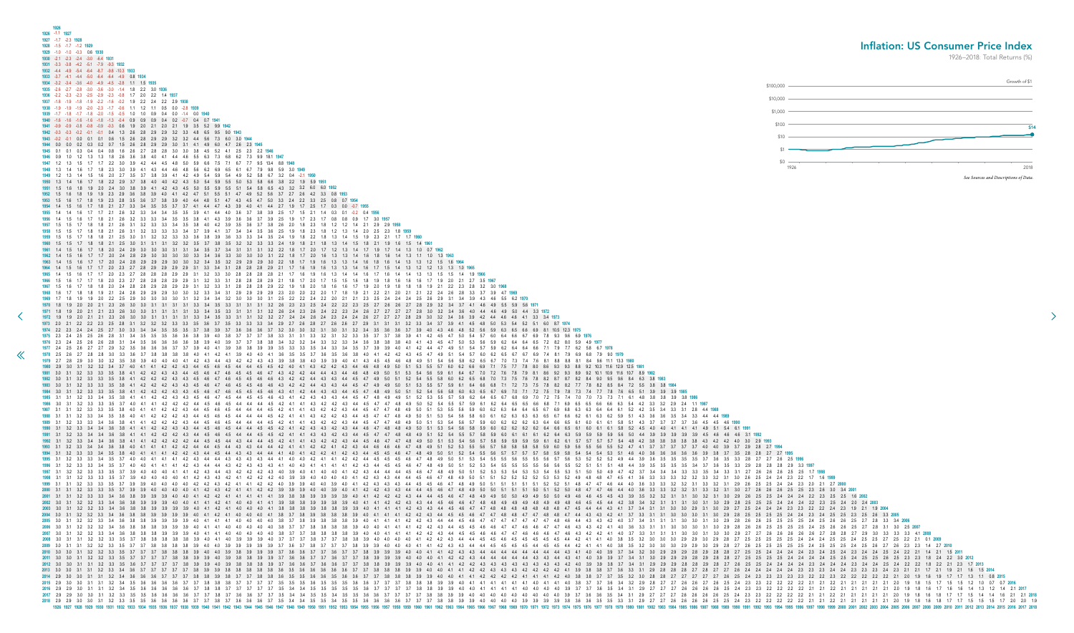0 9.5 9.6 8.4 6.3 3.8 1983 2 8.5 8.4 7.2 5.5 3.8 3.8 1984 7 7.8 7.6 6.5 5.1 3.9 3.9 3.9 1985 1 6.1 5.8 5.1 4.3 3.7 3.7 3.7 3.7 3.6 4.5 4.5 4.6 1990 1 6.1 5.8 5.2 4.5 4.0 4.0 4.1 4.1 4.1 4.9 5.1 5.4 6.1 1991 9 5.9 5.6 5.0 4.4 3.9 3.9 3.9 3.9 3.9 4.5 4.6 4.6 4.6 3.1 1992 7 5.7 5.4 4.8 4.2 3.8 3.8 3.8 3.8 3.8 4.3 4.2 4.2 4.0 3.0 2.9 1993 6 5.5 5.2 4.7 4.1 3.7 3.7 3.7 3.7 3.7 4.0 4.0 3.9 3.7 2.9 2.8 2.7 1994 4 5.3 5.1 4.6 4.0 3.6 3.6 3.6 3.6 3.6 3.9 3.8 3.7 3.5 2.8 2.8 2.7 2.7 1995 2 5.2 4.9 4.4 3.9 3.6 3.5 3.5 3.5 3.5 3.7 3.6 3.5 3.3 2.8 2.7 2.7 2.6 2.5 1996 1 5.1 4.8 4.4 3.9 3.5 3.5 3.5 3.5 3.4 3.7 3.6 3.5 3.3 2.9 2.8 2.8 2.8 2.9 3.3 1997 4.6 4.4 4.0 3.6 3.3 3.3 3.2 3.2 3.1 3.3 3.2 3.1 2.9 2.6 2.5 2.5 2.4 2.4 2.3 2.0 2.1 2.7 2000 46 44 40 36 33 33 32 32 31 33 32 31 30 27 26 26 26 25 25 23 26 30 34 2001 5 4.5 4.3 3.9 3.5 3.2 3.2 3.1 3.1 3.0 3.2 3.1 3.0 2.9 2.6 2.5 2.5 2.4 2.4 2.4 2.2 2.3 2.5 2.5 1.6 2002 -<br>5 44 42 38 34 32 31 31 31 30 31 30 29 28 25 25 25 24 24 24 22 23 25 24 20 24 2003 4.3 4.1 3.7 3.4 3.1 3.1 3.0 3.0 2.9 3.1 3.0 2.9 2.7 2.5 2.4 2.4 2.4 2.3 2.3 2.2 2.2 2.4 2.3 1.9 2.1 1.9 2004 3 42 4.1 3.7 3.3 3.1 3.1 3.0 3.0 3.0 3.1 3.0 2.9 2.8 2.5 2.5 2.5 2.5 2.4 2.4 2.3 2.4 2.5 2.5 2.5 2.6 3.3 2005 4.2 4.0 3.7 3.4 3.1 3.1 3.1 3.0 3.0 3.1 3.0 2.9 2.8 2.6 2.6 2.5 2.5 2.5 2.5 2.4 2.5 2.6 2.6 2.5 2.7 2.8 3.3 3.4 2006 2 4.1 4.0 3.6 3.3 3.1 3.1 3.0 3.0 3.0 3.1 3.0 2.9 2.8 2.6 2.6 2.5 2.5 2.5 2.5 2.4 2.5 2.6 2.6 2.5 2.7 2.8 3.1 3.0 2.5 2007 2 4.1 4.0 3.7 3.3 3.1 3.1 3.1 3.0 3.0 3.1 3.0 3.0 2.9 2.7 2.7 2.6 2.6 2.6 2.6 2.6 2.7 2.8 2.7 2.9 3.0 3.3 3.3 3.3 4.1 2008 4.0 3.8 3.5 3.2 3.0 3.0 3.0 2.9 2.9 3.0 2.9 2.8 2.7 2.5 2.5 2.5 2.5 2.5 2.4 2.4 2.4 2.5 2.5 2.4 2.5 2.5 2.7 2.5 2.2 2.1 0.1 2009 1 4.0 3.8 3.5 3.2 3.0 3.0 3.0 2.9 2.9 3.0 2.9 2.8 2.7 2.6 2.5 2.5 2.5 2.5 2.5 2.4 2.5 2.5 2.4 2.5 2.6 2.7 2.6 2.3 2.3 1.4 2.7 2010 2.9 3.0 3.0 3.1 3.1 3.2 3.4 3.6 3.6 3.6 3.7 3.7 3.7 3.8 3.8 3.9 3.8 3.7 3.7 3.8 3.8 3.6 3.5 3.5 3.6 3.6 3.5 3.6 3.6 3.7 3.7 3.8 3.8 3.8 3.9 3.9 4.0 4.0 4.1 4.1 4.2 4.2 4.2 4.2 4.1 4.1 4.1 4.2 4.0 3.8 3.8 3.7 3.7 3.5 3.2 3.0 2.8 2.8 2.7 2.7 2.7 2.7 2.7 2.6 2.5 2.4 2.3 2.3 2.3 2.3 2.3 2.2 2.2 2.3 2.2 2.2 2.2 2.2 2.2 2.1 2.0 1.9 1.6 1.9 1.7 1.7 1.3 1.1 0.8 **2015** 2.9 3.0 3.0 3.1 3.1 3.2 3.4 3.5 3.6 3.6 3.6 3.6 3.7 3.7 3.8 3.8 3.8 3.7 3.7 3.7 3.7 3.5 3.5 3.5 3.6 3.5 3.5 3.5 3.6 3.6 3.7 3.7 3.7 3.8 3.8 3.8 3.9 3.9 4.0 4.1 4.1 4.1 4.1 4.1 4.1 4.0 4.1 4.1 4.0 3.8 3.7 3.7 3.6 3.4 3.2 2.9 2.8 2.7 2.7 2.6 2.6 2.7 2.6 2.5 2.4 2.3 2.3 2.2 2.2 2.2 2.2 2.1 2.1 2.2 2.1 2.1 2.1 2.1 2.1 2.0 1.9 1.8 1.5 1.7 1.5 1.5 1.2 1.0 0.7 0.7 **2016** 2.9 2.9 3.0 3.1 3.1 3.2 3.4 3.5 3.6 3.6 3.6 3.6 3.6 3.7 3.8 3.8 3.7 3.7 3.7 3.7 3.7 3.5 3.4 3.4 3.5 3.5 3.5 3.5 3.5 3.6 3.7 3.7 3.7 3.7 3.8 3.8 3.9 3.9 4.0 4.0 4.1 4.1 4.1 4.1 4.0 4.0 4.0 4.0 3.9 3.7 3.7 3.6 3.5 3.4 3.1 2.9 2.7 2.7 2.7 2.6 2.6 2.6 2.6 2.5 2.4 2.3 2.3 2.2 2.2 2.2 2.2 2.1 2.1 2.2 2.1 2.1 2.1 2.1 2.1 2.0 1.9 1.8 1.6 1.7 1.6 1.6 1.4 1.3 1.2 1.4 2.1 **2017** 2.9 2.9 3.0 3.0 3.1 3.2 3.3 3.5 3.5 3.6 3.6 3.6 3.6 3.7 3.7 3.8 3.7 3.6 3.6 3.7 3.7 3.5 3.4 3.4 3.5 3.5 3.4 3.5 3.5 3.6 3.6 3.7 3.7 3.7 3.7 3.8 3.8 3.9 3.9 4.0 4.0 4.0 4.0 4.0 4.0 4.0 4.0 4.0 3.9 3.7 3.6 3.6 3.5 3.4 3.1 2.9 2.7 2.7 2.7 2.6 2.6 2.6 2.6 2.5 2.4 2.3 2.3 2.2 2.2 2.2 2.2 2.1 2.1 2.2 2.1 2.1 2.1 2.1 2.1 2.0 1.9 1.8 1.6 1.8 1.7 1.7 1.5 1.4 1.4 1.6 2.1 2.1 **2018** 2.9 2.9 3.0 3.0 3.1 3.2 3.3 3.5 3.5 3.6 3.6 3.6 3.6 3.7 3.7 3.8 3.7 3.6 3.6 3.6 3.7 3.5 3.4 3.4 3.5 3.5 3.4 3.5 3.5 3.6 3.6 3.6 3.6 3.7 3.7 3.7 3.8 3.8 3.9 3.9 4.0 4.0 4.0 4.0 3.9 3.9 3.9 3.9 3.8 3.6 3.6 3.5 3.5 3.3 3.1 2.9 2.7 2.7 2.6 2.6 2.6 2.6 2.5 2.5 2.4 2.3 2.2 2.2 2.2 2.2 2.2 2.1 2.1 2.2 2.1 2.1 2.1 2.1 2.1 2.0 1.9 1.8 1.6 1.8 1.7 1.7 1.5 1.5 1.5 1.7 2.0 2.0 1.9

<span id="page-34-0"></span>

| 1972 1.9 1.9 2.0 2.1 2.1 2.3 2.6<br>1973 2.0 2.1 2.2 2.2 2.3 2.5 2.8 3.1 3.2 3.2 3.2 3.3 3.3 3.5 3.6 3.7 3.5 3.3 3.3 3.3 3.4 2.9 2.7 2.6 2.8 2.7 2.6 2.6 2.7 2.9 3.1 3.1 3.1 3.1 3.2 3.3 3.4 3.7 3.9 4.1 4.5 4.8 5.0 5.3 5.4 5.2 5.1 6.0 8.7 1974<br>1974 2.2 2.3 2.4 2.4 2.5 2.7 3.0 3.3 3.4 3.4 3.5 3.5 3.5 3.7 3.8 3.9 3.7 3.6 3.6 3.6 3.7 3.2 3.0 3.0 3.2 3.1 3.0 3.1 3.2 3.4 3.5 3.6 3.6 3.7 3.9 4.0 4.3 4.6 4.8 5.2 5.6 5.9 6.3 6.5 6.6 6.9 8.1 10.5 12.3 1975<br>1975 23 24 25 25 26 28 31 34 35 35 35 36 36 38 39 40 38 37 37 37 38 33 31 31 33 32 31 32 33 35 37 37 38 39 41 42 45 47 50 54 57 60 64 66 67 69 78 93 96 69 1976<br>1976 23 24 25 26 26 28 31 34 35 36 36 36 36 38 39 40 39 37 37 38 38 34 32 32 34 33 32 33 34 36 38 38 38 40 41 43 45 47 50 53 56 59 62 64 64 65 72 82 80 59 49 1977<br>1977 24 25 26 27 27 29 32 35 36 36 36 37 37 39 40 41 39 38 38 39 39 35 33 35 34 35 34 35 37 39 39 40 41 42 44 47 49 51 54 57 59 62 64 64 66 71 79 77 62 58 67 1978<br>1978 25 26 27 28 28 30 33 36 37 38 38 38 38 40 41 42 41 39 40 40 41 36 35 35 37 36 35 36 38 40 41 42 42 43 45 47 49 51 54 57 60 62 65 67 67 69 74 81 79 69 68 79 90 1979<br>1979 27 28 29 30 30 32 35 38 39 40 40 40 41 42 43 44 43 42 42 43 39 38 38 40 39 39 40 41 43 45 45 46 48 49 51 54 56 58 62 65 67 70 73 74 76 81 88 88 81 84 96 111 133 1980<br>1980 2.9 3.0 3.1 3.2 3.2 3.4 3.7 4.0 4.1 4.2 4.2 4.3 4.4 4.5 4.6 4.5 4.4 4.4 4.5 4.5 4.2 4.0 4.1 4.3 4.2 4.2 4.3 4.4 4.6 4.8 4.9 5.0 5.1 5.3 5.5 5.7 6.0 6.2 6.6 6.9 7.1 7.5 7.7 7.8 8.0 8.6 9.3 9.3 8.8 9.2 10.3 11.6 12.9 12.<br>1981 3.0 3.1 3.2 3.3 3.3 3.5 3.8 4.1 4.2 4.2 4.3 4.3 4.4 4.5 4.6 4.7 4.6 4.5 4.5 4.6 4.7 4.3 4.4 4.4 4.4 4.4 4.4 4.4 4.4 4.8 4.9 5.0 5.1 5.3 5.4 5.6 5.9 6.1 6.4 6.7 7.0 7.2 7.6 7.8 7.9 8.1 8.6 9.2 9.3 8.9 9.2 10.1 10.9 11.6<br>1982 3.0 3.1 3.2 3.3 3.3 3.5 3.8 4.1 4.2 4.2 4.3 4.3 4.5 4.6 4.7 4.6 4.5 4.6 4.5 4.6 4.6 4.3 4.2 4.4 4.3 4.4 4.5 4.7 4.9 5.0 5.1 5.2 5.4 5.5 5.8 6.0 6.2 6.5 6.8 7.0 7.3 7.5 7.6 7.8 8.2 8.7 8.7 8.2 8.4 9.0 9.5 9.6 8.4 6.3 3.<br>1983 3.0 3.1 3.2 3.3 3.3 3.5 3.8 4.1 4.2 4.2 4.3 4.3 4.5 4.6 4.7 4.6 4.5 4.6 4.5 4.6 4.6 4.5 4.2 4.4 4.4 4.3 4.3 4.4 4.5 4.7 4.9 4.9 5.0 5.1 5.3 5.5 5.7 5.9 6.1 6.4 6.6 6.8 7.1 7.2 7.3 7.5 7.8 8.2 8.2 7.7 7.8 8.2 8.5 8.4 7.<br>1984 3.0 3.1 3.2 3.3 3.3 3.5 3.8 4.1 4.2 4.2 4.3 4.3 4.5 4.6 4.7 4.6 4.5 4.5 4.6 4.3 4.1 4.2 4.4 4.3 4.3 4.4 4.5 4.7 4.8 4.9 5.0 5.1 5.2 5.4 5.6 5.8 6.0 6.3 6.5 6.7 6.9 7.0 7.1 7.2 7.5 7.9 7.8 7.3 7.4 7.7 7.8 7.6 6.5 5.1 3.<br>1985 3.1 3.1 3.2 3.3 3.4 3.5 3.8 4.1 4.2 4.2 4.3 4.5 4.6 4.7 4.5 4.4 4.5 4.6 4.3 4.1 4.2 4.3 4.3 4.3 4.4 4.5 4.7 4.8 4.9 4.9 5.1 5.2 5.3 5.5 5.7 5.9 6.2 6.4 6.5 6.7 6.8 6.9 7.0 7.2 7.5 7.4 7.0 7.0 7.3 7.1 6.1 4.8 3.8 3.9 3.<br>1986 3.0 3.1 3.2 3.3 3.3 3.5 3.7 4.0 4.1 4.1 4.2 4.2 4.4 4.5 4.6 4.5 4.4 4.4 4.4 4.4 4.5 4.2 4.1 4.1 4.3 4.2 4.2 4.3 4.4 4.5 4.7 4.7 4.8 4.9 5.0 5.2 5.4 5.5 5.7 5.9 6.1 6.2 6.4 6.5 6.5 6.5 6.6 6.8 6.7 6.9 6.5 6.6 6.6 6.6 6.<br>1987 3.1 3.1 3.2 3.3 3.3 3.5 3.8 4.0 4.1 4.1 4.2 4.2 4.3 4.4 4.5 4.6 4.5 4.4 4.4 4.4 4.4 4.5 4.1 4.1 4.3 4.2 4.2 4.3 4.4 4.5 4.7 4.7 4.8 4.9 5.0 5.1 5.3 5.5 5.6 5.9 6.0 6.2 6.3 6.4 6.4 6.5 6.7 6.9 6.8 6.3 6.4 6.4 6.1 5.2 4.<br>1988 3.1 3.1 3.2 3.3 3.4 3.5 3.8 4.0 4.1 4.2 4.2 4.3 4.4 4.5 4.6 4.5 4.4 4.4 4.4 4.4 4.5 4.2 4.1 4.1 4.3 4.2 4.3 4.4 4.5 4.7 4.7 4.8 4.9 5.0 5.1 5.3 5.4 5.6 5.8 6.0 6.1 6.2 6.3 6.3 6.3 6.3 6.5 6.7 6.6 6.2 6.1 6.3 62 5.9 5.1<br>1989 3.1 3.2 3.3 3.3 3.4 3.6 3.8 4.1 4.2 4.2 4.2 4.3 4.4 4.5 4.6 4.5 4.4 4.4 4.4 4.4 4.5 4.2 4.2 4.2 4.2 4.3 4.4 4.5 4.7 4.7 4.8 4.9 5.0 5.1 5.3 5.4 5.6 5.7 5.9 6.0 6.2 6.2 6.2 6.2 6.2 6.3 6.4 6.6 6.5 6.1 6.0 6.1 6.1 5.8 5.<br>1990 3.1 3.2 3.3 3.4 3.4 3.6 3.8 4.1 4.1 4.2 4.3 4.3 4.4 4.5 4.6 4.5 4.4 4.4 4.5 4.5 4.2 4.1 4.2 4.3 4.3 4.4 4.6 4.7 4.8 4.9 5.0 5.1 5.3 5.4 5.6 5.8 5.9 6.0 6.2 6.2 6.2 6.2 6.2 6.2 6.5 6.1 6.0 6.1 6.1 5.8 5.2 4.5 4.0 4.1 4.<br>1991 3.1 3.2 3.3 3.4 3.4 3.6 3.8 4.1 4.2 4.2 4.2 4.3 4.4 4.5 4.6 4.5 4.4 4.4 4.5 4.5 4.2 4.1 4.1 4.3 4.2 4.3 4.4 4.5 4.7 4.7 4.8 4.9 5.1 5.2 5.4 5.5 5.7 5.8 5.9 6.0 5.1 6.1 6.1 6.1 6.1 6.1 6.1 6.1 6.1 6.3 5.9 5.9 5.9 5.9 5.<br>1992 3.1 3.2 3.3 3.4 3.4 3.6 3.8 4.1 4.1 4.2 4.2 4.2 4.4 4.5 4.4 4.5 4.4 4.4 4.5 4.2 4.1 4.1 4.3 4.2 4.2 4.3 4.4 4.5 4.6 4.7 4.7 4.8 4.9 5.0 5.1 5.3 5.4 5.6 5.7 5.8 5.9 5.9 5.9 5.9 5.9 5.9 5.1 5.7 5.7 5.7 5.7 5.4 4.8 4.2 3.<br>1993 3.1 3.2 3.3 3.4 3.4 3.6 3.8 4.0 4.1 4.1 4.2 4.2 4.4 4.4 4.5 4.4 4.3 4.3 4.4 4.4 4.2 4.1 4.1 4.2 4.3 4.4 4.6 4.6 4.6 4.6 4.6 4.9 5.1 5.2 5.3 5.5 5.6 5.5 5.6 5.5 5.6 5.5 5.6 5.5 5.6 5.5 5.6 5.5 5.7 3.7 3.7 3.7 3.7 3.7 4.<br>1994 3.1 3.2 3.3 3.3 3.4 3.5 3.8 4.0 4.1 4.1 4.2 4.2 4.3 4.4 4.5 4.4 4.3 4.4 4.4 4.1 4.0 4.1 4.2 4.2 4.1 4.2 4.3 4.4 4.5 4.5 4.6 4.7 4.8 4.9 5.0 5.1 5.7 5.7 5.7 5.7 5.7 5.7 5.7 5.7 5.7 5.8 5.9 5.8 5.4 5.4 5.4 5.4 5.4 5.3 5.<br>2000 3.1 3.1 3.2 3.3 3.3 3.5 3.7 3.9 3.9 4.0 4.0 4.0 4.0 4.1 4.2 4.3 4.2 4.1 4.1 4.2 4.2 3.9 3.9 4.0 4.0 3.9 4.0 4.0 4.0 4.0 4.0 4.1 4.2 4.3 4.3 4.4 4.4 4.5 4.6 4.7 4.8 4.9 5.0 5.1 5.1 5.0 5.1 5.1 5.1 5.1 5.1 5.1 5.1 5.1 5.<br>2001 3.1 3.1 3.2 3.3 3.4 3.6 3.8 3.9 3.9 4.0 4.0 4.1 4.2 4.2 4.1 4.1 4.1 4.1 4.1 4.1 4.1 3.9 3.8 3.9 3.9 3.9 3.9 3.9 3.9 4.0 4.1 4.2 4.2 4.2 4.2 4.3 4.4 4.4 4.5 4.9 4.9 5.0 4.9 4.9 5.0 4.9 4.9 5.0 5.0 4.9 4.6 4.5 4.9 4.6 4.<br>2003 3.0 3.1 3.2 3.2 3.3 3.4 3.6 3.8 3.9 3.9 3.9 3.9 4.0 4.1 4.2 4.1 4.0 4.0 4.0 4.0 4.0 4.1 3.8 3.8 3.9 3.8 3.9 3.9 3.9 3.9 3.9 3.9 3.9 4.0 4.1 4.1 4.1 4.1 4.1 4.2 4.3 4.3 4.4 4.5 4.6 4.7 4.7 4.8 4.8 4.8 4.8 4.8 4.8 4.4 4.<br>2004 3.0 3.1 3.2 3.3 3.4 3.6 3.8 3.9 3.9 3.9 3.9 4.0 4.1 4.2 4.1 4.0 4.0 4.1 3.8 3.7 3.8 3.9 3.8 3.8 3.9 4.0 4.1 4.1 4.2 4.2 4.3 4.4 4.5 4.5 4.6 4.7 4.7 4.8 4.8 4.7 4.4 4.3 4.9 4.1 4.1 4.3 4.2 4.1 3.0 3.0 3.1 3.0 3.0 3.1 3.<br>2007 3.0 3.1 3.2 3.3 3.4 3.6 3.8 3.8 3.9 3.9 3.9 4.0 4.1 4.1 4.0 4.0 4.0 4.0 4.0 3.8 3.7 3.7 3.8 3.8 3.8 3.8 3.9 4.0 4.1 4.1 4.1 4.1 4.1 4.1 4.1 4.1 4.1 4.2 4.3 4.4 4.5 4.5 4.6 4.6 4.7 4.6 4.6 4.7 4.6 4.8 4.9 4.1 4.0 3.7 3.<br>2016 29 30 31 32 34 35 36 36 36 36 37 38 38 37 37 37 37 37 33 34 34 35 35 35 35 35 35 35 35 35 35 35 35 37 38 38 39 39 40 40 40 40 40 40 40 40 40 40 39 37 37 38 38 38 39 39 42 27 27 27 27 27 27 27 27 27 27 27 28 28 21 22 21 | 1926<br>1926 -1.1 1927<br>1927 -1.7 -2.3 1928<br>1928 -1.5 -1.7 -1.2 1929<br>1929 -1.0 -1.0 -0.3 0.6 1930<br>1930 -2.1 -2.3 -2.4 -3.0 -6.4 1931 |
|--------------------------------------------------------------------------------------------------------------------------------------------------------------------------------------------------------------------------------------------------------------------------------------------------------------------------------------------------------------------------------------------------------------------------------------------------------------------------------------------------------------------------------------------------------------------------------------------------------------------------------------------------------------------------------------------------------------------------------------------------------------------------------------------------------------------------------------------------------------------------------------------------------------------------------------------------------------------------------------------------------------------------------------------------------------------------------------------------------------------------------------------------------------------------------------------------------------------------------------------------------------------------------------------------------------------------------------------------------------------------------------------------------------------------------------------------------------------------------------------------------------------------------------------------------------------------------------------------------------------------------------------------------------------------------------------------------------------------------------------------------------------------------------------------------------------------------------------------------------------------------------------------------------------------------------------------------------------------------------------------------------------------------------------------------------------------------------------------------------------------------------------------------------------------------------------------------------------------------------------------------------------------------------------------------------------------------------------------------------------------------------------------------------------------------------------------------------------------------------------------------------------------------------------------------------------------------------------------------------------------------------------------------------------------------------------------------------------------------------------------------------------------------------------------------------------------------------------------------------------------------------------------------------------------------------------------------------------------------------------------------------------------------------------------------------------------------------------------------------------------------------------------------------------------------------------------------------------------------------------------------------------------------------------------------------------------------------------------------------------------------------------------------------------------------------------------------------------------------------------------------------------------------------------------------------------------------------------------------------------------------------------------------------------------------------------------------------------------------------------------------------------------------------------------------------------------------------------------------------------------------------------------------------------------------------------------------------------------------------------------------------------------------------------------------------------------------------------------------------------------------------------------------------------------------------------------------------------------------------------------------------------------------------------------------------------------------------------------------------------------------------------------------------------------------------------------------------------------------------------------------------------------------------------------------------------------------------------------------------------------------------------------------------------------------------------------------------------------------------------------------------------------------------------------------------------------------------------------------------------------------------------------------------------------------------------------------------------------------------------------------------------------------------------------------------------------------------------------------------------------------------------------------------------------------------------------------------------------------------------------------------------------------------------------------------------------------------------------------------------------------------------------------------------------------------------------------------------------------------------------------------------------------------------------------------------------------------------------------------------------------------------------------------------------------------------------------------------------------------------------------------------------------------------------------------------------------------------------------------------------------------------------------------------------------------------------------------------------------------------------------------------------------------------------------------------------------------------------------------------------------------------------------------------------------------------------------------------------------------------------------------------------------------------------------------|-------------------------------------------------------------------------------------------------------------------------------------------------|
|                                                                                                                                                                                                                                                                                                                                                                                                                                                                                                                                                                                                                                                                                                                                                                                                                                                                                                                                                                                                                                                                                                                                                                                                                                                                                                                                                                                                                                                                                                                                                                                                                                                                                                                                                                                                                                                                                                                                                                                                                                                                                                                                                                                                                                                                                                                                                                                                                                                                                                                                                                                                                                                                                                                                                                                                                                                                                                                                                                                                                                                                                                                                                                                                                                                                                                                                                                                                                                                                                                                                                                                                                                                                                                                                                                                                                                                                                                                                                                                                                                                                                                                                                                                                                                                                                                                                                                                                                                                                                                                                                                                                                                                                                                                                                                                                                                                                                                                                                                                                                                                                                                                                                                                                                                                                                                                                                                                                                                                                                                                                                                                                                                                                                                                                                                                                                                                                                                                                                                                                                                                                                                                                                                                                                                                                                                              |                                                                                                                                                 |
|                                                                                                                                                                                                                                                                                                                                                                                                                                                                                                                                                                                                                                                                                                                                                                                                                                                                                                                                                                                                                                                                                                                                                                                                                                                                                                                                                                                                                                                                                                                                                                                                                                                                                                                                                                                                                                                                                                                                                                                                                                                                                                                                                                                                                                                                                                                                                                                                                                                                                                                                                                                                                                                                                                                                                                                                                                                                                                                                                                                                                                                                                                                                                                                                                                                                                                                                                                                                                                                                                                                                                                                                                                                                                                                                                                                                                                                                                                                                                                                                                                                                                                                                                                                                                                                                                                                                                                                                                                                                                                                                                                                                                                                                                                                                                                                                                                                                                                                                                                                                                                                                                                                                                                                                                                                                                                                                                                                                                                                                                                                                                                                                                                                                                                                                                                                                                                                                                                                                                                                                                                                                                                                                                                                                                                                                                                              |                                                                                                                                                 |
|                                                                                                                                                                                                                                                                                                                                                                                                                                                                                                                                                                                                                                                                                                                                                                                                                                                                                                                                                                                                                                                                                                                                                                                                                                                                                                                                                                                                                                                                                                                                                                                                                                                                                                                                                                                                                                                                                                                                                                                                                                                                                                                                                                                                                                                                                                                                                                                                                                                                                                                                                                                                                                                                                                                                                                                                                                                                                                                                                                                                                                                                                                                                                                                                                                                                                                                                                                                                                                                                                                                                                                                                                                                                                                                                                                                                                                                                                                                                                                                                                                                                                                                                                                                                                                                                                                                                                                                                                                                                                                                                                                                                                                                                                                                                                                                                                                                                                                                                                                                                                                                                                                                                                                                                                                                                                                                                                                                                                                                                                                                                                                                                                                                                                                                                                                                                                                                                                                                                                                                                                                                                                                                                                                                                                                                                                                              |                                                                                                                                                 |
|                                                                                                                                                                                                                                                                                                                                                                                                                                                                                                                                                                                                                                                                                                                                                                                                                                                                                                                                                                                                                                                                                                                                                                                                                                                                                                                                                                                                                                                                                                                                                                                                                                                                                                                                                                                                                                                                                                                                                                                                                                                                                                                                                                                                                                                                                                                                                                                                                                                                                                                                                                                                                                                                                                                                                                                                                                                                                                                                                                                                                                                                                                                                                                                                                                                                                                                                                                                                                                                                                                                                                                                                                                                                                                                                                                                                                                                                                                                                                                                                                                                                                                                                                                                                                                                                                                                                                                                                                                                                                                                                                                                                                                                                                                                                                                                                                                                                                                                                                                                                                                                                                                                                                                                                                                                                                                                                                                                                                                                                                                                                                                                                                                                                                                                                                                                                                                                                                                                                                                                                                                                                                                                                                                                                                                                                                                              |                                                                                                                                                 |
|                                                                                                                                                                                                                                                                                                                                                                                                                                                                                                                                                                                                                                                                                                                                                                                                                                                                                                                                                                                                                                                                                                                                                                                                                                                                                                                                                                                                                                                                                                                                                                                                                                                                                                                                                                                                                                                                                                                                                                                                                                                                                                                                                                                                                                                                                                                                                                                                                                                                                                                                                                                                                                                                                                                                                                                                                                                                                                                                                                                                                                                                                                                                                                                                                                                                                                                                                                                                                                                                                                                                                                                                                                                                                                                                                                                                                                                                                                                                                                                                                                                                                                                                                                                                                                                                                                                                                                                                                                                                                                                                                                                                                                                                                                                                                                                                                                                                                                                                                                                                                                                                                                                                                                                                                                                                                                                                                                                                                                                                                                                                                                                                                                                                                                                                                                                                                                                                                                                                                                                                                                                                                                                                                                                                                                                                                                              |                                                                                                                                                 |
|                                                                                                                                                                                                                                                                                                                                                                                                                                                                                                                                                                                                                                                                                                                                                                                                                                                                                                                                                                                                                                                                                                                                                                                                                                                                                                                                                                                                                                                                                                                                                                                                                                                                                                                                                                                                                                                                                                                                                                                                                                                                                                                                                                                                                                                                                                                                                                                                                                                                                                                                                                                                                                                                                                                                                                                                                                                                                                                                                                                                                                                                                                                                                                                                                                                                                                                                                                                                                                                                                                                                                                                                                                                                                                                                                                                                                                                                                                                                                                                                                                                                                                                                                                                                                                                                                                                                                                                                                                                                                                                                                                                                                                                                                                                                                                                                                                                                                                                                                                                                                                                                                                                                                                                                                                                                                                                                                                                                                                                                                                                                                                                                                                                                                                                                                                                                                                                                                                                                                                                                                                                                                                                                                                                                                                                                                                              |                                                                                                                                                 |
|                                                                                                                                                                                                                                                                                                                                                                                                                                                                                                                                                                                                                                                                                                                                                                                                                                                                                                                                                                                                                                                                                                                                                                                                                                                                                                                                                                                                                                                                                                                                                                                                                                                                                                                                                                                                                                                                                                                                                                                                                                                                                                                                                                                                                                                                                                                                                                                                                                                                                                                                                                                                                                                                                                                                                                                                                                                                                                                                                                                                                                                                                                                                                                                                                                                                                                                                                                                                                                                                                                                                                                                                                                                                                                                                                                                                                                                                                                                                                                                                                                                                                                                                                                                                                                                                                                                                                                                                                                                                                                                                                                                                                                                                                                                                                                                                                                                                                                                                                                                                                                                                                                                                                                                                                                                                                                                                                                                                                                                                                                                                                                                                                                                                                                                                                                                                                                                                                                                                                                                                                                                                                                                                                                                                                                                                                                              |                                                                                                                                                 |
|                                                                                                                                                                                                                                                                                                                                                                                                                                                                                                                                                                                                                                                                                                                                                                                                                                                                                                                                                                                                                                                                                                                                                                                                                                                                                                                                                                                                                                                                                                                                                                                                                                                                                                                                                                                                                                                                                                                                                                                                                                                                                                                                                                                                                                                                                                                                                                                                                                                                                                                                                                                                                                                                                                                                                                                                                                                                                                                                                                                                                                                                                                                                                                                                                                                                                                                                                                                                                                                                                                                                                                                                                                                                                                                                                                                                                                                                                                                                                                                                                                                                                                                                                                                                                                                                                                                                                                                                                                                                                                                                                                                                                                                                                                                                                                                                                                                                                                                                                                                                                                                                                                                                                                                                                                                                                                                                                                                                                                                                                                                                                                                                                                                                                                                                                                                                                                                                                                                                                                                                                                                                                                                                                                                                                                                                                                              |                                                                                                                                                 |
|                                                                                                                                                                                                                                                                                                                                                                                                                                                                                                                                                                                                                                                                                                                                                                                                                                                                                                                                                                                                                                                                                                                                                                                                                                                                                                                                                                                                                                                                                                                                                                                                                                                                                                                                                                                                                                                                                                                                                                                                                                                                                                                                                                                                                                                                                                                                                                                                                                                                                                                                                                                                                                                                                                                                                                                                                                                                                                                                                                                                                                                                                                                                                                                                                                                                                                                                                                                                                                                                                                                                                                                                                                                                                                                                                                                                                                                                                                                                                                                                                                                                                                                                                                                                                                                                                                                                                                                                                                                                                                                                                                                                                                                                                                                                                                                                                                                                                                                                                                                                                                                                                                                                                                                                                                                                                                                                                                                                                                                                                                                                                                                                                                                                                                                                                                                                                                                                                                                                                                                                                                                                                                                                                                                                                                                                                                              |                                                                                                                                                 |
|                                                                                                                                                                                                                                                                                                                                                                                                                                                                                                                                                                                                                                                                                                                                                                                                                                                                                                                                                                                                                                                                                                                                                                                                                                                                                                                                                                                                                                                                                                                                                                                                                                                                                                                                                                                                                                                                                                                                                                                                                                                                                                                                                                                                                                                                                                                                                                                                                                                                                                                                                                                                                                                                                                                                                                                                                                                                                                                                                                                                                                                                                                                                                                                                                                                                                                                                                                                                                                                                                                                                                                                                                                                                                                                                                                                                                                                                                                                                                                                                                                                                                                                                                                                                                                                                                                                                                                                                                                                                                                                                                                                                                                                                                                                                                                                                                                                                                                                                                                                                                                                                                                                                                                                                                                                                                                                                                                                                                                                                                                                                                                                                                                                                                                                                                                                                                                                                                                                                                                                                                                                                                                                                                                                                                                                                                                              | 4.4 4.6                                                                                                                                         |
|                                                                                                                                                                                                                                                                                                                                                                                                                                                                                                                                                                                                                                                                                                                                                                                                                                                                                                                                                                                                                                                                                                                                                                                                                                                                                                                                                                                                                                                                                                                                                                                                                                                                                                                                                                                                                                                                                                                                                                                                                                                                                                                                                                                                                                                                                                                                                                                                                                                                                                                                                                                                                                                                                                                                                                                                                                                                                                                                                                                                                                                                                                                                                                                                                                                                                                                                                                                                                                                                                                                                                                                                                                                                                                                                                                                                                                                                                                                                                                                                                                                                                                                                                                                                                                                                                                                                                                                                                                                                                                                                                                                                                                                                                                                                                                                                                                                                                                                                                                                                                                                                                                                                                                                                                                                                                                                                                                                                                                                                                                                                                                                                                                                                                                                                                                                                                                                                                                                                                                                                                                                                                                                                                                                                                                                                                                              | 5.5                                                                                                                                             |
|                                                                                                                                                                                                                                                                                                                                                                                                                                                                                                                                                                                                                                                                                                                                                                                                                                                                                                                                                                                                                                                                                                                                                                                                                                                                                                                                                                                                                                                                                                                                                                                                                                                                                                                                                                                                                                                                                                                                                                                                                                                                                                                                                                                                                                                                                                                                                                                                                                                                                                                                                                                                                                                                                                                                                                                                                                                                                                                                                                                                                                                                                                                                                                                                                                                                                                                                                                                                                                                                                                                                                                                                                                                                                                                                                                                                                                                                                                                                                                                                                                                                                                                                                                                                                                                                                                                                                                                                                                                                                                                                                                                                                                                                                                                                                                                                                                                                                                                                                                                                                                                                                                                                                                                                                                                                                                                                                                                                                                                                                                                                                                                                                                                                                                                                                                                                                                                                                                                                                                                                                                                                                                                                                                                                                                                                                                              | 6.3                                                                                                                                             |
|                                                                                                                                                                                                                                                                                                                                                                                                                                                                                                                                                                                                                                                                                                                                                                                                                                                                                                                                                                                                                                                                                                                                                                                                                                                                                                                                                                                                                                                                                                                                                                                                                                                                                                                                                                                                                                                                                                                                                                                                                                                                                                                                                                                                                                                                                                                                                                                                                                                                                                                                                                                                                                                                                                                                                                                                                                                                                                                                                                                                                                                                                                                                                                                                                                                                                                                                                                                                                                                                                                                                                                                                                                                                                                                                                                                                                                                                                                                                                                                                                                                                                                                                                                                                                                                                                                                                                                                                                                                                                                                                                                                                                                                                                                                                                                                                                                                                                                                                                                                                                                                                                                                                                                                                                                                                                                                                                                                                                                                                                                                                                                                                                                                                                                                                                                                                                                                                                                                                                                                                                                                                                                                                                                                                                                                                                                              |                                                                                                                                                 |
| 33                                                                                                                                                                                                                                                                                                                                                                                                                                                                                                                                                                                                                                                                                                                                                                                                                                                                                                                                                                                                                                                                                                                                                                                                                                                                                                                                                                                                                                                                                                                                                                                                                                                                                                                                                                                                                                                                                                                                                                                                                                                                                                                                                                                                                                                                                                                                                                                                                                                                                                                                                                                                                                                                                                                                                                                                                                                                                                                                                                                                                                                                                                                                                                                                                                                                                                                                                                                                                                                                                                                                                                                                                                                                                                                                                                                                                                                                                                                                                                                                                                                                                                                                                                                                                                                                                                                                                                                                                                                                                                                                                                                                                                                                                                                                                                                                                                                                                                                                                                                                                                                                                                                                                                                                                                                                                                                                                                                                                                                                                                                                                                                                                                                                                                                                                                                                                                                                                                                                                                                                                                                                                                                                                                                                                                                                                                           |                                                                                                                                                 |
|                                                                                                                                                                                                                                                                                                                                                                                                                                                                                                                                                                                                                                                                                                                                                                                                                                                                                                                                                                                                                                                                                                                                                                                                                                                                                                                                                                                                                                                                                                                                                                                                                                                                                                                                                                                                                                                                                                                                                                                                                                                                                                                                                                                                                                                                                                                                                                                                                                                                                                                                                                                                                                                                                                                                                                                                                                                                                                                                                                                                                                                                                                                                                                                                                                                                                                                                                                                                                                                                                                                                                                                                                                                                                                                                                                                                                                                                                                                                                                                                                                                                                                                                                                                                                                                                                                                                                                                                                                                                                                                                                                                                                                                                                                                                                                                                                                                                                                                                                                                                                                                                                                                                                                                                                                                                                                                                                                                                                                                                                                                                                                                                                                                                                                                                                                                                                                                                                                                                                                                                                                                                                                                                                                                                                                                                                                              |                                                                                                                                                 |
|                                                                                                                                                                                                                                                                                                                                                                                                                                                                                                                                                                                                                                                                                                                                                                                                                                                                                                                                                                                                                                                                                                                                                                                                                                                                                                                                                                                                                                                                                                                                                                                                                                                                                                                                                                                                                                                                                                                                                                                                                                                                                                                                                                                                                                                                                                                                                                                                                                                                                                                                                                                                                                                                                                                                                                                                                                                                                                                                                                                                                                                                                                                                                                                                                                                                                                                                                                                                                                                                                                                                                                                                                                                                                                                                                                                                                                                                                                                                                                                                                                                                                                                                                                                                                                                                                                                                                                                                                                                                                                                                                                                                                                                                                                                                                                                                                                                                                                                                                                                                                                                                                                                                                                                                                                                                                                                                                                                                                                                                                                                                                                                                                                                                                                                                                                                                                                                                                                                                                                                                                                                                                                                                                                                                                                                                                                              |                                                                                                                                                 |
| 31                                                                                                                                                                                                                                                                                                                                                                                                                                                                                                                                                                                                                                                                                                                                                                                                                                                                                                                                                                                                                                                                                                                                                                                                                                                                                                                                                                                                                                                                                                                                                                                                                                                                                                                                                                                                                                                                                                                                                                                                                                                                                                                                                                                                                                                                                                                                                                                                                                                                                                                                                                                                                                                                                                                                                                                                                                                                                                                                                                                                                                                                                                                                                                                                                                                                                                                                                                                                                                                                                                                                                                                                                                                                                                                                                                                                                                                                                                                                                                                                                                                                                                                                                                                                                                                                                                                                                                                                                                                                                                                                                                                                                                                                                                                                                                                                                                                                                                                                                                                                                                                                                                                                                                                                                                                                                                                                                                                                                                                                                                                                                                                                                                                                                                                                                                                                                                                                                                                                                                                                                                                                                                                                                                                                                                                                                                           |                                                                                                                                                 |
|                                                                                                                                                                                                                                                                                                                                                                                                                                                                                                                                                                                                                                                                                                                                                                                                                                                                                                                                                                                                                                                                                                                                                                                                                                                                                                                                                                                                                                                                                                                                                                                                                                                                                                                                                                                                                                                                                                                                                                                                                                                                                                                                                                                                                                                                                                                                                                                                                                                                                                                                                                                                                                                                                                                                                                                                                                                                                                                                                                                                                                                                                                                                                                                                                                                                                                                                                                                                                                                                                                                                                                                                                                                                                                                                                                                                                                                                                                                                                                                                                                                                                                                                                                                                                                                                                                                                                                                                                                                                                                                                                                                                                                                                                                                                                                                                                                                                                                                                                                                                                                                                                                                                                                                                                                                                                                                                                                                                                                                                                                                                                                                                                                                                                                                                                                                                                                                                                                                                                                                                                                                                                                                                                                                                                                                                                                              |                                                                                                                                                 |
| 23                                                                                                                                                                                                                                                                                                                                                                                                                                                                                                                                                                                                                                                                                                                                                                                                                                                                                                                                                                                                                                                                                                                                                                                                                                                                                                                                                                                                                                                                                                                                                                                                                                                                                                                                                                                                                                                                                                                                                                                                                                                                                                                                                                                                                                                                                                                                                                                                                                                                                                                                                                                                                                                                                                                                                                                                                                                                                                                                                                                                                                                                                                                                                                                                                                                                                                                                                                                                                                                                                                                                                                                                                                                                                                                                                                                                                                                                                                                                                                                                                                                                                                                                                                                                                                                                                                                                                                                                                                                                                                                                                                                                                                                                                                                                                                                                                                                                                                                                                                                                                                                                                                                                                                                                                                                                                                                                                                                                                                                                                                                                                                                                                                                                                                                                                                                                                                                                                                                                                                                                                                                                                                                                                                                                                                                                                                           |                                                                                                                                                 |
|                                                                                                                                                                                                                                                                                                                                                                                                                                                                                                                                                                                                                                                                                                                                                                                                                                                                                                                                                                                                                                                                                                                                                                                                                                                                                                                                                                                                                                                                                                                                                                                                                                                                                                                                                                                                                                                                                                                                                                                                                                                                                                                                                                                                                                                                                                                                                                                                                                                                                                                                                                                                                                                                                                                                                                                                                                                                                                                                                                                                                                                                                                                                                                                                                                                                                                                                                                                                                                                                                                                                                                                                                                                                                                                                                                                                                                                                                                                                                                                                                                                                                                                                                                                                                                                                                                                                                                                                                                                                                                                                                                                                                                                                                                                                                                                                                                                                                                                                                                                                                                                                                                                                                                                                                                                                                                                                                                                                                                                                                                                                                                                                                                                                                                                                                                                                                                                                                                                                                                                                                                                                                                                                                                                                                                                                                                              |                                                                                                                                                 |
|                                                                                                                                                                                                                                                                                                                                                                                                                                                                                                                                                                                                                                                                                                                                                                                                                                                                                                                                                                                                                                                                                                                                                                                                                                                                                                                                                                                                                                                                                                                                                                                                                                                                                                                                                                                                                                                                                                                                                                                                                                                                                                                                                                                                                                                                                                                                                                                                                                                                                                                                                                                                                                                                                                                                                                                                                                                                                                                                                                                                                                                                                                                                                                                                                                                                                                                                                                                                                                                                                                                                                                                                                                                                                                                                                                                                                                                                                                                                                                                                                                                                                                                                                                                                                                                                                                                                                                                                                                                                                                                                                                                                                                                                                                                                                                                                                                                                                                                                                                                                                                                                                                                                                                                                                                                                                                                                                                                                                                                                                                                                                                                                                                                                                                                                                                                                                                                                                                                                                                                                                                                                                                                                                                                                                                                                                                              |                                                                                                                                                 |
|                                                                                                                                                                                                                                                                                                                                                                                                                                                                                                                                                                                                                                                                                                                                                                                                                                                                                                                                                                                                                                                                                                                                                                                                                                                                                                                                                                                                                                                                                                                                                                                                                                                                                                                                                                                                                                                                                                                                                                                                                                                                                                                                                                                                                                                                                                                                                                                                                                                                                                                                                                                                                                                                                                                                                                                                                                                                                                                                                                                                                                                                                                                                                                                                                                                                                                                                                                                                                                                                                                                                                                                                                                                                                                                                                                                                                                                                                                                                                                                                                                                                                                                                                                                                                                                                                                                                                                                                                                                                                                                                                                                                                                                                                                                                                                                                                                                                                                                                                                                                                                                                                                                                                                                                                                                                                                                                                                                                                                                                                                                                                                                                                                                                                                                                                                                                                                                                                                                                                                                                                                                                                                                                                                                                                                                                                                              |                                                                                                                                                 |
|                                                                                                                                                                                                                                                                                                                                                                                                                                                                                                                                                                                                                                                                                                                                                                                                                                                                                                                                                                                                                                                                                                                                                                                                                                                                                                                                                                                                                                                                                                                                                                                                                                                                                                                                                                                                                                                                                                                                                                                                                                                                                                                                                                                                                                                                                                                                                                                                                                                                                                                                                                                                                                                                                                                                                                                                                                                                                                                                                                                                                                                                                                                                                                                                                                                                                                                                                                                                                                                                                                                                                                                                                                                                                                                                                                                                                                                                                                                                                                                                                                                                                                                                                                                                                                                                                                                                                                                                                                                                                                                                                                                                                                                                                                                                                                                                                                                                                                                                                                                                                                                                                                                                                                                                                                                                                                                                                                                                                                                                                                                                                                                                                                                                                                                                                                                                                                                                                                                                                                                                                                                                                                                                                                                                                                                                                                              |                                                                                                                                                 |
|                                                                                                                                                                                                                                                                                                                                                                                                                                                                                                                                                                                                                                                                                                                                                                                                                                                                                                                                                                                                                                                                                                                                                                                                                                                                                                                                                                                                                                                                                                                                                                                                                                                                                                                                                                                                                                                                                                                                                                                                                                                                                                                                                                                                                                                                                                                                                                                                                                                                                                                                                                                                                                                                                                                                                                                                                                                                                                                                                                                                                                                                                                                                                                                                                                                                                                                                                                                                                                                                                                                                                                                                                                                                                                                                                                                                                                                                                                                                                                                                                                                                                                                                                                                                                                                                                                                                                                                                                                                                                                                                                                                                                                                                                                                                                                                                                                                                                                                                                                                                                                                                                                                                                                                                                                                                                                                                                                                                                                                                                                                                                                                                                                                                                                                                                                                                                                                                                                                                                                                                                                                                                                                                                                                                                                                                                                              |                                                                                                                                                 |
|                                                                                                                                                                                                                                                                                                                                                                                                                                                                                                                                                                                                                                                                                                                                                                                                                                                                                                                                                                                                                                                                                                                                                                                                                                                                                                                                                                                                                                                                                                                                                                                                                                                                                                                                                                                                                                                                                                                                                                                                                                                                                                                                                                                                                                                                                                                                                                                                                                                                                                                                                                                                                                                                                                                                                                                                                                                                                                                                                                                                                                                                                                                                                                                                                                                                                                                                                                                                                                                                                                                                                                                                                                                                                                                                                                                                                                                                                                                                                                                                                                                                                                                                                                                                                                                                                                                                                                                                                                                                                                                                                                                                                                                                                                                                                                                                                                                                                                                                                                                                                                                                                                                                                                                                                                                                                                                                                                                                                                                                                                                                                                                                                                                                                                                                                                                                                                                                                                                                                                                                                                                                                                                                                                                                                                                                                                              |                                                                                                                                                 |
| 2.3 2.5 2.7<br>3.0 3.0 3.1 3.1 3.1 3.3 3.4 3.5 3.3 3.1 3.1 3.2 3.2 2.7 2.4 2.4 2.6 2.4 2.3 2.4 2.4 2.6 2.7 2.7 2.7 2.8 2.9 3.0 3.2 3.4 3.6 3.9 4.2 4.4 4.6 4.6 4.1 3.3 3.4 1973                                                                                                                                                                                                                                                                                                                                                                                                                                                                                                                                                                                                                                                                                                                                                                                                                                                                                                                                                                                                                                                                                                                                                                                                                                                                                                                                                                                                                                                                                                                                                                                                                                                                                                                                                                                                                                                                                                                                                                                                                                                                                                                                                                                                                                                                                                                                                                                                                                                                                                                                                                                                                                                                                                                                                                                                                                                                                                                                                                                                                                                                                                                                                                                                                                                                                                                                                                                                                                                                                                                                                                                                                                                                                                                                                                                                                                                                                                                                                                                                                                                                                                                                                                                                                                                                                                                                                                                                                                                                                                                                                                                                                                                                                                                                                                                                                                                                                                                                                                                                                                                                                                                                                                                                                                                                                                                                                                                                                                                                                                                                                                                                                                                                                                                                                                                                                                                                                                                                                                                                                                                                                                                              |                                                                                                                                                 |
|                                                                                                                                                                                                                                                                                                                                                                                                                                                                                                                                                                                                                                                                                                                                                                                                                                                                                                                                                                                                                                                                                                                                                                                                                                                                                                                                                                                                                                                                                                                                                                                                                                                                                                                                                                                                                                                                                                                                                                                                                                                                                                                                                                                                                                                                                                                                                                                                                                                                                                                                                                                                                                                                                                                                                                                                                                                                                                                                                                                                                                                                                                                                                                                                                                                                                                                                                                                                                                                                                                                                                                                                                                                                                                                                                                                                                                                                                                                                                                                                                                                                                                                                                                                                                                                                                                                                                                                                                                                                                                                                                                                                                                                                                                                                                                                                                                                                                                                                                                                                                                                                                                                                                                                                                                                                                                                                                                                                                                                                                                                                                                                                                                                                                                                                                                                                                                                                                                                                                                                                                                                                                                                                                                                                                                                                                                              |                                                                                                                                                 |
|                                                                                                                                                                                                                                                                                                                                                                                                                                                                                                                                                                                                                                                                                                                                                                                                                                                                                                                                                                                                                                                                                                                                                                                                                                                                                                                                                                                                                                                                                                                                                                                                                                                                                                                                                                                                                                                                                                                                                                                                                                                                                                                                                                                                                                                                                                                                                                                                                                                                                                                                                                                                                                                                                                                                                                                                                                                                                                                                                                                                                                                                                                                                                                                                                                                                                                                                                                                                                                                                                                                                                                                                                                                                                                                                                                                                                                                                                                                                                                                                                                                                                                                                                                                                                                                                                                                                                                                                                                                                                                                                                                                                                                                                                                                                                                                                                                                                                                                                                                                                                                                                                                                                                                                                                                                                                                                                                                                                                                                                                                                                                                                                                                                                                                                                                                                                                                                                                                                                                                                                                                                                                                                                                                                                                                                                                                              |                                                                                                                                                 |
|                                                                                                                                                                                                                                                                                                                                                                                                                                                                                                                                                                                                                                                                                                                                                                                                                                                                                                                                                                                                                                                                                                                                                                                                                                                                                                                                                                                                                                                                                                                                                                                                                                                                                                                                                                                                                                                                                                                                                                                                                                                                                                                                                                                                                                                                                                                                                                                                                                                                                                                                                                                                                                                                                                                                                                                                                                                                                                                                                                                                                                                                                                                                                                                                                                                                                                                                                                                                                                                                                                                                                                                                                                                                                                                                                                                                                                                                                                                                                                                                                                                                                                                                                                                                                                                                                                                                                                                                                                                                                                                                                                                                                                                                                                                                                                                                                                                                                                                                                                                                                                                                                                                                                                                                                                                                                                                                                                                                                                                                                                                                                                                                                                                                                                                                                                                                                                                                                                                                                                                                                                                                                                                                                                                                                                                                                                              |                                                                                                                                                 |
|                                                                                                                                                                                                                                                                                                                                                                                                                                                                                                                                                                                                                                                                                                                                                                                                                                                                                                                                                                                                                                                                                                                                                                                                                                                                                                                                                                                                                                                                                                                                                                                                                                                                                                                                                                                                                                                                                                                                                                                                                                                                                                                                                                                                                                                                                                                                                                                                                                                                                                                                                                                                                                                                                                                                                                                                                                                                                                                                                                                                                                                                                                                                                                                                                                                                                                                                                                                                                                                                                                                                                                                                                                                                                                                                                                                                                                                                                                                                                                                                                                                                                                                                                                                                                                                                                                                                                                                                                                                                                                                                                                                                                                                                                                                                                                                                                                                                                                                                                                                                                                                                                                                                                                                                                                                                                                                                                                                                                                                                                                                                                                                                                                                                                                                                                                                                                                                                                                                                                                                                                                                                                                                                                                                                                                                                                                              |                                                                                                                                                 |
|                                                                                                                                                                                                                                                                                                                                                                                                                                                                                                                                                                                                                                                                                                                                                                                                                                                                                                                                                                                                                                                                                                                                                                                                                                                                                                                                                                                                                                                                                                                                                                                                                                                                                                                                                                                                                                                                                                                                                                                                                                                                                                                                                                                                                                                                                                                                                                                                                                                                                                                                                                                                                                                                                                                                                                                                                                                                                                                                                                                                                                                                                                                                                                                                                                                                                                                                                                                                                                                                                                                                                                                                                                                                                                                                                                                                                                                                                                                                                                                                                                                                                                                                                                                                                                                                                                                                                                                                                                                                                                                                                                                                                                                                                                                                                                                                                                                                                                                                                                                                                                                                                                                                                                                                                                                                                                                                                                                                                                                                                                                                                                                                                                                                                                                                                                                                                                                                                                                                                                                                                                                                                                                                                                                                                                                                                                              |                                                                                                                                                 |
|                                                                                                                                                                                                                                                                                                                                                                                                                                                                                                                                                                                                                                                                                                                                                                                                                                                                                                                                                                                                                                                                                                                                                                                                                                                                                                                                                                                                                                                                                                                                                                                                                                                                                                                                                                                                                                                                                                                                                                                                                                                                                                                                                                                                                                                                                                                                                                                                                                                                                                                                                                                                                                                                                                                                                                                                                                                                                                                                                                                                                                                                                                                                                                                                                                                                                                                                                                                                                                                                                                                                                                                                                                                                                                                                                                                                                                                                                                                                                                                                                                                                                                                                                                                                                                                                                                                                                                                                                                                                                                                                                                                                                                                                                                                                                                                                                                                                                                                                                                                                                                                                                                                                                                                                                                                                                                                                                                                                                                                                                                                                                                                                                                                                                                                                                                                                                                                                                                                                                                                                                                                                                                                                                                                                                                                                                                              |                                                                                                                                                 |
|                                                                                                                                                                                                                                                                                                                                                                                                                                                                                                                                                                                                                                                                                                                                                                                                                                                                                                                                                                                                                                                                                                                                                                                                                                                                                                                                                                                                                                                                                                                                                                                                                                                                                                                                                                                                                                                                                                                                                                                                                                                                                                                                                                                                                                                                                                                                                                                                                                                                                                                                                                                                                                                                                                                                                                                                                                                                                                                                                                                                                                                                                                                                                                                                                                                                                                                                                                                                                                                                                                                                                                                                                                                                                                                                                                                                                                                                                                                                                                                                                                                                                                                                                                                                                                                                                                                                                                                                                                                                                                                                                                                                                                                                                                                                                                                                                                                                                                                                                                                                                                                                                                                                                                                                                                                                                                                                                                                                                                                                                                                                                                                                                                                                                                                                                                                                                                                                                                                                                                                                                                                                                                                                                                                                                                                                                                              |                                                                                                                                                 |
|                                                                                                                                                                                                                                                                                                                                                                                                                                                                                                                                                                                                                                                                                                                                                                                                                                                                                                                                                                                                                                                                                                                                                                                                                                                                                                                                                                                                                                                                                                                                                                                                                                                                                                                                                                                                                                                                                                                                                                                                                                                                                                                                                                                                                                                                                                                                                                                                                                                                                                                                                                                                                                                                                                                                                                                                                                                                                                                                                                                                                                                                                                                                                                                                                                                                                                                                                                                                                                                                                                                                                                                                                                                                                                                                                                                                                                                                                                                                                                                                                                                                                                                                                                                                                                                                                                                                                                                                                                                                                                                                                                                                                                                                                                                                                                                                                                                                                                                                                                                                                                                                                                                                                                                                                                                                                                                                                                                                                                                                                                                                                                                                                                                                                                                                                                                                                                                                                                                                                                                                                                                                                                                                                                                                                                                                                                              |                                                                                                                                                 |
|                                                                                                                                                                                                                                                                                                                                                                                                                                                                                                                                                                                                                                                                                                                                                                                                                                                                                                                                                                                                                                                                                                                                                                                                                                                                                                                                                                                                                                                                                                                                                                                                                                                                                                                                                                                                                                                                                                                                                                                                                                                                                                                                                                                                                                                                                                                                                                                                                                                                                                                                                                                                                                                                                                                                                                                                                                                                                                                                                                                                                                                                                                                                                                                                                                                                                                                                                                                                                                                                                                                                                                                                                                                                                                                                                                                                                                                                                                                                                                                                                                                                                                                                                                                                                                                                                                                                                                                                                                                                                                                                                                                                                                                                                                                                                                                                                                                                                                                                                                                                                                                                                                                                                                                                                                                                                                                                                                                                                                                                                                                                                                                                                                                                                                                                                                                                                                                                                                                                                                                                                                                                                                                                                                                                                                                                                                              |                                                                                                                                                 |
|                                                                                                                                                                                                                                                                                                                                                                                                                                                                                                                                                                                                                                                                                                                                                                                                                                                                                                                                                                                                                                                                                                                                                                                                                                                                                                                                                                                                                                                                                                                                                                                                                                                                                                                                                                                                                                                                                                                                                                                                                                                                                                                                                                                                                                                                                                                                                                                                                                                                                                                                                                                                                                                                                                                                                                                                                                                                                                                                                                                                                                                                                                                                                                                                                                                                                                                                                                                                                                                                                                                                                                                                                                                                                                                                                                                                                                                                                                                                                                                                                                                                                                                                                                                                                                                                                                                                                                                                                                                                                                                                                                                                                                                                                                                                                                                                                                                                                                                                                                                                                                                                                                                                                                                                                                                                                                                                                                                                                                                                                                                                                                                                                                                                                                                                                                                                                                                                                                                                                                                                                                                                                                                                                                                                                                                                                                              |                                                                                                                                                 |
|                                                                                                                                                                                                                                                                                                                                                                                                                                                                                                                                                                                                                                                                                                                                                                                                                                                                                                                                                                                                                                                                                                                                                                                                                                                                                                                                                                                                                                                                                                                                                                                                                                                                                                                                                                                                                                                                                                                                                                                                                                                                                                                                                                                                                                                                                                                                                                                                                                                                                                                                                                                                                                                                                                                                                                                                                                                                                                                                                                                                                                                                                                                                                                                                                                                                                                                                                                                                                                                                                                                                                                                                                                                                                                                                                                                                                                                                                                                                                                                                                                                                                                                                                                                                                                                                                                                                                                                                                                                                                                                                                                                                                                                                                                                                                                                                                                                                                                                                                                                                                                                                                                                                                                                                                                                                                                                                                                                                                                                                                                                                                                                                                                                                                                                                                                                                                                                                                                                                                                                                                                                                                                                                                                                                                                                                                                              |                                                                                                                                                 |
|                                                                                                                                                                                                                                                                                                                                                                                                                                                                                                                                                                                                                                                                                                                                                                                                                                                                                                                                                                                                                                                                                                                                                                                                                                                                                                                                                                                                                                                                                                                                                                                                                                                                                                                                                                                                                                                                                                                                                                                                                                                                                                                                                                                                                                                                                                                                                                                                                                                                                                                                                                                                                                                                                                                                                                                                                                                                                                                                                                                                                                                                                                                                                                                                                                                                                                                                                                                                                                                                                                                                                                                                                                                                                                                                                                                                                                                                                                                                                                                                                                                                                                                                                                                                                                                                                                                                                                                                                                                                                                                                                                                                                                                                                                                                                                                                                                                                                                                                                                                                                                                                                                                                                                                                                                                                                                                                                                                                                                                                                                                                                                                                                                                                                                                                                                                                                                                                                                                                                                                                                                                                                                                                                                                                                                                                                                              |                                                                                                                                                 |
|                                                                                                                                                                                                                                                                                                                                                                                                                                                                                                                                                                                                                                                                                                                                                                                                                                                                                                                                                                                                                                                                                                                                                                                                                                                                                                                                                                                                                                                                                                                                                                                                                                                                                                                                                                                                                                                                                                                                                                                                                                                                                                                                                                                                                                                                                                                                                                                                                                                                                                                                                                                                                                                                                                                                                                                                                                                                                                                                                                                                                                                                                                                                                                                                                                                                                                                                                                                                                                                                                                                                                                                                                                                                                                                                                                                                                                                                                                                                                                                                                                                                                                                                                                                                                                                                                                                                                                                                                                                                                                                                                                                                                                                                                                                                                                                                                                                                                                                                                                                                                                                                                                                                                                                                                                                                                                                                                                                                                                                                                                                                                                                                                                                                                                                                                                                                                                                                                                                                                                                                                                                                                                                                                                                                                                                                                                              |                                                                                                                                                 |
|                                                                                                                                                                                                                                                                                                                                                                                                                                                                                                                                                                                                                                                                                                                                                                                                                                                                                                                                                                                                                                                                                                                                                                                                                                                                                                                                                                                                                                                                                                                                                                                                                                                                                                                                                                                                                                                                                                                                                                                                                                                                                                                                                                                                                                                                                                                                                                                                                                                                                                                                                                                                                                                                                                                                                                                                                                                                                                                                                                                                                                                                                                                                                                                                                                                                                                                                                                                                                                                                                                                                                                                                                                                                                                                                                                                                                                                                                                                                                                                                                                                                                                                                                                                                                                                                                                                                                                                                                                                                                                                                                                                                                                                                                                                                                                                                                                                                                                                                                                                                                                                                                                                                                                                                                                                                                                                                                                                                                                                                                                                                                                                                                                                                                                                                                                                                                                                                                                                                                                                                                                                                                                                                                                                                                                                                                                              |                                                                                                                                                 |
|                                                                                                                                                                                                                                                                                                                                                                                                                                                                                                                                                                                                                                                                                                                                                                                                                                                                                                                                                                                                                                                                                                                                                                                                                                                                                                                                                                                                                                                                                                                                                                                                                                                                                                                                                                                                                                                                                                                                                                                                                                                                                                                                                                                                                                                                                                                                                                                                                                                                                                                                                                                                                                                                                                                                                                                                                                                                                                                                                                                                                                                                                                                                                                                                                                                                                                                                                                                                                                                                                                                                                                                                                                                                                                                                                                                                                                                                                                                                                                                                                                                                                                                                                                                                                                                                                                                                                                                                                                                                                                                                                                                                                                                                                                                                                                                                                                                                                                                                                                                                                                                                                                                                                                                                                                                                                                                                                                                                                                                                                                                                                                                                                                                                                                                                                                                                                                                                                                                                                                                                                                                                                                                                                                                                                                                                                                              |                                                                                                                                                 |
|                                                                                                                                                                                                                                                                                                                                                                                                                                                                                                                                                                                                                                                                                                                                                                                                                                                                                                                                                                                                                                                                                                                                                                                                                                                                                                                                                                                                                                                                                                                                                                                                                                                                                                                                                                                                                                                                                                                                                                                                                                                                                                                                                                                                                                                                                                                                                                                                                                                                                                                                                                                                                                                                                                                                                                                                                                                                                                                                                                                                                                                                                                                                                                                                                                                                                                                                                                                                                                                                                                                                                                                                                                                                                                                                                                                                                                                                                                                                                                                                                                                                                                                                                                                                                                                                                                                                                                                                                                                                                                                                                                                                                                                                                                                                                                                                                                                                                                                                                                                                                                                                                                                                                                                                                                                                                                                                                                                                                                                                                                                                                                                                                                                                                                                                                                                                                                                                                                                                                                                                                                                                                                                                                                                                                                                                                                              |                                                                                                                                                 |
|                                                                                                                                                                                                                                                                                                                                                                                                                                                                                                                                                                                                                                                                                                                                                                                                                                                                                                                                                                                                                                                                                                                                                                                                                                                                                                                                                                                                                                                                                                                                                                                                                                                                                                                                                                                                                                                                                                                                                                                                                                                                                                                                                                                                                                                                                                                                                                                                                                                                                                                                                                                                                                                                                                                                                                                                                                                                                                                                                                                                                                                                                                                                                                                                                                                                                                                                                                                                                                                                                                                                                                                                                                                                                                                                                                                                                                                                                                                                                                                                                                                                                                                                                                                                                                                                                                                                                                                                                                                                                                                                                                                                                                                                                                                                                                                                                                                                                                                                                                                                                                                                                                                                                                                                                                                                                                                                                                                                                                                                                                                                                                                                                                                                                                                                                                                                                                                                                                                                                                                                                                                                                                                                                                                                                                                                                                              |                                                                                                                                                 |
|                                                                                                                                                                                                                                                                                                                                                                                                                                                                                                                                                                                                                                                                                                                                                                                                                                                                                                                                                                                                                                                                                                                                                                                                                                                                                                                                                                                                                                                                                                                                                                                                                                                                                                                                                                                                                                                                                                                                                                                                                                                                                                                                                                                                                                                                                                                                                                                                                                                                                                                                                                                                                                                                                                                                                                                                                                                                                                                                                                                                                                                                                                                                                                                                                                                                                                                                                                                                                                                                                                                                                                                                                                                                                                                                                                                                                                                                                                                                                                                                                                                                                                                                                                                                                                                                                                                                                                                                                                                                                                                                                                                                                                                                                                                                                                                                                                                                                                                                                                                                                                                                                                                                                                                                                                                                                                                                                                                                                                                                                                                                                                                                                                                                                                                                                                                                                                                                                                                                                                                                                                                                                                                                                                                                                                                                                                              |                                                                                                                                                 |
|                                                                                                                                                                                                                                                                                                                                                                                                                                                                                                                                                                                                                                                                                                                                                                                                                                                                                                                                                                                                                                                                                                                                                                                                                                                                                                                                                                                                                                                                                                                                                                                                                                                                                                                                                                                                                                                                                                                                                                                                                                                                                                                                                                                                                                                                                                                                                                                                                                                                                                                                                                                                                                                                                                                                                                                                                                                                                                                                                                                                                                                                                                                                                                                                                                                                                                                                                                                                                                                                                                                                                                                                                                                                                                                                                                                                                                                                                                                                                                                                                                                                                                                                                                                                                                                                                                                                                                                                                                                                                                                                                                                                                                                                                                                                                                                                                                                                                                                                                                                                                                                                                                                                                                                                                                                                                                                                                                                                                                                                                                                                                                                                                                                                                                                                                                                                                                                                                                                                                                                                                                                                                                                                                                                                                                                                                                              |                                                                                                                                                 |
|                                                                                                                                                                                                                                                                                                                                                                                                                                                                                                                                                                                                                                                                                                                                                                                                                                                                                                                                                                                                                                                                                                                                                                                                                                                                                                                                                                                                                                                                                                                                                                                                                                                                                                                                                                                                                                                                                                                                                                                                                                                                                                                                                                                                                                                                                                                                                                                                                                                                                                                                                                                                                                                                                                                                                                                                                                                                                                                                                                                                                                                                                                                                                                                                                                                                                                                                                                                                                                                                                                                                                                                                                                                                                                                                                                                                                                                                                                                                                                                                                                                                                                                                                                                                                                                                                                                                                                                                                                                                                                                                                                                                                                                                                                                                                                                                                                                                                                                                                                                                                                                                                                                                                                                                                                                                                                                                                                                                                                                                                                                                                                                                                                                                                                                                                                                                                                                                                                                                                                                                                                                                                                                                                                                                                                                                                                              |                                                                                                                                                 |
|                                                                                                                                                                                                                                                                                                                                                                                                                                                                                                                                                                                                                                                                                                                                                                                                                                                                                                                                                                                                                                                                                                                                                                                                                                                                                                                                                                                                                                                                                                                                                                                                                                                                                                                                                                                                                                                                                                                                                                                                                                                                                                                                                                                                                                                                                                                                                                                                                                                                                                                                                                                                                                                                                                                                                                                                                                                                                                                                                                                                                                                                                                                                                                                                                                                                                                                                                                                                                                                                                                                                                                                                                                                                                                                                                                                                                                                                                                                                                                                                                                                                                                                                                                                                                                                                                                                                                                                                                                                                                                                                                                                                                                                                                                                                                                                                                                                                                                                                                                                                                                                                                                                                                                                                                                                                                                                                                                                                                                                                                                                                                                                                                                                                                                                                                                                                                                                                                                                                                                                                                                                                                                                                                                                                                                                                                                              |                                                                                                                                                 |
|                                                                                                                                                                                                                                                                                                                                                                                                                                                                                                                                                                                                                                                                                                                                                                                                                                                                                                                                                                                                                                                                                                                                                                                                                                                                                                                                                                                                                                                                                                                                                                                                                                                                                                                                                                                                                                                                                                                                                                                                                                                                                                                                                                                                                                                                                                                                                                                                                                                                                                                                                                                                                                                                                                                                                                                                                                                                                                                                                                                                                                                                                                                                                                                                                                                                                                                                                                                                                                                                                                                                                                                                                                                                                                                                                                                                                                                                                                                                                                                                                                                                                                                                                                                                                                                                                                                                                                                                                                                                                                                                                                                                                                                                                                                                                                                                                                                                                                                                                                                                                                                                                                                                                                                                                                                                                                                                                                                                                                                                                                                                                                                                                                                                                                                                                                                                                                                                                                                                                                                                                                                                                                                                                                                                                                                                                                              |                                                                                                                                                 |
|                                                                                                                                                                                                                                                                                                                                                                                                                                                                                                                                                                                                                                                                                                                                                                                                                                                                                                                                                                                                                                                                                                                                                                                                                                                                                                                                                                                                                                                                                                                                                                                                                                                                                                                                                                                                                                                                                                                                                                                                                                                                                                                                                                                                                                                                                                                                                                                                                                                                                                                                                                                                                                                                                                                                                                                                                                                                                                                                                                                                                                                                                                                                                                                                                                                                                                                                                                                                                                                                                                                                                                                                                                                                                                                                                                                                                                                                                                                                                                                                                                                                                                                                                                                                                                                                                                                                                                                                                                                                                                                                                                                                                                                                                                                                                                                                                                                                                                                                                                                                                                                                                                                                                                                                                                                                                                                                                                                                                                                                                                                                                                                                                                                                                                                                                                                                                                                                                                                                                                                                                                                                                                                                                                                                                                                                                                              |                                                                                                                                                 |
|                                                                                                                                                                                                                                                                                                                                                                                                                                                                                                                                                                                                                                                                                                                                                                                                                                                                                                                                                                                                                                                                                                                                                                                                                                                                                                                                                                                                                                                                                                                                                                                                                                                                                                                                                                                                                                                                                                                                                                                                                                                                                                                                                                                                                                                                                                                                                                                                                                                                                                                                                                                                                                                                                                                                                                                                                                                                                                                                                                                                                                                                                                                                                                                                                                                                                                                                                                                                                                                                                                                                                                                                                                                                                                                                                                                                                                                                                                                                                                                                                                                                                                                                                                                                                                                                                                                                                                                                                                                                                                                                                                                                                                                                                                                                                                                                                                                                                                                                                                                                                                                                                                                                                                                                                                                                                                                                                                                                                                                                                                                                                                                                                                                                                                                                                                                                                                                                                                                                                                                                                                                                                                                                                                                                                                                                                                              |                                                                                                                                                 |
|                                                                                                                                                                                                                                                                                                                                                                                                                                                                                                                                                                                                                                                                                                                                                                                                                                                                                                                                                                                                                                                                                                                                                                                                                                                                                                                                                                                                                                                                                                                                                                                                                                                                                                                                                                                                                                                                                                                                                                                                                                                                                                                                                                                                                                                                                                                                                                                                                                                                                                                                                                                                                                                                                                                                                                                                                                                                                                                                                                                                                                                                                                                                                                                                                                                                                                                                                                                                                                                                                                                                                                                                                                                                                                                                                                                                                                                                                                                                                                                                                                                                                                                                                                                                                                                                                                                                                                                                                                                                                                                                                                                                                                                                                                                                                                                                                                                                                                                                                                                                                                                                                                                                                                                                                                                                                                                                                                                                                                                                                                                                                                                                                                                                                                                                                                                                                                                                                                                                                                                                                                                                                                                                                                                                                                                                                                              |                                                                                                                                                 |
|                                                                                                                                                                                                                                                                                                                                                                                                                                                                                                                                                                                                                                                                                                                                                                                                                                                                                                                                                                                                                                                                                                                                                                                                                                                                                                                                                                                                                                                                                                                                                                                                                                                                                                                                                                                                                                                                                                                                                                                                                                                                                                                                                                                                                                                                                                                                                                                                                                                                                                                                                                                                                                                                                                                                                                                                                                                                                                                                                                                                                                                                                                                                                                                                                                                                                                                                                                                                                                                                                                                                                                                                                                                                                                                                                                                                                                                                                                                                                                                                                                                                                                                                                                                                                                                                                                                                                                                                                                                                                                                                                                                                                                                                                                                                                                                                                                                                                                                                                                                                                                                                                                                                                                                                                                                                                                                                                                                                                                                                                                                                                                                                                                                                                                                                                                                                                                                                                                                                                                                                                                                                                                                                                                                                                                                                                                              |                                                                                                                                                 |
|                                                                                                                                                                                                                                                                                                                                                                                                                                                                                                                                                                                                                                                                                                                                                                                                                                                                                                                                                                                                                                                                                                                                                                                                                                                                                                                                                                                                                                                                                                                                                                                                                                                                                                                                                                                                                                                                                                                                                                                                                                                                                                                                                                                                                                                                                                                                                                                                                                                                                                                                                                                                                                                                                                                                                                                                                                                                                                                                                                                                                                                                                                                                                                                                                                                                                                                                                                                                                                                                                                                                                                                                                                                                                                                                                                                                                                                                                                                                                                                                                                                                                                                                                                                                                                                                                                                                                                                                                                                                                                                                                                                                                                                                                                                                                                                                                                                                                                                                                                                                                                                                                                                                                                                                                                                                                                                                                                                                                                                                                                                                                                                                                                                                                                                                                                                                                                                                                                                                                                                                                                                                                                                                                                                                                                                                                                              |                                                                                                                                                 |
|                                                                                                                                                                                                                                                                                                                                                                                                                                                                                                                                                                                                                                                                                                                                                                                                                                                                                                                                                                                                                                                                                                                                                                                                                                                                                                                                                                                                                                                                                                                                                                                                                                                                                                                                                                                                                                                                                                                                                                                                                                                                                                                                                                                                                                                                                                                                                                                                                                                                                                                                                                                                                                                                                                                                                                                                                                                                                                                                                                                                                                                                                                                                                                                                                                                                                                                                                                                                                                                                                                                                                                                                                                                                                                                                                                                                                                                                                                                                                                                                                                                                                                                                                                                                                                                                                                                                                                                                                                                                                                                                                                                                                                                                                                                                                                                                                                                                                                                                                                                                                                                                                                                                                                                                                                                                                                                                                                                                                                                                                                                                                                                                                                                                                                                                                                                                                                                                                                                                                                                                                                                                                                                                                                                                                                                                                                              |                                                                                                                                                 |
|                                                                                                                                                                                                                                                                                                                                                                                                                                                                                                                                                                                                                                                                                                                                                                                                                                                                                                                                                                                                                                                                                                                                                                                                                                                                                                                                                                                                                                                                                                                                                                                                                                                                                                                                                                                                                                                                                                                                                                                                                                                                                                                                                                                                                                                                                                                                                                                                                                                                                                                                                                                                                                                                                                                                                                                                                                                                                                                                                                                                                                                                                                                                                                                                                                                                                                                                                                                                                                                                                                                                                                                                                                                                                                                                                                                                                                                                                                                                                                                                                                                                                                                                                                                                                                                                                                                                                                                                                                                                                                                                                                                                                                                                                                                                                                                                                                                                                                                                                                                                                                                                                                                                                                                                                                                                                                                                                                                                                                                                                                                                                                                                                                                                                                                                                                                                                                                                                                                                                                                                                                                                                                                                                                                                                                                                                                              |                                                                                                                                                 |
|                                                                                                                                                                                                                                                                                                                                                                                                                                                                                                                                                                                                                                                                                                                                                                                                                                                                                                                                                                                                                                                                                                                                                                                                                                                                                                                                                                                                                                                                                                                                                                                                                                                                                                                                                                                                                                                                                                                                                                                                                                                                                                                                                                                                                                                                                                                                                                                                                                                                                                                                                                                                                                                                                                                                                                                                                                                                                                                                                                                                                                                                                                                                                                                                                                                                                                                                                                                                                                                                                                                                                                                                                                                                                                                                                                                                                                                                                                                                                                                                                                                                                                                                                                                                                                                                                                                                                                                                                                                                                                                                                                                                                                                                                                                                                                                                                                                                                                                                                                                                                                                                                                                                                                                                                                                                                                                                                                                                                                                                                                                                                                                                                                                                                                                                                                                                                                                                                                                                                                                                                                                                                                                                                                                                                                                                                                              |                                                                                                                                                 |
|                                                                                                                                                                                                                                                                                                                                                                                                                                                                                                                                                                                                                                                                                                                                                                                                                                                                                                                                                                                                                                                                                                                                                                                                                                                                                                                                                                                                                                                                                                                                                                                                                                                                                                                                                                                                                                                                                                                                                                                                                                                                                                                                                                                                                                                                                                                                                                                                                                                                                                                                                                                                                                                                                                                                                                                                                                                                                                                                                                                                                                                                                                                                                                                                                                                                                                                                                                                                                                                                                                                                                                                                                                                                                                                                                                                                                                                                                                                                                                                                                                                                                                                                                                                                                                                                                                                                                                                                                                                                                                                                                                                                                                                                                                                                                                                                                                                                                                                                                                                                                                                                                                                                                                                                                                                                                                                                                                                                                                                                                                                                                                                                                                                                                                                                                                                                                                                                                                                                                                                                                                                                                                                                                                                                                                                                                                              |                                                                                                                                                 |
|                                                                                                                                                                                                                                                                                                                                                                                                                                                                                                                                                                                                                                                                                                                                                                                                                                                                                                                                                                                                                                                                                                                                                                                                                                                                                                                                                                                                                                                                                                                                                                                                                                                                                                                                                                                                                                                                                                                                                                                                                                                                                                                                                                                                                                                                                                                                                                                                                                                                                                                                                                                                                                                                                                                                                                                                                                                                                                                                                                                                                                                                                                                                                                                                                                                                                                                                                                                                                                                                                                                                                                                                                                                                                                                                                                                                                                                                                                                                                                                                                                                                                                                                                                                                                                                                                                                                                                                                                                                                                                                                                                                                                                                                                                                                                                                                                                                                                                                                                                                                                                                                                                                                                                                                                                                                                                                                                                                                                                                                                                                                                                                                                                                                                                                                                                                                                                                                                                                                                                                                                                                                                                                                                                                                                                                                                                              |                                                                                                                                                 |
|                                                                                                                                                                                                                                                                                                                                                                                                                                                                                                                                                                                                                                                                                                                                                                                                                                                                                                                                                                                                                                                                                                                                                                                                                                                                                                                                                                                                                                                                                                                                                                                                                                                                                                                                                                                                                                                                                                                                                                                                                                                                                                                                                                                                                                                                                                                                                                                                                                                                                                                                                                                                                                                                                                                                                                                                                                                                                                                                                                                                                                                                                                                                                                                                                                                                                                                                                                                                                                                                                                                                                                                                                                                                                                                                                                                                                                                                                                                                                                                                                                                                                                                                                                                                                                                                                                                                                                                                                                                                                                                                                                                                                                                                                                                                                                                                                                                                                                                                                                                                                                                                                                                                                                                                                                                                                                                                                                                                                                                                                                                                                                                                                                                                                                                                                                                                                                                                                                                                                                                                                                                                                                                                                                                                                                                                                                              |                                                                                                                                                 |
| \$0                                                                                                                                                                                                                                                                                                                                                                                                                                                                                                                                                                                                                                                                                                                                                                                                                                                                                                                                                                                                                                                                                                                                                                                                                                                                                                                                                                                                                                                                                                                                                                                                                                                                                                                                                                                                                                                                                                                                                                                                                                                                                                                                                                                                                                                                                                                                                                                                                                                                                                                                                                                                                                                                                                                                                                                                                                                                                                                                                                                                                                                                                                                                                                                                                                                                                                                                                                                                                                                                                                                                                                                                                                                                                                                                                                                                                                                                                                                                                                                                                                                                                                                                                                                                                                                                                                                                                                                                                                                                                                                                                                                                                                                                                                                                                                                                                                                                                                                                                                                                                                                                                                                                                                                                                                                                                                                                                                                                                                                                                                                                                                                                                                                                                                                                                                                                                                                                                                                                                                                                                                                                                                                                                                                                                                                                                                          | \$100,000<br>\$10,000<br>\$1,000<br>\$100<br>\$10                                                                                               |
| 1926                                                                                                                                                                                                                                                                                                                                                                                                                                                                                                                                                                                                                                                                                                                                                                                                                                                                                                                                                                                                                                                                                                                                                                                                                                                                                                                                                                                                                                                                                                                                                                                                                                                                                                                                                                                                                                                                                                                                                                                                                                                                                                                                                                                                                                                                                                                                                                                                                                                                                                                                                                                                                                                                                                                                                                                                                                                                                                                                                                                                                                                                                                                                                                                                                                                                                                                                                                                                                                                                                                                                                                                                                                                                                                                                                                                                                                                                                                                                                                                                                                                                                                                                                                                                                                                                                                                                                                                                                                                                                                                                                                                                                                                                                                                                                                                                                                                                                                                                                                                                                                                                                                                                                                                                                                                                                                                                                                                                                                                                                                                                                                                                                                                                                                                                                                                                                                                                                                                                                                                                                                                                                                                                                                                                                                                                                                         |                                                                                                                                                 |
|                                                                                                                                                                                                                                                                                                                                                                                                                                                                                                                                                                                                                                                                                                                                                                                                                                                                                                                                                                                                                                                                                                                                                                                                                                                                                                                                                                                                                                                                                                                                                                                                                                                                                                                                                                                                                                                                                                                                                                                                                                                                                                                                                                                                                                                                                                                                                                                                                                                                                                                                                                                                                                                                                                                                                                                                                                                                                                                                                                                                                                                                                                                                                                                                                                                                                                                                                                                                                                                                                                                                                                                                                                                                                                                                                                                                                                                                                                                                                                                                                                                                                                                                                                                                                                                                                                                                                                                                                                                                                                                                                                                                                                                                                                                                                                                                                                                                                                                                                                                                                                                                                                                                                                                                                                                                                                                                                                                                                                                                                                                                                                                                                                                                                                                                                                                                                                                                                                                                                                                                                                                                                                                                                                                                                                                                                                              |                                                                                                                                                 |
|                                                                                                                                                                                                                                                                                                                                                                                                                                                                                                                                                                                                                                                                                                                                                                                                                                                                                                                                                                                                                                                                                                                                                                                                                                                                                                                                                                                                                                                                                                                                                                                                                                                                                                                                                                                                                                                                                                                                                                                                                                                                                                                                                                                                                                                                                                                                                                                                                                                                                                                                                                                                                                                                                                                                                                                                                                                                                                                                                                                                                                                                                                                                                                                                                                                                                                                                                                                                                                                                                                                                                                                                                                                                                                                                                                                                                                                                                                                                                                                                                                                                                                                                                                                                                                                                                                                                                                                                                                                                                                                                                                                                                                                                                                                                                                                                                                                                                                                                                                                                                                                                                                                                                                                                                                                                                                                                                                                                                                                                                                                                                                                                                                                                                                                                                                                                                                                                                                                                                                                                                                                                                                                                                                                                                                                                                                              |                                                                                                                                                 |
|                                                                                                                                                                                                                                                                                                                                                                                                                                                                                                                                                                                                                                                                                                                                                                                                                                                                                                                                                                                                                                                                                                                                                                                                                                                                                                                                                                                                                                                                                                                                                                                                                                                                                                                                                                                                                                                                                                                                                                                                                                                                                                                                                                                                                                                                                                                                                                                                                                                                                                                                                                                                                                                                                                                                                                                                                                                                                                                                                                                                                                                                                                                                                                                                                                                                                                                                                                                                                                                                                                                                                                                                                                                                                                                                                                                                                                                                                                                                                                                                                                                                                                                                                                                                                                                                                                                                                                                                                                                                                                                                                                                                                                                                                                                                                                                                                                                                                                                                                                                                                                                                                                                                                                                                                                                                                                                                                                                                                                                                                                                                                                                                                                                                                                                                                                                                                                                                                                                                                                                                                                                                                                                                                                                                                                                                                                              |                                                                                                                                                 |
|                                                                                                                                                                                                                                                                                                                                                                                                                                                                                                                                                                                                                                                                                                                                                                                                                                                                                                                                                                                                                                                                                                                                                                                                                                                                                                                                                                                                                                                                                                                                                                                                                                                                                                                                                                                                                                                                                                                                                                                                                                                                                                                                                                                                                                                                                                                                                                                                                                                                                                                                                                                                                                                                                                                                                                                                                                                                                                                                                                                                                                                                                                                                                                                                                                                                                                                                                                                                                                                                                                                                                                                                                                                                                                                                                                                                                                                                                                                                                                                                                                                                                                                                                                                                                                                                                                                                                                                                                                                                                                                                                                                                                                                                                                                                                                                                                                                                                                                                                                                                                                                                                                                                                                                                                                                                                                                                                                                                                                                                                                                                                                                                                                                                                                                                                                                                                                                                                                                                                                                                                                                                                                                                                                                                                                                                                                              |                                                                                                                                                 |
|                                                                                                                                                                                                                                                                                                                                                                                                                                                                                                                                                                                                                                                                                                                                                                                                                                                                                                                                                                                                                                                                                                                                                                                                                                                                                                                                                                                                                                                                                                                                                                                                                                                                                                                                                                                                                                                                                                                                                                                                                                                                                                                                                                                                                                                                                                                                                                                                                                                                                                                                                                                                                                                                                                                                                                                                                                                                                                                                                                                                                                                                                                                                                                                                                                                                                                                                                                                                                                                                                                                                                                                                                                                                                                                                                                                                                                                                                                                                                                                                                                                                                                                                                                                                                                                                                                                                                                                                                                                                                                                                                                                                                                                                                                                                                                                                                                                                                                                                                                                                                                                                                                                                                                                                                                                                                                                                                                                                                                                                                                                                                                                                                                                                                                                                                                                                                                                                                                                                                                                                                                                                                                                                                                                                                                                                                                              |                                                                                                                                                 |
|                                                                                                                                                                                                                                                                                                                                                                                                                                                                                                                                                                                                                                                                                                                                                                                                                                                                                                                                                                                                                                                                                                                                                                                                                                                                                                                                                                                                                                                                                                                                                                                                                                                                                                                                                                                                                                                                                                                                                                                                                                                                                                                                                                                                                                                                                                                                                                                                                                                                                                                                                                                                                                                                                                                                                                                                                                                                                                                                                                                                                                                                                                                                                                                                                                                                                                                                                                                                                                                                                                                                                                                                                                                                                                                                                                                                                                                                                                                                                                                                                                                                                                                                                                                                                                                                                                                                                                                                                                                                                                                                                                                                                                                                                                                                                                                                                                                                                                                                                                                                                                                                                                                                                                                                                                                                                                                                                                                                                                                                                                                                                                                                                                                                                                                                                                                                                                                                                                                                                                                                                                                                                                                                                                                                                                                                                                              |                                                                                                                                                 |
|                                                                                                                                                                                                                                                                                                                                                                                                                                                                                                                                                                                                                                                                                                                                                                                                                                                                                                                                                                                                                                                                                                                                                                                                                                                                                                                                                                                                                                                                                                                                                                                                                                                                                                                                                                                                                                                                                                                                                                                                                                                                                                                                                                                                                                                                                                                                                                                                                                                                                                                                                                                                                                                                                                                                                                                                                                                                                                                                                                                                                                                                                                                                                                                                                                                                                                                                                                                                                                                                                                                                                                                                                                                                                                                                                                                                                                                                                                                                                                                                                                                                                                                                                                                                                                                                                                                                                                                                                                                                                                                                                                                                                                                                                                                                                                                                                                                                                                                                                                                                                                                                                                                                                                                                                                                                                                                                                                                                                                                                                                                                                                                                                                                                                                                                                                                                                                                                                                                                                                                                                                                                                                                                                                                                                                                                                                              |                                                                                                                                                 |
|                                                                                                                                                                                                                                                                                                                                                                                                                                                                                                                                                                                                                                                                                                                                                                                                                                                                                                                                                                                                                                                                                                                                                                                                                                                                                                                                                                                                                                                                                                                                                                                                                                                                                                                                                                                                                                                                                                                                                                                                                                                                                                                                                                                                                                                                                                                                                                                                                                                                                                                                                                                                                                                                                                                                                                                                                                                                                                                                                                                                                                                                                                                                                                                                                                                                                                                                                                                                                                                                                                                                                                                                                                                                                                                                                                                                                                                                                                                                                                                                                                                                                                                                                                                                                                                                                                                                                                                                                                                                                                                                                                                                                                                                                                                                                                                                                                                                                                                                                                                                                                                                                                                                                                                                                                                                                                                                                                                                                                                                                                                                                                                                                                                                                                                                                                                                                                                                                                                                                                                                                                                                                                                                                                                                                                                                                                              |                                                                                                                                                 |
|                                                                                                                                                                                                                                                                                                                                                                                                                                                                                                                                                                                                                                                                                                                                                                                                                                                                                                                                                                                                                                                                                                                                                                                                                                                                                                                                                                                                                                                                                                                                                                                                                                                                                                                                                                                                                                                                                                                                                                                                                                                                                                                                                                                                                                                                                                                                                                                                                                                                                                                                                                                                                                                                                                                                                                                                                                                                                                                                                                                                                                                                                                                                                                                                                                                                                                                                                                                                                                                                                                                                                                                                                                                                                                                                                                                                                                                                                                                                                                                                                                                                                                                                                                                                                                                                                                                                                                                                                                                                                                                                                                                                                                                                                                                                                                                                                                                                                                                                                                                                                                                                                                                                                                                                                                                                                                                                                                                                                                                                                                                                                                                                                                                                                                                                                                                                                                                                                                                                                                                                                                                                                                                                                                                                                                                                                                              |                                                                                                                                                 |
|                                                                                                                                                                                                                                                                                                                                                                                                                                                                                                                                                                                                                                                                                                                                                                                                                                                                                                                                                                                                                                                                                                                                                                                                                                                                                                                                                                                                                                                                                                                                                                                                                                                                                                                                                                                                                                                                                                                                                                                                                                                                                                                                                                                                                                                                                                                                                                                                                                                                                                                                                                                                                                                                                                                                                                                                                                                                                                                                                                                                                                                                                                                                                                                                                                                                                                                                                                                                                                                                                                                                                                                                                                                                                                                                                                                                                                                                                                                                                                                                                                                                                                                                                                                                                                                                                                                                                                                                                                                                                                                                                                                                                                                                                                                                                                                                                                                                                                                                                                                                                                                                                                                                                                                                                                                                                                                                                                                                                                                                                                                                                                                                                                                                                                                                                                                                                                                                                                                                                                                                                                                                                                                                                                                                                                                                                                              |                                                                                                                                                 |
|                                                                                                                                                                                                                                                                                                                                                                                                                                                                                                                                                                                                                                                                                                                                                                                                                                                                                                                                                                                                                                                                                                                                                                                                                                                                                                                                                                                                                                                                                                                                                                                                                                                                                                                                                                                                                                                                                                                                                                                                                                                                                                                                                                                                                                                                                                                                                                                                                                                                                                                                                                                                                                                                                                                                                                                                                                                                                                                                                                                                                                                                                                                                                                                                                                                                                                                                                                                                                                                                                                                                                                                                                                                                                                                                                                                                                                                                                                                                                                                                                                                                                                                                                                                                                                                                                                                                                                                                                                                                                                                                                                                                                                                                                                                                                                                                                                                                                                                                                                                                                                                                                                                                                                                                                                                                                                                                                                                                                                                                                                                                                                                                                                                                                                                                                                                                                                                                                                                                                                                                                                                                                                                                                                                                                                                                                                              |                                                                                                                                                 |
|                                                                                                                                                                                                                                                                                                                                                                                                                                                                                                                                                                                                                                                                                                                                                                                                                                                                                                                                                                                                                                                                                                                                                                                                                                                                                                                                                                                                                                                                                                                                                                                                                                                                                                                                                                                                                                                                                                                                                                                                                                                                                                                                                                                                                                                                                                                                                                                                                                                                                                                                                                                                                                                                                                                                                                                                                                                                                                                                                                                                                                                                                                                                                                                                                                                                                                                                                                                                                                                                                                                                                                                                                                                                                                                                                                                                                                                                                                                                                                                                                                                                                                                                                                                                                                                                                                                                                                                                                                                                                                                                                                                                                                                                                                                                                                                                                                                                                                                                                                                                                                                                                                                                                                                                                                                                                                                                                                                                                                                                                                                                                                                                                                                                                                                                                                                                                                                                                                                                                                                                                                                                                                                                                                                                                                                                                                              |                                                                                                                                                 |
|                                                                                                                                                                                                                                                                                                                                                                                                                                                                                                                                                                                                                                                                                                                                                                                                                                                                                                                                                                                                                                                                                                                                                                                                                                                                                                                                                                                                                                                                                                                                                                                                                                                                                                                                                                                                                                                                                                                                                                                                                                                                                                                                                                                                                                                                                                                                                                                                                                                                                                                                                                                                                                                                                                                                                                                                                                                                                                                                                                                                                                                                                                                                                                                                                                                                                                                                                                                                                                                                                                                                                                                                                                                                                                                                                                                                                                                                                                                                                                                                                                                                                                                                                                                                                                                                                                                                                                                                                                                                                                                                                                                                                                                                                                                                                                                                                                                                                                                                                                                                                                                                                                                                                                                                                                                                                                                                                                                                                                                                                                                                                                                                                                                                                                                                                                                                                                                                                                                                                                                                                                                                                                                                                                                                                                                                                                              |                                                                                                                                                 |
| See Sources and                                                                                                                                                                                                                                                                                                                                                                                                                                                                                                                                                                                                                                                                                                                                                                                                                                                                                                                                                                                                                                                                                                                                                                                                                                                                                                                                                                                                                                                                                                                                                                                                                                                                                                                                                                                                                                                                                                                                                                                                                                                                                                                                                                                                                                                                                                                                                                                                                                                                                                                                                                                                                                                                                                                                                                                                                                                                                                                                                                                                                                                                                                                                                                                                                                                                                                                                                                                                                                                                                                                                                                                                                                                                                                                                                                                                                                                                                                                                                                                                                                                                                                                                                                                                                                                                                                                                                                                                                                                                                                                                                                                                                                                                                                                                                                                                                                                                                                                                                                                                                                                                                                                                                                                                                                                                                                                                                                                                                                                                                                                                                                                                                                                                                                                                                                                                                                                                                                                                                                                                                                                                                                                                                                                                                                                                                              | <b>Inflation: US Consumer Prior</b><br>1926-2018: Tota                                                                                          |
|                                                                                                                                                                                                                                                                                                                                                                                                                                                                                                                                                                                                                                                                                                                                                                                                                                                                                                                                                                                                                                                                                                                                                                                                                                                                                                                                                                                                                                                                                                                                                                                                                                                                                                                                                                                                                                                                                                                                                                                                                                                                                                                                                                                                                                                                                                                                                                                                                                                                                                                                                                                                                                                                                                                                                                                                                                                                                                                                                                                                                                                                                                                                                                                                                                                                                                                                                                                                                                                                                                                                                                                                                                                                                                                                                                                                                                                                                                                                                                                                                                                                                                                                                                                                                                                                                                                                                                                                                                                                                                                                                                                                                                                                                                                                                                                                                                                                                                                                                                                                                                                                                                                                                                                                                                                                                                                                                                                                                                                                                                                                                                                                                                                                                                                                                                                                                                                                                                                                                                                                                                                                                                                                                                                                                                                                                                              |                                                                                                                                                 |

 $\ll$ 

## Inflation: US Consumer Price Index

1926–2018: Total Returns (%)

![](_page_34_Figure_3.jpeg)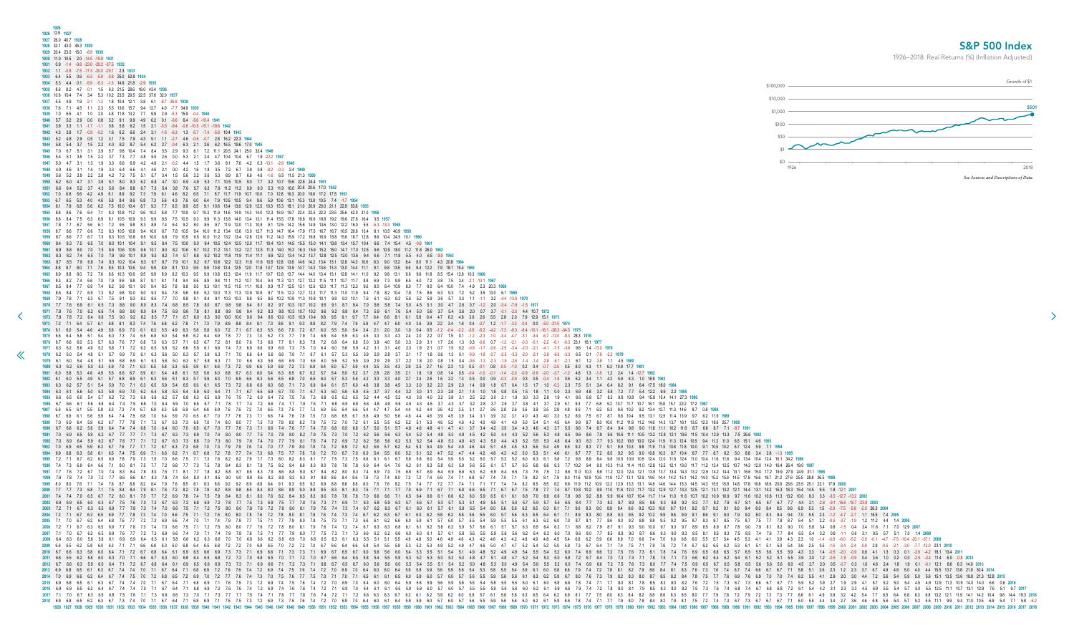<span id="page-35-0"></span>

| 1926<br>1926 12.9 1927                                                                                                                                                                                                                                                                                                                                                                                                                                             |                                      |
|--------------------------------------------------------------------------------------------------------------------------------------------------------------------------------------------------------------------------------------------------------------------------------------------------------------------------------------------------------------------------------------------------------------------------------------------------------------------|--------------------------------------|
| 1927 26.0 40.7 1928                                                                                                                                                                                                                                                                                                                                                                                                                                                | <b>S&amp;P 50</b>                    |
| 1928 32.1 43.0 45.3 1929<br>1929 20.4 23.0 15.0 -8.9 1930                                                                                                                                                                                                                                                                                                                                                                                                          |                                      |
| 1930 11.0 10.5 2.0 -14.5 -19.8 1931                                                                                                                                                                                                                                                                                                                                                                                                                                | 1926-2018: Real Returns (%) (Inflati |
| 1932  1.1  -0.8  -7.5  -17.3  -20.0  -20.1  2.3  1933                                                                                                                                                                                                                                                                                                                                                                                                              |                                      |
| 0.6    -6.5    -5.9    -0.8    25.0    52.8    1934<br>-5.9 -5.3 -1.3 14.9 21.8 -2.9 1935                                                                                                                                                                                                                                                                                                                                                                          | \$100,000                            |
| 1935 8.6 8.2 4.7 -0.1 1.5 6.3 21.5 28.6 18.0 43.4 1936                                                                                                                                                                                                                                                                                                                                                                                                             |                                      |
| 1.9 -2.1 -1.2 1.8 10.4 12.1 3.8 6.1 -8.7 -36.8 1938                                                                                                                                                                                                                                                                                                                                                                                                                | \$10,000                             |
| 5.5 13.6 15.7<br>48 118 132 77 99 29 53 159<br>4.1 1.0 2.0                                                                                                                                                                                                                                                                                                                                                                                                         | \$1,000                              |
| 6.2 1.5 2.1 -3.5 -9.4 -0.8 -10.5 -15.1 -19.6 1942<br>0.8 5.8                                                                                                                                                                                                                                                                                                                                                                                                       | \$100                                |
| 2.4 3.1 -1.6 -6.3 1.3                                                                                                                                                                                                                                                                                                                                                                                                                                              |                                      |
| 7.9 4.3 5.1 1.1 -2.7 4.6 -0.6 -0.7 2.8 16.2 22.3 1944<br>5.4 6.2 2.7 -0.4 6.3 2.1 2.6 6.2 16.5                                                                                                                                                                                                                                                                                                                                                                     | \$10                                 |
| 5.5 2.9 9.3 6.1 7.2 11.1 20.5 24.1 25.0 33.4 1946<br>7.7 4.8 5.5 2.6 0.0 5.3 2.1 2.4 4.7 10.4 10.4 6.7                                                                                                                                                                                                                                                                                                                                                             |                                      |
| $-0.2$ 4.4<br>15 17 36 81                                                                                                                                                                                                                                                                                                                                                                                                                                          | \$0<br>1926                          |
| $0.0 \quad 4.2$<br>1.6                                                                                                                                                                                                                                                                                                                                                                                                                                             |                                      |
| 4.9                                                                                                                                                                                                                                                                                                                                                                                                                                                                | See Sources and                      |
|                                                                                                                                                                                                                                                                                                                                                                                                                                                                    |                                      |
|                                                                                                                                                                                                                                                                                                                                                                                                                                                                    |                                      |
| 19.7 22.4 22.5 22.2                                                                                                                                                                                                                                                                                                                                                                                                                                                |                                      |
|                                                                                                                                                                                                                                                                                                                                                                                                                                                                    |                                      |
|                                                                                                                                                                                                                                                                                                                                                                                                                                                                    |                                      |
|                                                                                                                                                                                                                                                                                                                                                                                                                                                                    |                                      |
| 13.2 12.7 12.5 11.3 14.0 15.3                                                                                                                                                                                                                                                                                                                                                                                                                                      |                                      |
|                                                                                                                                                                                                                                                                                                                                                                                                                                                                    |                                      |
|                                                                                                                                                                                                                                                                                                                                                                                                                                                                    |                                      |
| 11.1 11.2 10.7 10.4<br>9.4 11.3 12.1 12.7 12.2 11.5 11.1 10.7                                                                                                                                                                                                                                                                                                                                                                                                      |                                      |
|                                                                                                                                                                                                                                                                                                                                                                                                                                                                    |                                      |
|                                                                                                                                                                                                                                                                                                                                                                                                                                                                    |                                      |
| 1972 7.9 7.8 7.2 6.4 6.8 7.5 9.0<br>9.4 8.6 10.0 10.5<br>10.9 10.4 9.8 9.5 9.1<br>7.7 6.4<br>8.1 6.1 5.8 6.4 4.7 6.3 4.8 3.6 2.6 5.5 2.8 2.0 7.9 12.9 15.1 1973                                                                                                                                                                                                                                                                                                    |                                      |
| 1973 7.2 7.1 6.4 5.7 6.1 6.8 8.1 8.3 7.4 7.6 6.8 6.2 7.8 7.1 7.3 7.9 8.9 8.8 8.4 8.1 7.3 8.6 9.1 9.3 8.9 8.2 7.9 7.4 7.9 5.9 4.7 4.7 6.0 4.0 3.6 3.9 2.2 3.4 1.8 0.4 -0.7 1.2 -1.7 -3.2 -0.4 0.0 -5.0 -21.5 1974                                                                                                                                                                                                                                                   |                                      |
| 1974 6.1 6.0 5.4 4.6 4.9 5.6 6.9 7.0 6.1 6.3 5.5 4.9 6.3 5.6 5.8 6.3 7.2 7.1 6.7 6.3 5.5 6.6 7.0 7.2 6.7 6.0 5.5 5.0 5.4 3.4 2.1 2.0 3.0 1.0 0.4 0.5 -1.2 -0.4 -2.2 -3.8 -5.2 -4.2 -7.3 -9.3 -8.4 -10.1 -16.1 -28.3 -34.5 1975<br>1975 6.5 6.4 5.8 5.1 5.4 6.0 7.3 7.4 6.5 6.8 6.0 5.4 6.8 6.2 6.4 6.9 7.8 7.7 7.3 7.0 6.2 7.3 7.7 7.9 7.4 6.8 6.4 5.9 6.3 4.5 3.3 3.4.3 2.4 2.0 2.2 0.7 1.5 0.1 -1.2 -2.3 -1.0 -3.4 -4.7 -3.1 -3.4 -6.7 -13.0 -8.3 28.3 1976      |                                      |
| 1976 6.7 6.6 6.0 5.3 5.7 6.3 7.6 7.7 6.8 7.0 6.3 5.7 7.1 6.5 6.7 7.2 8.1 8.0 7.6 7.3 6.6 7.7 8.1 8.3 7.8 7.2 6.8 6.4 6.8 5.0 3.9 4.0 5.0 3.3 2.9 3.1 1.7 2.6 1.3 0.3 -0.6 0.7 -1.2 -2.1 -0.3 -0.1 -2.2 -6.1 -0.3 23.1 18.1 1977<br>1977 63 62 56 49 52 58 71 72 63 65 58 52 66 59 61 66 74 73 69 66 59 69 73 75 70 64 60 56 59 42 31 31 40 23 19 21 07 15 02 08 17 06 25 34 20 21 41 75 36 96 14 130 1978                                                          |                                      |
| 1978 62 60 54 48 51 57 69 70 61 63 56 50 63 57 59 63 71 70 66 64 56 66 70 71 67 61 57 53 55 39 29 28 37 21 17 18 06 13 01 09 18 07 25 33 20 21 38 66 33 65 01 78 22 1979                                                                                                                                                                                                                                                                                           |                                      |
| 1979 6.1 6.0 5.4 4.8 5.1 5.6 6.8 6.9 6.1 6.3 5.6 5.0 6.3 5.7 5.8 6.3 7.1 7.0 6.6 6.3 5.6 6.6 6.9 7.0 6.6 6.0 5.6 5.2 5.5 3.9 2.9 3.7 2.2 1.8 2.0 0.8 1.5 0.4 -0.6 -1.3 -0.3 -1.3 -1.9 -2.6 -1.4 -1.4 -2.8 -5.1 -2.1 6.1 1.2 -3.<br>1980 6.3 6.2 5.6 5.0 5.3 5.9 7.0 7.1 6.3 6.5 5.8 5.3 6.5 5.9 6.1 6.6 7.3 7.2 6.9 6.6 5.9 6.9 7.2 7.3 6.9 6.4 6.0 5.7 5.9 4.4 3.5 3.5 4.3 2.9 2.5 2.7 1.6 2.3 1.3 0.5 -0.1 0.8 -0.5 -1.0 0.2 0.4 -0.7 -2.5 0.5 8.0 4.3 1.1 6.3 1 |                                      |
| 1981 6.0 5.8 5.3 4.6 4.9 5.5 6.6 6.7 5.9 6.1 5.4 4.8 6.1 5.5 5.6 6.0 6.8 6.7 6.3 6.5 6.7 6.2 5.7 5.4 5.0 5.2 3.7 2.8 2.8 3.5 2.1 1.8 1.9 0.8 1.4 0.5 -0.4 -1.0 -0.1 -1.4 -2.0 -0.9 -0.9 -0.9 -0.9 -3.7 -1.2 4.8 1.3 -1.8 1.2 2.                                                                                                                                                                                                                                    |                                      |
| 1982 6.1 6.0 5.5 4.9 5.1 5.7 6.8 6.9 6.1 6.3 5.6 5.1 6.3 5.7 5.9 6.3 7.0 6.9 6.6 6.3 5.6 6.8 7.0 6.6 6.0 5.7 5.3 5.6 4.2 3.3 3.3 4.0 2.7 2.4 2.6 1.6 2.2 1.3 0.5 0.0 0.9 -0.3 -0.8 0.3 0.5 -0.4 -1.8 0.6 6.2 3.4 1.1 4.2 5.9 6.<br>1983 6.2 5.7 5.1 5.4 5.9 7.0 7.1 6.3 6.5 5.9 5.4 6.5 6.0 6.1 6.5 7.3 7.2 6.8 6.6 6.0 6.8 7.1 7.3 6.9 6.4 6.1 5.7 6.0 4.6 3.8 3.4 4.5 3.3 3.0 3.2 2.3 2.9 2.0 14 0.9 1.8 0.7 0.4 1.5 1.7 1.0 0.2 2.3 7.5 5.1 3.4 6.4 8.2 9.1 6.4 |                                      |
| 1984 6.3 6.1 5.6 5.0 5.3 5.8 6.9 7.0 6.2 6.4 5.8 5.3 6.4 5.9 6.0 6.4 7.1 7.1 6.7 6.5 5.9 6.7 7.0 7.1 6.7 6.3 6.0 5.6 5.9 4.5 3.7 3.7 4.4 3.2 3.0 3.1 2.3 2.8 2.1 1.4 1.0 1.8 0.8 0.5 1.5 1.8 1.1 0.0 2.3 6.9 4.8 3.2 5.8 7.2 7.<br>1985 66 6.5 6.0 5.4 5.7 6.2 7.2 7.3 6.6 6.8 6.2 5.7 6.8 6.3 6.5 6.9 7.6 7.5 7.2 6.9 6.4 7.2 7.5 7.6 7.3 6.8 6.5 6.2 6.5 5.2 4.4 4.5 5.2 4.0 3.8 3.4 0 3.2 3.8 3.1 2.5 2.2 3.0 2.1 1.9 3.0 3.3 2.8 1.9 4.1 8.6 6.8 5.7 8.3 9.8 1 |                                      |
| 1986 6.7 6.6 6.1 5.6 5.8 6.4 7.4 7.5 6.8 7.0 6.4 5.9 7.0 6.5 6.7 7.1 7.8 7.7 7.4 7.2 6.6 7.4 7.7 7.9 7.5 7.1 6.8 6.5 6.8 5.6 4.8 4.9 5.6 4.5 4.3 4.5 3.7 4.3 3.7 3.2 2.8 3.7 2.9 2.7 3.8 4.1 3.7 2.9 5.1 9.3 7.7 6.8 9.2 10.7 1                                                                                                                                                                                                                                    |                                      |
| 1987 6.6 6.5 6.1 5.5 5.8 6.3 7.3 7.4 6.7 6.9 6.3 5.8 6.9 6.4 6.6 6.9 7.6 7.2 7.0 6.5 7.3 7.5 7.7 7.3 6.9 6.6 6.4 6.6 5.4 4.7 4.7 5.4 4.4 4.2 4.4 3.6 4.2 3.5 3.1 2.7 3.6 2.8 2.6 3.6 3.9 3.5 2.8 4.8 8.6 7.1 6.2 8.3 9.6 10.2 9<br>1988 6.7 6.6 6.1 5.6 5.9 6.4 7.4 7.5 6.8 7.0 6.4 5.9 7.0 6.5 6.7 7.0 7.7 7.6 7.3 7.1 6.6 7.4 7.6 7.8 7.5 7.0 6.8 6.5 6.7 5.6 4.9 4.6 3.9 4.4 4.6 3.9 4.5 3.9 3.4 3.1 3.9 3.2 3.1 4.0 4.3 4.0 3.3 5.2 8.9 7.5 6.7 8.7 9.8 10.4 9 |                                      |
| 1989 7.0 6.9 6.4 5.9 6.2 6.7 7.7 7.8 7.1 7.3 6.7 6.3 7.3 6.9 7.0 7.4 8.0 8.0 7.7 7.5 7.0 7.8 8.0 8.2 7.9 7.5 7.2 7.0 7.2 6.1 5.5 6.2 5.1 5.3 4.6 5.2 4.6 4.2 4.0 4.8 4.1 4.0 5.0 5.4 5.1 4.5 6.4 9.9 8.7 8.0 10.0 11.2 11.8 11.<br>1990 6.7 6.6 6.2 5.6 5.9 6.4 7.4 7.4 6.8 7.0 6.4 6.0 7.0 6.5 6.7 7.0 7.7 7.6 7.3 7.1 6.6 7.4 7.6 7.7 7.4 7.0 6.8 6.5 6.8 5.7 5.0 5.1 5.7 4.8 4.1 4.7 4.1 3.7 3.4 4.2 3.5 3.4 4.3 4.4 4.3 3.7 5.5 8.6 7.4 6.7 8.4 9.4 9.4 9.4 9. |                                      |
| 1991 7.0 6.9 6.5 5.9 6.2 6.7 7.7 7.1 7.3 6.7 6.3 7.3 6.9 7.0 7.4 8.0 8.0 7.7 7.5 7.0 7.8 8.0 8.2 7.9 7.5 7.0 7.2 6.2 5.6 6.3 5.4 4.5 5.4 4.8 5.4 4.4 5.4 4.4 4.4 5.2 5.6 5.3 4.8 6.5 9.6 8.6 7.9 9.6 10.6 11.1 10.5 13.2 12.8 1                                                                                                                                                                                                                                    |                                      |
| 1992 7.0 6.9 6.4 5.9 6.2 6.7 7.6 7.7 7.1 7.2 6.7 6.3 7.3 6.8 7.0 7.3 8.0 7.9 7.6 7.4 7.0 7.7 7.9 8.1 7.8 7.4 7.2 6.9 7.2 6.2 5.6 5.6 6.2 5.3 5.2 5.4 4.8 5.3 4.8 4.5 5.4 4.3 5.2 5.5 5.3 4.8 6.4 9.3 8.3 7.7 9.3 10.2 10.6 10.0<br>1993 7.0 6.9 6.5 5.9 6.2 6.7 7.6 7.7 7.1 7.2 6.7 6.3 7.3 6.8 7.0 7.3 7.9 7.6 7.4 7.0 7.7 7.9 8.0 7.8 7.4 7.2 6.9 7.2 6.2 5.6 5.4 4.9 5.4 4.9 4.5 4.4 5.1 4.5 4.5 5.5 5.6 5.4 4.9 6.5 9.2 8.3 7.7 9.1 9.9 10.3 9.8 11.9 11.5 10. |                                      |
| 1994 6.9 6.8 6.3 5.8 6.1 6.5 7.4 7.5 6.9 7.1 6.6 6.2 7.1 6.7 6.8 7.2 7.8 7.7 7.4 7.3 6.8 7.5 7.7 7.8 7.6 7.2 7.0 6.7 7.0 6.0 5.4 5.5 6.0 5.2 4.7 5.2 4.7 4.4 4.2 4.8 4.3 4.2 5.0 5.3 5.1 4.6 6.1 8.7 7.7 7.2 8.5 9.2 9.5 9.0 10<br>1995 7.2 7.1 6.7 6.2 6.5 6.9 7.8 7.9 7.3 7.5 7.0 66 7.5 7.1 7.3 7.6 8.2 8.2 7.9 7.7 7.3 8.0 8.2 8.3 8.1 7.7 7.5 7.3 7.5 6.6 6.1 6.1 6.7 5.9 5.8 6.0 5.4 5.9 5.5 5.2 5.0 5.7 5.2 5.0 6.3 6.1 5.8 7.2 9.8 8.9 8.4 9.8 10.5 10.9 1 |                                      |
| 1996 7.4 7.3 6.9 6.4 6.6 7.1 8.0 8.1 7.5 7.7 7.2 6.8 7.7 7.3 7.5 7.8 8.4 8.3 8.1 7.9 7.5 8.2 8.4 8.6 8.3 8.0 7.8 7.6 7.6 6.9 6.4 6.4 7.0 6.2 6.1 6.3 5.8 6.3 5.9 5.6 5.5 6.1 5.7 6.5 6.6 6.8 7.7 10.2 9.4 9.0 10.3 11.0 11.4 11                                                                                                                                                                                                                                    |                                      |
| 1997 7.7 7.6 7.2 6.7 7.0 7.4 8.3 8.4 7.8 8.0 7.5 7.1 8.1 7.7 7.8 8.2 8.8 8.7 8.5 8.3 7.9 8.6 8.8 9.0 8.7 8.4 8.2 8.0 8.3 7.4 6.9 7.0 7.5 6.8 6.9 6.6 6.3 6.2 6.9 64 6.5 7.3 7.6 7.5 7.2 8.6 11.0 10.3 9.9 11.2 12.0 12.4 12.1 1<br>1998 7.9 7.8 7.4 7.0 7.2 7.7 8.6 8.6 8.1 8.3 7.8 7.4 8.4 8.0 8.1 8.5 9.0 9.0 8.8 8.6 8.2 8.9 9.2 9.3 9.1 8.8 8.6 8.4 8.6 7.8 7.3 7.4 8.0 7.2 7.4 6.9 7.4 7.0 7.1 7.9 8.2 8.1 7.9 9.3 11.6 10.9 10.6 11.9 12.7 13.1 12.9 14.5 14 |                                      |
| 1999 8.0 8.0 7.6 7.1 7.4 7.8 8.7 8.8 8.2 8.4 7.9 7.6 8.5 8.1 8.3 8.6 9.2 9.2 8.9 8.8 8.4 9.1 9.3 9.5 9.2 8.9 8.8 8.6 8.8 8.0 7.5 7.6 8.2 7.5 7.4 7.1 7.1 7.1 7.1 7.1 7.1 7.1 7.4 7.4 8.2 8.5 8.2 9.6 11.9 11.2 12.9 13.3 13.1 1<br>2000 7.7 7.7 7.3 6.8 7.1 7.5 8.4 8.4 7.9 8.1 7.6 7.2 8.2 7.8 7.9 8.2 8.8 8.8 8.5 8.4 8.0 8.6 8.9 9.0 8.8 8.5 8.3 8.1 8.3 7.5 7.1 7.7 7.0 6.9 7.1 6.7 7.0 6.9 7.1 6.7 7.5 7.6 7.7 7.5 7.8 7.7 7.4 8.7 10.8 10.8 10.2 9.9 11.0 11 |                                      |
| 2001 7.4 7.0 6.5 6.7 7.2 8.0 8.1 7.5 7.7 7.2 6.9 7.8 7.4 7.5 7.9 8.4 8.3 8.1 8.0 7.6 8.2 8.4 8.5 8.3 8.0 7.8 7.6 7.8 7.0 6.6 6.6 7.1 6.5 6.4 6.6 6.1 6.6 6.2 6.0 5.9 6.6 7.8 6.9 9.0 8.9 9.1 0.4 10.7 10.4 11.7 11.4 11.0 11.0                                                                                                                                                                                                                                     |                                      |
| 2002 6.9 6.9 6.5 6.0 6.3 6.7 7.5 7.6 7.0 7.2 6.7 6.3 7.2 6.8 6.9 7.2 7.8 7.7 7.5 7.3 6.9 7.5 7.7 7.8 7.6 7.3 7.1 6.9 7.1 6.3 5.8 5.9 6.3 5.7 5.3 5.7 5.3 5.1 4.9 5.5 5.1 5.0 5.7 5.9 5.7 5.8 6.5 7 8.9 8.5 9.8 9.2 8.9 7.7 8.2<br>2003 7.2 7.1 6.7 6.3 6.5 6.9 7.7 7.8 7.3 7.4 7.0 6.6 7.5 7.1 7.2 7.5 8.0 8.0 7.8 7.8 7.8 8.0 8.1 7.9 7.6 7.4 7.3 7.4 6.7 6.2 6.3 6.7 6.1 5.8 5.5 5.4 6.0 5.6 5.6 6.2 6.5 6.3 6.1 7.1 9.0 8.3 8.0 8.9 9.4 9.6 9.2 10.3 10.0 9.7   |                                      |
| 2004 7.2 7.1 6.7 6.3 6.5 6.9 7.7 7.8 7.3 7.4 7.0 6.6 7.5 7.1 7.2 7.5 8.0 8.0 7.8 7.6 7.2 7.8 8.0 8.1 7.9 7.6 7.4 7.3 7.4 6.7 6.2 6.3 6.6 5.5 6.0 5.7 5.6 6.5 6.6 6.4 6.1 7.1 8.9 8.3 8.0 8.8 9.3 9.5 9.2 10.2 9.9 9.4 9.0 9.1 8<br>2005 7.1 7.0 6.7 6.2 6.4 6.8 7.6 7.7 7.2 7.3 6.9 6.6 7.4 7.0 7.1 7.4 7.9 7.9 7.7 7.5 7.1 7.7 7.9 8.0 7.8 7.5 7.3 7.1 7.3 6.6 6.1 6.2 6.6 6.0 5.9 6.1 6.7 6.0 5.7 5.5 5.4 5.9 5.5 6.1 6.2 6.0 7.0 8.7 8.6 9.0 9.2 8.8 9.8 9.9.2  |                                      |
| 2006 7.2 7.1 6.7 6.3 6.5 6.9 7.7 7.8 7.3 7.4 7.0 6.6 7.5 7.1 7.2 7.5 8.0 8.0 7.7 7.6 7.2 7.8 8.0 8.1 7.9 7.6 7.4 7.2 7.4 6.7 6.3 6.3 6.8 6.1 6.1 6.2 5.8 6.5 6.6 6.1 5.7 6.3 6.5 6.4 6.2 7.1 8.8 8.2 7.9 8.7 9.3 9.0 10.0 9.7 9                                                                                                                                                                                                                                    |                                      |
| 2007 7.1 7.0 6.7 6.2 6.5 6.9 7.6 7.7 7.2 7.3 6.9 6.6 7.4 7.0 7.1 7.4 7.9 7.6 7.5 7.1 7.7 7.9 8.0 7.7 7.5 7.3 7.1 7.3 6.6 6.2 6.6 6.0 6.0 6.1 5.7 6.1 5.8 5.6 6.5 5.5 5.6 5.6 6.0 6.1 6.7 8.5 8.0 7.0 8.6 8.0 7.7 8.5 8.8 9.0 8.<br>2008 64 6.3 6.0 5.6 5.8 6.1 6.9 6.9 6.4 6.5 6.1 5.8 6.6 6.2 6.3 6.6 7.0 7.0 6.8 6.6 6.2 6.8 6.9 7.0 6.8 6.9 7.0 6.8 6.9 7.0 6.8 6.5 6.3 6.1 5.1 5.5 4.9 4.8 4.9 4.8 4.9 4.8 4.9 4.8 4.9 4.8 4.9 4.8 4.9 4.8 4.9 4.8 4.9 4.8 5.4 |                                      |
| 2009 6.6 6.5 6.2 5.8 6.0 6.3 7.1 7.1 6.6 6.8 6.3 6.0 6.8 6.4 6.5 6.8 7.2 7.2 7.0 6.8 6.5 7.0 7.2 7.0 6.8 6.5 7.0 7.2 7.0 6.8 6.5 7.0 7.2 7.0 6.7 6.6 6.4 6.6 5.8 5.4 5.5 5.9 5.3 5.2 5.3 4.9 5.2 5.3 6.4 5.2 5.0 5.8 7.3 6.7 6.                                                                                                                                                                                                                                    |                                      |
| 2010 6.7 6.6 6.3 5.8 6.0 6.4 7.1 7.2 6.7 6.8 6.4 6.1 6.9 6.5 6.6 6.9 7.3 7.1 6.9 6.6 7.1 7.3 7.3 7.1 6.9 6.6 7.1 7.3 7.3 7.1 6.9 6.7 6.5 6.7 6.6 5.6 6.0 5.4 5.5 6.1 5.4 5.9 4.9 4.9 5.4 5.5 5.4 4.9 5.4 4.9 5.4 5.4 5.4 5.4 7.<br>2011 66 65 62 58 60 63 7.0 7.1 6.6 67 6.3 60 6.8 64 6.5 6.8 7.2 7.2 7.0 6.8 6.5 7.0 7.1 7.2 7.0 6.8 6.5 7.0 7.1 7.2 7.0 6.8 6.5 7.0 7.1 7.2 7.0 6.7 6.6 64 6.5 5.8 5.4 5.5 5.9 5.3 5.0 5.3 5.0 5.0 5.8 7.2 5.4 5.1 7.3 7.4 7.1  |                                      |
| 2013 6.9 6.7 7.4 7.4 7.4 7.4 7.1 6.7 6.4 7.1 6.8 6.9 7.2 7.6 7.4 7.2 6.9 7.4 7.5 7.6 7.4 7.2 7.0 6.9 7.4 7.2 7.0 6.9 7.4 7.2 7.0 6.9 6.4 6.0 6.4 5.9 5.6 5.9 5.6 5.9 5.6 5.9 5.6 5.4 5.3 5.6 5.4 5.9 6.1 8.0 5.8 6.6 7.9 7.4 7                                                                                                                                                                                                                                     |                                      |
|                                                                                                                                                                                                                                                                                                                                                                                                                                                                    |                                      |
| 3 11 12.9 11 12.9 11 12.9 12.01 12.9 12.01 16 12.0 12.01 16 12.1 16 12.1 16 12.1 16 12.1 16 12.1 16 12.1 16 12.0 11 12.9 11 12.9 11 12.9 11 12.9 11 12.9 11 12.9 11 12.9 11 12.9 11 12.9 11 12.9 11 12.9 11 12.9 11 12.9 11 12                                                                                                                                                                                                                                     |                                      |
| 1.0 62 63 64 68 7.5 7.1 7.3 6.9 66 7.3 7.0 7.1 7.3 7.7 7.7 7.5 7.4 7.1 7.6 7.7 7.8 7.6 7.4 7.1 7.8 7.6 7.4 7.1 7.9 66 63 6.3 6.4 6.2 6.9 6.9 6.9 6.9 6.9 6.9 6.9 6.9 6.1 7.7 7.5 8.0 8.3 8.4 8.4 8.2 8.8 8.6 8.3 8.5 8.0 7.7 7.                                                                                                                                                                                                                                    |                                      |
|                                                                                                                                                                                                                                                                                                                                                                                                                                                                    |                                      |

## S&P 500 Index

 $\rightarrow$ 

1926–2018: Real Returns (%) (Inflation Adjusted)

![](_page_35_Figure_3.jpeg)

1 4.2 5.9 6.3 1.0 16.9 1983 8.4 6.4 8.2 9.1 6.4 17.5 18.0 1984 3.2 5.8 7.2 7.7 5.4 12.2 9.9 2.2 1985 5.7 8.3 9.8 10.8 9.4 15.8 15.4 14.1 27.3 1986 3.7 8.7 9.8 10.4 9.5 13.1 12.5 11.4 13.9 9.7 6.2 11.9 1989 3.0 10.0 11.2 11.8 11.2 14.6 14.3 13.7 16.1 13.5 12.3 18.6 25.7 1990 7 8.4 9.4 9.8 9.0 11.8 11.1 10.2 11.6 8.7 6.6 8.7 7.1 -8.7 1991 7.9 9.6 10.6 11.1 10.5 13.2 12.8 12.1 13.6 11.5 10.4 12.9 13.3 7.5 26.6 1992 7 9.3 10.2 10.6 10.0 12.4 11.9 11.3 12.4 10.5 9.4 11.2 11.0 6.5 15.1 4.6 1993 7 9.1 9.9 10.3 9.8 11.9 11.5 10.8 11.8 10.0 9.1 10.5 10.2 6.7 12.4 5.9 7.1 1994 7.2 8.5 9.2 9.5 9.0 10.8 10.3 9.7 10.4 8.7 7.7 8.7 8.2 5.0 8.8 3.4 2.8 -1.3 1995 8.4 9.8 10.5 10.9 10.5 12.4 12.0 11.5 12.4 11.0 10.4 11.6 11.6 9.4 13.4 10.4 12.4 15.1 34.2 1996 9.0 10.3 11.0 11.4 11.0 12.8 12.5 12.1 13.0 11.7 11.2 12.4 12.5 10.7 14.3 12.0 14.0 16.4 26.4 19.0 1997 99 112 120 124 121 139 137 134 143 132 129 142 144 131 166 150 172 199 279 249 311 1998 1.2 12.0 12.4 12.1 13.5 13.7 13.7 13.2 14.2 14.3 14.2 14.4 14.5 15.7 15.8 14.5 17.8 16.6 18.7 21.2 27.6 25.5 28.8 26.5 1999 0.9 12.2 12.9 13.3 13.1 14.8 14.6 14.4 15.3 14.5 14.3 15.5 15.8 14.8 17.8 16.8 18.6 20.6 25.6 23.5 25.1 22.1 17.9 2000 9.9 11.0 11.6 12.0 11.7 13.2 12.9 12.7 13.3 12.5 12.1 13.1 13.2 12.1 14.4 13.1 14.2 15.3 18.3 15.4 14.5 9.5 1.8 -12.1 2001 8 9.9 10.4 10.7 10.4 11.7 11.4 11.0 11.6 10.7 10.2 10.9 10.9 9.7 11.6 10.2 10.8 11.3 13.2 10.0 8.3 3.3 -3.5 -12.7 -13.2 2002 6.9 6.9 6.5 6.0 6.3 6.7 7.5 7.6 7.0 7.2 6.7 6.3 7.2 6.8 6.9 7.2 7.8 7.7 7.5 7.3 6.9 7.5 7.7 7.8 7.6 7.3 7.1 6.9 7.1 6.3 5.8 5.9 6.3 5.7 5.6 5.7 5.3 5.7 5.3 5.1 4.9 5.5 5.1 5.0 5.7 5.9 5.7 5.5 6.5 8.4 7.7 7.3 8.2 8.7 8.9 8.5 9.6 9.3 8.8 9.2 8.2 7.7 8.2 7.9 6.7 8.1 6.5 6.7 6.7 7.7 4.4 2.1 -2.8 -9.1 -16.6 -18.7 -23.9 **2003** 8.0 8.9 9.4 9.6 9.2 10.3 10.0 9.7 10.1 9.2 8.7 9.2 9.1 8.0 9.4 8.0 8.4 8.5 9.6 6.9 5.3 1.5 -2.9 -7.5 -5.9 -2.0 26.3 2004 8.0 8.8 9.3 9.5 9.2 10.2 9.9 9.6 9.9 9.1 8.6 9.1 9.0 7.9 9.2 8.0 8.3 8.4 9.4 7.0 5.5 2.3 -1.2 4.7 -2.7 1.1 16.5 7.4 2005 8.6 9.0 9.2 8.8 9.8 9.5 9.2 9.5 8.7 8.3 8.7 8.5 7.5 8.7 7.5 7.7 7.8 8.7 6.4 5.1 2.2 0.9 3.7 -1.9 1.2 11.2 4.4 1.4 2006 0.9 8.7 9.1 9.3 9.0 10.0 9.7 9.3 9.7 8.9 8.5 8.9 8.7 7.8 9.0 7.9 8.1 8.2 9.0 7.0 5.8 3.4 0.8 -1.5 0.4 3.4 11.6 7.1 7.0 12.9 2007 7 8.5 8.8 9.0 8.7 9.6 9.3 9.0 9.3 8.5 8.1 8.5 8.3 7.5 8.5 7.4 7.6 7.7 8.4 6.5 5.4 3.2 0.8 -1.1 0.6 3.1 9.5 5.7 5.1 7.0 1.4 2008 0.9 6.6 6.9 7.0 6.6 7.4 7.0 6.6 6.8 6.0 5.5 5.7 5.4 4.5 5.3 4.1 4.1 3.9 4.3 2.3 1.0 -1.4 -3.8 -6.0 -5.2 -3.9 -0.1 4.7 -7.5 -10.4 -20.1 -37.1 2009 7.0 6.9 6.6 6.2 6.4 6.7 7.4 7.5 7.0 7.2 6.8 6.5 7.2 6.9 7.0 7.2 7.7 7.6 7.4 7.3 7.0 7.5 7.6 7.7 7.5 7.3 7.1 7.0 7.1 6.5 6.1 6.1 6.5 6.0 5.9 6.0 5.7 6.0 5.7 5.6 5.5 5.9 5.6 5.6 6.1 6.3 6.2 5.9 6.7 8.0 7.6 7.3 7.9 8.2 8.3 8.0 8.7 8.5 8.2 8.4 7.8 7.5 7.7 7.6 6.9 7.6 6.9 7.0 7.0 7.4 6.2 5.5 4.1 2.9 2.0 3.0 4.4 7.2 5.6 5.4 5.9 5.0 5.6 15.1 13.5 13.6 18.8 21.3 12.8 **2015** 6.9 6.8 6.5 6.1 6.3 6.7 7.4 7.4 7.0 7.1 6.7 6.4 7.1 6.8 6.9 7.1 7.6 7.5 7.3 7.2 6.9 7.4 7.5 7.6 7.4 7.2 7.0 6.9 7.0 6.4 6.0 6.0 6.4 5.9 5.8 5.9 5.6 5.9 5.6 5.5 5.4 5.8 5.5 5.5 6.0 6.1 6.0 5.8 6.6 7.8 7.4 7.1 7.7 8.0 8.1 7.8 8.5 8.3 8.0 8.2 7.6 7.2 7.5 7.3 6.7 7.3 6.6 6.7 6.7 7.1 5.9 5.2 3.9 2.7 1.9 2.9 4.1 6.7 5.2 5.0 5.4 4.5 4.9 12.9 11.3 10.9 14.0 14.0 6.6 0.6 **2016** 72 7.8 8.0 8.1 7.9 8.5 8.3 8.0 8.2 7.6 7.3 7.6 7.4 6.8 7.4 6.7 6.8 6.8 7.2 6.1 5.4 4.2 3.1 2.3 3.3 4.5 6.9 5.5 5.4 5.7 5.0 5.5 12.5 11.1 10.7 13.1 12.9 7.6 5.1 9.7 2017 5 8.0 8.3 8.4 8.2 8.8 8.6 8.3 8.5 8.0 7.7 7.9 7.8 7.2 7.3 7.3 7.3 7.7 6.6 6.1 4.9 3.9 3.2 4.2 5.4 7.7 6.5 6.4 6.8 6.3 6.8 13.2 12.1 11.9 14.1 14.2 10.4 9.6 14.4 19.3 2018 1 7.7 7.9 8.0 7.8 8.4 8.2 7.9 8.1 7.5 7.2 7.4 7.3 6.7 7.3 6.7 6.7 6.7 7.1 6.0 5.5 4.4 3.4 2.7 3.6 4.6 6.8 5.6 5.4 5.7 5.2 5.5 11.1 9.9 9.4 11.0 10.5 6.9 5.4 7.1 5.8 -6.2 013-2013 2014 2013 2014 2013 2014 2013 2014 2014 2015 2014 2016 2016 2016 2016 2018 2019 2029 2030 2019 2029 2030 2019 2029 2030 2016 2020 2016 2020 203 204 2045 2046 2057 208 2004 2005 2006 2007 2008 2009 2010 2010 2010 20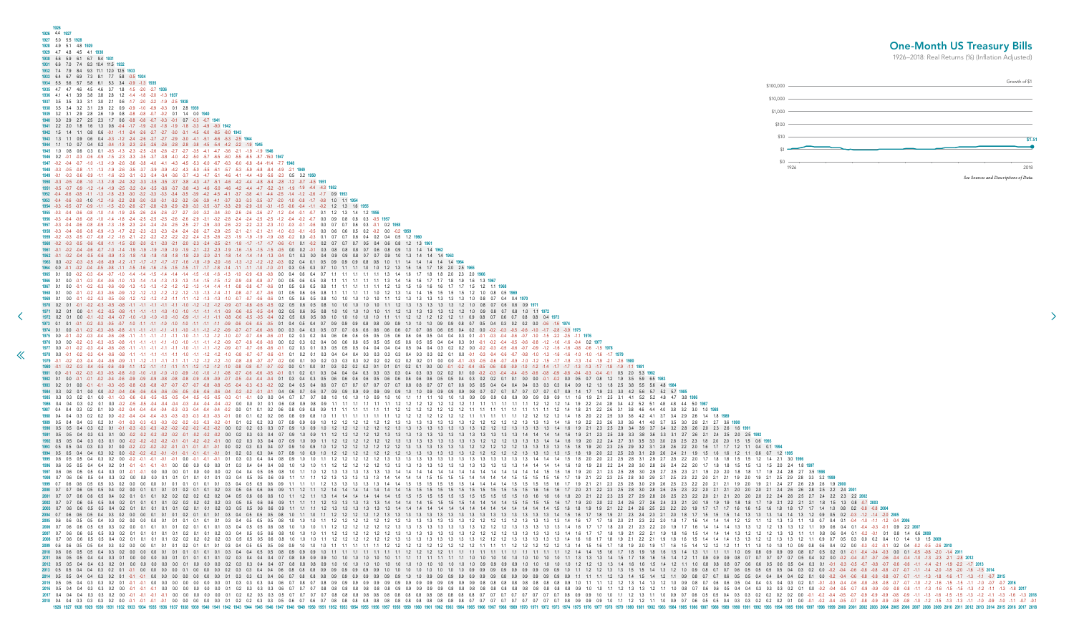<span id="page-36-0"></span>

|                                                                                                                                                                                                                                                                                                                                                                                                                                                                                                                                                                                                                                                                                                                                                                                                                                                                                                                                                                                                                                                                                                                                                                                                                                                                                                                                                                                                                                                                         | 1926 4.4 1927<br>1927 5.0 5.5 1928                                                   |
|-------------------------------------------------------------------------------------------------------------------------------------------------------------------------------------------------------------------------------------------------------------------------------------------------------------------------------------------------------------------------------------------------------------------------------------------------------------------------------------------------------------------------------------------------------------------------------------------------------------------------------------------------------------------------------------------------------------------------------------------------------------------------------------------------------------------------------------------------------------------------------------------------------------------------------------------------------------------------------------------------------------------------------------------------------------------------------------------------------------------------------------------------------------------------------------------------------------------------------------------------------------------------------------------------------------------------------------------------------------------------------------------------------------------------------------------------------------------------|--------------------------------------------------------------------------------------|
|                                                                                                                                                                                                                                                                                                                                                                                                                                                                                                                                                                                                                                                                                                                                                                                                                                                                                                                                                                                                                                                                                                                                                                                                                                                                                                                                                                                                                                                                         | 1926                                                                                 |
|                                                                                                                                                                                                                                                                                                                                                                                                                                                                                                                                                                                                                                                                                                                                                                                                                                                                                                                                                                                                                                                                                                                                                                                                                                                                                                                                                                                                                                                                         | 1928 4.9 5.1 4.8 1929                                                                |
|                                                                                                                                                                                                                                                                                                                                                                                                                                                                                                                                                                                                                                                                                                                                                                                                                                                                                                                                                                                                                                                                                                                                                                                                                                                                                                                                                                                                                                                                         | 1929 4.7 4.8 4.5 4.1 1930<br>2.9                                                     |
| $-0.3$ $-0.5$ $-0.7$ $-1.0$ $-1.1$ $-1.1$ $-1.0$ $-1.0$ $-1.0$ $-1.1$ $-1.1$ $-1.1$ $-1.1$ $-0.9$ $-0.6$ $-0.6$ $-0.5$ $-0.5$ $-0.1$ $-0.4$ $-0.5$ $-0.4$ $-0.7$<br>1974 0.1 0.0 0.1 0.2 0.3 0.6 0.8 0.1 0.1 0.1 0.1 0.1 0.1 0.1 0.2 0.9 0.7 0.7 0.6 0.6 0.0 0.3 0.4 0.3 0.5 0.7 0.7 0.6 0.6 0.6 0.6 0.7 0.7 0.6 0.6 0.6 0.5 0.7 0.7 0.6 0.6 0.5<br>1975 0.0 -0.1 -0.2 -0.3 -0.4 -0.6 -0.8 -1.1 -1.1 -1.1 -1.1 -1.1 -1.1 -1.2 -1.0 -0.7 -0.6 -0.6 -0.6 -0.6 -0.1 0.2 0.3 0.2 0.4 0.6 0.6 0.5 0.5 0.6 0.6 0.6 0.6 0.6 0.6 0.4 0.4 0.3 0.1 -0.1 -0.3 -0.4 -0.6 -0.7 -1.0 -1.5 -2.2 -2<br>1976 0.0 0.0 0.2 0.3 0.3 0.5 0.8 1.1 1.1 1.1 1.1 1.0 1.0 1.1 1.1 1.2 0.9 0.7 0.6 0.6 0.6 0.0 0.2 0.3 0.2 0.4 0.6 0.6 0.5 0.5 0.5 0.5 0.5 0.5 0.4 0.4 0.3 0.1 0.1 0.2 0.4 0.5 1.0 -0.6 -0.8 1.2 1.6 1.6 1.6 1.6 1.97<br>1978 0.0 -0.1 -0.2 -0.3 -0.4 -0.6 -0.8 -1.1 -1.1 -1.1 -1.1 -1.1 -1.0 -1.1 -1.2 -1.0 -0.8 -0.7 -0.6 -0.7 0.6 -0.1 0.1 0.2 0.1 0.3 0.4 0.4 0.3 0.3 0.4 0.3 0.3 0.3 0.2 0.1 0.0 -0.1 -0.3 -0.4 -0.6 -0.7 -0.8 -1.0 -1.0 -1.0 -1.0<br>1979 0.1 0.2 0.3 0.4 0.4 0.6 0.9 1.1 1.2 1.1 1.1 1.1 1.1 1.1 1.2 1.2 1.0 0.8 0.7 0.7 0.2 0.0 0.1 0.0 0.2 0.3 0.3 0.2 0.2 0.2 0.2 0.2 0.1 0.0 0.0 -0.1 -0.3 -0.5 -0.6 -0.7 -0.9 -1.0 -1.2 -1.5 -1.7 -1.8 -1.3 -1.4 -1.9 -2.1 -2.<br>1981 0.0 -0.1 -0.2 -0.3 -0.3 -0.5 -0.8 -1.0 -1.0 -1.0 -1.0 -1.0 -1.0 -1.0 -1.1 -0.8 -0.7 -0.6 -0.6 -0.5 -0.1 0.1 0.2 0.1 0.3 0.4 0.4 0.4 0.4 0.3 0.3 0.3 0.3 0.4 0.3 0.3 0.4 0.3 0.2 | 1935 4.7 4.7 4.6 4.5 4.6 3.7 1.8 -1.5 -2.0 -2.7 1936<br>3.8 2.8 1.2                  |
|                                                                                                                                                                                                                                                                                                                                                                                                                                                                                                                                                                                                                                                                                                                                                                                                                                                                                                                                                                                                                                                                                                                                                                                                                                                                                                                                                                                                                                                                         |                                                                                      |
|                                                                                                                                                                                                                                                                                                                                                                                                                                                                                                                                                                                                                                                                                                                                                                                                                                                                                                                                                                                                                                                                                                                                                                                                                                                                                                                                                                                                                                                                         |                                                                                      |
|                                                                                                                                                                                                                                                                                                                                                                                                                                                                                                                                                                                                                                                                                                                                                                                                                                                                                                                                                                                                                                                                                                                                                                                                                                                                                                                                                                                                                                                                         |                                                                                      |
|                                                                                                                                                                                                                                                                                                                                                                                                                                                                                                                                                                                                                                                                                                                                                                                                                                                                                                                                                                                                                                                                                                                                                                                                                                                                                                                                                                                                                                                                         |                                                                                      |
|                                                                                                                                                                                                                                                                                                                                                                                                                                                                                                                                                                                                                                                                                                                                                                                                                                                                                                                                                                                                                                                                                                                                                                                                                                                                                                                                                                                                                                                                         |                                                                                      |
| $-3.2 -3.4$                                                                                                                                                                                                                                                                                                                                                                                                                                                                                                                                                                                                                                                                                                                                                                                                                                                                                                                                                                                                                                                                                                                                                                                                                                                                                                                                                                                                                                                             |                                                                                      |
|                                                                                                                                                                                                                                                                                                                                                                                                                                                                                                                                                                                                                                                                                                                                                                                                                                                                                                                                                                                                                                                                                                                                                                                                                                                                                                                                                                                                                                                                         |                                                                                      |
|                                                                                                                                                                                                                                                                                                                                                                                                                                                                                                                                                                                                                                                                                                                                                                                                                                                                                                                                                                                                                                                                                                                                                                                                                                                                                                                                                                                                                                                                         | $-4.6$ $-4.1$ $-4.4$ $-4.9$ $-5.6$                                                   |
|                                                                                                                                                                                                                                                                                                                                                                                                                                                                                                                                                                                                                                                                                                                                                                                                                                                                                                                                                                                                                                                                                                                                                                                                                                                                                                                                                                                                                                                                         |                                                                                      |
| $-2.7 -1.2$<br>0.2 0.3 0.3 0.4 0.4 0.7                                                                                                                                                                                                                                                                                                                                                                                                                                                                                                                                                                                                                                                                                                                                                                                                                                                                                                                                                                                                                                                                                                                                                                                                                                                                                                                                                                                                                                  |                                                                                      |
|                                                                                                                                                                                                                                                                                                                                                                                                                                                                                                                                                                                                                                                                                                                                                                                                                                                                                                                                                                                                                                                                                                                                                                                                                                                                                                                                                                                                                                                                         |                                                                                      |
|                                                                                                                                                                                                                                                                                                                                                                                                                                                                                                                                                                                                                                                                                                                                                                                                                                                                                                                                                                                                                                                                                                                                                                                                                                                                                                                                                                                                                                                                         |                                                                                      |
|                                                                                                                                                                                                                                                                                                                                                                                                                                                                                                                                                                                                                                                                                                                                                                                                                                                                                                                                                                                                                                                                                                                                                                                                                                                                                                                                                                                                                                                                         |                                                                                      |
| 0.9 0.9                                                                                                                                                                                                                                                                                                                                                                                                                                                                                                                                                                                                                                                                                                                                                                                                                                                                                                                                                                                                                                                                                                                                                                                                                                                                                                                                                                                                                                                                 |                                                                                      |
|                                                                                                                                                                                                                                                                                                                                                                                                                                                                                                                                                                                                                                                                                                                                                                                                                                                                                                                                                                                                                                                                                                                                                                                                                                                                                                                                                                                                                                                                         |                                                                                      |
| $0.9$ $0.8$ $0.8$                                                                                                                                                                                                                                                                                                                                                                                                                                                                                                                                                                                                                                                                                                                                                                                                                                                                                                                                                                                                                                                                                                                                                                                                                                                                                                                                                                                                                                                       |                                                                                      |
|                                                                                                                                                                                                                                                                                                                                                                                                                                                                                                                                                                                                                                                                                                                                                                                                                                                                                                                                                                                                                                                                                                                                                                                                                                                                                                                                                                                                                                                                         |                                                                                      |
|                                                                                                                                                                                                                                                                                                                                                                                                                                                                                                                                                                                                                                                                                                                                                                                                                                                                                                                                                                                                                                                                                                                                                                                                                                                                                                                                                                                                                                                                         |                                                                                      |
|                                                                                                                                                                                                                                                                                                                                                                                                                                                                                                                                                                                                                                                                                                                                                                                                                                                                                                                                                                                                                                                                                                                                                                                                                                                                                                                                                                                                                                                                         |                                                                                      |
|                                                                                                                                                                                                                                                                                                                                                                                                                                                                                                                                                                                                                                                                                                                                                                                                                                                                                                                                                                                                                                                                                                                                                                                                                                                                                                                                                                                                                                                                         |                                                                                      |
|                                                                                                                                                                                                                                                                                                                                                                                                                                                                                                                                                                                                                                                                                                                                                                                                                                                                                                                                                                                                                                                                                                                                                                                                                                                                                                                                                                                                                                                                         |                                                                                      |
|                                                                                                                                                                                                                                                                                                                                                                                                                                                                                                                                                                                                                                                                                                                                                                                                                                                                                                                                                                                                                                                                                                                                                                                                                                                                                                                                                                                                                                                                         |                                                                                      |
|                                                                                                                                                                                                                                                                                                                                                                                                                                                                                                                                                                                                                                                                                                                                                                                                                                                                                                                                                                                                                                                                                                                                                                                                                                                                                                                                                                                                                                                                         |                                                                                      |
| 08                                                                                                                                                                                                                                                                                                                                                                                                                                                                                                                                                                                                                                                                                                                                                                                                                                                                                                                                                                                                                                                                                                                                                                                                                                                                                                                                                                                                                                                                      |                                                                                      |
|                                                                                                                                                                                                                                                                                                                                                                                                                                                                                                                                                                                                                                                                                                                                                                                                                                                                                                                                                                                                                                                                                                                                                                                                                                                                                                                                                                                                                                                                         |                                                                                      |
|                                                                                                                                                                                                                                                                                                                                                                                                                                                                                                                                                                                                                                                                                                                                                                                                                                                                                                                                                                                                                                                                                                                                                                                                                                                                                                                                                                                                                                                                         |                                                                                      |
|                                                                                                                                                                                                                                                                                                                                                                                                                                                                                                                                                                                                                                                                                                                                                                                                                                                                                                                                                                                                                                                                                                                                                                                                                                                                                                                                                                                                                                                                         |                                                                                      |
| 08 08 04 1973                                                                                                                                                                                                                                                                                                                                                                                                                                                                                                                                                                                                                                                                                                                                                                                                                                                                                                                                                                                                                                                                                                                                                                                                                                                                                                                                                                                                                                                           |                                                                                      |
|                                                                                                                                                                                                                                                                                                                                                                                                                                                                                                                                                                                                                                                                                                                                                                                                                                                                                                                                                                                                                                                                                                                                                                                                                                                                                                                                                                                                                                                                         |                                                                                      |
| $-0.4$ $-0.5$ $-0.6$ $-0.8$ $-0.9$ $-0.8$ $-0.4$ $-0.3$ $-0.4$ $-0.1$ 0.5 20 5.3 1982                                                                                                                                                                                                                                                                                                                                                                                                                                                                                                                                                                                                                                                                                                                                                                                                                                                                                                                                                                                                                                                                                                                                                                                                                                                                                                                                                                                   |                                                                                      |
|                                                                                                                                                                                                                                                                                                                                                                                                                                                                                                                                                                                                                                                                                                                                                                                                                                                                                                                                                                                                                                                                                                                                                                                                                                                                                                                                                                                                                                                                         |                                                                                      |
|                                                                                                                                                                                                                                                                                                                                                                                                                                                                                                                                                                                                                                                                                                                                                                                                                                                                                                                                                                                                                                                                                                                                                                                                                                                                                                                                                                                                                                                                         |                                                                                      |
|                                                                                                                                                                                                                                                                                                                                                                                                                                                                                                                                                                                                                                                                                                                                                                                                                                                                                                                                                                                                                                                                                                                                                                                                                                                                                                                                                                                                                                                                         |                                                                                      |
|                                                                                                                                                                                                                                                                                                                                                                                                                                                                                                                                                                                                                                                                                                                                                                                                                                                                                                                                                                                                                                                                                                                                                                                                                                                                                                                                                                                                                                                                         |                                                                                      |
| 03 03 04 09 12 13 18 25 38 55 56 48 1984<br>$-0.2$ $-0.2$ $-0.2$ $-0.1$ $-0.1$ $-0.2$ $-0.2$ $-0.1$ $-0.2$ $-0.2$ $-0.1$ $-0.2$ $-0.2$ $-0.1$ $-0.2$ $-0.2$ $-0.1$ $-0.2$ $-0.2$ $-0.1$ $-0.2$ $-0.2$ $-0.2$ $-0.2$ $-0.2$ $-0.2$ $-0.2$ $-0.2$ $-0.2$ $-0.2$ $-0.2$ $-0.$                                                                                                                                                                                                                                                                                                                                                                                                                                                                                                                                                                                                                                                                                                                                                                                                                                                                                                                                                                                                                                                                                                                                                                                              |                                                                                      |
|                                                                                                                                                                                                                                                                                                                                                                                                                                                                                                                                                                                                                                                                                                                                                                                                                                                                                                                                                                                                                                                                                                                                                                                                                                                                                                                                                                                                                                                                         |                                                                                      |
|                                                                                                                                                                                                                                                                                                                                                                                                                                                                                                                                                                                                                                                                                                                                                                                                                                                                                                                                                                                                                                                                                                                                                                                                                                                                                                                                                                                                                                                                         |                                                                                      |
|                                                                                                                                                                                                                                                                                                                                                                                                                                                                                                                                                                                                                                                                                                                                                                                                                                                                                                                                                                                                                                                                                                                                                                                                                                                                                                                                                                                                                                                                         |                                                                                      |
|                                                                                                                                                                                                                                                                                                                                                                                                                                                                                                                                                                                                                                                                                                                                                                                                                                                                                                                                                                                                                                                                                                                                                                                                                                                                                                                                                                                                                                                                         |                                                                                      |
|                                                                                                                                                                                                                                                                                                                                                                                                                                                                                                                                                                                                                                                                                                                                                                                                                                                                                                                                                                                                                                                                                                                                                                                                                                                                                                                                                                                                                                                                         |                                                                                      |
|                                                                                                                                                                                                                                                                                                                                                                                                                                                                                                                                                                                                                                                                                                                                                                                                                                                                                                                                                                                                                                                                                                                                                                                                                                                                                                                                                                                                                                                                         |                                                                                      |
|                                                                                                                                                                                                                                                                                                                                                                                                                                                                                                                                                                                                                                                                                                                                                                                                                                                                                                                                                                                                                                                                                                                                                                                                                                                                                                                                                                                                                                                                         | \$100,000<br>\$10,000<br>\$1,000<br>\$100                                            |
|                                                                                                                                                                                                                                                                                                                                                                                                                                                                                                                                                                                                                                                                                                                                                                                                                                                                                                                                                                                                                                                                                                                                                                                                                                                                                                                                                                                                                                                                         | \$10<br>\$0<br>1926                                                                  |
| $0.4$ 0.3 0.1                                                                                                                                                                                                                                                                                                                                                                                                                                                                                                                                                                                                                                                                                                                                                                                                                                                                                                                                                                                                                                                                                                                                                                                                                                                                                                                                                                                                                                                           |                                                                                      |
|                                                                                                                                                                                                                                                                                                                                                                                                                                                                                                                                                                                                                                                                                                                                                                                                                                                                                                                                                                                                                                                                                                                                                                                                                                                                                                                                                                                                                                                                         |                                                                                      |
|                                                                                                                                                                                                                                                                                                                                                                                                                                                                                                                                                                                                                                                                                                                                                                                                                                                                                                                                                                                                                                                                                                                                                                                                                                                                                                                                                                                                                                                                         |                                                                                      |
|                                                                                                                                                                                                                                                                                                                                                                                                                                                                                                                                                                                                                                                                                                                                                                                                                                                                                                                                                                                                                                                                                                                                                                                                                                                                                                                                                                                                                                                                         |                                                                                      |
|                                                                                                                                                                                                                                                                                                                                                                                                                                                                                                                                                                                                                                                                                                                                                                                                                                                                                                                                                                                                                                                                                                                                                                                                                                                                                                                                                                                                                                                                         |                                                                                      |
| 2008 0.7 0.6 0.5 0.4 0.2 0.1 0.1 0.1 0.1 0.2 0.2 0.2 0.2 0.2 0.3 0.5 0.5 0.5 0.6 0.8 1.0 1.0 1.1 1.2 1.2 1.2 1.2 1.2 1.2 1.3 1.3 1.3 1.3 1.3 1.3 1.4 1.4 1.6 1.6 1.7 1.8 1.3 1.3 1.3 1.3 1.3 1.3 1.3 1.3 1.3 1.4 1.4 1.4 1.4 1.                                                                                                                                                                                                                                                                                                                                                                                                                                                                                                                                                                                                                                                                                                                                                                                                                                                                                                                                                                                                                                                                                                                                                                                                                                         |                                                                                      |
|                                                                                                                                                                                                                                                                                                                                                                                                                                                                                                                                                                                                                                                                                                                                                                                                                                                                                                                                                                                                                                                                                                                                                                                                                                                                                                                                                                                                                                                                         |                                                                                      |
|                                                                                                                                                                                                                                                                                                                                                                                                                                                                                                                                                                                                                                                                                                                                                                                                                                                                                                                                                                                                                                                                                                                                                                                                                                                                                                                                                                                                                                                                         |                                                                                      |
|                                                                                                                                                                                                                                                                                                                                                                                                                                                                                                                                                                                                                                                                                                                                                                                                                                                                                                                                                                                                                                                                                                                                                                                                                                                                                                                                                                                                                                                                         |                                                                                      |
|                                                                                                                                                                                                                                                                                                                                                                                                                                                                                                                                                                                                                                                                                                                                                                                                                                                                                                                                                                                                                                                                                                                                                                                                                                                                                                                                                                                                                                                                         |                                                                                      |
| $-0.7$ $-0.8$ $-0.7$ $-0.6$ $-0.6$ $-1.1$ $-1.4$ $-2.1$ $-1.9$ $-2.2$ $-1.7$ $-2013$<br>$-0.7$ $-1.1$ $-1.3$ $-1.8$ $-1.6$ $-1.7$ $-1.3$ $-1.1$ $-0.7$                                                                                                                                                                                                                                                                                                                                                                                                                                                                                                                                                                                                                                                                                                                                                                                                                                                                                                                                                                                                                                                                                                                                                                                                                                                                                                                  | <b>One-Month US Treas</b><br>1926-2018: Real Returns (%) (Inflati<br>See Sources and |
|                                                                                                                                                                                                                                                                                                                                                                                                                                                                                                                                                                                                                                                                                                                                                                                                                                                                                                                                                                                                                                                                                                                                                                                                                                                                                                                                                                                                                                                                         |                                                                                      |

## One-Month US Treasury Bills

1926–2018: Real Returns (%) (Inflation Adjusted)

 $\rightarrow$ 

![](_page_36_Figure_3.jpeg)

0.8 1.2 1.9 3.5 5.9 6.5 1983 1.3 1.8 2.5 3.8 5.5 5.6 4.8 1984 2.3 2.6 3.0 3.6 4.1 4.0 3.7 3.5 3.0 2.8 2.1 2.7 3.6 1990 2.3 2.5 2.9 3.4 3.9 3.7 3.4 3.2 2.8 2.6 2.0 2.3 2.6 1.6 1991 2.3 2.5 2.9 3.3 3.8 3.6 3.3 3.1 2.7 2.6 2.1 2.4 2.5 2.0 2.5 1992 2.2 2.4 2.7 3.1 3.5 3.3 3.0 2.8 2.5 2.3 1.8 2.0 2.0 1.5 1.5 0.6 1993 2.0 2.3 2.5 2.9 3.2 3.1 2.8 2.6 2.2 2.0 1.6 1.7 1.7 1.2 1.1 0.4 0.1 1994 2.0 2.2 2.5 2.8 3.1 2.9 2.6 2.4 2.1 1.9 1.5 1.6 1.6 1.2 1.1 0.6 0.7 1.2 1995 22 23 25 28 30 28 26 25 23 22 20 21 21 20 20 20 21 24 26 26 28 25 22 24 2001 2.2 2.3 2.5 2.7 2.9 2.8 2.6 2.5 2.3 2.2 2.0 2.1 2.1 2.0 2.0 2.0 2.2 2.4 2.6 2.5 2.7 2.4 2.2 2.3 2.2 2002 1.8 1.9 2.1 2.3 2.4 2.3 2.1 2.0 1.8 1.7 1.5 1.5 1.5 1.4 1.3 1.3 1.3 1.4 1.4 1.3 1.2 0.9 0.5 0.2 0.3 1.2 1.4 2.0 2005 1.8 2.0 2.1 2.3 2.2 2.0 1.8 1.7 1.6 1.4 1.4 1.4 1.2 1.2 1.1 1.2 1.3 1.3 1.1 1.0 0.7 0.4 0.1 0.4 -1.0 -1.1 -1.2 -0.4 2006 1.7 1.8 2.0 2.1 2.3 2.2 2.0 1.9 1.7 1.6 1.4 1.4 1.4 1.3 1.3 1.2 1.2 1.3 1.3 1.2 1.1 0.9 0.6 0.4 0.1 0.4 -0.3 -0.1 0.9 2.2 2007 1.7 1.8 1.9 2.1 2.2 2.1 1.9 1.8 1.6 1.5 1.4 1.4 1.4 1.3 1.2 1.2 1.2 1.3 1.3 1.1 1.1 0.8 0.6 0.4 0.1 0.2 0.1 0.1 0.8 1.4 0.6 2008 1.7 1.8 1.9 2.1 2.2 2.1 1.9 1.8 1.6 1.5 1.4 1.4 1.4 1.3 1.2 1.2 1.2 1.3 1.3 1.2 1.1 0.9 0.7 0.5 0.3 0.0 0.2 0.4 1.0 1.4 1.0 1.5 2009 1.1 1.2 1.3 1.4 1.5 1.4 1.2 1.1 0.9 0.8 0.7 0.7 0.6 0.5 0.5 0.4 0.4 0.4 0.4 0.4 0.2 0.1 0.0 -0.2 -0.4 -0.6 -0.8 -0.8 -0.8 -0.8 -0.7 -0.7 -1.1 -1.3 -1.8 -1.6 -1.7 -1.3 -1.1 -0.7 2015 1.1 1.2 1.2 1.3 1.4 1.3 1.2 1.0 0.9 0.8 0.7 0.6 0.6 0.5 0.4 0.4 0.3 0.4 0.3 0.2 0.1 0.1 0.3 0.4 0.6 0.8 0.8 0.8 0.8 0.7 0.7 1.0 -1.2 -1.6 -1.5 -1.1 -1.0 -0.7 0.7 2016 1.0 1.1 1.2 1.3 1.3 1.2 1.1 1.0 0.8 0.7 0.6 0.6 0.5 0.4 0.4 0.3 0.3 0.3 0.2 0.1 0.0 -0.2 -0.4 -0.5 -0.7 -0.9 -0.9 -0.9 -0.8 -0.8 -1.1 -1.3 -1.6 -1.5 -1.5 -1.3 -1.2 -1.1 -1.3 -1.8 2017 1.0 1.1 1.2 1.3 1.1 1.0 0.9 0.7 0.6 0.5 0.4 0.3 0.2 0.2 0.2 0.2 0.2 0.4 0.4 0.5 0.7 0.9 0.9 0.9 0.9 0.9 1.1 1.3 1.6 1.5 1.5 1.5 1.3 1.4 1.3 1.6 1.5 1.5 1.4 0.9 1.0 1.1 1.2 1.2 1.1 1.0 0.9 0.7 0.6 0.5 0.5 0.4 0.3 0.3 0.2 0.2 0.1 0.0 -0.1 -0.2 -0.4 -0.5 -0.7 -0.8 -0.9 -0.9 -0.8 -0.8 -1.0 -1.2 -1.5 -1.3 -1.1 -1.0 -0.9 -1.0 -1.1 -0.7 -0.1<br>977 1978 1979 1980 1981 1982 1983 1984 19 0.102.1334 1934 1942 1943 1944 1942 1943 1944 1942 1943 1944 1945 1944 1945 1944 1945 1944 1945 1944 1945 1944 1945 1944 1945 1944 1945 1949 1950 1951 1952 1953 1954 1955 1958 1964 1965 1970 1971 1972 1973 1974 1972 1973 19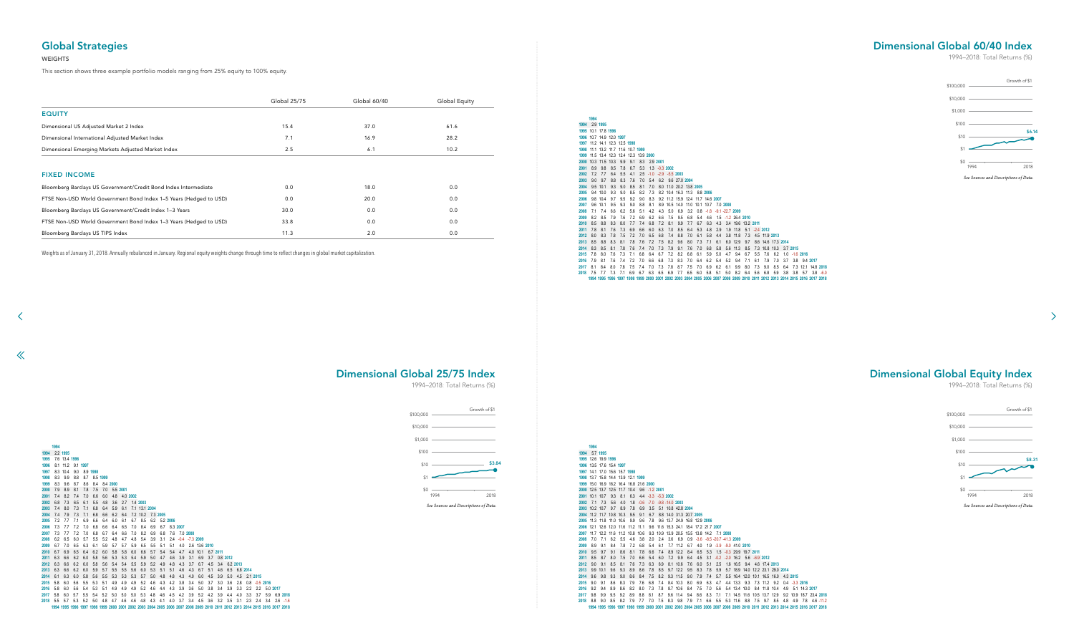2.9 **1995**

 10.1 17.8 **1996** 10.7 14.9 12.0 **1997** 11.2 14.1 12.3 12.5 **1998** 11.1 13.2 11.7 11.6 10.7 **1999** 11.5 13.4 12.3 12.4 12.3 13.9 **2000** 10.3 11.5 10.3 9.9 9.1 8.3 2.9 **2001** 8.9 9.8 8.5 7.8 6.7 5.3 1.3 -0.3 **2002** 7.2 7.7 6.4 5.5 4.1 2.5 -1.0 -2.9 -5.5 **2003** 9.0 9.7 8.8 8.3 7.6 7.0 5.4 6.2 9.6 27.0 **2004** 9.5 10.1 9.3 9.0 8.5 8.1 7.0 8.0 11.0 20.2 13.8 **2005** 9.4 10.0 9.3 9.0 8.5 8.2 7.3 8.2 10.4 16.3 11.3 8.8 **2006** 9.8 10.4 9.7 9.5 9.2 9.0 8.3 9.2 11.2 15.9 12.4 11.7 14.6 **2007** 9.6 10.1 9.5 9.3 9.0 8.8 8.1 8.9 10.5 14.0 11.0 10.1 10.7 7.0 **2008** 7.1 7.4 6.6 6.2 5.6 5.1 4.2 4.3 5.0 6.9 3.2 0.8 -1.8 -9.1 -22.7 **2009** 8.2 8.5 7.9 7.6 7.2 6.9 6.2 6.6 7.5 9.5 6.8 5.4 4.6 1.5 -1.2 26.4 **2010** 8.5 8.8 8.3 8.0 7.7 7.4 6.8 7.2 8.1 9.9 7.7 6.7 6.3 4.3 3.4 19.6 13.2 **2011** 7.8 8.1 7.6 7.3 6.9 6.6 6.0 6.3 7.0 8.5 6.4 5.3 4.8 2.9 1.9 11.8 5.1 -2.4 **2012** 8.0 8.3 7.8 7.5 7.2 7.0 6.5 6.8 7.4 8.8 7.0 6.1 5.8 4.4 3.8 11.8 7.3 4.5 11.9 **2013** 8.5 8.8 8.3 8.1 7.8 7.6 7.2 7.5 8.2 9.6 8.0 7.3 7.1 6.1 6.0 12.9 9.7 8.6 14.6 17.3 **2014** 8.3 8.5 8.1 7.8 7.6 7.4 7.0 7.3 7.9 9.1 7.6 7.0 6.8 5.8 5.6 11.3 8.5 7.3 10.8 10.3 3.7 **2015** 7.8 8.0 7.6 7.3 7.1 6.8 6.4 6.7 7.2 8.2 6.8 6.1 5.9 5.0 4.7 9.4 6.7 5.5 7.6 6.2 1.0 -1.6 **2016** 7.9 8.1 7.6 7.4 7.2 7.0 6.6 6.8 7.3 8.3 7.0 6.4 6.2 5.4 5.2 9.4 7.1 6.1 7.9 7.0 3.7 3.8 9.4 **2017** 8.1 8.4 8.0 7.8 7.5 7.4 7.0 7.3 7.8 8.7 7.5 7.0 6.9 6.2 6.1 9.9 8.0 7.3 9.0 8.5 6.4 7.3 12.1 14.8 **2018** 7.5 7.7 7.3 7.1 6.9 6.7 6.3 6.5 6.9 7.7 6.5 6.0 5.8 5.1 5.0 8.2 6.4 5.6 6.8 5.9 3.8 3.8 5.7 3.8 -6.0 1994 1995 1996 1997 1998 1999 2000 2001 2002 2003 2004 2005 2006 2007 2008 2009 2010 2011 2012 2013 2014 2015 2016 2017 2018

 5.7 **1995** 12.6 19.9 **1996** 13.5 17.6 15.4 **1997** 14.1 17.0 15.6 15.7 **1998** 13.7 15.8 14.4 13.9 12.1 **1999** 15.0 16.9 16.2 16.4 16.8 21.6 **2000** 12.5 13.7 12.5 11.7 10.4 9.6 -1.2 **2001** 10.1 10.7 9.3 8.1 6.3 4.4 -3.3 -5.3 **2002** 7.1 7.3 5.6 4.0 1.8 -0.6 -7.0 -9.8 -14.0 **2003** 10.2 10.7 9.7 8.9 7.8 6.9 3.5 5.1 10.8 42.8 **2004** 11.2 11.7 10.8 10.3 9.5 9.1 6.7 8.8 14.0 31.3 20.7 **2005** 11.3 11.8 11.0 10.6 9.9 9.6 7.8 9.6 13.7 24.9 16.8 12.9 **2006** 12.1 12.6 12.0 11.6 11.2 11.1 9.6 11.6 15.3 24.1 18.4 17.2 21.7 **2007** 11.7 12.2 11.6 11.2 10.8 10.6 9.3 10.9 13.9 20.5 15.5 13.8 14.2 7.1 **2008** 7.0 7.1 6.2 5.5 4.6 3.8 2.0 2.4 3.6 6.9 0.9 -3.6 -8.5 -20.7 -41.3 **2009** 8.9 9.1 8.4 7.8 7.2 6.8 5.4 6.1 7.7 11.2 6.7 4.0 1.9 -3.9 -9.0 41.0 **2010** 9.5 9.7 9.1 8.6 8.1 7.8 6.6 7.4 8.9 12.2 8.4 6.5 5.3 1.5 -0.3 29.9 19.7 **2011** 8.5 8.7 8.0 7.5 7.0 6.6 5.4 6.0 7.2 9.9 6.4 4.5 3.1 -0.2 -2.0 16.2 5.6 -6.9 **2012** 9.0 9.1 8.5 8.1 7.6 7.3 6.3 6.9 8.1 10.6 7.6 6.0 5.1 2.5 1.6 16.5 9.4 4.6 17.4 **2013** 9.9 10.1 9.6 9.3 8.9 8.6 7.8 8.5 9.7 12.2 9.5 8.3 7.8 5.9 5.7 18.9 14.0 12.2 23.1 29.0 **2014** 9.6 9.8 9.3 9.0 8.6 8.4 7.5 8.2 9.3 11.5 9.0 7.9 7.4 5.7 5.5 16.4 12.0 10.1 16.5 16.0 4.3 **2015** 9.0 9.1 8.6 8.3 7.9 7.6 6.8 7.4 8.4 10.3 8.0 6.9 6.3 4.7 4.4 13.3 9.3 7.3 11.2 9.2 0.4 -3.3 **2016** 9.2 9.4 8.9 8.6 8.2 8.0 7.3 7.8 8.7 10.6 8.4 7.5 7.0 5.6 5.4 13.4 10.0 8.4 11.8 10.4 4.9 5.1 14.3 **2017** 9.8 9.9 9.5 9.2 8.9 8.8 8.1 8.7 9.6 11.4 9.4 8.6 8.3 7.1 7.1 14.5 11.6 10.5 13.7 12.9 9.2 10.9 18.7 23.4 **2018** 8.8 9.0 8.5 8.2 7.9 7.7 7.0 7.5 8.3 9.8 7.9 7.1 6.6 5.5 5.3 11.6 8.8 7.5 9.7 8.5 4.8 4.9 7.8 4.6 -11.2 1994 1995 1996 1997 1998 1999 2000 2001 2002 2003 2004 2005 2006 2007 2008 2009 2010 2011 2012 2013 2014 2015 2016 2017 2018  $$3.84$  \$3.84  $10.8$   $1995$   $12.6$   $19.9$   $1996$   $$8.31$ 

 7.6 13.4 **1996** 8.1 11.2 9.1 **1997** 8.3 10.4 9.0 8.9 **1998** 8.3 9.9 8.8 8.7 8.5 **1999** 8.3 9.6 8.7 8.6 8.4 8.4 **2000** 7.9 8.9 8.1 7.8 7.5 7.0 5.5 **2001** 7.4 8.2 7.4 7.0 6.6 6.0 4.8 4.0 **2002** 6.8 7.3 6.5 6.1 5.5 4.8 3.6 2.7 1.4 **2003** 7.4 8.0 7.3 7.1 6.8 6.4 5.9 6.1 7.1 13.1 **2004** 7.4 7.9 7.3 7.1 6.8 6.6 6.2 6.4 7.2 10.2 7.3 **2005** 7.2 7.7 7.1 6.9 6.6 6.4 6.0 6.1 6.7 8.5 6.2 5.2 **2006** 7.3 7.7 7.2 7.0 6.8 6.6 6.4 6.5 7.0 8.4 6.9 6.7 8.3 **2007** 7.3 7.7 7.2 7.0 6.8 6.7 6.4 6.6 7.0 8.2 6.9 6.8 7.6 7.0 **2008** 6.2 6.5 6.0 5.7 5.5 5.2 4.8 4.7 4.8 5.4 3.9 3.1 2.4 -0.4 -7.3 **2009** 6.7 7.0 6.5 6.3 6.1 5.9 5.7 5.7 5.9 6.5 5.5 5.1 5.1 4.0 2.6 13.6 **2010** 6.7 6.9 6.5 6.4 6.2 6.0 5.8 5.8 6.0 6.6 5.7 5.4 5.4 4.7 4.0 10.1 6.7 **2011** 6.3 6.6 6.2 6.0 5.8 5.6 5.3 5.3 5.4 5.9 5.0 4.7 4.6 3.9 3.1 6.9 3.7 0.8 **2012** 6.3 6.6 6.2 6.0 5.8 5.6 5.4 5.4 5.5 5.9 5.2 4.9 4.8 4.3 3.7 6.7 4.5 3.4 6.2 **2013** 6.3 6.6 6.2 6.0 5.9 5.7 5.5 5.5 5.6 6.0 5.3 5.1 5.1 4.6 4.3 6.7 5.1 4.6 6.5 6.8 **2014** 6.1 6.3 6.0 5.8 5.6 5.5 5.3 5.3 5.3 5.7 5.0 4.8 4.8 4.3 4.0 6.0 4.5 3.9 5.0 4.5 2.1 **2015** 5.8 6.0 5.6 5.5 5.3 5.1 4.9 4.9 4.9 5.2 4.6 4.3 4.2 3.8 3.4 5.0 3.7 3.0 3.6 2.8 0.8 -0.5 **2016** 5.8 6.0 5.6 5.4 5.3 5.1 4.9 4.9 4.9 5.2 4.6 4.4 4.3 3.9 3.6 5.0 3.8 3.4 3.9 3.3 2.2 2.2 5.0 **2017** 5.8 6.0 5.7 5.5 5.4 5.2 5.0 5.0 5.0 5.3 4.8 4.6 4.5 4.2 3.9 5.2 4.2 3.9 4.4 4.0 3.3 3.7 5.9 6.9 **2018** 5.5 5.7 5.3 5.2 5.0 4.8 4.7 4.6 4.6 4.8 4.3 4.1 4.0 3.7 3.4 4.5 3.6 3.2 3.5 3.1 2.3 2.4 3.4 2.6 -1.6 1994 1995 1996 1997 1998 1999 2000 2001 2002 2003 2004 2005 2006 2007 2008 2009 2010 2011 2012 2013 2014 2015 2016 2017 2018

 2.2 **1995**

|                                                                    | Global 25/75 | Global 60/40 | <b>Global Equity</b> |
|--------------------------------------------------------------------|--------------|--------------|----------------------|
| <b>EQUITY</b>                                                      |              |              |                      |
| Dimensional US Adjusted Market 2 Index                             | 15.4         | 37.0         | 61.6                 |
| Dimensional International Adjusted Market Index                    | 7.1          | 16.9         | 28.2                 |
| Dimensional Emerging Markets Adjusted Market Index                 | 2.5          | 6.1          | 10.2                 |
|                                                                    |              |              |                      |
| <b>FIXED INCOME</b>                                                |              |              |                      |
| Bloomberg Barclays US Government/Credit Bond Index Intermediate    | 0.0          | 18.0         | 0.0                  |
| FTSE Non-USD World Government Bond Index 1-5 Years (Hedged to USD) | 0.0          | 20.0         | 0.0                  |
| Bloomberg Barclays US Government/Credit Index 1-3 Years            | 30.0         | 0.0          | 0.0                  |
| FTSE Non-USD World Government Bond Index 1-3 Years (Hedged to USD) | 33.8         | 0.0          | 0.0                  |
| Bloomberg Barclays US TIPS Index                                   | 11.3         | 2.0          | 0.0                  |

Weights as of January 31, 2018. Annually rebalanced in January. Regional equity weights change through time to reflect changes in global market capitalization.

This section shows three example portfolio models ranging from 25% equity to 100% equity.

## Dimensional Global 60/40 Index

1994–2018: Total Returns (%)

# Dimensional Global Equity Index

1994–2018: Total Returns (%)

 $\rightarrow$ 

Dimensional Global 25/75 Index

1994–2018: Total Returns (%)

# <span id="page-37-0"></span>Global Strategies

#### WEIGHTS

![](_page_37_Figure_20.jpeg)

![](_page_37_Figure_16.jpeg)

![](_page_37_Figure_7.jpeg)

*See Sources and Descriptions of Data.*

| Growth o                        | \$100,000 |
|---------------------------------|-----------|
|                                 | \$10,000  |
|                                 | \$1,000   |
|                                 | \$100     |
|                                 | \$10      |
|                                 | \$1       |
| т<br>1994                       | \$0       |
| See Sources and Descriptions of |           |
|                                 |           |
|                                 |           |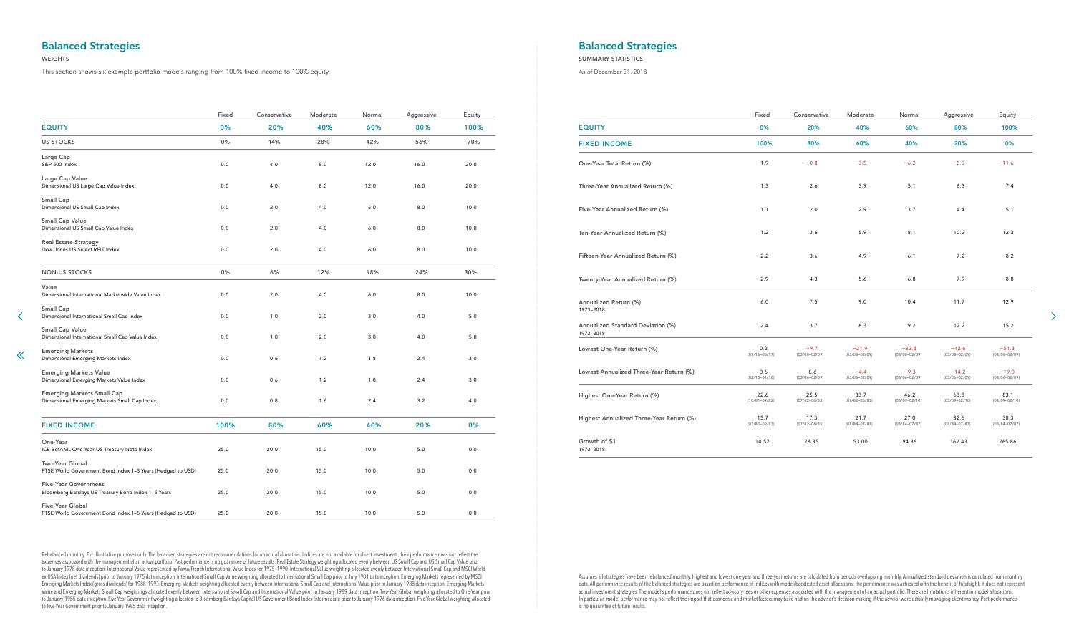|                                                                                    | Fixed | Conservative | Moderate | Normal | Aggressive | Equity |                                                | Fixed                     | Conservative                | Moderate                     | Normal                       | Aggressive                   | Equity                       |
|------------------------------------------------------------------------------------|-------|--------------|----------|--------|------------|--------|------------------------------------------------|---------------------------|-----------------------------|------------------------------|------------------------------|------------------------------|------------------------------|
| <b>EQUITY</b>                                                                      | 0%    | 20%          | 40%      | 60%    | 80%        | 100%   | <b>EQUITY</b>                                  | 0%                        | 20%                         | 40%                          | 60%                          | 80%                          | 100%                         |
| <b>US STOCKS</b>                                                                   | 0%    | 14%          | 28%      | 42%    | 56%        | 70%    | <b>FIXED INCOME</b>                            | 100%                      | 80%                         | 60%                          | 40%                          | 20%                          | 0%                           |
| Large Cap<br>S&P 500 Index                                                         | 0.0   | 4.0          | 8.0      | 12.0   | 16.0       | 20.0   | One-Year Total Return (%)                      | 1.9                       | $-0.8$                      | $-3.5$                       | $-6.2$                       | $-8.9$                       | $-11.6$                      |
| Large Cap Value<br>Dimensional US Large Cap Value Index                            | 0.0   | 4.0          | 8.0      | 12.0   | 16.0       | 20.0   | Three-Year Annualized Return (%)               | 1.3                       | 2.6                         | 3.9                          | 5.1                          | 6.3                          | 7.4                          |
| <b>Small Cap</b><br>Dimensional US Small Cap Index                                 | 0.0   | 2.0          | 4.0      | 6.0    | $8.0\,$    | 10.0   | Five-Year Annualized Return (%)                | 1.1                       | 2.0                         | 2.9                          | 3.7                          | 4.4                          | 5.1                          |
| <b>Small Cap Value</b><br>Dimensional US Small Cap Value Index                     | 0.0   | 2.0          | 4.0      | 6.0    | 8.0        | 10.0   | Ten-Year Annualized Return (%)                 | 1.2                       | 3.6                         | 5.9                          | 8.1                          | 10.2                         | 12.3                         |
| <b>Real Estate Strategy</b><br>Dow Jones US Select REIT Index                      | 0.0   | 2.0          | 4.0      | 6.0    | $8.0\,$    | 10.0   | Fifteen-Year Annualized Return (%)             | 2.2                       | 3.6                         | 4.9                          | 6.1                          | 7.2                          | 8.2                          |
| <b>NON-US STOCKS</b>                                                               | 0%    | 6%           | 12%      | 18%    | 24%        | 30%    | Twenty-Year Annualized Return (%)              | 2.9                       | 4.3                         | 5.6                          | 6.8                          | 7.9                          | 8.8                          |
| Value<br>Dimensional International Marketwide Value Index                          | 0.0   | 2.0          | 4.0      | 6.0    | $8.0\,$    | 10.0   | Annualized Return (%)                          | 6.0                       | 7.5                         | 9.0                          | 10.4                         | 11.7                         | 12.9                         |
| <b>Small Cap</b><br>Dimensional International Small Cap Index                      | 0.0   | 1.0          | 2.0      | 3.0    | 4.0        | 5.0    | 1973-2018                                      |                           |                             |                              |                              |                              |                              |
| <b>Small Cap Value</b><br>Dimensional International Small Cap Value Index          | 0.0   | 1.0          | 2.0      | 3.0    | 4.0        | $5.0$  | Annualized Standard Deviation (%)<br>1973-2018 | 2.4                       | 3.7                         | 6.3                          | 9.2                          | 12.2                         | 15.2                         |
| <b>Emerging Markets</b><br>Dimensional Emerging Markets Index                      | 0.0   | 0.6          | 1.2      | 1.8    | 2.4        | 3.0    | Lowest One-Year Return (%)                     | 0.2<br>$(07/16 - 06/17)$  | $-9.7$<br>$(03/08 - 02/09)$ | $-21.9$<br>$(03/08 - 02/09)$ | $-32.8$<br>$(03/08 - 02/09)$ | $-42.6$<br>$(03/08 - 02/09)$ | $-51.3$<br>$(03/08 - 02/09)$ |
| <b>Emerging Markets Value</b><br>Dimensional Emerging Markets Value Index          | 0.0   | 0.6          | 1.2      | 1.8    | 2.4        | 3.0    | Lowest Annualized Three-Year Return (%)        | 0.6<br>$(02/15 - 01/18)$  | 0.6<br>$(03/06 - 02/09)$    | $-4.4$<br>$(03/06 - 02/09)$  | $-9.3$<br>$(03/06 - 02/09)$  | $-14.2$<br>$(03/06 - 02/09)$ | $-19.0$<br>$(03/06 - 02/09)$ |
| <b>Emerging Markets Small Cap</b><br>Dimensional Emerging Markets Small Cap Index  | 0.0   | 0.8          | 1.6      | 2.4    | $3.2$      | 4.0    | Highest One-Year Return (%)                    | 22.6<br>$(10/81 - 09/82)$ | 25.5<br>$(07/82 - 06/83)$   | 33.7<br>$(07/82 - 06/83)$    | 46.2<br>$(03/09 - 02/10)$    | 63.8<br>$(03/09 - 02/10)$    | 83.1<br>$(03/09 - 02/10)$    |
| <b>FIXED INCOME</b>                                                                | 100%  | 80%          | 60%      | 40%    | 20%        | 0%     | Highest Annualized Three-Year Return (%)       | 15.7<br>$(03/80 - 02/83)$ | 17.3<br>$(07/82 - 06/85)$   | 21.7<br>$(08/84 - 07/87)$    | 27.0<br>$(08/84 - 07/87)$    | 32.6<br>$(08/84 - 07/87)$    | 38.3<br>$(08/84 - 07/87)$    |
| One-Year<br>ICE BofAML One-Year US Treasury Note Index                             | 25.0  | 20.0         | 15.0     | 10.0   | 5.0        | 0.0    | Growth of \$1<br>1973-2018                     | 14.52                     | 28.35                       | 53.00                        | 94.86                        | 162.43                       | 265.86                       |
| Two-Year Global<br>FTSE World Government Bond Index 1-3 Years (Hedged to USD)      | 25.0  | 20.0         | 15.0     | 10.0   | 5.0        | 0.0    |                                                |                           |                             |                              |                              |                              |                              |
| <b>Five-Year Government</b><br>Bloomberg Barclays US Treasury Bond Index 1-5 Years | 25.0  | 20.0         | 15.0     | 10.0   | 5.0        | 0.0    |                                                |                           |                             |                              |                              |                              |                              |
| Five-Year Global<br>FTSE World Government Bond Index 1-5 Years (Hedged to USD)     | 25.0  | 20.0         | 15.0     | 10.0   | 5.0        | 0.0    |                                                |                           |                             |                              |                              |                              |                              |

Assumes all strategies have been rebalanced monthly. Highest and lowest one-year and three-year returns are calculated from periods overlapping monthly. Annualized standard deviation is calculated from monthly data. All performance results of the balanced strategies are based on performance of indices with model/backtested asset allocations; the performance was achieved with the benefit of hindsight; it does not represent actual investment strategies. The model's performance does not reflect advisory fees or other expenses associated with the management of an actual portfolio. There are limitations inherent in model allocations. In particular, model performance may not reflect the impact that economic and market factors may have had on the advisor's decision making if the advisor were actually managing client money. Past performance is no guarantee of future results.

 $\rightarrow$ 

Rebalanced monthly. For illustrative purposes only. The balanced strategies are not recommendations for an actual allocation. Indices are not available for direct investment; their performance does not reflect the expenses associated with the management of an actual portfolio. Past performance is no guarantee of future results. Real Estate Strategy weighting allocated evenly between US Small Cap and US Small Cap Value prior to January 1978 data inception. International Value represented by Fama/French International Value Index for 1975–1990. International Value weighting allocated evenly between International Small Cap and MSCI World ex USA Index (net dividends) prior to January 1975 data inception. International Small Cap Value weighting allocated to International Small Cap prior to July 1981 data inception. Emerging Markets represented by MSCI Emerging Markets Index (gross dividends) for 1988–1993. Emerging Markets weighting allocated evenly between International Small Cap and International Value prior to January 1988 data inception. Emerging Markets Value and Emerging Markets Small Cap weightings allocated evenly between International Small Cap and International Value prior to January 1989 data inception. Two-Year Global weighting allocated to One-Year prior to January 1985 data inception. Five-Year Government weighting allocated to Bloomberg Barclays Capital US Government Bond Index Intermediate prior to January 1976 data inception. Five-Year Global weighting allocated to Five-Year Government prior to January 1985 data inception.

# <span id="page-38-0"></span>Balanced Strategies

## WEIGHTS

 $\ll$ 

# Balanced Strategies

## SUMMARY STATISTICS

As of December 31, 2018

This section shows six example portfolio models ranging from 100% fixed income to 100% equity.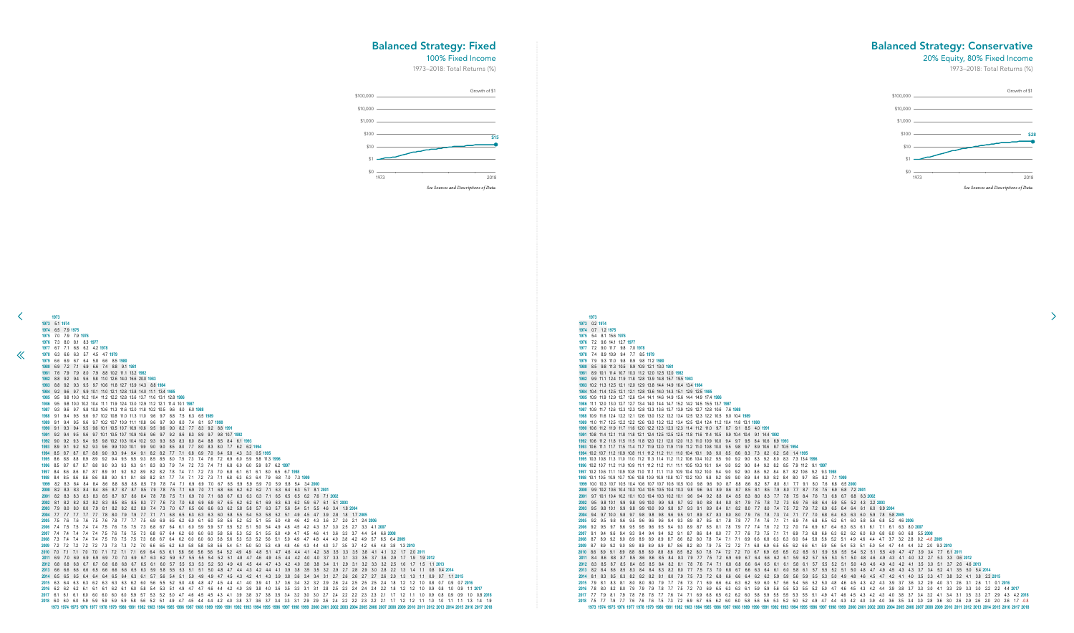0.7 1.2 **1975** 5.4 8.1 15.6 **1976** 7.2 9.6 14.1 12.7 **1977** 7.2 9.0 11.7 9.8 7.0 **1978** 7.4 8.9 10.9 9.4 7.7 8.5 **1979** 7.9 9.3 11.0 9.8 8.9 9.8 11.2 **1980** 8.5 9.8 11.3 10.5 9.9 10.9 12.1 13.0 **1981** 8.9 10.1 11.4 10.7 10.3 11.2 12.0 12.5 12.0 **1982** 9.9 11.1 12.4 11.9 11.8 12.8 13.9 14.8 15.7 19.5 **1983** 10.2 11.3 12.5 12.1 12.0 12.9 13.8 14.4 14.9 16.4 13.4 **1984** 10.4 11.4 12.5 12.1 12.1 12.8 13.6 14.0 14.3 15.1 12.9 12.5 **1985** 10.9 11.9 12.9 12.7 12.6 13.4 14.1 14.6 14.9 15.6 14.4 14.9 17.4 **1986** 11.1 12.0 13.0 12.7 12.7 13.4 14.0 14.4 14.7 15.2 14.2 14.5 15.5 13.7 **1987** 10.9 11.7 12.6 12.3 12.3 12.8 13.3 13.6 13.7 13.9 12.9 12.7 12.8 10.6 7.6 **1988** 10.9 11.6 12.4 12.2 12.1 12.6 13.0 13.2 13.2 13.4 12.5 12.3 12.2 10.5 9.0 10.4 **1989** 11.0 11.7 12.5 12.2 12.2 12.6 13.0 13.2 13.2 13.4 12.5 12.4 12.4 11.2 10.4 11.8 13.1 **1990** 10.6 11.2 11.9 11.7 11.6 12.0 12.2 12.3 12.3 12.3 11.4 11.2 11.0 9.7 8.7 9.1 8.5 4.0 **1991** 10.8 11.4 12.1 11.8 11.8 12.1 12.4 12.5 12.5 12.5 11.8 11.6 11.4 10.5 9.9 10.4 10.4 9.1 14.4 **1992** 10.6 11.2 11.8 11.5 11.5 11.8 12.0 12.1 12.0 12.0 11.3 11.0 10.9 10.0 9.4 9.7 9.5 8.4 10.6 6.9 **1993** 10.6 11.1 11.7 11.5 11.4 11.7 11.9 12.0 11.9 11.9 11.2 11.0 10.8 10.0 9.5 9.8 9.7 8.9 10.6 8.7 10.5 **1994** 10.2 10.7 11.2 10.9 10.8 11.1 11.2 11.2 11.1 11.0 10.4 10.1 9.8 9.0 8.5 8.6 8.3 7.3 8.2 6.2 5.8 1.4 **1995** 10.3 10.8 11.3 11.0 11.0 11.2 11.3 11.4 11.2 11.2 10.6 10.4 10.2 9.5 9.0 9.2 9.0 8.3 9.2 8.0 8.3 7.3 13.4 **1996** 10.2 10.7 11.2 11.0 10.9 11.1 11.2 11.2 11.1 11.1 10.5 10.3 10.1 9.4 9.0 9.2 9.0 8.4 9.2 8.2 8.5 7.9 11.2 9.1 **1997** 10.2 10.6 11.1 10.9 10.8 11.0 11.1 11.1 11.0 10.9 10.4 10.2 10.0 9.4 9.0 9.2 9.0 8.6 9.2 8.4 8.7 8.2 10.6 9.2 9.3 **1998** 10.1 10.5 10.9 10.7 10.6 10.8 10.9 10.9 10.8 10.7 10.2 10.0 9.8 9.2 8.9 9.0 8.9 8.4 9.0 8.2 8.4 8.0 9.7 8.5 8.2 7.1 **1999** 10.0 10.3 10.7 10.5 10.4 10.6 10.7 10.7 10.6 10.5 10.0 9.8 9.6 9.0 8.7 8.8 8.6 8.2 8.7 8.0 8.1 7.7 9.1 8.0 7.6 6.8 6.5 **2000** 9.9 10.2 10.6 10.4 10.3 10.4 10.5 10.5 10.4 10.3 9.8 9.6 9.4 8.9 8.6 8.7 8.5 8.1 8.5 7.9 8.0 7.7 8.7 7.8 7.5 6.9 6.8 7.2 **2001** 9.7 10.1 10.4 10.2 10.1 10.3 10.4 10.3 10.2 10.1 9.6 9.4 9.2 8.8 8.4 8.5 8.3 8.0 8.3 7.7 7.8 7.5 8.4 7.6 7.3 6.8 6.7 6.8 6.3 **2002** 9.5 9.8 10.1 9.9 9.8 9.9 10.0 9.9 9.8 9.7 9.2 9.0 8.8 8.4 8.0 8.1 7.9 7.5 7.8 7.2 7.3 6.9 7.6 6.8 6.4 5.9 5.5 5.2 4.3 2.2 **2003** 9.5 9.8 10.1 9.9 9.8 9.9 10.0 9.9 9.8 9.7 9.3 9.1 8.9 8.4 8.1 8.2 8.0 7.7 8.0 7.4 7.5 7.2 7.9 7.2 6.9 6.5 6.4 6.4 6.1 6.0 9.9 **2004** 9.4 9.7 10.0 9.8 9.7 9.8 9.8 9.8 9.6 9.5 9.1 8.9 8.7 8.3 8.0 8.0 7.9 7.6 7.8 7.3 7.4 7.1 7.7 7.0 6.8 6.4 6.3 6.3 6.0 5.9 7.8 5.8 **2005** 9.2 9.5 9.8 9.6 9.5 9.6 9.6 9.6 9.4 9.3 8.9 8.7 8.5 8.1 7.8 7.8 7.7 7.4 7.6 7.1 7.1 6.9 7.4 6.8 6.5 6.2 6.1 6.0 5.8 5.6 6.8 5.2 4.6 **2006** 9.2 9.5 9.7 9.6 9.5 9.5 9.6 9.5 9.4 9.3 8.9 8.7 8.5 8.1 7.8 7.9 7.7 7.4 7.6 7.2 7.2 7.0 7.4 6.9 6.7 6.4 6.3 6.3 6.1 6.1 7.1 6.1 6.3 8.0 **2007** 9.1 9.4 9.6 9.4 9.3 9.4 9.4 9.4 9.2 9.1 8.7 8.6 8.4 8.0 7.7 7.7 7.6 7.3 7.5 7.1 7.1 6.9 7.3 6.8 6.6 6.3 6.2 6.2 6.0 6.0 6.8 6.0 6.0 6.8 5.5 **2008** 8.7 8.9 9.2 9.0 8.9 8.9 8.9 8.9 8.7 8.6 8.2 8.0 7.8 7.4 7.1 7.1 6.9 6.6 6.8 6.3 6.3 6.0 6.4 5.8 5.6 5.2 5.1 4.9 4.6 4.4 4.7 3.7 3.2 2.8 0.2 -4.8 **2009** 8.7 8.9 9.2 9.0 8.9 8.9 8.9 8.9 8.7 8.6 8.2 8.0 7.9 7.5 7.2 7.2 7.1 6.8 6.9 6.5 6.5 6.2 6.6 6.1 5.9 5.6 5.4 5.3 5.1 5.0 5.4 4.7 4.4 4.4 3.2 2.0 9.3 **2010** 8.6 8.9 9.1 8.9 8.8 8.8 8.9 8.8 8.6 8.5 8.2 8.0 7.8 7.4 7.2 7.2 7.0 6.7 6.9 6.5 6.5 6.2 6.5 6.1 5.9 5.6 5.5 5.4 5.2 5.1 5.5 4.9 4.7 4.7 3.9 3.4 7.7 6.1 **2011** 8.4 8.6 8.8 8.7 8.5 8.6 8.6 8.5 8.4 8.3 7.9 7.7 7.5 7.2 6.9 6.9 6.7 6.4 6.6 6.2 6.1 5.9 6.2 5.7 5.5 5.3 5.1 5.0 4.8 4.6 4.9 4.3 4.1 4.0 3.2 2.7 5.3 3.3 0.6 **2012** 8.3 8.5 8.7 8.5 8.4 8.5 8.5 8.4 8.2 8.1 7.8 7.6 7.4 7.1 6.8 6.8 6.6 6.4 6.5 6.1 6.1 5.8 6.1 5.7 5.5 5.2 5.1 5.0 4.8 4.6 4.9 4.3 4.2 4.1 3.5 3.0 5.1 3.7 2.6 4.6 **2013** 8.2 8.4 8.6 8.5 8.3 8.4 8.4 8.3 8.2 8.0 7.7 7.5 7.3 7.0 6.8 6.7 6.6 6.3 6.4 6.1 6.0 5.8 6.1 5.7 5.5 5.2 5.1 5.0 4.8 4.7 4.9 4.5 4.3 4.3 3.7 3.4 5.2 4.1 3.5 5.0 5.4 **2014** 8.1 8.3 8.5 8.3 8.2 8.2 8.2 8.1 8.0 7.9 7.5 7.3 7.2 6.8 6.6 6.6 6.4 6.2 6.2 5.9 5.9 5.6 5.9 5.5 5.3 5.0 4.9 4.8 4.6 4.5 4.7 4.2 4.1 4.0 3.5 3.3 4.7 3.8 3.2 4.1 3.8 2.2 **2015** 7.9 8.1 8.3 8.1 8.0 8.0 8.0 7.9 7.7 7.6 7.3 7.1 6.9 6.6 6.4 6.3 6.2 5.9 6.0 5.7 5.6 5.4 5.6 5.2 5.0 4.8 4.6 4.5 4.3 4.2 4.3 3.9 3.7 3.6 3.2 2.9 4.0 3.1 2.6 3.1 2.6 1.1 0.1 **2016** 7.8 8.0 8.2 8.0 7.9 7.9 7.9 7.8 7.7 7.5 7.2 7.0 6.9 6.5 6.3 6.3 6.1 5.9 5.9 5.6 5.5 5.3 5.5 5.2 5.0 4.7 4.6 4.5 4.3 4.2 4.4 3.9 3.8 3.7 3.3 3.0 4.1 3.3 2.9 3.3 3.0 2.2 2.2 4.4 **2017** 7.7 7.9 8.1 7.9 7.8 7.8 7.8 7.7 7.6 7.4 7.1 6.9 6.8 6.5 6.2 6.2 6.0 5.8 5.9 5.5 5.5 5.3 5.5 5.1 4.9 4.7 4.6 4.5 4.3 4.2 4.3 4.0 3.8 3.7 3.4 3.2 4.1 3.4 3.1 3.5 3.3 2.7 2.9 4.3 4.2 **2018** 7.5 7.7 7.9 7.7 7.6 7.6 7.6 7.5 7.3 7.2 6.9 6.7 6.5 6.2 6.0 6.0 5.8 5.6 5.6 5.3 5.2 5.0 5.2 4.9 4.7 4.4 4.3 4.2 4.0 3.9 4.0 3.6 3.5 3.4 3.0 2.8 3.6 3.0 2.6 2.9 2.6 2.0 2.0 2.6 1.7 -0.8 985 1986 1987 1988 1989 1990 1991 1992 1993 1994 1995 1996 1997 1998 1999 2000 2001 2002 2003 2004 2005 2006 2007 2008 2009 2010 2011 2012 2013 2014 2015 2016 2017 2018

<span id="page-39-0"></span>![](_page_39_Figure_4.jpeg)

## Balanced Strategy: Fixed

## 100% Fixed Income

1973–2018: Total Returns (%)

## Balanced Strategy: Conservative

## 20% Equity, 80% Fixed Income

1973–2018: Total Returns (%)

![](_page_39_Figure_3.jpeg)

![](_page_39_Figure_9.jpeg)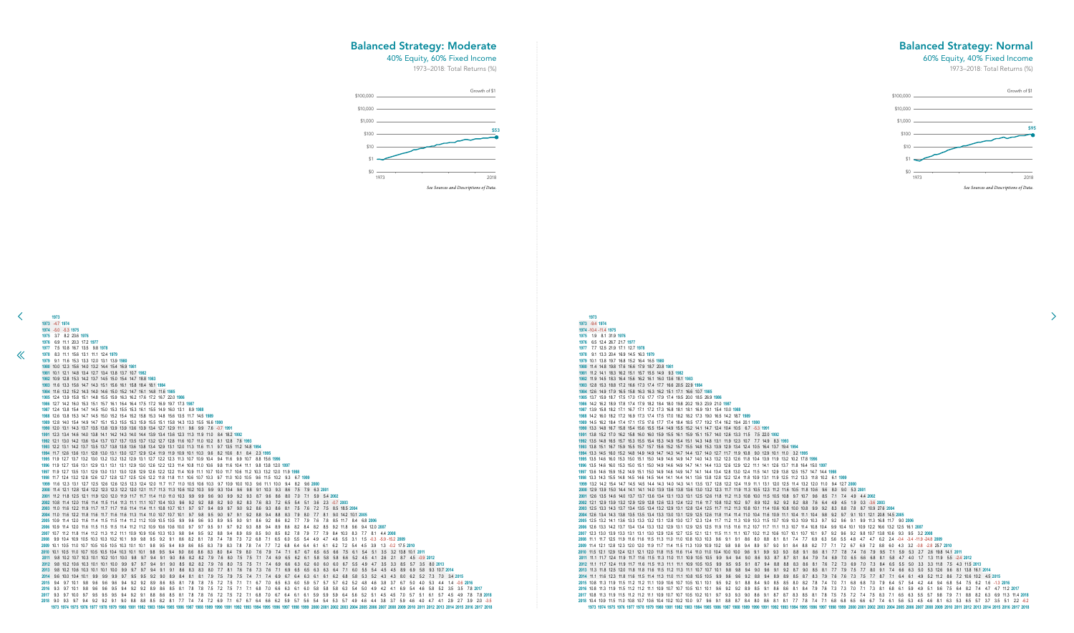-10.4 -11.4 **1975** 1.9 8.1 31.9 **1976** 6.5 12.4 26.7 21.7 **1977** 7.7 12.5 21.9 17.1 12.7 **1978** 9.1 13.3 20.4 16.9 14.5 16.3 **1979** 10.1 13.8 19.7 16.8 15.2 16.4 16.5 **1980** 11.4 14.8 19.8 17.6 16.6 17.9 18.7 20.8 **1981** 11.2 14.1 18.3 16.2 15.1 15.7 15.5 14.9 9.3 **1982** 11.9 14.5 18.3 16.4 15.6 16.2 16.1 16.0 13.6 18.1 **1983** 12.8 15.3 18.8 17.2 16.6 17.3 17.4 17.7 16.6 20.5 22.9 **1984** 12.6 14.9 17.9 16.5 15.8 16.3 16.3 16.2 15.1 17.1 16.6 10.7 **1985** 13.7 15.9 18.7 17.5 17.0 17.6 17.7 17.9 17.4 19.5 20.0 18.5 26.9 **1986** 14.2 16.2 18.9 17.8 17.4 17.9 18.2 18.4 18.0 19.8 20.2 19.3 23.9 21.0 **1987** 13.9 15.8 18.2 17.1 16.7 17.1 17.2 17.3 16.8 18.1 18.1 16.9 19.1 15.4 10.0 **1988** 14.2 16.0 18.2 17.2 16.9 17.3 17.4 17.5 17.0 18.2 18.2 17.3 19.0 16.5 14.2 18.7 **1989** 14.5 16.2 18.4 17.4 17.1 17.5 17.6 17.7 17.4 18.4 18.5 17.7 19.2 17.4 16.2 19.4 20.1 **1990** 13.3 14.8 16.7 15.8 15.4 15.6 15.5 15.4 14.9 15.5 15.2 14.1 14.7 12.4 10.4 10.5 6.7 -5.3 **1991** 13.8 15.2 17.0 16.2 15.8 16.0 16.0 15.9 15.5 16.1 15.9 15.1 15.7 14.0 12.6 13.3 11.5 7.5 22.0 **1992** 13.5 14.8 16.5 15.7 15.3 15.5 15.4 15.3 14.9 15.4 15.1 14.3 14.8 13.1 11.9 12.3 10.7 7.7 14.9 8.3 **1993** 13.8 15.1 16.7 15.9 15.5 15.7 15.7 15.6 15.2 15.7 15.5 14.8 15.3 13.9 12.9 13.4 12.4 10.5 16.4 13.7 19.4 **1994** 13.3 14.5 16.0 15.2 14.8 14.9 14.9 14.7 14.3 14.7 14.4 13.7 14.0 12.7 11.7 11.9 10.8 9.0 12.9 10.1 11.0 3.2 **1995** 13.5 14.6 16.0 15.3 15.0 15.1 15.0 14.9 14.6 14.9 14.7 14.0 14.3 13.2 12.3 12.6 11.8 10.4 13.9 11.9 13.2 10.2 17.8 **1996** 13.5 14.6 16.0 15.3 15.0 15.1 15.0 14.9 14.6 14.9 14.7 14.1 14.4 13.3 12.6 12.9 12.2 11.1 14.1 12.6 13.7 11.8 16.4 15.0 **1997** 13.6 14.6 15.9 15.2 14.9 15.1 15.0 14.9 14.6 14.9 14.7 14.1 14.4 13.4 12.8 13.0 12.4 11.5 14.1 12.9 13.8 12.5 15.7 14.7 14.4 **1998** 13.3 14.3 15.5 14.8 14.5 14.6 14.5 14.4 14.1 14.4 14.1 13.6 13.8 12.8 12.2 12.4 11.8 10.9 13.1 11.9 12.5 11.2 13.3 11.8 10.2 6.1 **1999** 13.2 14.2 15.4 14.7 14.5 14.5 14.4 14.3 14.0 14.3 14.1 13.5 13.7 12.8 12.2 12.4 11.9 11.1 13.1 12.0 12.5 11.4 13.2 12.0 11.0 9.4 12.7 **2000** 12.9 13.9 15.0 14.4 14.1 14.1 14.0 13.9 13.6 13.8 13.6 13.0 13.2 12.3 11.7 11.9 11.3 10.5 12.3 11.2 11.6 10.5 11.8 10.6 9.6 8.0 9.0 5.3 **2001** 12.6 13.5 14.6 14.0 13.7 13.7 13.6 13.4 13.1 13.3 13.1 12.5 12.6 11.8 11.2 11.3 10.8 10.0 11.5 10.5 10.8 9.7 10.7 9.6 8.5 7.1 7.4 4.9 4.4 **2002** 12.1 12.9 13.9 13.2 12.9 12.9 12.8 12.6 12.3 12.4 12.2 11.6 11.7 10.8 10.2 10.2 9.7 8.9 10.2 9.2 9.2 8.2 8.8 7.6 6.4 4.9 4.5 1.9 0.3 -3.6 **2003** 12.5 13.3 14.3 13.7 13.4 13.5 13.4 13.2 12.9 13.1 12.8 12.4 12.5 11.7 11.2 11.3 10.8 10.1 11.4 10.6 10.8 10.0 10.8 9.9 9.2 8.3 8.8 7.8 8.7 10.9 27.6 **2004** 12.6 13.4 14.3 13.8 13.5 13.5 13.4 13.3 13.0 13.1 12.9 12.5 12.6 11.8 11.4 11.4 11.0 10.4 11.6 10.9 11.1 10.4 11.1 10.4 9.8 9.2 9.7 9.1 10.1 12.1 20.8 14.5 **2005** 12.5 13.2 14.1 13.6 13.3 13.3 13.2 13.1 12.8 13.0 12.7 12.3 12.4 11.7 11.2 11.3 10.9 10.3 11.5 10.7 10.9 10.3 10.9 10.3 9.7 9.2 9.6 9.1 9.9 11.3 16.8 11.7 9.0 **2006** 12.6 13.3 14.2 13.7 13.4 13.4 13.3 13.2 12.9 13.1 12.9 12.5 12.5 11.9 11.5 11.6 11.2 10.7 11.7 11.1 11.3 10.7 11.4 10.8 10.4 9.9 10.4 10.1 10.9 12.2 16.6 13.2 12.5 16.1 **2007** 12.3 13.0 13.9 13.3 13.1 13.1 13.0 12.9 12.6 12.7 12.5 12.1 12.1 11.5 11.1 11.1 10.7 10.2 11.2 10.6 10.7 10.1 10.7 10.1 9.7 9.2 9.6 9.2 9.8 10.7 13.8 10.6 9.3 9.5 3.2 **2008** 11.1 11.7 12.5 11.9 11.6 11.6 11.5 11.3 11.0 11.0 10.8 10.3 10.3 9.6 9.1 9.1 8.6 8.0 8.8 8.1 8.1 7.4 7.7 6.9 6.3 5.6 5.5 4.8 4.7 4.7 6.2 2.4 -0.4 -3.4 -11.9 -24.8 **2009** 11.4 12.1 12.8 12.3 12.0 12.0 11.9 11.7 11.4 11.5 11.3 10.9 10.9 10.2 9.8 9.8 9.4 8.9 9.7 9.0 9.1 8.4 8.8 8.2 7.7 7.1 7.2 6.7 6.9 7.2 8.8 6.0 4.3 3.2 -0.8 -2.8 25.7 **2010** 11.5 12.1 12.9 12.4 12.1 12.1 12.0 11.8 11.5 11.6 11.4 11.0 11.0 10.4 10.0 10.0 9.6 9.1 9.9 9.3 9.3 8.8 9.1 8.6 8.1 7.7 7.8 7.4 7.6 7.9 9.5 7.1 5.9 5.3 2.7 2.6 19.8 14.1 **2011** 11.1 11.7 12.4 11.9 11.7 11.6 11.5 11.3 11.0 11.1 10.9 10.5 10.5 9.9 9.4 9.4 9.0 8.6 9.3 8.7 8.7 8.1 8.4 7.9 7.4 6.9 7.0 6.5 6.6 6.8 8.1 5.8 4.7 4.0 1.7 1.3 11.9 5.5 -2.4 **2012** 11.1 11.7 12.4 11.9 11.7 11.6 11.5 11.3 11.1 11.1 10.9 10.5 10.5 9.9 9.5 9.5 9.1 8.7 9.4 8.8 8.8 8.3 8.6 8.1 7.6 7.2 7.3 6.9 7.0 7.3 8.4 6.5 5.5 5.0 3.3 3.3 11.8 7.5 4.3 11.5 **2013** 11.3 11.8 12.5 12.0 11.8 11.8 11.6 11.5 11.2 11.3 11.1 10.7 10.7 10.1 9.8 9.8 9.4 9.0 9.6 9.1 9.2 8.7 9.0 8.5 8.1 7.7 7.9 7.5 7.7 8.0 9.1 7.4 6.6 6.3 5.0 5.3 12.6 9.6 8.1 13.8 16.1 **2014** 11.1 11.6 12.3 11.8 11.6 11.5 11.4 11.3 11.0 11.1 10.8 10.5 10.5 9.9 9.6 9.6 9.2 8.8 9.4 8.9 8.9 8.5 8.7 8.3 7.9 7.6 7.6 7.3 7.5 7.7 8.7 7.1 6.4 6.1 4.9 5.2 11.2 8.6 7.2 10.6 10.2 4.5 **2015** 10.8 11.3 11.9 11.5 11.2 11.2 11.1 10.9 10.6 10.7 10.5 10.1 10.1 9.5 9.2 9.1 8.8 8.4 9.0 8.5 8.5 8.0 8.2 7.8 7.4 7.0 7.1 6.8 6.8 7.0 7.9 6.4 5.7 5.4 4.2 4.4 9.4 6.8 5.4 7.5 6.2 1.6 -1.3 **2016** 10.8 11.3 11.9 11.5 11.2 11.2 11.1 10.9 10.7 10.7 10.5 10.1 10.1 9.6 9.2 9.2 8.9 8.5 9.1 8.6 8.6 8.1 8.4 7.9 7.6 7.3 7.3 7.0 7.1 7.3 8.1 6.8 6.1 5.9 4.9 5.1 9.6 7.5 6.4 8.2 7.4 4.7 4.7 11.2 **2017** 10.8 11.3 11.9 11.5 11.2 11.2 11.1 10.9 10.7 10.7 10.5 10.2 10.1 9.7 9.3 9.3 9.0 8.6 9.1 8.7 8.7 8.3 8.5 8.1 7.8 7.5 7.5 7.2 7.4 7.5 8.3 7.1 6.5 6.3 5.5 5.7 9.8 7.9 7.1 8.8 8.2 6.3 6.9 11.3 11.4 **2018** 10.4 10.9 11.5 11.0 10.8 10.7 10.6 10.4 10.2 10.2 10.0 9.7 9.6 9.1 8.8 8.7 8.4 8.0 8.6 8.1 8.1 7.7 7.8 7.4 7.1 6.8 6.8 6.5 6.6 6.7 7.4 6.1 5.6 5.3 4.5 4.6 8.1 6.3 5.3 6.5 5.7 3.7 3.5 5.1 2.2 -6.2 1973 1974 1975 1976 1977 1978 1979 1980 1981 1982 1983 1984 1985 1986 1987 1988 1999 1990 1991 1992 1993 1994 1995 1996 1997 1998 1999 2000 2001 2002 2003 2004 2005 2006 2007 2008 2009 2010 2011 2012 2013 2014 2015 2016 201

<span id="page-40-0"></span>

| 1973                                                                                                                                                                                                                            |
|---------------------------------------------------------------------------------------------------------------------------------------------------------------------------------------------------------------------------------|
| 1973 4.7 1974                                                                                                                                                                                                                   |
| 1974 -5.0 -5.3 1975                                                                                                                                                                                                             |
| 1975 3.7 8.2 23.6 1976                                                                                                                                                                                                          |
| 1976 6.9 11.1 20.3 17.2 1977                                                                                                                                                                                                    |
| 1977 7.5 10.8 16.7 13.5 9.8 1978                                                                                                                                                                                                |
| 1978 8.3 11.1 15.6 13.1 11.1 12.4 1979                                                                                                                                                                                          |
| 1979 9.1 11.6 15.3 13.3 12.0 13.1 13.9 1980                                                                                                                                                                                     |
| 1980 10.0 12.3 15.6 14.0 13.2 14.4 15.4 16.9 1981                                                                                                                                                                               |
| 1981 10.1 12.1 14.8 13.4 12.7 13.4 13.8 13.7 10.7 1982                                                                                                                                                                          |
|                                                                                                                                                                                                                                 |
| 1982 10.9 12.8 15.3 14.2 13.7 14.5 15.0 15.4 14.7 18.8 1983                                                                                                                                                                     |
| 1983 11.6 13.3 15.6 14.7 14.3 15.1 15.6 16.1 15.8 18.4 18.1 1984                                                                                                                                                                |
| 1984 11.6 13.2 15.2 14.3 14.0 14.6 15.0 15.2 14.7 16.1 14.8 11.6 1985                                                                                                                                                           |
| 1985 12.4 13.9 15.8 15.1 14.8 15.5 15.9 16.3 16.2 17.6 17.2 16.7 22.0 1986                                                                                                                                                      |
| 1986 12.7 14.2 16.0 15.3 15.1 15.7 16.1 16.4 16.4 17.5 17.2 16.9 19.7 17.3 1987                                                                                                                                                 |
| 1987 12.4 13.8 15.4 14.7 14.5 15.0 15.3 15.5 15.3 16.1 15.5 14.9 16.0 13.1 8.9 1988                                                                                                                                             |
| 1988 12.6 13.8 15.3 14.7 14.5 15.0 15.2 15.4 15.2 15.8 15.3 14.8 15.6 13.5 11.7 14.5 1989                                                                                                                                       |
| 1989 12.8 14.0 15.4 14.9 14.7 15.1 15.3 15.5 15.3 15.9 15.5 15.1 15.8 14.3 13.3 15.5 16.6 1990                                                                                                                                  |
| 1990 12.0 13.1 14.3 13.7 13.5 13.8 13.9 13.9 13.6 13.9 13.4 12.7 12.9 11.1 9.6 9.9 7.6 -0.7 1991                                                                                                                                |
| 1991 12.3 13.4 14.6 14.0 13.8 14.1 14.2 14.3 14.0 14.4 13.9 13.4 13.6 12.3 11.3 11.9 11.0 8.4 18.2 1992                                                                                                                         |
| 1992 12.1 13.0 14.2 13.6 13.4 13.7 13.7 13.7 13.5 13.7 13.2 12.7 12.8 11.6 10.7 11.0 10.2 8.1 12.8 7.6 1993                                                                                                                     |
| 1993 12.2 13.1 14.2 13.7 13.5 13.7 13.8 13.8 13.6 13.8 13.4 12.9 13.1 12.0 11.3 11.6 11.1 9.7 13.5 11.2 14.8 1994                                                                                                               |
| 1994 11.7 12.6 13.6 13.1 12.8 13.0 13.1 13.0 12.7 12.9 12.4 11.9 11.9 10.9 10.1 10.3 9.6 8.2 10.6 8.1 8.4 2.3 1995                                                                                                              |
| 1995 11.9 12.7 13.7 13.2 13.0 13.2 13.2 13.2 12.9 13.1 12.7 12.2 12.3 11.3 10.7 10.9 10.4 9.4 11.6 9.9 10.7 8.8 15.6 1996                                                                                                       |
| 1996 11.9 12.7 13.6 13.1 12.9 13.1 13.1 13.1 12.9 13.0 12.6 12.2 12.3 11.4 10.8 11.0 10.6 9.8 11.6 10.4 11.1 9.8 13.8 12.0 1997                                                                                                 |
| 1997 11.9 12.7 13.5 13.1 12.9 13.0 13.1 13.0 12.8 12.9 12.6 12.2 12.2 11.4 10.9 11.1 10.7 10.0 11.7 10.6 11.2 10.3 13.2 12.0 11.9 1998                                                                                          |
| 1998 11.7 12.4 13.2 12.8 12.6 12.7 12.8 12.7 12.5 12.6 12.2 11.8 11.8 11.1 10.6 10.7 10.3 9.7 11.0 10.0 10.5 9.6 11.5 10.2 9.3 6.7 1999                                                                                         |
|                                                                                                                                                                                                                                 |
| 1999 11.6 12.3 13.1 12.7 12.5 12.6 12.6 12.5 12.3 12.4 12.0 11.7 11.7 11.0 10.5 10.6 10.3 9.7 10.9 10.0 10.3 9.6 11.1 10.0 9.4 8.2 9.6 2000                                                                                     |
| 2000 11.4 12.1 12.8 12.4 12.2 12.3 12.3 12.2 12.0 12.1 11.7 11.3 11.3 10.6 10.2 10.3 9.9 9.3 10.4 9.6 9.8 9.1 10.3 9.3 8.6 7.5 7.9 6.3 2001                                                                                     |
| 2001 11.2 11.8 12.5 12.1 11.9 12.0 12.0 11.9 11.7 11.7 11.4 11.0 11.0 10.3 9.9 9.9 9.6 9.0 9.9 9.2 9.3 8.7 9.6 8.6 8.0 7.0 7.1 5.9 5.4 2002                                                                                     |
| 2002 10.8 11.4 12.0 11.6 11.4 11.5 11.4 11.3 11.1 11.1 10.7 10.4 10.3 9.6 9.2 9.2 8.8 8.2 9.0 8.2 8.3 7.6 8.3 7.2 6.5 5.4 5.1 3.6 2.3 -0.7 2003                                                                                 |
| 2003 11.0 11.6 12.2 11.9 11.7 11.7 11.7 11.6 11.4 11.4 11.1 10.8 10.7 10.1 9.7 9.7 9.4 8.9 9.7 9.0 9.2 8.6 9.3 8.6 8.1 7.5 7.6 7.2 7.5 8.5 18.5 2004                                                                            |
| 2004 11.0 11.6 12.2 11.8 11.6 11.7 11.6 11.6 11.3 11.4 11.0 10.7 10.7 10.1 9.7 9.8 9.5 9.0 9.7 9.1 9.2 8.8 9.4 8.8 8.3 7.9 8.0 7.7 8.1<br>9.0 14.2 10.1 2005                                                                    |
| 2005 10.9 11.4 12.0 11.6 11.4 11.5 11.5 11.4 11.2 11.2 10.9 10.5 10.5 9.9 9.6 9.6 9.3 8.9 9.5 9.0 9.1 8.6 9.2 8.6 8.2 7.7 7.9 7.6 7.8 8.5 11.7 8.4 6.8 2006                                                                     |
| 2006 10.9 11.4 12.0 11.6 11.5 11.5 11.4 11.2 11.2 10.9 10.6 10.6 10.0 9.7 9.7 9.5 9.1 9.7 9.2 9.3 8.8 9.4 8.9 8.6 8.2 8.4 8.2 8.5 9.2 11.8 9.6 9.4 12.0 2007                                                                    |
| 2007 10.7 11.2 11.8 11.4 11.2 11.3 11.2 11.1 10.9 10.9 10.6 10.3 10.3 9.8 9.4 9.5 9.2 8.8 9.4 8.9 8.9 8.5 9.0 8.5 8.2 7.8 7.9 7.7 7.9 8.4 10.3 8.3 7.7 8.1 4.4 2008                                                             |
| 2008 9.9 10.4 10.9 10.5 10.3 10.2 10.1 9.9 9.8 9.5 9.2 9.1 8.6 8.2 8.1 7.8 7.4 7.8 7.3 7.2 6.8 7.1 6.5 6.0 5.5 5.4 4.9 4.7 4.6 5.5 3.1 1.5 -0.3 -5.9 -15.2 2009                                                                 |
| 2009 10.1 10.5 11.0 10.7 10.5 10.5 10.5 10.1 10.1 10.1 9.8 9.5 9.4 8.9 8.6 8.5 8.3 7.9 8.3 7.8 7.8 7.4 7.7 7.2 6.8 6.4 6.4 6.1 6.1<br>6.2 7.2 5.4 4.5 3.9 1.3 -0.2 17.5 2010                                                    |
| 2010 10.1 10.5 11.0 10.7 10.5 10.5 10.4 10.3 10.1 10.1 9.8 9.5 9.4 9.0 8.6 8.6 8.3 8.0 8.4 7.9 8.0 7.6 7.9 7.4 7.1 6.7 6.7 6.5 6.5 6.6 7.5 6.1 5.4 5.1 3.5 3.2 13.8 10.1 2011                                                   |
| 2011 9.8 10.2 10.7 10.3 10.1 10.2 10.1 10.0 9.8 9.7 9.4 9.1 9.0 8.6 8.2 8.2 7.9 7.6 8.0 7.5 7.5 7.1 7.4 6.9 6.5 6.2 6.1 5.8 5.8 5.8 6.6 5.2 4.5 4.1 2.6 2.1 8.7 4.5 0.9 2012                                                    |
| 2012 9.8 10.2 10.6 10.3 10.1 10.1 10.0 9.9 9.7 9.4 9.1 9.0 8.5 8.2 8.2 7.9 7.6 8.0 7.5 7.5 7.1 7.4 6.9 6.6 6.3 6.2 6.0 6.0 6.0 6.7 5.5 4.9 4.7 3.5 3.3 8.5 5.7 3.5 8.0 2013                                                     |
| 2013 9.8 10.2 10.6 10.3 10.1 10.1 10.0 9.9 9.7 9.7 9.4 9.1 9.1 8.6 8.3 8.3 8.0 7.7 8.1 7.6 7.3 7.6 7.1 6.9 6.5 6.3 6.3 6.3 6.4 7.1 6.0 5.5 5.4 4.5 4.5 8.9 6.9 5.8 9.3 10.7 2014                                                |
| 2014 9.6 10.0 10.4 10.1 9.9 9.9 9.9 9.7 9.5 9.5 9.2 9.0 8.9 8.4 8.1 8.1 7.9 7.5 7.9 7.5 7.4 7.1 7.4 6.9 6.7 6.4 6.3 6.1 6.1 6.2 6.8 5.8 5.3 5.2 4.3 4.3 8.0 6.2 5.2 7.3 7.0 3.4 2015                                            |
| 2015 9.4 9.7 10.1 9.8 9.6 9.6 9.6 9.4 9.2 9.2 8.9 8.6 8.5 8.1 7.8 7.8 7.2 7.5 7.1 7.1 6.7 7.0 6.5 6.3 6.0 5.9 5.7 5.7 5.7 6.2 5.2 4.8<br>4.6 3.8 3.7 6.7 5.0 4.0 5.3 4.4 1.4 -0.6 2016                                          |
| 2016 9.3 9.7 10.1 9.8 9.6 9.5 9.4 9.2 9.2 8.9 8.6 8.5 8.1 7.8 7.8 7.5 7.2 7.5 7.1 7.1 6.8 7.0 6.6 6.3 6.1 6.0 5.8 5.8 5.8 6.3 5.4 6.0 4.9 4.2 4.1 6.9 5.4 4.6 5.8 5.2 3.5                                                       |
| 3.5 7.8 2017                                                                                                                                                                                                                    |
| 2017 9.3 9.7 10.0 9.7 9.5 9.5 9.5 9.4 9.2 9.1 8.8 8.6 8.5 8.1 7.8 7.8 7.6 7.2 7.5 7.2 7.1 6.8 7.0 6.7 6.4 6.1 6.1 5.9 5.9 5.9 6.4 5.6 5.2 5.1 4.5 4.5 7.0 5.7 5.1 6.1 5.7 4.5 4.9 7.8 7.8 2018                                  |
| 2018 9.0 9.3 9.7 9.4 9.2 9.2 9.1 9.0 8.8 8.8 8.5 8.2 8.1 7.7 7.4 7.4 7.2 6.9 7.1 6.7 6.7 6.4 6.6 6.2 5.9 5.7 5.6 5.4 5.3 5.7 4.9 4.6 4.4 3.8 3.7 5.9 4.6 4.0 4.7 4.1 2.9 2.7 3.9 2.0 -3.5                                       |
| 1973 1974 1975 1976 1977 1978 1979 1980 1981 1982 1983 1984 1985 1986 1987 1988 1989 1990 1991 1992 1993 1994 1995 1996 1997 1998 1999 2000 2001 2002 2003 2004 2005 2006 2007 2008 2009 2010 2011 2012 2013 2014 2015 2016 201 |

 $\ll$ 

# Balanced Strategy: Normal

60% Equity, 40% Fixed Income

1973–2018: Total Returns (%)

 $\rightarrow$ 

## Balanced Strategy: Moderate

40% Equity, 60% Fixed Income

![](_page_40_Figure_9.jpeg)

![](_page_40_Figure_3.jpeg)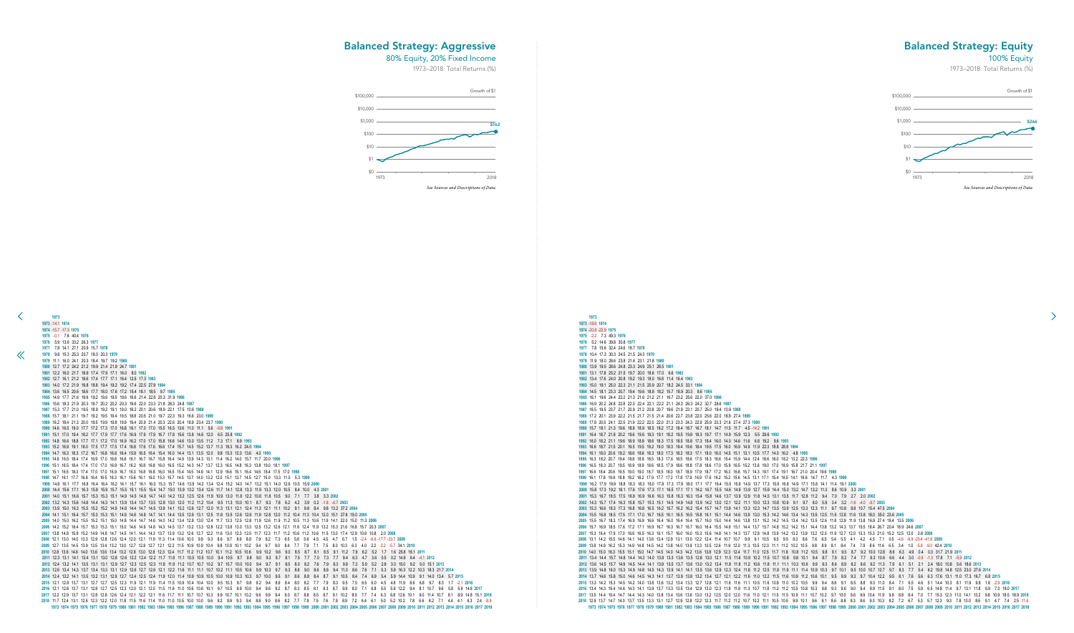-20.8 -22.9 **1975** -2.2 7.3 49.3 **1976** 5.2 14.6 39.8 30.8 **1977** 7.8 15.6 32.4 24.6 18.7 **1978** 10.4 17.3 30.3 24.5 21.5 24.3 **1979** 11.9 18.0 28.6 23.8 21.6 23.1 21.8 **1980** 13.9 19.5 28.6 24.8 23.3 24.9 25.1 28.5 **1981** 13.1 17.8 25.2 21.5 19.7 20.0 18.6 17.0 6.6 **1982** 13.4 17.6 24.0 20.8 19.2 19.3 18.0 16.8 11.4 16.4 **1983** 15.0 19.1 25.0 22.3 21.1 21.5 20.9 20.7 18.2 24.5 33.1 **1984** 14.5 18.1 23.3 20.7 19.4 19.6 18.8 18.2 15.7 18.9 20.3 8.6 **1985** 16.1 19.6 24.4 22.2 21.3 21.6 21.2 21.1 19.7 23.2 25.6 22.0 37.0 **1986** 16.9 20.2 24.8 22.8 22.0 22.4 22.1 22.2 21.1 24.3 26.3 24.2 32.7 28.6 **1987** 16.5 19.5 23.7 21.7 20.9 21.2 20.8 20.7 19.6 21.9 23.1 20.7 25.0 19.4 10.9 **1988** 17.2 20.1 23.9 22.2 21.5 21.7 21.5 21.4 20.6 22.7 23.8 22.0 25.6 22.0 18.9 27.4 **1989** 17.8 20.5 24.1 22.5 21.9 22.2 22.0 22.0 21.3 23.3 24.3 22.9 25.9 23.3 21.6 27.4 27.3 **1990** 15.7 18.1 21.3 19.6 18.9 18.9 18.5 18.2 17.2 18.4 18.7 16.7 18.1 14.7 11.5 11.7 4.5 -14.2 **1991** 16.4 18.7 21.8 20.2 19.6 19.6 19.3 19.1 18.2 19.5 19.8 18.3 19.7 17.1 14.9 15.9 12.3 5.5 29.6 **1992** 16.0 18.2 21.1 19.6 18.9 18.9 18.6 18.3 17.5 18.5 18.8 17.3 18.4 16.0 14.0 14.6 11.6 6.8 19.2 9.6 **1993** 16.6 18.7 21.5 20.1 19.5 19.5 19.2 19.0 18.3 19.4 19.6 18.4 19.5 17.5 16.0 16.9 14.9 11.9 22.3 18.8 28.8 **1994** 16.1 18.0 20.6 19.2 18.6 18.6 18.3 18.0 17.3 18.2 18.3 17.1 18.0 16.0 14.5 15.1 13.1 10.5 17.7 14.0 16.2 4.8 **1995** 16.3 18.2 20.7 19.4 18.8 18.8 18.5 18.3 17.6 18.5 18.6 17.5 18.3 16.6 15.4 15.9 14.4 12.4 18.6 16.0 18.2 13.2 22.3 **1996** 16.5 18.3 20.7 19.5 18.9 18.9 18.6 18.5 17.9 18.6 18.8 17.8 18.6 17.0 15.9 16.5 15.2 13.6 19.0 17.0 18.9 15.8 21.7 21.1 **1997** 16.6 18.4 20.6 19.5 19.0 19.0 18.7 18.5 18.0 18.7 18.9 17.9 18.7 17.2 16.3 16.8 15.7 14.3 19.1 17.4 19.1 16.7 21.0 20.4 19.6 **1998** 16.1 17.8 19.9 18.8 18.2 18.2 17.9 17.7 17.2 17.8 17.9 16.9 17.6 16.2 15.2 15.6 14.5 13.1 17.1 15.4 16.5 14.1 16.6 14.7 11.7 4.3 **1999** 16.2 17.9 19.9 18.8 18.3 18.3 18.0 17.8 17.3 17.9 18.0 17.1 17.7 16.4 15.5 15.9 14.9 13.7 17.3 15.9 16.8 14.9 17.1 15.8 14.1 11.4 19.1 **2000** 15.8 17.3 19.2 18.1 17.6 17.6 17.3 17.1 16.5 17.1 17.1 16.2 16.7 15.5 14.6 14.9 13.9 12.7 15.9 14.4 15.0 13.2 14.7 13.2 11.3 8.6 10.9 3.3 **2001** 15.3 16.7 18.5 17.5 16.9 16.9 16.6 16.3 15.8 16.3 16.3 15.4 15.8 14.6 13.7 13.9 12.9 11.8 14.5 13.1 13.5 11.7 12.8 11.2 9.4 7.0 7.9 2.7 2.0 **2002** 14.3 15.7 17.4 16.3 15.8 15.7 15.3 15.1 14.5 14.9 14.8 13.9 14.2 13.0 12.1 12.2 11.1 10.0 12.3 10.8 10.9 9.1 9.7 8.0 5.9 3.4 3.2 -1.6 -4.0 -9.7 **2003** 15.3 16.6 18.3 17.3 16.8 16.8 16.5 16.2 15.7 16.2 16.2 15.4 15.7 14.7 13.9 14.1 13.3 12.3 14.7 13.5 13.9 12.5 13.3 12.3 11.1 9.7 10.8 8.8 10.7 15.4 47.5 **2004** 15.5 16.8 18.5 17.5 17.1 17.0 16.7 16.5 16.1 16.5 16.5 15.8 16.1 15.1 14.4 14.6 13.9 13.0 15.3 14.2 14.6 13.4 14.3 13.5 12.5 11.6 12.8 11.6 13.8 18.0 35.0 23.6 **2005** 15.5 16.7 18.3 17.4 16.9 16.9 16.6 16.4 16.0 16.4 16.4 15.7 16.0 15.0 14.4 14.6 13.8 13.1 15.2 14.2 14.5 13.4 14.2 13.5 12.6 11.8 12.9 11.9 13.8 16.9 27.4 18.4 13.5 **2006** 15.7 16.9 18.5 17.6 17.2 17.1 16.9 16.7 16.3 16.7 16.7 16.0 16.4 15.5 14.9 15.1 14.4 13.7 15.7 14.8 15.2 14.2 15.1 14.4 13.8 13.2 14.3 13.7 15.5 18.4 26.7 20.4 18.9 24.6 **2007** 15.3 16.4 17.9 17.0 16.6 16.5 16.3 16.1 15.7 16.0 16.0 15.3 15.6 14.8 14.1 14.3 13.7 12.9 14.8 13.9 14.2 13.2 13.9 13.2 12.5 11.9 12.7 12.0 13.3 15.3 21.0 15.2 12.5 12.0 0.8 **2008** 13.1 14.2 15.5 14.6 14.1 14.0 13.6 13.4 12.9 13.1 13.0 12.2 12.4 11.4 10.7 10.7 9.9 9.1 10.5 9.5 9.5 8.3 8.6 7.6 6.5 5.4 5.5 4.1 4.2 4.5 7.1 0.5 -4.6 -9.9 -23.4 -41.8 **2009** 13.8 14.9 16.2 15.3 14.9 14.8 14.5 14.2 13.8 14.0 13.9 13.3 13.5 12.6 11.9 12.0 11.3 10.5 12.0 11.1 11.2 10.2 10.5 9.8 8.9 8.1 8.4 7.4 7.9 8.6 11.6 6.5 3.4 1.0 -5.8 -9.0 42.4 **2010** 14.0 15.0 16.3 15.5 15.1 15.0 14.7 14.5 14.0 14.3 14.2 13.6 13.8 12.9 12.3 12.4 11.7 11.0 12.5 11.7 11.8 10.8 11.2 10.5 9.8 9.1 9.5 8.7 9.2 10.0 12.8 8.6 6.3 4.9 0.4 0.3 31.7 21.9 **2011** 13.4 14.4 15.7 14.8 14.4 14.3 14.0 13.8 13.3 13.6 13.5 12.8 13.0 12.1 11.5 11.6 10.9 10.2 11.5 10.7 10.8 9.8 10.1 9.4 8.7 7.9 8.2 7.4 7.7 8.3 10.6 6.6 4.4 3.0 -0.9 -1.3 17.8 7.1 -5.9 **2012** 13.6 14.5 15.7 14.9 14.5 14.4 14.1 13.9 13.5 13.7 13.6 13.0 13.2 12.4 11.8 11.8 11.2 10.6 11.8 11.1 11.1 10.3 10.6 9.9 9.3 8.6 8.9 8.2 8.6 9.2 11.3 7.9 6.1 5.1 2.1 2.4 18.0 10.8 5.6 18.6 **2013** 13.9 14.8 16.0 15.3 14.9 14.8 14.5 14.3 13.9 14.1 14.1 13.5 13.6 12.9 12.3 12.4 11.8 11.2 12.5 11.8 11.9 11.1 11.4 10.9 10.3 9.7 10.1 9.5 10.0 10.7 12.7 9.7 8.3 7.7 5.4 6.2 19.8 14.8 12.5 23.0 27.6 **2014** 13.7 14.6 15.8 15.0 14.6 14.5 14.3 14.1 13.7 13.9 13.8 13.2 13.4 12.7 12.1 12.2 11.6 11.0 12.2 11.5 11.6 10.9 11.2 10.6 10.1 9.5 9.9 9.3 9.7 10.4 12.2 9.5 8.1 7.6 5.6 6.3 17.6 13.1 11.0 17.3 16.7 6.8 **2015** 13.3 14.2 15.3 14.5 14.2 14.0 13.8 13.6 13.2 13.4 13.3 12.7 12.8 12.1 11.6 11.6 11.1 10.5 11.6 10.9 11.0 10.2 10.5 9.9 9.4 8.8 9.1 8.5 8.8 9.3 11.0 8.4 7.1 6.5 4.6 5.1 14.4 10.3 8.1 11.9 9.8 1.8 -2.9 **2016** 2016 13.4 14.3 15.4 14.6 14.3 14.1 13.9 13.7 13.3 13.5 13.4 12.9 13.0 12.3 11.8 11.8 11.3 10.7 11.8 11.2 11.2 11.2 10.5 10.8 10.3 9.8 9.3 9.6 9.0 9.4 9.9 11.5 9.1 8.0 7.5 5.9 6.5 14.8 11.4 9.7 13.1 11.8 6.9 7.0 18.0 2017 2017 13.5 14.4 15.4 14.7 14.4 14.3 14.0 13.8 13.4 13.6 13.6 13.0 13.2 12.5 12.0 12.0 11.6 11.0 12.1 11.5 11.5 10.9 11.1 10.7 10.2 9.7 10.0 9.6 9.9 10.4 11.9 9.8 8.8 8.4 7.0 7.7 15.3 12.3 11.0 14.1 13.2 9.8 10.9 18.5 18.9 20 12.9 13.7 14.7 14.0 13.7 13.5 13.3 13.1 12.7 12.9 12.8 12.2 12.3 11.7 11.2 11.2 10.7 10.2 11.1 10.5 10.5 9.9 10.1 9.6 9.1 8.6 8.8 8.3 8.6 9.0 10.3 8.2 7.2 6.7 5.3 5.7 12.3 9.3 7.8 10.0 8.6 5.1 4.7 7.4 2.5 -11.6 1985 1986 1987 1988 1989 1990 1991 1992 1993 1994 1995 1996 1997 1998 1999 2000 2001 2002 2003 2004 2005 2006 2007 2008 2009 2010 2011 2012 2013 2014 2015 2016 2017 2018

![](_page_41_Figure_4.jpeg)

## Balanced Strategy: Equity

## 100% Equity

 $\rightarrow$ 

1973–2018: Total Returns (%)

## Balanced Strategy: Aggressive

80% Equity, 20% Fixed Income

![](_page_41_Figure_9.jpeg)

![](_page_41_Figure_3.jpeg)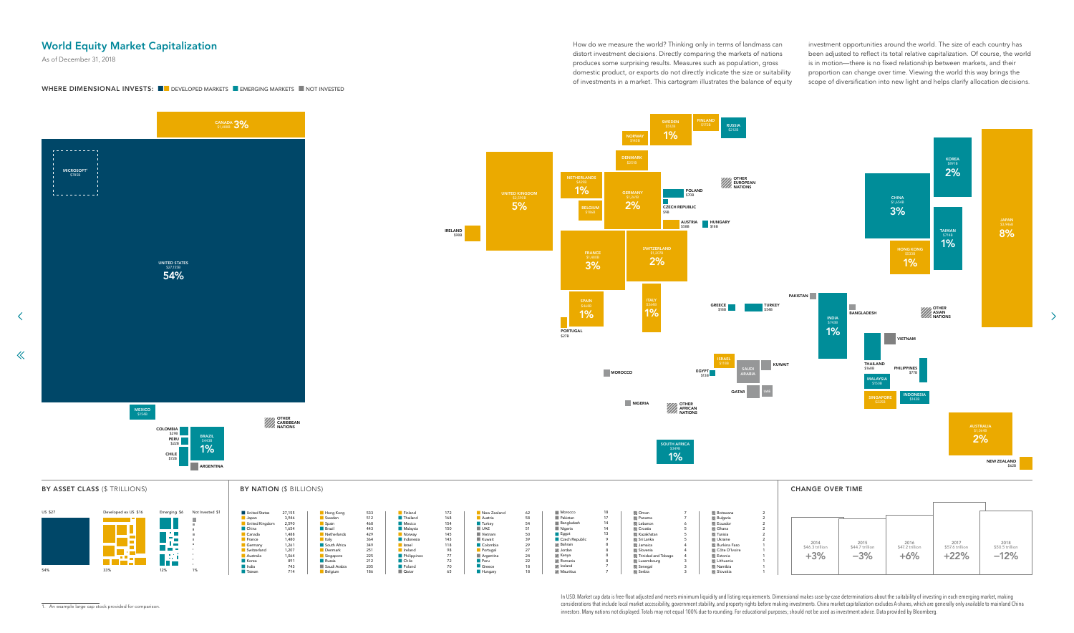How do we measure the world? Thinking only in terms of landmass can distort investment decisions. Directly comparing the markets of nations produces some surprising results. Measures such as population, gross domestic product, or exports do not directly indicate the size or suitability of investments in a market. This cartogram illustrates the balance of equity

investment opportunities around the world. The size of each country has been adjusted to reflect its total relative capitalization. Of course, the world is in motion—there is no fixed relationship between markets, and their proportion can change over time. Viewing the world this way brings the scope of diversification into new light and helps clarify allocation decisions.

 $\rightarrow$ 

BY ASSET CLASS (\$ TRILLIONS)

 $\left\langle \right\rangle$ 

 $\ll$ 

![](_page_42_Figure_7.jpeg)

#### BY NATION (\$ BILLIONS)

1. An example large cap stock provided for comparison.

# <span id="page-42-0"></span>World Equity Market Capitalization

# UNITED KING<mark>I</mark> \$2,590B 5% BELGIUM THERLAN 1%

As of December 31, 2018

## WHERE DIMENSIONAL INVESTS: ■■ DEVELOPED MARKETS ■ EMERGING MARKETS ■ NOT INVESTED

| \$6 | Not Invested \$1 | United States  | 27,155 | Hong Kong      | 533 | Finland         | 172 | New Zealand    | 62 | Morocco              | 18 |
|-----|------------------|----------------|--------|----------------|-----|-----------------|-----|----------------|----|----------------------|----|
|     |                  | <b>Japan</b>   | 3,946  | Sweden         | 512 | <b>Thailand</b> | 168 | <b>Austria</b> | 58 | Pakistan             | 17 |
|     |                  | United Kingdom | 2,590  | Spain          | 468 | Mexico          | 154 | <b>Turkey</b>  | 54 | Bangladesh           | 14 |
|     |                  | <b>China</b>   | 1,654  | <b>Brazil</b>  | 443 | Malaysia        | 150 | UAE            | 51 | Nigeria              | 14 |
|     |                  | Canada         | 1,488  | Netherlands    | 429 | Norway          | 145 | Vietnam        | 50 | $\blacksquare$ Egypt | 13 |
|     | ш                | France         | 1,480  | <b>I</b> Italy | 364 | Indonesia       | 143 | Kuwait         | 39 | Czech Republic       |    |
|     |                  | Germany        | 1,261  | South Africa   | 349 | Israel          | 118 | Colombia       | 29 | <b>Z</b> Bahrain     |    |
|     |                  | Switzerland    | 1,207  | Denmark        | 251 | <b>I</b> reland | 98  | Portugal       | 27 | <b>Z</b> Jordan      |    |
|     |                  | Australia      | 1,064  | Singapore      | 225 | Philippines     | 77  | Argentina      | 24 | <b>XX</b> Kenya      |    |
|     |                  | <b>Korea</b>   | 891    | <b>Russia</b>  | 212 | <b>Chile</b>    | 72  | <b>Peru</b>    | 22 | <b>Z</b> Romania     |    |
|     |                  | <b>I</b> India | 743    | Saudi Arabia   | 205 | <b>Poland</b>   | 70  | Greece         | 18 | <b>Z</b> Iceland     |    |
|     | 1%               | <b>Taiwan</b>  | 714    | Belgium        | 186 | <b>Qatar</b>    | 65  | Hungary        | 18 | Mauritius            |    |

![](_page_42_Figure_18.jpeg)

In USD. Market cap data is free-float adjusted and meets minimum liquidity and listing requirements. Dimensional makes case-by-case determinations about the suitability of investing in each emerging market, making considerations that include local market accessibility, government stability, and property rights before making investments. China market capitalization excludes A-shares, which are generally only available to mainland China investors. Many nations not displayed. Totals may not equal 100% due to rounding. For educational purposes; should not be used as investment advice. Data provided by Bloomberg.

FRANCE \$1,480B 3% SPAIN \$468B 1% PORTUGAL \$27B

IRELAND \$98B

![](_page_42_Figure_3.jpeg)

![](_page_42_Figure_4.jpeg)

![](_page_42_Picture_5.jpeg)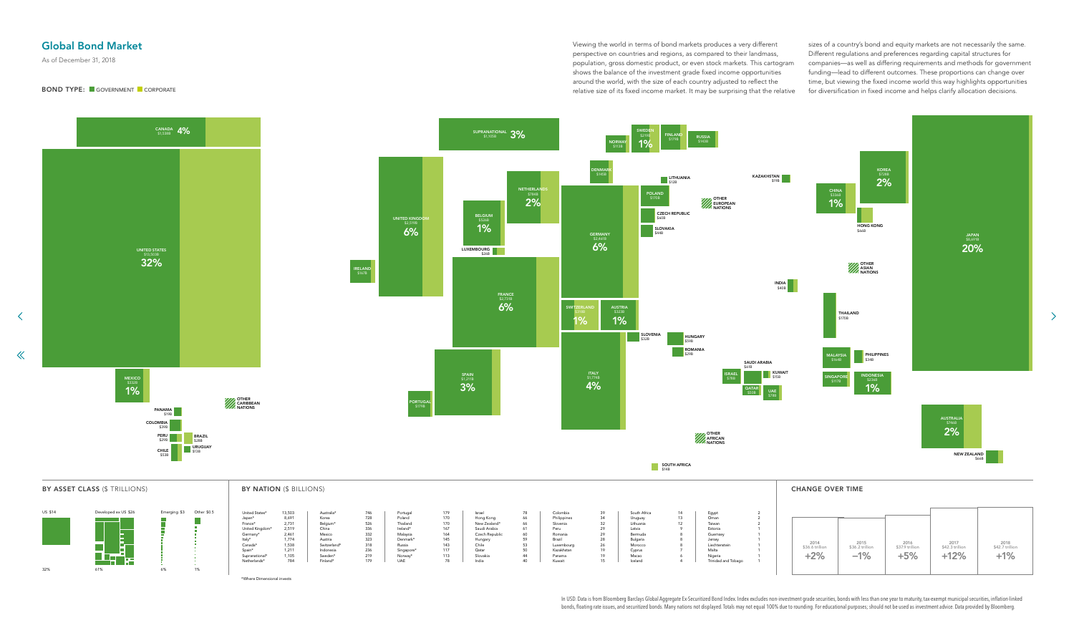Viewing the world in terms of bond markets produces a very different perspective on countries and regions, as compared to their landmass, population, gross domestic product, or even stock markets. This cartogram shows the balance of the investment grade fixed income opportunities around the world, with the size of each country adjusted to reflect the relative size of its fixed income market. It may be surprising that the relative

sizes of a country's bond and equity markets are not necessarily the same. Different regulations and preferences regarding capital structures for companies—as well as differing requirements and methods for government funding—lead to different outcomes. These proportions can change over time, but viewing the fixed income world this way highlights opportunities for diversification in fixed income and helps clarify allocation decisions.

 $\rightarrow$ 

In USD. Data is from Bloomberg Barclays Global Aggregate Ex-Securitized Bond Index. Index excludes non-investment grade securities, bonds with less than one year to maturity, tax-exempt municipal securities, inflation-link bonds, floating rate issues, and securitized bonds. Many nations not displayed. Totals may not equal 100% due to rounding. For educational purposes; should not be used as investment advice. Data provided by Bloomberg.

![](_page_43_Figure_6.jpeg)

| United States*  | 13,503 | Australia*   | 746 | Portugal   | 179 | Israel         | 78 | Colombia    |
|-----------------|--------|--------------|-----|------------|-----|----------------|----|-------------|
| Japan*          | 8,691  | Korea        | 728 | Poland     | 170 | Hong Kong      | 66 | Philippines |
| France*         | 2.731  | Belgium*     | 526 | Thailand   | 170 | New Zealand*   | 66 | Slovenia    |
| United Kingdom* | 2,519  | China        | 336 | Ireland*   | 167 | Saudi Arabia   | 61 | Peru        |
| Germany*        | 2,461  | Mexico       | 332 | Malaysia   | 164 | Czech Republic | 60 | Romania     |
| Italy*          | 1.774  | Austria      | 323 | Denmark*   | 145 | Hungary        | 59 | Brazil      |
| Canada*         | 1.538  | Switzerland* | 318 | Russia     | 143 | Chile          | 53 | Luxembourg  |
| Spain*          | 1.211  | Indonesia    | 236 | Singapore* | 117 | Qatar          | 50 | Kazakhstan  |
| Supranational*  | 1,105  | Sweden*      | 219 | Norway*    | 113 | Slovakia       | 44 | Panama      |
| Netherlands*    | 784    | Finland*     | 179 | <b>UAE</b> | 78  | India          | 40 | Kuwait      |

## <span id="page-43-0"></span>Global Bond Market

## BOND TYPE: ■ GOVERNMENT ■ CORPORATE

\*Where Dimensional invests

As of December 31, 2018

![](_page_43_Figure_4.jpeg)

 $\left\langle \right\rangle$ 

 $\ll$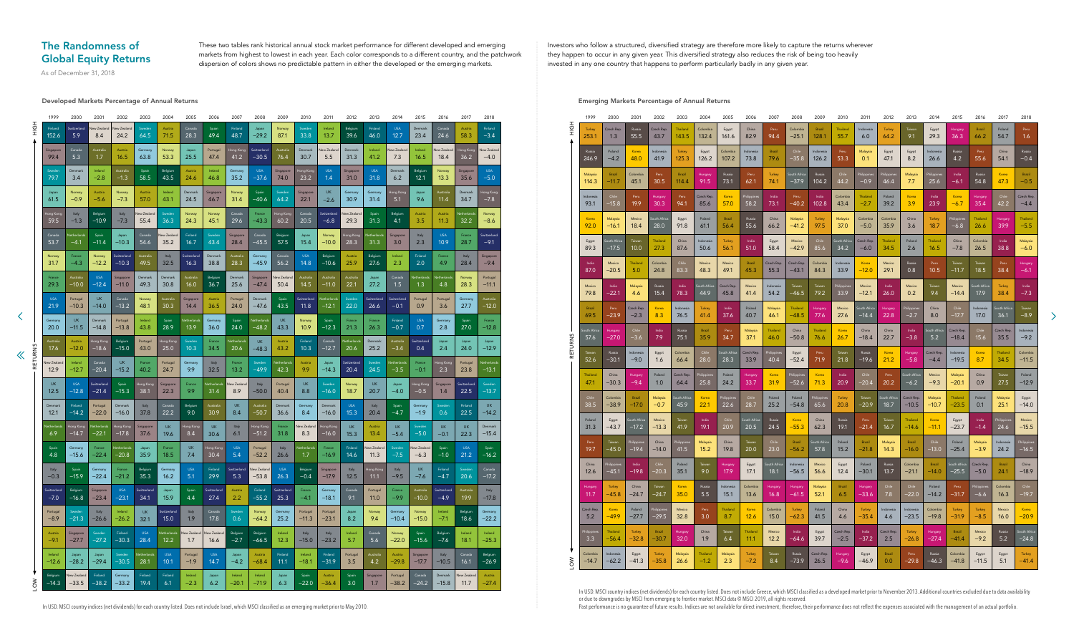These two tables rank historical annual stock market performance for different developed and emerging markets from highest to lowest in each year. Each color corresponds to a different country, and the patchwork dispersion of colors shows no predictable pattern in either the developed or the emerging markets.

Investors who follow a structured, diversified strategy are therefore more likely to capture the returns wherever they happen to occur in any given year. This diversified strategy also reduces the risk of being too heavily invested in any one country that happens to perform particularly badly in any given year.

# <span id="page-44-0"></span>The Randomness of Global Equity Returns

Developed Markets Percentage of Annual Returns Emerging Markets Percentage of Annual Returns

In USD. MSCI country indices (net dividends) for each country listed. Does not include Greece, which MSCI classified as a developed market prior to November 2013. Additional countries excluded due to data availability or due to downgrades by MSCI from emerging to frontier market. MSCI data © MSCI 2019, all rights reserved.

Past performance is no guarantee of future results. Indices are not available for direct investment; therefore, their performance does not reflect the expenses associated with the management of an actual portfolio.

|                  | 1999                   | 2000                 | 2001                 | 2002                  | 2003                | 2004                | 2005                | 2006                | 2007                | 2008                   | 2009                | 2010                | 2011                | 2012                | 2013               | 2014                | 2015                 | 2016                  | 2017              | 2018               |
|------------------|------------------------|----------------------|----------------------|-----------------------|---------------------|---------------------|---------------------|---------------------|---------------------|------------------------|---------------------|---------------------|---------------------|---------------------|--------------------|---------------------|----------------------|-----------------------|-------------------|--------------------|
| H <sub>O</sub> H | Finland                | Switzerland          | <b>Vew Zealand</b>   | New Zealand           | Sweden              | Austria             | Canada              | Spain               | Finland             | Japan                  | Norway              | Sweden              | Ireland             | Belgium             | Finland            | <b>USA</b>          | Denmark              | Canada                | Austria           | Finland            |
|                  | 152.6                  | 5.9                  | 8.4                  | 24.2                  | 64.5                | 71.5                | 28.3                | 49.4                | 48.7                | $-29.2$                | 87.1                | 33.8                | 13.7                | 39.6                | 46.0               | 12.7                | 23.4                 | 24.6                  | 58.3              | $-3.4$             |
|                  | Singapore              | Canada               | Australia            | Austria               | Germany             | Norway              | Japan               | Portugal            | Hong Kong           | Switzerland            | Australia           | Denmark             | New Zealand         | Denmark             | Ireland            | New Zealand         | Ireland              | New Zealand           | Hong Kong         | <b>New Zealand</b> |
|                  | 99.4                   | 5.3                  | 1.7                  | 16.5                  | 63.8                | 53.3                | 25.5                | 47.4                | 41.2                | $-30.5$                | 76.4                | 30.7                | 5.5                 | 31.3                | 41.2               | 7.3                 | 16.5                 | 18.4                  | 36.2              | $-4.0$             |
|                  | Sweden                 | Denmark              | Ireland              | Australia             | Spain               | Belgium             | Austria             | Ireland             | Germany             | <b>USA</b>             | Singapore           | Hong Kong           | <b>USA</b>          | Singapore           | <b>USA</b>         | Denmark             | Belgium              | Norway                | Singapore         | <b>USA</b>         |
|                  | 79.7                   | 3.4                  | $-2.8$               | $-1.3$                | 58.5                | 43.5                | 24.6                | 46.8                | 35.2                | $-37.6$                | 74.0                | 23.2                | 1.4                 | 31.0                | 31.8               | 6.2                 | 12.1                 | 13.3                  | 35.6              | $-5.0$             |
|                  | Japan                  | Norway               | Austria              | Norway                | Austria             | Ireland             | Denmark             | Singapore           | Norway              | Spain                  | Sweden              | Singapore           | <b>UK</b>           | Germany             | Germany            | Hong Kong           | Japan                | Australia             | Denmark           | Hong Kong          |
|                  | 61.5                   | $-0.9$               | $-5.6$               | $-7.3$                | 57.0                | 43.1                | 24.5                | 46.7                | 31.4                | $-40.6$                | 64.2                | 22.1                | $-2.6$              | 30.9                | 31.4               | 5.1                 | 9.6                  | 11.4                  | 34.7              | $-7.8$             |
|                  | Hong Kong              | Italy                | Belgium              | Italy                 | New Zealand         | Sweden              | Norway              | Norway              | Canada              | France                 | Hong Kong           | Canada              | Switzerland         | New Zealand         | Spain              | Belgium             | Austria              | Austria               | Netherlands       | Norway             |
|                  | 59.5                   | $-1.3$               | $-10.9$              | $-7.3$                | 55.4                | 36.3                | 24.3                | 45.1                | 29.6                | $-43.3$                | 60.2                | 20.5                | -6.8                | 29.3                | 31.3               | 4.1                 | 3.5                  | 11.3                  | 32.2              | $-8.6$             |
|                  | Canada                 | Netherlands          | Spain                | Japan                 | Canada              | New Zealand         | Finland             | Sweden              | Singapore           | Canada                 | Belgium             | Japan               | Norway              | Hong Kong           | <b>Netherlands</b> | Singapore           | Italy                | <b>USA</b>            | France            | Switzerland        |
|                  | 53.7                   | $-4.1$               | $-11.4$              | $-10.3$               | 54.6                | 35.2                | 16.7                | 43.4                | 28.4                | $-45.5$                | 57.5                | 15.4                | $-10.0$             | 28.3                | 31.3               | 3.0                 | 2.3                  | 10.9                  | 28.7              | $-9.1$             |
|                  | Norway                 | France               | Norway               | Switzerland           | Australia           | Italy               | Switzerland         | Denmark             | Australia           | Germany                | Canada              | <b>USA</b>          | Belgium             | Austria             | Belgium            | Ireland             | Finland              | France                | Italy             | Singapore          |
|                  | 31.7                   | $-4.3$               | $-12.2$              | $-10.3$               | 49.5                | 32.5                | 16.3                | 38.8                | 28.3                | $-45.9$                | 56.2                | 14.8                | $-10.6$             | 25.9                | 27.6               | 2.3                 | 2.0                  | 4.9                   | 28.4              | $-9.4$             |
|                  | France                 | Australia            | <b>USA</b>           | Singapore             | Denmark             | Denmark             | Australia           | Belgium             | Denmark             | Singapore              | New Zealand         | Australia           | Australia           | Australia           | Japan              | Canada              | Netherlands          | Netherlands           | Norway            | Portugal           |
|                  | 29.3                   | $-10.0$              | $-12.4$              | $-11.0$               | 49.3                | 30.8                | 16.0                | 36.7                | 25.6                | $-47.4$                | 50.4                | 14.5                | $-11.0$             | 22.1                | 27.2               | 1.5                 | 1.3                  | 4.8                   | 28.3              | $-11.1$            |
|                  | <b>USA</b>             | Portugal             | <b>UK</b>            | Canada                | Norway              | Australia           | Singapore           | Austria             | Portugal            | Denmark                | Spain               | Switzerland         | Netherlands         | Sweden              | Switzerland        | Switzerland         | Portugal             | Portugal              | Germany           | Australia          |
|                  | 21.9                   | $-10.3$              | $-14.0$              | $-13.2$               | 48.1                | 30.3                | 14.4                | 36.5                | 24.0                | $-47.6$                | 43.5                | 11.8                | $-12.1$             | 22.0                | 26.6               | $-0.1$              | 0.9                  | 3.6                   | 27.7              | $-12.0$            |
|                  | Germany<br><b>20.0</b> | <b>UK</b><br>$-11.5$ | Denmark<br>$-14.8$   | Portugal<br>$-13.8$   | Ireland<br>43.8     | Spain<br>28.9       | Netherlands<br>13.9 | Germany<br>36.0     | Spain<br>24.0       | Netherlands<br>$-48.2$ | <b>UK</b><br>43.3   | Norway<br>10.9      | Spain<br>$-12.3$    | France<br>21.3      | France<br>26.3     | Finland<br>$-0.7$   | <b>USA</b><br>0.7    | Germany<br>2.8        | Spain<br>27.0     | France<br>$-12.8$  |
|                  | Australia<br>17.6      | Austria<br>$-12.0$   | Hong Kong<br>$-18.6$ | Belgium<br>$-15.0$    | Portugal<br>43.0    | Hong Kong<br>25.0   | Sweden<br>10.3      | France<br>34.5      | Netherlands<br>20.6 | <b>UK</b><br>$-48.3$   | Austria<br>43.2     | Finland<br>10.3     | Canada<br>$-12.7$   | Netherlands<br>20.6 | Denmark<br>25.2    | Australia<br>$-3.4$ | Switzerland<br>0.4   | Japan<br>2.4          | Japan<br>24.0     | Japan<br>$-12.9$   |
| RETURNS          | New Zealand            | Ireland              | Canada               | <b>UK</b>             | France              | Portugal            | Germany             | Italy               | France              | Sweden                 | Netherlands         | Austria             | Japan               | Switzerland         | Sweden             | Netherlands         | France               | Hong Kong             | Portugal          | Netherlands        |
|                  | 12.9                   | $-12.7$              | $-20.4$              | $-15.2$               | 40.2                | 24.7                | 9.9                 | 32.5                | 13.2                | $-49.9$                | 42.3                | 9.9                 | $-14.3$             | 20.4                | 24.5               | $-3.5$              | $-0.1$               | 2.3                   | 23.8              | $-13.1$            |
|                  | <b>UK</b>              | <b>USA</b>           | Switzerland          | Spain                 | Hong Kong           | Singapore           | France              | <b>Netherlands</b>  | New Zealand         | Italy                  | Portugal            | <b>UK</b>           | Sweden              | Norway              | <b>UK</b>          | Japan               | Hong Kong            | Singapore             | Switzerland       | Sweden             |
|                  | 12.5                   | $-12.8$              | $-21.4$              | $-15.3$               | 38.1                | 22.3                | 9.9                 | 31.4                | 8.9                 | $-50.0$                | 40.4                | 8.8                 | $-16.0$             | 18.7                | 20.7               | $-4.0$              | $-0.5$               | 1.4                   | 22.5              | $-13.7$            |
|                  | Denmark                | Finland              | Portugal             | Denmark               | Italy               | Canada              | Belgium             | Australia           | <b>UK</b>           | Australia              | Denmark             | Germany             | Denmark             | <b>USA</b>          | Italy              | Spain               | Germany              | Sweden                | Finland           | <b>UK</b>          |
|                  | 12.1                   | $-14.2$              | $-22.0$              | $-16.0$               | 37.8                | 22.2                | 9.0                 | 30.9                | 8.4                 | $-50.7$                | 36.6                | 8.4                 | $-16.0$             | 15.3                | 20.4               | $-4.7$              | $-1.9$               | 0.6 <sub>1</sub>      | 22.5              | $-14.2$            |
|                  | Netherlands            | Hong Kong            | Netherlands          | Hong Kong             | Singapore           | <b>UK</b>           | Hong Kong           | <b>UK</b>           | Italy               | Hong Kong              | France              | New Zealand         | Hong Kong           | <b>UK</b>           | Austria            | <b>UK</b>           | Sweden               | <b>UK</b>             | <b>UK</b>         | Denmark            |
|                  | 6.9                    | $-14.7$              | $-22.1$              | $-17.8$               | 37.6                | 19.6                | 8.4                 | 30.6                | 6.1                 | $-51.2$                | 31.8                | 8.3                 | $-16.0$             | 15.3                | 13.4               | $-5.4$              | $-5.0$               | $-0.1$                | 22.3              | $-15.4$            |
|                  | Spain                  | Germany              | France               | Netherlands           | Japan               | France              | <b>UK</b>           | Hong Kong           | <b>USA</b>          | Portugal               | Italy               | Netherlands         | France              | Finland             | New Zealand        | Sweden              | New Zealand          | Spain                 | <b>USA</b>        | Spain              |
|                  | 4.8                    | $-15.6$              | $-22.4$              | $-20.8$               | 35.9                | 18.5                | 7.4                 | 30.4                | 5.4                 | $-52.2$                | 26.6                | 1.7                 | $-16.9$             | 14.6                | 11.3               | $-7.5$              | $-6.3$               | $-1.0$                | 21.2              | $-16.2$            |
|                  | Italy                  | Spain                | Germany              | France                | Belgium             | Germany             | <b>USA</b>          | Finland             | Switzerland         | New Zealand            | <b>USA</b>          | Belgium             | Singapore           | Italy               | Hong Kong          | Italy               | <b>UK</b>            | Finland               | Sweden            | Canada             |
|                  | $-0.3$                 | $-15.9$              | $-22.4$              | $-21.2$               | 35.3                | 16.2                | 5.1                 | 29.9                | 5.3                 | $-53.8$                | 26.3                | $-0.4$              | $-17.9$             | 12.5                | 11.1               | $-9.5$              | $-7.6$               | $-4.7$                | 20.6              | $-17.2$            |
|                  | Switzerland<br>$-7.0$  | Belgium<br>$-16.8$   | Singapore<br>$-23.4$ | <b>USA</b><br>$-23.1$ | Switzerland<br>34.1 | Japan<br>15.9       | Spain<br>4.4        | Switzerland<br>27.4 | Austria<br>2.2      | Finland<br>$-55.2$     | Switzerland<br>25.3 | France<br>$-4.1$    | Germany<br>$-18.1$  | Canada<br>9.1       | Portugal<br>11.0   | France<br>$-9.9$    | Australia<br>$-10.0$ | Switzerland<br>$-4.9$ | Australia<br>19.9 | Italy<br>$-17.8$   |
|                  | Portugal<br>$-8.9$     | Sweden<br>$-21.3$    | Italy<br>$-26.6$     | Ireland<br>$-26.2$    | <b>UK</b><br>32.1   | Switzerland<br>15.0 | Italy<br>1.9        | Canada<br>17.8      | Sweden<br>0.6       | Norway<br>$-64.2$      | Germany<br>25.2     | Portugal<br>$-11.3$ | Portugal<br>$-23.1$ | Japan<br>8.2        | Norway<br>9.4      | Germany<br>$-10.4$  | Norway<br>$-15.0$    | Ireland<br>$-7.1$     | Belgium<br>18.6   | Germany<br>$-22.2$ |
|                  | Austria<br>$-9.1$      | Singapore<br>$-27.7$ | Sweden<br>$-27.2$    | Finland<br>$-30.3$    | <b>USA</b><br>28.4  | Netherlands<br>12.2 | New Zealand<br>1.7  | New Zealand<br>16.6 | Belgium<br>$-2.7$   | Belgium<br>$-66.5$     | Ireland<br>12.3     | Italy<br>$-15.0$    | Italy<br>$-23.2$    | Ireland<br>5.7      | Canada<br>5.6      | Norway<br>$-22.0$   | Spain<br>–15.6       | Belgium<br>$-7.6$     | Ireland<br>18.1   | Ireland<br>$-25.3$ |
|                  | Ireland                | Japan                | Japan                | Sweden                | Netherlands         | <b>USA</b>          | Portugal            | <b>USA</b>          | Japan               | Austria                | Finland             | Ireland             | Finland             | Portugal            | Australia          | Austria             | Singapore            | Italy                 | Canada            | Belgium            |
|                  | –12.6                  | $-28.2$              | $-29.4$              | $-30.5$               | 28.1                | 10.1                | $-1.9$              | 14.7                | $-4.2$              | $-68.4$                | 11.1                | $-18.1$             | $-31.9$             | 3.5                 | 4.2                | $-29.8$             | $-17.7$              | $-10.5$               | 16.1              | $-26.9$            |
| ▼                | Belgium                | New Zealand          | Finland              | Germany               | Finland             | Finland             | Ireland             | Japan               | Ireland             | Ireland                | Japan               | Spain               | Austria             | Spain               | Singapore          | Portugal            | Canada               | Denmark               | New Zealand       | Austria            |
| $\frac{8}{3}$    | $-14.3$                | $-33.5$              | $-38.2$              | $-33.2$               | 19.4                | 6.1                 | $-2.3$              | 6.2                 | $-20.1$             | $-71.9$                | 6.3                 | $-22.0$             | $-36.4$             | 3.0                 | 1.7                | $-38.2$             | $-24.2$              | $-15.8$               | 11.7              | $-27.4$            |

In USD. MSCI country indices (net dividends) for each country listed. Does not include Israel, which MSCI classified as an emerging market prior to May 2010.

 $\ll$ 

 $\checkmark$ 

| 1999          | 2000         | 2001         | 2002         | 2003            | 2004         | 2005          | 2006          | 2007         | 2008         | 2009          | 2010         | 2011          | 2012          | 2013         | 2014         | 2015         | 2016          | 2017          | 2018         |
|---------------|--------------|--------------|--------------|-----------------|--------------|---------------|---------------|--------------|--------------|---------------|--------------|---------------|---------------|--------------|--------------|--------------|---------------|---------------|--------------|
| Turkey        | Czech Rep.   | Russia       | Czech Rep.   | <b>Thailand</b> | Colombia     | Egypt         | China         | Peru         | Colombia     | <b>Brazil</b> | Thailand     | Indonesia     | <b>Turkey</b> | Taiwan       | Egypt        | Hungary      | <b>Brazil</b> | Poland        | Peru         |
| 253.1         | 1.3          | 55.5         | 43.7         | 143.5           | 132.4        | 161.6         | 82.9          | 94.4         | $-25.1$      | 128.1         | 55.7         | 6.0           | 64.2          | 9.1          | 29.3         | 36.3         | 66.2          | 54.7          | 1.6          |
| Russia        | Poland       | Korea        | Indonesia    | <b>Turkey</b>   | Egypt        | Colombia      | Indonesia     | Brazil       | Chile        | Indonesia     | Peru         | Malaysia      | Egypt         | Egypt        | Indonesia    | Russia       | Peru          | China         | Russia       |
| 246.9         | $-4.2$       | 48.0         | 41.9         | 125.3           | 126.2        | 107.2         | 73.8          | 79.6         | $-35.8$      | 126.2         | 53.3         | 0.1           | 47.1          | 8.2          | 26.6         | 4.2          | 55.6          | 54.1          | $-0.4$       |
| Malaysia      | Brazil       | Colombia     | Peru         | Brazil          | Hungary      | Russia        | Peru          | Turkey       | South Africa | Russia        | Chile        | Philippines   | Philippines   | Malaysia     | Philippines  | India        | Russia        | Korea         | Brazil       |
| 114.3         | $-11.7$      | 45.1         | 30.5         | 114.4           | 91.5         | 73.1          | 62.1          | 74.1         | $-37.9$      | 104.2         | 44.2         | $-0.9$        | 46.4          | 7.7          | 25.6         | $-6.1$       | 54.8          | 47.3          | $-0.5$       |
| Indonesia     | Chile        | Peru         | Hungary      | Peru            | Czech Rep.   | Korea         | Philippines   | India        | Peru         | India         | Colombia     | Thailand      | Poland        | Korea        | India        | Korea        | Hungary       | Chile         | Czech Rep.   |
| 93.1          | $-15.8$      | 19.9         | 30.3         | 94.1            | 85.6         | 57.0          | 58.2          | 73.1         | $-40.2$      | 102.8         | 43.4         | $-2.7$        | 39.2          | 3.9          | 23.9         | -6.7         | 35.4          | 42.2          | $-4.4$       |
| Korea         | Malaysia     | Mexico       | South Africa | Egypt           | Poland       | <b>Brazil</b> | Russia        | China        | Malaysia     | Turkey        | Malaysia     | Colombia      | Colombia      | China        | Turkey       | Philippines  | Thailand      | Hungary       | Thailand     |
| 92.0          | $-16.1$      | 18.4         | 28.0         | 91.8            | 61.1         | 56.4          | 55.6          | 66.2         | $-41.2$      | 97.5          | 37.0         | $-5.0$        | 35.9          | 3.6          | 18.7         | $-6.8$       | 26.6          | 39.9          | $-5.5$       |
| Egypt         | South Africa | Taiwan       | Thailand     | China           | Indonesia    | <b>Turkey</b> | India         | Egypt        | Mexico       | Chile         | South Africa | Czech Rep.    | Thailand      | Poland       | Thailand     | China        | Colombia      | India         | Malaysia     |
| 89.3          | $-17.5$      | 10.0         | 27.3         | 87.6            | 50.6         | 56.1          | 51.0          | 58.4         | $-42.9$      | 85.6          | 34.2         | $-6.0$        | 34.5          | 2.6          | 16.5         | $-7.8$       | 26.5          | 38.8          | $-6.0$       |
| India         | Mexico       | Thailand     | Colombia     | Chile           | Mexico       | Mexico        | <b>Brazil</b> | Czech Rep.   | Czech Rep.   | Colombia      | Indonesia    | Korea         | Mexico        | Russia       | Peru         | Taiwan       | Taiwan        | Peru          | Hungary      |
| 87.0          | $-20.5$      | 5.0          | 24.8         | 83.3            | 48.3         | 49.1          | 45.3          | 55.3         | $-43.1$      | 84.3          | 33.9         | $-12.0$       | 29.1          | 0.8          | 10.5         | $-11.7$      | 18.5          | 38.4          | $-6.1$       |
| Mexico        | India        | Malaysia     | Russia       | India           | South Africa | Czech Rep.    | Mexico        | Indonesia    | Taiwan       | Taiwan        | Philippines  | Mexico        | India         | Mexico       | Taiwan       | Mexico       | South Africa  | <b>Turkey</b> | India        |
| 79.8          | $-22.1$      | 4.6          | 15.4         | 78.3            | 44.9         | 45.8          | 41.4          | 54.2         | $-46.5$      | 79.2          | 33.9         | $-12.1$       | 26.0          | 0.2          | 9.4          | $-14.4$      | 17.9          | 38.4          | $-7.3$       |
| <b>Brazil</b> | Peru         | Czech Rep.   | Korea        | Indonesia       | Turkey       | India         | Poland        | Malaysia     | Thailand     | Hungary       | Mexico       | South Africa  | Hungary       | Philippines  | China        | Chile        | Indonesia     | South Africa  | Taiwan       |
| 69.5          | $-23.9$      | $-2.3$       | 8.3          | 76.5            | 41.4         | 37.6          | 40.7          | 46.1         | $-48.5$      | 77.6          | 27.6         | $-14.4$       | 22.8          | $-2.7$       | 8.0          | $-17.7$      | 17.0          | 36.1          | $-8.9$       |
| South Africa  | Hungary      | Chile        | India        | Russia          | Brazil       | Peru          | Malaysia      | Thailand     | China        | Thailand      | Korea        | China         | China         | India        | South Africa | Czech Rep.   | Chile         | Czech Rep.    | Indonesia    |
| 57.6          | $-27.0$      | $-3.6$       | 7.9          | 75.1            | 35.9         | 34.7          | 37.1          | 46.0         | $-50.8$      | 76.6          | 26.7         | $-18.4$       | 22.7          | $-3.8$       | 5.2          | $-18.4$      | 15.6          | 35.5          | $-9.2$       |
| Taiwan        | Russia       | Indonesia    | Egypt        | Colombia        | Chile        | South Africa  | Czech Rep     | Philippines  | Egypt        | Peru          | Taiwan       | Russia        | Korea         | Hungary      | Czech Rep.   | Indonesia    | Korea         | Thailand      | Colombia     |
| 52.6          | $-30.1$      | $-9.0$       | 1.6          | 66.4            | 28.0         | 28.3          | 33.9          | 40.4         | $-52.4$      | 71.9          | 21.8         | $-19.6$       | 21.2          | $-5.8$       | $-4.4$       | $-19.5$      | 8.7           | 34.5          | $-11.5$      |
| Thailand      | China        | Hungary      | Poland       | Czech Rep.      | Philippines  | Poland        | Hungary       | Korea        | Philippines  | Korea         | India        | Chile         | Peru          | South Africa | Mexico       | Malaysia     | China         | Taiwan        | Poland       |
| 47.1          | $-30.3$      | $-9.4$       | 1.0          | 64.4            | 25.8         | 24.2          | 33.7          | 31.9         | $-52.6$      | 71.3          | 20.9         | $-20.4$       | 20.2          | $-6.2$       | $-9.3$       | $-20.1$      | 0.9           | 27.5          | $-12.9$      |
| Chile         | Colombia     | Brazil       | Malaysia     | South Africa    | Korea        | Philippines   | Chile         | Poland       | Poland       | Philippines   | Turkey       | Taiwan        | South Africa  | Czech Rep.   | Malaysia     | Thailand     | Poland        | Malaysia      | Egypt        |
| 38.5          | $-38.9$      | $-17.0$      | $-0.7$       | 45.9            | 22.1         | 22.6          | 28.7          | 25.2         | $-54.8$      | 65.6          | 20.8         | $-20.9$       | 18.7          | $-10.5$      | –10.7        | $-23.5$      | 0.1           | 25.1          | $-14.0$      |
| Poland        | Egypt        | South Africa | Mexico       | Taiwan          | India        | Chile         | South Africa  | Russia       | Korea        | China         | Russia       | Peru          | Taiwan        | Thailand     | Korea        | Egypt        | India         | Philippines   | Mexico       |
| 31.3          | $-43.7$      | $-17.2$      | $-13.3$      | 41.9            | 19.1         | 20.9          | 20.5          | 24.5         | $-55.3$      | 62.3          | 19.1         | $-21.4$       | 16.7          | $-14.6$      | $-11.1$      | $-23.7$      | $-1.4$        | 24.6          | $-15.5$      |
| Peru          | Taiwan       | Philippines  | China        | Philippines     | Malaysia     | China         | Taiwan        | Chile        | Brazil       | South Africa  | Poland       | Brazil        | Malaysia      | Brazil       | Chile        | Poland       | Malaysia      | Indonesia     | Philippines  |
| 19.7          | $-45.0$      | $-19.4$      | $-14.0$      | 41.5            | 15.2         | 19.8          | 20.0          | 23.0         | $-56.2$      | 57.8          | 15.2         | $-21.8$       | 14.3          | $-16.0$      | $-13.0$      | $-25.4$      | $-3.9$        | 24.2          | $-16.5$      |
| China         | Philippines  | India        | Chile        | Poland          | Taiwan       | Hungary       | Egypt         | South Africa | Indonesia    | Mexico        | Egypt        | Poland        | Russia        | Colombia     | Brazil       | South Africa | Czech Rep.    | Brazil        | China        |
| 12.6          | $-45.1$      | $-19.8$      | $-20.3$      | 35.1            | 9.0          | 17.9          | 17.1          | 18.1         | $-56.5$      | 56.6          | 12.4         | $-30.1$       | 13.7          | $-21.1$      | $-14.0$      | $-25.5$      | $-5.0$        | 24.1          | $-18.9$      |
| Hungary       | Turkey       | China        | Taiwan       | Korea           | Russia       | Indonesia     | Colombia      | Hungary      | Hungary      | Malaysia      | Brazil       | Hungary       | Chile         | Chile        | Poland       | Peru         | Philippines   | Colombia      | Chile        |
| 11.7          | $-45.8$      | $-24.7$      | $-24.7$      | 35.0            | 5.5          | 15.1          | 13.6          | 16.8         | $-61.5$      | 52.1          | 6.5          | $-33.6$       | 7.8           | $-22.0$      | $-14.2$      | $-31.7$      | $-6.6$        | 16.3          | $-19.7$      |
| Czech Rep.    | Korea        | Poland       | Philippines  | Mexico          | Peru         | Thailand      | Korea         | Colombia     | Turkey       | Poland        | China        | <b>Turkey</b> | Indonesia     | Indonesia    | Colombia     | Turkey       | Turkey        | Mexico        | Korea        |
| 5.2           | $-49.9$      | $-27.7$      | $-29.5$      | 32.8            | 3.0          | 8.7           | 12.6          | 15.0         | $-62.3$      | 41.5          | 4.6          | $-35.4$       | 4.6           | $-23.5$      | $-19.8$      | $-31.9$      | $-8.5$        | 16.0          | $-20.9$      |
| Philippines   | Thailand     | Turkey       | Brazil       | Hungary         | China        | Taiwan        | Thailand      | Mexico       | India        | Egypt         | Czech Rep.   | India         | Czech Rep.    | Turkey       | Hungary      | Brazil       | Mexico        | Russia        | South Africa |
| 3.3           | $-56.4$      | $-32.8$      | $-30.7$      | 32.0            | 1.9          | 6.4           | 11.1          | 12.2         | -64.6        | 39.7          | $-2.5$       | $-37.2$       | 2.5           | $-26.8$      | $-27.4$      | $-41.4$      | $-9.2$        | 5.2           | $-24.8$      |
| Colombia      | Indonesia    | Egypt        | Turkey       | Malaysia        | Thailand     | Malaysia      | Turkey        | Taiwan       | Russia       | Czech Rep.    | Hungary      | Egypt         | <b>Brazil</b> | Peru         | Russia       | Colombia     | Egypt         | Egypt         | Turkey       |
| $-14.7$       | $-62.2$      | $-41.3$      | $-35.8$      | 26.6            | $-1.2$       | 2.3           | $-7.2$        | 8.4          | $-73.9$      | 26.5          | $-9.6$       | $-46.9$       | 0.0           | $-29.8$      | $-46.3$      | $-41.8$      | $-11.5$       | 5.1           | $-41.4$      |

**SNANTER** 

HIGH

LOW RETURNS

As of December 31, 2018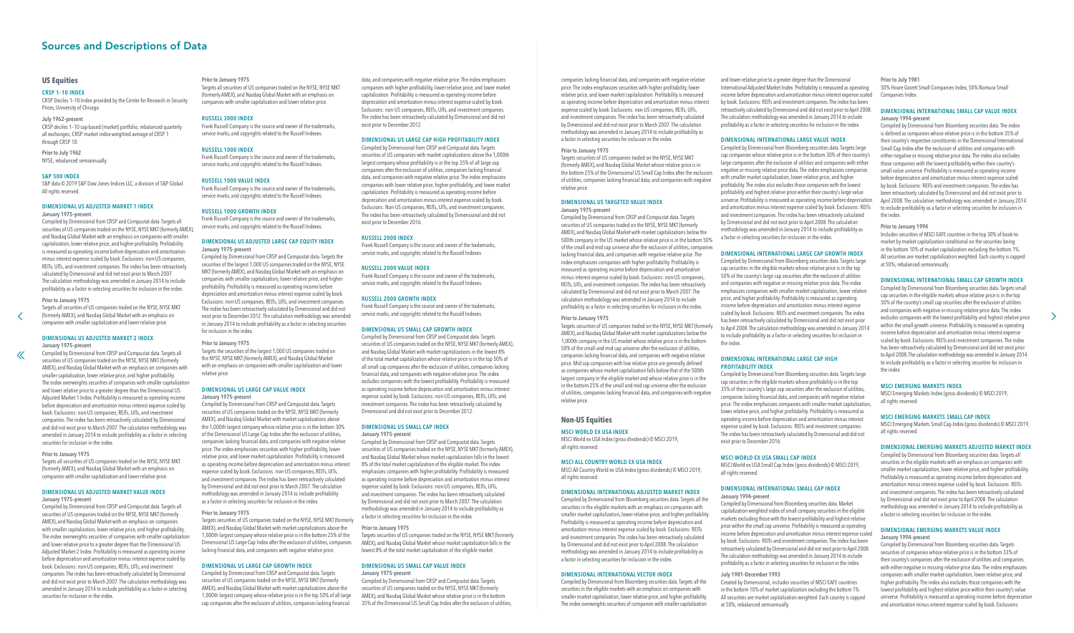#### **US Equities**

#### CRSP 1–10 INDEX

CRSP Deciles 1–10 Index provided by the Center for Research in Security Prices, University of Chicago.

#### July 1962–present

CRSP deciles 1–10 cap-based (market) portfolio; rebalanced quarterly all exchanges; CRSP market index-weighted average of CRSP 1 through CRSP 10.

## Prior to July 1962

NYSE; rebalanced semiannually.

#### S&P 500 INDEX

S&P data © 2019 S&P Dow Jones Indices LLC, a division of S&P Global. All rights reserved.

## DIMENSIONAL US ADJUSTED MARKET 1 INDEX

#### January 1975–present

Compiled by Dimensional from CRSP and Compustat data. Targets all securities of US companies traded on the NYSE, NYSE MKT (formerly AMEX), and Nasdaq Global Market with an emphasis on companies with smaller capitalization, lower relative price, and higher profitability. Profitability is measured as operating income before depreciation and amortization minus interest expense scaled by book. Exclusions: non-US companies, [R](#page-44-0)EITs, UITs, and investment companies. The index has been retroactively calculated by Dimensional and did not exist prior to March 2007. The calculation methodology was amended in January 2014 to include profitability as a factor in selecting securities for inclusion in the index.

#### Prior to January 1975

 $\ll$ 

Targets all securities of US companies traded on the NYSE, NYSE MKT (formerly AMEX), and Nasdaq Global Market with an emphasis on companies with smaller capitalization and lower relative price.

#### DIMENSIONAL US ADJUSTED MARKET 2 INDEX January 1975–present

Compiled by Dimensional from CRSP and Compustat data. Targets all securities of US companies traded on the NYSE, NYSE MKT (formerly AMEX), and Nasdaq Global Market with an emphasis on companies with smaller capitalization, lower relative price, and higher profitability. The index overweights securities of companies with smaller capitalization and lower relative price to a greater degree than the Dimensional US Adjusted Market 1 Index. Profitability is measured as operating income before depreciation and amortization minus interest expense scaled by book. Exclusions: non-US companies, REITs, UITs, and investment companies. The index has been retroactively calculated by Dimensional and did not exist prior to March 2007. The calculation methodology was amended in January 2014 to include profitability as a factor in selecting securities for inclusion in the index.

#### Prior to January 1975

Targets all securities of US companies traded on the NYSE, NYSE MKT (formerly AMEX), and Nasdaq Global Market with an emphasis on companies with smaller capitalization and lower relative price.

#### DIMENSIONAL US ADJUSTED MARKET VALUE INDEX January 1975–present

Compiled by Dimensional from CRSP and Compustat data. Targets all securities of US companies traded on the NYSE, NYSE MKT (formerly AMEX), and Nasdaq Global Market with an emphasis on companies with smaller capitalization, lower relative price, and higher profitability. The index overweights securities of companies with smaller capitalization and lower relative price to a greater degree than the Dimensional US Adjusted Market 2 Index. Profitability is measured as operating income before depreciation and amortization minus interest expense scaled by book. Exclusions: non-US companies, REITs, UITs, and investment companies. The index has been retroactively calculated by Dimensional and did not exist prior to March 2007. The calculation methodology was amended in January 2014 to include profitability as a factor in selecting securities for inclusion in the index.

#### Prior to January 1975

Targets all securities of US companies traded on the NYSE, NYSE MKT (formerly AMEX), and Nasdaq Global Market with an emphasis on companies with smaller capitalization and lower relative price.

#### RUSSELL 3000 INDEX

Frank Russell Company is the source and owner of the trademarks, service marks, and copyrights related to the Russell Indexes.

#### RUSSELL 1000 INDEX

Frank Russell Company is the source and owner of the trademarks, service marks, and copyrights related to the Russell Indexes.

#### RUSSELL 1000 VALUE INDEX

Frank Russell Company is the source and owner of the trademarks, service marks, and copyrights related to the Russell Indexes.

#### RUSSELL 1000 GROWTH INDEX

Frank Russell Company is the source and owner of the trademarks, service marks, and copyrights related to the Russell Indexes.

#### DIMENSIONAL US ADJUSTED LARGE CAP EQUITY INDEX January 1975–present

Compiled by Dimensional from CRSP and Compustat data. Targets the securities of the largest 1,000 US companies traded on the NYSE, NYSE MKT (formerly AMEX), and Nasdaq Global Market with an emphasis on companies with smaller capitalization, lower relative price, and higher profitability. Profitability is measured as operating income before depreciation and amortization minus interest expense scaled by book. Exclusions: non-US companies, REITs, UITs, and investment companies. The index has been retroactively calculated by Dimensional and did not exist prior to December 2012. The calculation methodology was amended in January 2014 to include profitability as a factor in selecting securities for inclusion in the index.

#### Prior to January 1975

Targets the securities of the largest 1,000 US companies traded on the NYSE, NYSE MKT (formerly AMEX), and Nasdaq Global Market with an emphasis on companies with smaller capitalization and lower relative price.

## DIMENSIONAL US LARGE CAP VALUE INDEX

#### January 1975–present

Compiled by Dimensional from CRSP and Compustat data. Targets securities of US companies traded on the NYSE, NYSE MKT (formerly AMEX), and Nasdaq Global Market with market capitalizations above the 1,000th largest company whose relative price is in the bottom 30% of the Dimensional US Large Cap Index after the exclusion of utilities, companies lacking financial data, and companies with negative relative price. The index emphasizes securities with higher profitability, lower relative price, and lower market capitalization. Profitability is measured as operating income before depreciation and amortization minus interest expense scaled by book. Exclusions: non-US companies, REITs, UITs, and investment companies. The index has been retroactively calculated by Dimensional and did not exist prior to March 2007. The calculation methodology was amended in January 2014 to include profitability as a factor in selecting securities for inclusion in the index.

#### Prior to January 1975

Targets securities of US companies traded on the NYSE, NYSE MKT (formerly AMEX), and Nasdaq Global Market with market capitalizations above the 1,000th largest company whose relative price is in the bottom 25% of the Dimensional US Large Cap Index after the exclusion of utilities, companies lacking financial data, and companies with negative relative price.

#### DIMENSIONAL US LARGE CAP GROWTH INDEX

Compiled by Dimensional from CRSP and Compustat data. Targets securities of US companies traded on the NYSE, NYSE MKT (formerly AMEX), and Nasdaq Global Market with market capitalizations above the 1,000th largest company whose relative price is in the top 50% of all large cap companies after the exclusion of utilities, companies lacking financial

data, and companies with negative relative price. The index emphasizes companies with higher profitability, lower relative price, and lower market capitalization. Profitability is measured as operating income before depreciation and amortization minus interest expense scaled by book. Exclusions: non-US companies, REITs, UITs, and investment companies. The index has been retroactively calculated by Dimensional and did not exist prior to December 2012.

#### DIMENSIONAL US LARGE CAP HIGH PROFITABILITY INDEX

Compiled by Dimensional from CRSP and Compustat data. Targets securities of US companies with market capitalizations above the 1,000th largest company whose profitability is in the top 35% of all large cap companies after the exclusion of utilities, companies lacking financial data, and companies with negative relative price. The index emphasizes companies with lower relative price, higher profitability, and lower market capitalization. Profitability is measured as operating income before depreciation and amortization minus interest expense scaled by book. Exclusions: Non-US companies, REITs, UITs, and investment companies. The index has been retroactively calculated by Dimensional and did not exist prior to December 2016.

#### RUSSELL 2000 INDEX

Frank Russell Company is the source and owner of the trademarks, service marks, and copyrights related to the Russell Indexes.

#### RUSSELL 2000 VALUE INDEX

Frank Russell Company is the source and owner of the trademarks, service marks, and copyrights related to the Russell Indexes.

#### RUSSELL 2000 GROWTH INDEX

Frank Russell Company is the source and owner of the trademarks, service marks, and copyrights related to the Russell Indexes.

#### DIMENSIONAL US SMALL CAP GROWTH INDEX

Compiled by Dimensional from CRSP and Compustat data. Targets securities of US companies traded on the NYSE, NYSE MKT (formerly AMEX), and Nasdaq Global Market with market capitalizations in the lowest 8% of the total market capitalization whose relative price is in the top 50% of all small cap companies after the exclusion of utilities, companies lacking financial data, and companies with negative relative price. The index excludes companies with the lowest profitability. Profitability is measured as operating income before depreciation and amortization minus interest expense scaled by book. Exclusions: non-US companies, REITs, UITs, and investment companies. The index has been retroactively calculated by Dimensional and did not exist prior to December 2012.

#### DIMENSIONAL US SMALL CAP INDEX January 1975–present

Compiled by Dimensional from CRSP and Compustat data. Targets securities of US companies traded on the NYSE, NYSE MKT (formerly AMEX), and Nasdaq Global Market whose market capitalization falls in the lowest 8% of the total market capitalization of the eligible market. The index emphasizes companies with higher profitability. Profitability is measured as operating income before depreciation and amortization minus interest expense scaled by book. Exclusions: non-US companies, REITs, UITs, and investment companies. The index has been retroactively calculated by Dimensional and did not exist prior to March 2007. The calculation methodology was amended in January 2014 to include profitability as a factor in selecting securities for inclusion in the index.

#### Prior to January 1975

Targets securities of US companies traded on the NYSE, NYSE MKT (formerly AMEX), and Nasdaq Global Market whose market capitalization falls in the lowest 8% of the total market capitalization of the eligible market.

#### DIMENSIONAL US SMALL CAP VALUE INDEX

January 1975–present Compiled by Dimensional from CRSP and Compustat data. Targets securities of US companies traded on the NYSE, NYSE MKT (formerly AMEX), and Nasdaq Global Market whose relative price is in the bottom 35% of the Dimensional US Small Cap Index after the exclusion of utilities,

companies lacking financial data, and companies with negative relative price. The index emphasizes securities with higher profitability, lower relative price, and lower market capitalization. Profitability is measured as operating income before depreciation and amortization minus interest expense scaled by book. Exclusions: non-US companies, REITs, UITs, and investment companies. The index has been retroactively calculated by Dimensional and did not exist prior to March 2007. The calculation methodology was amended in January 2014 to include profitability as a factor in selecting securities for inclusion in the index.

Prior to January 1975 relative price.

Targets securities of US companies traded on the NYSE, NYSE MKT (formerly AMEX), and Nasdaq Global Market whose relative price is in the bottom 25% of the Dimensional US Small Cap Index after the exclusion of utilities, companies lacking financial data, and companies with negative

## DIMENSIONAL US TARGETED VALUE INDEX

January 1975–present Compiled by Dimensional from CRSP and Compustat data. Targets securities of US companies traded on the NYSE, NYSE MKT (formerly AMEX), and Nasdaq Global Market with market capitalizations below the 500th company in the US market whose relative price is in the bottom 50% of the small and mid cap universe after the exclusion of utilities, companies lacking financial data, and companies with negative relative price. The index emphasizes companies with higher profitability. Profitability is measured as operating income before depreciation and amortization minus interest expense scaled by book. Exclusions: non-US companies, REITs, UITs, and investment companies. The index has been retroactively calculated by Dimensional and did not exist prior to March 2007. The calculation methodology was amended in January 2014 to include profitability as a factor in selecting securities for inclusion in the index.

Prior to January 1975 Targets securities of US companies traded on the NYSE, NYSE MKT (formerly AMEX), and Nasdaq Global Market with market capitalizations below the 1,000th company in the US market whose relative price is in the bottom 50% of the small and mid cap universe after the exclusion of utilities, companies lacking financial data, and companies with negative relative price. Mid cap companies with low relative price are generally defined as companies whose market capitalization falls below that of the 500th largest company in the eligible market and whose relative price is in the in the bottom 25% of the small and mid cap universe after the exclusion of utilities, companies lacking financial data, and companies with negative relative price.

# **Non-US Equities**

#### MSCI WORLD EX USA INDEX

MSCI World ex USA Index (gross dividends) © MSCI 2019,

all rights reserved.

#### MSCI ALL COUNTRY WORLD EX USA INDEX

MSCI All Country World ex USA Index (gross dividends) © MSCI 2019, all rights reserved.

#### DIMENSIONAL INTERNATIONAL ADJUSTED MARKET INDEX

Compiled by Dimensional from Bloomberg securities data. Targets all the securities in the eligible markets with an emphasis on companies with smaller market capitalization, lower relative price, and higher profitability. Profitability is measured as operating income before depreciation and amortization minus interest expense scaled by book. Exclusions: REITs and investment companies. The index has been retroactively calculated by Dimensional and did not exist prior to April 2008. The calculation methodology was amended in January 2014 to include profitability as a factor in selecting securities for inclusion in the index.

## DIMENSIONAL INTERNATIONAL VECTOR INDEX

Compiled by Dimensional from Bloomberg securities data. Targets all the securities in the eligible markets with an emphasis on companies with smaller market capitalization, lower relative price, and higher profitability. The index overweights securities of companies with smaller capitalization and lower relative price to a greater degree than the Dimensional International Adjusted Market Index. Profitability is measured as operating income before depreciation and amortization minus interest expense scaled by book. Exclusions: REITs and investment companies. The index has been retroactively calculated by Dimensional and did not exist prior to April 2008. The calculation methodology was amended in January 2014 to include profitability as a factor in selecting securities for inclusion in the index.

#### DIMENSIONAL INTERNATIONAL LARGE VALUE INDEX

Compiled by Dimensional from Bloomberg securities data. Targets large cap companies whose relative price is in the bottom 30% of their country's large companies after the exclusion of utilities and companies with either negative or missing relative price data. The index emphasizes companies with smaller market capitalization, lower relative price, and higher profitability. The index also excludes those companies with the lowest profitability and highest relative price within their country's large value universe. Profitability is measured as operating income before depreciation and amortization minus interest expense scaled by book. Exclusions: REITs and investment companies. The index has been retroactively calculated by Dimensional and did not exist prior to April 2008. The calculation methodology was amended in January 2014 to include profitability as a factor in selecting securities for inclusion in the index.

#### DIMENSIONAL INTERNATIONAL LARGE CAP GROWTH INDEX

Compiled by Dimensional from Bloomberg securities data. Targets large cap securities in the eligible markets whose relative price is in the top 50% of the country's large cap securities after the exclusion of utilities and companies with negative or missing relative price data. The index emphasizes companies with smaller market capitalization, lower relative price, and higher profitability. Profitability is measured as operating income before depreciation and amortization minus interest expense scaled by book. Exclusions: REITs and investment companies. The index has been retroactively calculated by Dimensional and did not exist prior to April 2008. The calculation methodology was amended in January 2014 to include profitability as a factor in selecting securities for inclusion in the index.

#### DIMENSIONAL INTERNATIONAL LARGE CAP HIGH PROFITABILITY INDEX

Compiled by Dimensional from Bloomberg securities data. Targets large cap securities in the eligible markets whose profitability is in the top 35% of their country's large cap securities after the exclusion of utilities, companies lacking financial data, and companies with negative relative price. The index emphasizes companies with smaller market capitalization, lower relative price, and higher profitability. Profitability is measured as operating income before depreciation and amortization minus interest expense scaled by book. Exclusions: REITs and investment companies. The index has been retroactively calculated by Dimensional and did not exist prior to December 2016.

#### MSCI WORLD EX USA SMALL CAP INDEX

MSCI World ex USA Small Cap Index (gross dividends) © MSCI 2019, all rights reserved.

#### DIMENSIONAL INTERNATIONAL SMALL CAP INDEX January 1994–present

Compiled by Dimensional from Bloomberg securities data. Market capitalization-weighted index of small company securities in the eligible markets excluding those with the lowest profitability and highest relative price within the small cap universe. Profitability is measured as operating income before depreciation and amortization minus interest expense scaled by book. Exclusions: REITs and investment companies. The index has been retroactively calculated by Dimensional and did not exist prior to April 2008. The calculation methodology was amended in January 2014 to include profitability as a factor in selecting securities for inclusion in the index.

#### July 1981–December 1993

Created by Dimensional; includes securities of MSCI EAFE countries in the bottom 10% of market capitalization excluding the bottom 1%. All securities are market capitalization weighted. Each country is capped at 50%; rebalanced semiannually.

#### Prior to July 1981 50% Hoare Govett Small Companies Index, 50% Nomura Small Companies Index.

#### DIMENSIONAL INTERNATIONAL SMALL CAP VALUE INDEX January 1994–present

Compiled by Dimensional from Bloomberg securities data. The index is defined as companies whose relative price is in the bottom 35% of their country's respective constituents in the Dimensional International Small Cap Index after the exclusion of utilities and companies with either negative or missing relative price data. The index also excludes those companies with the lowest profitability within their country's small value universe. Profitability is measured as operating income before depreciation and amortization minus interest expense scaled by book. Exclusions: REITs and investment companies. The index has been retroactively calculated by Dimensional and did not exist prior to April 2008. The calculation methodology was amended in January 2014 to include profitability as a factor in selecting securities for inclusion in the index.

#### Prior to January 1994

Includes securities of MSCI EAFE countries in the top 30% of book-tomarket by market capitalization conditional on the securities being in the bottom 10% of market capitalization excluding the bottom 1%. All securities are market capitalization weighted. Each country is capped at 50%; rebalanced semiannually.

#### DIMENSIONAL INTERNATIONAL SMALL CAP GROWTH INDEX

Compiled by Dimensional from Bloomberg securities data. Targets small cap securities in the eligible markets whose relative price is in the top 50% of the country's small cap securities after the exclusion of utilities and companies with negative or missing relative price data. The index excludes companies with the lowest profitability and highest relative price within the small growth universe. Profitability is measured as operating income before depreciation and amortization minus interest expense scaled by book. Exclusions: REITs and investment companies. The index has been retroactively calculated by Dimensional and did not exist prior to April 2008. The calculation methodology was amended in January 2014 to include profitability as a factor in selecting securities for inclusion in the index.

 $\rightarrow$ 

#### MSCI EMERGING MARKETS INDEX

MSCI Emerging Markets Index (gross dividends) © MSCI 2019, all rights reserved.

#### MSCI EMERGING MARKETS SMALL CAP INDEX

MSCI Emerging Markets Small Cap Index (gross dividends) © MSCI 2019, all rights reserved.

#### DIMENSIONAL EMERGING MARKETS ADJUSTED MARKET INDEX

Compiled by Dimensional from Bloomberg securities data. Targets all securities in the eligible markets with an emphasis on companies with smaller market capitalization, lower relative price, and higher profitability. Profitability is measured as operating income before depreciation and amortization minus interest expense scaled by book. Exclusions: REITs and investment companies. The index has been retroactively calculated by Dimensional and did not exist prior to April 2008. The calculation methodology was amended in January 2014 to include profitability as a factor in selecting securities for inclusion in the index.

#### DIMENSIONAL EMERGING MARKETS VALUE INDEX January 1994–present

Compiled by Dimensional from Bloomberg securities data. Targets securities of companies whose relative price is in the bottom 33% of their country's companies after the exclusion of utilities and companies with either negative or missing relative price data. The index emphasizes companies with smaller market capitalization, lower relative price, and higher profitability. The index also excludes those companies with the lowest profitability and highest relative price within their country's value universe. Profitability is measured as operating income before depreciation and amortization minus interest expense scaled by book. Exclusions:

## <span id="page-45-0"></span>Sources and Descriptions of Data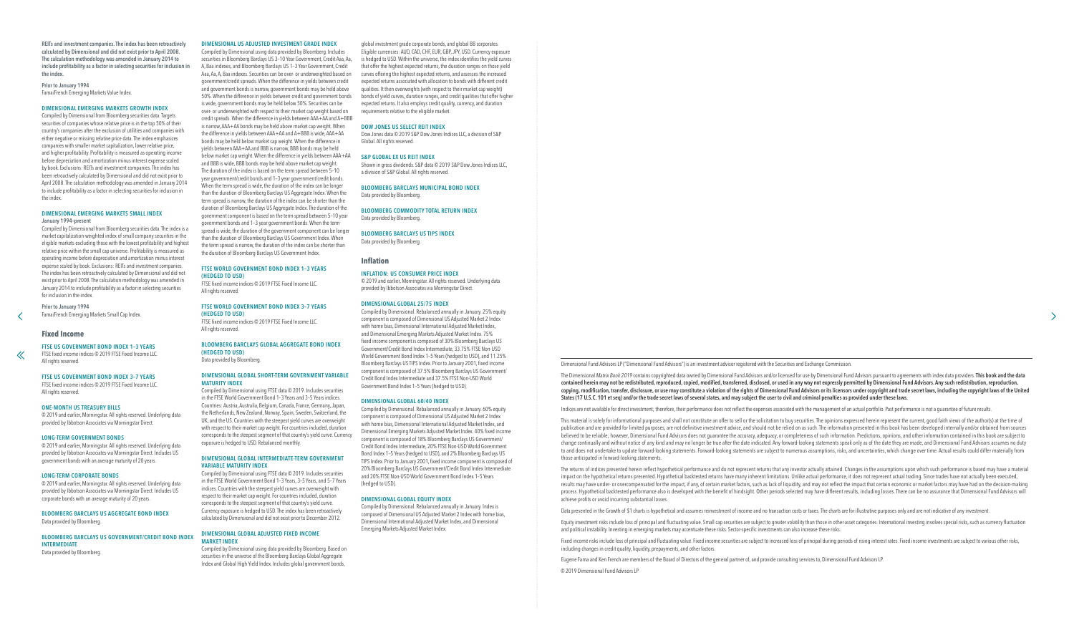<span id="page-46-0"></span>REITs and investment companies. The index has been retroactively calculated by Dimensional and did not exist prior to April 2008. The calculation methodology was amended in January 2014 to include profitability as a factor in selecting securities for inclusion in the index.

Prior to January 1994 Fama/French Emerging Markets Value Index.

## DIMENSIONAL EMERGING MARKETS GROWTH INDEX

Compiled by Dimensional from Bloomberg securities data. Targets securities of companies whose relative price is in the top 50% of their country's companies after the exclusion of utilities and companies with either negative or missing relative price data. The index emphasizes companies with smaller market capitalization, lower relative price, and higher profitability. Profitability is measured as operating income before depreciation and amortization minus interest expense scaled by book. Exclusions: REITs and investment companies. The index has been retroactively calculated by Dimensional and did not exist prior to April 2008. The calculation methodology was amended in January 2014 to include profitability as a factor in selecting securities for inclusion in the index.

FTSE fixed income indices © 2019 FTSE Fixed Income LLC. All rights reserved.

#### DIMENSIONAL EMERGING MARKETS SMALL INDEX January 1994–present

Compiled by Dimensional from Bloomberg securities data. The index is a market capitalization-weighted index of small company securities in the eligible markets excluding those with the lowest profitability and highest relative price within the small cap universe. Profitability is measured as operating income before depreciation and amortization minus interest [e](#page-45-0)xpense scaled by book. Exclusions: REITs and investment companies. The index has been retroactively calculated by Dimensional and did not exist prior to April 2008. The calculation methodology was amended in January 2014 to include profitability as a factor in selecting securities for inclusion in the index.

Prior to January 1994 Fama/French Emerging Markets Small Cap Index.

## **Fixed Income**

 $\ll$ 

#### FTSE US GOVERNMENT BOND INDEX 1–3 YEARS

FTSE fixed income indices © 2019 FTSE Fixed Income LLC. All rights reserved.

#### FTSE US GOVERNMENT BOND INDEX 3–7 YEARS

## ONE-MONTH US TREASURY BILLS

© 2019 and earlier, Morningstar. All rights reserved. Underlying data provided by Ibbotson Associates via Morningstar Direct.

#### LONG-TERM GOVERNMENT BONDS

© 2019 and earlier, Morningstar. All rights reserved. Underlying data provided by Ibbotson Associates via Morningstar Direct. Includes US government bonds with an average maturity of 20 years.

#### LONG-TERM CORPORATE BONDS

© 2019 and earlier, Morningstar. All rights reserved. Underlying data provided by Ibbotson Associates via Morningstar Direct. Includes US corporate bonds with an average maturity of 20 years.

#### BLOOMBERG BARCLAYS US AGGREGATE BOND INDEX Data provided by Bloomberg.

## BLOOMBERG BARCLAYS US GOVERNMENT/CREDIT BOND INDEX INTERMEDIATE

Data provided by Bloomberg.

#### DIMENSIONAL US ADJUSTED INVESTMENT GRADE INDEX

Compiled by Dimensional using data provided by Bloomberg. Includes securities in Bloomberg Barclays US 3–10 Year Government, Credit Aaa, Aa, A, Baa indexes, and Bloomberg Barclays US 1–3 Year Government, Credit Aaa, Aa, A, Baa indexes. Securities can be over- or underweighted based on government/credit spreads. When the difference in yields between credit and government bonds is narrow, government bonds may be held above 50%. When the difference in yields between credit and government bonds is wide, government bonds may be held below 50%. Securities can be over- or underweighted with respect to their market cap weight based on credit spreads. When the difference in yields between AAA+AA and A+BBB is narrow, AAA+AA bonds may be held above market cap weight. When the difference in yields between AAA+AA and A+BBB is wide, AAA+AA bonds may be held below market cap weight. When the difference in yields between AAA+AA and BBB is narrow, BBB bonds may be held below market cap weight. When the difference in yields between AAA+AA and BBB is wide, BBB bonds may be held above market cap weight. The duration of the index is based on the term spread between 5–10 year government/credit bonds and 1–3 year government/credit bonds. When the term spread is wide, the duration of the index can be longer than the duration of Bloomberg Barclays US Aggregate Index. When the term spread is narrow, the duration of the index can be shorter than the duration of Bloomberg Barclays US Aggregate Index. The duration of the government component is based on the term spread between 5–10 year government bonds and 1–3 year government bonds. When the term spread is wide, the duration of the government component can be longer than the duration of Bloomberg Barclays US Government Index. When the term spread is narrow, the duration of the index can be shorter than the duration of Bloomberg Barclays US Government Index.

#### FTSE WORLD GOVERNMENT BOND INDEX 1–3 YEARS (HEDGED TO USD)

FTSE fixed income indices © 2019 FTSE Fixed Income LLC. All rights reserved.

#### FTSE WORLD GOVERNMENT BOND INDEX 3–7 YEARS (HEDGED TO USD)

FTSE fixed income indices © 2019 FTSE Fixed Income LLC. All rights reserved.

#### BLOOMBERG BARCLAYS GLOBAL AGGREGATE BOND INDEX (HEDGED TO USD)

Data provided by Bloomberg.

#### DIMENSIONAL GLOBAL SHORT-TERM GOVERNMENT VARIABLE MATURITY INDEX

The Dimensional Matrix Book 2019 contains copyrighted data owned by Dimensional Fund Advisors and/or licensed for use by Dimensional Fund Advisors pursuant to agreements with index data providers. This book and the data contained herein may not be redistributed, reproduced, copied, modified, transferred, disclosed, or used in any way not expressly permitted by Dimensional Fund Advisors. Any such redistribution, reproduction, copying, modification, transfer, disclosure, or use may constitute a violation of the rights of Dimensional Fund Advisors or its licensors under copyright and trade secret laws, including the copyright laws of the United States (17 U.S.C. 101 et seq) and/or the trade secret laws of several states, and may subject the user to civil and criminal penalties as provided under these laws.

Indices are not available for direct investment; therefore, their performance does not reflect the expenses associated with the management of an actual portfolio. Past performance is not a quarantee of future results.

Compiled by Dimensional using FTSE data © 2019. Includes securities in the FTSE World Government Bond 1–3 Years and 3–5 Years indices. Countries: Austria, Australia, Belgium, Canada, France, Germany, Japan, the Netherlands, New Zealand, Norway, Spain, Sweden, Switzerland, the UK, and the US. Countries with the steepest yield curves are overweight with respect to their market cap weight. For countries included, duration corresponds to the steepest segment of that country's yield curve. Currency exposure is hedged to USD. Rebalanced monthly.

#### DIMENSIONAL GLOBAL INTERMEDIATE-TERM GOVERNMENT VARIABLE MATURITY INDEX

This material is solely for informational purposes and shall not constitute an offer to sell or the solicitation to buy securities. The opinions expressed herein represent the current, good faith views of the author(s) at publication and are provided for limited purposes, are not definitive investment advice, and should not be relied on as such. The information presented in this book has been developed internally and/or obtained from source believed to be reliable; however, Dimensional Fund Advisors does not guarantee the accuracy, adequacy, or completeness of such information. Predictions, opinions, and other information contained in this book are subject to change continually and without notice of any kind and may no longer be true after the date indicated. Any forward-looking statements speak only as of the date they are made, and Dimensional Fund Advisors assumes no duty to and does not undertake to update forward-looking statements. Forward-looking statements are subject to numerous assumptions, risks, and uncertainties, which change over time. Actual results could differ materially from those anticipated in forward-looking statements.

Compiled by Dimensional using FTSE data © 2019. Includes securities in the FTSE World Government Bond 1–3 Years, 3–5 Years, and 5–7 Years indices. Countries with the steepest yield curves are overweight with respect to their market cap weight. For countries included, duration corresponds to the steepest segment of that country's yield curve. Currency exposure is hedged to USD. The index has been retroactively calculated by Dimensional and did not exist prior to December 2012.

#### DIMENSIONAL GLOBAL ADJUSTED FIXED INCOME MARKET INDEX

Compiled by Dimensional using data provided by Bloomberg. Based on securities in the universe of the Bloomberg Barclays Global Aggregate Index and Global High Yield Index. Includes global government bonds,

Equity investment risks include loss of principal and fluctuating value. Small cap securities are subject to greater volatility than those in other asset categories. International investing involves special risks, such as and political instability. Investing in emerging markets may accentuate these risks. Sector-specific investments can also increase these risks.

 $\rightarrow$ 

Fixed income risks include loss of principal and fluctuating value. Fixed income securities are subject to increased loss of principal during periods of rising interest rates. Fixed income investments are subject to variou including changes in credit quality, liquidity, prepayments, and other factors.

global investment grade corporate bonds, and global BB corporates. Eligible currencies: AUD, CAD, CHF, EUR, GBP, JPY, USD. Currency exposure is hedged to USD. Within the universe, the index identifies the yield curves that offer the highest expected returns, the duration ranges on those yield curves offering the highest expected returns, and assesses the increased expected returns associated with allocation to bonds with different credit qualities. It then overweights (with respect to their market cap weight) bonds of yield curves, duration ranges, and credit qualities that offer higher expected returns. It also employs credit quality, currency, and duration requirements relative to the eligible market.

#### DOW JONES US SELECT REIT INDEX

Dow Jones data © 2019 S&P Dow Jones Indices LLC, a division of S&P Global. All rights reserved.

#### S&P GLOBAL EX US REIT INDEX

Shown in gross dividends. S&P data © 2019 S&P Dow Jones Indices LLC, a division of S&P Global. All rights reserved.

BLOOMBERG BARCLAYS MUNICIPAL BOND INDEX Data provided by Bloomberg.

BLOOMBERG COMMODITY TOTAL RETURN INDEX Data provided by Bloomberg.

BLOOMBERG BARCLAYS US TIPS INDEX

Data provided by Bloomberg.

#### **Inflation**

#### INFLATION: US CONSUMER PRICE INDEX

© 2019 and earlier, Morningstar. All rights reserved. Underlying data provided by Ibbotson Associates via Morningstar Direct.

#### DIMENSIONAL GLOBAL 25/75 INDEX

Compiled by Dimensional. Rebalanced annually in January. 25% equity component is composed of Dimensional US Adjusted Market 2 Index with home bias, Dimensional International Adjusted Market Index, and Dimensional Emerging Markets Adjusted Market Index. 75% fixed income component is composed of 30% Bloomberg Barclays US Government/Credit Bond Index Intermediate, 33.75% FTSE Non-USD World Government Bond Index 1–5 Years (hedged to USD), and 11.25% Bloomberg Barclays US TIPS Index. Prior to January 2001, fixed income component is composed of 37.5% Bloomberg Barclays US Government/ Credit Bond Index Intermediate and 37.5% FTSE Non-USD World Government Bond Index 1–5 Years (hedged to USD).

#### DIMENSIONAL GLOBAL 60/40 INDEX

Compiled by Dimensional. Rebalanced annually in January. 60% equity component is composed of Dimensional US Adjusted Market 2 Index with home bias, Dimensional International Adjusted Market Index, and Dimensional Emerging Markets Adjusted Market Index. 40% fixed income component is composed of 18% Bloomberg Barclays US Government/ Credit Bond Index Intermediate, 20% FTSE Non-USD World Government Bond Index 1–5 Years (hedged to USD), and 2% Bloomberg Barclays US TIPS Index. Prior to January 2001, fixed income component is composed of 20% Bloomberg Barclays US Government/Credit Bond Index Intermediate and 20% FTSE Non-USD World Government Bond Index 1–5 Years (hedged to USD).

## DIMENSIONAL GLOBAL EQUITY INDEX

Compiled by Dimensional. Rebalanced annually in January. Index is composed of Dimensional US Adjusted Market 2 Index with home bias, Dimensional International Adjusted Market Index, and Dimensional Emerging Markets Adjusted Market Index.

- 
- 

Data presented in the Growth of \$1 charts is hypothetical and assumes reinvestment of income and no transaction costs or taxes. The charts are for illustrative purposes only and are not indicative of any investment.

Dimensional Fund Advisors LP ("Dimensional Fund Advisors") is an investment advisor registered with the Securities and Exchange Commission.

The returns of indices presented herein reflect hypothetical performance and do not represent returns that any investor actually attained. Changes in the assumptions upon which such performance is based may have a material impact on the hypothetical returns presented. Hypothetical backtested returns have many inherent limitations. Unlike actual performance, it does not represent actual trading. Since trades have not actually been executed, results may have under-or overcompensated for the impact, if any, of certain market factors, such as lack of liquidity, and may not reflect the impact that certain economic or market factors may have had on the decision-ma process. Hypothetical backtested performance also is developed with the benefit of hindsight. Other periods selected may have different results, including losses. There can be no assurance that Dimensional Fund Advisors wi achieve profits or avoid incurring substantial losses.

Eugene Fama and Ken French are members of the Board of Directors of the general partner of, and provide consulting services to, Dimensional Fund Advisors LP.

© 2019 Dimensional Fund Advisors LP